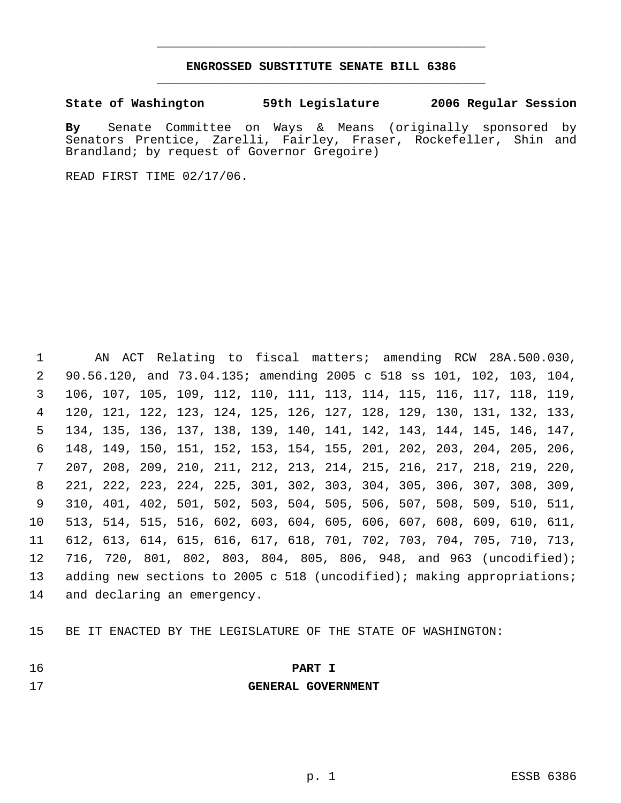## **ENGROSSED SUBSTITUTE SENATE BILL 6386** \_\_\_\_\_\_\_\_\_\_\_\_\_\_\_\_\_\_\_\_\_\_\_\_\_\_\_\_\_\_\_\_\_\_\_\_\_\_\_\_\_\_\_\_\_

\_\_\_\_\_\_\_\_\_\_\_\_\_\_\_\_\_\_\_\_\_\_\_\_\_\_\_\_\_\_\_\_\_\_\_\_\_\_\_\_\_\_\_\_\_

**State of Washington 59th Legislature 2006 Regular Session**

**By** Senate Committee on Ways & Means (originally sponsored by Senators Prentice, Zarelli, Fairley, Fraser, Rockefeller, Shin and Brandland; by request of Governor Gregoire)

READ FIRST TIME 02/17/06.

 AN ACT Relating to fiscal matters; amending RCW 28A.500.030, 90.56.120, and 73.04.135; amending 2005 c 518 ss 101, 102, 103, 104, 106, 107, 105, 109, 112, 110, 111, 113, 114, 115, 116, 117, 118, 119, 120, 121, 122, 123, 124, 125, 126, 127, 128, 129, 130, 131, 132, 133, 134, 135, 136, 137, 138, 139, 140, 141, 142, 143, 144, 145, 146, 147, 148, 149, 150, 151, 152, 153, 154, 155, 201, 202, 203, 204, 205, 206, 207, 208, 209, 210, 211, 212, 213, 214, 215, 216, 217, 218, 219, 220, 221, 222, 223, 224, 225, 301, 302, 303, 304, 305, 306, 307, 308, 309, 310, 401, 402, 501, 502, 503, 504, 505, 506, 507, 508, 509, 510, 511, 513, 514, 515, 516, 602, 603, 604, 605, 606, 607, 608, 609, 610, 611, 612, 613, 614, 615, 616, 617, 618, 701, 702, 703, 704, 705, 710, 713, 716, 720, 801, 802, 803, 804, 805, 806, 948, and 963 (uncodified); 13 adding new sections to 2005 c 518 (uncodified); making appropriations; and declaring an emergency.

BE IT ENACTED BY THE LEGISLATURE OF THE STATE OF WASHINGTON:

## **PART I**

**GENERAL GOVERNMENT**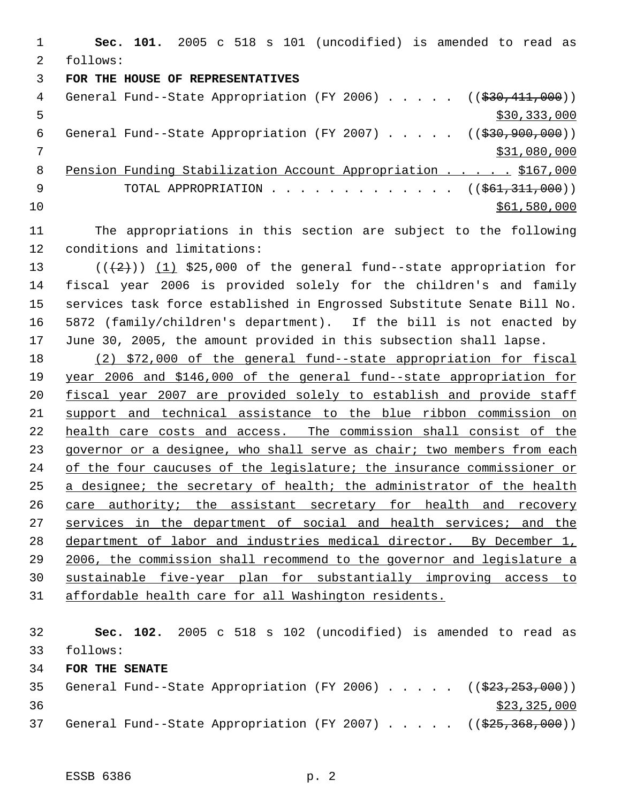**Sec. 101.** 2005 c 518 s 101 (uncodified) is amended to read as follows: **FOR THE HOUSE OF REPRESENTATIVES** 4 General Fund--State Appropriation (FY 2006) . . . . . ((\$30,411,000))  $5 - 5$   $\frac{1}{2}$   $\frac{333}{000}$ 6 General Fund--State Appropriation (FY 2007) . . . . . ((\$30,900,000)) \$31,080,000 Pension Funding Stabilization Account Appropriation . . . . . \$167,000 9 TOTAL APPROPRIATION . . . . . . . . . . . . . ((\$61,311,000)) \$61,580,000 \$61,580,000

- The appropriations in this section are subject to the following conditions and limitations:
- 13  $((+2))$   $(1)$  \$25,000 of the general fund--state appropriation for fiscal year 2006 is provided solely for the children's and family services task force established in Engrossed Substitute Senate Bill No. 5872 (family/children's department). If the bill is not enacted by June 30, 2005, the amount provided in this subsection shall lapse.

 (2) \$72,000 of the general fund--state appropriation for fiscal year 2006 and \$146,000 of the general fund--state appropriation for fiscal year 2007 are provided solely to establish and provide staff support and technical assistance to the blue ribbon commission on 22 health care costs and access. The commission shall consist of the 23 governor or a designee, who shall serve as chair; two members from each 24 of the four caucuses of the legislature; the insurance commissioner or 25 a designee; the secretary of health; the administrator of the health care authority; the assistant secretary for health and recovery 27 services in the department of social and health services; and the department of labor and industries medical director. By December 1, 2006, the commission shall recommend to the governor and legislature a sustainable five-year plan for substantially improving access to affordable health care for all Washington residents.

 **Sec. 102.** 2005 c 518 s 102 (uncodified) is amended to read as follows: **FOR THE SENATE** 35 General Fund--State Appropriation (FY 2006) . . . . . ((\$23,253,000)) \$23,325,000 37 General Fund--State Appropriation (FY 2007) . . . . . ((\$25,368,000))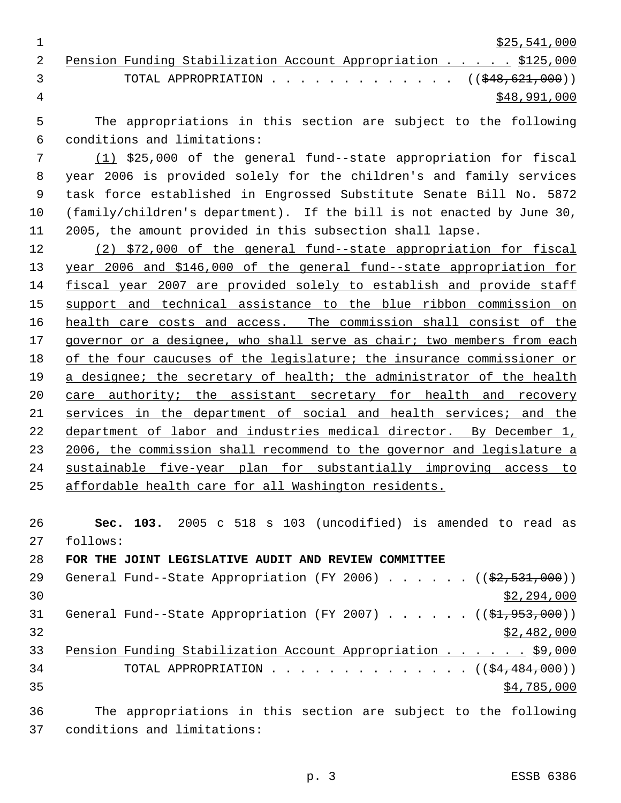\$25,541,000

|   |                                 |  |  | 2 Pension Funding Stabilization Account Appropriation \$125,000 |
|---|---------------------------------|--|--|-----------------------------------------------------------------|
|   | $\mathcal{R}$ and $\mathcal{R}$ |  |  | TOTAL APPROPRIATION $($ $($ \$48,621,000 $)$                    |
| 4 |                                 |  |  | \$48,991,000                                                    |

 The appropriations in this section are subject to the following conditions and limitations:

 (1) \$25,000 of the general fund--state appropriation for fiscal year 2006 is provided solely for the children's and family services task force established in Engrossed Substitute Senate Bill No. 5872 (family/children's department). If the bill is not enacted by June 30, 2005, the amount provided in this subsection shall lapse.

 (2) \$72,000 of the general fund--state appropriation for fiscal year 2006 and \$146,000 of the general fund--state appropriation for fiscal year 2007 are provided solely to establish and provide staff 15 support and technical assistance to the blue ribbon commission on 16 health care costs and access. The commission shall consist of the governor or a designee, who shall serve as chair; two members from each of the four caucuses of the legislature; the insurance commissioner or 19 a designee; the secretary of health; the administrator of the health 20 care authority; the assistant secretary for health and recovery services in the department of social and health services; and the 22 department of labor and industries medical director. By December 1, 23 2006, the commission shall recommend to the governor and legislature a sustainable five-year plan for substantially improving access to affordable health care for all Washington residents.

 **Sec. 103.** 2005 c 518 s 103 (uncodified) is amended to read as follows:

**FOR THE JOINT LEGISLATIVE AUDIT AND REVIEW COMMITTEE**

| 29 | General Fund--State Appropriation (FY 2006) $($ $($ \$2,531,000))       |  |  |  |             |
|----|-------------------------------------------------------------------------|--|--|--|-------------|
| 30 |                                                                         |  |  |  | \$2,294,000 |
| 31 | General Fund--State Appropriation (FY 2007) ( $(\frac{21}{7953},000)$ ) |  |  |  |             |
| 32 |                                                                         |  |  |  | \$2,482,000 |
| 33 | Pension Funding Stabilization Account Appropriation \$9,000             |  |  |  |             |
| 34 | TOTAL APPROPRIATION $($ $($ \$4,484,000) $)$                            |  |  |  |             |
| 35 |                                                                         |  |  |  | \$4,785,000 |
| 36 | The appropriations in this section are subject to the following         |  |  |  |             |

conditions and limitations: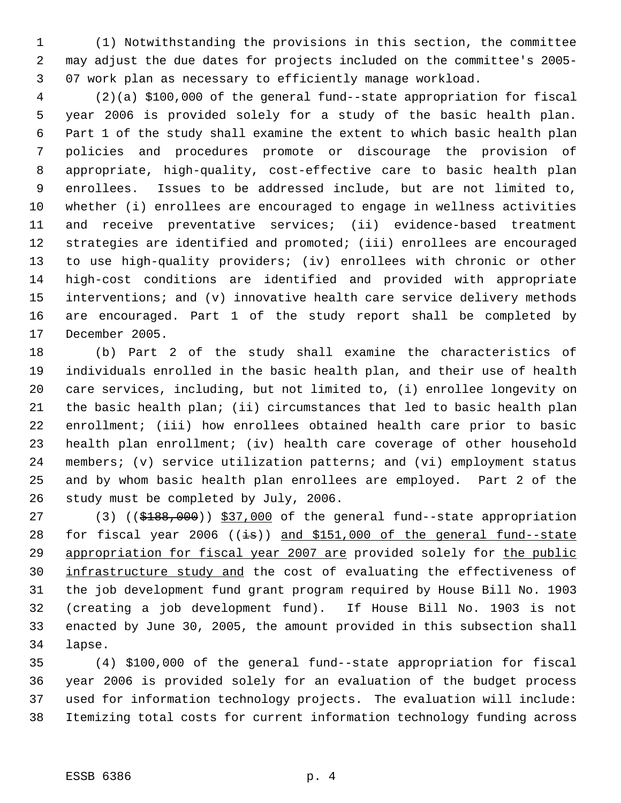(1) Notwithstanding the provisions in this section, the committee may adjust the due dates for projects included on the committee's 2005- 07 work plan as necessary to efficiently manage workload.

 (2)(a) \$100,000 of the general fund--state appropriation for fiscal year 2006 is provided solely for a study of the basic health plan. Part 1 of the study shall examine the extent to which basic health plan policies and procedures promote or discourage the provision of appropriate, high-quality, cost-effective care to basic health plan enrollees. Issues to be addressed include, but are not limited to, whether (i) enrollees are encouraged to engage in wellness activities and receive preventative services; (ii) evidence-based treatment strategies are identified and promoted; (iii) enrollees are encouraged to use high-quality providers; (iv) enrollees with chronic or other high-cost conditions are identified and provided with appropriate interventions; and (v) innovative health care service delivery methods are encouraged. Part 1 of the study report shall be completed by December 2005.

 (b) Part 2 of the study shall examine the characteristics of individuals enrolled in the basic health plan, and their use of health care services, including, but not limited to, (i) enrollee longevity on the basic health plan; (ii) circumstances that led to basic health plan enrollment; (iii) how enrollees obtained health care prior to basic health plan enrollment; (iv) health care coverage of other household members; (v) service utilization patterns; and (vi) employment status and by whom basic health plan enrollees are employed. Part 2 of the study must be completed by July, 2006.

27 (3) ((\$188,000)) \$37,000 of the general fund--state appropriation 28 for fiscal year 2006 ( $(i\overline{s})$ ) and \$151,000 of the general fund--state 29 appropriation for fiscal year 2007 are provided solely for the public 30 infrastructure study and the cost of evaluating the effectiveness of the job development fund grant program required by House Bill No. 1903 (creating a job development fund). If House Bill No. 1903 is not enacted by June 30, 2005, the amount provided in this subsection shall lapse.

 (4) \$100,000 of the general fund--state appropriation for fiscal year 2006 is provided solely for an evaluation of the budget process used for information technology projects. The evaluation will include: Itemizing total costs for current information technology funding across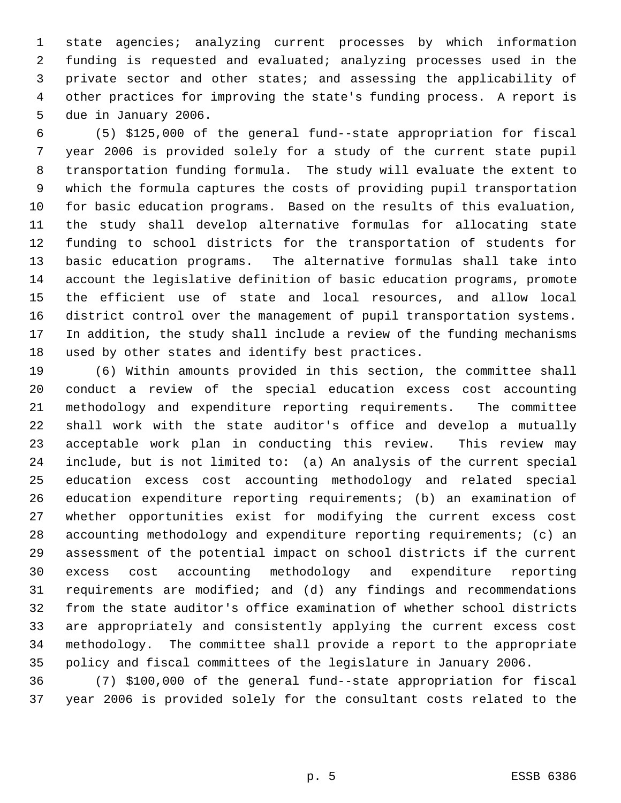state agencies; analyzing current processes by which information funding is requested and evaluated; analyzing processes used in the private sector and other states; and assessing the applicability of other practices for improving the state's funding process. A report is due in January 2006.

 (5) \$125,000 of the general fund--state appropriation for fiscal year 2006 is provided solely for a study of the current state pupil transportation funding formula. The study will evaluate the extent to which the formula captures the costs of providing pupil transportation for basic education programs. Based on the results of this evaluation, the study shall develop alternative formulas for allocating state funding to school districts for the transportation of students for basic education programs. The alternative formulas shall take into account the legislative definition of basic education programs, promote the efficient use of state and local resources, and allow local district control over the management of pupil transportation systems. In addition, the study shall include a review of the funding mechanisms used by other states and identify best practices.

 (6) Within amounts provided in this section, the committee shall conduct a review of the special education excess cost accounting methodology and expenditure reporting requirements. The committee shall work with the state auditor's office and develop a mutually acceptable work plan in conducting this review. This review may include, but is not limited to: (a) An analysis of the current special education excess cost accounting methodology and related special education expenditure reporting requirements; (b) an examination of whether opportunities exist for modifying the current excess cost accounting methodology and expenditure reporting requirements; (c) an assessment of the potential impact on school districts if the current excess cost accounting methodology and expenditure reporting requirements are modified; and (d) any findings and recommendations from the state auditor's office examination of whether school districts are appropriately and consistently applying the current excess cost methodology. The committee shall provide a report to the appropriate policy and fiscal committees of the legislature in January 2006.

 (7) \$100,000 of the general fund--state appropriation for fiscal year 2006 is provided solely for the consultant costs related to the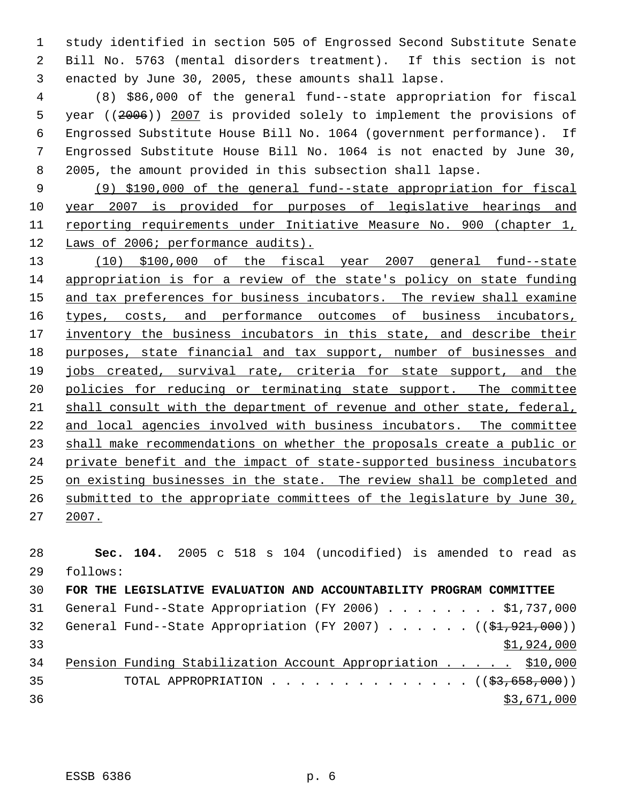study identified in section 505 of Engrossed Second Substitute Senate Bill No. 5763 (mental disorders treatment). If this section is not enacted by June 30, 2005, these amounts shall lapse.

 (8) \$86,000 of the general fund--state appropriation for fiscal year ((2006)) 2007 is provided solely to implement the provisions of Engrossed Substitute House Bill No. 1064 (government performance). If Engrossed Substitute House Bill No. 1064 is not enacted by June 30, 2005, the amount provided in this subsection shall lapse.

 (9) \$190,000 of the general fund--state appropriation for fiscal year 2007 is provided for purposes of legislative hearings and reporting requirements under Initiative Measure No. 900 (chapter 1, Laws of 2006; performance audits).

 (10) \$100,000 of the fiscal year 2007 general fund--state appropriation is for a review of the state's policy on state funding 15 and tax preferences for business incubators. The review shall examine 16 types, costs, and performance outcomes of business incubators, 17 inventory the business incubators in this state, and describe their 18 purposes, state financial and tax support, number of businesses and jobs created, survival rate, criteria for state support, and the policies for reducing or terminating state support. The committee shall consult with the department of revenue and other state, federal, and local agencies involved with business incubators. The committee shall make recommendations on whether the proposals create a public or private benefit and the impact of state-supported business incubators on existing businesses in the state. The review shall be completed and submitted to the appropriate committees of the legislature by June 30, 2007.

 **Sec. 104.** 2005 c 518 s 104 (uncodified) is amended to read as follows: **FOR THE LEGISLATIVE EVALUATION AND ACCOUNTABILITY PROGRAM COMMITTEE** 31 General Fund--State Appropriation (FY 2006) . . . . . . . \$1,737,000 32 General Fund--State Appropriation (FY 2007) . . . . .  $($   $($ \$1,921,000)) \$1,924,000 Pension Funding Stabilization Account Appropriation . . . . . \$10,000 35 TOTAL APPROPRIATION . . . . . . . . . . . . . ((\$3,658,000)) \$3,671,000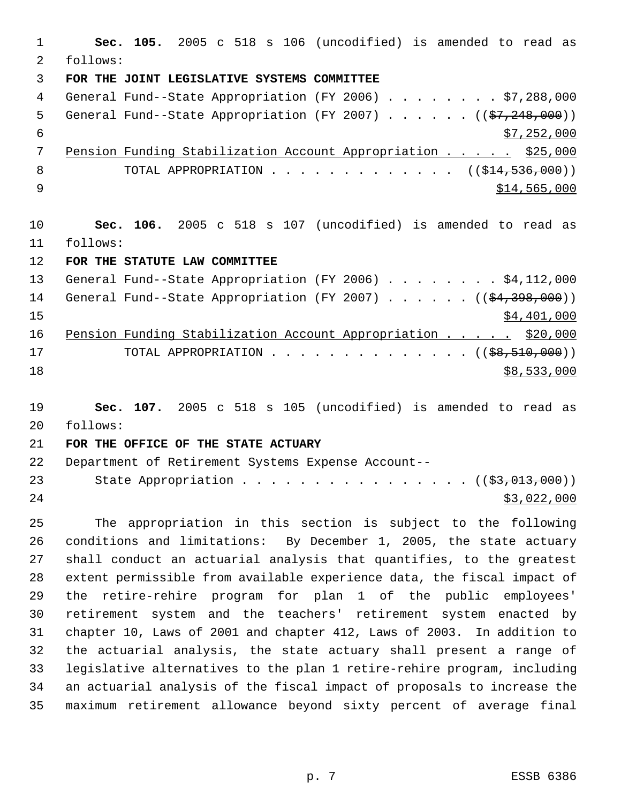**Sec. 105.** 2005 c 518 s 106 (uncodified) is amended to read as follows: **FOR THE JOINT LEGISLATIVE SYSTEMS COMMITTEE** General Fund--State Appropriation (FY 2006) . . . . . . . . \$7,288,000 5 General Fund--State Appropriation (FY 2007)  $\ldots$  . . . . ( $(\frac{27}{248},000)$ )  $\frac{1}{57}$ , 252, 000 7 Pension Funding Stabilization Account Appropriation . . . . \$25,000 8 TOTAL APPROPRIATION . . . . . . . . . . . . . ((\$14,536,000)) \$14,565,000 **Sec. 106.** 2005 c 518 s 107 (uncodified) is amended to read as follows: **FOR THE STATUTE LAW COMMITTEE** 13 General Fund--State Appropriation (FY 2006) . . . . . . . \$4,112,000 14 General Fund--State Appropriation (FY 2007) . . . . . . ((\$4,398,000)) \$4,401,000 16 Pension Funding Stabilization Account Appropriation . . . . . \$20,000 17 TOTAL APPROPRIATION . . . . . . . . . . . . . . ((\$8,510,000)) \$8,533,000 **Sec. 107.** 2005 c 518 s 105 (uncodified) is amended to read as follows:

## **FOR THE OFFICE OF THE STATE ACTUARY**

 Department of Retirement Systems Expense Account-- 23 State Appropriation . . . . . . . . . . . . . . . ((\$3,013,000))  $\frac{$3,022,000}{2}$ 

 The appropriation in this section is subject to the following conditions and limitations: By December 1, 2005, the state actuary shall conduct an actuarial analysis that quantifies, to the greatest extent permissible from available experience data, the fiscal impact of the retire-rehire program for plan 1 of the public employees' retirement system and the teachers' retirement system enacted by chapter 10, Laws of 2001 and chapter 412, Laws of 2003. In addition to the actuarial analysis, the state actuary shall present a range of legislative alternatives to the plan 1 retire-rehire program, including an actuarial analysis of the fiscal impact of proposals to increase the maximum retirement allowance beyond sixty percent of average final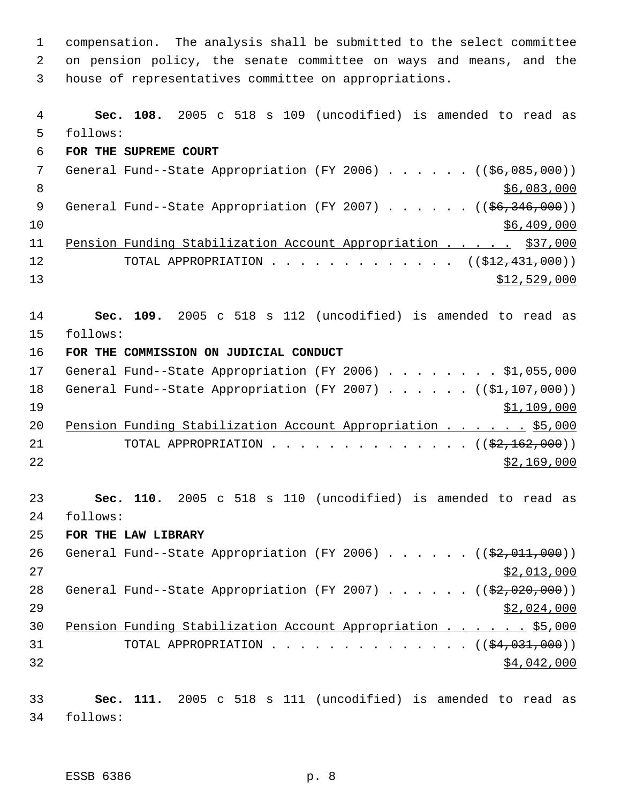compensation. The analysis shall be submitted to the select committee on pension policy, the senate committee on ways and means, and the house of representatives committee on appropriations. **Sec. 108.** 2005 c 518 s 109 (uncodified) is amended to read as follows: **FOR THE SUPREME COURT** 7 General Fund--State Appropriation (FY 2006) . . . . . . ((\$6,085,000))  $8<sup>8</sup>$  \$6,083,000 9 General Fund--State Appropriation (FY 2007) . . . . . . ((\$6,346,000)) \$6,409,000 Pension Funding Stabilization Account Appropriation . . . . . \$37,000 12 TOTAL APPROPRIATION . . . . . . . . . . . . ((<del>\$12,431,000</del>)) \$12,529,000 **Sec. 109.** 2005 c 518 s 112 (uncodified) is amended to read as follows: **FOR THE COMMISSION ON JUDICIAL CONDUCT** 17 General Fund--State Appropriation (FY 2006) . . . . . . . . \$1,055,000 18 General Fund--State Appropriation (FY 2007) . . . . . ((\$1,107,000)) \$1,109,000 20 Pension Funding Stabilization Account Appropriation . . . . . \$5,000 21 TOTAL APPROPRIATION . . . . . . . . . . . . . ((<del>\$2,162,000</del>)) \$2,169,000 **Sec. 110.** 2005 c 518 s 110 (uncodified) is amended to read as follows: **FOR THE LAW LIBRARY** 26 General Fund--State Appropriation (FY 2006)  $\ldots$  . . . . ( $(\frac{22,011,000}{2})$  \$2,013,000 28 General Fund--State Appropriation (FY 2007) . . . . . ((\$2,020,000))  $\frac{$2,024,000}{2}$  Pension Funding Stabilization Account Appropriation . . . . . . \$5,000 31 TOTAL APPROPRIATION . . . . . . . . . . . . . ((<del>\$4,031,000</del>)) \$4,042,000 **Sec. 111.** 2005 c 518 s 111 (uncodified) is amended to read as follows: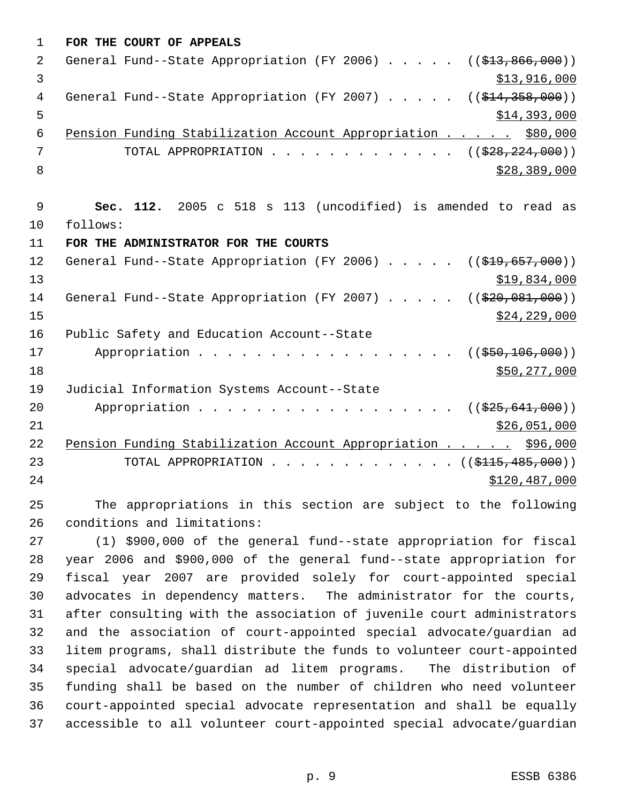| $\mathbf 1$ | FOR THE COURT OF APPEALS                                                                 |
|-------------|------------------------------------------------------------------------------------------|
| 2           | General Fund--State Appropriation (FY 2006) $($ $($ \$13,866,000))                       |
| 3           | \$13,916,000                                                                             |
| 4           | General Fund--State Appropriation (FY 2007) $($ $($ $\frac{214}{358},000)$ )             |
| 5           | \$14,393,000                                                                             |
| 6           | Pension Funding Stabilization Account Appropriation \$80,000                             |
| 7           | ((\$28, 224, 000))<br>TOTAL APPROPRIATION                                                |
| 8           | \$28,389,000                                                                             |
|             |                                                                                          |
| 9           | Sec. 112. 2005 c 518 s 113 (uncodified) is amended to read as                            |
| 10          | follows:                                                                                 |
| 11          | FOR THE ADMINISTRATOR FOR THE COURTS                                                     |
| 12          | General Fund--State Appropriation (FY 2006)<br>$((\$19,657,000))$                        |
| 13          | \$19,834,000                                                                             |
| 14          | General Fund--State Appropriation (FY 2007)<br>((\$20,081,000))                          |
| 15          | \$24, 229, 000                                                                           |
| 16          | Public Safety and Education Account--State                                               |
| 17          | Appropriation<br>$($ (\$50,106,000))                                                     |
| 18          | \$50,277,000                                                                             |
| 19          | Judicial Information Systems Account--State                                              |
| 20          | Appropriation<br>((\$25,641,000))                                                        |
| 21          | \$26,051,000                                                                             |
| 22          | Pension Funding Stabilization Account Appropriation<br>\$96,000                          |
| 23          | TOTAL APPROPRIATION $\ldots$ , ( $(\frac{\text{S115}, 485, 000}{\text{S115}, 485, 000})$ |
| 24          | \$120,487,000                                                                            |
|             |                                                                                          |

 The appropriations in this section are subject to the following conditions and limitations:

 (1) \$900,000 of the general fund--state appropriation for fiscal year 2006 and \$900,000 of the general fund--state appropriation for fiscal year 2007 are provided solely for court-appointed special advocates in dependency matters. The administrator for the courts, after consulting with the association of juvenile court administrators and the association of court-appointed special advocate/guardian ad litem programs, shall distribute the funds to volunteer court-appointed special advocate/guardian ad litem programs. The distribution of funding shall be based on the number of children who need volunteer court-appointed special advocate representation and shall be equally accessible to all volunteer court-appointed special advocate/guardian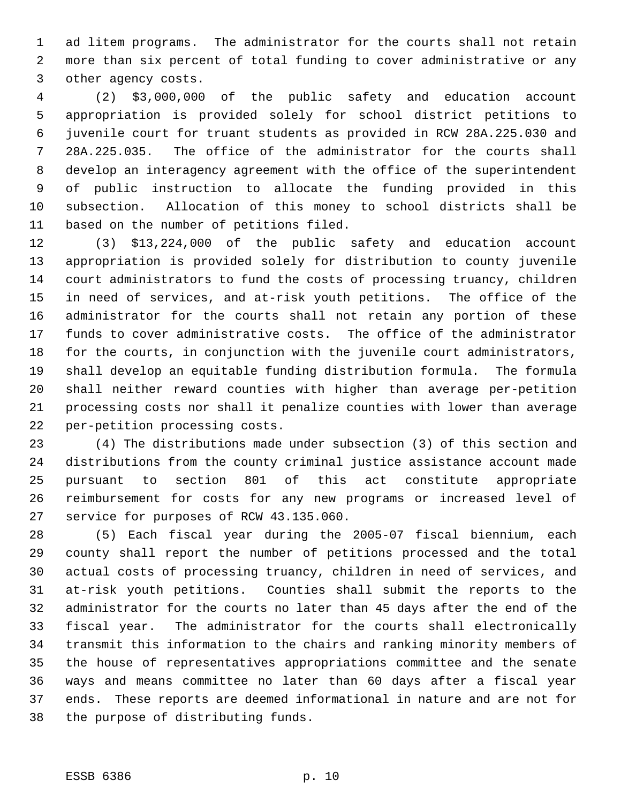ad litem programs. The administrator for the courts shall not retain more than six percent of total funding to cover administrative or any other agency costs.

 (2) \$3,000,000 of the public safety and education account appropriation is provided solely for school district petitions to juvenile court for truant students as provided in RCW 28A.225.030 and 28A.225.035. The office of the administrator for the courts shall develop an interagency agreement with the office of the superintendent of public instruction to allocate the funding provided in this subsection. Allocation of this money to school districts shall be based on the number of petitions filed.

 (3) \$13,224,000 of the public safety and education account appropriation is provided solely for distribution to county juvenile court administrators to fund the costs of processing truancy, children in need of services, and at-risk youth petitions. The office of the administrator for the courts shall not retain any portion of these funds to cover administrative costs. The office of the administrator for the courts, in conjunction with the juvenile court administrators, shall develop an equitable funding distribution formula. The formula shall neither reward counties with higher than average per-petition processing costs nor shall it penalize counties with lower than average per-petition processing costs.

 (4) The distributions made under subsection (3) of this section and distributions from the county criminal justice assistance account made pursuant to section 801 of this act constitute appropriate reimbursement for costs for any new programs or increased level of service for purposes of RCW 43.135.060.

 (5) Each fiscal year during the 2005-07 fiscal biennium, each county shall report the number of petitions processed and the total actual costs of processing truancy, children in need of services, and at-risk youth petitions. Counties shall submit the reports to the administrator for the courts no later than 45 days after the end of the fiscal year. The administrator for the courts shall electronically transmit this information to the chairs and ranking minority members of the house of representatives appropriations committee and the senate ways and means committee no later than 60 days after a fiscal year ends. These reports are deemed informational in nature and are not for the purpose of distributing funds.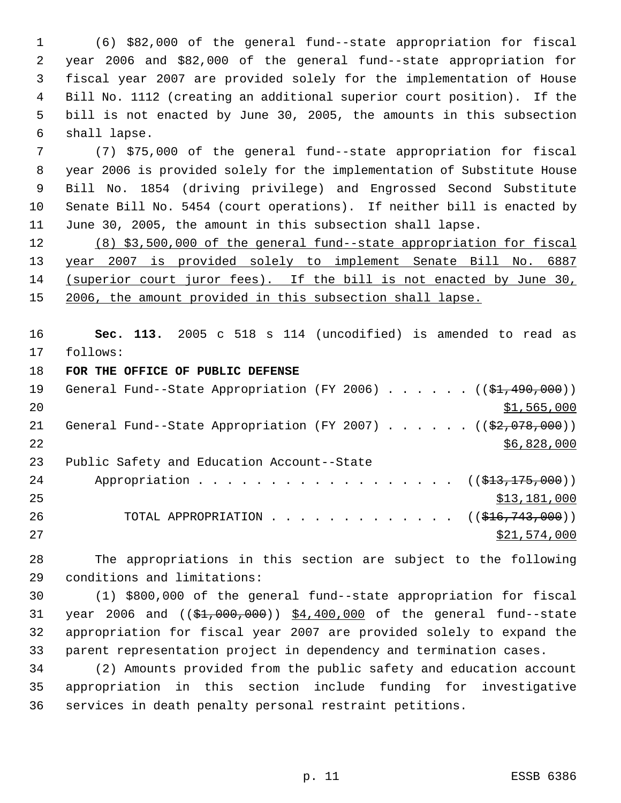(6) \$82,000 of the general fund--state appropriation for fiscal year 2006 and \$82,000 of the general fund--state appropriation for fiscal year 2007 are provided solely for the implementation of House Bill No. 1112 (creating an additional superior court position). If the bill is not enacted by June 30, 2005, the amounts in this subsection shall lapse.

 (7) \$75,000 of the general fund--state appropriation for fiscal year 2006 is provided solely for the implementation of Substitute House Bill No. 1854 (driving privilege) and Engrossed Second Substitute Senate Bill No. 5454 (court operations). If neither bill is enacted by June 30, 2005, the amount in this subsection shall lapse.

 (8) \$3,500,000 of the general fund--state appropriation for fiscal year 2007 is provided solely to implement Senate Bill No. 6887 (superior court juror fees). If the bill is not enacted by June 30, 15 2006, the amount provided in this subsection shall lapse.

 **Sec. 113.** 2005 c 518 s 114 (uncodified) is amended to read as follows:

**FOR THE OFFICE OF PUBLIC DEFENSE**

| 19 | General Fund--State Appropriation (FY 2006) $($ $(\frac{1}{21}, 490, 000))$ |
|----|-----------------------------------------------------------------------------|
| 20 | \$1,565,000                                                                 |
| 21 | General Fund--State Appropriation (FY 2007) $($ $($ \$2,078,000))           |
| 22 | \$6,828,000                                                                 |
| 23 | Public Safety and Education Account--State                                  |
| 24 | Appropriation ( $(\frac{213}{13}, \frac{175}{100})$ )                       |
| 25 | \$13,181,000                                                                |
| 26 | TOTAL APPROPRIATION $\ldots$ , ( $(\frac{216}{743}, 000)$ )                 |
| 27 | \$21,574,000                                                                |

 The appropriations in this section are subject to the following conditions and limitations:

 (1) \$800,000 of the general fund--state appropriation for fiscal 31 year 2006 and  $($   $(\frac{1}{2}, \frac{000}{000})$   $\frac{4}{100}$ , 400,000 of the general fund--state appropriation for fiscal year 2007 are provided solely to expand the parent representation project in dependency and termination cases.

 (2) Amounts provided from the public safety and education account appropriation in this section include funding for investigative services in death penalty personal restraint petitions.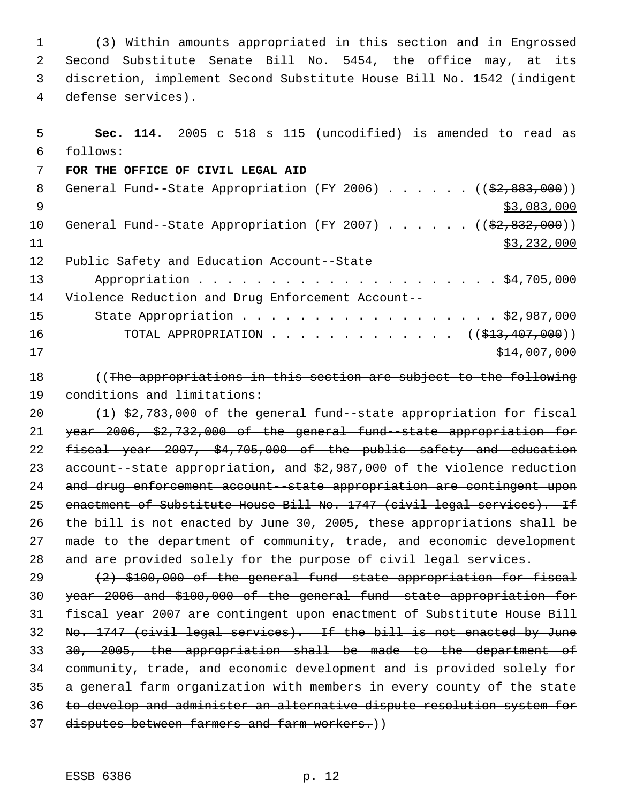(3) Within amounts appropriated in this section and in Engrossed Second Substitute Senate Bill No. 5454, the office may, at its discretion, implement Second Substitute House Bill No. 1542 (indigent defense services).

| 5  | Sec. 114. 2005 c 518 s 115 (uncodified) is amended to read as                          |
|----|----------------------------------------------------------------------------------------|
| 6  | follows:                                                                               |
| 7  | FOR THE OFFICE OF CIVIL LEGAL AID                                                      |
| 8  | General Fund--State Appropriation (FY 2006) $($ $($ $\frac{2}{92}, \frac{883}{100})$ ) |
| 9  | \$3,083,000                                                                            |
| 10 | General Fund--State Appropriation (FY 2007) $($ $($ $\frac{202}{100})$                 |
| 11 | \$3,232,000                                                                            |
| 12 | Public Safety and Education Account--State                                             |
| 13 |                                                                                        |
| 14 | Violence Reduction and Drug Enforcement Account--                                      |
| 15 | State Appropriation \$2,987,000                                                        |
| 16 | TOTAL APPROPRIATION ( $(\frac{1}{2}, 407, 000)$ )                                      |
| 17 | \$14,007,000                                                                           |
| 18 | ((The appropriations in this section are subject to the following                      |
| 19 | conditions and limitations:                                                            |
| 20 | (1) \$2,783,000 of the general fund--state appropriation for fiscal                    |
| 21 | year 2006, \$2,732,000 of the general fund state appropriation for                     |
| 22 | fiscal year 2007, \$4,705,000 of the public safety and education                       |
| 23 | account -state appropriation, and \$2,987,000 of the violence reduction                |
| 24 | and drug enforcement account-state appropriation are contingent upon                   |
| 25 | enactment of Substitute House Bill No. 1747 (civil legal services). If                 |
| 26 | the bill is not enacted by June 30, 2005, these appropriations shall be                |
| 27 | made to the department of community, trade, and economic development                   |
| 28 | and are provided solely for the purpose of civil legal services.                       |
| 29 | (2) \$100,000 of the general fund--state appropriation for fiscal                      |
| 30 | year 2006 and \$100,000 of the general fund state appropriation for                    |
| 31 | fiscal year 2007 are contingent upon enactment of Substitute House Bill                |
| 32 | No. 1747 (civil legal services). If the bill is not enacted by June                    |
| 33 | 30, 2005, the appropriation shall be made to the department of                         |
|    |                                                                                        |

 community, trade, and economic development and is provided solely for a general farm organization with members in every county of the state

to develop and administer an alternative dispute resolution system for

disputes between farmers and farm workers.))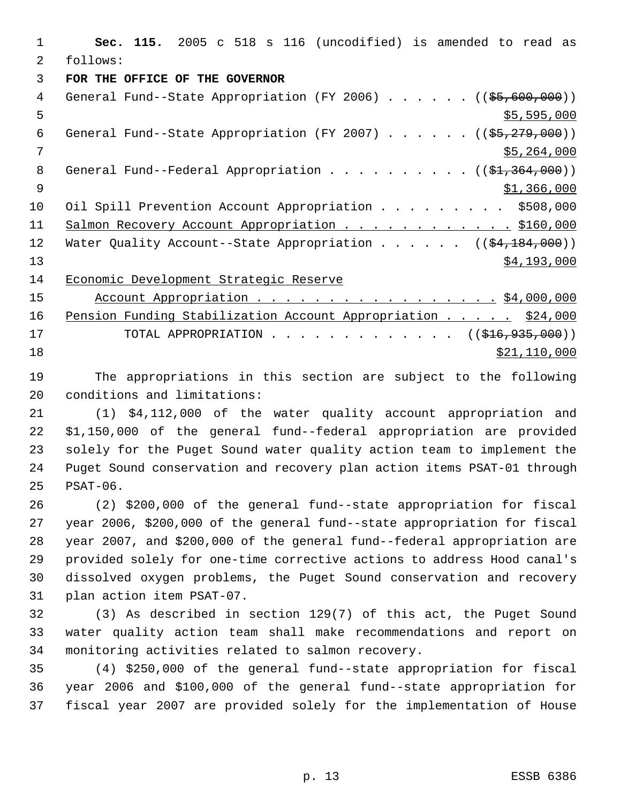**Sec. 115.** 2005 c 518 s 116 (uncodified) is amended to read as follows: **FOR THE OFFICE OF THE GOVERNOR** 4 General Fund--State Appropriation (FY 2006) . . . . . . ((\$5,600,000))  $5 - 595,000$ 6 General Fund--State Appropriation (FY 2007) . . . . .  $($   $($ \$5,279,000)) \$5,264,000 8 General Fund--Federal Appropriation . . . . . . . . . ((\$1,364,000))  $9 \hspace{2.5cm}$  \$1,366,000 10 Oil Spill Prevention Account Appropriation . . . . . . . . \$508,000 11 Salmon Recovery Account Appropriation . . . . . . . . . . . \$160,000 12 Water Quality Account--State Appropriation . . . . . ((\$4,184,000))  $\frac{$4,193,000}{ }$  Economic Development Strategic Reserve 15 Account Appropriation . . . . . . . . . . . . . . . . . \$4,000,000 16 Pension Funding Stabilization Account Appropriation . . . . . \$24,000 17 TOTAL APPROPRIATION . . . . . . . . . . . . . ((\$16,935,000)) \$21,110,000

 The appropriations in this section are subject to the following conditions and limitations:

 (1) \$4,112,000 of the water quality account appropriation and \$1,150,000 of the general fund--federal appropriation are provided solely for the Puget Sound water quality action team to implement the Puget Sound conservation and recovery plan action items PSAT-01 through PSAT-06.

 (2) \$200,000 of the general fund--state appropriation for fiscal year 2006, \$200,000 of the general fund--state appropriation for fiscal year 2007, and \$200,000 of the general fund--federal appropriation are provided solely for one-time corrective actions to address Hood canal's dissolved oxygen problems, the Puget Sound conservation and recovery plan action item PSAT-07.

 (3) As described in section 129(7) of this act, the Puget Sound water quality action team shall make recommendations and report on monitoring activities related to salmon recovery.

 (4) \$250,000 of the general fund--state appropriation for fiscal year 2006 and \$100,000 of the general fund--state appropriation for fiscal year 2007 are provided solely for the implementation of House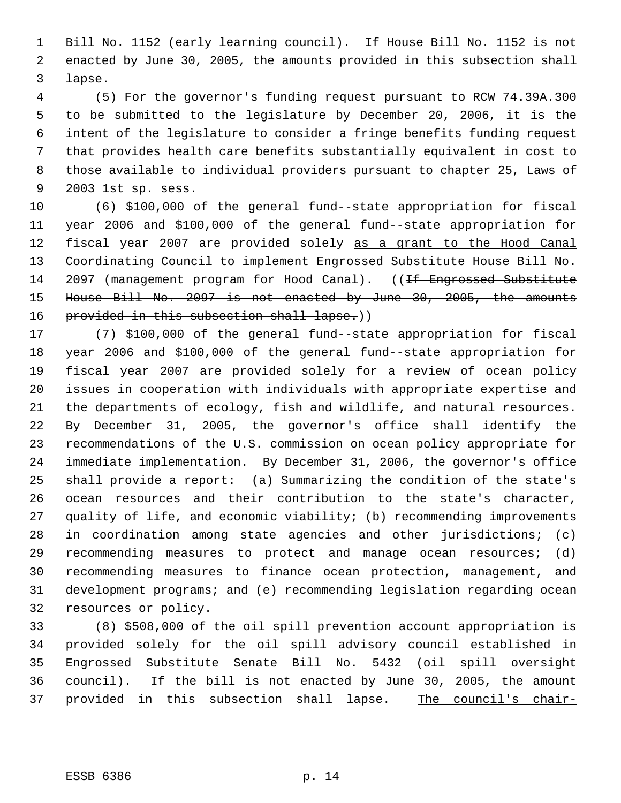Bill No. 1152 (early learning council). If House Bill No. 1152 is not enacted by June 30, 2005, the amounts provided in this subsection shall lapse.

 (5) For the governor's funding request pursuant to RCW 74.39A.300 to be submitted to the legislature by December 20, 2006, it is the intent of the legislature to consider a fringe benefits funding request that provides health care benefits substantially equivalent in cost to those available to individual providers pursuant to chapter 25, Laws of 2003 1st sp. sess.

 (6) \$100,000 of the general fund--state appropriation for fiscal year 2006 and \$100,000 of the general fund--state appropriation for fiscal year 2007 are provided solely as a grant to the Hood Canal 13 Coordinating Council to implement Engrossed Substitute House Bill No. 14 2097 (management program for Hood Canal). ((<del>If Engrossed Substitute</del> House Bill No. 2097 is not enacted by June 30, 2005, the amounts 16 provided in this subsection shall lapse.))

 (7) \$100,000 of the general fund--state appropriation for fiscal year 2006 and \$100,000 of the general fund--state appropriation for fiscal year 2007 are provided solely for a review of ocean policy issues in cooperation with individuals with appropriate expertise and the departments of ecology, fish and wildlife, and natural resources. By December 31, 2005, the governor's office shall identify the recommendations of the U.S. commission on ocean policy appropriate for immediate implementation. By December 31, 2006, the governor's office shall provide a report: (a) Summarizing the condition of the state's ocean resources and their contribution to the state's character, quality of life, and economic viability; (b) recommending improvements in coordination among state agencies and other jurisdictions; (c) recommending measures to protect and manage ocean resources; (d) recommending measures to finance ocean protection, management, and development programs; and (e) recommending legislation regarding ocean resources or policy.

 (8) \$508,000 of the oil spill prevention account appropriation is provided solely for the oil spill advisory council established in Engrossed Substitute Senate Bill No. 5432 (oil spill oversight council). If the bill is not enacted by June 30, 2005, the amount 37 provided in this subsection shall lapse. The council's chair-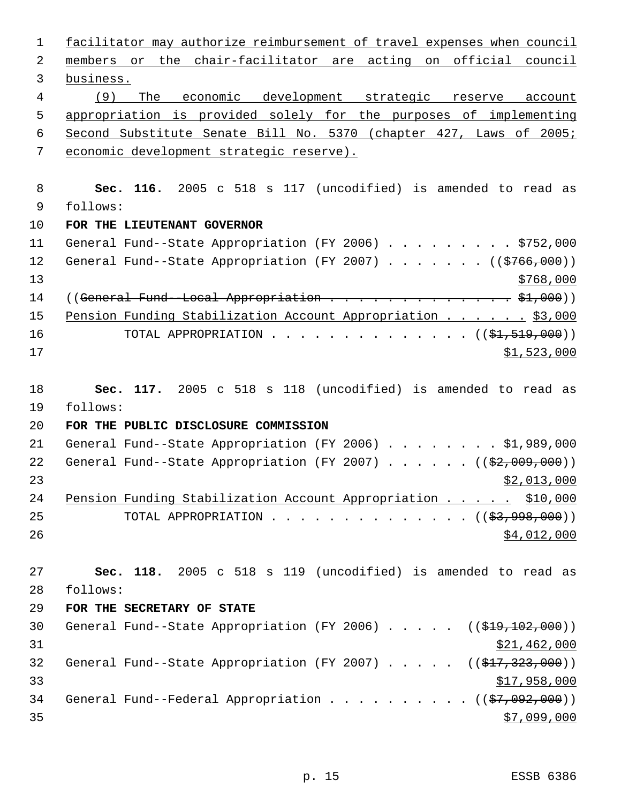| $\mathbf{1}$ | facilitator may authorize reimbursement of travel expenses when council       |
|--------------|-------------------------------------------------------------------------------|
| 2            | members or the chair-facilitator are acting on official council               |
| 3            | business.                                                                     |
| 4            | (9)<br>The economic development strategic reserve<br>account                  |
| 5            | appropriation is provided solely for the purposes of implementing             |
| 6            | Second Substitute Senate Bill No. 5370 (chapter 427, Laws of 2005;            |
| 7            | economic development strategic reserve).                                      |
|              |                                                                               |
| 8            | Sec. 116. 2005 c 518 s 117 (uncodified) is amended to read as                 |
| 9            | follows:                                                                      |
| 10           | FOR THE LIEUTENANT GOVERNOR                                                   |
| 11           | General Fund--State Appropriation (FY 2006) \$752,000                         |
| 12           | General Fund--State Appropriation (FY 2007) ( $(\frac{2766}{100})$ )          |
| 13           | \$768,000                                                                     |
| 14           |                                                                               |
| 15           | Pension Funding Stabilization Account Appropriation \$3,000                   |
| 16           | TOTAL APPROPRIATION ( $(\frac{21}{51}, 519, 000)$ )                           |
| 17           | \$1,523,000                                                                   |
|              |                                                                               |
| 18           | Sec. 117. 2005 c 518 s 118 (uncodified) is amended to read as                 |
| 19           | follows:                                                                      |
| 20           | FOR THE PUBLIC DISCLOSURE COMMISSION                                          |
| 21           | General Fund--State Appropriation (FY 2006) \$1,989,000                       |
| 22           | General Fund--State Appropriation (FY 2007) ( $(\frac{2}{92}, 009, 000)$ )    |
| 23           | \$2,013,000                                                                   |
| 24           | Pension Funding Stabilization Account Appropriation \$10,000                  |
| 25           | TOTAL APPROPRIATION $($ $(\frac{27}{2}, \frac{998}{100})$                     |
| 26           | \$4,012,000                                                                   |
|              |                                                                               |
| 27           | Sec. 118. 2005 c 518 s 119 (uncodified) is amended to read as                 |
| 28           | follows:                                                                      |
| 29           | FOR THE SECRETARY OF STATE                                                    |
| 30           | General Fund--State Appropriation (FY 2006) $($ $($ \$19,102,000))            |
| 31           | \$21,462,000                                                                  |
| 32           | General Fund--State Appropriation (FY 2007) $($ $($ $\frac{217}{223}$ , 000)) |
| 33           | \$17,958,000                                                                  |
| 34           | General Fund--Federal Appropriation ( $(\frac{27}{92}, 092, 000)$ )           |
| 35           | \$7,099,000                                                                   |
|              |                                                                               |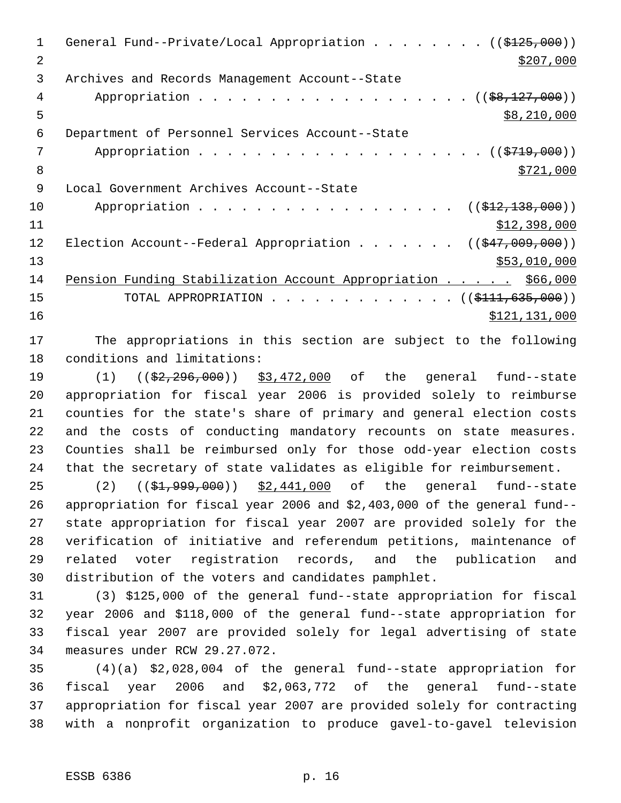1 General Fund--Private/Local Appropriation . . . . . . . ((\$125,000))  $2 \frac{$207,000}{ }$  Archives and Records Management Account--State 4 Appropriation . . . . . . . . . . . . . . . . . (  $(\frac{28,127,000}{1})$  $5 \times 210,000$  Department of Personnel Services Account--State 7 Appropriation . . . . . . . . . . . . . . . . . . (  $(\frac{2719}{100})$  $\frac{$721,000}{}$  Local Government Archives Account--State 10 Appropriation . . . . . . . . . . . . . . . . ((\$12,138,000)) \$12,398,000 12 Election Account--Federal Appropriation . . . . . . ((\$47,009,000)) 13 \$53,010,000 Pension Funding Stabilization Account Appropriation . . . . . \$66,000 15 TOTAL APPROPRIATION . . . . . . . . . . . . . ((\$111,635,000)) 16 \$121,131,000

 The appropriations in this section are subject to the following conditions and limitations:

19 (1) (( $\frac{2}{2}$ , 296, 000) \$3, 472, 000 of the general fund--state appropriation for fiscal year 2006 is provided solely to reimburse counties for the state's share of primary and general election costs and the costs of conducting mandatory recounts on state measures. Counties shall be reimbursed only for those odd-year election costs that the secretary of state validates as eligible for reimbursement.

25 (2) ((\$1,999,000)) \$2,441,000 of the general fund--state appropriation for fiscal year 2006 and \$2,403,000 of the general fund-- state appropriation for fiscal year 2007 are provided solely for the verification of initiative and referendum petitions, maintenance of related voter registration records, and the publication and distribution of the voters and candidates pamphlet.

 (3) \$125,000 of the general fund--state appropriation for fiscal year 2006 and \$118,000 of the general fund--state appropriation for fiscal year 2007 are provided solely for legal advertising of state measures under RCW 29.27.072.

 (4)(a) \$2,028,004 of the general fund--state appropriation for fiscal year 2006 and \$2,063,772 of the general fund--state appropriation for fiscal year 2007 are provided solely for contracting with a nonprofit organization to produce gavel-to-gavel television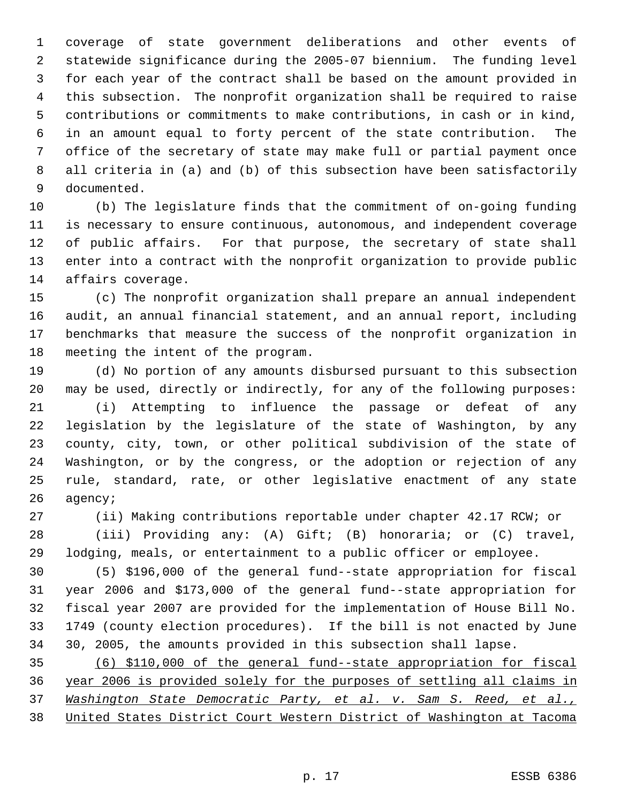coverage of state government deliberations and other events of statewide significance during the 2005-07 biennium. The funding level for each year of the contract shall be based on the amount provided in this subsection. The nonprofit organization shall be required to raise contributions or commitments to make contributions, in cash or in kind, in an amount equal to forty percent of the state contribution. The office of the secretary of state may make full or partial payment once all criteria in (a) and (b) of this subsection have been satisfactorily documented.

 (b) The legislature finds that the commitment of on-going funding is necessary to ensure continuous, autonomous, and independent coverage of public affairs. For that purpose, the secretary of state shall enter into a contract with the nonprofit organization to provide public affairs coverage.

 (c) The nonprofit organization shall prepare an annual independent audit, an annual financial statement, and an annual report, including benchmarks that measure the success of the nonprofit organization in meeting the intent of the program.

 (d) No portion of any amounts disbursed pursuant to this subsection may be used, directly or indirectly, for any of the following purposes:

 (i) Attempting to influence the passage or defeat of any legislation by the legislature of the state of Washington, by any county, city, town, or other political subdivision of the state of Washington, or by the congress, or the adoption or rejection of any rule, standard, rate, or other legislative enactment of any state agency;

(ii) Making contributions reportable under chapter 42.17 RCW; or

 (iii) Providing any: (A) Gift; (B) honoraria; or (C) travel, lodging, meals, or entertainment to a public officer or employee.

 (5) \$196,000 of the general fund--state appropriation for fiscal year 2006 and \$173,000 of the general fund--state appropriation for fiscal year 2007 are provided for the implementation of House Bill No. 1749 (county election procedures). If the bill is not enacted by June 30, 2005, the amounts provided in this subsection shall lapse.

 (6) \$110,000 of the general fund--state appropriation for fiscal year 2006 is provided solely for the purposes of settling all claims in *Washington State Democratic Party, et al. v. Sam S. Reed, et al.,* United States District Court Western District of Washington at Tacoma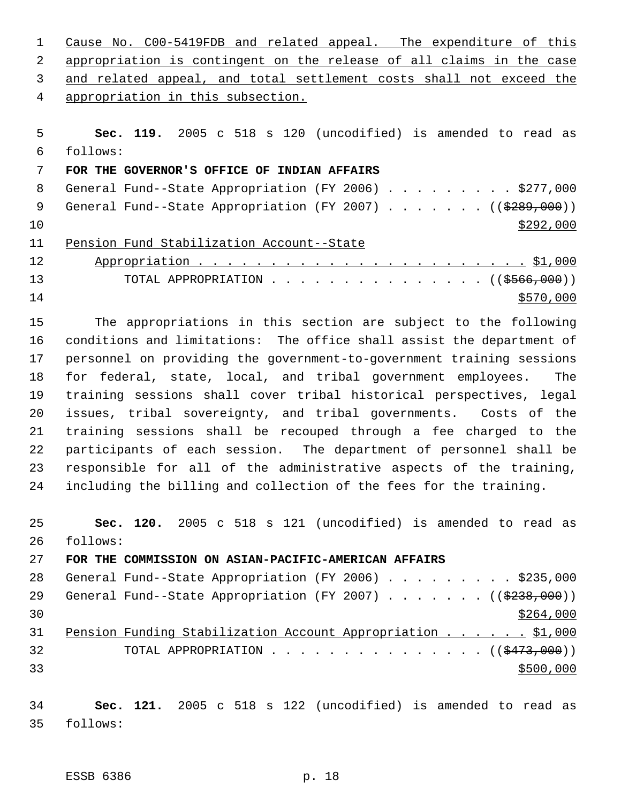Cause No. C00-5419FDB and related appeal. The expenditure of this appropriation is contingent on the release of all claims in the case and related appeal, and total settlement costs shall not exceed the appropriation in this subsection.

 **Sec. 119.** 2005 c 518 s 120 (uncodified) is amended to read as follows: **FOR THE GOVERNOR'S OFFICE OF INDIAN AFFAIRS** 8 General Fund--State Appropriation (FY 2006) . . . . . . . . \$277,000 9 General Fund--State Appropriation (FY 2007) . . . . . . ((\$289,000))  $\frac{$292,000}{ }$  Pension Fund Stabilization Account--State Appropriation . . . . . . . . . . . . . . . . . . . . . . . \$1,000 13 TOTAL APPROPRIATION . . . . . . . . . . . . . . ((\$566,000))  $\frac{$570,000}{ }$ 

 The appropriations in this section are subject to the following conditions and limitations: The office shall assist the department of personnel on providing the government-to-government training sessions for federal, state, local, and tribal government employees. The training sessions shall cover tribal historical perspectives, legal issues, tribal sovereignty, and tribal governments. Costs of the training sessions shall be recouped through a fee charged to the participants of each session. The department of personnel shall be responsible for all of the administrative aspects of the training, including the billing and collection of the fees for the training.

 **Sec. 120.** 2005 c 518 s 121 (uncodified) is amended to read as follows:

**FOR THE COMMISSION ON ASIAN-PACIFIC-AMERICAN AFFAIRS**

| 28 | General Fund--State Appropriation (FY 2006) \$235,000                |  |  |  |  |  |  |           |
|----|----------------------------------------------------------------------|--|--|--|--|--|--|-----------|
| 29 | General Fund--State Appropriation (FY 2007) ( $(\frac{2338,000}{s})$ |  |  |  |  |  |  |           |
| 30 |                                                                      |  |  |  |  |  |  | \$264,000 |
| 31 | Pension Funding Stabilization Account Appropriation \$1,000          |  |  |  |  |  |  |           |
| 32 | TOTAL APPROPRIATION $\ldots$ , ( $(\frac{2473}{100})$ )              |  |  |  |  |  |  |           |
| 33 |                                                                      |  |  |  |  |  |  | \$500,000 |

 **Sec. 121.** 2005 c 518 s 122 (uncodified) is amended to read as follows: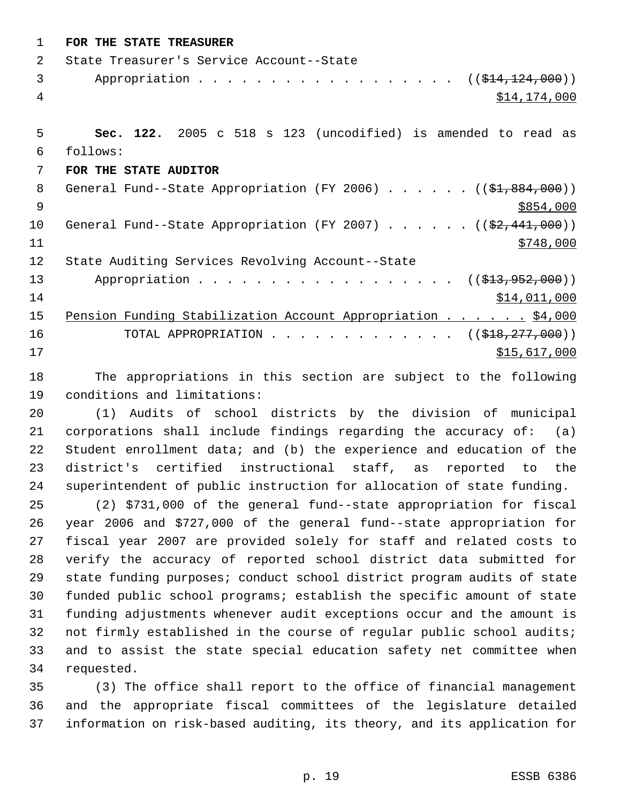| $\mathbf 1$    | FOR THE STATE TREASURER                                                   |
|----------------|---------------------------------------------------------------------------|
| $\overline{2}$ | State Treasurer's Service Account--State                                  |
| 3              | Appropriation $($ $($ $\frac{14}{7124}, 000) )$                           |
| 4              | \$14,174,000                                                              |
|                |                                                                           |
| 5              | Sec. 122. 2005 c 518 s 123 (uncodified) is amended to read as             |
| 6              | follows:                                                                  |
| 7              | FOR THE STATE AUDITOR                                                     |
| 8              | General Fund--State Appropriation (FY 2006) $($ $($ \$1,884,000))         |
| 9              | \$854,000                                                                 |
| 10             | General Fund--State Appropriation (FY 2007) ( $(\frac{2}{7}, 441, 000)$ ) |
| 11             | \$748,000                                                                 |
| 12             | State Auditing Services Revolving Account--State                          |
| 13             | Appropriation $($ $($ $\frac{213}{272}$ , $952$ , $000)$ )                |
| 14             | \$14,011,000                                                              |
| 15             | Pension Funding Stabilization Account Appropriation \$4,000               |
| 16             | TOTAL APPROPRIATION ( $(\frac{18}{918}, \frac{277}{900})$ )               |
| 17             | \$15,617,000                                                              |
| 18             | The appropriations in this section are subject to the following           |

 (1) Audits of school districts by the division of municipal corporations shall include findings regarding the accuracy of: (a) Student enrollment data; and (b) the experience and education of the district's certified instructional staff, as reported to the superintendent of public instruction for allocation of state funding.

conditions and limitations:

 (2) \$731,000 of the general fund--state appropriation for fiscal year 2006 and \$727,000 of the general fund--state appropriation for fiscal year 2007 are provided solely for staff and related costs to verify the accuracy of reported school district data submitted for state funding purposes; conduct school district program audits of state funded public school programs; establish the specific amount of state funding adjustments whenever audit exceptions occur and the amount is not firmly established in the course of regular public school audits; and to assist the state special education safety net committee when requested.

 (3) The office shall report to the office of financial management and the appropriate fiscal committees of the legislature detailed information on risk-based auditing, its theory, and its application for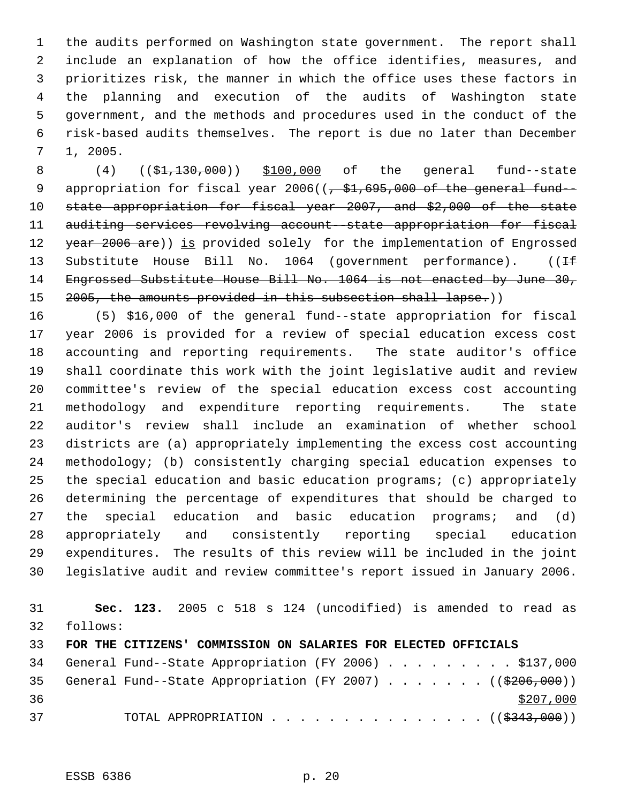the audits performed on Washington state government. The report shall include an explanation of how the office identifies, measures, and prioritizes risk, the manner in which the office uses these factors in the planning and execution of the audits of Washington state government, and the methods and procedures used in the conduct of the risk-based audits themselves. The report is due no later than December 1, 2005.

8 (4) ((\$1,130,000)) \$100,000 of the general fund--state 9 appropriation for fiscal year 2006((<del>, \$1,695,000 of the general fund</del>- state appropriation for fiscal year 2007, and \$2,000 of the state auditing services revolving account--state appropriation for fiscal 12 year 2006 are)) is provided solely for the implementation of Engrossed 13 Substitute House Bill No. 1064 (government performance). ((If Engrossed Substitute House Bill No. 1064 is not enacted by June 30, 15 2005, the amounts provided in this subsection shall lapse.))

 (5) \$16,000 of the general fund--state appropriation for fiscal year 2006 is provided for a review of special education excess cost accounting and reporting requirements. The state auditor's office shall coordinate this work with the joint legislative audit and review committee's review of the special education excess cost accounting methodology and expenditure reporting requirements. The state auditor's review shall include an examination of whether school districts are (a) appropriately implementing the excess cost accounting methodology; (b) consistently charging special education expenses to the special education and basic education programs; (c) appropriately determining the percentage of expenditures that should be charged to the special education and basic education programs; and (d) appropriately and consistently reporting special education expenditures. The results of this review will be included in the joint legislative audit and review committee's report issued in January 2006.

 **Sec. 123.** 2005 c 518 s 124 (uncodified) is amended to read as follows: **FOR THE CITIZENS' COMMISSION ON SALARIES FOR ELECTED OFFICIALS** 34 General Fund--State Appropriation (FY 2006) . . . . . . . . \$137,000 35 General Fund--State Appropriation (FY 2007)  $\ldots$  . . . . ((\$206,000)) 37 TOTAL APPROPRIATION . . . . . . . . . . . . . . ((\$343,000))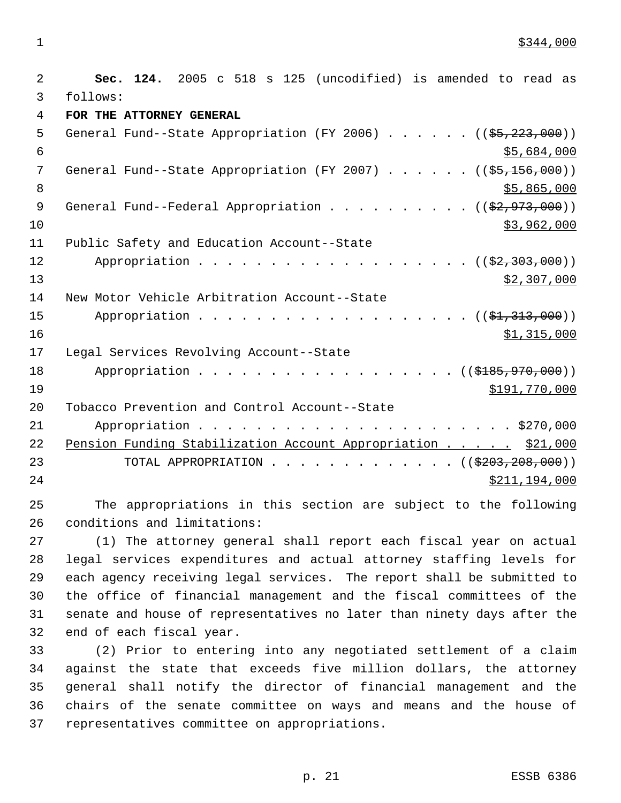$\frac{$344,000}{ }$ 

 **Sec. 124.** 2005 c 518 s 125 (uncodified) is amended to read as follows: **FOR THE ATTORNEY GENERAL** 5 General Fund--State Appropriation (FY 2006) . . . . . . ((\$5,223,000))  $$5,684,000$ 7 General Fund--State Appropriation (FY 2007) . . . . . ((\$5,156,000))  $8 \div 5,865,000$ 9 General Fund--Federal Appropriation . . . . . . . . . ((\$2,973,000)) \$3,962,000 Public Safety and Education Account--State 12 Appropriation . . . . . . . . . . . . . . . . . ((\$2,303,000))  $\frac{13}{2}$   $\frac{13}{2}$   $\frac{13}{2}$   $\frac{207}{200}$  New Motor Vehicle Arbitration Account--State 15 Appropriation . . . . . . . . . . . . . . . . . (  $(\frac{1}{2}, 313, 000)$  )  $\frac{$1,315,000}{ }$  Legal Services Revolving Account--State 18 Appropriation . . . . . . . . . . . . . . . . ((\$185,970,000)) 19 \$191,770,000 \$191,770,000 \$191,770,000 \$191,770,000 \$191,770,000 \$191,770,000 \$191,770,000 \$191, Tobacco Prevention and Control Account--State Appropriation . . . . . . . . . . . . . . . . . . . . . . \$270,000 22 Pension Funding Stabilization Account Appropriation . . . . . \$21,000 23 TOTAL APPROPRIATION . . . . . . . . . . . . ((\$203,208,000)) 24 \$211,194,000

 The appropriations in this section are subject to the following conditions and limitations:

 (1) The attorney general shall report each fiscal year on actual legal services expenditures and actual attorney staffing levels for each agency receiving legal services. The report shall be submitted to the office of financial management and the fiscal committees of the senate and house of representatives no later than ninety days after the end of each fiscal year.

 (2) Prior to entering into any negotiated settlement of a claim against the state that exceeds five million dollars, the attorney general shall notify the director of financial management and the chairs of the senate committee on ways and means and the house of representatives committee on appropriations.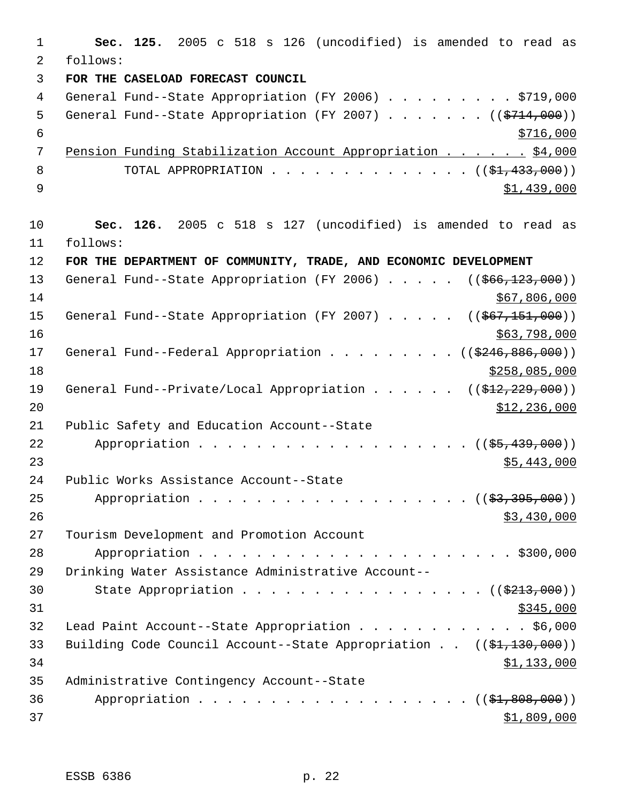1 **Sec. 125.** 2005 c 518 s 126 (uncodified) is amended to read as 2 follows: 3 **FOR THE CASELOAD FORECAST COUNCIL** 4 General Fund--State Appropriation (FY 2006) . . . . . . . . \$719,000 5 General Fund--State Appropriation (FY 2007) . . . . . . ((\$714,000))  $\frac{$716,000}{ }$  7 Pension Funding Stabilization Account Appropriation . . . . . . \$4,000 8 TOTAL APPROPRIATION . . . . . . . . . . . . . ((<del>\$1,433,000</del>))  $9 \hspace{2.5cm}$  \$1,439,000 10 **Sec. 126.** 2005 c 518 s 127 (uncodified) is amended to read as 11 follows: 12 **FOR THE DEPARTMENT OF COMMUNITY, TRADE, AND ECONOMIC DEVELOPMENT** 13 General Fund--State Appropriation (FY 2006) . . . . . ((\$66,123,000))  $14$  \$67,806,000 15 General Fund--State Appropriation (FY 2007) . . . . . ((\$67,151,000))  $16$  \$63,798,000 17 General Fund--Federal Appropriation . . . . . . . . ((\$246,886,000)) 18 \$258,085,000 19 General Fund--Private/Local Appropriation . . . . . ((\$12,229,000))  $\text{12, 236, 000}$ 21 Public Safety and Education Account--State 22 Appropriation . . . . . . . . . . . . . . . . . ((\$5,439,000))  $23$  \$5,443,000 24 Public Works Assistance Account--State 25 Appropriation . . . . . . . . . . . . . . . . . (  $(\frac{23}{3}, \frac{395}{600})$  )  $26$  \$3,430,000 27 Tourism Development and Promotion Account 28 Appropriation . . . . . . . . . . . . . . . . . . . . . . \$300,000 29 Drinking Water Assistance Administrative Account-- 30 State Appropriation . . . . . . . . . . . . . . . ((\$213,000))  $31$  \$345,000 32 Lead Paint Account--State Appropriation . . . . . . . . . . . . \$6,000 33 Building Code Council Account--State Appropriation . . ((\$1,130,000)) 34 \$1,133,000 35 Administrative Contingency Account--State 36 Appropriation . . . . . . . . . . . . . . . . . (  $(\frac{21,808,000}{1})$  $37$   $\frac{$1,809,000}{9}$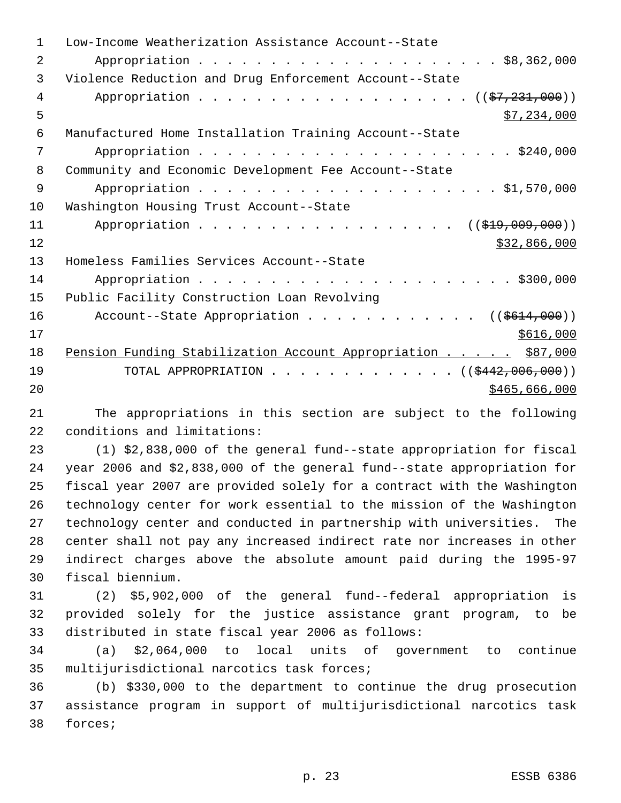| 1  | Low-Income Weatherization Assistance Account--State              |
|----|------------------------------------------------------------------|
| 2  |                                                                  |
| 3  | Violence Reduction and Drug Enforcement Account--State           |
| 4  | Appropriation $($ $(\frac{27}{7231},000))$                       |
| 5  | \$7,234,000                                                      |
| 6  | Manufactured Home Installation Training Account--State           |
| 7  |                                                                  |
| 8  | Community and Economic Development Fee Account--State            |
| 9  |                                                                  |
| 10 | Washington Housing Trust Account--State                          |
| 11 | Appropriation<br>$((\$19,009,000))$                              |
| 12 | \$32,866,000                                                     |
| 13 | Homeless Families Services Account--State                        |
| 14 |                                                                  |
| 15 | Public Facility Construction Loan Revolving                      |
| 16 | Account--State Appropriation ( $(\frac{2614}{100})$ )            |
| 17 | \$616,000                                                        |
| 18 | Pension Funding Stabilization Account Appropriation \$87,000     |
| 19 | TOTAL APPROPRIATION $\ldots$ , ( $(\frac{2442,006,000}{\cdots})$ |
| 20 | \$465,666,000                                                    |

 The appropriations in this section are subject to the following conditions and limitations:

 (1) \$2,838,000 of the general fund--state appropriation for fiscal year 2006 and \$2,838,000 of the general fund--state appropriation for fiscal year 2007 are provided solely for a contract with the Washington technology center for work essential to the mission of the Washington technology center and conducted in partnership with universities. The center shall not pay any increased indirect rate nor increases in other indirect charges above the absolute amount paid during the 1995-97 fiscal biennium.

 (2) \$5,902,000 of the general fund--federal appropriation is provided solely for the justice assistance grant program, to be distributed in state fiscal year 2006 as follows:

 (a) \$2,064,000 to local units of government to continue multijurisdictional narcotics task forces;

 (b) \$330,000 to the department to continue the drug prosecution assistance program in support of multijurisdictional narcotics task forces;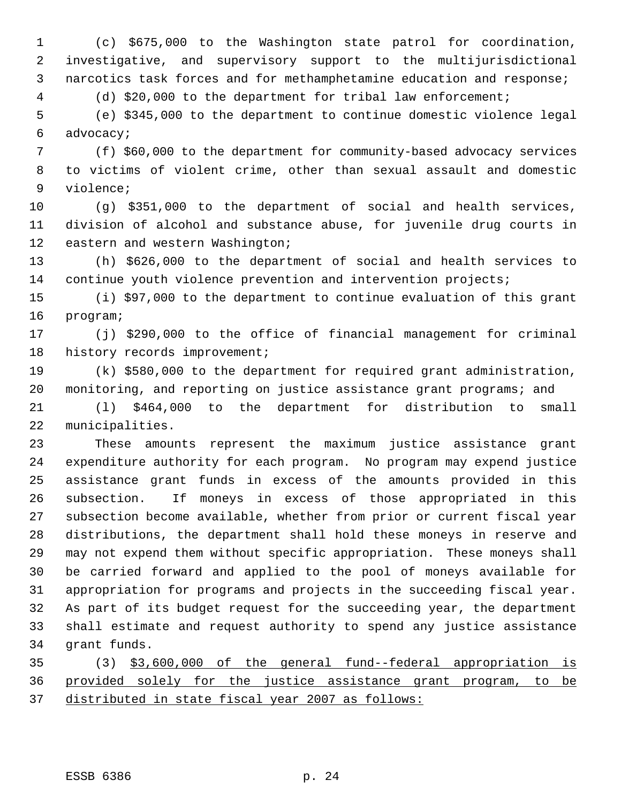(c) \$675,000 to the Washington state patrol for coordination, investigative, and supervisory support to the multijurisdictional narcotics task forces and for methamphetamine education and response;

(d) \$20,000 to the department for tribal law enforcement;

 (e) \$345,000 to the department to continue domestic violence legal advocacy;

 (f) \$60,000 to the department for community-based advocacy services to victims of violent crime, other than sexual assault and domestic violence;

 (g) \$351,000 to the department of social and health services, division of alcohol and substance abuse, for juvenile drug courts in eastern and western Washington;

 (h) \$626,000 to the department of social and health services to continue youth violence prevention and intervention projects;

 (i) \$97,000 to the department to continue evaluation of this grant program;

 (j) \$290,000 to the office of financial management for criminal 18 history records improvement;

 (k) \$580,000 to the department for required grant administration, monitoring, and reporting on justice assistance grant programs; and

 (l) \$464,000 to the department for distribution to small municipalities.

 These amounts represent the maximum justice assistance grant expenditure authority for each program. No program may expend justice assistance grant funds in excess of the amounts provided in this subsection. If moneys in excess of those appropriated in this subsection become available, whether from prior or current fiscal year distributions, the department shall hold these moneys in reserve and may not expend them without specific appropriation. These moneys shall be carried forward and applied to the pool of moneys available for appropriation for programs and projects in the succeeding fiscal year. As part of its budget request for the succeeding year, the department shall estimate and request authority to spend any justice assistance grant funds.

 (3) \$3,600,000 of the general fund--federal appropriation is provided solely for the justice assistance grant program, to be distributed in state fiscal year 2007 as follows: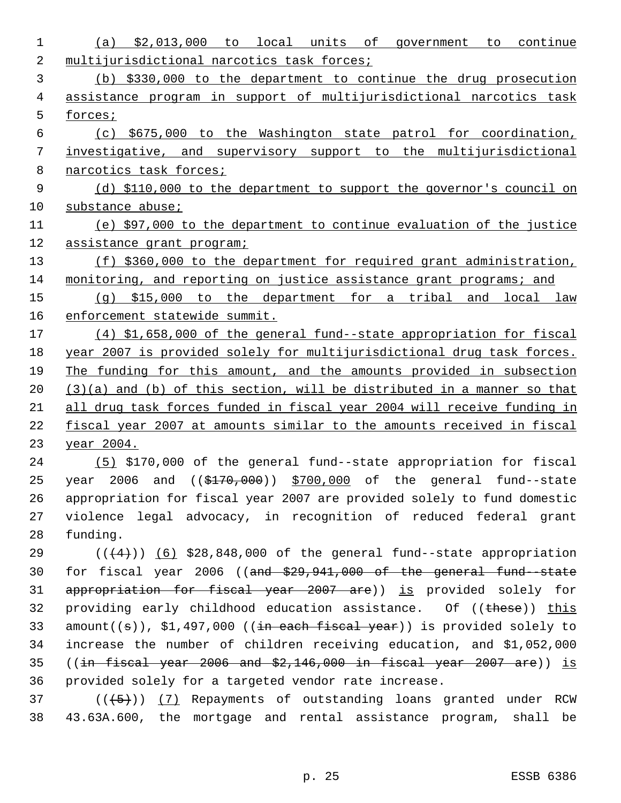| 1  | (a) $$2,013,000$ to local units of government to continue                                   |
|----|---------------------------------------------------------------------------------------------|
| 2  | multijurisdictional narcotics task forces;                                                  |
| 3  | (b) \$330,000 to the department to continue the drug prosecution                            |
| 4  | assistance program in support of multijurisdictional narcotics task                         |
| 5  | forces;                                                                                     |
| 6  | (c) \$675,000 to the Washington state patrol for coordination,                              |
| 7  | investigative, and supervisory support to the multijurisdictional                           |
| 8  | narcotics task forces;                                                                      |
| 9  | (d) \$110,000 to the department to support the governor's council on                        |
| 10 | substance abuse;                                                                            |
| 11 | (e) \$97,000 to the department to continue evaluation of the justice                        |
| 12 | assistance grant program;                                                                   |
| 13 | (f) \$360,000 to the department for required grant administration,                          |
| 14 | monitoring, and reporting on justice assistance grant programs; and                         |
| 15 | $(q)$ \$15,000 to the department for a tribal and local law                                 |
| 16 | enforcement statewide summit.                                                               |
| 17 | (4) \$1,658,000 of the general fund--state appropriation for fiscal                         |
| 18 | year 2007 is provided solely for multijurisdictional drug task forces.                      |
| 19 | The funding for this amount, and the amounts provided in subsection                         |
| 20 | $(3)(a)$ and (b) of this section, will be distributed in a manner so that                   |
| 21 | all drug task forces funded in fiscal year 2004 will receive funding in                     |
| 22 | fiscal year 2007 at amounts similar to the amounts received in fiscal                       |
| 23 | <u>year 2004.</u>                                                                           |
| 24 | (5) \$170,000 of the general fund--state appropriation for fiscal                           |
| 25 | and $($ $(*170,000)$ $*700,000$ of the general fund--state<br>year 2006                     |
| 26 | appropriation for fiscal year 2007 are provided solely to fund domestic                     |
| 27 | violence legal advocacy, in recognition of reduced federal grant                            |
| 28 | funding.                                                                                    |
| 29 | $((+4))$ (6) \$28,848,000 of the general fund--state appropriation                          |
| 30 | for fiscal year 2006 ((and $$29,941,000$ of the general fund state                          |
| 31 | appropriation for fiscal year 2007 are)) is provided solely for                             |
| 32 | providing early childhood education assistance. Of ((these)) this                           |
| 33 | $amount((\theta))$ , \$1,497,000 (( <del>in each fiscal year</del> )) is provided solely to |
| 34 | increase the number of children receiving education, and \$1,052,000                        |
| 35 | $((in-{\it fixed}\xrightarrow{year} 2006$ and $$2,146,000$ in fiscal year 2007 are)) is     |
| 36 | provided solely for a targeted vendor rate increase.                                        |
| 37 | $((+5))$ (7) Repayments of outstanding loans granted under RCW                              |
| 38 | 43.63A.600, the mortgage and rental assistance program, shall be                            |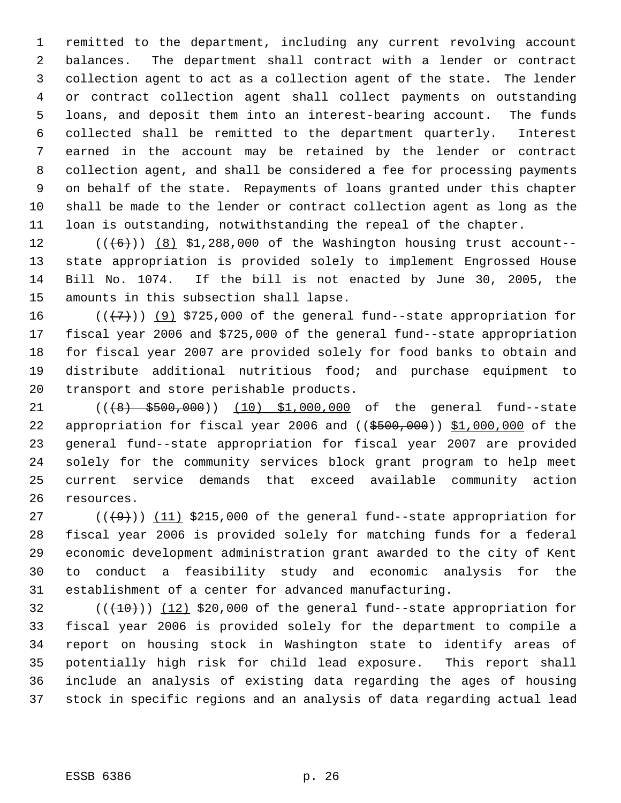remitted to the department, including any current revolving account balances. The department shall contract with a lender or contract collection agent to act as a collection agent of the state. The lender or contract collection agent shall collect payments on outstanding loans, and deposit them into an interest-bearing account. The funds collected shall be remitted to the department quarterly. Interest earned in the account may be retained by the lender or contract collection agent, and shall be considered a fee for processing payments on behalf of the state. Repayments of loans granted under this chapter shall be made to the lender or contract collection agent as long as the loan is outstanding, notwithstanding the repeal of the chapter.

 $((\langle 6 \rangle)$  (8) \$1,288,000 of the Washington housing trust account-- state appropriation is provided solely to implement Engrossed House Bill No. 1074. If the bill is not enacted by June 30, 2005, the amounts in this subsection shall lapse.

 $((\langle 7 \rangle)(9)$  \$725,000 of the general fund--state appropriation for fiscal year 2006 and \$725,000 of the general fund--state appropriation for fiscal year 2007 are provided solely for food banks to obtain and distribute additional nutritious food; and purchase equipment to transport and store perishable products.

21 (( $\left(48\right)$  \$500,000)) (10) \$1,000,000 of the general fund--state 22 appropriation for fiscal year 2006 and  $((\frac{2500}{100}, 000))$  \$1,000,000 of the general fund--state appropriation for fiscal year 2007 are provided solely for the community services block grant program to help meet current service demands that exceed available community action resources.

 $((+9))$   $(11)$  \$215,000 of the general fund--state appropriation for fiscal year 2006 is provided solely for matching funds for a federal economic development administration grant awarded to the city of Kent to conduct a feasibility study and economic analysis for the establishment of a center for advanced manufacturing.

 $((+10))$  (12) \$20,000 of the general fund--state appropriation for fiscal year 2006 is provided solely for the department to compile a report on housing stock in Washington state to identify areas of potentially high risk for child lead exposure. This report shall include an analysis of existing data regarding the ages of housing stock in specific regions and an analysis of data regarding actual lead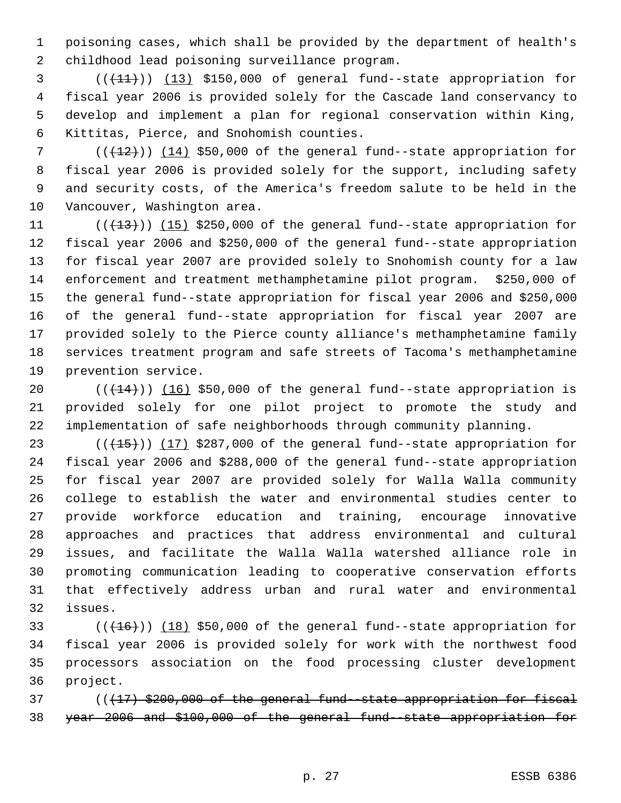poisoning cases, which shall be provided by the department of health's childhood lead poisoning surveillance program.

 $($  ( $(11)$ ) (13) \$150,000 of general fund--state appropriation for fiscal year 2006 is provided solely for the Cascade land conservancy to develop and implement a plan for regional conservation within King, Kittitas, Pierce, and Snohomish counties.

7 (( $(12)$ )) (14) \$50,000 of the general fund--state appropriation for fiscal year 2006 is provided solely for the support, including safety and security costs, of the America's freedom salute to be held in the Vancouver, Washington area.

 $((+13))$   $(15)$  \$250,000 of the general fund--state appropriation for fiscal year 2006 and \$250,000 of the general fund--state appropriation for fiscal year 2007 are provided solely to Snohomish county for a law enforcement and treatment methamphetamine pilot program. \$250,000 of the general fund--state appropriation for fiscal year 2006 and \$250,000 of the general fund--state appropriation for fiscal year 2007 are provided solely to the Pierce county alliance's methamphetamine family services treatment program and safe streets of Tacoma's methamphetamine prevention service.

 $((+14))$   $(16)$  \$50,000 of the general fund--state appropriation is provided solely for one pilot project to promote the study and implementation of safe neighborhoods through community planning.

 $((+15))$   $(17)$  \$287,000 of the general fund--state appropriation for fiscal year 2006 and \$288,000 of the general fund--state appropriation for fiscal year 2007 are provided solely for Walla Walla community college to establish the water and environmental studies center to provide workforce education and training, encourage innovative approaches and practices that address environmental and cultural issues, and facilitate the Walla Walla watershed alliance role in promoting communication leading to cooperative conservation efforts that effectively address urban and rural water and environmental issues.

 $((+16))$   $(18)$  \$50,000 of the general fund--state appropriation for fiscal year 2006 is provided solely for work with the northwest food processors association on the food processing cluster development project.

 $((17)$  \$200,000 of the general fund-state appropriation for fiscal year 2006 and \$100,000 of the general fund--state appropriation for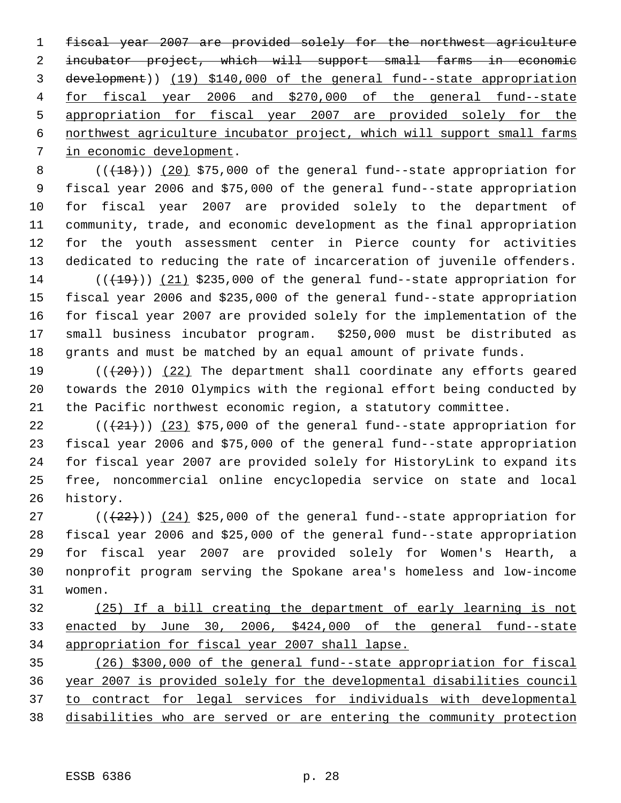fiscal year 2007 are provided solely for the northwest agriculture incubator project, which will support small farms in economic development)) (19) \$140,000 of the general fund--state appropriation for fiscal year 2006 and \$270,000 of the general fund--state appropriation for fiscal year 2007 are provided solely for the northwest agriculture incubator project, which will support small farms in economic development.

 $((+18))$   $(20)$  \$75,000 of the general fund--state appropriation for fiscal year 2006 and \$75,000 of the general fund--state appropriation for fiscal year 2007 are provided solely to the department of community, trade, and economic development as the final appropriation for the youth assessment center in Pierce county for activities dedicated to reducing the rate of incarceration of juvenile offenders.  $((+19))$  (21) \$235,000 of the general fund--state appropriation for fiscal year 2006 and \$235,000 of the general fund--state appropriation for fiscal year 2007 are provided solely for the implementation of the small business incubator program. \$250,000 must be distributed as

 grants and must be matched by an equal amount of private funds.  $((+20))$   $(22)$  The department shall coordinate any efforts geared towards the 2010 Olympics with the regional effort being conducted by the Pacific northwest economic region, a statutory committee.

 $((+21))$  (23) \$75,000 of the general fund--state appropriation for fiscal year 2006 and \$75,000 of the general fund--state appropriation for fiscal year 2007 are provided solely for HistoryLink to expand its free, noncommercial online encyclopedia service on state and local history.

 $((+22))$   $(24)$  \$25,000 of the general fund--state appropriation for fiscal year 2006 and \$25,000 of the general fund--state appropriation for fiscal year 2007 are provided solely for Women's Hearth, a nonprofit program serving the Spokane area's homeless and low-income women.

 (25) If a bill creating the department of early learning is not enacted by June 30, 2006, \$424,000 of the general fund--state appropriation for fiscal year 2007 shall lapse.

 (26) \$300,000 of the general fund--state appropriation for fiscal year 2007 is provided solely for the developmental disabilities council to contract for legal services for individuals with developmental disabilities who are served or are entering the community protection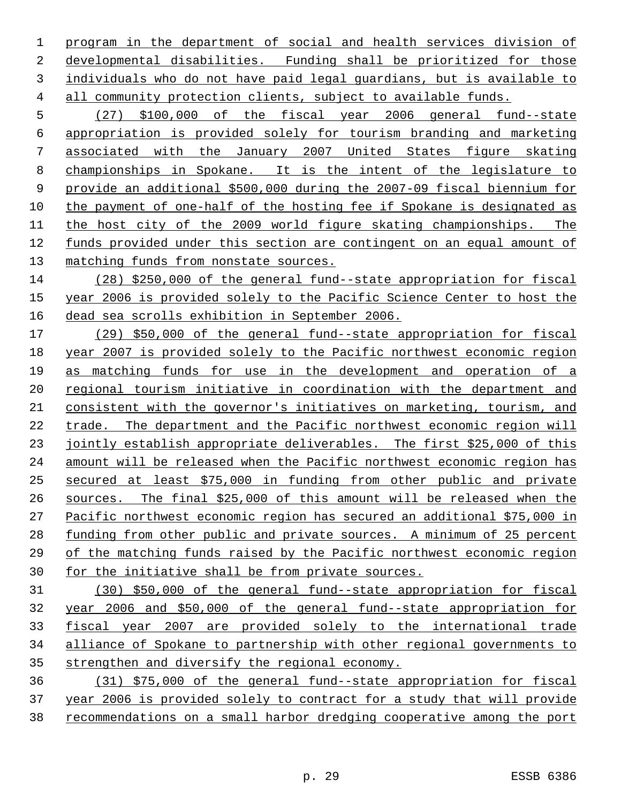program in the department of social and health services division of developmental disabilities. Funding shall be prioritized for those individuals who do not have paid legal guardians, but is available to all community protection clients, subject to available funds.

 (27) \$100,000 of the fiscal year 2006 general fund--state appropriation is provided solely for tourism branding and marketing associated with the January 2007 United States figure skating championships in Spokane. It is the intent of the legislature to provide an additional \$500,000 during the 2007-09 fiscal biennium for the payment of one-half of the hosting fee if Spokane is designated as the host city of the 2009 world figure skating championships. The funds provided under this section are contingent on an equal amount of matching funds from nonstate sources.

 (28) \$250,000 of the general fund--state appropriation for fiscal year 2006 is provided solely to the Pacific Science Center to host the dead sea scrolls exhibition in September 2006.

 (29) \$50,000 of the general fund--state appropriation for fiscal year 2007 is provided solely to the Pacific northwest economic region as matching funds for use in the development and operation of a regional tourism initiative in coordination with the department and consistent with the governor's initiatives on marketing, tourism, and trade. The department and the Pacific northwest economic region will 23 jointly establish appropriate deliverables. The first \$25,000 of this amount will be released when the Pacific northwest economic region has secured at least \$75,000 in funding from other public and private sources. The final \$25,000 of this amount will be released when the Pacific northwest economic region has secured an additional \$75,000 in 28 funding from other public and private sources. A minimum of 25 percent 29 of the matching funds raised by the Pacific northwest economic region for the initiative shall be from private sources.

 (30) \$50,000 of the general fund--state appropriation for fiscal year 2006 and \$50,000 of the general fund--state appropriation for fiscal year 2007 are provided solely to the international trade alliance of Spokane to partnership with other regional governments to strengthen and diversify the regional economy.

 (31) \$75,000 of the general fund--state appropriation for fiscal year 2006 is provided solely to contract for a study that will provide recommendations on a small harbor dredging cooperative among the port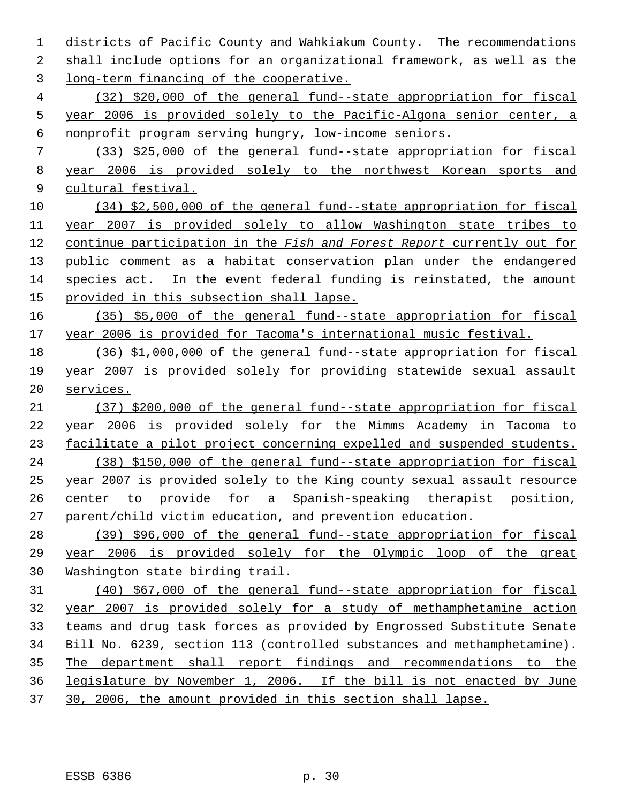districts of Pacific County and Wahkiakum County. The recommendations shall include options for an organizational framework, as well as the long-term financing of the cooperative. (32) \$20,000 of the general fund--state appropriation for fiscal year 2006 is provided solely to the Pacific-Algona senior center, a nonprofit program serving hungry, low-income seniors. (33) \$25,000 of the general fund--state appropriation for fiscal year 2006 is provided solely to the northwest Korean sports and cultural festival. (34) \$2,500,000 of the general fund--state appropriation for fiscal year 2007 is provided solely to allow Washington state tribes to continue participation in the *Fish and Forest Report* currently out for public comment as a habitat conservation plan under the endangered species act. In the event federal funding is reinstated, the amount provided in this subsection shall lapse. (35) \$5,000 of the general fund--state appropriation for fiscal year 2006 is provided for Tacoma's international music festival. (36) \$1,000,000 of the general fund--state appropriation for fiscal year 2007 is provided solely for providing statewide sexual assault services. (37) \$200,000 of the general fund--state appropriation for fiscal year 2006 is provided solely for the Mimms Academy in Tacoma to facilitate a pilot project concerning expelled and suspended students. (38) \$150,000 of the general fund--state appropriation for fiscal year 2007 is provided solely to the King county sexual assault resource center to provide for a Spanish-speaking therapist position, parent/child victim education, and prevention education. (39) \$96,000 of the general fund--state appropriation for fiscal year 2006 is provided solely for the Olympic loop of the great Washington state birding trail. (40) \$67,000 of the general fund--state appropriation for fiscal year 2007 is provided solely for a study of methamphetamine action teams and drug task forces as provided by Engrossed Substitute Senate Bill No. 6239, section 113 (controlled substances and methamphetamine). The department shall report findings and recommendations to the legislature by November 1, 2006. If the bill is not enacted by June 30, 2006, the amount provided in this section shall lapse.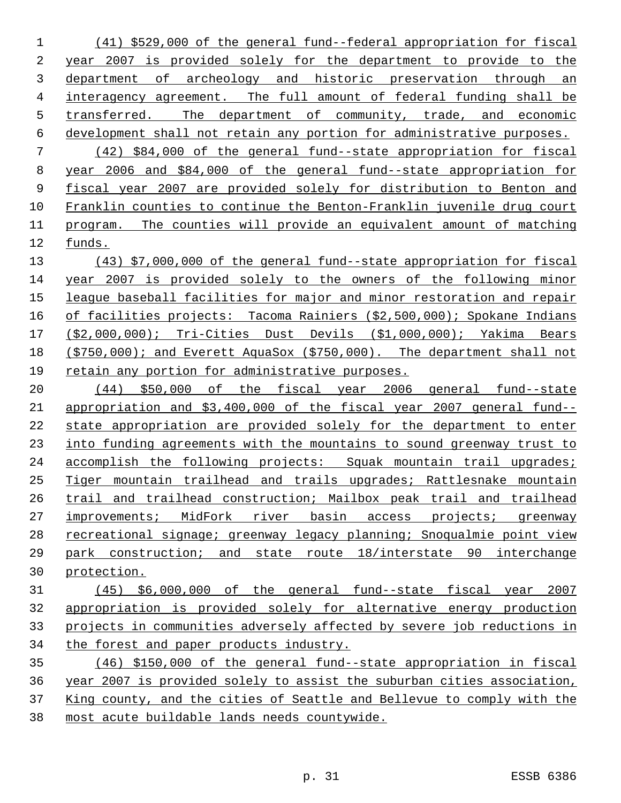(41) \$529,000 of the general fund--federal appropriation for fiscal year 2007 is provided solely for the department to provide to the department of archeology and historic preservation through an interagency agreement. The full amount of federal funding shall be transferred. The department of community, trade, and economic development shall not retain any portion for administrative purposes. (42) \$84,000 of the general fund--state appropriation for fiscal year 2006 and \$84,000 of the general fund--state appropriation for fiscal year 2007 are provided solely for distribution to Benton and Franklin counties to continue the Benton-Franklin juvenile drug court program. The counties will provide an equivalent amount of matching funds.

 (43) \$7,000,000 of the general fund--state appropriation for fiscal year 2007 is provided solely to the owners of the following minor league baseball facilities for major and minor restoration and repair 16 of facilities projects: Tacoma Rainiers (\$2,500,000); Spokane Indians (\$2,000,000); Tri-Cities Dust Devils (\$1,000,000); Yakima Bears (\$750,000); and Everett AquaSox (\$750,000). The department shall not retain any portion for administrative purposes.

 (44) \$50,000 of the fiscal year 2006 general fund--state appropriation and \$3,400,000 of the fiscal year 2007 general fund-- state appropriation are provided solely for the department to enter into funding agreements with the mountains to sound greenway trust to accomplish the following projects: Squak mountain trail upgrades; Tiger mountain trailhead and trails upgrades; Rattlesnake mountain trail and trailhead construction; Mailbox peak trail and trailhead improvements; MidFork river basin access projects; greenway recreational signage; greenway legacy planning; Snoqualmie point view park construction; and state route 18/interstate 90 interchange protection.

## (45) \$6,000,000 of the general fund--state fiscal year 2007 appropriation is provided solely for alternative energy production projects in communities adversely affected by severe job reductions in the forest and paper products industry.

 (46) \$150,000 of the general fund--state appropriation in fiscal year 2007 is provided solely to assist the suburban cities association, King county, and the cities of Seattle and Bellevue to comply with the most acute buildable lands needs countywide.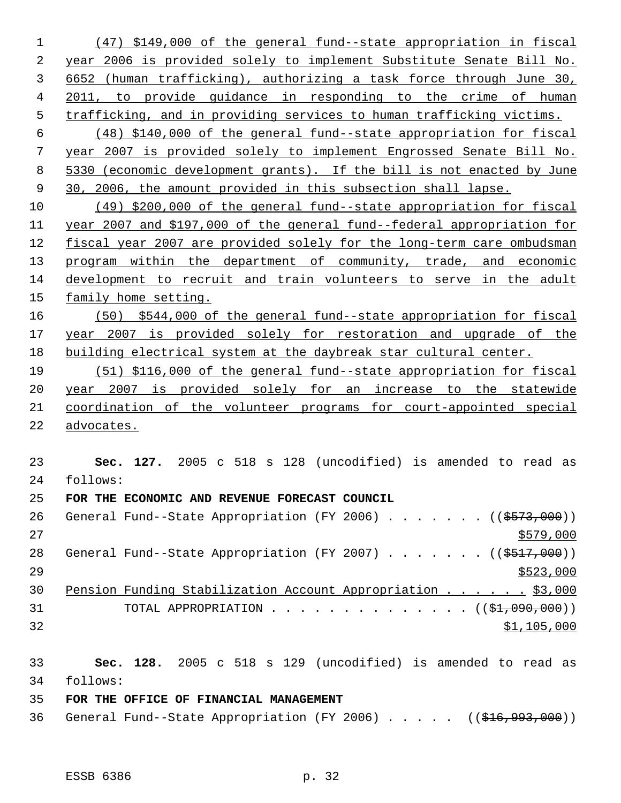(47) \$149,000 of the general fund--state appropriation in fiscal year 2006 is provided solely to implement Substitute Senate Bill No. 6652 (human trafficking), authorizing a task force through June 30, 2011, to provide guidance in responding to the crime of human trafficking, and in providing services to human trafficking victims. (48) \$140,000 of the general fund--state appropriation for fiscal year 2007 is provided solely to implement Engrossed Senate Bill No. 5330 (economic development grants). If the bill is not enacted by June 30, 2006, the amount provided in this subsection shall lapse. (49) \$200,000 of the general fund--state appropriation for fiscal year 2007 and \$197,000 of the general fund--federal appropriation for fiscal year 2007 are provided solely for the long-term care ombudsman 13 program within the department of community, trade, and economic development to recruit and train volunteers to serve in the adult family home setting. (50) \$544,000 of the general fund--state appropriation for fiscal year 2007 is provided solely for restoration and upgrade of the building electrical system at the daybreak star cultural center. (51) \$116,000 of the general fund--state appropriation for fiscal year 2007 is provided solely for an increase to the statewide coordination of the volunteer programs for court-appointed special advocates. **Sec. 127.** 2005 c 518 s 128 (uncodified) is amended to read as follows: **FOR THE ECONOMIC AND REVENUE FORECAST COUNCIL** 26 General Fund--State Appropriation (FY 2006) . . . . . . ((\$573,000)) 28 General Fund--State Appropriation (FY 2007) . . . . . . ((\$517,000)) 30 Pension Funding Stabilization Account Appropriation . . . . . \$3,000 31 TOTAL APPROPRIATION . . . . . . . . . . . . . . ((\$1,090,000)) \$1,105,000 **Sec. 128.** 2005 c 518 s 129 (uncodified) is amended to read as follows: **FOR THE OFFICE OF FINANCIAL MANAGEMENT**

36 General Fund--State Appropriation (FY 2006) . . . . . ((\$16,993,000))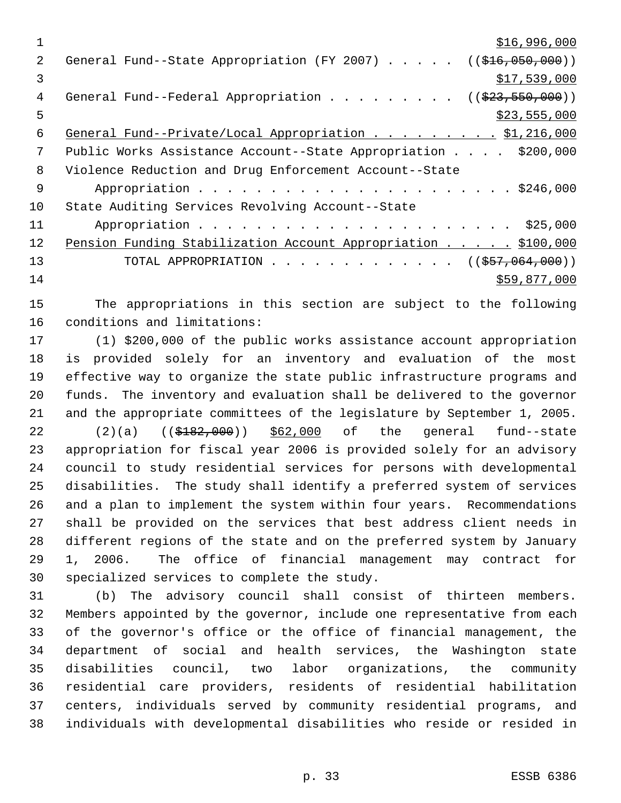| 1  | \$16,996,000                                                               |
|----|----------------------------------------------------------------------------|
| 2. | General Fund--State Appropriation (FY 2007) $($ $($ \$16,050,000))         |
| 3  | \$17,539,000                                                               |
| 4  | General Fund--Federal Appropriation ( $(\frac{23}{73}, \frac{550}{900})$ ) |
| 5  | \$23,555,000                                                               |
| 6  | General Fund--Private/Local Appropriation 51,216,000                       |
| 7  | Public Works Assistance Account--State Appropriation \$200,000             |
| 8  | Violence Reduction and Drug Enforcement Account--State                     |
| 9  |                                                                            |
| 10 | State Auditing Services Revolving Account--State                           |
| 11 |                                                                            |
| 12 | Pension Funding Stabilization Account Appropriation \$100,000              |
| 13 | TOTAL APPROPRIATION ( $(\frac{257}{1000})$ )                               |
| 14 | \$59,877,000                                                               |

 The appropriations in this section are subject to the following conditions and limitations:

 (1) \$200,000 of the public works assistance account appropriation is provided solely for an inventory and evaluation of the most effective way to organize the state public infrastructure programs and funds. The inventory and evaluation shall be delivered to the governor and the appropriate committees of the legislature by September 1, 2005. 22 (2)(a) ((\$182,000)) \$62,000 of the general fund--state appropriation for fiscal year 2006 is provided solely for an advisory council to study residential services for persons with developmental disabilities. The study shall identify a preferred system of services and a plan to implement the system within four years. Recommendations shall be provided on the services that best address client needs in different regions of the state and on the preferred system by January 1, 2006. The office of financial management may contract for specialized services to complete the study.

 (b) The advisory council shall consist of thirteen members. Members appointed by the governor, include one representative from each of the governor's office or the office of financial management, the department of social and health services, the Washington state disabilities council, two labor organizations, the community residential care providers, residents of residential habilitation centers, individuals served by community residential programs, and individuals with developmental disabilities who reside or resided in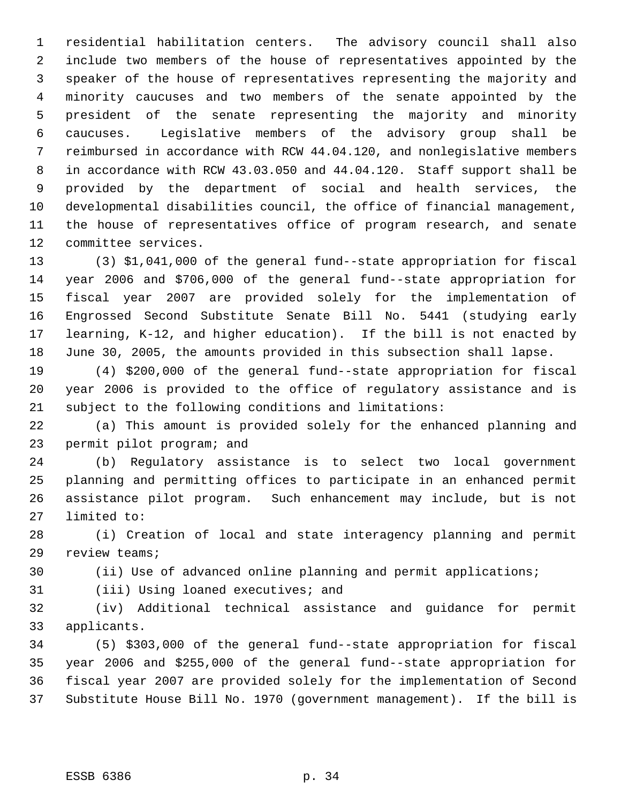residential habilitation centers. The advisory council shall also include two members of the house of representatives appointed by the speaker of the house of representatives representing the majority and minority caucuses and two members of the senate appointed by the president of the senate representing the majority and minority caucuses. Legislative members of the advisory group shall be reimbursed in accordance with RCW 44.04.120, and nonlegislative members in accordance with RCW 43.03.050 and 44.04.120. Staff support shall be provided by the department of social and health services, the developmental disabilities council, the office of financial management, the house of representatives office of program research, and senate committee services.

 (3) \$1,041,000 of the general fund--state appropriation for fiscal year 2006 and \$706,000 of the general fund--state appropriation for fiscal year 2007 are provided solely for the implementation of Engrossed Second Substitute Senate Bill No. 5441 (studying early learning, K-12, and higher education). If the bill is not enacted by June 30, 2005, the amounts provided in this subsection shall lapse.

 (4) \$200,000 of the general fund--state appropriation for fiscal year 2006 is provided to the office of regulatory assistance and is subject to the following conditions and limitations:

 (a) This amount is provided solely for the enhanced planning and permit pilot program; and

 (b) Regulatory assistance is to select two local government planning and permitting offices to participate in an enhanced permit assistance pilot program. Such enhancement may include, but is not limited to:

 (i) Creation of local and state interagency planning and permit review teams;

(ii) Use of advanced online planning and permit applications;

(iii) Using loaned executives; and

 (iv) Additional technical assistance and guidance for permit applicants.

 (5) \$303,000 of the general fund--state appropriation for fiscal year 2006 and \$255,000 of the general fund--state appropriation for fiscal year 2007 are provided solely for the implementation of Second Substitute House Bill No. 1970 (government management). If the bill is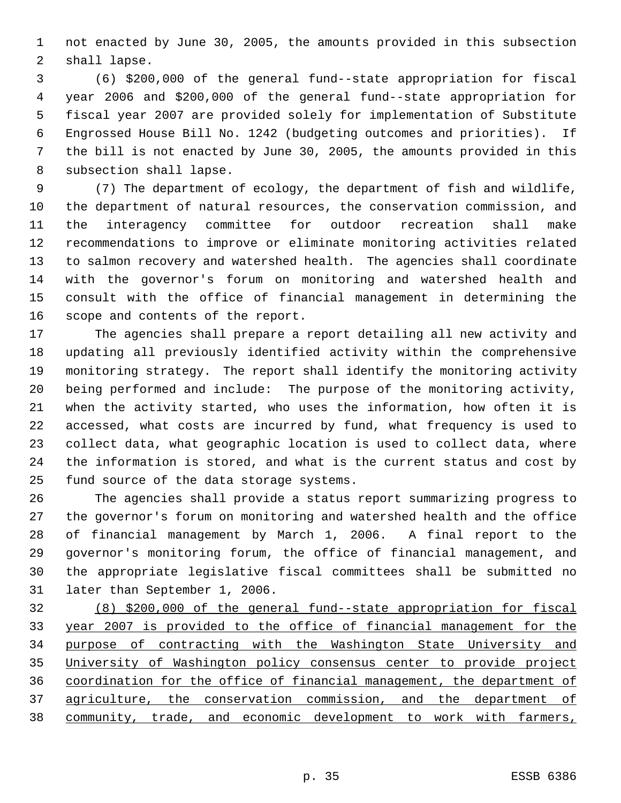not enacted by June 30, 2005, the amounts provided in this subsection shall lapse.

 (6) \$200,000 of the general fund--state appropriation for fiscal year 2006 and \$200,000 of the general fund--state appropriation for fiscal year 2007 are provided solely for implementation of Substitute Engrossed House Bill No. 1242 (budgeting outcomes and priorities). If the bill is not enacted by June 30, 2005, the amounts provided in this subsection shall lapse.

 (7) The department of ecology, the department of fish and wildlife, the department of natural resources, the conservation commission, and the interagency committee for outdoor recreation shall make recommendations to improve or eliminate monitoring activities related to salmon recovery and watershed health. The agencies shall coordinate with the governor's forum on monitoring and watershed health and consult with the office of financial management in determining the scope and contents of the report.

 The agencies shall prepare a report detailing all new activity and updating all previously identified activity within the comprehensive monitoring strategy. The report shall identify the monitoring activity being performed and include: The purpose of the monitoring activity, when the activity started, who uses the information, how often it is accessed, what costs are incurred by fund, what frequency is used to collect data, what geographic location is used to collect data, where the information is stored, and what is the current status and cost by fund source of the data storage systems.

 The agencies shall provide a status report summarizing progress to the governor's forum on monitoring and watershed health and the office of financial management by March 1, 2006. A final report to the governor's monitoring forum, the office of financial management, and the appropriate legislative fiscal committees shall be submitted no later than September 1, 2006.

 (8) \$200,000 of the general fund--state appropriation for fiscal year 2007 is provided to the office of financial management for the purpose of contracting with the Washington State University and University of Washington policy consensus center to provide project coordination for the office of financial management, the department of agriculture, the conservation commission, and the department of community, trade, and economic development to work with farmers,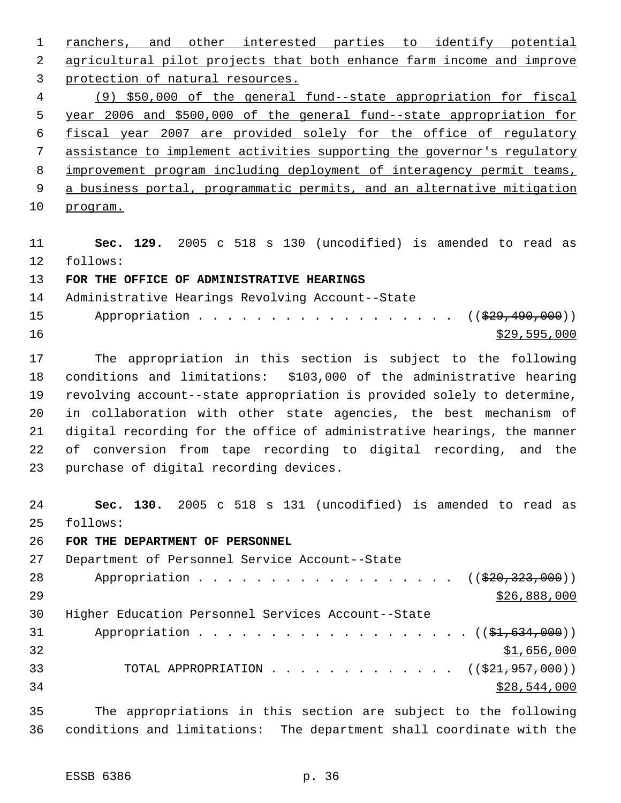ranchers, and other interested parties to identify potential agricultural pilot projects that both enhance farm income and improve protection of natural resources. (9) \$50,000 of the general fund--state appropriation for fiscal year 2006 and \$500,000 of the general fund--state appropriation for fiscal year 2007 are provided solely for the office of regulatory assistance to implement activities supporting the governor's regulatory improvement program including deployment of interagency permit teams, 9 a business portal, programmatic permits, and an alternative mitigation program.

 **Sec. 129.** 2005 c 518 s 130 (uncodified) is amended to read as follows:

**FOR THE OFFICE OF ADMINISTRATIVE HEARINGS**

 Administrative Hearings Revolving Account--State 15 Appropriation . . . . . . . . . . . . . . . . ((\$29,490,000))

 $\frac{$29,595,000}{20}$ 

 The appropriation in this section is subject to the following conditions and limitations: \$103,000 of the administrative hearing revolving account--state appropriation is provided solely to determine, in collaboration with other state agencies, the best mechanism of digital recording for the office of administrative hearings, the manner of conversion from tape recording to digital recording, and the purchase of digital recording devices.

 **Sec. 130.** 2005 c 518 s 131 (uncodified) is amended to read as follows:

**FOR THE DEPARTMENT OF PERSONNEL**

 Department of Personnel Service Account--State 28 Appropriation . . . . . . . . . . . . . . . . ((<del>\$20,323,000</del>))  $526,888,000$  Higher Education Personnel Services Account--State 31 Appropriation . . . . . . . . . . . . . . . . . ((\$1,634,000)) \$1,656,000 33 TOTAL APPROPRIATION . . . . . . . . . . . . ((\$21,957,000)) \$28,544,000

 The appropriations in this section are subject to the following conditions and limitations: The department shall coordinate with the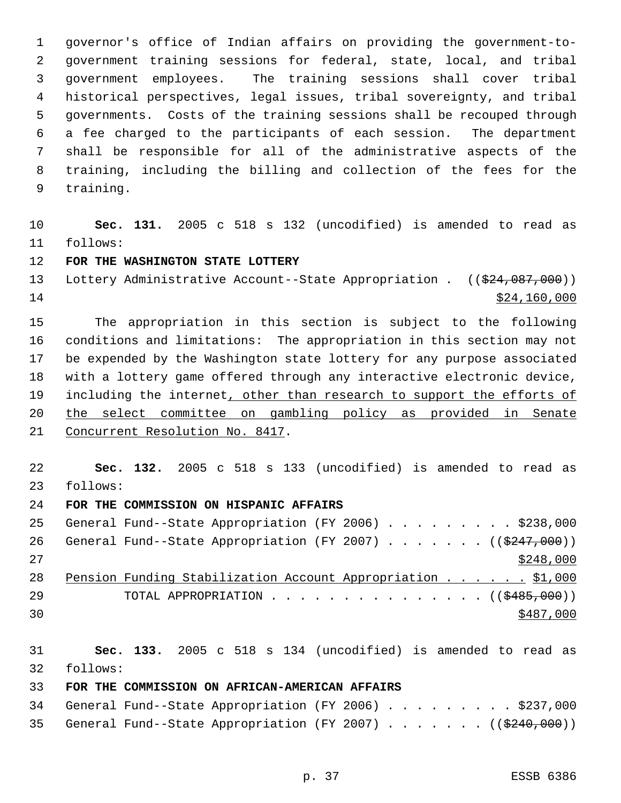governor's office of Indian affairs on providing the government-to- government training sessions for federal, state, local, and tribal government employees. The training sessions shall cover tribal historical perspectives, legal issues, tribal sovereignty, and tribal governments. Costs of the training sessions shall be recouped through a fee charged to the participants of each session. The department shall be responsible for all of the administrative aspects of the training, including the billing and collection of the fees for the training.

 **Sec. 131.** 2005 c 518 s 132 (uncodified) is amended to read as follows:

## **FOR THE WASHINGTON STATE LOTTERY**

13 Lottery Administrative Account--State Appropriation . ((\$24,087,000))  $\frac{$24,160,000}{ }$ 

 The appropriation in this section is subject to the following conditions and limitations: The appropriation in this section may not be expended by the Washington state lottery for any purpose associated with a lottery game offered through any interactive electronic device, 19 including the internet, other than research to support the efforts of the select committee on gambling policy as provided in Senate Concurrent Resolution No. 8417.

 **Sec. 132.** 2005 c 518 s 133 (uncodified) is amended to read as follows:

## **FOR THE COMMISSION ON HISPANIC AFFAIRS**

|    | 25 General Fund--State Appropriation (FY 2006) \$238,000             |  |  |  |  |  |           |  |
|----|----------------------------------------------------------------------|--|--|--|--|--|-----------|--|
| 26 | General Fund--State Appropriation (FY 2007) ( $(\frac{2447}{000})$ ) |  |  |  |  |  |           |  |
| 27 |                                                                      |  |  |  |  |  | \$248,000 |  |
| 28 | Pension Funding Stabilization Account Appropriation \$1,000          |  |  |  |  |  |           |  |
| 29 | TOTAL APPROPRIATION $\ldots$ , ( $(\frac{2485,000}{1000})$ )         |  |  |  |  |  |           |  |
| 30 |                                                                      |  |  |  |  |  | \$487,000 |  |

 **Sec. 133.** 2005 c 518 s 134 (uncodified) is amended to read as follows:

## **FOR THE COMMISSION ON AFRICAN-AMERICAN AFFAIRS**

|  | 34 General Fund--State Appropriation (FY 2006) \$237,000                |  |  |  |  |  |  |  |
|--|-------------------------------------------------------------------------|--|--|--|--|--|--|--|
|  | 35 General Fund--State Appropriation (FY 2007) ( $(\frac{2440}{600})$ ) |  |  |  |  |  |  |  |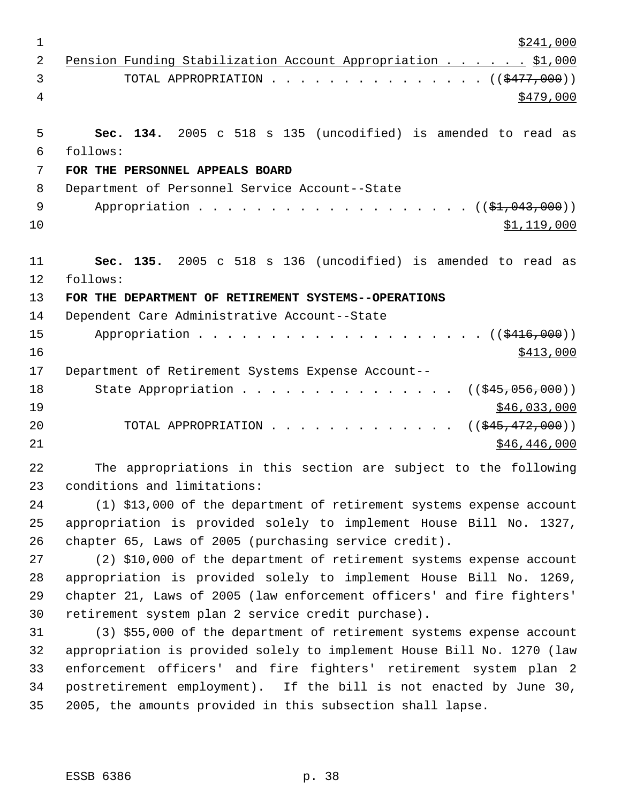| $\mathbf 1$    | \$241,000                                                              |
|----------------|------------------------------------------------------------------------|
| $\overline{2}$ | Pension Funding Stabilization Account Appropriation \$1,000            |
| 3              | TOTAL APPROPRIATION $\ldots$ , ( $(\frac{2477}{100})$ )                |
| 4              | \$479,000                                                              |
|                |                                                                        |
| 5              | Sec. 134. 2005 c 518 s 135 (uncodified) is amended to read as          |
| 6              | follows:                                                               |
| 7              | FOR THE PERSONNEL APPEALS BOARD                                        |
| 8              | Department of Personnel Service Account--State                         |
| 9              | Appropriation $($ $($ \$1,043,000) $)$                                 |
| 10             | \$1,119,000                                                            |
| 11             | Sec. 135. 2005 c 518 s 136 (uncodified) is amended to read as          |
| 12             | follows:                                                               |
| 13             | FOR THE DEPARTMENT OF RETIREMENT SYSTEMS--OPERATIONS                   |
| 14             | Dependent Care Administrative Account--State                           |
| 15             |                                                                        |
| 16             | \$413,000                                                              |
| 17             | Department of Retirement Systems Expense Account--                     |
| 18             | State Appropriation<br>$((\frac{1245}{100}, 056, 000))$                |
| 19             | \$46,033,000                                                           |
| 20             | TOTAL APPROPRIATION<br>$((\frac{1545}{172},000))$                      |
| 21             | \$46,446,000                                                           |
| 22             | The appropriations in this section are subject to the following        |
| 23             | conditions and limitations:                                            |
| 24             | (1) \$13,000 of the department of retirement systems expense account   |
| 25             | appropriation is provided solely to implement House Bill No. 1327,     |
| 26             | chapter 65, Laws of 2005 (purchasing service credit).                  |
| 27             | (2) \$10,000 of the department of retirement systems expense account   |
| 28             | appropriation is provided solely to implement House Bill No. 1269,     |
| 29             | chapter 21, Laws of 2005 (law enforcement officers' and fire fighters' |
| 30             | retirement system plan 2 service credit purchase).                     |
| 31             | (3) \$55,000 of the department of retirement systems expense account   |
| 32             | appropriation is provided solely to implement House Bill No. 1270 (law |
| 33             | enforcement officers' and fire fighters' retirement system plan 2      |
| 34             | postretirement employment). If the bill is not enacted by June 30,     |
| 35             | 2005, the amounts provided in this subsection shall lapse.             |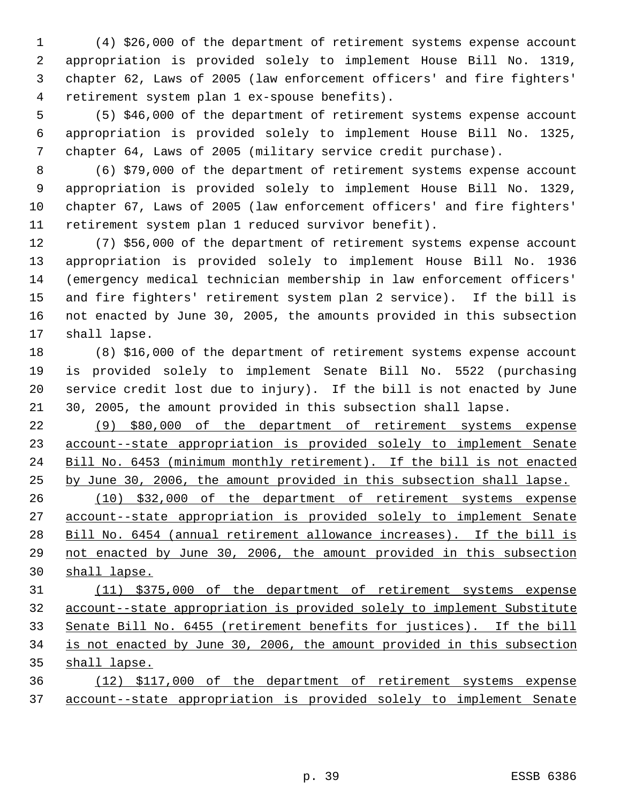(4) \$26,000 of the department of retirement systems expense account appropriation is provided solely to implement House Bill No. 1319, chapter 62, Laws of 2005 (law enforcement officers' and fire fighters' retirement system plan 1 ex-spouse benefits).

 (5) \$46,000 of the department of retirement systems expense account appropriation is provided solely to implement House Bill No. 1325, chapter 64, Laws of 2005 (military service credit purchase).

 (6) \$79,000 of the department of retirement systems expense account appropriation is provided solely to implement House Bill No. 1329, chapter 67, Laws of 2005 (law enforcement officers' and fire fighters' retirement system plan 1 reduced survivor benefit).

 (7) \$56,000 of the department of retirement systems expense account appropriation is provided solely to implement House Bill No. 1936 (emergency medical technician membership in law enforcement officers' and fire fighters' retirement system plan 2 service). If the bill is not enacted by June 30, 2005, the amounts provided in this subsection shall lapse.

 (8) \$16,000 of the department of retirement systems expense account is provided solely to implement Senate Bill No. 5522 (purchasing service credit lost due to injury). If the bill is not enacted by June 30, 2005, the amount provided in this subsection shall lapse.

 (9) \$80,000 of the department of retirement systems expense account--state appropriation is provided solely to implement Senate Bill No. 6453 (minimum monthly retirement). If the bill is not enacted by June 30, 2006, the amount provided in this subsection shall lapse.

 (10) \$32,000 of the department of retirement systems expense account--state appropriation is provided solely to implement Senate Bill No. 6454 (annual retirement allowance increases). If the bill is not enacted by June 30, 2006, the amount provided in this subsection shall lapse.

 (11) \$375,000 of the department of retirement systems expense account--state appropriation is provided solely to implement Substitute Senate Bill No. 6455 (retirement benefits for justices). If the bill is not enacted by June 30, 2006, the amount provided in this subsection shall lapse.

 (12) \$117,000 of the department of retirement systems expense account--state appropriation is provided solely to implement Senate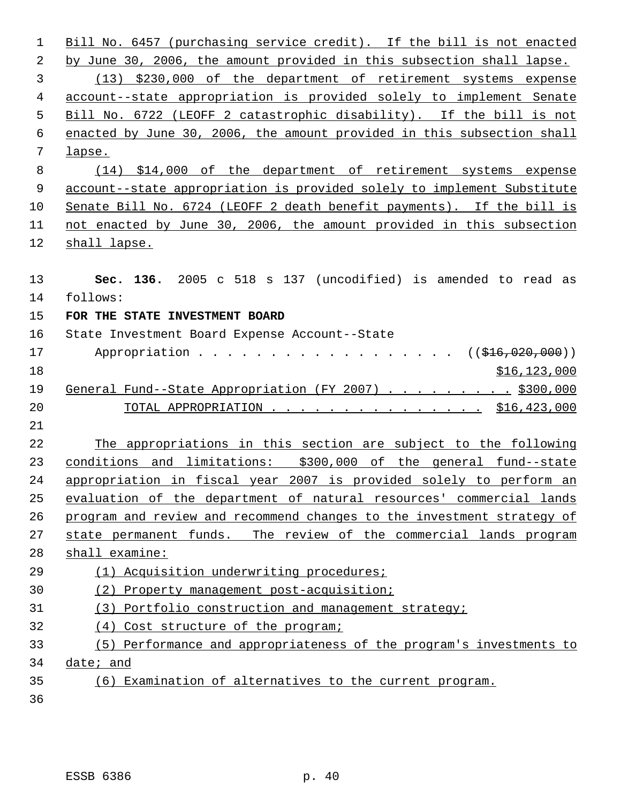| 1  | Bill No. 6457 (purchasing service credit). If the bill is not enacted   |
|----|-------------------------------------------------------------------------|
| 2  | by June 30, 2006, the amount provided in this subsection shall lapse.   |
| 3  | (13) \$230,000 of the department of retirement systems expense          |
| 4  | account--state appropriation is provided solely to implement Senate     |
| 5  | Bill No. 6722 (LEOFF 2 catastrophic disability). If the bill is not     |
| 6  | enacted by June 30, 2006, the amount provided in this subsection shall  |
| 7  | lapse.                                                                  |
| 8  | $(14)$ \$14,000 of the department of retirement systems expense         |
| 9  | account--state appropriation is provided solely to implement Substitute |
| 10 | Senate Bill No. 6724 (LEOFF 2 death benefit payments). If the bill is   |
| 11 | not enacted by June 30, 2006, the amount provided in this subsection    |
| 12 | shall lapse.                                                            |
|    |                                                                         |
| 13 | Sec. 136. 2005 c 518 s 137 (uncodified) is amended to read as           |
| 14 | follows:                                                                |
| 15 | FOR THE STATE INVESTMENT BOARD                                          |
| 16 | State Investment Board Expense Account--State                           |
| 17 | Appropriation ( $(\frac{1}{216}, 020, 000)$ )                           |
| 18 | \$16, 123, 000                                                          |
| 19 | General Fund--State Appropriation (FY 2007) \$300,000                   |
| 20 | TOTAL APPROPRIATION \$16,423,000                                        |
| 21 |                                                                         |
| 22 | The appropriations in this section are subject to the following         |
| 23 | conditions and limitations: \$300,000 of the general fund--state        |
| 24 | appropriation in fiscal year 2007 is provided solely to perform an      |
| 25 | evaluation of the department of natural resources' commercial lands     |
| 26 | program and review and recommend changes to the investment strategy of  |
| 27 | state permanent funds. The review of the commercial lands program       |
| 28 | shall examine:                                                          |
| 29 | (1) Acquisition underwriting procedures;                                |
| 30 | (2) Property management post-acquisition;                               |
| 31 | (3) Portfolio construction and management strategy;                     |
| 32 | (4) Cost structure of the program;                                      |
| 33 | (5) Performance and appropriateness of the program's investments to     |
| 34 | date; and                                                               |
| 35 | (6) Examination of alternatives to the current program.                 |
| 36 |                                                                         |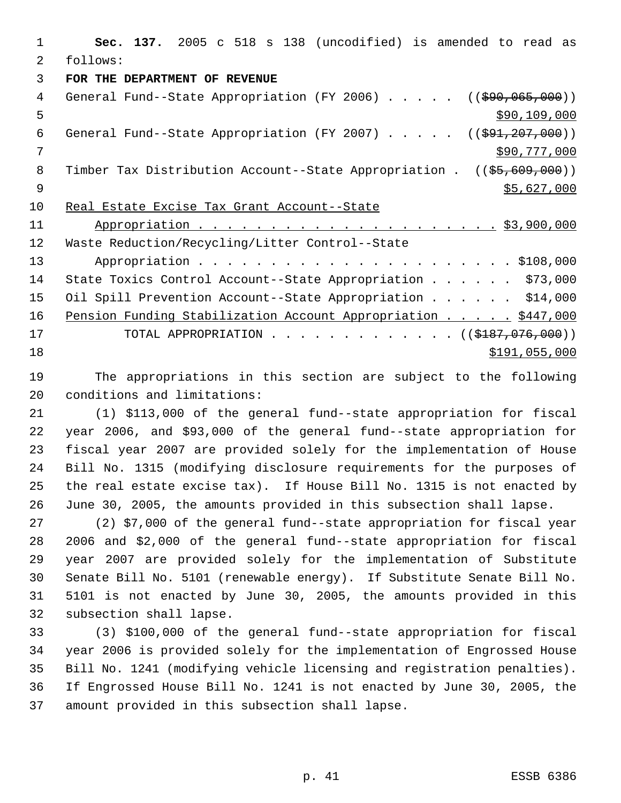**Sec. 137.** 2005 c 518 s 138 (uncodified) is amended to read as follows: **FOR THE DEPARTMENT OF REVENUE** 4 General Fund--State Appropriation (FY 2006) . . . . . ((\$90,065,000))  $\frac{109}{200}$ ,  $\frac{109}{200}$ ,  $\frac{109}{200}$ 6 General Fund--State Appropriation (FY 2007) . . . . . ((\$91,207,000)) \$90,777,000 8 Timber Tax Distribution Account--State Appropriation . ((\$5,609,000))  $\frac{1}{55,627,000}$  Real Estate Excise Tax Grant Account--State Appropriation . . . . . . . . . . . . . . . . . . . . . \$3,900,000 Waste Reduction/Recycling/Litter Control--State Appropriation . . . . . . . . . . . . . . . . . . . . . . \$108,000 State Toxics Control Account--State Appropriation . . . . . . \$73,000 15 Oil Spill Prevention Account--State Appropriation . . . . . \$14,000 16 Pension Funding Stabilization Account Appropriation . . . . . \$447,000 17 TOTAL APPROPRIATION . . . . . . . . . . . . . ((\$187,076,000)) \$191,055,000

 The appropriations in this section are subject to the following conditions and limitations:

 (1) \$113,000 of the general fund--state appropriation for fiscal year 2006, and \$93,000 of the general fund--state appropriation for fiscal year 2007 are provided solely for the implementation of House Bill No. 1315 (modifying disclosure requirements for the purposes of the real estate excise tax). If House Bill No. 1315 is not enacted by June 30, 2005, the amounts provided in this subsection shall lapse.

 (2) \$7,000 of the general fund--state appropriation for fiscal year 2006 and \$2,000 of the general fund--state appropriation for fiscal year 2007 are provided solely for the implementation of Substitute Senate Bill No. 5101 (renewable energy). If Substitute Senate Bill No. 5101 is not enacted by June 30, 2005, the amounts provided in this subsection shall lapse.

 (3) \$100,000 of the general fund--state appropriation for fiscal year 2006 is provided solely for the implementation of Engrossed House Bill No. 1241 (modifying vehicle licensing and registration penalties). If Engrossed House Bill No. 1241 is not enacted by June 30, 2005, the amount provided in this subsection shall lapse.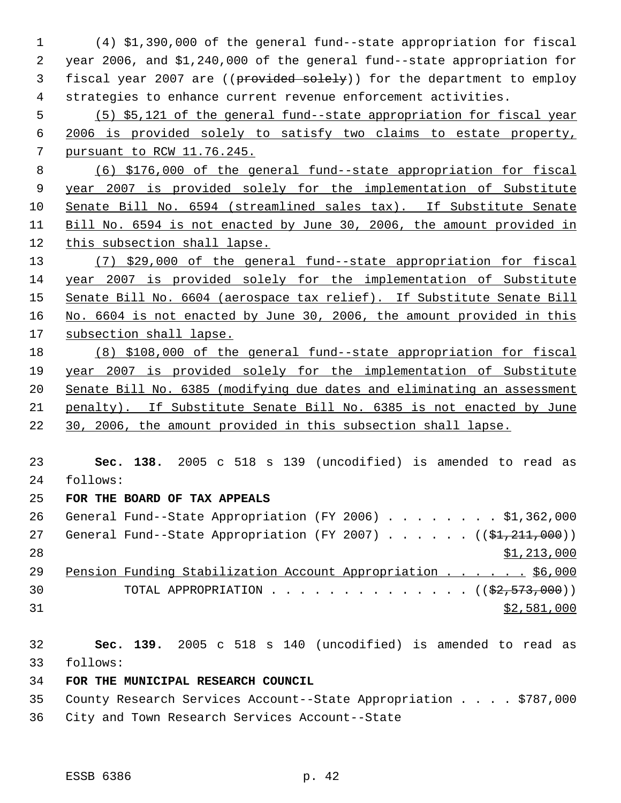(4) \$1,390,000 of the general fund--state appropriation for fiscal year 2006, and \$1,240,000 of the general fund--state appropriation for 3 fiscal year 2007 are ((provided solely)) for the department to employ strategies to enhance current revenue enforcement activities. (5) \$5,121 of the general fund--state appropriation for fiscal year 2006 is provided solely to satisfy two claims to estate property, pursuant to RCW 11.76.245. (6) \$176,000 of the general fund--state appropriation for fiscal year 2007 is provided solely for the implementation of Substitute Senate Bill No. 6594 (streamlined sales tax). If Substitute Senate Bill No. 6594 is not enacted by June 30, 2006, the amount provided in this subsection shall lapse. (7) \$29,000 of the general fund--state appropriation for fiscal year 2007 is provided solely for the implementation of Substitute Senate Bill No. 6604 (aerospace tax relief). If Substitute Senate Bill No. 6604 is not enacted by June 30, 2006, the amount provided in this subsection shall lapse. (8) \$108,000 of the general fund--state appropriation for fiscal year 2007 is provided solely for the implementation of Substitute Senate Bill No. 6385 (modifying due dates and eliminating an assessment penalty). If Substitute Senate Bill No. 6385 is not enacted by June 30, 2006, the amount provided in this subsection shall lapse. **Sec. 138.** 2005 c 518 s 139 (uncodified) is amended to read as follows: **FOR THE BOARD OF TAX APPEALS** General Fund--State Appropriation (FY 2006) . . . . . . . . \$1,362,000 27 General Fund--State Appropriation (FY 2007) . . . . . . ((\$1,211,000))  $\frac{$1,213,000}{ }$  Pension Funding Stabilization Account Appropriation . . . . . . \$6,000 30 TOTAL APPROPRIATION  $\ldots$ , . . . . . . . . . . . ( $(\frac{22}{52}, \frac{573}{500})$ ) \$2,581,000 **Sec. 139.** 2005 c 518 s 140 (uncodified) is amended to read as follows: **FOR THE MUNICIPAL RESEARCH COUNCIL**

 County Research Services Account--State Appropriation . . . . \$787,000 City and Town Research Services Account--State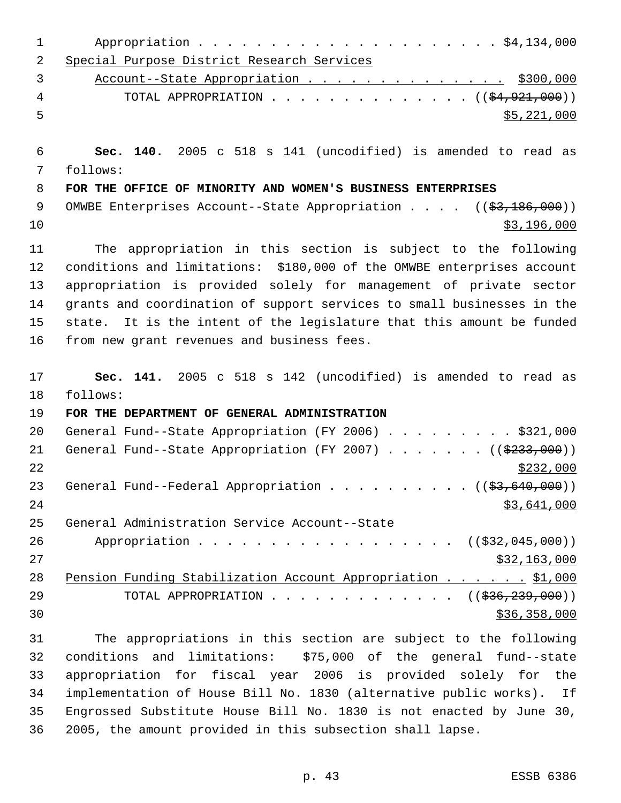| 1  |                                                                         |
|----|-------------------------------------------------------------------------|
| 2  | Special Purpose District Research Services                              |
| 3  | Account--State Appropriation \$300,000                                  |
| 4  | TOTAL APPROPRIATION $($ $(\frac{24.921.000}{})$                         |
| 5  | \$5,221,000                                                             |
| 6  | Sec. 140. 2005 c 518 s 141 (uncodified) is amended to read as           |
| 7  | follows:                                                                |
| 8  | FOR THE OFFICE OF MINORITY AND WOMEN'S BUSINESS ENTERPRISES             |
| 9  | OMWBE Enterprises Account--State Appropriation $($ $($ \$3,186,000) $)$ |
| 10 | \$3,196,000                                                             |
| 11 | The appropriation in this section is subject to the following           |
| 12 | conditions and limitations: \$180,000 of the OMWBE enterprises account  |
| 13 | appropriation is provided solely for management of private sector       |
| 14 | grants and coordination of support services to small businesses in the  |
| 15 | state. It is the intent of the legislature that this amount be funded   |
| 16 | from new grant revenues and business fees.                              |
| 17 | Sec. 141. 2005 c 518 s 142 (uncodified) is amended to read as           |
| 18 | follows:                                                                |
| 19 | FOR THE DEPARTMENT OF GENERAL ADMINISTRATION                            |
| 20 | General Fund--State Appropriation (FY 2006) \$321,000                   |
| 21 | General Fund--State Appropriation (FY 2007) ( $(\frac{2333}{100})$ )    |
| 22 | \$232,000                                                               |
| 23 | General Fund--Federal Appropriation ( $(\frac{2}{3}, 640, 000)$ )       |
| 24 | \$3,641,000                                                             |
| 25 | General Administration Service Account--State                           |
| 26 | Appropriation ( $(\frac{232,045,000}{s})$ )                             |
| 27 | \$32,163,000                                                            |
| 28 | Pension Funding Stabilization Account Appropriation \$1,000             |
| 29 | TOTAL APPROPRIATION ( $(\frac{236}{236}, \frac{239}{239}, 000)$ )       |
| 30 | \$36,358,000                                                            |
| 31 | The appropriations in this section are subject to the following         |
| 32 | conditions and limitations: \$75,000 of the general fund--state         |
| 33 | appropriation for fiscal year 2006 is provided solely for the           |
| 34 | implementation of House Bill No. 1830 (alternative public works). If    |
| 35 | Engrossed Substitute House Bill No. 1830 is not enacted by June 30,     |

2005, the amount provided in this subsection shall lapse.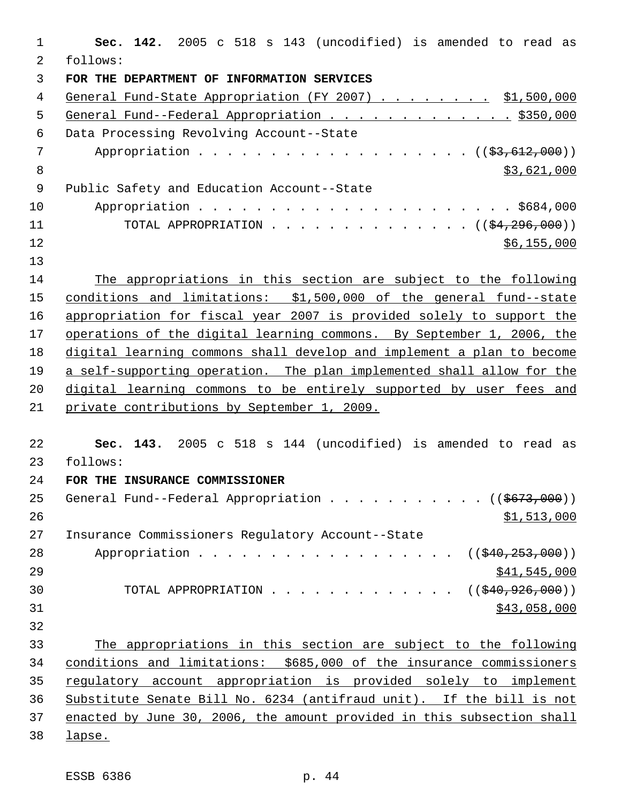| $\mathbf{1}$   | Sec. 142. 2005 c 518 s 143 (uncodified) is amended to read as                                  |
|----------------|------------------------------------------------------------------------------------------------|
| 2              | follows:                                                                                       |
| 3              | FOR THE DEPARTMENT OF INFORMATION SERVICES                                                     |
| 4              | General Fund-State Appropriation (FY 2007) \$1,500,000                                         |
| 5              | General Fund--Federal Appropriation \$350,000                                                  |
| 6              | Data Processing Revolving Account--State                                                       |
| $\overline{7}$ | Appropriation ((\$3,612,000))                                                                  |
| 8              | \$3,621,000                                                                                    |
| 9              | Public Safety and Education Account--State                                                     |
| 10             |                                                                                                |
| 11             | TOTAL APPROPRIATION ( $(\frac{24}{296}, 000)$ )                                                |
| 12             | \$6,155,000                                                                                    |
| 13             |                                                                                                |
| 14             | The appropriations in this section are subject to the following                                |
| 15             | conditions and limitations: \$1,500,000 of the general fund--state                             |
| 16             | appropriation for fiscal year 2007 is provided solely to support the                           |
| 17             | operations of the digital learning commons. By September 1, 2006, the                          |
| 18             | digital learning commons shall develop and implement a plan to become                          |
| 19             | a self-supporting operation. The plan implemented shall allow for the                          |
| 20             | digital learning commons to be entirely supported by user fees and                             |
| 21             | private contributions by September 1, 2009.                                                    |
| 22             |                                                                                                |
| 23             | Sec. 143. 2005 c 518 s 144 (uncodified) is amended to read as<br>follows:                      |
| 24             |                                                                                                |
| 25             | FOR THE INSURANCE COMMISSIONER<br>General Fund--Federal Appropriation ( $(\frac{2673}{100})$ ) |
|                |                                                                                                |
| 26             | \$1,513,000                                                                                    |
| 27             | Insurance Commissioners Regulatory Account--State                                              |
| 28             | Appropriation<br>((\$40, 253, 000))                                                            |
| 29             | \$41,545,000                                                                                   |
| 30             | TOTAL APPROPRIATION<br>((\$40,926,000))                                                        |
| 31             | \$43,058,000                                                                                   |
| 32             |                                                                                                |
| 33             | The appropriations in this section are subject to the following                                |
| 34             | conditions and limitations: \$685,000 of the insurance commissioners                           |
| 35             | regulatory account appropriation is provided solely to implement                               |
| 36             | Substitute Senate Bill No. 6234 (antifraud unit). If the bill is not                           |
| 37             | enacted by June 30, 2006, the amount provided in this subsection shall                         |
| 38             | lapse.                                                                                         |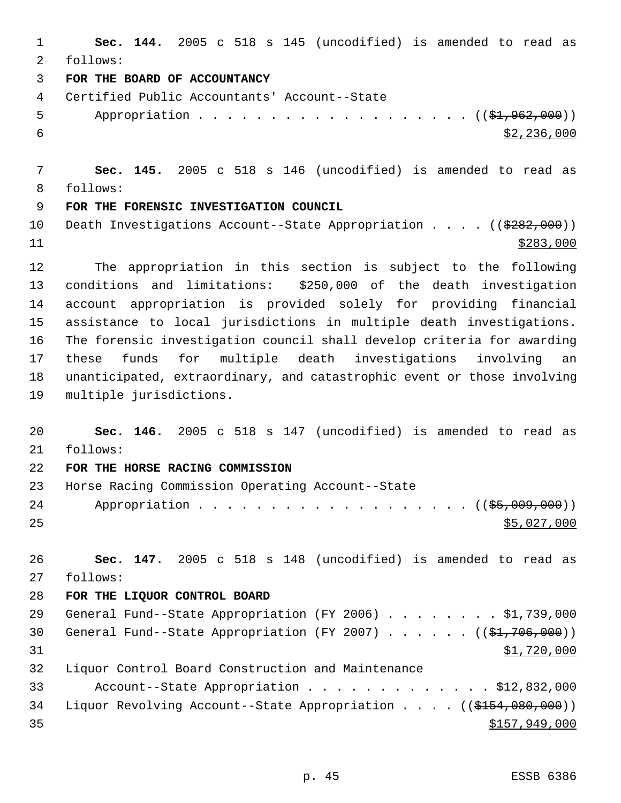**Sec. 144.** 2005 c 518 s 145 (uncodified) is amended to read as follows: **FOR THE BOARD OF ACCOUNTANCY** Certified Public Accountants' Account--State 5 Appropriation . . . . . . . . . . . . . . . . . (  $(\frac{1}{2}, 962, 000)$  )  $\frac{$2,236,000}{ }$  **Sec. 145.** 2005 c 518 s 146 (uncodified) is amended to read as follows: **FOR THE FORENSIC INVESTIGATION COUNCIL** 10 Death Investigations Account--State Appropriation . . . . ((\$282,000)) \$283,000 The appropriation in this section is subject to the following conditions and limitations: \$250,000 of the death investigation account appropriation is provided solely for providing financial assistance to local jurisdictions in multiple death investigations. The forensic investigation council shall develop criteria for awarding these funds for multiple death investigations involving an unanticipated, extraordinary, and catastrophic event or those involving multiple jurisdictions. **Sec. 146.** 2005 c 518 s 147 (uncodified) is amended to read as follows: **FOR THE HORSE RACING COMMISSION** Horse Racing Commission Operating Account--State 24 Appropriation . . . . . . . . . . . . . . . . . ( (\$5,009,000))  $\frac{$5,027,000}{25}$  **Sec. 147.** 2005 c 518 s 148 (uncodified) is amended to read as follows: **FOR THE LIQUOR CONTROL BOARD** 29 General Fund--State Appropriation (FY 2006) . . . . . . . . \$1,739,000 30 General Fund--State Appropriation (FY 2007) . . . . . . ((\$1,706,000)) \$1,720,000 Liquor Control Board Construction and Maintenance Account--State Appropriation . . . . . . . . . . . . . \$12,832,000 34 Liquor Revolving Account--State Appropriation . . . . ((\$154,080,000)) \$157,949,000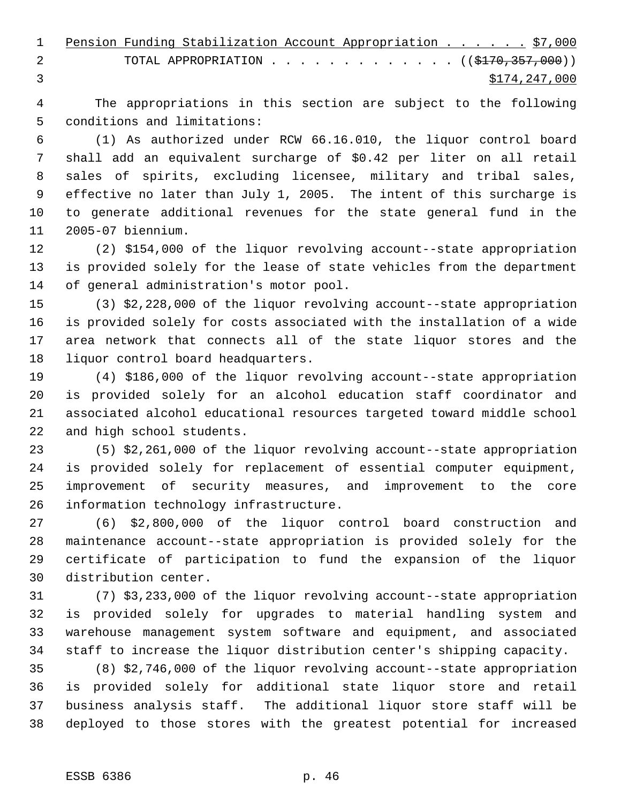|   | 1 Pension Funding Stabilization Account Appropriation \$7,000 |  |               |
|---|---------------------------------------------------------------|--|---------------|
| 2 | TOTAL APPROPRIATION $($ $($ $\frac{2170}{7357}$ , 000 $)$     |  |               |
|   |                                                               |  | \$174,247,000 |

 The appropriations in this section are subject to the following conditions and limitations:

 (1) As authorized under RCW 66.16.010, the liquor control board shall add an equivalent surcharge of \$0.42 per liter on all retail sales of spirits, excluding licensee, military and tribal sales, effective no later than July 1, 2005. The intent of this surcharge is to generate additional revenues for the state general fund in the 2005-07 biennium.

 (2) \$154,000 of the liquor revolving account--state appropriation is provided solely for the lease of state vehicles from the department of general administration's motor pool.

 (3) \$2,228,000 of the liquor revolving account--state appropriation is provided solely for costs associated with the installation of a wide area network that connects all of the state liquor stores and the liquor control board headquarters.

 (4) \$186,000 of the liquor revolving account--state appropriation is provided solely for an alcohol education staff coordinator and associated alcohol educational resources targeted toward middle school and high school students.

 (5) \$2,261,000 of the liquor revolving account--state appropriation is provided solely for replacement of essential computer equipment, improvement of security measures, and improvement to the core information technology infrastructure.

 (6) \$2,800,000 of the liquor control board construction and maintenance account--state appropriation is provided solely for the certificate of participation to fund the expansion of the liquor distribution center.

 (7) \$3,233,000 of the liquor revolving account--state appropriation is provided solely for upgrades to material handling system and warehouse management system software and equipment, and associated staff to increase the liquor distribution center's shipping capacity.

 (8) \$2,746,000 of the liquor revolving account--state appropriation is provided solely for additional state liquor store and retail business analysis staff. The additional liquor store staff will be deployed to those stores with the greatest potential for increased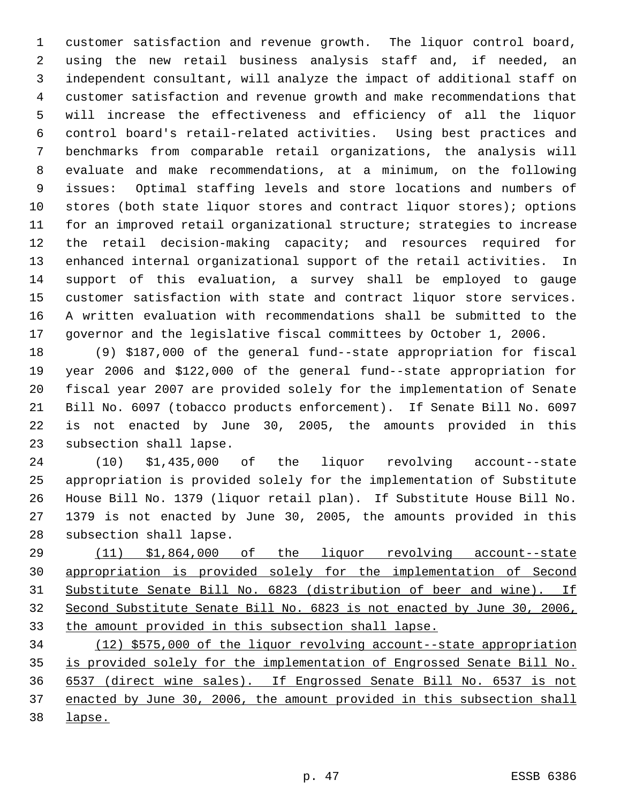customer satisfaction and revenue growth. The liquor control board, using the new retail business analysis staff and, if needed, an independent consultant, will analyze the impact of additional staff on customer satisfaction and revenue growth and make recommendations that will increase the effectiveness and efficiency of all the liquor control board's retail-related activities. Using best practices and benchmarks from comparable retail organizations, the analysis will evaluate and make recommendations, at a minimum, on the following issues: Optimal staffing levels and store locations and numbers of stores (both state liquor stores and contract liquor stores); options for an improved retail organizational structure; strategies to increase the retail decision-making capacity; and resources required for enhanced internal organizational support of the retail activities. In support of this evaluation, a survey shall be employed to gauge customer satisfaction with state and contract liquor store services. A written evaluation with recommendations shall be submitted to the governor and the legislative fiscal committees by October 1, 2006.

 (9) \$187,000 of the general fund--state appropriation for fiscal year 2006 and \$122,000 of the general fund--state appropriation for fiscal year 2007 are provided solely for the implementation of Senate Bill No. 6097 (tobacco products enforcement). If Senate Bill No. 6097 is not enacted by June 30, 2005, the amounts provided in this subsection shall lapse.

 (10) \$1,435,000 of the liquor revolving account--state appropriation is provided solely for the implementation of Substitute House Bill No. 1379 (liquor retail plan). If Substitute House Bill No. 1379 is not enacted by June 30, 2005, the amounts provided in this subsection shall lapse.

 (11) \$1,864,000 of the liquor revolving account--state appropriation is provided solely for the implementation of Second Substitute Senate Bill No. 6823 (distribution of beer and wine). If Second Substitute Senate Bill No. 6823 is not enacted by June 30, 2006, the amount provided in this subsection shall lapse.

 (12) \$575,000 of the liquor revolving account--state appropriation is provided solely for the implementation of Engrossed Senate Bill No. 6537 (direct wine sales). If Engrossed Senate Bill No. 6537 is not enacted by June 30, 2006, the amount provided in this subsection shall lapse.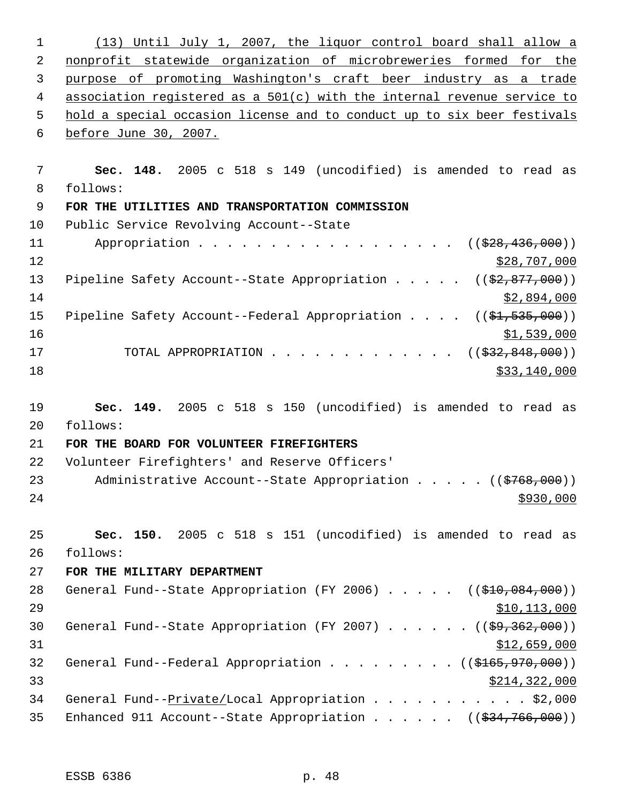(13) Until July 1, 2007, the liquor control board shall allow a nonprofit statewide organization of microbreweries formed for the purpose of promoting Washington's craft beer industry as a trade association registered as a 501(c) with the internal revenue service to hold a special occasion license and to conduct up to six beer festivals before June 30, 2007. **Sec. 148.** 2005 c 518 s 149 (uncodified) is amended to read as follows: **FOR THE UTILITIES AND TRANSPORTATION COMMISSION** Public Service Revolving Account--State 11 Appropriation . . . . . . . . . . . . . . . . ((<del>\$28,436,000</del>)) 12 \$28,707,000 13 Pipeline Safety Account--State Appropriation . . . . ((\$2,877,000)) \$2,894,000 15 Pipeline Safety Account--Federal Appropriation . . . . ((\$1,535,000)) \$1,539,000 17 TOTAL APPROPRIATION . . . . . . . . . . . . ((<del>\$32,848,000</del>)) \$33,140,000 \$33,140,000 \$33,140,000 \$33,140,000 \$33,140,000 \$33,140,000 \$33,140,000 \$53,140,000 \$53,140,000 \$1,140,000 \$1,140,000 \$1,140,000 \$1,140,000 \$1,140,000 \$1,140,000 \$1,140,000 \$1,140,000 \$1,140,000 \$1,140,00 **Sec. 149.** 2005 c 518 s 150 (uncodified) is amended to read as follows: **FOR THE BOARD FOR VOLUNTEER FIREFIGHTERS** Volunteer Firefighters' and Reserve Officers' 23 Administrative Account--State Appropriation . . . . ((\$768,000)) **Sec. 150.** 2005 c 518 s 151 (uncodified) is amended to read as follows: **FOR THE MILITARY DEPARTMENT** 28 General Fund--State Appropriation (FY 2006) . . . . . ((\$10,084,000)) \$10,113,000 30 General Fund--State Appropriation (FY 2007) . . . . . ((\$9,362,000))  $$12,659,000$ 32 General Fund--Federal Appropriation . . . . . . . . ((\$165,970,000)) \$214,322,000 34 General Fund--Private/Local Appropriation . . . . . . . . . . \$2,000 35 Enhanced 911 Account--State Appropriation . . . . . ((\$34,766,000))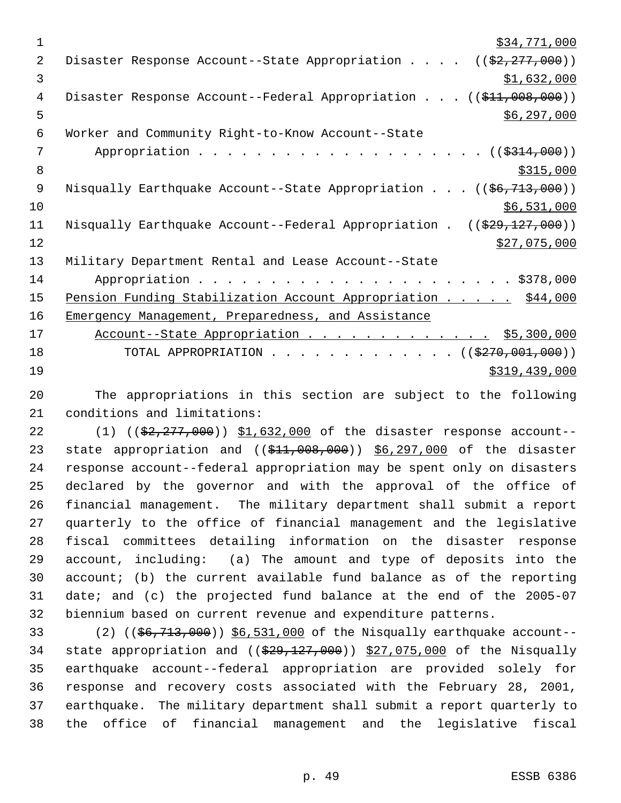$\frac{1}{2}34,771,000$ 2 Disaster Response Account--State Appropriation . . . . ((\$2,277,000))  $3 \quad$  \$1,632,000 4 Disaster Response Account--Federal Appropriation . . . ((\$11,008,000))  $\frac{1}{5}$  5 6 Worker and Community Right-to-Know Account--State 7 Appropriation . . . . . . . . . . . . . . . . . . ((\$314,000)) 8  $\frac{$315,000}{ }$ 9 Nisqually Earthquake Account--State Appropriation . . . ((\$6,713,000))  $10$  \$6,531,000 11 Nisqually Earthquake Account--Federal Appropriation . ((\$29,127,000))  $\frac{$27,075,000}{2}$ 13 Military Department Rental and Lease Account--State 14 Appropriation . . . . . . . . . . . . . . . . . . . . . . \$378,000 15 Pension Funding Stabilization Account Appropriation . . . . . \$44,000 16 Emergency Management, Preparedness, and Assistance 17 Account--State Appropriation . . . . . . . . . . . . . \$5,300,000 18 TOTAL APPROPRIATION . . . . . . . . . . . . . ((\$270,001,000)) 19 \$319,439,000

20 The appropriations in this section are subject to the following 21 conditions and limitations:

22 (1) ((\$2,277,000)) \$1,632,000 of the disaster response account--23 state appropriation and ((\$11,008,000)) \$6,297,000 of the disaster response account--federal appropriation may be spent only on disasters declared by the governor and with the approval of the office of financial management. The military department shall submit a report quarterly to the office of financial management and the legislative fiscal committees detailing information on the disaster response account, including: (a) The amount and type of deposits into the account; (b) the current available fund balance as of the reporting date; and (c) the projected fund balance at the end of the 2005-07 biennium based on current revenue and expenditure patterns.

33 (2) ((\$6,713,000)) \$6,531,000 of the Nisqually earthquake account--34 state appropriation and  $((\frac{29}{729}, \frac{127}{100})$   $\frac{27}{075}$ , 000 of the Nisqually earthquake account--federal appropriation are provided solely for response and recovery costs associated with the February 28, 2001, earthquake. The military department shall submit a report quarterly to the office of financial management and the legislative fiscal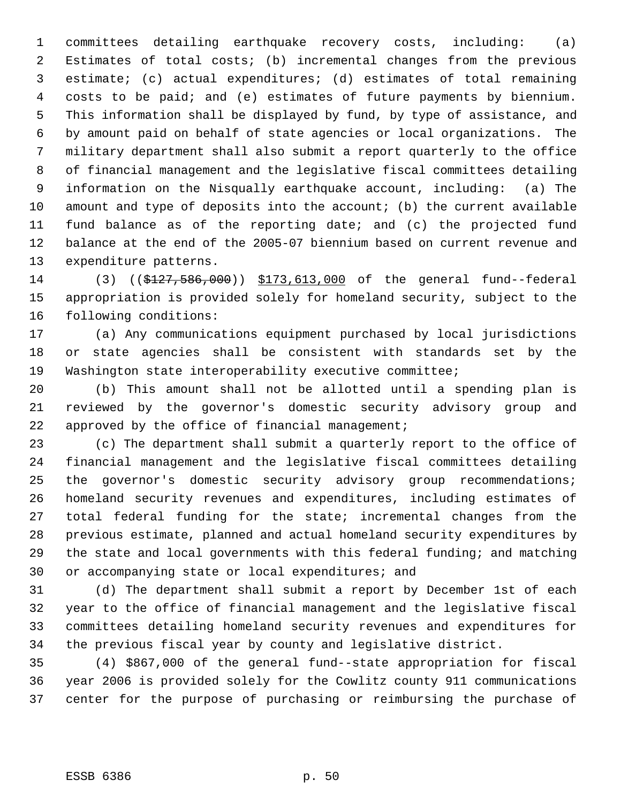committees detailing earthquake recovery costs, including: (a) Estimates of total costs; (b) incremental changes from the previous estimate; (c) actual expenditures; (d) estimates of total remaining costs to be paid; and (e) estimates of future payments by biennium. This information shall be displayed by fund, by type of assistance, and by amount paid on behalf of state agencies or local organizations. The military department shall also submit a report quarterly to the office of financial management and the legislative fiscal committees detailing information on the Nisqually earthquake account, including: (a) The amount and type of deposits into the account; (b) the current available fund balance as of the reporting date; and (c) the projected fund balance at the end of the 2005-07 biennium based on current revenue and expenditure patterns.

 (3) ((\$127,586,000)) \$173,613,000 of the general fund--federal appropriation is provided solely for homeland security, subject to the following conditions:

 (a) Any communications equipment purchased by local jurisdictions or state agencies shall be consistent with standards set by the Washington state interoperability executive committee;

 (b) This amount shall not be allotted until a spending plan is reviewed by the governor's domestic security advisory group and 22 approved by the office of financial management;

 (c) The department shall submit a quarterly report to the office of financial management and the legislative fiscal committees detailing the governor's domestic security advisory group recommendations; homeland security revenues and expenditures, including estimates of total federal funding for the state; incremental changes from the previous estimate, planned and actual homeland security expenditures by the state and local governments with this federal funding; and matching or accompanying state or local expenditures; and

 (d) The department shall submit a report by December 1st of each year to the office of financial management and the legislative fiscal committees detailing homeland security revenues and expenditures for the previous fiscal year by county and legislative district.

 (4) \$867,000 of the general fund--state appropriation for fiscal year 2006 is provided solely for the Cowlitz county 911 communications center for the purpose of purchasing or reimbursing the purchase of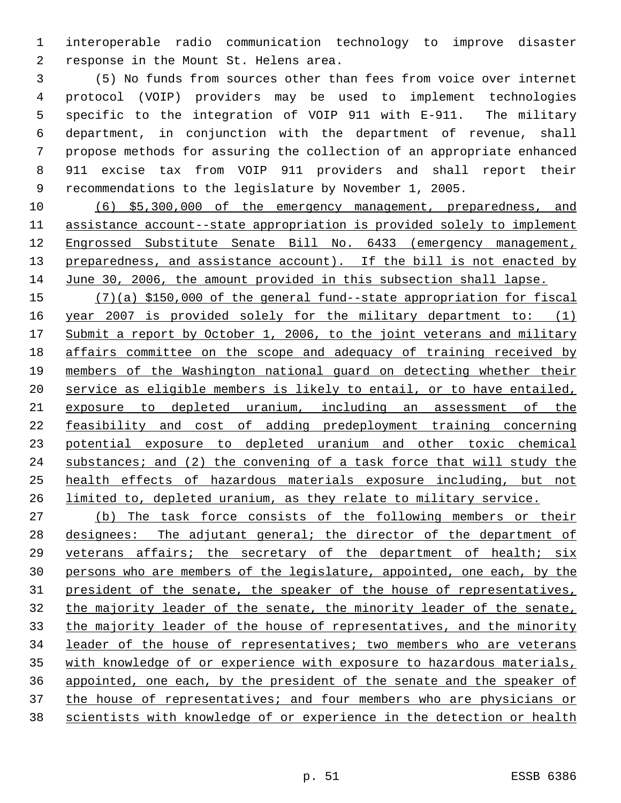interoperable radio communication technology to improve disaster response in the Mount St. Helens area.

 (5) No funds from sources other than fees from voice over internet protocol (VOIP) providers may be used to implement technologies specific to the integration of VOIP 911 with E-911. The military department, in conjunction with the department of revenue, shall propose methods for assuring the collection of an appropriate enhanced 911 excise tax from VOIP 911 providers and shall report their recommendations to the legislature by November 1, 2005.

 (6) \$5,300,000 of the emergency management, preparedness, and assistance account--state appropriation is provided solely to implement Engrossed Substitute Senate Bill No. 6433 (emergency management, 13 preparedness, and assistance account). If the bill is not enacted by June 30, 2006, the amount provided in this subsection shall lapse.

 (7)(a) \$150,000 of the general fund--state appropriation for fiscal 16 year 2007 is provided solely for the military department to: (1) 17 Submit a report by October 1, 2006, to the joint veterans and military affairs committee on the scope and adequacy of training received by members of the Washington national guard on detecting whether their service as eligible members is likely to entail, or to have entailed, exposure to depleted uranium, including an assessment of the feasibility and cost of adding predeployment training concerning potential exposure to depleted uranium and other toxic chemical 24 substances; and (2) the convening of a task force that will study the health effects of hazardous materials exposure including, but not 26 limited to, depleted uranium, as they relate to military service.

 (b) The task force consists of the following members or their designees: The adjutant general; the director of the department of veterans affairs; the secretary of the department of health; six persons who are members of the legislature, appointed, one each, by the 31 president of the senate, the speaker of the house of representatives, the majority leader of the senate, the minority leader of the senate, 33 the majority leader of the house of representatives, and the minority leader of the house of representatives; two members who are veterans with knowledge of or experience with exposure to hazardous materials, appointed, one each, by the president of the senate and the speaker of 37 the house of representatives; and four members who are physicians or scientists with knowledge of or experience in the detection or health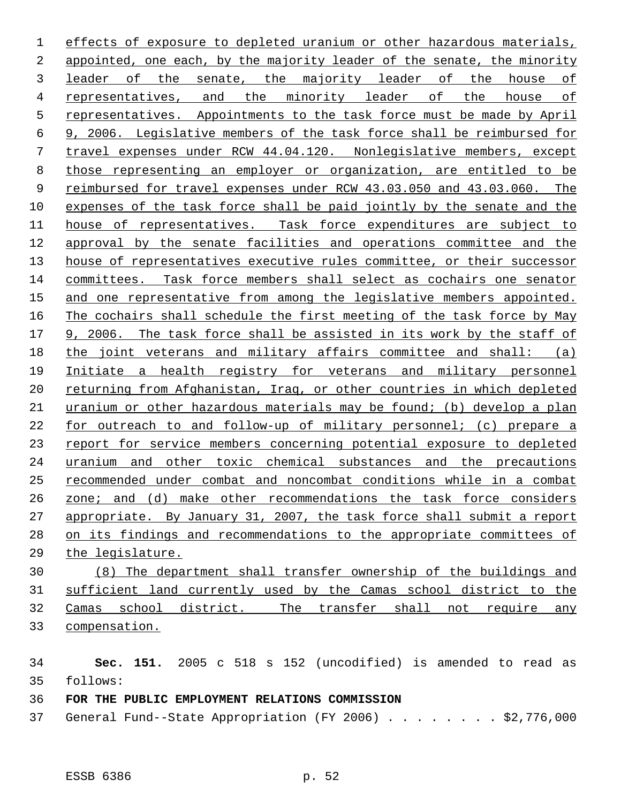effects of exposure to depleted uranium or other hazardous materials, appointed, one each, by the majority leader of the senate, the minority leader of the senate, the majority leader of the house of representatives, and the minority leader of the house of representatives. Appointments to the task force must be made by April 9, 2006. Legislative members of the task force shall be reimbursed for travel expenses under RCW 44.04.120. Nonlegislative members, except those representing an employer or organization, are entitled to be reimbursed for travel expenses under RCW 43.03.050 and 43.03.060. The expenses of the task force shall be paid jointly by the senate and the house of representatives. Task force expenditures are subject to approval by the senate facilities and operations committee and the 13 house of representatives executive rules committee, or their successor committees. Task force members shall select as cochairs one senator and one representative from among the legislative members appointed. The cochairs shall schedule the first meeting of the task force by May 9, 2006. The task force shall be assisted in its work by the staff of the joint veterans and military affairs committee and shall: (a) Initiate a health registry for veterans and military personnel 20 returning from Afghanistan, Iraq, or other countries in which depleted uranium or other hazardous materials may be found; (b) develop a plan for outreach to and follow-up of military personnel; (c) prepare a report for service members concerning potential exposure to depleted uranium and other toxic chemical substances and the precautions recommended under combat and noncombat conditions while in a combat zone; and (d) make other recommendations the task force considers 27 appropriate. By January 31, 2007, the task force shall submit a report on its findings and recommendations to the appropriate committees of the legislature.

 (8) The department shall transfer ownership of the buildings and sufficient land currently used by the Camas school district to the Camas school district. The transfer shall not require any compensation.

 **Sec. 151.** 2005 c 518 s 152 (uncodified) is amended to read as follows:

**FOR THE PUBLIC EMPLOYMENT RELATIONS COMMISSION**

General Fund--State Appropriation (FY 2006) . . . . . . . . \$2,776,000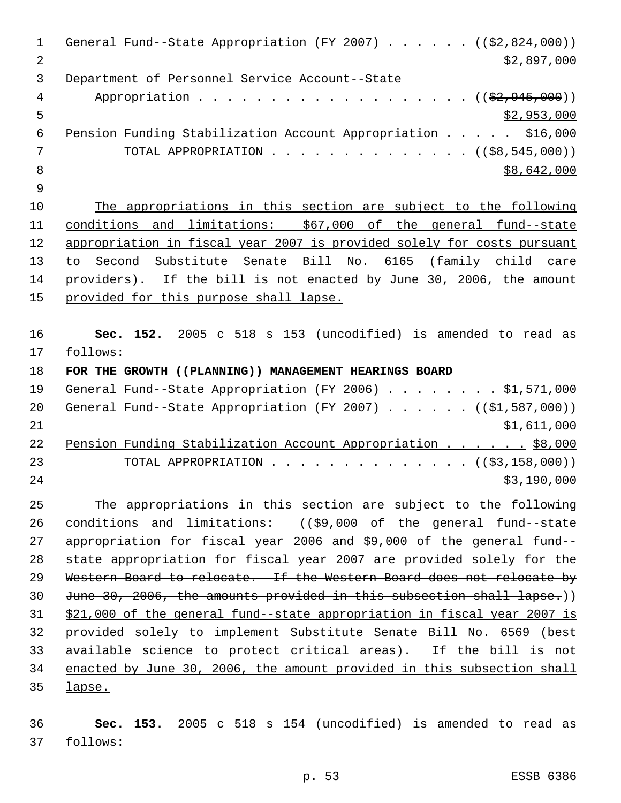1 General Fund--State Appropriation (FY 2007) . . . . . ((\$2,824,000))  $\frac{1}{2}$   $\frac{1}{2}$ ,897,000 Department of Personnel Service Account--State 4 Appropriation . . . . . . . . . . . . . . . . . (  $(\frac{2}{2}, 945, 000)$  )  $5 - 5$  \$2,953,000 6 Pension Funding Stabilization Account Appropriation . . . . \$16,000 7 TOTAL APPROPRIATION . . . . . . . . . . . . . ((<del>\$8,545,000</del>))  $8 \div 8,642,000$  The appropriations in this section are subject to the following conditions and limitations: \$67,000 of the general fund--state appropriation in fiscal year 2007 is provided solely for costs pursuant to Second Substitute Senate Bill No. 6165 (family child care providers). If the bill is not enacted by June 30, 2006, the amount provided for this purpose shall lapse. **Sec. 152.** 2005 c 518 s 153 (uncodified) is amended to read as follows: **FOR THE GROWTH ((PLANNING)) MANAGEMENT HEARINGS BOARD** General Fund--State Appropriation (FY 2006) . . . . . . . . \$1,571,000 20 General Fund--State Appropriation (FY 2007)  $\ldots$  . . . . ((\$1,587,000)) \$1,611,000 22 Pension Funding Stabilization Account Appropriation . . . . . \$8,000 23 TOTAL APPROPRIATION . . . . . . . . . . . . . ((<del>\$3,158,000</del>)) \$3,190,000 The appropriations in this section are subject to the following conditions and limitations: ((\$9,000 of the general fund--state appropriation for fiscal year 2006 and \$9,000 of the general fund-- state appropriation for fiscal year 2007 are provided solely for the Western Board to relocate. If the Western Board does not relocate by 30 June 30, 2006, the amounts provided in this subsection shall lapse.)) \$21,000 of the general fund--state appropriation in fiscal year 2007 is provided solely to implement Substitute Senate Bill No. 6569 (best available science to protect critical areas). If the bill is not enacted by June 30, 2006, the amount provided in this subsection shall lapse.

 **Sec. 153.** 2005 c 518 s 154 (uncodified) is amended to read as follows: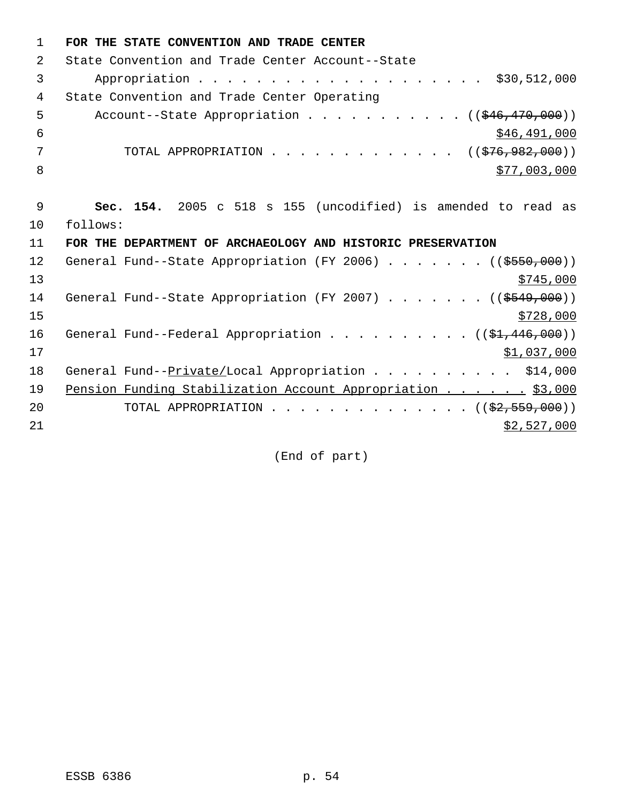| 1  | FOR THE STATE CONVENTION AND TRADE CENTER                             |
|----|-----------------------------------------------------------------------|
| 2  | State Convention and Trade Center Account--State                      |
| 3  | \$30,512,000                                                          |
| 4  | State Convention and Trade Center Operating                           |
| 5  | Account--State Appropriation ( $(\frac{246}{170},000)$ )              |
| 6  | \$46,491,000                                                          |
| 7  | TOTAL APPROPRIATION $\ldots$ , ( $(\frac{1}{576}, \frac{982}{100})$ ) |
| 8  | \$77,003,000                                                          |
|    |                                                                       |
| 9  | Sec. 154. 2005 c 518 s 155 (uncodified) is amended to read as         |
| 10 | follows:                                                              |
| 11 | FOR THE DEPARTMENT OF ARCHAEOLOGY AND HISTORIC PRESERVATION           |
| 12 | General Fund--State Appropriation (FY 2006) ( $(\frac{2550}{100})$ )  |
| 13 | \$745,000                                                             |
| 14 | General Fund--State Appropriation (FY 2007) ( $(\frac{2549}{100})$ )  |
| 15 | \$728,000                                                             |
| 16 | General Fund--Federal Appropriation ( $(\frac{1}{2}, 446, 000)$ )     |
| 17 | \$1,037,000                                                           |
| 18 | General Fund--Private/Local Appropriation \$14,000                    |
| 19 | Pension Funding Stabilization Account Appropriation \$3,000           |
| 20 | TOTAL APPROPRIATION ( $(\frac{2}{2}, 559, 000)$ )                     |
| 21 | \$2,527,000                                                           |
|    |                                                                       |

(End of part)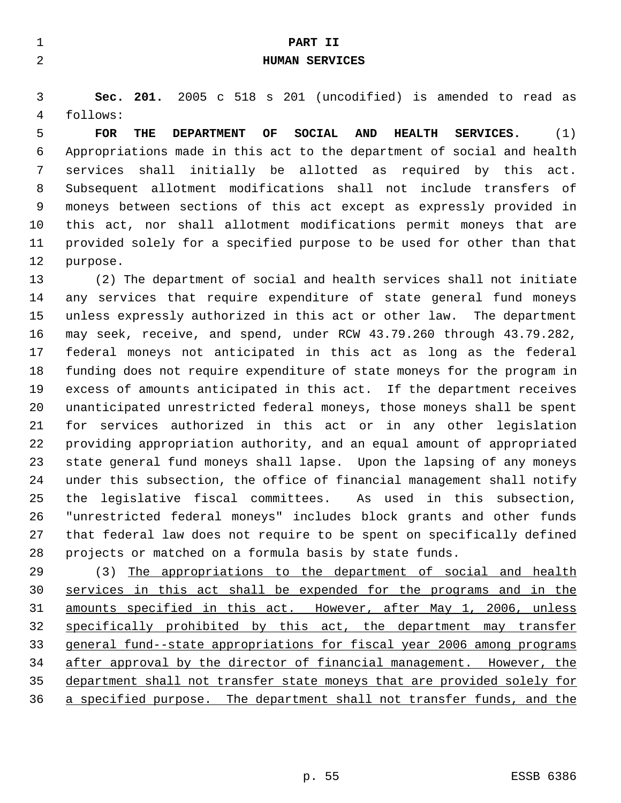|   |            |     |                                                               |    | PART II        |     |               |           |  |  |
|---|------------|-----|---------------------------------------------------------------|----|----------------|-----|---------------|-----------|--|--|
|   |            |     |                                                               |    | HUMAN SERVICES |     |               |           |  |  |
|   |            |     |                                                               |    |                |     |               |           |  |  |
|   |            |     | Sec. 201. 2005 c 518 s 201 (uncodified) is amended to read as |    |                |     |               |           |  |  |
| 4 | follows:   |     |                                                               |    |                |     |               |           |  |  |
| 5 | <b>FOR</b> | THE | <b>DEPARTMENT</b>                                             | OF | SOCIAL         | AND | <b>HEALTH</b> | SERVICES. |  |  |

 Appropriations made in this act to the department of social and health services shall initially be allotted as required by this act. Subsequent allotment modifications shall not include transfers of moneys between sections of this act except as expressly provided in this act, nor shall allotment modifications permit moneys that are provided solely for a specified purpose to be used for other than that purpose.

 (2) The department of social and health services shall not initiate any services that require expenditure of state general fund moneys unless expressly authorized in this act or other law. The department may seek, receive, and spend, under RCW 43.79.260 through 43.79.282, federal moneys not anticipated in this act as long as the federal funding does not require expenditure of state moneys for the program in excess of amounts anticipated in this act. If the department receives unanticipated unrestricted federal moneys, those moneys shall be spent for services authorized in this act or in any other legislation providing appropriation authority, and an equal amount of appropriated state general fund moneys shall lapse. Upon the lapsing of any moneys under this subsection, the office of financial management shall notify the legislative fiscal committees. As used in this subsection, "unrestricted federal moneys" includes block grants and other funds that federal law does not require to be spent on specifically defined projects or matched on a formula basis by state funds.

 (3) The appropriations to the department of social and health services in this act shall be expended for the programs and in the amounts specified in this act. However, after May 1, 2006, unless specifically prohibited by this act, the department may transfer general fund--state appropriations for fiscal year 2006 among programs after approval by the director of financial management. However, the department shall not transfer state moneys that are provided solely for a specified purpose. The department shall not transfer funds, and the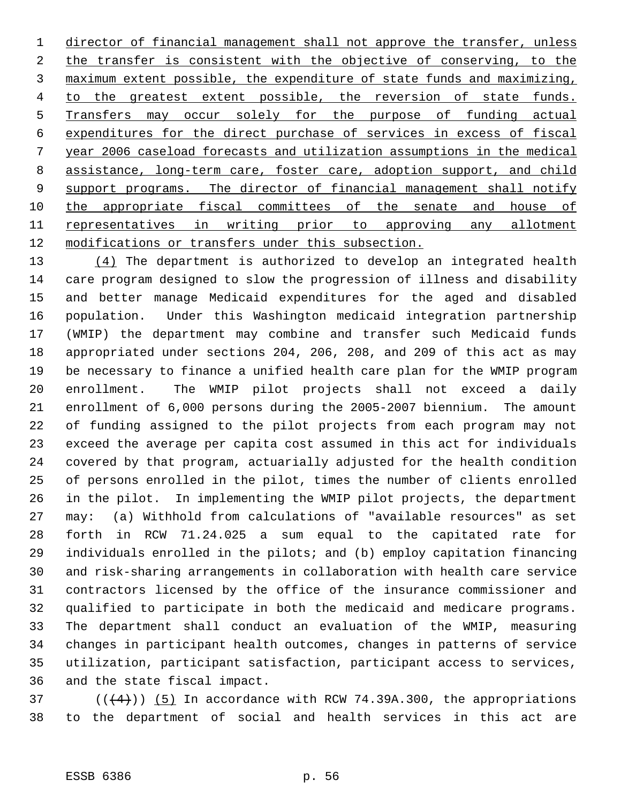1 director of financial management shall not approve the transfer, unless 2 the transfer is consistent with the objective of conserving, to the maximum extent possible, the expenditure of state funds and maximizing, 4 to the greatest extent possible, the reversion of state funds. Transfers may occur solely for the purpose of funding actual expenditures for the direct purchase of services in excess of fiscal year 2006 caseload forecasts and utilization assumptions in the medical assistance, long-term care, foster care, adoption support, and child 9 support programs. The director of financial management shall notify 10 the appropriate fiscal committees of the senate and house of 11 representatives in writing prior to approving any allotment modifications or transfers under this subsection.

13 (4) The department is authorized to develop an integrated health care program designed to slow the progression of illness and disability and better manage Medicaid expenditures for the aged and disabled population. Under this Washington medicaid integration partnership (WMIP) the department may combine and transfer such Medicaid funds appropriated under sections 204, 206, 208, and 209 of this act as may be necessary to finance a unified health care plan for the WMIP program enrollment. The WMIP pilot projects shall not exceed a daily enrollment of 6,000 persons during the 2005-2007 biennium. The amount of funding assigned to the pilot projects from each program may not exceed the average per capita cost assumed in this act for individuals covered by that program, actuarially adjusted for the health condition of persons enrolled in the pilot, times the number of clients enrolled in the pilot. In implementing the WMIP pilot projects, the department may: (a) Withhold from calculations of "available resources" as set forth in RCW 71.24.025 a sum equal to the capitated rate for individuals enrolled in the pilots; and (b) employ capitation financing and risk-sharing arrangements in collaboration with health care service contractors licensed by the office of the insurance commissioner and qualified to participate in both the medicaid and medicare programs. The department shall conduct an evaluation of the WMIP, measuring changes in participant health outcomes, changes in patterns of service utilization, participant satisfaction, participant access to services, and the state fiscal impact.

37  $((4+))$  (5) In accordance with RCW 74.39A.300, the appropriations to the department of social and health services in this act are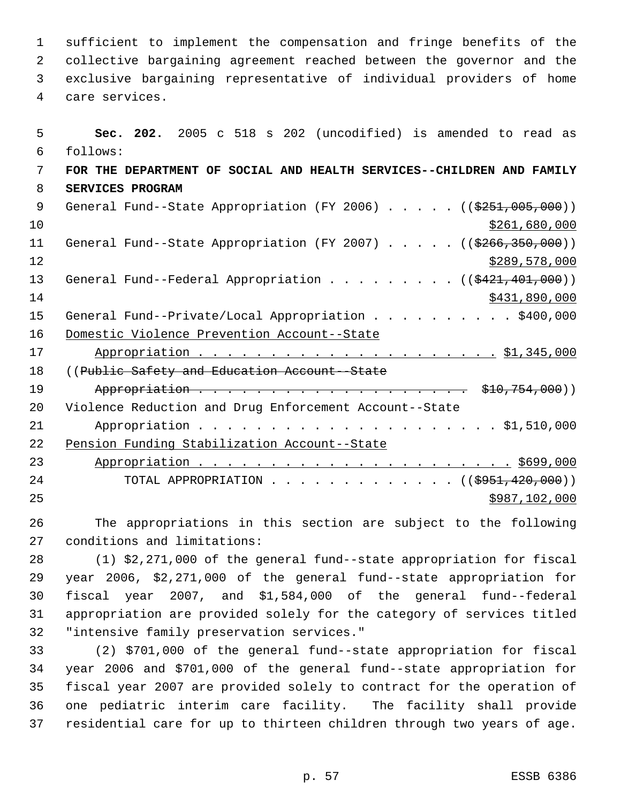sufficient to implement the compensation and fringe benefits of the collective bargaining agreement reached between the governor and the exclusive bargaining representative of individual providers of home care services.

 **Sec. 202.** 2005 c 518 s 202 (uncodified) is amended to read as follows: **FOR THE DEPARTMENT OF SOCIAL AND HEALTH SERVICES--CHILDREN AND FAMILY SERVICES PROGRAM** 9 General Fund--State Appropriation (FY 2006) . . . . . ((\$251,005,000)) \$261,680,000 11 General Fund--State Appropriation (FY 2007) . . . . . ((\$266,350,000)) 12 \$289,578,000 13 General Fund--Federal Appropriation . . . . . . . . . ((\$421,401,000)) \$431,890,000 15 General Fund--Private/Local Appropriation . . . . . . . . . \$400,000 Domestic Violence Prevention Account--State Appropriation . . . . . . . . . . . . . . . . . . . . . \$1,345,000 18 ((Public Safety and Education Account -State 19 Appropriation . . . . . . . . . . . . . . . . . . \$10,754,000)) Violence Reduction and Drug Enforcement Account--State Appropriation . . . . . . . . . . . . . . . . . . . . . \$1,510,000 Pension Funding Stabilization Account--State Appropriation . . . . . . . . . . . . . . . . . . . . . . \$699,000 24 TOTAL APPROPRIATION . . . . . . . . . . . . ((\$951,420,000)) \$987,102,000

 The appropriations in this section are subject to the following conditions and limitations:

 (1) \$2,271,000 of the general fund--state appropriation for fiscal year 2006, \$2,271,000 of the general fund--state appropriation for fiscal year 2007, and \$1,584,000 of the general fund--federal appropriation are provided solely for the category of services titled "intensive family preservation services."

 (2) \$701,000 of the general fund--state appropriation for fiscal year 2006 and \$701,000 of the general fund--state appropriation for fiscal year 2007 are provided solely to contract for the operation of one pediatric interim care facility. The facility shall provide residential care for up to thirteen children through two years of age.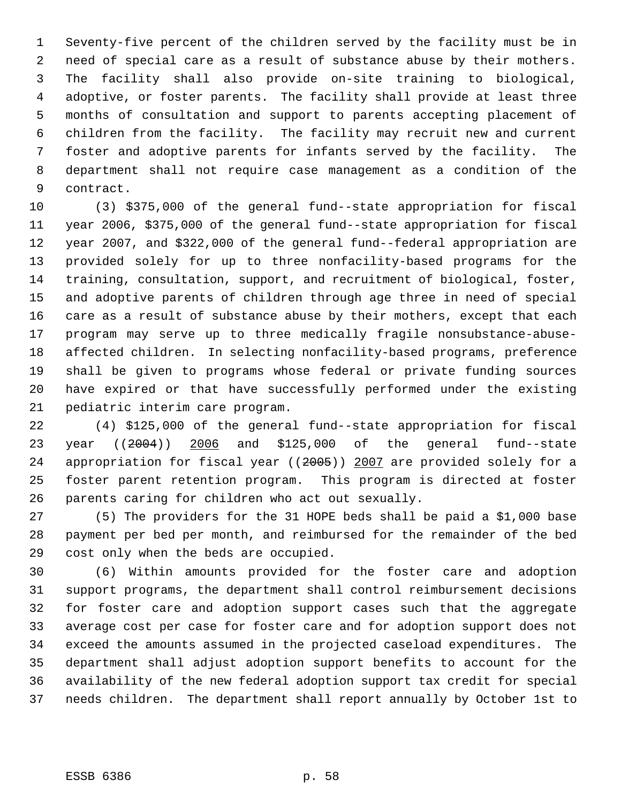Seventy-five percent of the children served by the facility must be in need of special care as a result of substance abuse by their mothers. The facility shall also provide on-site training to biological, adoptive, or foster parents. The facility shall provide at least three months of consultation and support to parents accepting placement of children from the facility. The facility may recruit new and current foster and adoptive parents for infants served by the facility. The department shall not require case management as a condition of the contract.

 (3) \$375,000 of the general fund--state appropriation for fiscal year 2006, \$375,000 of the general fund--state appropriation for fiscal year 2007, and \$322,000 of the general fund--federal appropriation are provided solely for up to three nonfacility-based programs for the training, consultation, support, and recruitment of biological, foster, and adoptive parents of children through age three in need of special care as a result of substance abuse by their mothers, except that each program may serve up to three medically fragile nonsubstance-abuse- affected children. In selecting nonfacility-based programs, preference shall be given to programs whose federal or private funding sources have expired or that have successfully performed under the existing pediatric interim care program.

 (4) \$125,000 of the general fund--state appropriation for fiscal year ((2004)) 2006 and \$125,000 of the general fund--state appropriation for fiscal year ((2005)) 2007 are provided solely for a foster parent retention program. This program is directed at foster parents caring for children who act out sexually.

 (5) The providers for the 31 HOPE beds shall be paid a \$1,000 base payment per bed per month, and reimbursed for the remainder of the bed cost only when the beds are occupied.

 (6) Within amounts provided for the foster care and adoption support programs, the department shall control reimbursement decisions for foster care and adoption support cases such that the aggregate average cost per case for foster care and for adoption support does not exceed the amounts assumed in the projected caseload expenditures. The department shall adjust adoption support benefits to account for the availability of the new federal adoption support tax credit for special needs children. The department shall report annually by October 1st to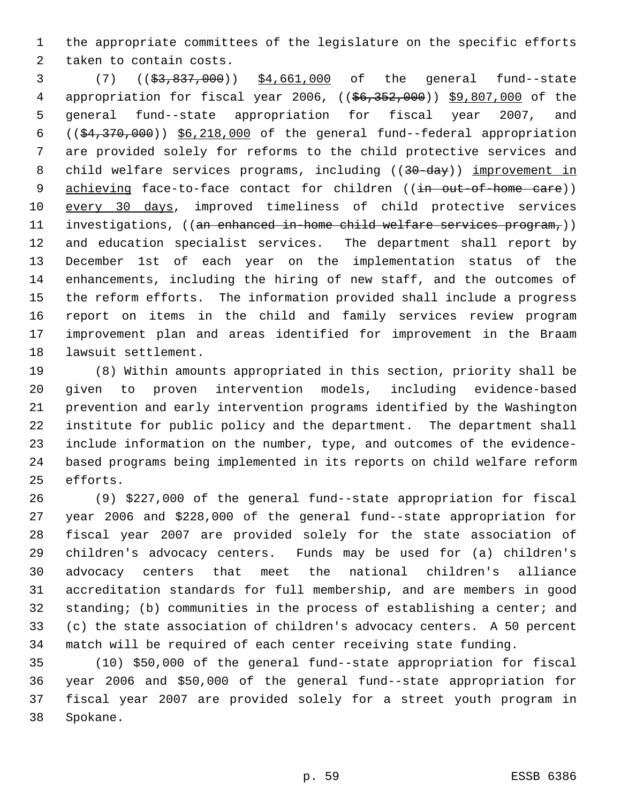the appropriate committees of the legislature on the specific efforts taken to contain costs.

 (7) ((\$3,837,000)) \$4,661,000 of the general fund--state 4 appropriation for fiscal year 2006, ((\$6,352,000)) \$9,807,000 of the general fund--state appropriation for fiscal year 2007, and  $((\frac{24}{370},\frac{370}{100})$   $\frac{26,218,000}{18,000}$  of the general fund--federal appropriation are provided solely for reforms to the child protective services and 8 child welfare services programs, including ((30-day)) improvement in 9 achieving face-to-face contact for children ((in out-of-home care)) every 30 days, improved timeliness of child protective services 11 investigations, ((an enhanced in-home child welfare services program,)) and education specialist services. The department shall report by December 1st of each year on the implementation status of the enhancements, including the hiring of new staff, and the outcomes of the reform efforts. The information provided shall include a progress report on items in the child and family services review program improvement plan and areas identified for improvement in the Braam lawsuit settlement.

 (8) Within amounts appropriated in this section, priority shall be given to proven intervention models, including evidence-based prevention and early intervention programs identified by the Washington institute for public policy and the department. The department shall include information on the number, type, and outcomes of the evidence- based programs being implemented in its reports on child welfare reform efforts.

 (9) \$227,000 of the general fund--state appropriation for fiscal year 2006 and \$228,000 of the general fund--state appropriation for fiscal year 2007 are provided solely for the state association of children's advocacy centers. Funds may be used for (a) children's advocacy centers that meet the national children's alliance accreditation standards for full membership, and are members in good standing; (b) communities in the process of establishing a center; and (c) the state association of children's advocacy centers. A 50 percent match will be required of each center receiving state funding.

 (10) \$50,000 of the general fund--state appropriation for fiscal year 2006 and \$50,000 of the general fund--state appropriation for fiscal year 2007 are provided solely for a street youth program in Spokane.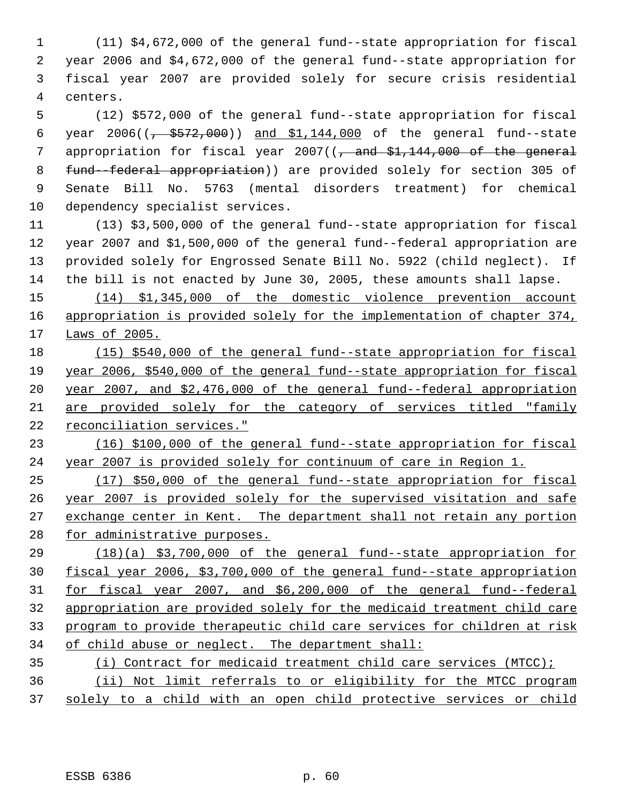(11) \$4,672,000 of the general fund--state appropriation for fiscal year 2006 and \$4,672,000 of the general fund--state appropriation for fiscal year 2007 are provided solely for secure crisis residential centers.

 (12) \$572,000 of the general fund--state appropriation for fiscal 6 year  $2006((\frac{1}{6} + \frac{2572}{600}))$  and  $\frac{1144,000}{600}$  of the general fund--state 7 appropriation for fiscal year 2007((, and \$1,144,000 of the general fund--federal appropriation)) are provided solely for section 305 of Senate Bill No. 5763 (mental disorders treatment) for chemical dependency specialist services.

 (13) \$3,500,000 of the general fund--state appropriation for fiscal year 2007 and \$1,500,000 of the general fund--federal appropriation are provided solely for Engrossed Senate Bill No. 5922 (child neglect). If the bill is not enacted by June 30, 2005, these amounts shall lapse.

 (14) \$1,345,000 of the domestic violence prevention account 16 appropriation is provided solely for the implementation of chapter 374, Laws of 2005.

 (15) \$540,000 of the general fund--state appropriation for fiscal year 2006, \$540,000 of the general fund--state appropriation for fiscal year 2007, and \$2,476,000 of the general fund--federal appropriation are provided solely for the category of services titled "family reconciliation services."

 (16) \$100,000 of the general fund--state appropriation for fiscal year 2007 is provided solely for continuum of care in Region 1.

 (17) \$50,000 of the general fund--state appropriation for fiscal year 2007 is provided solely for the supervised visitation and safe 27 exchange center in Kent. The department shall not retain any portion 28 for administrative purposes.

 (18)(a) \$3,700,000 of the general fund--state appropriation for fiscal year 2006, \$3,700,000 of the general fund--state appropriation for fiscal year 2007, and \$6,200,000 of the general fund--federal appropriation are provided solely for the medicaid treatment child care program to provide therapeutic child care services for children at risk of child abuse or neglect. The department shall:

 (i) Contract for medicaid treatment child care services (MTCC); (ii) Not limit referrals to or eligibility for the MTCC program solely to a child with an open child protective services or child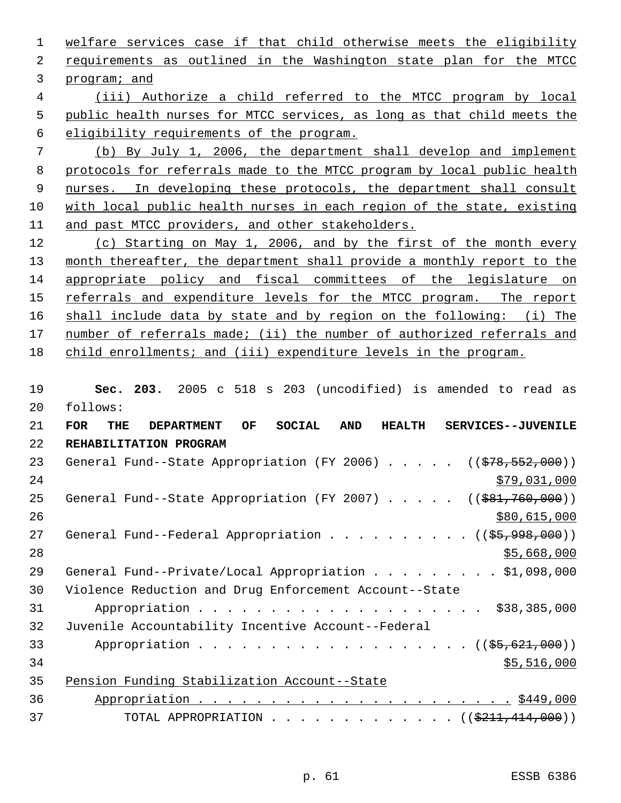1 welfare services case if that child otherwise meets the eligibility requirements as outlined in the Washington state plan for the MTCC program; and

 (iii) Authorize a child referred to the MTCC program by local public health nurses for MTCC services, as long as that child meets the eligibility requirements of the program.

 (b) By July 1, 2006, the department shall develop and implement protocols for referrals made to the MTCC program by local public health 9 nurses. In developing these protocols, the department shall consult with local public health nurses in each region of the state, existing and past MTCC providers, and other stakeholders.

 (c) Starting on May 1, 2006, and by the first of the month every 13 month thereafter, the department shall provide a monthly report to the appropriate policy and fiscal committees of the legislature on 15 referrals and expenditure levels for the MTCC program. The report shall include data by state and by region on the following: (i) The number of referrals made; (ii) the number of authorized referrals and child enrollments; and (iii) expenditure levels in the program.

 **Sec. 203.** 2005 c 518 s 203 (uncodified) is amended to read as follows:

| 21 | <b>FOR</b><br>OF<br><b>SOCIAL</b><br><b>AND</b><br><b>THE</b><br><b>DEPARTMENT</b><br><b>HEALTH</b><br>SERVICES--JUVENILE |
|----|---------------------------------------------------------------------------------------------------------------------------|
| 22 | REHABILITATION PROGRAM                                                                                                    |
| 23 | General Fund--State Appropriation (FY 2006) $($ $($ $\frac{278}{552},000)$ )                                              |
| 24 | \$79,031,000                                                                                                              |
| 25 | General Fund--State Appropriation (FY 2007) $($ $($ $\frac{691}{760}$ , 000))                                             |
| 26 | \$80,615,000                                                                                                              |
| 27 | General Fund--Federal Appropriation $($ $($ \$5,998,000) $)$                                                              |
| 28 | \$5,668,000                                                                                                               |
| 29 | General Fund--Private/Local Appropriation \$1,098,000                                                                     |
| 30 | Violence Reduction and Drug Enforcement Account--State                                                                    |
| 31 | \$38,385,000                                                                                                              |
| 32 | Juvenile Accountability Incentive Account--Federal                                                                        |
| 33 | Appropriation ((\$5,621,000))                                                                                             |
| 34 | \$5,516,000                                                                                                               |
| 35 | Pension Funding Stabilization Account--State                                                                              |
| 36 |                                                                                                                           |
| 37 | TOTAL APPROPRIATION ( $(\frac{211}{414}, 000)$ )                                                                          |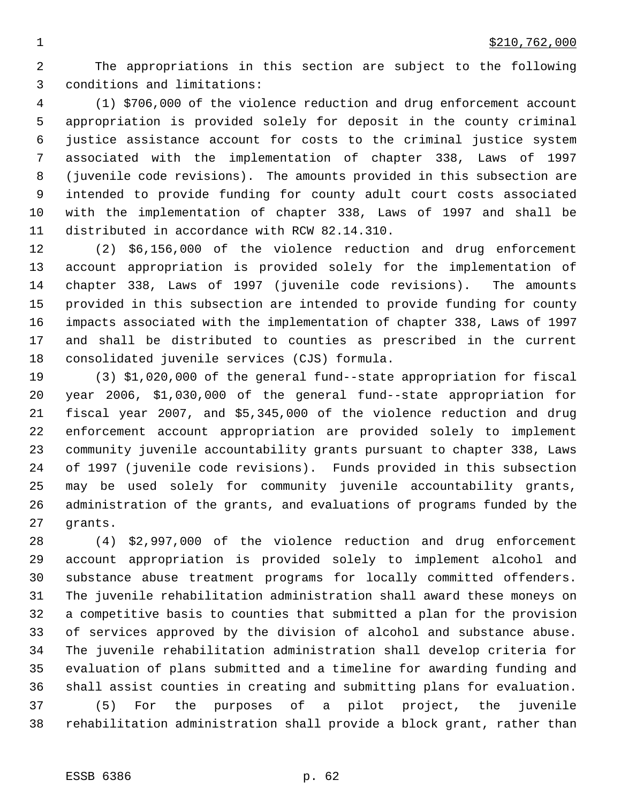The appropriations in this section are subject to the following conditions and limitations:

 (1) \$706,000 of the violence reduction and drug enforcement account appropriation is provided solely for deposit in the county criminal justice assistance account for costs to the criminal justice system associated with the implementation of chapter 338, Laws of 1997 (juvenile code revisions). The amounts provided in this subsection are intended to provide funding for county adult court costs associated with the implementation of chapter 338, Laws of 1997 and shall be distributed in accordance with RCW 82.14.310.

 (2) \$6,156,000 of the violence reduction and drug enforcement account appropriation is provided solely for the implementation of chapter 338, Laws of 1997 (juvenile code revisions). The amounts provided in this subsection are intended to provide funding for county impacts associated with the implementation of chapter 338, Laws of 1997 and shall be distributed to counties as prescribed in the current consolidated juvenile services (CJS) formula.

 (3) \$1,020,000 of the general fund--state appropriation for fiscal year 2006, \$1,030,000 of the general fund--state appropriation for fiscal year 2007, and \$5,345,000 of the violence reduction and drug enforcement account appropriation are provided solely to implement community juvenile accountability grants pursuant to chapter 338, Laws of 1997 (juvenile code revisions). Funds provided in this subsection may be used solely for community juvenile accountability grants, administration of the grants, and evaluations of programs funded by the grants.

 (4) \$2,997,000 of the violence reduction and drug enforcement account appropriation is provided solely to implement alcohol and substance abuse treatment programs for locally committed offenders. The juvenile rehabilitation administration shall award these moneys on a competitive basis to counties that submitted a plan for the provision of services approved by the division of alcohol and substance abuse. The juvenile rehabilitation administration shall develop criteria for evaluation of plans submitted and a timeline for awarding funding and shall assist counties in creating and submitting plans for evaluation. (5) For the purposes of a pilot project, the juvenile rehabilitation administration shall provide a block grant, rather than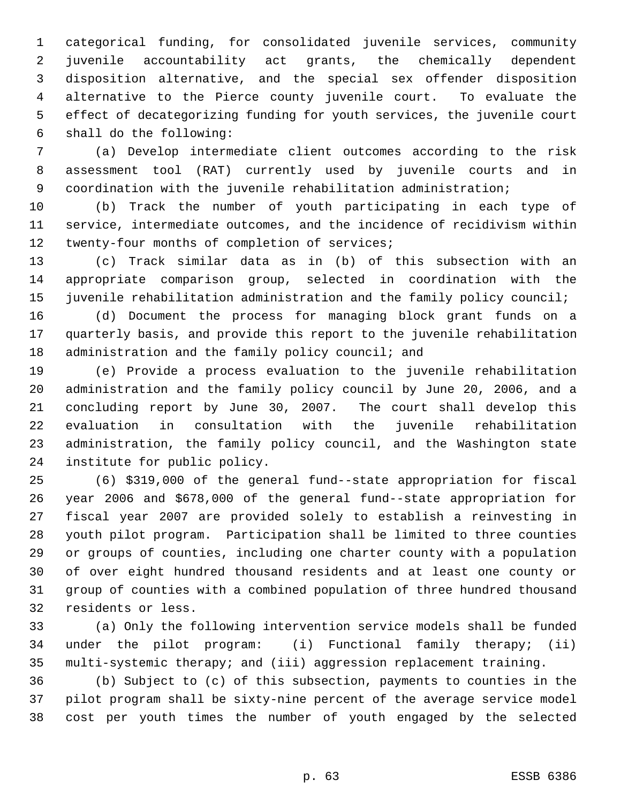categorical funding, for consolidated juvenile services, community juvenile accountability act grants, the chemically dependent disposition alternative, and the special sex offender disposition alternative to the Pierce county juvenile court. To evaluate the effect of decategorizing funding for youth services, the juvenile court shall do the following:

 (a) Develop intermediate client outcomes according to the risk assessment tool (RAT) currently used by juvenile courts and in coordination with the juvenile rehabilitation administration;

 (b) Track the number of youth participating in each type of service, intermediate outcomes, and the incidence of recidivism within 12 twenty-four months of completion of services;

 (c) Track similar data as in (b) of this subsection with an appropriate comparison group, selected in coordination with the juvenile rehabilitation administration and the family policy council;

 (d) Document the process for managing block grant funds on a quarterly basis, and provide this report to the juvenile rehabilitation 18 administration and the family policy council; and

 (e) Provide a process evaluation to the juvenile rehabilitation administration and the family policy council by June 20, 2006, and a concluding report by June 30, 2007. The court shall develop this evaluation in consultation with the juvenile rehabilitation administration, the family policy council, and the Washington state institute for public policy.

 (6) \$319,000 of the general fund--state appropriation for fiscal year 2006 and \$678,000 of the general fund--state appropriation for fiscal year 2007 are provided solely to establish a reinvesting in youth pilot program. Participation shall be limited to three counties or groups of counties, including one charter county with a population of over eight hundred thousand residents and at least one county or group of counties with a combined population of three hundred thousand residents or less.

 (a) Only the following intervention service models shall be funded under the pilot program: (i) Functional family therapy; (ii) multi-systemic therapy; and (iii) aggression replacement training.

 (b) Subject to (c) of this subsection, payments to counties in the pilot program shall be sixty-nine percent of the average service model cost per youth times the number of youth engaged by the selected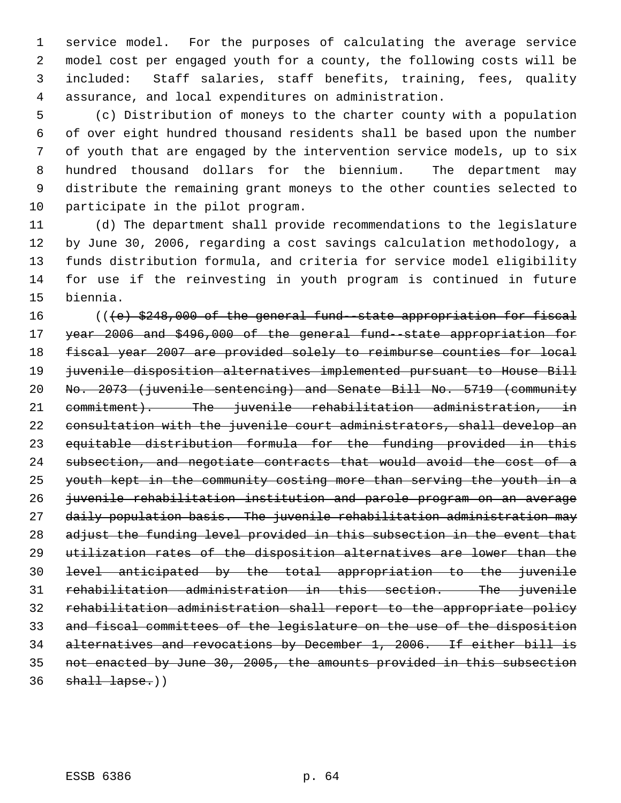service model. For the purposes of calculating the average service model cost per engaged youth for a county, the following costs will be included: Staff salaries, staff benefits, training, fees, quality assurance, and local expenditures on administration.

 (c) Distribution of moneys to the charter county with a population of over eight hundred thousand residents shall be based upon the number of youth that are engaged by the intervention service models, up to six hundred thousand dollars for the biennium. The department may distribute the remaining grant moneys to the other counties selected to participate in the pilot program.

 (d) The department shall provide recommendations to the legislature by June 30, 2006, regarding a cost savings calculation methodology, a funds distribution formula, and criteria for service model eligibility for use if the reinvesting in youth program is continued in future biennia.

 $($   $($   $\{$   $\epsilon$  $)$   $\frac{248}{900}$  of the general fund-state appropriation for fiscal year 2006 and \$496,000 of the general fund--state appropriation for fiscal year 2007 are provided solely to reimburse counties for local juvenile disposition alternatives implemented pursuant to House Bill No. 2073 (juvenile sentencing) and Senate Bill No. 5719 (community 21 commitment). The juvenile rehabilitation administration, in consultation with the juvenile court administrators, shall develop an equitable distribution formula for the funding provided in this subsection, and negotiate contracts that would avoid the cost of a youth kept in the community costing more than serving the youth in a juvenile rehabilitation institution and parole program on an average daily population basis. The juvenile rehabilitation administration may 28 adjust the funding level provided in this subsection in the event that utilization rates of the disposition alternatives are lower than the level anticipated by the total appropriation to the juvenile rehabilitation administration in this section. The juvenile rehabilitation administration shall report to the appropriate policy and fiscal committees of the legislature on the use of the disposition alternatives and revocations by December 1, 2006. If either bill is not enacted by June 30, 2005, the amounts provided in this subsection shall lapse.))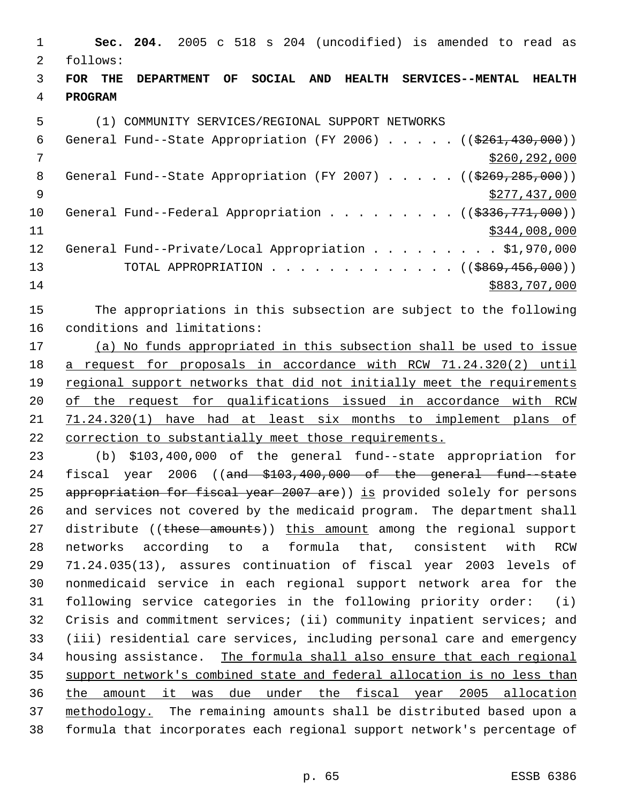**Sec. 204.** 2005 c 518 s 204 (uncodified) is amended to read as follows: **FOR THE DEPARTMENT OF SOCIAL AND HEALTH SERVICES--MENTAL HEALTH PROGRAM** (1) COMMUNITY SERVICES/REGIONAL SUPPORT NETWORKS 6 General Fund--State Appropriation (FY 2006)  $\ldots$  . . . (( $$261,430,000$ )) \$260,292,000 8 General Fund--State Appropriation (FY 2007) . . . . . ((\$269,285,000)) \$277,437,000 10 General Fund--Federal Appropriation . . . . . . . . ((\$336,771,000)) \$344,008,000 12 General Fund--Private/Local Appropriation . . . . . . . . \$1,970,000 13 TOTAL APPROPRIATION . . . . . . . . . . . . . ((\$869,456,000)) \$883,707,000 The appropriations in this subsection are subject to the following conditions and limitations: (a) No funds appropriated in this subsection shall be used to issue a request for proposals in accordance with RCW 71.24.320(2) until 19 regional support networks that did not initially meet the requirements of the request for qualifications issued in accordance with RCW 71.24.320(1) have had at least six months to implement plans of correction to substantially meet those requirements. (b) \$103,400,000 of the general fund--state appropriation for 24 fiscal year 2006 ((and \$103,400,000 of the general fund-state 25 appropriation for fiscal year 2007 are)) is provided solely for persons and services not covered by the medicaid program. The department shall 27 distribute ((these amounts)) this amount among the regional support networks according to a formula that, consistent with RCW 71.24.035(13), assures continuation of fiscal year 2003 levels of nonmedicaid service in each regional support network area for the following service categories in the following priority order: (i) Crisis and commitment services; (ii) community inpatient services; and (iii) residential care services, including personal care and emergency housing assistance. The formula shall also ensure that each regional support network's combined state and federal allocation is no less than the amount it was due under the fiscal year 2005 allocation methodology. The remaining amounts shall be distributed based upon a

formula that incorporates each regional support network's percentage of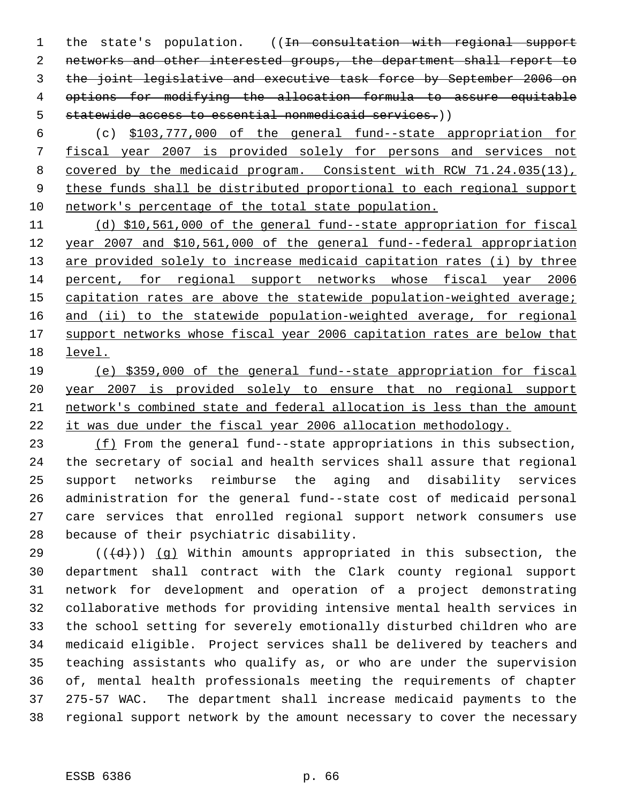1 the state's population. ((In consultation with regional support networks and other interested groups, the department shall report to the joint legislative and executive task force by September 2006 on options for modifying the allocation formula to assure equitable statewide access to essential nonmedicaid services.))

 (c) \$103,777,000 of the general fund--state appropriation for fiscal year 2007 is provided solely for persons and services not covered by the medicaid program. Consistent with RCW 71.24.035(13), these funds shall be distributed proportional to each regional support network's percentage of the total state population.

 (d) \$10,561,000 of the general fund--state appropriation for fiscal year 2007 and \$10,561,000 of the general fund--federal appropriation 13 are provided solely to increase medicaid capitation rates (i) by three percent, for regional support networks whose fiscal year 2006 15 capitation rates are above the statewide population-weighted average; 16 and (ii) to the statewide population-weighted average, for regional 17 support networks whose fiscal year 2006 capitation rates are below that level.

 (e) \$359,000 of the general fund--state appropriation for fiscal year 2007 is provided solely to ensure that no regional support network's combined state and federal allocation is less than the amount it was due under the fiscal year 2006 allocation methodology.

23 (f) From the general fund--state appropriations in this subsection, the secretary of social and health services shall assure that regional support networks reimburse the aging and disability services administration for the general fund--state cost of medicaid personal care services that enrolled regional support network consumers use because of their psychiatric disability.

29 ( $(\overline{\{d\}})$ ) (q) Within amounts appropriated in this subsection, the department shall contract with the Clark county regional support network for development and operation of a project demonstrating collaborative methods for providing intensive mental health services in the school setting for severely emotionally disturbed children who are medicaid eligible. Project services shall be delivered by teachers and teaching assistants who qualify as, or who are under the supervision of, mental health professionals meeting the requirements of chapter 275-57 WAC. The department shall increase medicaid payments to the regional support network by the amount necessary to cover the necessary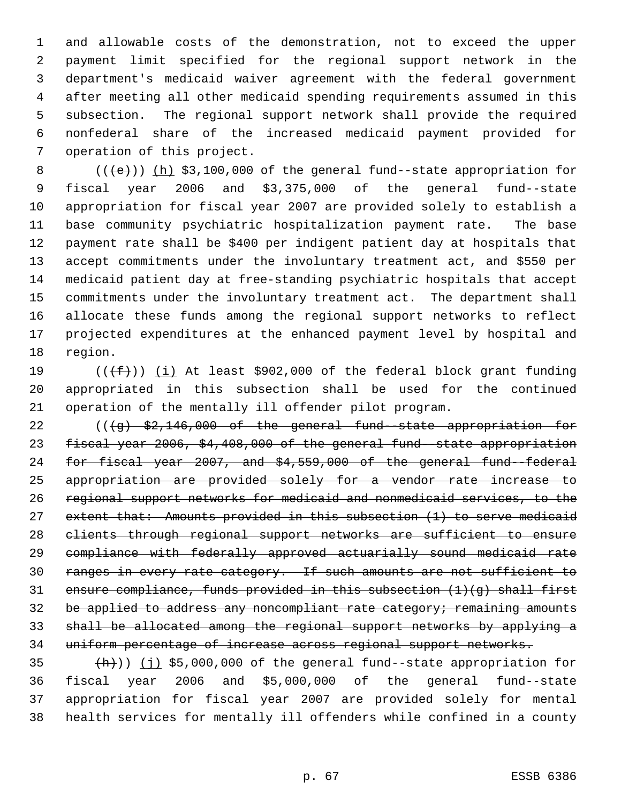and allowable costs of the demonstration, not to exceed the upper payment limit specified for the regional support network in the department's medicaid waiver agreement with the federal government after meeting all other medicaid spending requirements assumed in this subsection. The regional support network shall provide the required nonfederal share of the increased medicaid payment provided for operation of this project.

 $((+e))$   $(h)$  \$3,100,000 of the general fund--state appropriation for fiscal year 2006 and \$3,375,000 of the general fund--state appropriation for fiscal year 2007 are provided solely to establish a base community psychiatric hospitalization payment rate. The base payment rate shall be \$400 per indigent patient day at hospitals that accept commitments under the involuntary treatment act, and \$550 per medicaid patient day at free-standing psychiatric hospitals that accept commitments under the involuntary treatment act. The department shall allocate these funds among the regional support networks to reflect projected expenditures at the enhanced payment level by hospital and region.

19  $((\text{+f}))(\text{i})$  At least \$902,000 of the federal block grant funding appropriated in this subsection shall be used for the continued operation of the mentally ill offender pilot program.

22 (((g) \$2,146,000 of the general fund-state appropriation for fiscal year 2006, \$4,408,000 of the general fund--state appropriation for fiscal year 2007, and \$4,559,000 of the general fund--federal appropriation are provided solely for a vendor rate increase to regional support networks for medicaid and nonmedicaid services, to the extent that: Amounts provided in this subsection (1) to serve medicaid clients through regional support networks are sufficient to ensure compliance with federally approved actuarially sound medicaid rate ranges in every rate category. If such amounts are not sufficient to ensure compliance, funds provided in this subsection (1)(g) shall first 32 be applied to address any noncompliant rate category; remaining amounts shall be allocated among the regional support networks by applying a uniform percentage of increase across regional support networks.

 $(\frac{h}{h})$ ) (j) \$5,000,000 of the general fund--state appropriation for fiscal year 2006 and \$5,000,000 of the general fund--state appropriation for fiscal year 2007 are provided solely for mental health services for mentally ill offenders while confined in a county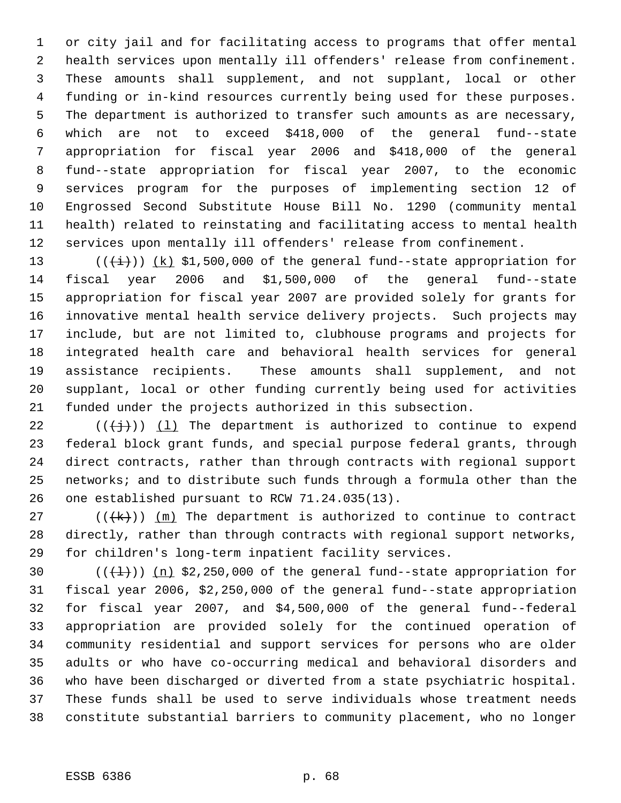or city jail and for facilitating access to programs that offer mental health services upon mentally ill offenders' release from confinement. These amounts shall supplement, and not supplant, local or other funding or in-kind resources currently being used for these purposes. The department is authorized to transfer such amounts as are necessary, which are not to exceed \$418,000 of the general fund--state appropriation for fiscal year 2006 and \$418,000 of the general fund--state appropriation for fiscal year 2007, to the economic services program for the purposes of implementing section 12 of Engrossed Second Substitute House Bill No. 1290 (community mental health) related to reinstating and facilitating access to mental health services upon mentally ill offenders' release from confinement.

 $((\overleftrightarrow{t}))$   $(k)$  \$1,500,000 of the general fund--state appropriation for fiscal year 2006 and \$1,500,000 of the general fund--state appropriation for fiscal year 2007 are provided solely for grants for innovative mental health service delivery projects. Such projects may include, but are not limited to, clubhouse programs and projects for integrated health care and behavioral health services for general assistance recipients. These amounts shall supplement, and not supplant, local or other funding currently being used for activities funded under the projects authorized in this subsection.

22 ( $(\frac{1}{1})$ ) (1) The department is authorized to continue to expend federal block grant funds, and special purpose federal grants, through direct contracts, rather than through contracts with regional support networks; and to distribute such funds through a formula other than the one established pursuant to RCW 71.24.035(13).

27 ( $(\frac{1}{k})$ )  $\frac{m}{k}$  The department is authorized to continue to contract directly, rather than through contracts with regional support networks, for children's long-term inpatient facility services.

 $((+1))$   $(n)$  \$2,250,000 of the general fund--state appropriation for fiscal year 2006, \$2,250,000 of the general fund--state appropriation for fiscal year 2007, and \$4,500,000 of the general fund--federal appropriation are provided solely for the continued operation of community residential and support services for persons who are older adults or who have co-occurring medical and behavioral disorders and who have been discharged or diverted from a state psychiatric hospital. These funds shall be used to serve individuals whose treatment needs constitute substantial barriers to community placement, who no longer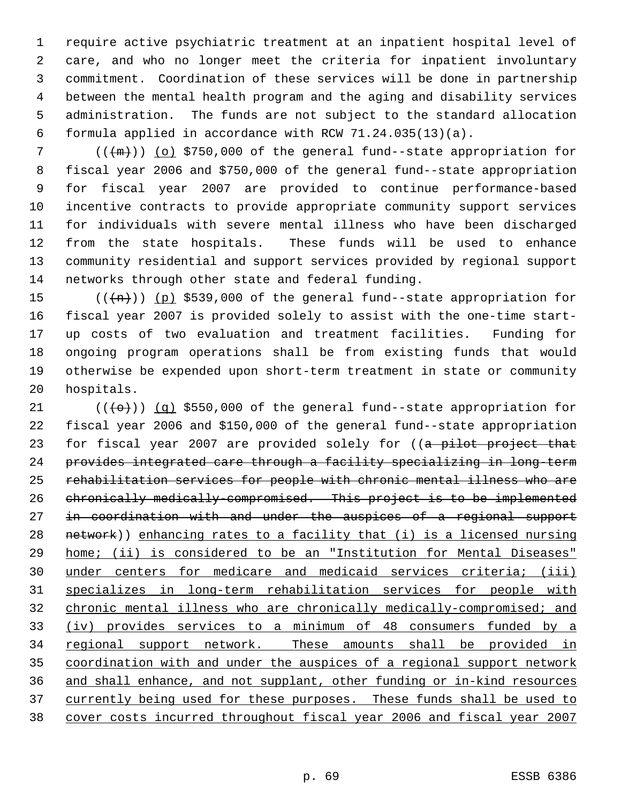require active psychiatric treatment at an inpatient hospital level of care, and who no longer meet the criteria for inpatient involuntary commitment. Coordination of these services will be done in partnership between the mental health program and the aging and disability services administration. The funds are not subject to the standard allocation formula applied in accordance with RCW 71.24.035(13)(a).

 $((+m))$  (o) \$750,000 of the general fund--state appropriation for fiscal year 2006 and \$750,000 of the general fund--state appropriation for fiscal year 2007 are provided to continue performance-based incentive contracts to provide appropriate community support services for individuals with severe mental illness who have been discharged from the state hospitals. These funds will be used to enhance community residential and support services provided by regional support networks through other state and federal funding.

 $((+n))$  (p) \$539,000 of the general fund--state appropriation for fiscal year 2007 is provided solely to assist with the one-time start- up costs of two evaluation and treatment facilities. Funding for ongoing program operations shall be from existing funds that would otherwise be expended upon short-term treatment in state or community hospitals.

 $((+e)^{\cdot})$  (q) \$550,000 of the general fund--state appropriation for fiscal year 2006 and \$150,000 of the general fund--state appropriation 23 for fiscal year 2007 are provided solely for ((a pilot project that provides integrated care through a facility specializing in long-term rehabilitation services for people with chronic mental illness who are chronically medically-compromised. This project is to be implemented 27 in coordination with and under the auspices of a regional support network)) enhancing rates to a facility that (i) is a licensed nursing home; (ii) is considered to be an "Institution for Mental Diseases" under centers for medicare and medicaid services criteria; (iii) specializes in long-term rehabilitation services for people with chronic mental illness who are chronically medically-compromised; and (iv) provides services to a minimum of 48 consumers funded by a 34 regional support network. These amounts shall be provided in coordination with and under the auspices of a regional support network and shall enhance, and not supplant, other funding or in-kind resources 37 currently being used for these purposes. These funds shall be used to cover costs incurred throughout fiscal year 2006 and fiscal year 2007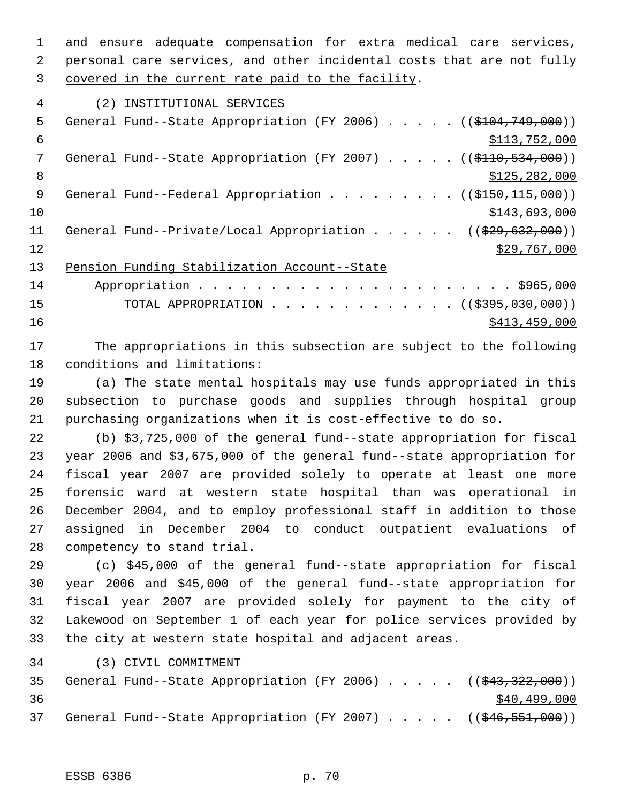1 and ensure adequate compensation for extra medical care services,

2 personal care services, and other incidental costs that are not fully covered in the current rate paid to the facility.

(2) INSTITUTIONAL SERVICES

| 5  | General Fund--State Appropriation (FY 2006) $($ (\$104,749,000))          |
|----|---------------------------------------------------------------------------|
| 6  | \$113,752,000                                                             |
|    | General Fund--State Appropriation (FY 2007) $($ $($ \$110,534,000))       |
| 8  | \$125, 282, 000                                                           |
| -9 | General Fund--Federal Appropriation ( $(\frac{2150}{115}, 000)$ )         |
| 10 | \$143,693,000                                                             |
| 11 | General Fund--Private/Local Appropriation ( $(\frac{29}{29}, 632, 000)$ ) |
| 12 | \$29,767,000                                                              |
| 13 | Pension Funding Stabilization Account--State                              |

 Appropriation . . . . . . . . . . . . . . . . . . . . . . \$965,000 15 TOTAL APPROPRIATION . . . . . . . . . . . . ((\$395,030,000))  $\frac{$413,459,000}{2}$ 

 The appropriations in this subsection are subject to the following conditions and limitations:

 (a) The state mental hospitals may use funds appropriated in this subsection to purchase goods and supplies through hospital group purchasing organizations when it is cost-effective to do so.

 (b) \$3,725,000 of the general fund--state appropriation for fiscal year 2006 and \$3,675,000 of the general fund--state appropriation for fiscal year 2007 are provided solely to operate at least one more forensic ward at western state hospital than was operational in December 2004, and to employ professional staff in addition to those assigned in December 2004 to conduct outpatient evaluations of competency to stand trial.

 (c) \$45,000 of the general fund--state appropriation for fiscal year 2006 and \$45,000 of the general fund--state appropriation for fiscal year 2007 are provided solely for payment to the city of Lakewood on September 1 of each year for police services provided by the city at western state hospital and adjacent areas.

(3) CIVIL COMMITMENT

|    |  |  |  |  |  | 35 General Fund--State Appropriation (FY 2006) ((\$43,322,000)) |
|----|--|--|--|--|--|-----------------------------------------------------------------|
| 36 |  |  |  |  |  | \$40,499,000                                                    |
|    |  |  |  |  |  | 37 General Fund--State Appropriation (FY 2007) ((\$46,551,000)) |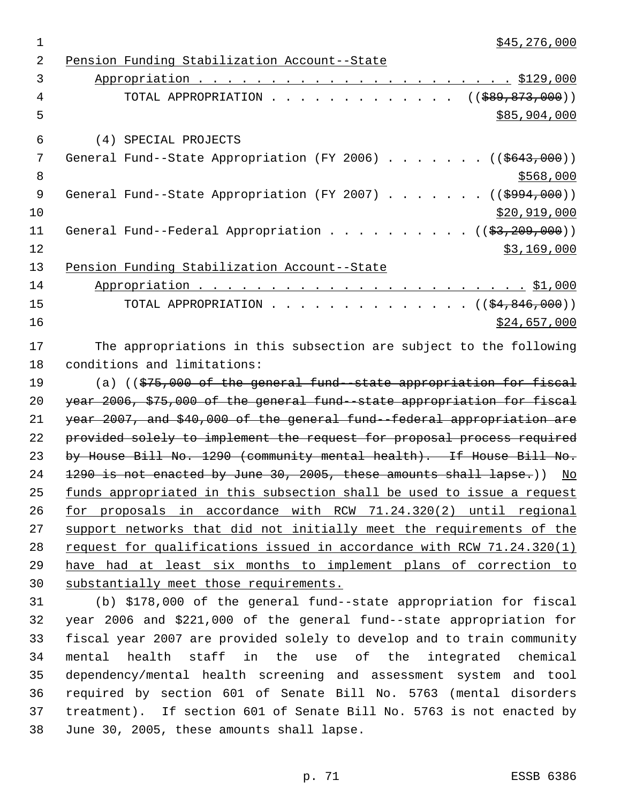| \$45,276,000<br>$\mathbf 1$                                                             |
|-----------------------------------------------------------------------------------------|
| $\overline{2}$<br>Pension Funding Stabilization Account--State                          |
| 3                                                                                       |
| TOTAL APPROPRIATION ( $(\frac{289}{589}, \frac{873}{600})$ )<br>4                       |
| 5<br>\$85,904,000                                                                       |
| 6<br>(4) SPECIAL PROJECTS                                                               |
| 7<br>General Fund--State Appropriation (FY 2006) ( $(\frac{2643,000}{1})$               |
| 8<br>\$568,000                                                                          |
| $\mathsf 9$<br>General Fund--State Appropriation (FY 2007) ( $(\frac{2994,000}{})$      |
| 10<br>\$20,919,000                                                                      |
| 11<br>General Fund--Federal Appropriation ( $(\frac{2}{3}, 209, 000)$ )                 |
| 12<br>\$3,169,000                                                                       |
| Pension Funding Stabilization Account--State<br>13                                      |
| 14                                                                                      |
| TOTAL APPROPRIATION ( $(\frac{24}{64}, 846, 000)$ )<br>15                               |
| 16<br>\$24,657,000                                                                      |
| 17<br>The appropriations in this subsection are subject to the following                |
| 18<br>conditions and limitations:                                                       |
| 19<br>(a) $($ $\frac{1}{275}$ , 000 of the general fund -state appropriation for fiscal |
| 20<br>year 2006, \$75,000 of the general fund -state appropriation for fiscal           |
| 21<br>year 2007, and \$40,000 of the general fund -federal appropriation are            |
| 22<br>provided solely to implement the request for proposal process required            |
| 23<br>by House Bill No. 1290 (community mental health). If House Bill No.               |
| 24<br>1290 is not enacted by June 30, 2005, these amounts shall lapse.))<br>No          |
| 25<br>funds appropriated in this subsection shall be used to issue a request            |
| 26<br>for proposals in accordance with RCW 71.24.320(2) until regional                  |
| 27<br>support networks that did not initially meet the requirements of the              |
| request for qualifications issued in accordance with RCW 71.24.320(1)<br>28             |

 have had at least six months to implement plans of correction to substantially meet those requirements.

 (b) \$178,000 of the general fund--state appropriation for fiscal year 2006 and \$221,000 of the general fund--state appropriation for fiscal year 2007 are provided solely to develop and to train community mental health staff in the use of the integrated chemical dependency/mental health screening and assessment system and tool required by section 601 of Senate Bill No. 5763 (mental disorders treatment). If section 601 of Senate Bill No. 5763 is not enacted by June 30, 2005, these amounts shall lapse.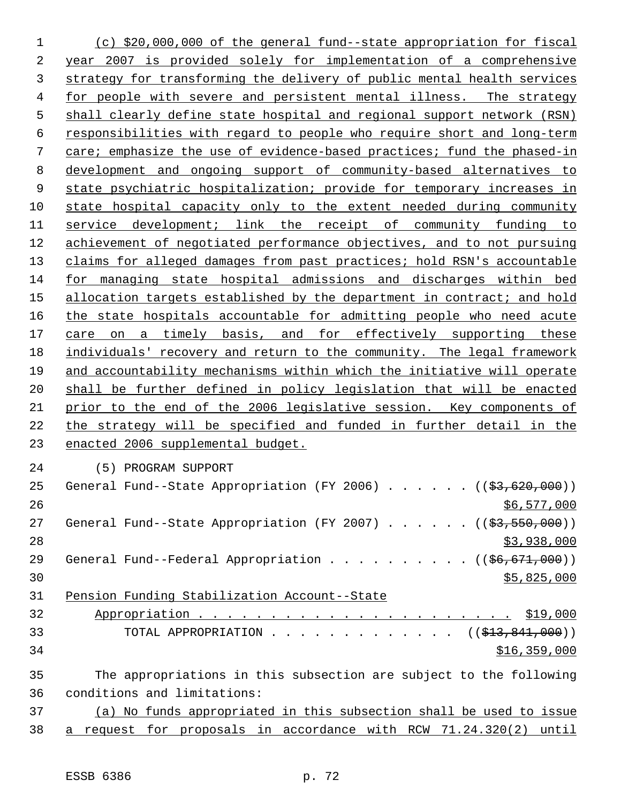(c) \$20,000,000 of the general fund--state appropriation for fiscal year 2007 is provided solely for implementation of a comprehensive strategy for transforming the delivery of public mental health services for people with severe and persistent mental illness. The strategy shall clearly define state hospital and regional support network (RSN) responsibilities with regard to people who require short and long-term care; emphasize the use of evidence-based practices; fund the phased-in development and ongoing support of community-based alternatives to state psychiatric hospitalization; provide for temporary increases in state hospital capacity only to the extent needed during community service development; link the receipt of community funding to achievement of negotiated performance objectives, and to not pursuing claims for alleged damages from past practices; hold RSN's accountable for managing state hospital admissions and discharges within bed 15 allocation targets established by the department in contract; and hold 16 the state hospitals accountable for admitting people who need acute 17 care on a timely basis, and for effectively supporting these individuals' recovery and return to the community. The legal framework and accountability mechanisms within which the initiative will operate shall be further defined in policy legislation that will be enacted prior to the end of the 2006 legislative session. Key components of the strategy will be specified and funded in further detail in the enacted 2006 supplemental budget. (5) PROGRAM SUPPORT 25 General Fund--State Appropriation (FY 2006)  $\ldots$  . . . . ( $(\frac{23}{100}, 000)$ ) \$6,577,000 27 General Fund--State Appropriation (FY 2007) . . . . . ((\$3,550,000))  $\frac{1}{3}$ ,938,000 29 General Fund--Federal Appropriation . . . . . . . . . ((\$6,671,000)) \$5,825,000 Pension Funding Stabilization Account--State Appropriation . . . . . . . . . . . . . . . . . . . . . . \$19,000 33 TOTAL APPROPRIATION . . . . . . . . . . . . ((<del>\$13,841,000</del>)) \$16,359,000 The appropriations in this subsection are subject to the following conditions and limitations: (a) No funds appropriated in this subsection shall be used to issue

a request for proposals in accordance with RCW 71.24.320(2) until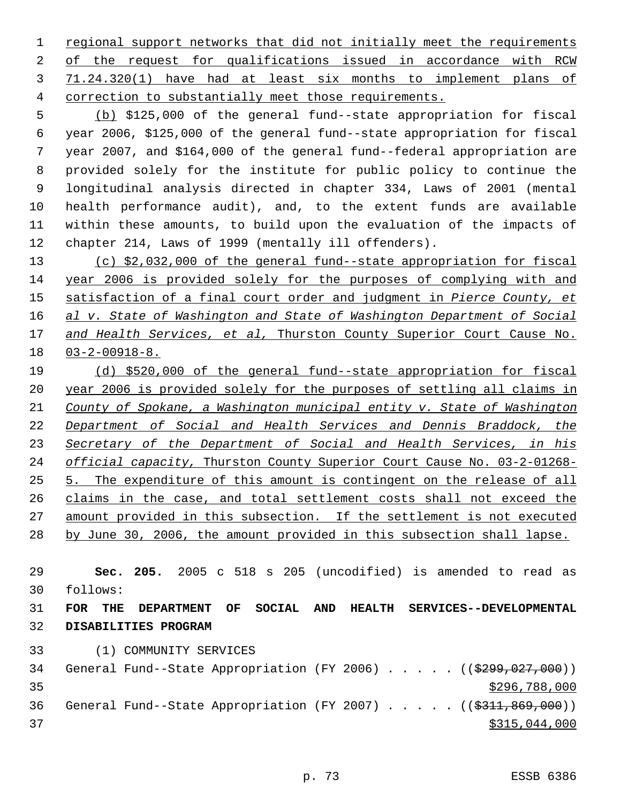1 regional support networks that did not initially meet the requirements of the request for qualifications issued in accordance with RCW 71.24.320(1) have had at least six months to implement plans of correction to substantially meet those requirements.

 (b) \$125,000 of the general fund--state appropriation for fiscal year 2006, \$125,000 of the general fund--state appropriation for fiscal year 2007, and \$164,000 of the general fund--federal appropriation are provided solely for the institute for public policy to continue the longitudinal analysis directed in chapter 334, Laws of 2001 (mental health performance audit), and, to the extent funds are available within these amounts, to build upon the evaluation of the impacts of chapter 214, Laws of 1999 (mentally ill offenders).

 (c) \$2,032,000 of the general fund--state appropriation for fiscal year 2006 is provided solely for the purposes of complying with and satisfaction of a final court order and judgment in *Pierce County, et al v. State of Washington and State of Washington Department of Social and Health Services, et al,* Thurston County Superior Court Cause No. 03-2-00918-8.

 (d) \$520,000 of the general fund--state appropriation for fiscal year 2006 is provided solely for the purposes of settling all claims in *County of Spokane, a Washington municipal entity v. State of Washington Department of Social and Health Services and Dennis Braddock, the Secretary of the Department of Social and Health Services, in his official capacity,* Thurston County Superior Court Cause No. 03-2-01268- 5. The expenditure of this amount is contingent on the release of all claims in the case, and total settlement costs shall not exceed the amount provided in this subsection. If the settlement is not executed by June 30, 2006, the amount provided in this subsection shall lapse.

 **Sec. 205.** 2005 c 518 s 205 (uncodified) is amended to read as follows:

 **FOR THE DEPARTMENT OF SOCIAL AND HEALTH SERVICES--DEVELOPMENTAL DISABILITIES PROGRAM**

(1) COMMUNITY SERVICES

34 General Fund--State Appropriation (FY 2006) . . . . . ((\$299,027,000)) \$296,788,000 36 General Fund--State Appropriation (FY 2007) . . . . . ((\$311,869,000)) \$315,044,000

p. 73 ESSB 6386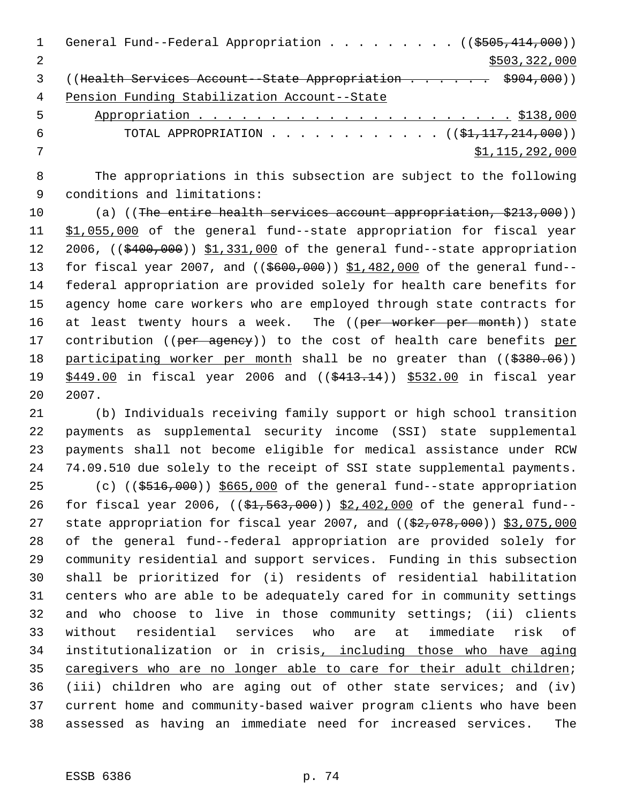|   | General Fund--Federal Appropriation ( $(\frac{2505}{414}, 000)$ )          |
|---|----------------------------------------------------------------------------|
|   | \$503,322,000                                                              |
|   | ((Health Services Account - State Appropriation \$904,000))                |
| 4 | Pension Funding Stabilization Account--State                               |
| 5 |                                                                            |
| 6 | TOTAL APPROPRIATION ( $(\frac{1}{21}, \frac{117}{214}, \frac{214}{100})$ ) |
|   | \$1,115,292,000                                                            |
|   |                                                                            |

 The appropriations in this subsection are subject to the following conditions and limitations:

10 (a) ((The entire health services account appropriation, \$213,000)) 11 \$1,055,000 of the general fund--state appropriation for fiscal year 12 2006, ((\$400,000)) \$1,331,000 of the general fund--state appropriation 13 for fiscal year 2007, and ((\$600,000)) \$1,482,000 of the general fund-- federal appropriation are provided solely for health care benefits for agency home care workers who are employed through state contracts for 16 at least twenty hours a week. The ((per worker per month)) state 17 contribution ((per agency)) to the cost of health care benefits per 18 participating worker per month shall be no greater than ((\$380.06)) 19 \$449.00 in fiscal year 2006 and ((\$413.14)) \$532.00 in fiscal year 2007.

 (b) Individuals receiving family support or high school transition payments as supplemental security income (SSI) state supplemental payments shall not become eligible for medical assistance under RCW 74.09.510 due solely to the receipt of SSI state supplemental payments.

25 (c) (( $\frac{25}{7000}$ ))  $\frac{25}{7000}$  of the general fund--state appropriation 26 for fiscal year 2006, ((\$1,563,000)) \$2,402,000 of the general fund--27 state appropriation for fiscal year 2007, and ((\$2,078,000)) \$3,075,000 of the general fund--federal appropriation are provided solely for community residential and support services. Funding in this subsection shall be prioritized for (i) residents of residential habilitation centers who are able to be adequately cared for in community settings and who choose to live in those community settings; (ii) clients without residential services who are at immediate risk of institutionalization or in crisis, including those who have aging 35 caregivers who are no longer able to care for their adult children; (iii) children who are aging out of other state services; and (iv) current home and community-based waiver program clients who have been assessed as having an immediate need for increased services. The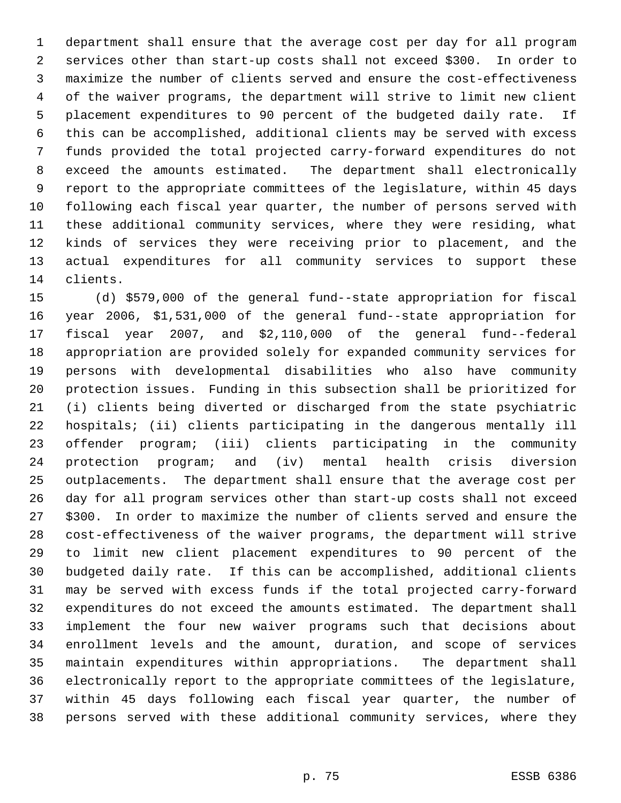department shall ensure that the average cost per day for all program services other than start-up costs shall not exceed \$300. In order to maximize the number of clients served and ensure the cost-effectiveness of the waiver programs, the department will strive to limit new client placement expenditures to 90 percent of the budgeted daily rate. If this can be accomplished, additional clients may be served with excess funds provided the total projected carry-forward expenditures do not exceed the amounts estimated. The department shall electronically report to the appropriate committees of the legislature, within 45 days following each fiscal year quarter, the number of persons served with these additional community services, where they were residing, what kinds of services they were receiving prior to placement, and the actual expenditures for all community services to support these clients.

 (d) \$579,000 of the general fund--state appropriation for fiscal year 2006, \$1,531,000 of the general fund--state appropriation for fiscal year 2007, and \$2,110,000 of the general fund--federal appropriation are provided solely for expanded community services for persons with developmental disabilities who also have community protection issues. Funding in this subsection shall be prioritized for (i) clients being diverted or discharged from the state psychiatric hospitals; (ii) clients participating in the dangerous mentally ill offender program; (iii) clients participating in the community protection program; and (iv) mental health crisis diversion outplacements. The department shall ensure that the average cost per day for all program services other than start-up costs shall not exceed \$300. In order to maximize the number of clients served and ensure the cost-effectiveness of the waiver programs, the department will strive to limit new client placement expenditures to 90 percent of the budgeted daily rate. If this can be accomplished, additional clients may be served with excess funds if the total projected carry-forward expenditures do not exceed the amounts estimated. The department shall implement the four new waiver programs such that decisions about enrollment levels and the amount, duration, and scope of services maintain expenditures within appropriations. The department shall electronically report to the appropriate committees of the legislature, within 45 days following each fiscal year quarter, the number of persons served with these additional community services, where they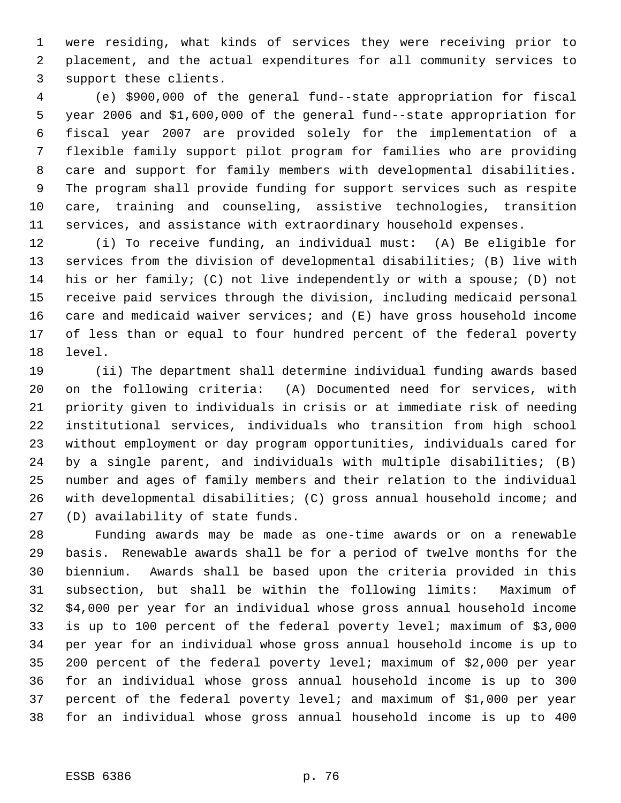were residing, what kinds of services they were receiving prior to placement, and the actual expenditures for all community services to support these clients.

 (e) \$900,000 of the general fund--state appropriation for fiscal year 2006 and \$1,600,000 of the general fund--state appropriation for fiscal year 2007 are provided solely for the implementation of a flexible family support pilot program for families who are providing care and support for family members with developmental disabilities. The program shall provide funding for support services such as respite care, training and counseling, assistive technologies, transition services, and assistance with extraordinary household expenses.

 (i) To receive funding, an individual must: (A) Be eligible for services from the division of developmental disabilities; (B) live with his or her family; (C) not live independently or with a spouse; (D) not receive paid services through the division, including medicaid personal care and medicaid waiver services; and (E) have gross household income of less than or equal to four hundred percent of the federal poverty level.

 (ii) The department shall determine individual funding awards based on the following criteria: (A) Documented need for services, with priority given to individuals in crisis or at immediate risk of needing institutional services, individuals who transition from high school without employment or day program opportunities, individuals cared for by a single parent, and individuals with multiple disabilities; (B) number and ages of family members and their relation to the individual with developmental disabilities; (C) gross annual household income; and (D) availability of state funds.

 Funding awards may be made as one-time awards or on a renewable basis. Renewable awards shall be for a period of twelve months for the biennium. Awards shall be based upon the criteria provided in this subsection, but shall be within the following limits: Maximum of \$4,000 per year for an individual whose gross annual household income is up to 100 percent of the federal poverty level; maximum of \$3,000 per year for an individual whose gross annual household income is up to 200 percent of the federal poverty level; maximum of \$2,000 per year for an individual whose gross annual household income is up to 300 percent of the federal poverty level; and maximum of \$1,000 per year for an individual whose gross annual household income is up to 400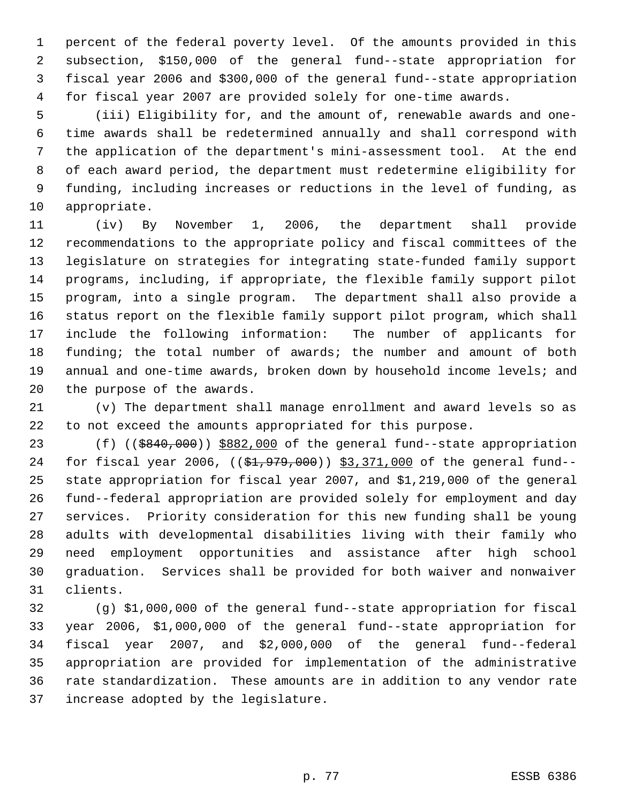percent of the federal poverty level. Of the amounts provided in this subsection, \$150,000 of the general fund--state appropriation for fiscal year 2006 and \$300,000 of the general fund--state appropriation for fiscal year 2007 are provided solely for one-time awards.

 (iii) Eligibility for, and the amount of, renewable awards and one- time awards shall be redetermined annually and shall correspond with the application of the department's mini-assessment tool. At the end of each award period, the department must redetermine eligibility for funding, including increases or reductions in the level of funding, as appropriate.

 (iv) By November 1, 2006, the department shall provide recommendations to the appropriate policy and fiscal committees of the legislature on strategies for integrating state-funded family support programs, including, if appropriate, the flexible family support pilot program, into a single program. The department shall also provide a status report on the flexible family support pilot program, which shall include the following information: The number of applicants for 18 funding; the total number of awards; the number and amount of both 19 annual and one-time awards, broken down by household income levels; and the purpose of the awards.

 (v) The department shall manage enrollment and award levels so as to not exceed the amounts appropriated for this purpose.

23 (f) ((\$840,000)) \$882,000 of the general fund--state appropriation 24 for fiscal year 2006, ((\$1,979,000)) \$3,371,000 of the general fund-- state appropriation for fiscal year 2007, and \$1,219,000 of the general fund--federal appropriation are provided solely for employment and day services. Priority consideration for this new funding shall be young adults with developmental disabilities living with their family who need employment opportunities and assistance after high school graduation. Services shall be provided for both waiver and nonwaiver clients.

 (g) \$1,000,000 of the general fund--state appropriation for fiscal year 2006, \$1,000,000 of the general fund--state appropriation for fiscal year 2007, and \$2,000,000 of the general fund--federal appropriation are provided for implementation of the administrative rate standardization. These amounts are in addition to any vendor rate increase adopted by the legislature.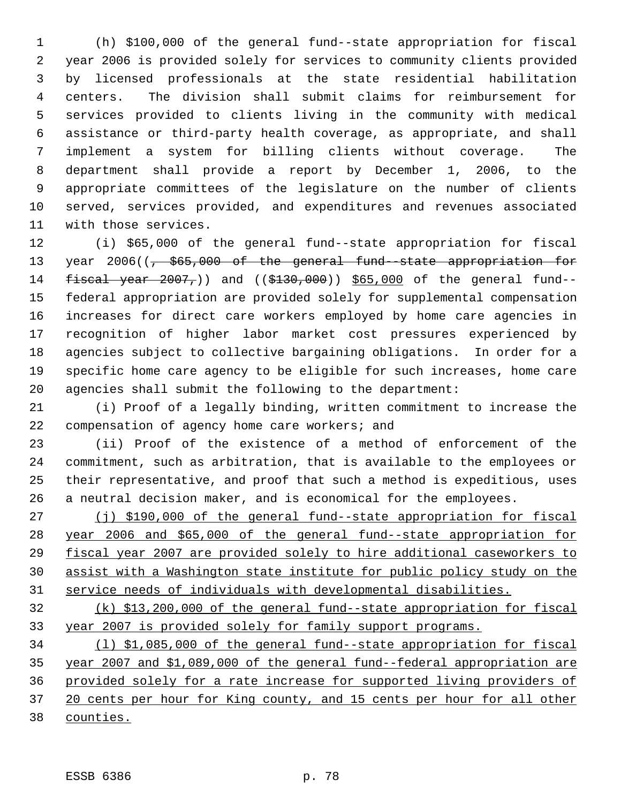(h) \$100,000 of the general fund--state appropriation for fiscal year 2006 is provided solely for services to community clients provided by licensed professionals at the state residential habilitation centers. The division shall submit claims for reimbursement for services provided to clients living in the community with medical assistance or third-party health coverage, as appropriate, and shall implement a system for billing clients without coverage. The department shall provide a report by December 1, 2006, to the appropriate committees of the legislature on the number of clients served, services provided, and expenditures and revenues associated with those services.

 (i) \$65,000 of the general fund--state appropriation for fiscal 13 year 2006(( $\frac{1}{7}$  \$65,000 of the general fund-state appropriation for 14 fiscal year , and ((\$130,000)) \$65,000 of the general fund-- federal appropriation are provided solely for supplemental compensation increases for direct care workers employed by home care agencies in recognition of higher labor market cost pressures experienced by agencies subject to collective bargaining obligations. In order for a specific home care agency to be eligible for such increases, home care agencies shall submit the following to the department:

 (i) Proof of a legally binding, written commitment to increase the compensation of agency home care workers; and

 (ii) Proof of the existence of a method of enforcement of the commitment, such as arbitration, that is available to the employees or their representative, and proof that such a method is expeditious, uses a neutral decision maker, and is economical for the employees.

27 (j) \$190,000 of the general fund--state appropriation for fiscal year 2006 and \$65,000 of the general fund--state appropriation for fiscal year 2007 are provided solely to hire additional caseworkers to assist with a Washington state institute for public policy study on the service needs of individuals with developmental disabilities.

 (k) \$13,200,000 of the general fund--state appropriation for fiscal year 2007 is provided solely for family support programs.

 (l) \$1,085,000 of the general fund--state appropriation for fiscal year 2007 and \$1,089,000 of the general fund--federal appropriation are provided solely for a rate increase for supported living providers of 37 20 cents per hour for King county, and 15 cents per hour for all other counties.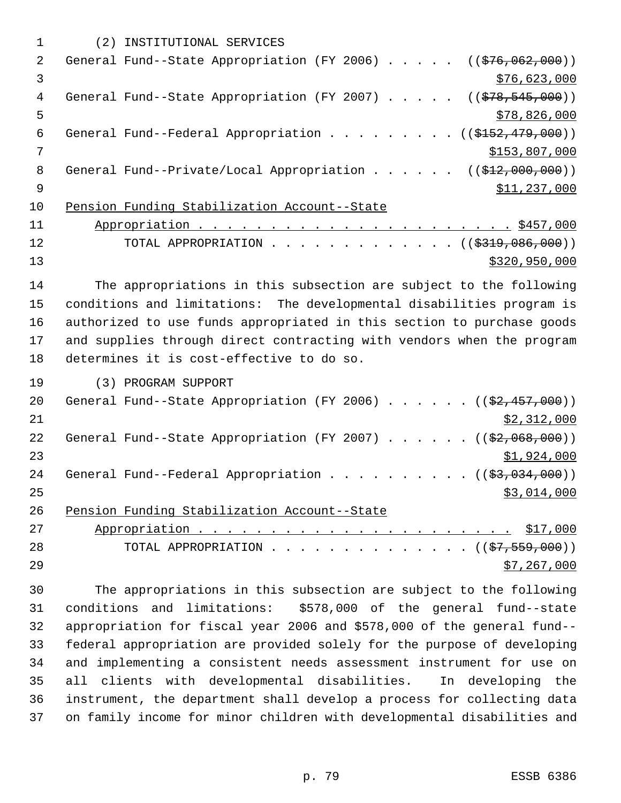|    | (2) INSTITUTIONAL SERVICES                                                              |
|----|-----------------------------------------------------------------------------------------|
| 2  | General Fund--State Appropriation (FY 2006) $($ $($ \$76,062,000))                      |
| 3  | \$76,623,000                                                                            |
| 4  | General Fund--State Appropriation (FY 2007) $($ $($ $\frac{278}{545}, \frac{545}{900})$ |
| 5  | \$78,826,000                                                                            |
| 6  | General Fund--Federal Appropriation ( $(\frac{15152}{179}, 000)$ )                      |
| 7  | \$153,807,000                                                                           |
| 8  | General Fund--Private/Local Appropriation ( $(\frac{212,000,000)}{12,000,000})$         |
| 9  | \$11,237,000                                                                            |
| 10 | Pension Funding Stabilization Account--State                                            |
| 11 |                                                                                         |
| 12 | TOTAL APPROPRIATION ( $(\frac{2319}{1000})$ )                                           |
| 13 | \$320,950,000                                                                           |

 The appropriations in this subsection are subject to the following conditions and limitations: The developmental disabilities program is authorized to use funds appropriated in this section to purchase goods and supplies through direct contracting with vendors when the program determines it is cost-effective to do so.

(3) PROGRAM SUPPORT

| 20 | General Fund--State Appropriation (FY 2006) $($ $($ $\frac{27.457}{100})$ |
|----|---------------------------------------------------------------------------|
| 21 | \$2,312,000                                                               |
| 22 | General Fund--State Appropriation (FY 2007) $($ $($ \$2,068,000))         |
| 23 | \$1,924,000                                                               |
| 24 | General Fund--Federal Appropriation $($ $($ \$3,034,000) $)$              |
| 25 | \$3,014,000                                                               |
| 26 | Pension Funding Stabilization Account--State                              |
| 27 |                                                                           |
| 28 | TOTAL APPROPRIATION ( $(\frac{27}{57}, \frac{559}{000})$ )                |
| 29 | \$7,267,000                                                               |

 The appropriations in this subsection are subject to the following conditions and limitations: \$578,000 of the general fund--state appropriation for fiscal year 2006 and \$578,000 of the general fund-- federal appropriation are provided solely for the purpose of developing and implementing a consistent needs assessment instrument for use on all clients with developmental disabilities. In developing the instrument, the department shall develop a process for collecting data on family income for minor children with developmental disabilities and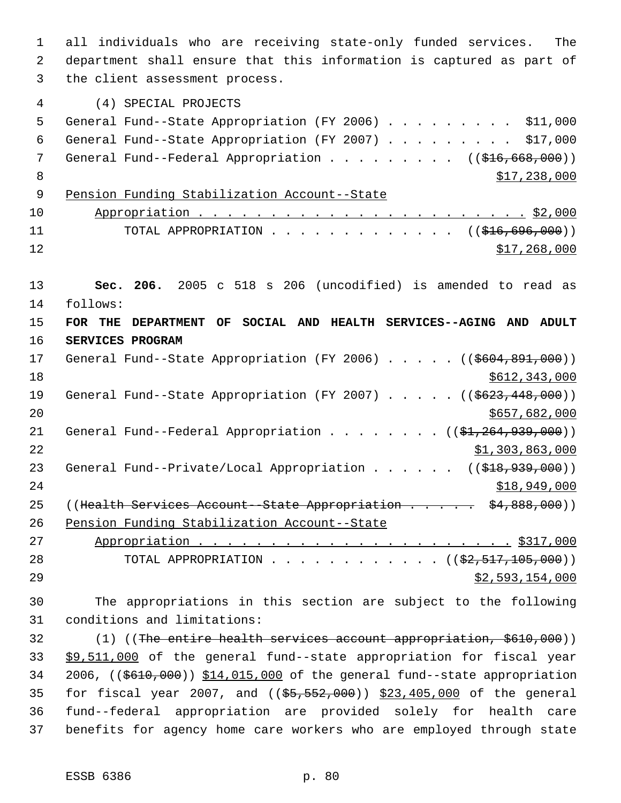1 all individuals who are receiving state-only funded services. The 2 department shall ensure that this information is captured as part of 3 the client assessment process. 4 (4) SPECIAL PROJECTS 5 General Fund--State Appropriation (FY 2006) . . . . . . . . . \$11,000 6 General Fund--State Appropriation (FY 2007) . . . . . . . . . \$17,000 7 General Fund--Federal Appropriation . . . . . . . . ((\$16,668,000))  $8 \times 17,238,000$  9 Pension Funding Stabilization Account--State 10 Appropriation . . . . . . . . . . . . . . . . . . . . . . . \$2,000 11 TOTAL APPROPRIATION . . . . . . . . . . . . . ((\$16,696,000))  $\frac{$12}{ }$   $\frac{$17,268,000}{ }$ 13 **Sec. 206.** 2005 c 518 s 206 (uncodified) is amended to read as 14 follows: 15 **FOR THE DEPARTMENT OF SOCIAL AND HEALTH SERVICES--AGING AND ADULT** 16 **SERVICES PROGRAM** 17 General Fund--State Appropriation (FY 2006) . . . . . ((\$604,891,000)) 18 \$612,343,000 19 General Fund--State Appropriation (FY 2007) . . . . . ((\$623,448,000))  $20$  \$657,682,000 21 General Fund--Federal Appropriation . . . . . . . ((\$1,264,939,000))  $22$   $51,303,863,000$ 23 General Fund--Private/Local Appropriation . . . . . ((\$18,939,000))  $24$  \$18,949,000 25 ((Health Services Account - State Appropriation . . . . . \$4,888,000)) 26 Pension Funding Stabilization Account--State 27 Appropriation . . . . . . . . . . . . . . . . . . . . . . \$317,000 28 TOTAL APPROPRIATION . . . . . . . . . . . ((<del>\$2,517,105,000</del>))  $29$   $52,593,154,000$ 30 The appropriations in this section are subject to the following 31 conditions and limitations: 32 (1) ((The entire health services account appropriation, \$610,000)) 33 \$9,511,000 of the general fund--state appropriation for fiscal year 34 2006, ((\$610,000)) \$14,015,000 of the general fund--state appropriation 35 for fiscal year 2007, and ((\$5,552,000)) \$23,405,000 of the general 36 fund--federal appropriation are provided solely for health care

37 benefits for agency home care workers who are employed through state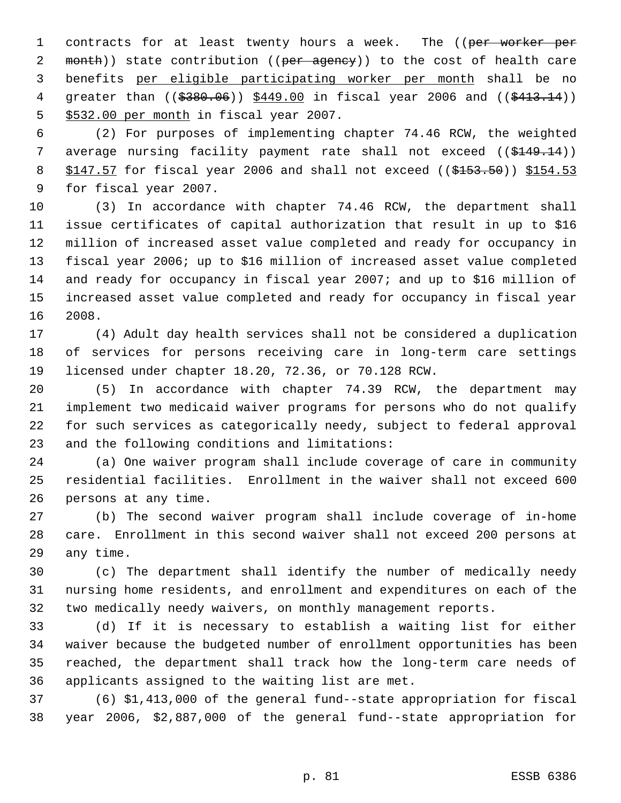1 contracts for at least twenty hours a week. The ((per worker per 2 month)) state contribution ((per agency)) to the cost of health care benefits per eligible participating worker per month shall be no 4 greater than ((\$380.06)) \$449.00 in fiscal year 2006 and ((\$413.14)) \$532.00 per month in fiscal year 2007.

 (2) For purposes of implementing chapter 74.46 RCW, the weighted 7 average nursing facility payment rate shall not exceed ((\$149.14)) 8 \$147.57 for fiscal year 2006 and shall not exceed ((\$153.50)) \$154.53 for fiscal year 2007.

 (3) In accordance with chapter 74.46 RCW, the department shall issue certificates of capital authorization that result in up to \$16 million of increased asset value completed and ready for occupancy in fiscal year 2006; up to \$16 million of increased asset value completed and ready for occupancy in fiscal year 2007; and up to \$16 million of increased asset value completed and ready for occupancy in fiscal year 2008.

 (4) Adult day health services shall not be considered a duplication of services for persons receiving care in long-term care settings licensed under chapter 18.20, 72.36, or 70.128 RCW.

 (5) In accordance with chapter 74.39 RCW, the department may implement two medicaid waiver programs for persons who do not qualify for such services as categorically needy, subject to federal approval and the following conditions and limitations:

 (a) One waiver program shall include coverage of care in community residential facilities. Enrollment in the waiver shall not exceed 600 persons at any time.

 (b) The second waiver program shall include coverage of in-home care. Enrollment in this second waiver shall not exceed 200 persons at any time.

 (c) The department shall identify the number of medically needy nursing home residents, and enrollment and expenditures on each of the two medically needy waivers, on monthly management reports.

 (d) If it is necessary to establish a waiting list for either waiver because the budgeted number of enrollment opportunities has been reached, the department shall track how the long-term care needs of applicants assigned to the waiting list are met.

 (6) \$1,413,000 of the general fund--state appropriation for fiscal year 2006, \$2,887,000 of the general fund--state appropriation for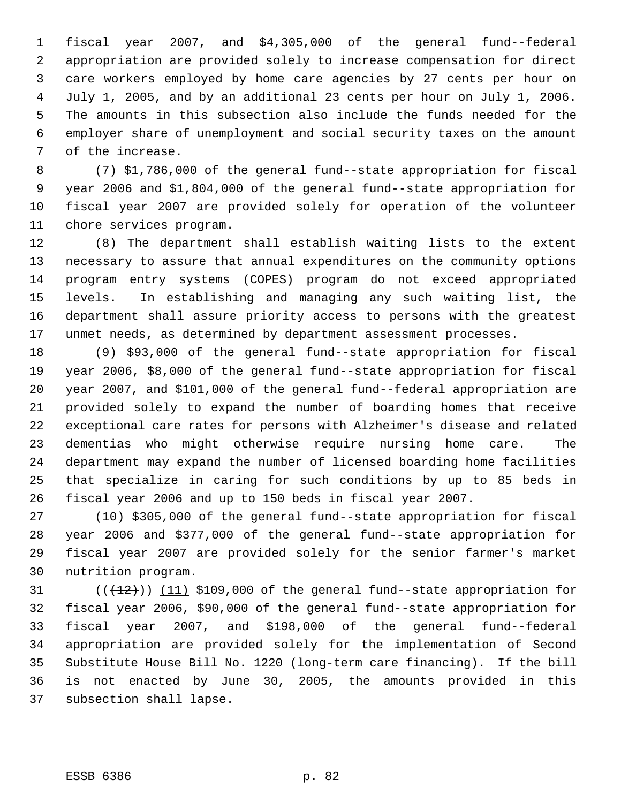fiscal year 2007, and \$4,305,000 of the general fund--federal appropriation are provided solely to increase compensation for direct care workers employed by home care agencies by 27 cents per hour on July 1, 2005, and by an additional 23 cents per hour on July 1, 2006. The amounts in this subsection also include the funds needed for the employer share of unemployment and social security taxes on the amount of the increase.

 (7) \$1,786,000 of the general fund--state appropriation for fiscal year 2006 and \$1,804,000 of the general fund--state appropriation for fiscal year 2007 are provided solely for operation of the volunteer chore services program.

 (8) The department shall establish waiting lists to the extent necessary to assure that annual expenditures on the community options program entry systems (COPES) program do not exceed appropriated levels. In establishing and managing any such waiting list, the department shall assure priority access to persons with the greatest unmet needs, as determined by department assessment processes.

 (9) \$93,000 of the general fund--state appropriation for fiscal year 2006, \$8,000 of the general fund--state appropriation for fiscal year 2007, and \$101,000 of the general fund--federal appropriation are provided solely to expand the number of boarding homes that receive exceptional care rates for persons with Alzheimer's disease and related dementias who might otherwise require nursing home care. The department may expand the number of licensed boarding home facilities that specialize in caring for such conditions by up to 85 beds in fiscal year 2006 and up to 150 beds in fiscal year 2007.

 (10) \$305,000 of the general fund--state appropriation for fiscal year 2006 and \$377,000 of the general fund--state appropriation for fiscal year 2007 are provided solely for the senior farmer's market nutrition program.

 $((+12))$   $(11)$  \$109,000 of the general fund--state appropriation for fiscal year 2006, \$90,000 of the general fund--state appropriation for fiscal year 2007, and \$198,000 of the general fund--federal appropriation are provided solely for the implementation of Second Substitute House Bill No. 1220 (long-term care financing). If the bill is not enacted by June 30, 2005, the amounts provided in this subsection shall lapse.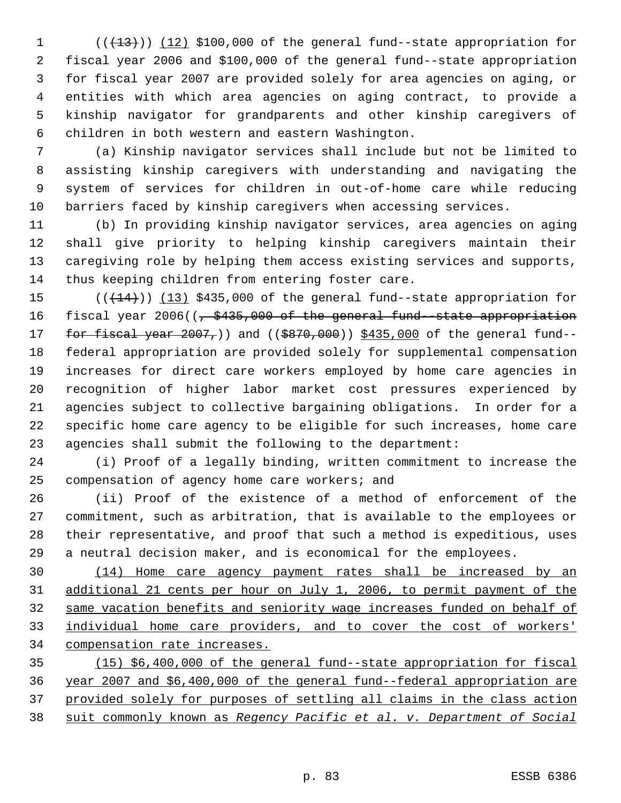$((+13))$   $(12)$  \$100,000 of the general fund--state appropriation for fiscal year 2006 and \$100,000 of the general fund--state appropriation for fiscal year 2007 are provided solely for area agencies on aging, or entities with which area agencies on aging contract, to provide a kinship navigator for grandparents and other kinship caregivers of children in both western and eastern Washington.

 (a) Kinship navigator services shall include but not be limited to assisting kinship caregivers with understanding and navigating the system of services for children in out-of-home care while reducing barriers faced by kinship caregivers when accessing services.

 (b) In providing kinship navigator services, area agencies on aging shall give priority to helping kinship caregivers maintain their caregiving role by helping them access existing services and supports, thus keeping children from entering foster care.

 $((+14))$   $(13)$  \$435,000 of the general fund--state appropriation for 16 fiscal year 2006((, \$435,000 of the general fund-state appropriation 17 for fiscal year 2007,)) and ((\$870,000)) \$435,000 of the general fund-- federal appropriation are provided solely for supplemental compensation increases for direct care workers employed by home care agencies in recognition of higher labor market cost pressures experienced by agencies subject to collective bargaining obligations. In order for a specific home care agency to be eligible for such increases, home care agencies shall submit the following to the department:

 (i) Proof of a legally binding, written commitment to increase the compensation of agency home care workers; and

 (ii) Proof of the existence of a method of enforcement of the commitment, such as arbitration, that is available to the employees or their representative, and proof that such a method is expeditious, uses a neutral decision maker, and is economical for the employees.

 (14) Home care agency payment rates shall be increased by an additional 21 cents per hour on July 1, 2006, to permit payment of the same vacation benefits and seniority wage increases funded on behalf of individual home care providers, and to cover the cost of workers' compensation rate increases.

 (15) \$6,400,000 of the general fund--state appropriation for fiscal year 2007 and \$6,400,000 of the general fund--federal appropriation are provided solely for purposes of settling all claims in the class action suit commonly known as *Regency Pacific et al. v. Department of Social*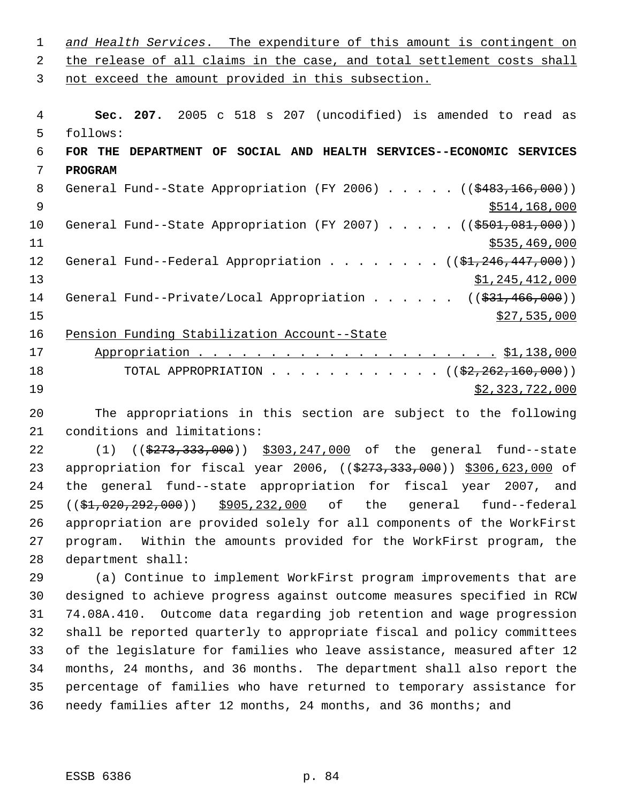| 1  | and Health Services. The expenditure of this amount is contingent on               |
|----|------------------------------------------------------------------------------------|
| 2  | the release of all claims in the case, and total settlement costs shall            |
| 3  | not exceed the amount provided in this subsection.                                 |
|    |                                                                                    |
| 4  | Sec. 207. 2005 c 518 s 207 (uncodified) is amended to read as                      |
| 5  | follows:                                                                           |
| 6  | FOR THE DEPARTMENT OF SOCIAL AND HEALTH SERVICES--ECONOMIC SERVICES                |
| 7  | <b>PROGRAM</b>                                                                     |
| 8  | General Fund--State Appropriation (FY 2006) $($ $($ $$483,166,000)$ )              |
| 9  | \$514,168,000                                                                      |
| 10 | General Fund--State Appropriation (FY 2007) $($ $($ \$501,081,000))                |
| 11 | \$535,469,000                                                                      |
| 12 | General Fund--Federal Appropriation ( $(\frac{1}{21}, 246, 447, 000)$ )            |
| 13 | \$1,245,412,000                                                                    |
| 14 | General Fund--Private/Local Appropriation ( $(\frac{231}{731}, \frac{466}{900})$ ) |
| 15 | \$27,535,000                                                                       |
| 16 | Pension Funding Stabilization Account--State                                       |
| 17 |                                                                                    |
| 18 | TOTAL APPROPRIATION ( $(\frac{22}{2222160000})$ )                                  |
| 19 | \$2,323,722,000                                                                    |

 The appropriations in this section are subject to the following conditions and limitations:

22 (1) ((\$273,333,000)) \$303,247,000 of the general fund--state 23 appropriation for fiscal year 2006, ((\$273,333,000)) \$306,623,000 of the general fund--state appropriation for fiscal year 2007, and ((\$1,020,292,000)) \$905,232,000 of the general fund--federal appropriation are provided solely for all components of the WorkFirst program. Within the amounts provided for the WorkFirst program, the department shall:

 (a) Continue to implement WorkFirst program improvements that are designed to achieve progress against outcome measures specified in RCW 74.08A.410. Outcome data regarding job retention and wage progression shall be reported quarterly to appropriate fiscal and policy committees of the legislature for families who leave assistance, measured after 12 months, 24 months, and 36 months. The department shall also report the percentage of families who have returned to temporary assistance for needy families after 12 months, 24 months, and 36 months; and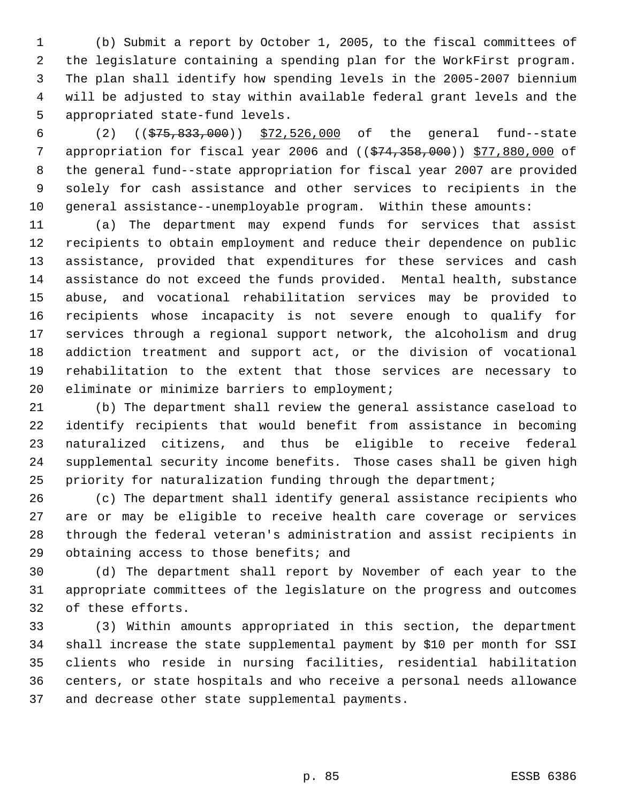(b) Submit a report by October 1, 2005, to the fiscal committees of the legislature containing a spending plan for the WorkFirst program. The plan shall identify how spending levels in the 2005-2007 biennium will be adjusted to stay within available federal grant levels and the appropriated state-fund levels.

 (2) ((\$75,833,000)) \$72,526,000 of the general fund--state 7 appropriation for fiscal year 2006 and (( $\frac{1}{574}$ , 358,000)) \$77,880,000 of the general fund--state appropriation for fiscal year 2007 are provided solely for cash assistance and other services to recipients in the general assistance--unemployable program. Within these amounts:

 (a) The department may expend funds for services that assist recipients to obtain employment and reduce their dependence on public assistance, provided that expenditures for these services and cash assistance do not exceed the funds provided. Mental health, substance abuse, and vocational rehabilitation services may be provided to recipients whose incapacity is not severe enough to qualify for services through a regional support network, the alcoholism and drug addiction treatment and support act, or the division of vocational rehabilitation to the extent that those services are necessary to 20 eliminate or minimize barriers to employment;

 (b) The department shall review the general assistance caseload to identify recipients that would benefit from assistance in becoming naturalized citizens, and thus be eligible to receive federal supplemental security income benefits. Those cases shall be given high priority for naturalization funding through the department;

 (c) The department shall identify general assistance recipients who are or may be eligible to receive health care coverage or services through the federal veteran's administration and assist recipients in 29 obtaining access to those benefits; and

 (d) The department shall report by November of each year to the appropriate committees of the legislature on the progress and outcomes of these efforts.

 (3) Within amounts appropriated in this section, the department shall increase the state supplemental payment by \$10 per month for SSI clients who reside in nursing facilities, residential habilitation centers, or state hospitals and who receive a personal needs allowance and decrease other state supplemental payments.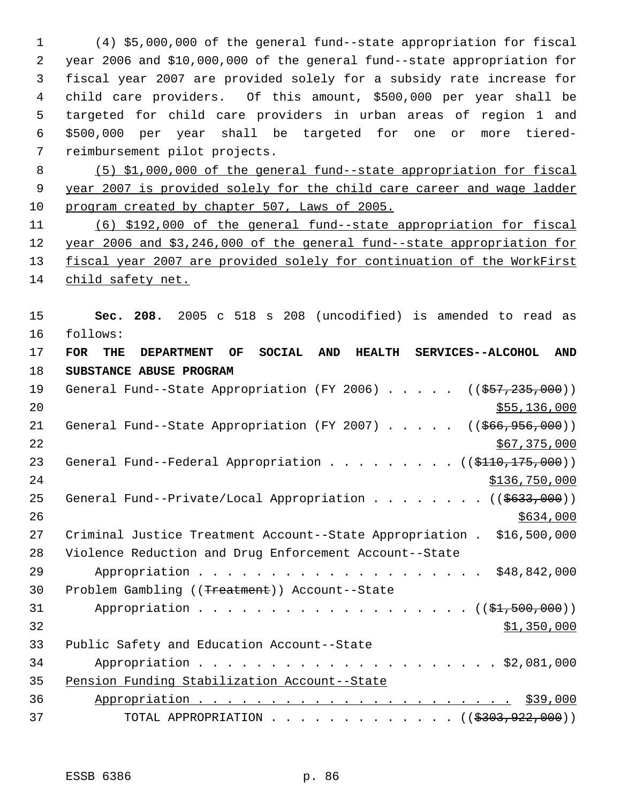(4) \$5,000,000 of the general fund--state appropriation for fiscal year 2006 and \$10,000,000 of the general fund--state appropriation for fiscal year 2007 are provided solely for a subsidy rate increase for child care providers. Of this amount, \$500,000 per year shall be targeted for child care providers in urban areas of region 1 and \$500,000 per year shall be targeted for one or more tiered- reimbursement pilot projects.

 (5) \$1,000,000 of the general fund--state appropriation for fiscal year 2007 is provided solely for the child care career and wage ladder program created by chapter 507, Laws of 2005.

 (6) \$192,000 of the general fund--state appropriation for fiscal year 2006 and \$3,246,000 of the general fund--state appropriation for 13 fiscal year 2007 are provided solely for continuation of the WorkFirst child safety net.

 **Sec. 208.** 2005 c 518 s 208 (uncodified) is amended to read as follows:

 **FOR THE DEPARTMENT OF SOCIAL AND HEALTH SERVICES--ALCOHOL AND SUBSTANCE ABUSE PROGRAM** 19 General Fund--State Appropriation (FY 2006) . . . . . ((\$57,235,000)) \$55,136,000 21 General Fund--State Appropriation (FY 2007) . . . . . ((\$66,956,000))  $567,375,000$ 23 General Fund--Federal Appropriation . . . . . . . . ((\$110,175,000)) \$136,750,000 25 General Fund--Private/Local Appropriation . . . . . . . ((\$633,000)) Criminal Justice Treatment Account--State Appropriation . \$16,500,000 Violence Reduction and Drug Enforcement Account--State Appropriation . . . . . . . . . . . . . . . . . . . . \$48,842,000 Problem Gambling ((Treatment)) Account--State 31 Appropriation . . . . . . . . . . . . . . . . . ((\$1,500,000)) \$1,350,000 Public Safety and Education Account--State Appropriation . . . . . . . . . . . . . . . . . . . . . \$2,081,000 Pension Funding Stabilization Account--State Appropriation . . . . . . . . . . . . . . . . . . . . . . \$39,000 37 TOTAL APPROPRIATION . . . . . . . . . . . . . ((\$303,922,000))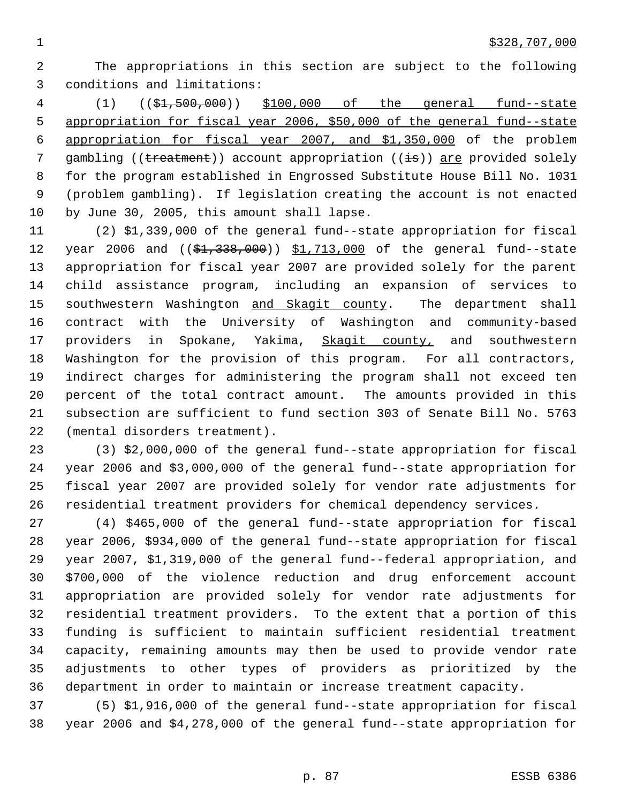The appropriations in this section are subject to the following conditions and limitations:

 (1) ((\$1,500,000)) \$100,000 of the general fund--state appropriation for fiscal year 2006, \$50,000 of the general fund--state appropriation for fiscal year 2007, and \$1,350,000 of the problem 7 gambling ((treatment)) account appropriation ((is)) are provided solely for the program established in Engrossed Substitute House Bill No. 1031 (problem gambling). If legislation creating the account is not enacted by June 30, 2005, this amount shall lapse.

 (2) \$1,339,000 of the general fund--state appropriation for fiscal 12 year 2006 and ((\$1,338,000)) \$1,713,000 of the general fund--state appropriation for fiscal year 2007 are provided solely for the parent child assistance program, including an expansion of services to 15 southwestern Washington and Skagit county. The department shall contract with the University of Washington and community-based providers in Spokane, Yakima, Skagit county, and southwestern Washington for the provision of this program. For all contractors, indirect charges for administering the program shall not exceed ten percent of the total contract amount. The amounts provided in this subsection are sufficient to fund section 303 of Senate Bill No. 5763 (mental disorders treatment).

 (3) \$2,000,000 of the general fund--state appropriation for fiscal year 2006 and \$3,000,000 of the general fund--state appropriation for fiscal year 2007 are provided solely for vendor rate adjustments for residential treatment providers for chemical dependency services.

 (4) \$465,000 of the general fund--state appropriation for fiscal year 2006, \$934,000 of the general fund--state appropriation for fiscal year 2007, \$1,319,000 of the general fund--federal appropriation, and \$700,000 of the violence reduction and drug enforcement account appropriation are provided solely for vendor rate adjustments for residential treatment providers. To the extent that a portion of this funding is sufficient to maintain sufficient residential treatment capacity, remaining amounts may then be used to provide vendor rate adjustments to other types of providers as prioritized by the department in order to maintain or increase treatment capacity.

 (5) \$1,916,000 of the general fund--state appropriation for fiscal year 2006 and \$4,278,000 of the general fund--state appropriation for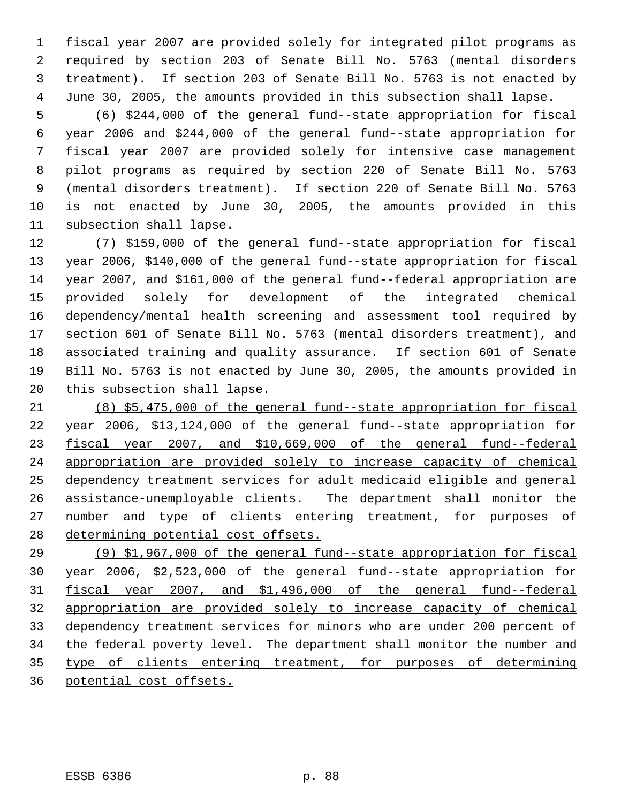fiscal year 2007 are provided solely for integrated pilot programs as required by section 203 of Senate Bill No. 5763 (mental disorders treatment). If section 203 of Senate Bill No. 5763 is not enacted by June 30, 2005, the amounts provided in this subsection shall lapse.

 (6) \$244,000 of the general fund--state appropriation for fiscal year 2006 and \$244,000 of the general fund--state appropriation for fiscal year 2007 are provided solely for intensive case management pilot programs as required by section 220 of Senate Bill No. 5763 (mental disorders treatment). If section 220 of Senate Bill No. 5763 is not enacted by June 30, 2005, the amounts provided in this subsection shall lapse.

 (7) \$159,000 of the general fund--state appropriation for fiscal year 2006, \$140,000 of the general fund--state appropriation for fiscal year 2007, and \$161,000 of the general fund--federal appropriation are provided solely for development of the integrated chemical dependency/mental health screening and assessment tool required by section 601 of Senate Bill No. 5763 (mental disorders treatment), and associated training and quality assurance. If section 601 of Senate Bill No. 5763 is not enacted by June 30, 2005, the amounts provided in this subsection shall lapse.

 (8) \$5,475,000 of the general fund--state appropriation for fiscal year 2006, \$13,124,000 of the general fund--state appropriation for fiscal year 2007, and \$10,669,000 of the general fund--federal appropriation are provided solely to increase capacity of chemical dependency treatment services for adult medicaid eligible and general assistance-unemployable clients. The department shall monitor the 27 number and type of clients entering treatment, for purposes of 28 determining potential cost offsets.

 (9) \$1,967,000 of the general fund--state appropriation for fiscal year 2006, \$2,523,000 of the general fund--state appropriation for fiscal year 2007, and \$1,496,000 of the general fund--federal appropriation are provided solely to increase capacity of chemical dependency treatment services for minors who are under 200 percent of 34 the federal poverty level. The department shall monitor the number and type of clients entering treatment, for purposes of determining potential cost offsets.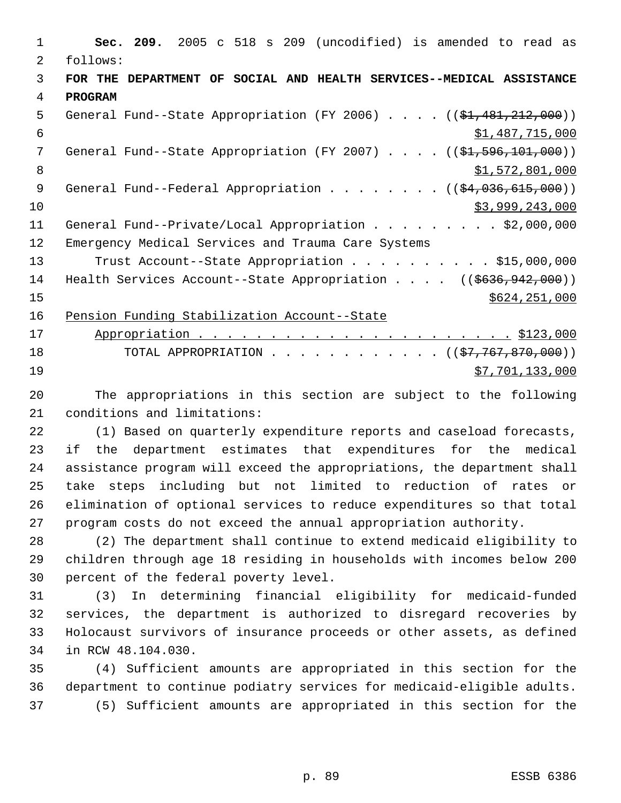**Sec. 209.** 2005 c 518 s 209 (uncodified) is amended to read as follows: **FOR THE DEPARTMENT OF SOCIAL AND HEALTH SERVICES--MEDICAL ASSISTANCE PROGRAM** 5 General Fund--State Appropriation (FY 2006) . . . . ((\$1,481,212,000)) \$1,487,715,000 7 General Fund--State Appropriation (FY 2007) . . . . ((\$1,596,101,000)) 8 \$1,572,801,000 9 General Fund--Federal Appropriation . . . . . . . ((\$4,036,615,000)) \$3,999,243,000 11 General Fund--Private/Local Appropriation . . . . . . . . \$2,000,000 Emergency Medical Services and Trauma Care Systems 13 Trust Account--State Appropriation . . . . . . . . . \$15,000,000 14 Health Services Account--State Appropriation . . . . ((\$636,942,000)) \$624,251,000 Pension Funding Stabilization Account--State Appropriation . . . . . . . . . . . . . . . . . . . . . . \$123,000 18 TOTAL APPROPRIATION . . . . . . . . . . . . ((\$7,767,870,000))  $57,701,133,000$ 

 The appropriations in this section are subject to the following conditions and limitations:

 (1) Based on quarterly expenditure reports and caseload forecasts, if the department estimates that expenditures for the medical assistance program will exceed the appropriations, the department shall take steps including but not limited to reduction of rates or elimination of optional services to reduce expenditures so that total program costs do not exceed the annual appropriation authority.

 (2) The department shall continue to extend medicaid eligibility to children through age 18 residing in households with incomes below 200 percent of the federal poverty level.

 (3) In determining financial eligibility for medicaid-funded services, the department is authorized to disregard recoveries by Holocaust survivors of insurance proceeds or other assets, as defined in RCW 48.104.030.

 (4) Sufficient amounts are appropriated in this section for the department to continue podiatry services for medicaid-eligible adults. (5) Sufficient amounts are appropriated in this section for the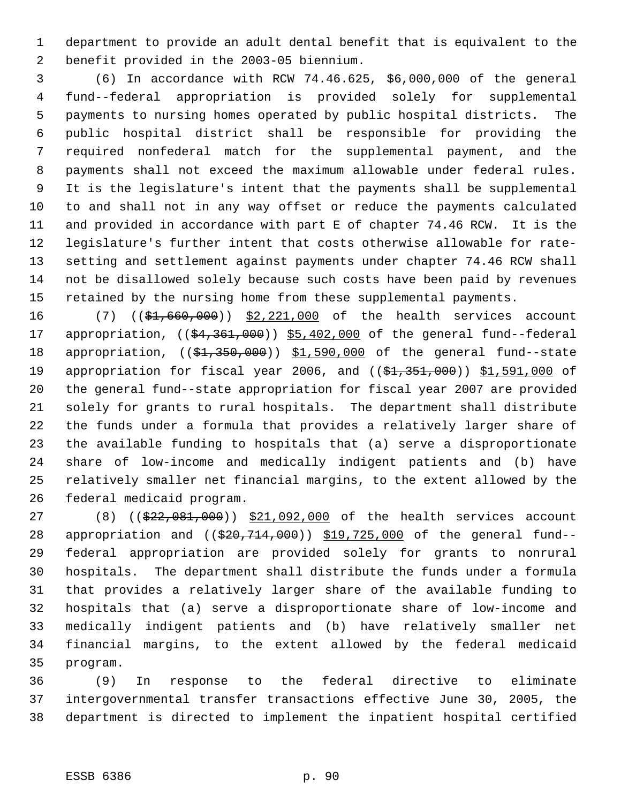department to provide an adult dental benefit that is equivalent to the benefit provided in the 2003-05 biennium.

 (6) In accordance with RCW 74.46.625, \$6,000,000 of the general fund--federal appropriation is provided solely for supplemental payments to nursing homes operated by public hospital districts. The public hospital district shall be responsible for providing the required nonfederal match for the supplemental payment, and the payments shall not exceed the maximum allowable under federal rules. It is the legislature's intent that the payments shall be supplemental to and shall not in any way offset or reduce the payments calculated and provided in accordance with part E of chapter 74.46 RCW. It is the legislature's further intent that costs otherwise allowable for rate- setting and settlement against payments under chapter 74.46 RCW shall not be disallowed solely because such costs have been paid by revenues retained by the nursing home from these supplemental payments.

16 (7) ((\$1,660,000)) \$2,221,000 of the health services account 17 appropriation, ((\$4,361,000)) \$5,402,000 of the general fund--federal 18 appropriation, ((\$1,350,000)) \$1,590,000 of the general fund--state 19 appropriation for fiscal year 2006, and ((\$1,351,000)) \$1,591,000 of the general fund--state appropriation for fiscal year 2007 are provided solely for grants to rural hospitals. The department shall distribute the funds under a formula that provides a relatively larger share of the available funding to hospitals that (a) serve a disproportionate share of low-income and medically indigent patients and (b) have relatively smaller net financial margins, to the extent allowed by the federal medicaid program.

27 (8) ((\$22,081,000)) \$21,092,000 of the health services account 28 appropriation and ((\$20,714,000)) \$19,725,000 of the general fund-- federal appropriation are provided solely for grants to nonrural hospitals. The department shall distribute the funds under a formula that provides a relatively larger share of the available funding to hospitals that (a) serve a disproportionate share of low-income and medically indigent patients and (b) have relatively smaller net financial margins, to the extent allowed by the federal medicaid program.

 (9) In response to the federal directive to eliminate intergovernmental transfer transactions effective June 30, 2005, the department is directed to implement the inpatient hospital certified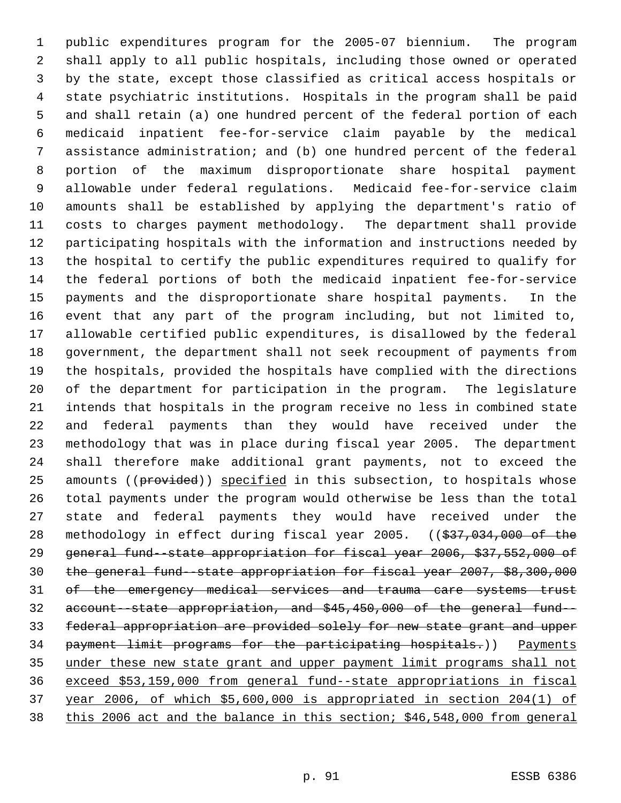public expenditures program for the 2005-07 biennium. The program shall apply to all public hospitals, including those owned or operated by the state, except those classified as critical access hospitals or state psychiatric institutions. Hospitals in the program shall be paid and shall retain (a) one hundred percent of the federal portion of each medicaid inpatient fee-for-service claim payable by the medical assistance administration; and (b) one hundred percent of the federal portion of the maximum disproportionate share hospital payment allowable under federal regulations. Medicaid fee-for-service claim amounts shall be established by applying the department's ratio of costs to charges payment methodology. The department shall provide participating hospitals with the information and instructions needed by the hospital to certify the public expenditures required to qualify for the federal portions of both the medicaid inpatient fee-for-service payments and the disproportionate share hospital payments. In the event that any part of the program including, but not limited to, allowable certified public expenditures, is disallowed by the federal government, the department shall not seek recoupment of payments from the hospitals, provided the hospitals have complied with the directions of the department for participation in the program. The legislature intends that hospitals in the program receive no less in combined state and federal payments than they would have received under the methodology that was in place during fiscal year 2005. The department shall therefore make additional grant payments, not to exceed the 25 amounts ((provided)) specified in this subsection, to hospitals whose total payments under the program would otherwise be less than the total state and federal payments they would have received under the 28 methodology in effect during fiscal year 2005. ((\$37,034,000 of the general fund--state appropriation for fiscal year 2006, \$37,552,000 of the general fund--state appropriation for fiscal year 2007, \$8,300,000 31 of the emergency medical services and trauma care systems trust account--state appropriation, and \$45,450,000 of the general fund-- federal appropriation are provided solely for new state grant and upper 34 payment limit programs for the participating hospitals.)) Payments under these new state grant and upper payment limit programs shall not exceed \$53,159,000 from general fund--state appropriations in fiscal year 2006, of which \$5,600,000 is appropriated in section 204(1) of this 2006 act and the balance in this section; \$46,548,000 from general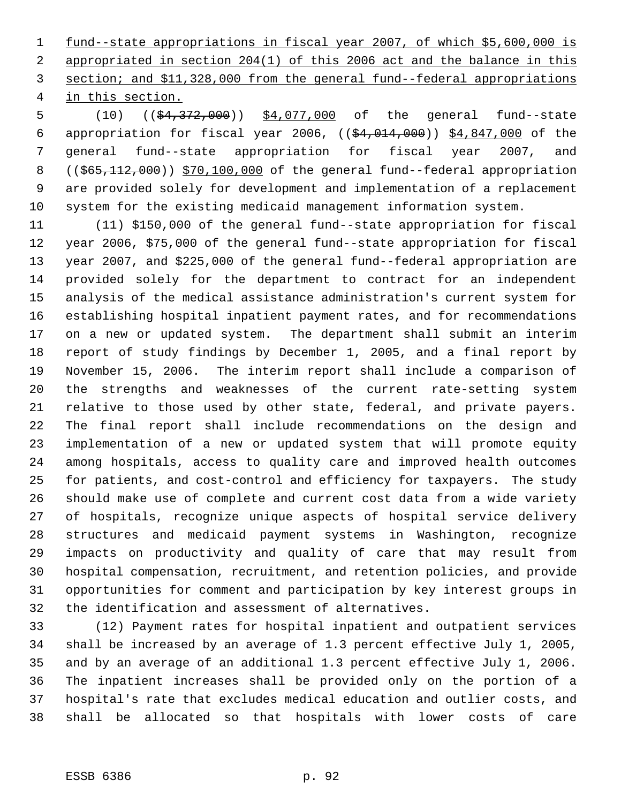fund--state appropriations in fiscal year 2007, of which \$5,600,000 is appropriated in section 204(1) of this 2006 act and the balance in this section; and \$11,328,000 from the general fund--federal appropriations in this section.

5 (10) ((\$4,372,000)) \$4,077,000 of the general fund--state appropriation for fiscal year 2006, ((\$4,014,000)) \$4,847,000 of the general fund--state appropriation for fiscal year 2007, and 8 ((\$65,112,000)) \$70,100,000 of the general fund--federal appropriation are provided solely for development and implementation of a replacement system for the existing medicaid management information system.

 (11) \$150,000 of the general fund--state appropriation for fiscal year 2006, \$75,000 of the general fund--state appropriation for fiscal year 2007, and \$225,000 of the general fund--federal appropriation are provided solely for the department to contract for an independent analysis of the medical assistance administration's current system for establishing hospital inpatient payment rates, and for recommendations on a new or updated system. The department shall submit an interim report of study findings by December 1, 2005, and a final report by November 15, 2006. The interim report shall include a comparison of the strengths and weaknesses of the current rate-setting system relative to those used by other state, federal, and private payers. The final report shall include recommendations on the design and implementation of a new or updated system that will promote equity among hospitals, access to quality care and improved health outcomes for patients, and cost-control and efficiency for taxpayers. The study should make use of complete and current cost data from a wide variety of hospitals, recognize unique aspects of hospital service delivery structures and medicaid payment systems in Washington, recognize impacts on productivity and quality of care that may result from hospital compensation, recruitment, and retention policies, and provide opportunities for comment and participation by key interest groups in the identification and assessment of alternatives.

 (12) Payment rates for hospital inpatient and outpatient services shall be increased by an average of 1.3 percent effective July 1, 2005, and by an average of an additional 1.3 percent effective July 1, 2006. The inpatient increases shall be provided only on the portion of a hospital's rate that excludes medical education and outlier costs, and shall be allocated so that hospitals with lower costs of care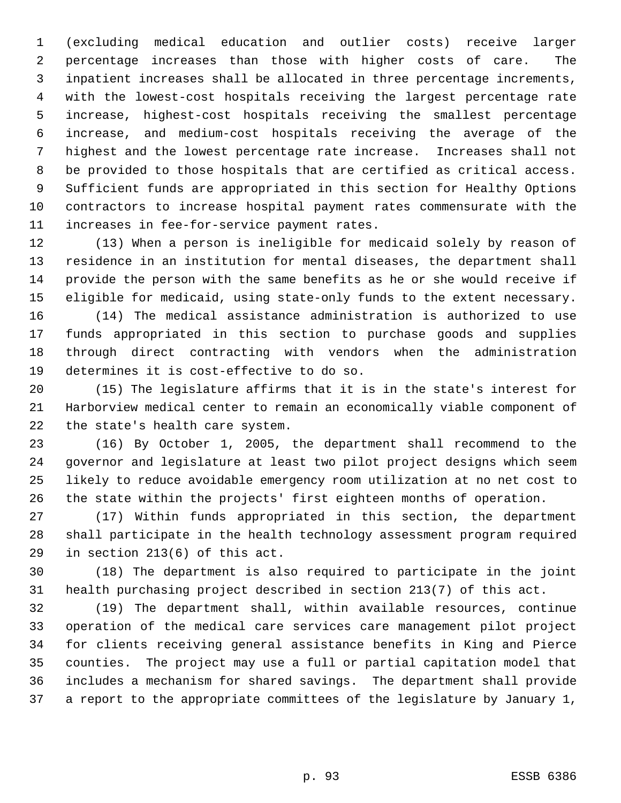(excluding medical education and outlier costs) receive larger percentage increases than those with higher costs of care. The inpatient increases shall be allocated in three percentage increments, with the lowest-cost hospitals receiving the largest percentage rate increase, highest-cost hospitals receiving the smallest percentage increase, and medium-cost hospitals receiving the average of the highest and the lowest percentage rate increase. Increases shall not be provided to those hospitals that are certified as critical access. Sufficient funds are appropriated in this section for Healthy Options contractors to increase hospital payment rates commensurate with the increases in fee-for-service payment rates.

 (13) When a person is ineligible for medicaid solely by reason of residence in an institution for mental diseases, the department shall provide the person with the same benefits as he or she would receive if eligible for medicaid, using state-only funds to the extent necessary. (14) The medical assistance administration is authorized to use funds appropriated in this section to purchase goods and supplies through direct contracting with vendors when the administration determines it is cost-effective to do so.

 (15) The legislature affirms that it is in the state's interest for Harborview medical center to remain an economically viable component of the state's health care system.

 (16) By October 1, 2005, the department shall recommend to the governor and legislature at least two pilot project designs which seem likely to reduce avoidable emergency room utilization at no net cost to the state within the projects' first eighteen months of operation.

 (17) Within funds appropriated in this section, the department shall participate in the health technology assessment program required in section 213(6) of this act.

 (18) The department is also required to participate in the joint health purchasing project described in section 213(7) of this act.

 (19) The department shall, within available resources, continue operation of the medical care services care management pilot project for clients receiving general assistance benefits in King and Pierce counties. The project may use a full or partial capitation model that includes a mechanism for shared savings. The department shall provide a report to the appropriate committees of the legislature by January 1,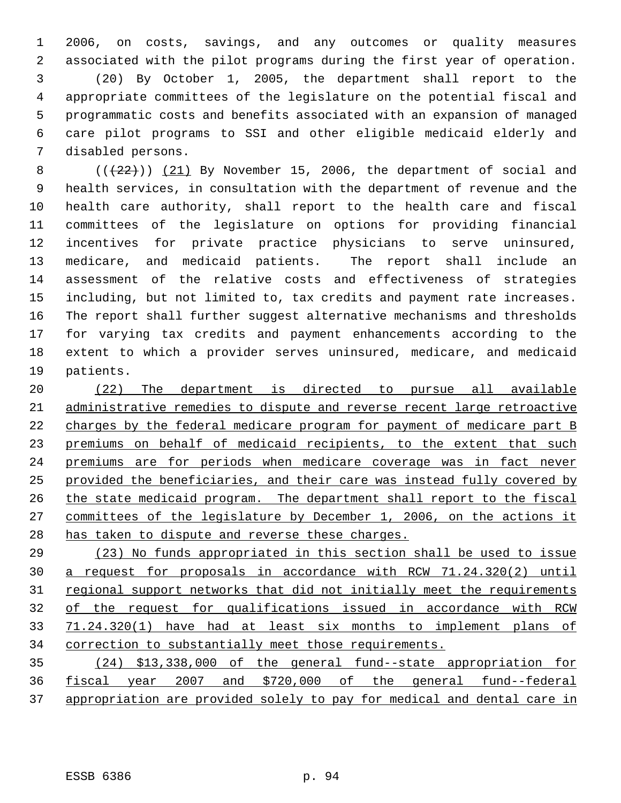2006, on costs, savings, and any outcomes or quality measures associated with the pilot programs during the first year of operation. (20) By October 1, 2005, the department shall report to the appropriate committees of the legislature on the potential fiscal and programmatic costs and benefits associated with an expansion of managed care pilot programs to SSI and other eligible medicaid elderly and disabled persons.

 $((+22))$  (21) By November 15, 2006, the department of social and health services, in consultation with the department of revenue and the health care authority, shall report to the health care and fiscal committees of the legislature on options for providing financial incentives for private practice physicians to serve uninsured, medicare, and medicaid patients. The report shall include an assessment of the relative costs and effectiveness of strategies including, but not limited to, tax credits and payment rate increases. The report shall further suggest alternative mechanisms and thresholds for varying tax credits and payment enhancements according to the extent to which a provider serves uninsured, medicare, and medicaid patients.

 (22) The department is directed to pursue all available administrative remedies to dispute and reverse recent large retroactive charges by the federal medicare program for payment of medicare part B 23 premiums on behalf of medicaid recipients, to the extent that such premiums are for periods when medicare coverage was in fact never provided the beneficiaries, and their care was instead fully covered by 26 the state medicaid program. The department shall report to the fiscal committees of the legislature by December 1, 2006, on the actions it 28 has taken to dispute and reverse these charges.

 (23) No funds appropriated in this section shall be used to issue a request for proposals in accordance with RCW 71.24.320(2) until 31 regional support networks that did not initially meet the requirements of the request for qualifications issued in accordance with RCW 71.24.320(1) have had at least six months to implement plans of correction to substantially meet those requirements.

 (24) \$13,338,000 of the general fund--state appropriation for fiscal year 2007 and \$720,000 of the general fund--federal appropriation are provided solely to pay for medical and dental care in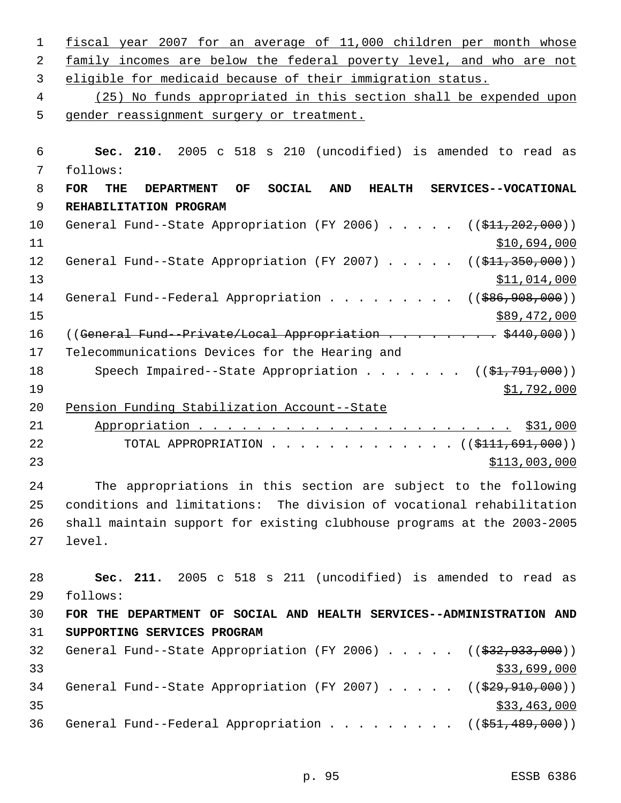1 fiscal year 2007 for an average of 11,000 children per month whose 2 family incomes are below the federal poverty level, and who are not 3 eligible for medicaid because of their immigration status. 4 (25) No funds appropriated in this section shall be expended upon 5 gender reassignment surgery or treatment. 6 **Sec. 210.** 2005 c 518 s 210 (uncodified) is amended to read as 7 follows: 8 **FOR THE DEPARTMENT OF SOCIAL AND HEALTH SERVICES--VOCATIONAL** 9 **REHABILITATION PROGRAM** 10 General Fund--State Appropriation (FY 2006) . . . . . ((\$11,202,000))  $11$  \$10,694,000 12 General Fund--State Appropriation (FY 2007) . . . . . ((\$11,350,000))  $13$  \$11,014,000 14 General Fund--Federal Appropriation . . . . . . . . ((\$86,908,000))  $\frac{$89,472,000}{ }$ 16 ((General Fund-Private/Local Appropriation . . . . . . . \$440,000)) 17 Telecommunications Devices for the Hearing and 18 Speech Impaired--State Appropriation . . . . . . ((\$1,791,000)) 19 \$1,792,000 20 Pension Funding Stabilization Account--State 21 Appropriation . . . . . . . . . . . . . . . . . . . . . . \$31,000 22 TOTAL APPROPRIATION . . . . . . . . . . . . . ((\$111,691,000))  $23$   $5113,003,000$ 24 The appropriations in this section are subject to the following 25 conditions and limitations: The division of vocational rehabilitation 26 shall maintain support for existing clubhouse programs at the 2003-2005 27 level. 28 **Sec. 211.** 2005 c 518 s 211 (uncodified) is amended to read as 29 follows: 30 **FOR THE DEPARTMENT OF SOCIAL AND HEALTH SERVICES--ADMINISTRATION AND** 31 **SUPPORTING SERVICES PROGRAM** 32 General Fund--State Appropriation (FY 2006) . . . . . ((\$32,933,000))  $\frac{1}{33}$   $\frac{1}{33}$ ,  $\frac{699}{000}$ 34 General Fund--State Appropriation (FY 2007) . . . . . ((\$29,910,000))  $35$  \$33,463,000 36 General Fund--Federal Appropriation . . . . . . . . ((\$51,489,000))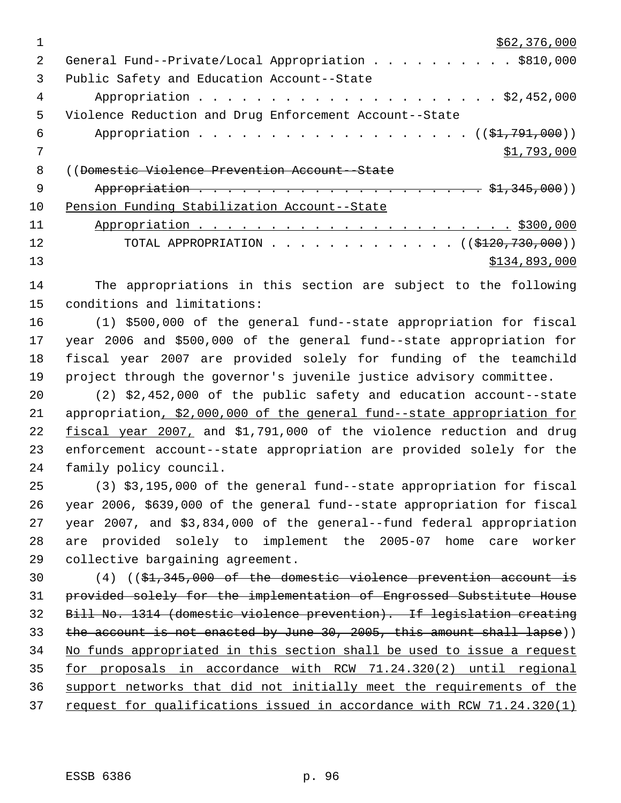|    | \$62,376,000                                           |
|----|--------------------------------------------------------|
| 2  | General Fund--Private/Local Appropriation \$810,000    |
| 3  | Public Safety and Education Account--State             |
| 4  |                                                        |
| 5  | Violence Reduction and Drug Enforcement Account--State |
| 6  |                                                        |
|    | \$1,793,000                                            |
| 8  | ((Domestic Violence Prevention Account-State           |
| 9  |                                                        |
| 10 | Pension Funding Stabilization Account--State           |
| 11 |                                                        |
| 12 | TOTAL APPROPRIATION ( $(\frac{120}{730}, 000)$ )       |
| 13 | \$134,893,000                                          |

 The appropriations in this section are subject to the following conditions and limitations:

 (1) \$500,000 of the general fund--state appropriation for fiscal year 2006 and \$500,000 of the general fund--state appropriation for fiscal year 2007 are provided solely for funding of the teamchild project through the governor's juvenile justice advisory committee.

 (2) \$2,452,000 of the public safety and education account--state appropriation, \$2,000,000 of the general fund--state appropriation for 22 fiscal year 2007, and \$1,791,000 of the violence reduction and drug enforcement account--state appropriation are provided solely for the family policy council.

 (3) \$3,195,000 of the general fund--state appropriation for fiscal year 2006, \$639,000 of the general fund--state appropriation for fiscal year 2007, and \$3,834,000 of the general--fund federal appropriation are provided solely to implement the 2005-07 home care worker collective bargaining agreement.

 (4) ((\$1,345,000 of the domestic violence prevention account is provided solely for the implementation of Engrossed Substitute House Bill No. 1314 (domestic violence prevention). If legislation creating the account is not enacted by June 30, 2005, this amount shall lapse)) No funds appropriated in this section shall be used to issue a request for proposals in accordance with RCW 71.24.320(2) until regional support networks that did not initially meet the requirements of the request for qualifications issued in accordance with RCW 71.24.320(1)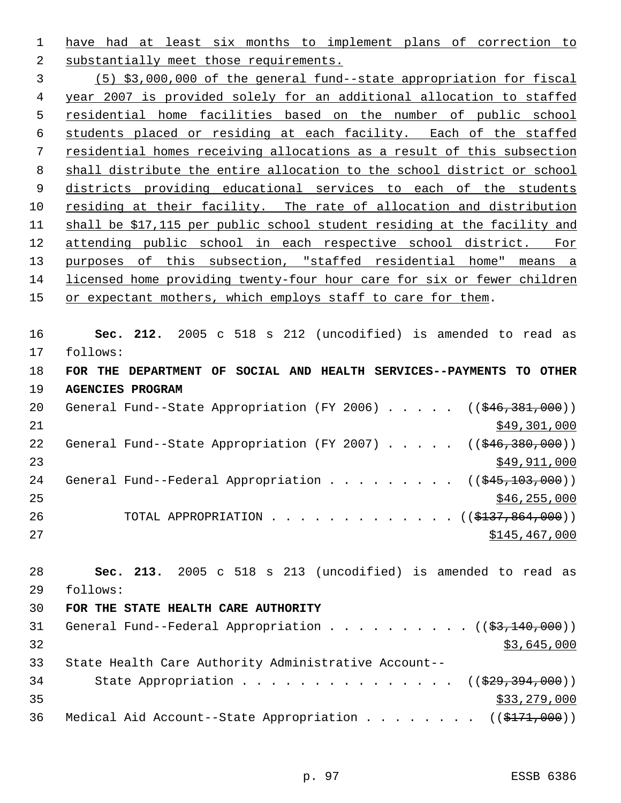have had at least six months to implement plans of correction to

 substantially meet those requirements. (5) \$3,000,000 of the general fund--state appropriation for fiscal year 2007 is provided solely for an additional allocation to staffed residential home facilities based on the number of public school

 students placed or residing at each facility. Each of the staffed residential homes receiving allocations as a result of this subsection shall distribute the entire allocation to the school district or school 9 districts providing educational services to each of the students 10 residing at their facility. The rate of allocation and distribution shall be \$17,115 per public school student residing at the facility and attending public school in each respective school district. For purposes of this subsection, "staffed residential home" means a licensed home providing twenty-four hour care for six or fewer children 15 or expectant mothers, which employs staff to care for them.

 **Sec. 212.** 2005 c 518 s 212 (uncodified) is amended to read as follows: **FOR THE DEPARTMENT OF SOCIAL AND HEALTH SERVICES--PAYMENTS TO OTHER**

 **AGENCIES PROGRAM** 20 General Fund--State Appropriation (FY 2006) . . . . . ((\$46,381,000)) \$49,301,000 22 General Fund--State Appropriation (FY 2007) . . . . . ((\$46,380,000)) \$49,911,000 24 General Fund--Federal Appropriation . . . . . . . . ((\$45,103,000)) \$46,255,000 26 TOTAL APPROPRIATION . . . . . . . . . . . . ((\$<del>137,864,000</del>)) 27 \$145,467,000

 **Sec. 213.** 2005 c 518 s 213 (uncodified) is amended to read as follows:

**FOR THE STATE HEALTH CARE AUTHORITY**

|    | 30 FOR THE STATE HEALTH CARE AUTHORITY                       |
|----|--------------------------------------------------------------|
| 31 | General Fund--Federal Appropriation $($ $($ \$3,140,000) $)$ |
| 32 | \$3,645,000                                                  |
| 33 | State Health Care Authority Administrative Account--         |
| 34 | State Appropriation ( $(\frac{29}{73}, \frac{394}{100})$ )   |
| 35 | \$33,279,000                                                 |
| 36 | Medical Aid Account--State Appropriation ((\$171,000))       |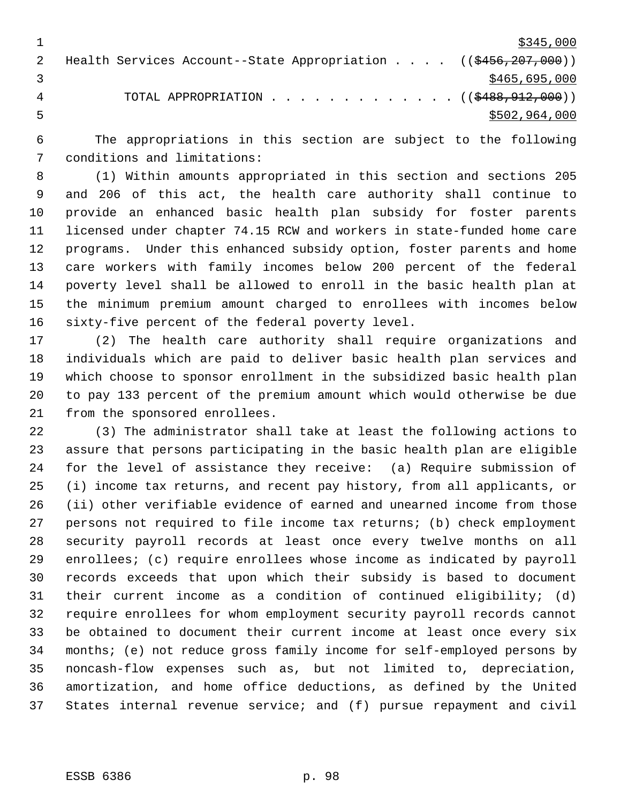$\frac{$345,000}{ }$ 2 Health Services Account--State Appropriation . . . . ((\$456,207,000))  $3 \times 465,695,000$ 4 TOTAL APPROPRIATION . . . . . . . . . . . . ((\$488, 912, 000))  $5502,964,000$ 

 The appropriations in this section are subject to the following conditions and limitations:

 (1) Within amounts appropriated in this section and sections 205 and 206 of this act, the health care authority shall continue to provide an enhanced basic health plan subsidy for foster parents licensed under chapter 74.15 RCW and workers in state-funded home care programs. Under this enhanced subsidy option, foster parents and home care workers with family incomes below 200 percent of the federal poverty level shall be allowed to enroll in the basic health plan at the minimum premium amount charged to enrollees with incomes below sixty-five percent of the federal poverty level.

 (2) The health care authority shall require organizations and individuals which are paid to deliver basic health plan services and which choose to sponsor enrollment in the subsidized basic health plan to pay 133 percent of the premium amount which would otherwise be due from the sponsored enrollees.

 (3) The administrator shall take at least the following actions to assure that persons participating in the basic health plan are eligible for the level of assistance they receive: (a) Require submission of (i) income tax returns, and recent pay history, from all applicants, or (ii) other verifiable evidence of earned and unearned income from those persons not required to file income tax returns; (b) check employment security payroll records at least once every twelve months on all enrollees; (c) require enrollees whose income as indicated by payroll records exceeds that upon which their subsidy is based to document their current income as a condition of continued eligibility; (d) require enrollees for whom employment security payroll records cannot be obtained to document their current income at least once every six months; (e) not reduce gross family income for self-employed persons by noncash-flow expenses such as, but not limited to, depreciation, amortization, and home office deductions, as defined by the United States internal revenue service; and (f) pursue repayment and civil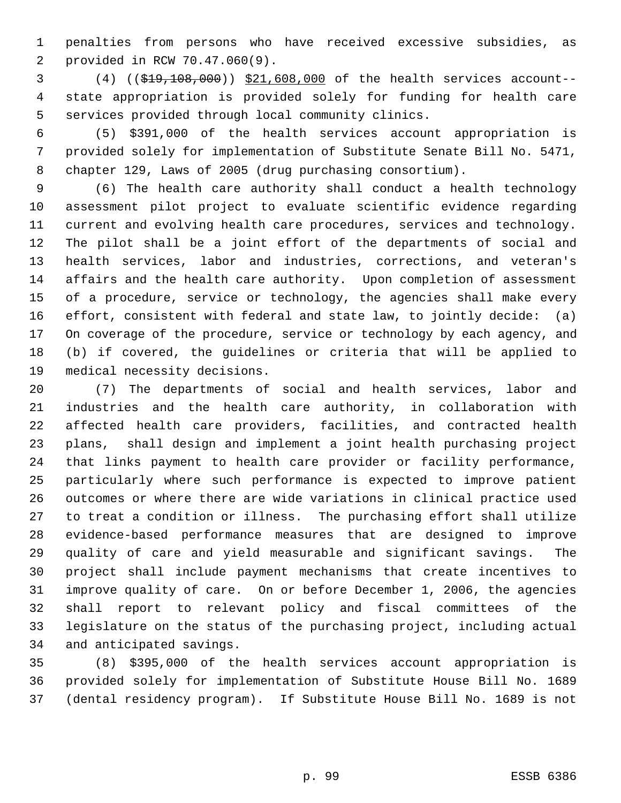penalties from persons who have received excessive subsidies, as provided in RCW 70.47.060(9).

 (4) ((\$19,108,000)) \$21,608,000 of the health services account-- state appropriation is provided solely for funding for health care services provided through local community clinics.

 (5) \$391,000 of the health services account appropriation is provided solely for implementation of Substitute Senate Bill No. 5471, chapter 129, Laws of 2005 (drug purchasing consortium).

 (6) The health care authority shall conduct a health technology assessment pilot project to evaluate scientific evidence regarding current and evolving health care procedures, services and technology. The pilot shall be a joint effort of the departments of social and health services, labor and industries, corrections, and veteran's affairs and the health care authority. Upon completion of assessment of a procedure, service or technology, the agencies shall make every effort, consistent with federal and state law, to jointly decide: (a) On coverage of the procedure, service or technology by each agency, and (b) if covered, the guidelines or criteria that will be applied to medical necessity decisions.

 (7) The departments of social and health services, labor and industries and the health care authority, in collaboration with affected health care providers, facilities, and contracted health plans, shall design and implement a joint health purchasing project that links payment to health care provider or facility performance, particularly where such performance is expected to improve patient outcomes or where there are wide variations in clinical practice used to treat a condition or illness. The purchasing effort shall utilize evidence-based performance measures that are designed to improve quality of care and yield measurable and significant savings. The project shall include payment mechanisms that create incentives to improve quality of care. On or before December 1, 2006, the agencies shall report to relevant policy and fiscal committees of the legislature on the status of the purchasing project, including actual and anticipated savings.

 (8) \$395,000 of the health services account appropriation is provided solely for implementation of Substitute House Bill No. 1689 (dental residency program). If Substitute House Bill No. 1689 is not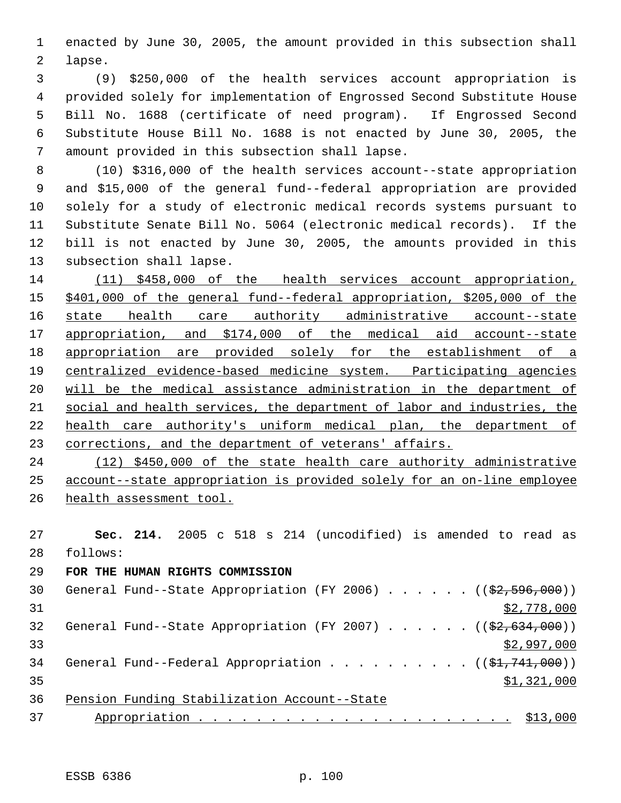enacted by June 30, 2005, the amount provided in this subsection shall lapse.

 (9) \$250,000 of the health services account appropriation is provided solely for implementation of Engrossed Second Substitute House Bill No. 1688 (certificate of need program). If Engrossed Second Substitute House Bill No. 1688 is not enacted by June 30, 2005, the amount provided in this subsection shall lapse.

 (10) \$316,000 of the health services account--state appropriation and \$15,000 of the general fund--federal appropriation are provided solely for a study of electronic medical records systems pursuant to Substitute Senate Bill No. 5064 (electronic medical records). If the bill is not enacted by June 30, 2005, the amounts provided in this subsection shall lapse.

 (11) \$458,000 of the health services account appropriation, \$401,000 of the general fund--federal appropriation, \$205,000 of the state health care authority administrative account--state appropriation, and \$174,000 of the medical aid account--state 18 appropriation are provided solely for the establishment of a centralized evidence-based medicine system. Participating agencies will be the medical assistance administration in the department of social and health services, the department of labor and industries, the health care authority's uniform medical plan, the department of 23 corrections, and the department of veterans' affairs.

 (12) \$450,000 of the state health care authority administrative account--state appropriation is provided solely for an on-line employee 26 health assessment tool.

 **Sec. 214.** 2005 c 518 s 214 (uncodified) is amended to read as follows:

## **FOR THE HUMAN RIGHTS COMMISSION**

| 30 | General Fund--State Appropriation (FY 2006) $($ $($ \$2,596,000)) |
|----|-------------------------------------------------------------------|
| 31 | \$2,778,000                                                       |
| 32 | General Fund--State Appropriation (FY 2007) $($ $($ \$2,634,000)) |
| 33 | \$2,997,000                                                       |
| 34 | General Fund--Federal Appropriation ( $(\frac{1}{2}, 741, 000)$ ) |
| 35 | \$1,321,000                                                       |
| 36 | Pension Funding Stabilization Account--State                      |
| 37 | \$13,000                                                          |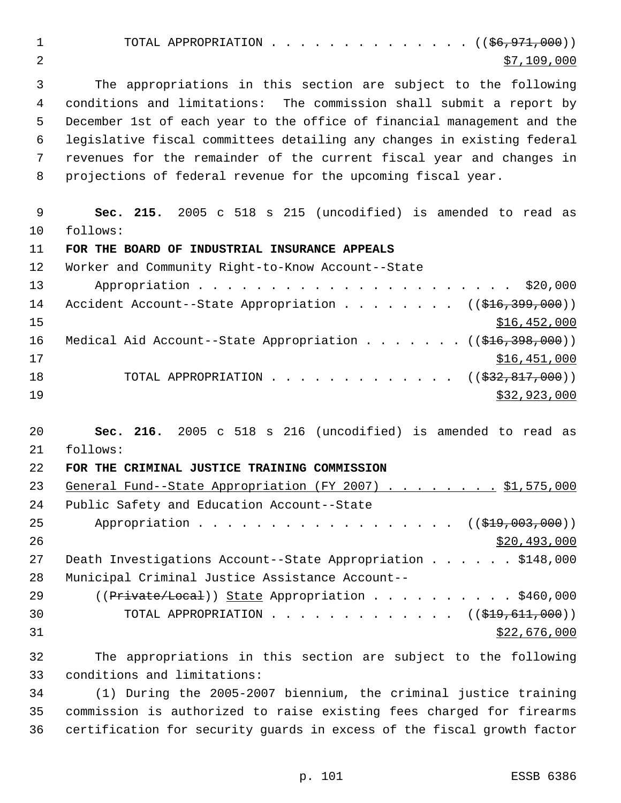1 TOTAL APPROPRIATION . . . . . . . . . . . . . ((<del>\$6,971,000</del>)) 2  $\frac{100,000}{2}$ 

 The appropriations in this section are subject to the following conditions and limitations: The commission shall submit a report by December 1st of each year to the office of financial management and the legislative fiscal committees detailing any changes in existing federal revenues for the remainder of the current fiscal year and changes in projections of federal revenue for the upcoming fiscal year.

 **Sec. 215.** 2005 c 518 s 215 (uncodified) is amended to read as follows:

**FOR THE BOARD OF INDUSTRIAL INSURANCE APPEALS**

 Worker and Community Right-to-Know Account--State Appropriation . . . . . . . . . . . . . . . . . . . . . . \$20,000 14 Accident Account--State Appropriation . . . . . . . ((\$16,399,000))  $$16,452,000$ 16 Medical Aid Account--State Appropriation . . . . . . ((\$16,398,000)) \$16,451,000 18 TOTAL APPROPRIATION . . . . . . . . . . . . ((<del>\$32,817,000</del>)) 19 \$32,923,000

 **Sec. 216.** 2005 c 518 s 216 (uncodified) is amended to read as follows:

**FOR THE CRIMINAL JUSTICE TRAINING COMMISSION**

| 23 | General Fund--State Appropriation (FY 2007) \$1,575,000                    |
|----|----------------------------------------------------------------------------|
| 24 | Public Safety and Education Account--State                                 |
| 25 | Appropriation $($ $(\frac{19}{29}, 003, 000))$                             |
| 26 | \$20,493,000                                                               |
| 27 | Death Investigations Account--State Appropriation \$148,000                |
| 28 | Municipal Criminal Justice Assistance Account--                            |
| 29 | $((Private/Local))$ State Appropriation \$460,000                          |
| 30 | TOTAL APPROPRIATION $\ldots$ , ( $(\frac{19}{29}, \frac{611}{611}, 000)$ ) |
| 31 | \$22,676,000                                                               |
|    |                                                                            |

 The appropriations in this section are subject to the following conditions and limitations:

 (1) During the 2005-2007 biennium, the criminal justice training commission is authorized to raise existing fees charged for firearms certification for security guards in excess of the fiscal growth factor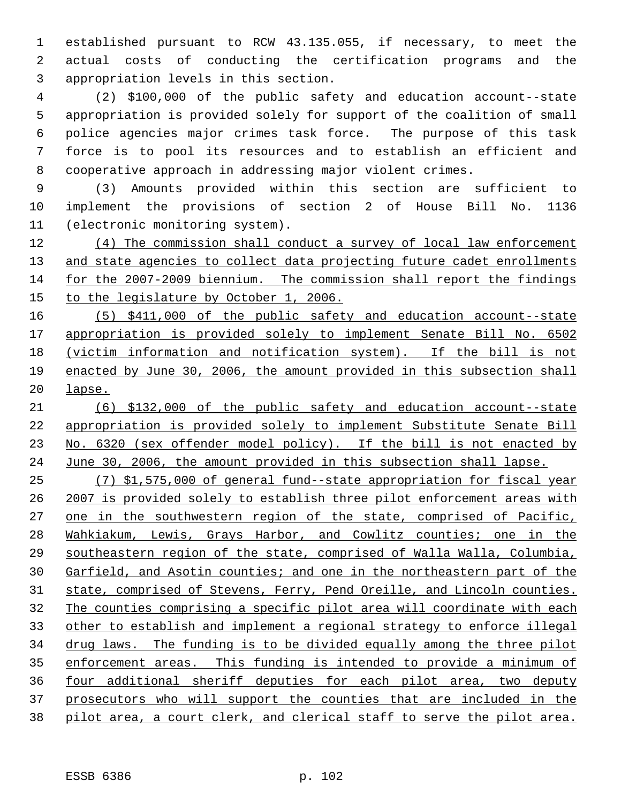established pursuant to RCW 43.135.055, if necessary, to meet the actual costs of conducting the certification programs and the appropriation levels in this section.

 (2) \$100,000 of the public safety and education account--state appropriation is provided solely for support of the coalition of small police agencies major crimes task force. The purpose of this task force is to pool its resources and to establish an efficient and cooperative approach in addressing major violent crimes.

 (3) Amounts provided within this section are sufficient to implement the provisions of section 2 of House Bill No. 1136 (electronic monitoring system).

 (4) The commission shall conduct a survey of local law enforcement 13 and state agencies to collect data projecting future cadet enrollments for the 2007-2009 biennium. The commission shall report the findings to the legislature by October 1, 2006.

 (5) \$411,000 of the public safety and education account--state appropriation is provided solely to implement Senate Bill No. 6502 (victim information and notification system). If the bill is not enacted by June 30, 2006, the amount provided in this subsection shall lapse.

 (6) \$132,000 of the public safety and education account--state appropriation is provided solely to implement Substitute Senate Bill 23 No. 6320 (sex offender model policy). If the bill is not enacted by June 30, 2006, the amount provided in this subsection shall lapse.

 (7) \$1,575,000 of general fund--state appropriation for fiscal year 2007 is provided solely to establish three pilot enforcement areas with 27 one in the southwestern region of the state, comprised of Pacific, Wahkiakum, Lewis, Grays Harbor, and Cowlitz counties; one in the southeastern region of the state, comprised of Walla Walla, Columbia, Garfield, and Asotin counties; and one in the northeastern part of the state, comprised of Stevens, Ferry, Pend Oreille, and Lincoln counties. The counties comprising a specific pilot area will coordinate with each other to establish and implement a regional strategy to enforce illegal drug laws. The funding is to be divided equally among the three pilot enforcement areas. This funding is intended to provide a minimum of four additional sheriff deputies for each pilot area, two deputy prosecutors who will support the counties that are included in the pilot area, a court clerk, and clerical staff to serve the pilot area.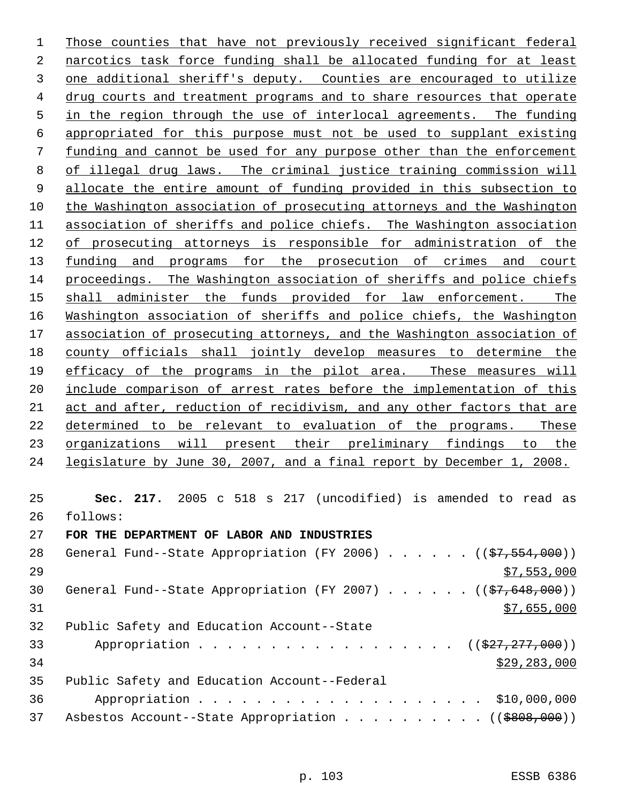Those counties that have not previously received significant federal narcotics task force funding shall be allocated funding for at least one additional sheriff's deputy. Counties are encouraged to utilize drug courts and treatment programs and to share resources that operate in the region through the use of interlocal agreements. The funding appropriated for this purpose must not be used to supplant existing funding and cannot be used for any purpose other than the enforcement of illegal drug laws. The criminal justice training commission will allocate the entire amount of funding provided in this subsection to the Washington association of prosecuting attorneys and the Washington association of sheriffs and police chiefs. The Washington association of prosecuting attorneys is responsible for administration of the 13 <u>funding and programs for the prosecution of crimes and court</u> proceedings. The Washington association of sheriffs and police chiefs 15 shall administer the funds provided for law enforcement. The Washington association of sheriffs and police chiefs, the Washington association of prosecuting attorneys, and the Washington association of county officials shall jointly develop measures to determine the efficacy of the programs in the pilot area. These measures will include comparison of arrest rates before the implementation of this act and after, reduction of recidivism, and any other factors that are determined to be relevant to evaluation of the programs. These organizations will present their preliminary findings to the legislature by June 30, 2007, and a final report by December 1, 2008. **Sec. 217.** 2005 c 518 s 217 (uncodified) is amended to read as follows: **FOR THE DEPARTMENT OF LABOR AND INDUSTRIES** 28 General Fund--State Appropriation (FY 2006)  $\ldots$  . . . . ( $(\frac{27}{57}, \frac{554}{000})$ )  $\frac{1}{2}$   $\frac{1}{2}$   $\frac{1}{2}$   $\frac{1}{2}$   $\frac{1}{2}$   $\frac{1}{2}$   $\frac{1}{2}$   $\frac{1}{2}$   $\frac{1}{2}$   $\frac{1}{2}$   $\frac{1}{2}$   $\frac{1}{2}$   $\frac{1}{2}$   $\frac{1}{2}$   $\frac{1}{2}$   $\frac{1}{2}$   $\frac{1}{2}$   $\frac{1}{2}$   $\frac{1}{2}$   $\frac{1}{2}$   $\frac{1}{2}$   $\frac{1}{$ 30 General Fund--State Appropriation (FY 2007)  $\ldots$  . . . . (( $\frac{27}{57648,000}$ )) \$7,655,000 Public Safety and Education Account--State

33 Appropriation . . . . . . . . . . . . . . . . ((\$27,277,000)) \$29,283,000 Public Safety and Education Account--Federal Appropriation . . . . . . . . . . . . . . . . . . . . \$10,000,000 37 Asbestos Account--State Appropriation . . . . . . . . . ((\$808,000))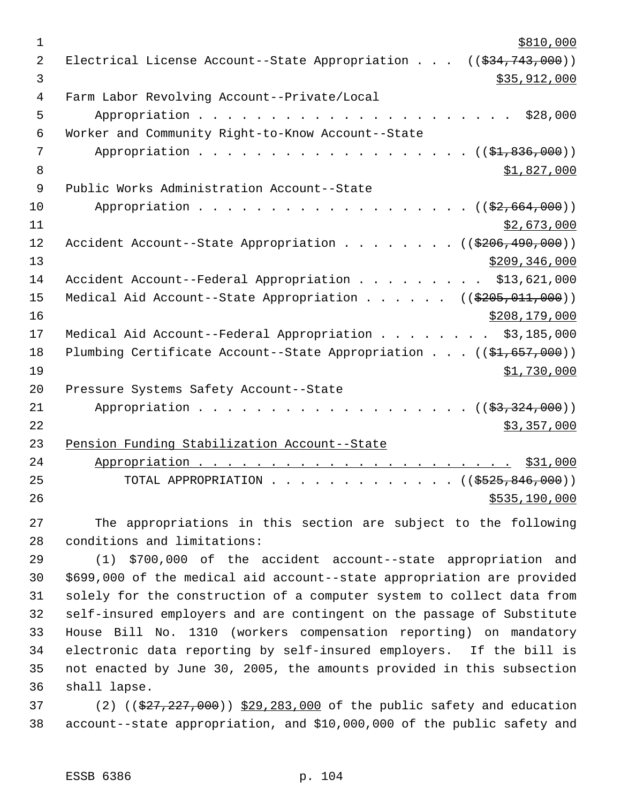| $\mathbf{1}$   | \$810,000                                                                      |
|----------------|--------------------------------------------------------------------------------|
| $\overline{2}$ | Electrical License Account--State Appropriation $((\$34,743,000))$             |
| 3              | \$35,912,000                                                                   |
| 4              | Farm Labor Revolving Account--Private/Local                                    |
| 5              | \$28,000                                                                       |
| 6              | Worker and Community Right-to-Know Account--State                              |
| 7              | Appropriation ( $(\frac{1}{21}, 836, 000)$ )                                   |
| 8              | \$1,827,000                                                                    |
| 9              | Public Works Administration Account--State                                     |
| 10             | Appropriation $($ $(\frac{2}{7}, 664, 000))$                                   |
| 11             | \$2,673,000                                                                    |
| 12             | Accident Account--State Appropriation ( $(\frac{206}{490}, \frac{490}{000})$ ) |
| 13             | \$209, 346, 000                                                                |
| 14             | Accident Account--Federal Appropriation<br>\$13,621,000                        |
| 15             | Medical Aid Account--State Appropriation ( $(\frac{205}{100}, 011, 000)$ )     |
| 16             | \$208,179,000                                                                  |
| 17             | Medical Aid Account--Federal Appropriation \$3,185,000                         |
| 18             | Plumbing Certificate Account--State Appropriation $((\frac{1}{2}, 657, 000))$  |
| 19             | \$1,730,000                                                                    |
| 20             | Pressure Systems Safety Account--State                                         |
| 21             | Appropriation $($ $(\frac{27}{27}, \frac{324}{100})$                           |
| 22             | \$3,357,000                                                                    |
| 23             | Pension Funding Stabilization Account--State                                   |
| 24             |                                                                                |
| 25             | TOTAL APPROPRIATION ( $(\frac{2525}{600})$ )                                   |
| 26             | \$535,190,000                                                                  |

 The appropriations in this section are subject to the following conditions and limitations:

 (1) \$700,000 of the accident account--state appropriation and \$699,000 of the medical aid account--state appropriation are provided solely for the construction of a computer system to collect data from self-insured employers and are contingent on the passage of Substitute House Bill No. 1310 (workers compensation reporting) on mandatory electronic data reporting by self-insured employers. If the bill is not enacted by June 30, 2005, the amounts provided in this subsection shall lapse.

37 (2) ((\$27,227,000)) \$29,283,000 of the public safety and education account--state appropriation, and \$10,000,000 of the public safety and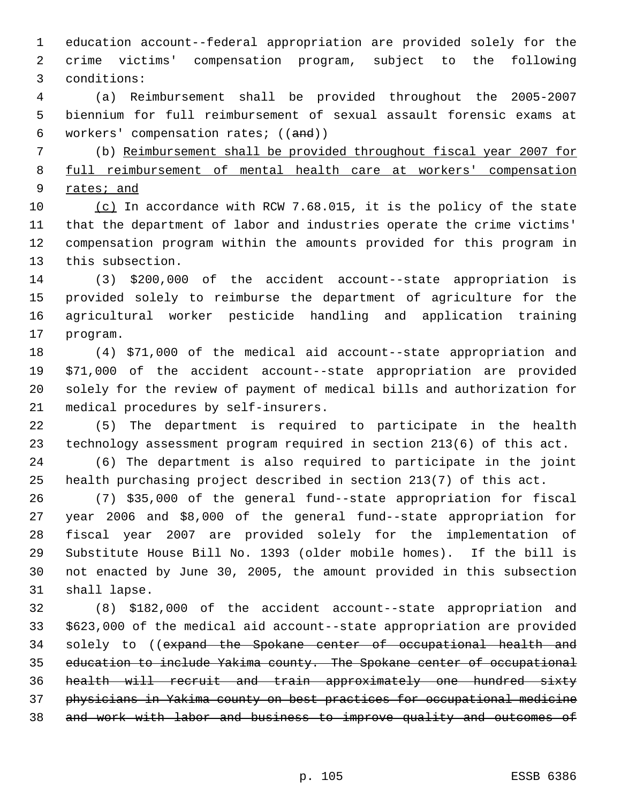education account--federal appropriation are provided solely for the crime victims' compensation program, subject to the following conditions:

 (a) Reimbursement shall be provided throughout the 2005-2007 biennium for full reimbursement of sexual assault forensic exams at workers' compensation rates; ((and))

 (b) Reimbursement shall be provided throughout fiscal year 2007 for full reimbursement of mental health care at workers' compensation 9 rates; and

 (c) In accordance with RCW 7.68.015, it is the policy of the state that the department of labor and industries operate the crime victims' compensation program within the amounts provided for this program in this subsection.

 (3) \$200,000 of the accident account--state appropriation is provided solely to reimburse the department of agriculture for the agricultural worker pesticide handling and application training program.

 (4) \$71,000 of the medical aid account--state appropriation and \$71,000 of the accident account--state appropriation are provided solely for the review of payment of medical bills and authorization for medical procedures by self-insurers.

 (5) The department is required to participate in the health technology assessment program required in section 213(6) of this act.

 (6) The department is also required to participate in the joint health purchasing project described in section 213(7) of this act.

 (7) \$35,000 of the general fund--state appropriation for fiscal year 2006 and \$8,000 of the general fund--state appropriation for fiscal year 2007 are provided solely for the implementation of Substitute House Bill No. 1393 (older mobile homes). If the bill is not enacted by June 30, 2005, the amount provided in this subsection shall lapse.

 (8) \$182,000 of the accident account--state appropriation and \$623,000 of the medical aid account--state appropriation are provided 34 solely to ((expand the Spokane center of occupational health and education to include Yakima county. The Spokane center of occupational health will recruit and train approximately one hundred sixty physicians in Yakima county on best practices for occupational medicine and work with labor and business to improve quality and outcomes of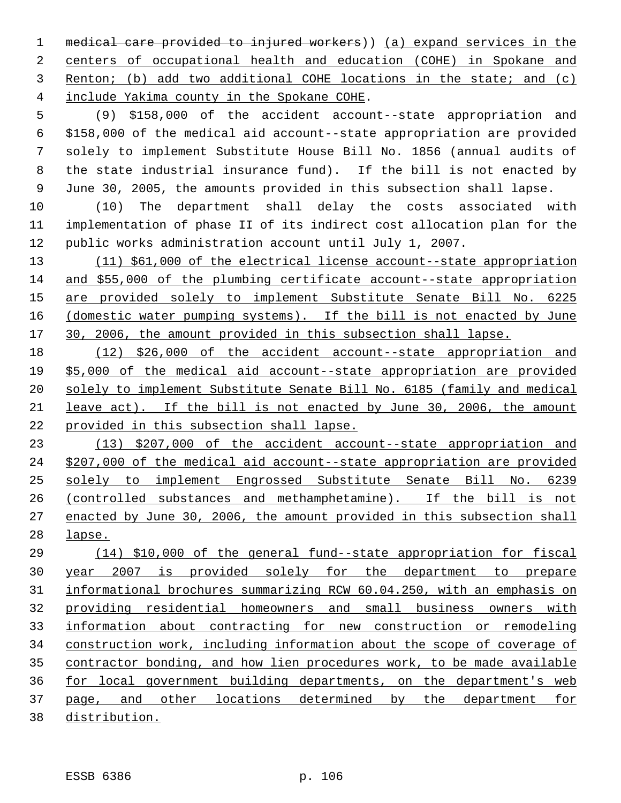medical care provided to injured workers)) (a) expand services in the centers of occupational health and education (COHE) in Spokane and Renton; (b) add two additional COHE locations in the state; and (c) include Yakima county in the Spokane COHE.

 (9) \$158,000 of the accident account--state appropriation and \$158,000 of the medical aid account--state appropriation are provided solely to implement Substitute House Bill No. 1856 (annual audits of the state industrial insurance fund). If the bill is not enacted by June 30, 2005, the amounts provided in this subsection shall lapse.

 (10) The department shall delay the costs associated with implementation of phase II of its indirect cost allocation plan for the public works administration account until July 1, 2007.

 (11) \$61,000 of the electrical license account--state appropriation and \$55,000 of the plumbing certificate account--state appropriation are provided solely to implement Substitute Senate Bill No. 6225 16 (domestic water pumping systems). If the bill is not enacted by June 30, 2006, the amount provided in this subsection shall lapse.

 (12) \$26,000 of the accident account--state appropriation and \$5,000 of the medical aid account--state appropriation are provided solely to implement Substitute Senate Bill No. 6185 (family and medical leave act). If the bill is not enacted by June 30, 2006, the amount provided in this subsection shall lapse.

 (13) \$207,000 of the accident account--state appropriation and \$207,000 of the medical aid account--state appropriation are provided solely to implement Engrossed Substitute Senate Bill No. 6239 (controlled substances and methamphetamine). If the bill is not enacted by June 30, 2006, the amount provided in this subsection shall lapse.

 (14) \$10,000 of the general fund--state appropriation for fiscal year 2007 is provided solely for the department to prepare informational brochures summarizing RCW 60.04.250, with an emphasis on providing residential homeowners and small business owners with information about contracting for new construction or remodeling construction work, including information about the scope of coverage of contractor bonding, and how lien procedures work, to be made available for local government building departments, on the department's web page, and other locations determined by the department for distribution.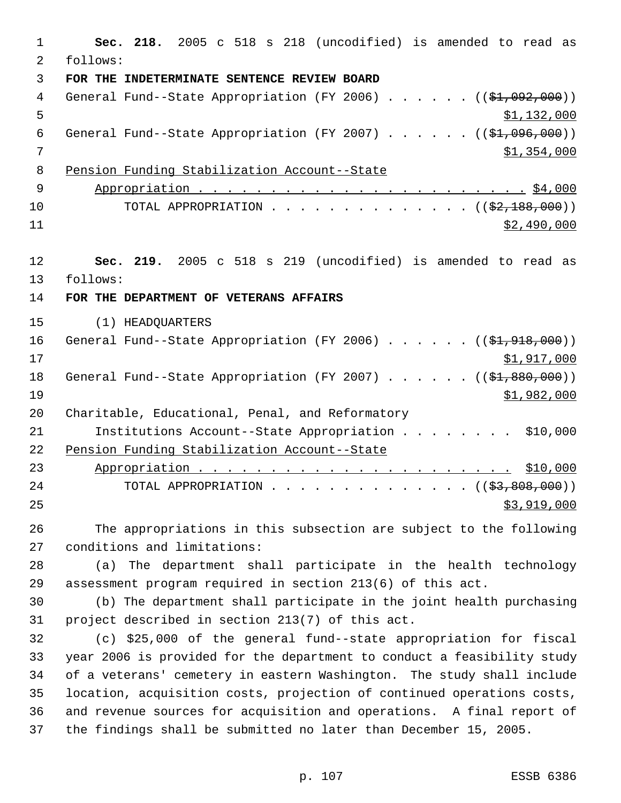**Sec. 218.** 2005 c 518 s 218 (uncodified) is amended to read as follows: **FOR THE INDETERMINATE SENTENCE REVIEW BOARD** 4 General Fund--State Appropriation (FY 2006) . . . . . . ((\$1,092,000))  $5 \frac{\text{1,132,000}}{1}$ 6 General Fund--State Appropriation (FY 2007)  $\ldots$  . . . . (( $\frac{1}{2}, 096, 000$ )) 7 \$1,354,000 Pension Funding Stabilization Account--State Appropriation . . . . . . . . . . . . . . . . . . . . . . . \$4,000 10 TOTAL APPROPRIATION . . . . . . . . . . . . . ((<del>\$2,188,000</del>)) \$2,490,000 **Sec. 219.** 2005 c 518 s 219 (uncodified) is amended to read as follows: **FOR THE DEPARTMENT OF VETERANS AFFAIRS** (1) HEADQUARTERS 16 General Fund--State Appropriation (FY 2006) . . . . . . ((\$1,918,000)) \$1,917,000 18 General Fund--State Appropriation (FY 2007) . . . . . . ((\$1,880,000)) \$1,982,000 Charitable, Educational, Penal, and Reformatory Institutions Account--State Appropriation . . . . . . . . \$10,000 Pension Funding Stabilization Account--State Appropriation . . . . . . . . . . . . . . . . . . . . . . \$10,000 24 TOTAL APPROPRIATION . . . . . . . . . . . . . . ((\$3,808,000)) \$3,919,000 The appropriations in this subsection are subject to the following conditions and limitations: (a) The department shall participate in the health technology assessment program required in section 213(6) of this act. (b) The department shall participate in the joint health purchasing project described in section 213(7) of this act. (c) \$25,000 of the general fund--state appropriation for fiscal year 2006 is provided for the department to conduct a feasibility study of a veterans' cemetery in eastern Washington. The study shall include location, acquisition costs, projection of continued operations costs, and revenue sources for acquisition and operations. A final report of the findings shall be submitted no later than December 15, 2005.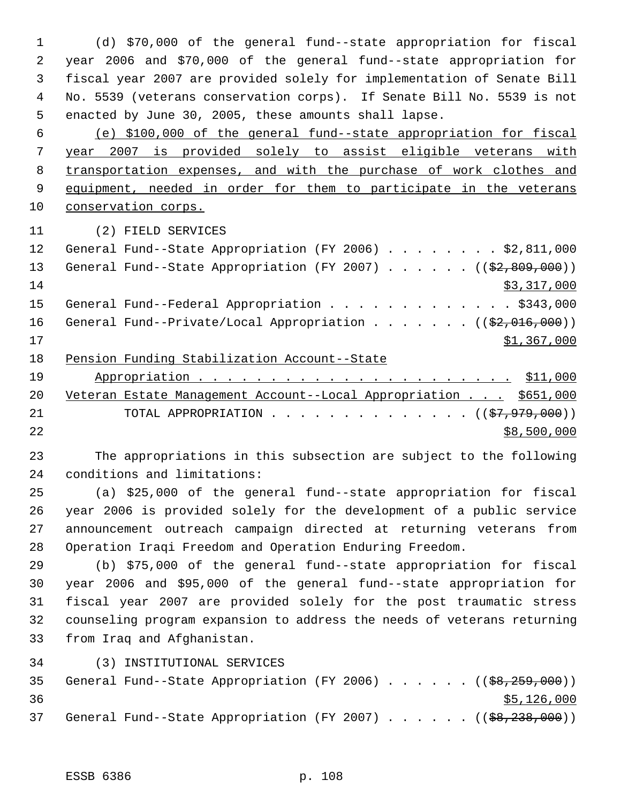(d) \$70,000 of the general fund--state appropriation for fiscal year 2006 and \$70,000 of the general fund--state appropriation for fiscal year 2007 are provided solely for implementation of Senate Bill No. 5539 (veterans conservation corps). If Senate Bill No. 5539 is not enacted by June 30, 2005, these amounts shall lapse.

 (e) \$100,000 of the general fund--state appropriation for fiscal year 2007 is provided solely to assist eligible veterans with transportation expenses, and with the purchase of work clothes and 9 equipment, needed in order for them to participate in the veterans conservation corps.

(2) FIELD SERVICES

| 12 | General Fund--State Appropriation (FY 2006) \$2,811,000                 |
|----|-------------------------------------------------------------------------|
| 13 | General Fund--State Appropriation (FY 2007) $($ $($ \$2,809,000))       |
| 14 | \$3,317,000                                                             |
| 15 | General Fund--Federal Appropriation \$343,000                           |
| 16 | General Fund--Private/Local Appropriation ( $(\frac{2}{2}, 016, 000)$ ) |
| 17 | \$1,367,000                                                             |
| 18 | Pension Funding Stabilization Account--State                            |

| 19   |                                                                     |
|------|---------------------------------------------------------------------|
|      | 20 Veteran Estate Management Account--Local Appropriation \$651,000 |
| 21   | TOTAL APPROPRIATION $($ $($ $\frac{27}{7}, \frac{979}{700})$        |
| 2.2. | \$8,500,000                                                         |

 The appropriations in this subsection are subject to the following conditions and limitations:

 (a) \$25,000 of the general fund--state appropriation for fiscal year 2006 is provided solely for the development of a public service announcement outreach campaign directed at returning veterans from Operation Iraqi Freedom and Operation Enduring Freedom.

 (b) \$75,000 of the general fund--state appropriation for fiscal year 2006 and \$95,000 of the general fund--state appropriation for fiscal year 2007 are provided solely for the post traumatic stress counseling program expansion to address the needs of veterans returning from Iraq and Afghanistan.

(3) INSTITUTIONAL SERVICES

|    |  |  |  |  |  | 35 General Fund--State Appropriation (FY 2006) ((\$8,259,000)) |
|----|--|--|--|--|--|----------------------------------------------------------------|
| 36 |  |  |  |  |  | \$5,126,000                                                    |
|    |  |  |  |  |  | 37 General Fund--State Appropriation (FY 2007) ((\$8,238,000)) |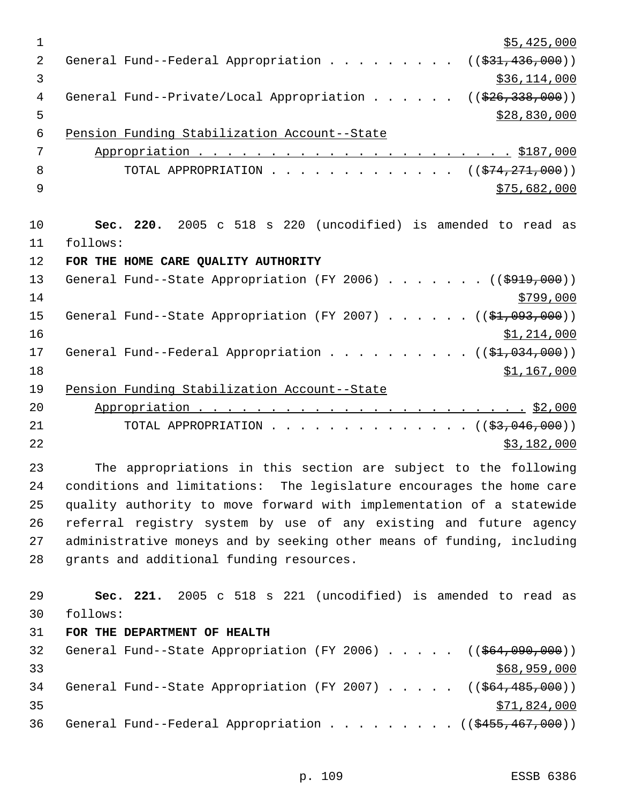| $\mathbf 1$    | \$5,425,000                                                                       |
|----------------|-----------------------------------------------------------------------------------|
| 2              | General Fund--Federal Appropriation<br>((\$31,436,000))                           |
| $\mathfrak{Z}$ | \$36,114,000                                                                      |
| 4              | General Fund--Private/Local Appropriation<br>((\$26,338,000))                     |
| 5              | \$28,830,000                                                                      |
| $\epsilon$     | Pension Funding Stabilization Account--State                                      |
| 7              |                                                                                   |
| 8              | TOTAL APPROPRIATION ( $(\frac{274}{271},000)$ )                                   |
| 9              | \$75,682,000                                                                      |
| 10             | Sec. 220. 2005 c 518 s 220 (uncodified) is amended to read as                     |
| 11             | follows:                                                                          |
| 12             | FOR THE HOME CARE QUALITY AUTHORITY                                               |
| 13             | General Fund--State Appropriation (FY 2006) ( $(\frac{2919}{000})$ )              |
| 14             | \$799,000                                                                         |
| 15             | General Fund--State Appropriation (FY 2007) $($ $($ \$1,093,000))                 |
| 16             | \$1,214,000                                                                       |
| 17             | General Fund--Federal Appropriation ( $(\frac{\xi_1}{\xi_2}, 0.00)$ )             |
| 18             | \$1,167,000                                                                       |
| 19             | Pension Funding Stabilization Account--State                                      |
| 20             |                                                                                   |
| 21             | TOTAL APPROPRIATION ( $(\frac{2}{3}, 046, 000)$ )                                 |
| 22             | \$3,182,000                                                                       |
| 23             | The appropriations in this section are subject to the following                   |
| 24             | conditions and limitations: The legislature encourages the home care              |
| 25             | quality authority to move forward with implementation of a statewide              |
| 26             | referral registry system by use of any existing and future agency                 |
| 27             | administrative moneys and by seeking other means of funding, including            |
| 28             | grants and additional funding resources.                                          |
| 29             | Sec. 221. 2005 c 518 s 221 (uncodified) is amended to read as                     |
| 30             | follows:                                                                          |
| 31             | FOR THE DEPARTMENT OF HEALTH                                                      |
| 32             | General Fund--State Appropriation (FY 2006) $($ $($ $\frac{664,090,000}{90,000})$ |
| 33             | \$68,959,000                                                                      |
| 34             | General Fund--State Appropriation (FY 2007) $($ $($ $64, 485, 000)$ )             |
| 35             | \$71,824,000                                                                      |
| 36             | General Fund--Federal Appropriation ((\$455,467,000))                             |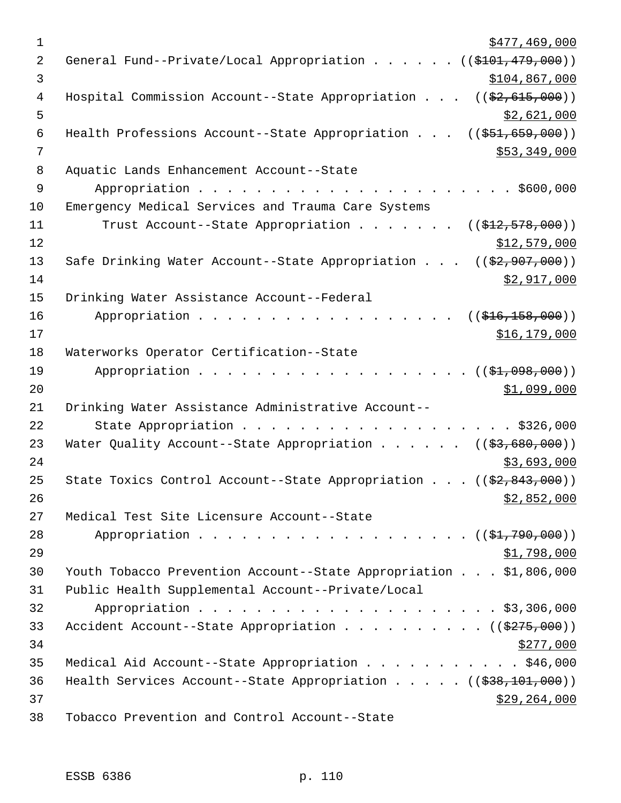| $\mathbf 1$ | \$477,469,000                                                                 |
|-------------|-------------------------------------------------------------------------------|
| 2           | General Fund--Private/Local Appropriation ((\$101,479,000))                   |
| 3           | \$104,867,000                                                                 |
| 4           | Hospital Commission Account--State Appropriation $((\frac{2}{7}, 615, 000))$  |
| 5           | \$2,621,000                                                                   |
| 6           | Health Professions Account--State Appropriation $(($51,659,000))$             |
| 7           | \$53,349,000                                                                  |
| 8           | Aquatic Lands Enhancement Account--State                                      |
| 9           |                                                                               |
| 10          | Emergency Medical Services and Trauma Care Systems                            |
| 11          | Trust Account--State Appropriation ( $(\frac{12}{72}, 578, 000)$ )            |
| 12          | \$12,579,000                                                                  |
| 13          | Safe Drinking Water Account--State Appropriation $((\frac{2}{7}, 907, 000))$  |
| 14          | \$2,917,000                                                                   |
| 15          | Drinking Water Assistance Account--Federal                                    |
| 16          | Appropriation<br>((\$416,158,000))                                            |
| 17          | \$16, 179, 000                                                                |
| 18          | Waterworks Operator Certification--State                                      |
| 19          | (( <del>\$1,098,000</del> ))                                                  |
| 20          | \$1,099,000                                                                   |
| 21          | Drinking Water Assistance Administrative Account--                            |
| 22          | State Appropriation \$326,000                                                 |
| 23          | Water Quality Account--State Appropriation ( $(\frac{2}{3}, 680, 000)$ )      |
| 24          | \$3,693,000                                                                   |
| 25          | State Toxics Control Account--State Appropriation $((\frac{2}{7}, 843, 000))$ |
| 26          | \$2,852,000                                                                   |
| 27          | Medical Test Site Licensure Account--State                                    |
| 28          | Appropriation $($ $(*1,790,000))$                                             |
| 29          | <u>\$1,798,000</u>                                                            |
| 30          | Youth Tobacco Prevention Account--State Appropriation \$1,806,000             |
| 31          | Public Health Supplemental Account--Private/Local                             |
| 32          |                                                                               |
| 33          | Accident Account--State Appropriation ( $(\frac{275,000}{s})$ )               |
| 34          | \$277,000                                                                     |
| 35          | Medical Aid Account--State Appropriation \$46,000                             |
| 36          | Health Services Account--State Appropriation $($ $($ $\frac{238}{101},000)$   |
| 37          | \$29,264,000                                                                  |
| 38          | Tobacco Prevention and Control Account--State                                 |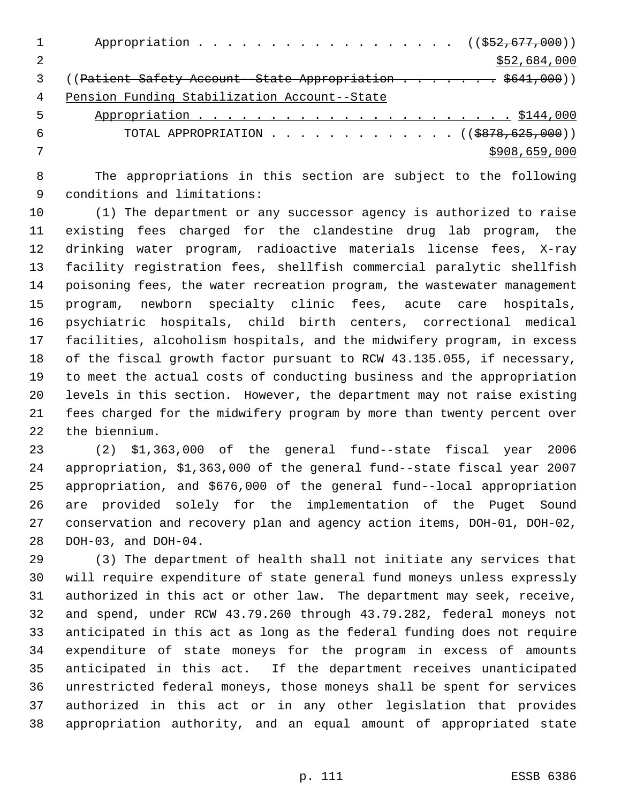|   | Appropriation $($ $(\frac{252}{677}, \frac{000}{60})$                  |
|---|------------------------------------------------------------------------|
|   | \$52,684,000                                                           |
|   | (( <del>Patient Safety Account--State Appropriation \$641,000</del> )) |
| 4 | Pension Funding Stabilization Account--State                           |
| 5 |                                                                        |
| 6 | TOTAL APPROPRIATION ( $(\frac{18878}{625}, 000)$ )                     |
|   | \$908,659,000                                                          |
|   |                                                                        |

 The appropriations in this section are subject to the following conditions and limitations:

 (1) The department or any successor agency is authorized to raise existing fees charged for the clandestine drug lab program, the drinking water program, radioactive materials license fees, X-ray facility registration fees, shellfish commercial paralytic shellfish poisoning fees, the water recreation program, the wastewater management program, newborn specialty clinic fees, acute care hospitals, psychiatric hospitals, child birth centers, correctional medical facilities, alcoholism hospitals, and the midwifery program, in excess of the fiscal growth factor pursuant to RCW 43.135.055, if necessary, to meet the actual costs of conducting business and the appropriation levels in this section. However, the department may not raise existing fees charged for the midwifery program by more than twenty percent over the biennium.

 (2) \$1,363,000 of the general fund--state fiscal year 2006 appropriation, \$1,363,000 of the general fund--state fiscal year 2007 appropriation, and \$676,000 of the general fund--local appropriation are provided solely for the implementation of the Puget Sound conservation and recovery plan and agency action items, DOH-01, DOH-02, DOH-03, and DOH-04.

 (3) The department of health shall not initiate any services that will require expenditure of state general fund moneys unless expressly authorized in this act or other law. The department may seek, receive, and spend, under RCW 43.79.260 through 43.79.282, federal moneys not anticipated in this act as long as the federal funding does not require expenditure of state moneys for the program in excess of amounts anticipated in this act. If the department receives unanticipated unrestricted federal moneys, those moneys shall be spent for services authorized in this act or in any other legislation that provides appropriation authority, and an equal amount of appropriated state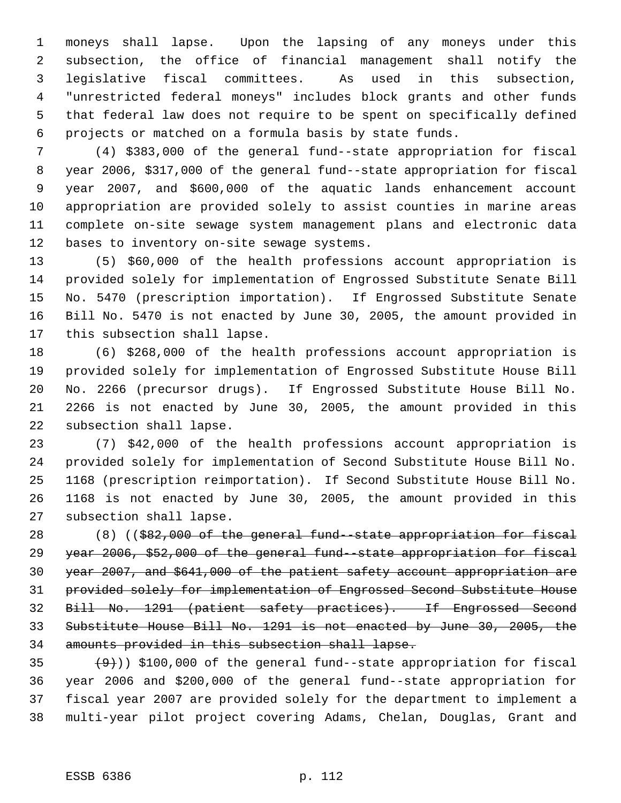moneys shall lapse. Upon the lapsing of any moneys under this subsection, the office of financial management shall notify the legislative fiscal committees. As used in this subsection, "unrestricted federal moneys" includes block grants and other funds that federal law does not require to be spent on specifically defined projects or matched on a formula basis by state funds.

 (4) \$383,000 of the general fund--state appropriation for fiscal year 2006, \$317,000 of the general fund--state appropriation for fiscal year 2007, and \$600,000 of the aquatic lands enhancement account appropriation are provided solely to assist counties in marine areas complete on-site sewage system management plans and electronic data bases to inventory on-site sewage systems.

 (5) \$60,000 of the health professions account appropriation is provided solely for implementation of Engrossed Substitute Senate Bill No. 5470 (prescription importation). If Engrossed Substitute Senate Bill No. 5470 is not enacted by June 30, 2005, the amount provided in this subsection shall lapse.

 (6) \$268,000 of the health professions account appropriation is provided solely for implementation of Engrossed Substitute House Bill No. 2266 (precursor drugs). If Engrossed Substitute House Bill No. 2266 is not enacted by June 30, 2005, the amount provided in this subsection shall lapse.

 (7) \$42,000 of the health professions account appropriation is provided solely for implementation of Second Substitute House Bill No. 1168 (prescription reimportation). If Second Substitute House Bill No. 1168 is not enacted by June 30, 2005, the amount provided in this subsection shall lapse.

 (8) ((\$82,000 of the general fund--state appropriation for fiscal year 2006, \$52,000 of the general fund--state appropriation for fiscal year 2007, and \$641,000 of the patient safety account appropriation are provided solely for implementation of Engrossed Second Substitute House Bill No. 1291 (patient safety practices). If Engrossed Second Substitute House Bill No. 1291 is not enacted by June 30, 2005, the amounts provided in this subsection shall lapse.

 $(9)$ ) \$100,000 of the general fund--state appropriation for fiscal year 2006 and \$200,000 of the general fund--state appropriation for fiscal year 2007 are provided solely for the department to implement a multi-year pilot project covering Adams, Chelan, Douglas, Grant and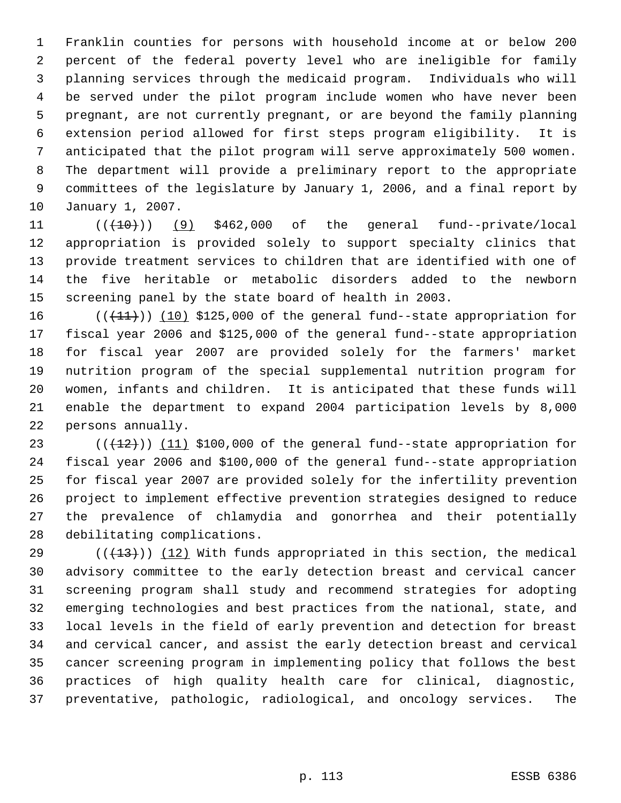Franklin counties for persons with household income at or below 200 percent of the federal poverty level who are ineligible for family planning services through the medicaid program. Individuals who will be served under the pilot program include women who have never been pregnant, are not currently pregnant, or are beyond the family planning extension period allowed for first steps program eligibility. It is anticipated that the pilot program will serve approximately 500 women. The department will provide a preliminary report to the appropriate committees of the legislature by January 1, 2006, and a final report by January 1, 2007.

 $((+10))$  (9) \$462,000 of the general fund--private/local appropriation is provided solely to support specialty clinics that provide treatment services to children that are identified with one of the five heritable or metabolic disorders added to the newborn screening panel by the state board of health in 2003.

 $((+11))$   $(10)$  \$125,000 of the general fund--state appropriation for fiscal year 2006 and \$125,000 of the general fund--state appropriation for fiscal year 2007 are provided solely for the farmers' market nutrition program of the special supplemental nutrition program for women, infants and children. It is anticipated that these funds will enable the department to expand 2004 participation levels by 8,000 persons annually.

 $((+12))$   $(11)$  \$100,000 of the general fund--state appropriation for fiscal year 2006 and \$100,000 of the general fund--state appropriation for fiscal year 2007 are provided solely for the infertility prevention project to implement effective prevention strategies designed to reduce the prevalence of chlamydia and gonorrhea and their potentially debilitating complications.

29 ( $(\frac{13}{13})$ ) (12) With funds appropriated in this section, the medical advisory committee to the early detection breast and cervical cancer screening program shall study and recommend strategies for adopting emerging technologies and best practices from the national, state, and local levels in the field of early prevention and detection for breast and cervical cancer, and assist the early detection breast and cervical cancer screening program in implementing policy that follows the best practices of high quality health care for clinical, diagnostic, preventative, pathologic, radiological, and oncology services. The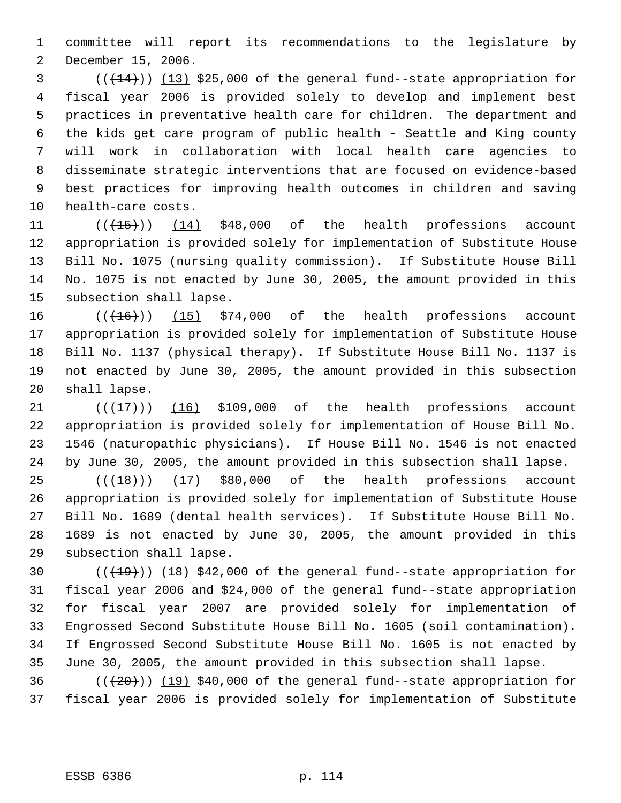committee will report its recommendations to the legislature by December 15, 2006.

 (( $\left(\frac{14}{13}\right)$ ) (13) \$25,000 of the general fund--state appropriation for fiscal year 2006 is provided solely to develop and implement best practices in preventative health care for children. The department and the kids get care program of public health - Seattle and King county will work in collaboration with local health care agencies to disseminate strategic interventions that are focused on evidence-based best practices for improving health outcomes in children and saving health-care costs.

 $((\text{(+15+)}))$  (14) \$48,000 of the health professions account appropriation is provided solely for implementation of Substitute House Bill No. 1075 (nursing quality commission). If Substitute House Bill No. 1075 is not enacted by June 30, 2005, the amount provided in this subsection shall lapse.

 $((+16))$   $(15)$  \$74,000 of the health professions account appropriation is provided solely for implementation of Substitute House Bill No. 1137 (physical therapy). If Substitute House Bill No. 1137 is not enacted by June 30, 2005, the amount provided in this subsection shall lapse.

 $((+17))$  (16) \$109,000 of the health professions account appropriation is provided solely for implementation of House Bill No. 1546 (naturopathic physicians). If House Bill No. 1546 is not enacted by June 30, 2005, the amount provided in this subsection shall lapse.

 $((+18))$  (17) \$80,000 of the health professions account appropriation is provided solely for implementation of Substitute House Bill No. 1689 (dental health services). If Substitute House Bill No. 1689 is not enacted by June 30, 2005, the amount provided in this subsection shall lapse.

 $((+19))$   $(18)$  \$42,000 of the general fund--state appropriation for fiscal year 2006 and \$24,000 of the general fund--state appropriation for fiscal year 2007 are provided solely for implementation of Engrossed Second Substitute House Bill No. 1605 (soil contamination). If Engrossed Second Substitute House Bill No. 1605 is not enacted by June 30, 2005, the amount provided in this subsection shall lapse.

36  $((+20))$   $(19)$  \$40,000 of the general fund--state appropriation for fiscal year 2006 is provided solely for implementation of Substitute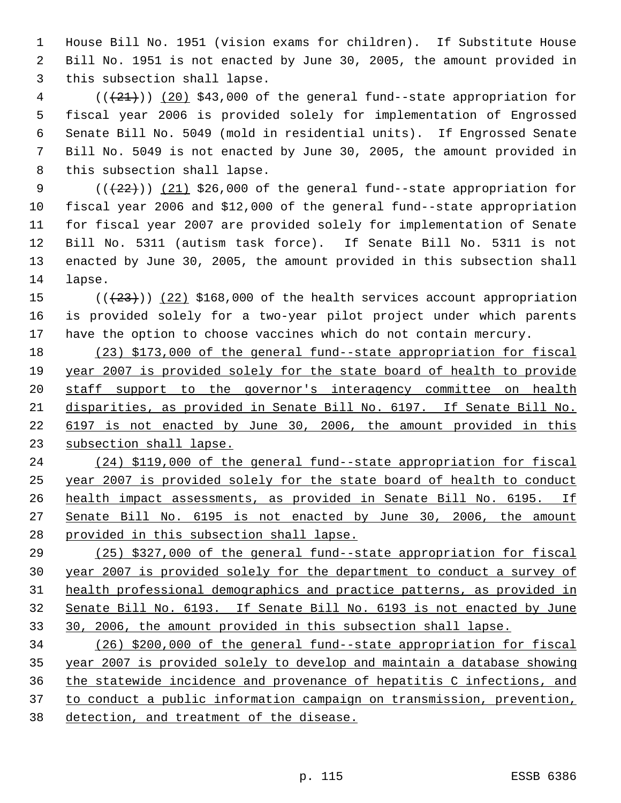House Bill No. 1951 (vision exams for children). If Substitute House Bill No. 1951 is not enacted by June 30, 2005, the amount provided in this subsection shall lapse.

 (( $\left(\frac{21}{21}\right)$ ) (20) \$43,000 of the general fund--state appropriation for fiscal year 2006 is provided solely for implementation of Engrossed Senate Bill No. 5049 (mold in residential units). If Engrossed Senate Bill No. 5049 is not enacted by June 30, 2005, the amount provided in this subsection shall lapse.

 $((+22))$   $(21)$  \$26,000 of the general fund--state appropriation for fiscal year 2006 and \$12,000 of the general fund--state appropriation for fiscal year 2007 are provided solely for implementation of Senate Bill No. 5311 (autism task force). If Senate Bill No. 5311 is not enacted by June 30, 2005, the amount provided in this subsection shall lapse.

15  $((+23))$   $(22)$  \$168,000 of the health services account appropriation is provided solely for a two-year pilot project under which parents have the option to choose vaccines which do not contain mercury.

 (23) \$173,000 of the general fund--state appropriation for fiscal year 2007 is provided solely for the state board of health to provide staff support to the governor's interagency committee on health disparities, as provided in Senate Bill No. 6197. If Senate Bill No. 6197 is not enacted by June 30, 2006, the amount provided in this subsection shall lapse.

 (24) \$119,000 of the general fund--state appropriation for fiscal year 2007 is provided solely for the state board of health to conduct health impact assessments, as provided in Senate Bill No. 6195. If Senate Bill No. 6195 is not enacted by June 30, 2006, the amount provided in this subsection shall lapse.

 (25) \$327,000 of the general fund--state appropriation for fiscal year 2007 is provided solely for the department to conduct a survey of health professional demographics and practice patterns, as provided in Senate Bill No. 6193. If Senate Bill No. 6193 is not enacted by June 30, 2006, the amount provided in this subsection shall lapse.

 (26) \$200,000 of the general fund--state appropriation for fiscal year 2007 is provided solely to develop and maintain a database showing the statewide incidence and provenance of hepatitis C infections, and to conduct a public information campaign on transmission, prevention, detection, and treatment of the disease.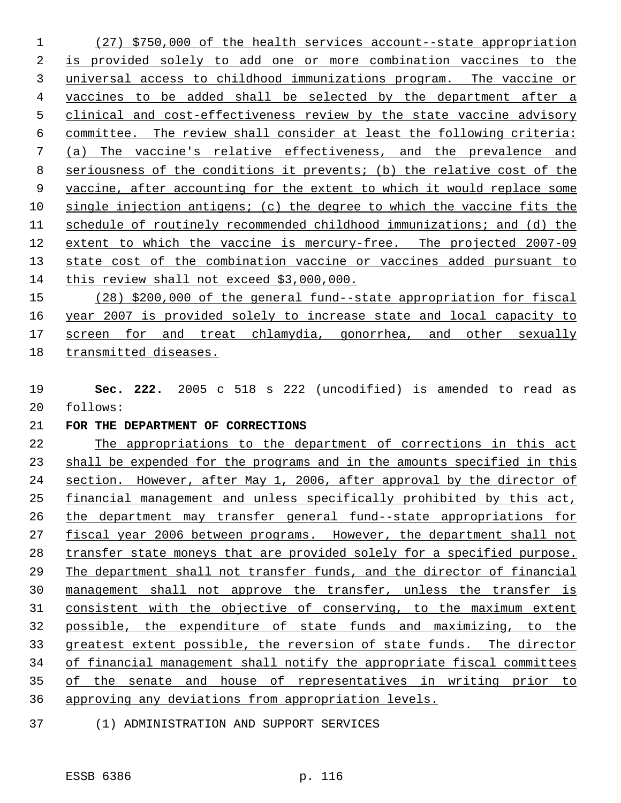(27) \$750,000 of the health services account--state appropriation is provided solely to add one or more combination vaccines to the universal access to childhood immunizations program. The vaccine or vaccines to be added shall be selected by the department after a clinical and cost-effectiveness review by the state vaccine advisory committee. The review shall consider at least the following criteria: (a) The vaccine's relative effectiveness, and the prevalence and seriousness of the conditions it prevents; (b) the relative cost of the vaccine, after accounting for the extent to which it would replace some single injection antigens; (c) the degree to which the vaccine fits the schedule of routinely recommended childhood immunizations; and (d) the extent to which the vaccine is mercury-free. The projected 2007-09 state cost of the combination vaccine or vaccines added pursuant to this review shall not exceed \$3,000,000.

 (28) \$200,000 of the general fund--state appropriation for fiscal year 2007 is provided solely to increase state and local capacity to 17 screen for and treat chlamydia, gonorrhea, and other sexually transmitted diseases.

 **Sec. 222.** 2005 c 518 s 222 (uncodified) is amended to read as follows:

## **FOR THE DEPARTMENT OF CORRECTIONS**

 The appropriations to the department of corrections in this act shall be expended for the programs and in the amounts specified in this section. However, after May 1, 2006, after approval by the director of financial management and unless specifically prohibited by this act, the department may transfer general fund--state appropriations for 27 fiscal year 2006 between programs. However, the department shall not transfer state moneys that are provided solely for a specified purpose. The department shall not transfer funds, and the director of financial management shall not approve the transfer, unless the transfer is consistent with the objective of conserving, to the maximum extent possible, the expenditure of state funds and maximizing, to the greatest extent possible, the reversion of state funds. The director of financial management shall notify the appropriate fiscal committees of the senate and house of representatives in writing prior to approving any deviations from appropriation levels.

(1) ADMINISTRATION AND SUPPORT SERVICES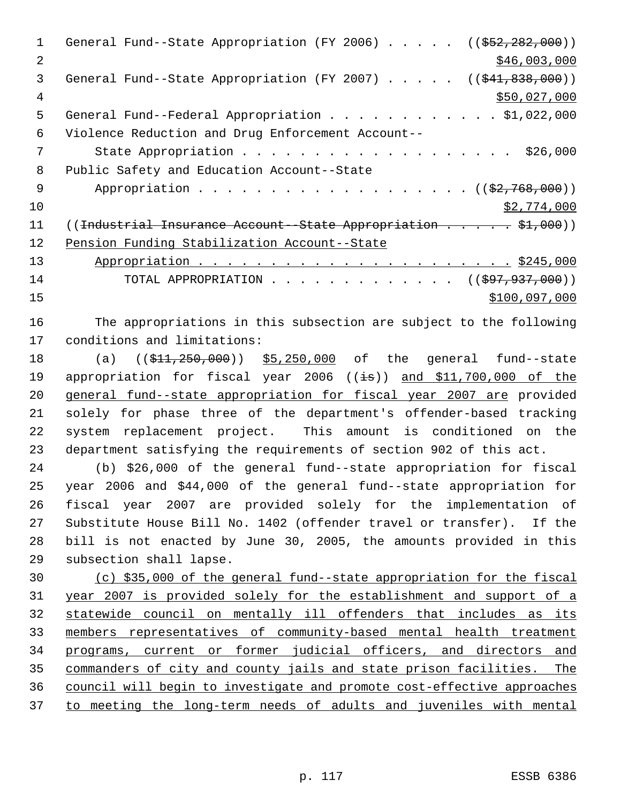1 General Fund--State Appropriation (FY 2006) . . . . . ((\$52,282,000)) 2 \$46,003,000 3 General Fund--State Appropriation (FY 2007) . . . . . ((\$41,838,000)) \$50,027,000 General Fund--Federal Appropriation . . . . . . . . . . . . \$1,022,000 Violence Reduction and Drug Enforcement Account-- 7 State Appropriation . . . . . . . . . . . . . . . . . . \$26,000 Public Safety and Education Account--State 9 Appropriation . . . . . . . . . . . . . . . . . (  $(\frac{2}{7}, \frac{768}{100})$  ) \$2,774,000 11 ((Industrial Insurance Account--State Appropriation . . . . \$1,000)) Pension Funding Stabilization Account--State Appropriation . . . . . . . . . . . . . . . . . . . . . . \$245,000 14 TOTAL APPROPRIATION . . . . . . . . . . . . . ((\$97,937,000)) \$100,097,000

 The appropriations in this subsection are subject to the following conditions and limitations:

18 (a) ((\$11,250,000)) \$5,250,000 of the general fund--state 19 appropriation for fiscal year 2006 ((is)) and \$11,700,000 of the general fund--state appropriation for fiscal year 2007 are provided solely for phase three of the department's offender-based tracking system replacement project. This amount is conditioned on the department satisfying the requirements of section 902 of this act.

 (b) \$26,000 of the general fund--state appropriation for fiscal year 2006 and \$44,000 of the general fund--state appropriation for fiscal year 2007 are provided solely for the implementation of Substitute House Bill No. 1402 (offender travel or transfer). If the bill is not enacted by June 30, 2005, the amounts provided in this subsection shall lapse.

 (c) \$35,000 of the general fund--state appropriation for the fiscal year 2007 is provided solely for the establishment and support of a statewide council on mentally ill offenders that includes as its members representatives of community-based mental health treatment programs, current or former judicial officers, and directors and commanders of city and county jails and state prison facilities. The council will begin to investigate and promote cost-effective approaches to meeting the long-term needs of adults and juveniles with mental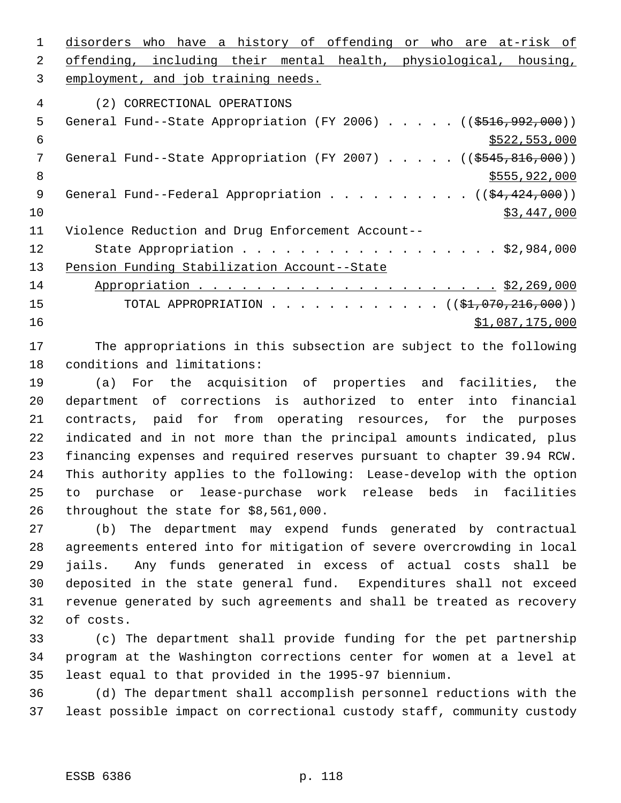disorders who have a history of offending or who are at-risk of offending, including their mental health, physiological, housing, employment, and job training needs. (2) CORRECTIONAL OPERATIONS 5 General Fund--State Appropriation (FY 2006) . . . . . ((\$516,992,000))  $\frac{1}{522}$ , 553,000 7 General Fund--State Appropriation (FY 2007) . . . . . ((\$545,816,000))  $8 \div 8$   $\frac{1}{2555,922,000}$ 9 General Fund--Federal Appropriation . . . . . . . . . . ((\$4,424,000)) \$3,447,000 Violence Reduction and Drug Enforcement Account-- 12 State Appropriation . . . . . . . . . . . . . . . . . \$2,984,000 13 Pension Funding Stabilization Account--State Appropriation . . . . . . . . . . . . . . . . . . . . . \$2,269,000 15 TOTAL APPROPRIATION . . . . . . . . . . . . ((\$1,070,216,000))  $\frac{$1,087,175,000}{2}$ 

 The appropriations in this subsection are subject to the following conditions and limitations:

 (a) For the acquisition of properties and facilities, the department of corrections is authorized to enter into financial contracts, paid for from operating resources, for the purposes indicated and in not more than the principal amounts indicated, plus financing expenses and required reserves pursuant to chapter 39.94 RCW. This authority applies to the following: Lease-develop with the option to purchase or lease-purchase work release beds in facilities throughout the state for \$8,561,000.

 (b) The department may expend funds generated by contractual agreements entered into for mitigation of severe overcrowding in local jails. Any funds generated in excess of actual costs shall be deposited in the state general fund. Expenditures shall not exceed revenue generated by such agreements and shall be treated as recovery of costs.

 (c) The department shall provide funding for the pet partnership program at the Washington corrections center for women at a level at least equal to that provided in the 1995-97 biennium.

 (d) The department shall accomplish personnel reductions with the least possible impact on correctional custody staff, community custody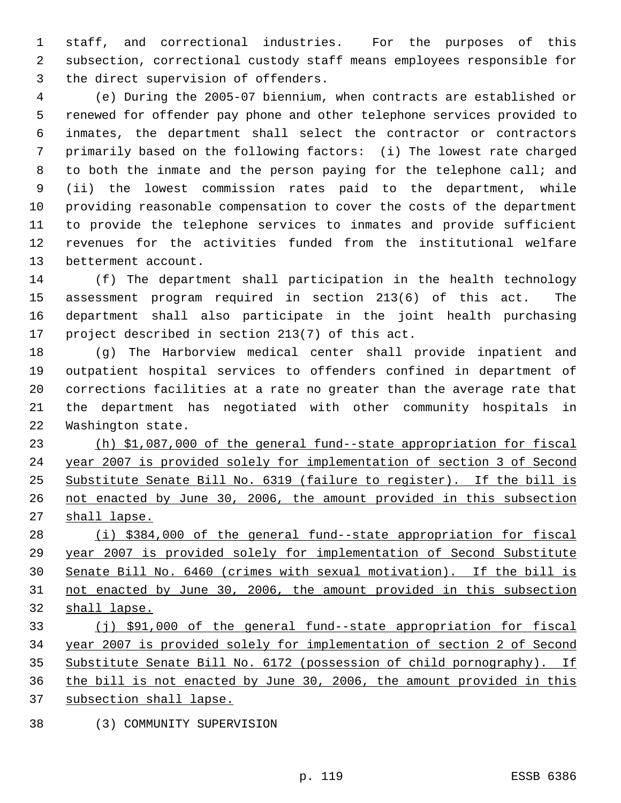staff, and correctional industries. For the purposes of this subsection, correctional custody staff means employees responsible for the direct supervision of offenders.

 (e) During the 2005-07 biennium, when contracts are established or renewed for offender pay phone and other telephone services provided to inmates, the department shall select the contractor or contractors primarily based on the following factors: (i) The lowest rate charged to both the inmate and the person paying for the telephone call; and (ii) the lowest commission rates paid to the department, while providing reasonable compensation to cover the costs of the department to provide the telephone services to inmates and provide sufficient revenues for the activities funded from the institutional welfare betterment account.

 (f) The department shall participation in the health technology assessment program required in section 213(6) of this act. The department shall also participate in the joint health purchasing project described in section 213(7) of this act.

 (g) The Harborview medical center shall provide inpatient and outpatient hospital services to offenders confined in department of corrections facilities at a rate no greater than the average rate that the department has negotiated with other community hospitals in Washington state.

 (h) \$1,087,000 of the general fund--state appropriation for fiscal year 2007 is provided solely for implementation of section 3 of Second Substitute Senate Bill No. 6319 (failure to register). If the bill is not enacted by June 30, 2006, the amount provided in this subsection 27 shall lapse.

 (i) \$384,000 of the general fund--state appropriation for fiscal year 2007 is provided solely for implementation of Second Substitute Senate Bill No. 6460 (crimes with sexual motivation). If the bill is not enacted by June 30, 2006, the amount provided in this subsection shall lapse.

 (j) \$91,000 of the general fund--state appropriation for fiscal year 2007 is provided solely for implementation of section 2 of Second Substitute Senate Bill No. 6172 (possession of child pornography). If the bill is not enacted by June 30, 2006, the amount provided in this subsection shall lapse.

(3) COMMUNITY SUPERVISION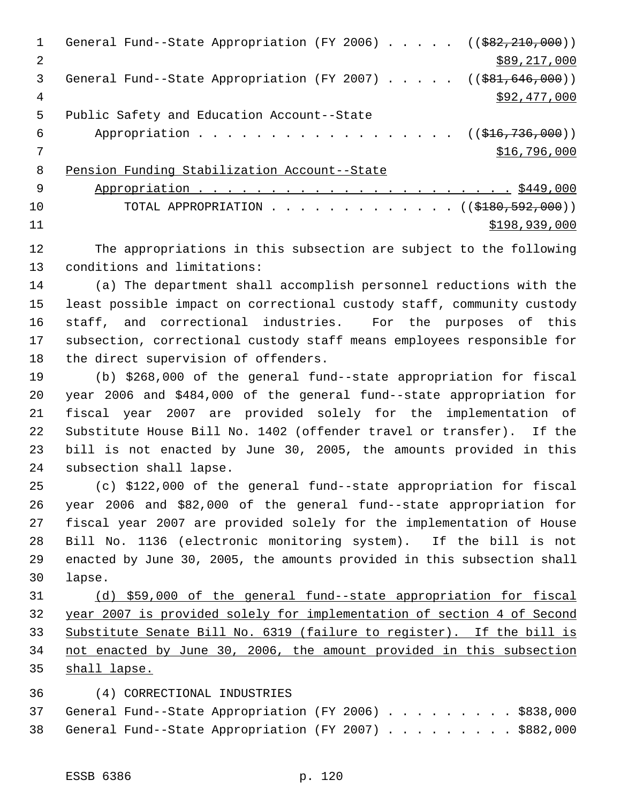| $\mathbf{1}$   | General Fund--State Appropriation (FY 2006) $($ $($ $\frac{682}{210}$ , 000)) |
|----------------|-------------------------------------------------------------------------------|
| $\mathfrak{D}$ | \$89,217,000                                                                  |
| 3              | General Fund--State Appropriation (FY 2007) $($ $($ \$81,646,000))            |
| 4              | \$92,477,000                                                                  |
| 5              | Public Safety and Education Account--State                                    |
| 6              | Appropriation ((\$16,736,000))                                                |
|                | \$16,796,000                                                                  |
| 8              | Pension Funding Stabilization Account--State                                  |
| - 9            |                                                                               |
| 10             | TOTAL APPROPRIATION ( $(\frac{1890,592,000}{s})$ )                            |
| 11             | \$198,939,000                                                                 |
|                |                                                                               |

 The appropriations in this subsection are subject to the following conditions and limitations:

 (a) The department shall accomplish personnel reductions with the least possible impact on correctional custody staff, community custody staff, and correctional industries. For the purposes of this subsection, correctional custody staff means employees responsible for the direct supervision of offenders.

 (b) \$268,000 of the general fund--state appropriation for fiscal year 2006 and \$484,000 of the general fund--state appropriation for fiscal year 2007 are provided solely for the implementation of Substitute House Bill No. 1402 (offender travel or transfer). If the bill is not enacted by June 30, 2005, the amounts provided in this subsection shall lapse.

 (c) \$122,000 of the general fund--state appropriation for fiscal year 2006 and \$82,000 of the general fund--state appropriation for fiscal year 2007 are provided solely for the implementation of House Bill No. 1136 (electronic monitoring system). If the bill is not enacted by June 30, 2005, the amounts provided in this subsection shall lapse.

 (d) \$59,000 of the general fund--state appropriation for fiscal year 2007 is provided solely for implementation of section 4 of Second Substitute Senate Bill No. 6319 (failure to register). If the bill is not enacted by June 30, 2006, the amount provided in this subsection shall lapse.

## (4) CORRECTIONAL INDUSTRIES

|  | 37 General Fund--State Appropriation (FY 2006) \$838,000 |  |  |  |  |  |  |
|--|----------------------------------------------------------|--|--|--|--|--|--|
|  | 38 General Fund--State Appropriation (FY 2007) \$882,000 |  |  |  |  |  |  |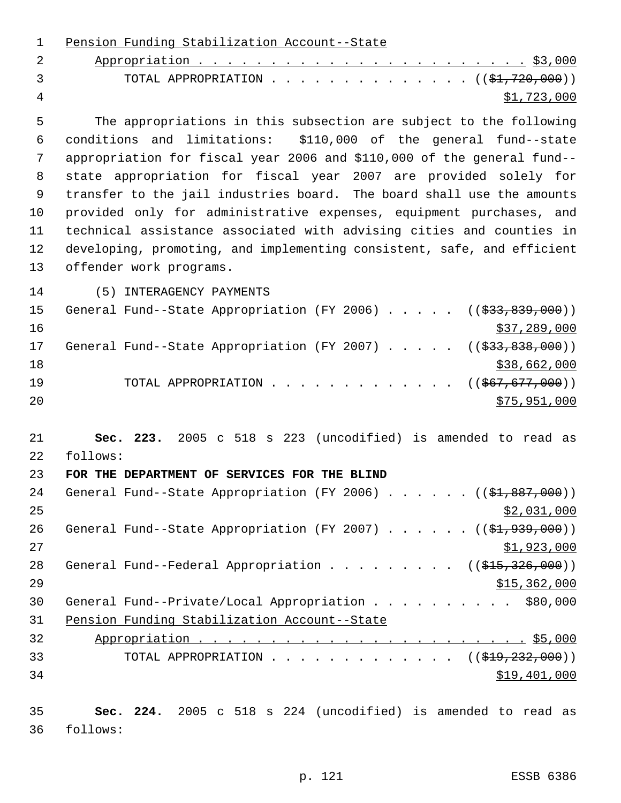| $\overline{2}$<br>3<br>TOTAL APPROPRIATION $($ $(\frac{21}{720},000) )$<br>4<br>\$1,723,000<br>5<br>The appropriations in this subsection are subject to the following<br>and limitations: \$110,000 of the general fund--state<br>6<br>conditions<br>7<br>appropriation for fiscal year 2006 and \$110,000 of the general fund--<br>8<br>state appropriation for fiscal year 2007 are provided solely for<br>9<br>transfer to the jail industries board. The board shall use the amounts<br>provided only for administrative expenses, equipment purchases, and<br>10<br>technical assistance associated with advising cities and counties in<br>11<br>developing, promoting, and implementing consistent, safe, and efficient<br>12<br>13<br>offender work programs.<br>14<br>(5) INTERAGENCY PAYMENTS<br>15<br>General Fund--State Appropriation (FY 2006) $($ $(\frac{233}{633}, \frac{839}{600})$<br>16<br>\$37,289,000<br>17<br>General Fund--State Appropriation (FY 2007) $($ $($ \$33,838,000))<br>18<br>\$38,662,000<br>19<br>TOTAL APPROPRIATION<br>$((\frac{1567}{677}, \frac{000}{0})$<br>20<br>\$75,951,000<br>21<br>Sec. 223. 2005 c 518 s 223 (uncodified) is amended to read as<br>22<br>follows:<br>23<br>FOR THE DEPARTMENT OF SERVICES FOR THE BLIND<br>General Fund--State Appropriation (FY 2006) ((\$1,887,000))<br>24<br>25<br>\$2,031,000<br>26<br>General Fund--State Appropriation (FY 2007) $($ $($ \$1,939,000))<br>27<br>\$1,923,000<br>General Fund--Federal Appropriation ( $(\frac{1515}{326},000)$ )<br>28<br>29<br>\$15,362,000<br>30<br>General Fund--Private/Local Appropriation \$80,000<br>31<br>Pension Funding Stabilization Account--State<br>32<br>33<br>TOTAL APPROPRIATION ( $(\frac{219}{722}, 232, 000)$ )<br>34<br>\$19,401,000<br>35<br>Sec. 224. 2005 c 518 s 224 (uncodified) is amended to read as<br>36<br>follows: | $\mathbf 1$ | Pension Funding Stabilization Account--State |
|--------------------------------------------------------------------------------------------------------------------------------------------------------------------------------------------------------------------------------------------------------------------------------------------------------------------------------------------------------------------------------------------------------------------------------------------------------------------------------------------------------------------------------------------------------------------------------------------------------------------------------------------------------------------------------------------------------------------------------------------------------------------------------------------------------------------------------------------------------------------------------------------------------------------------------------------------------------------------------------------------------------------------------------------------------------------------------------------------------------------------------------------------------------------------------------------------------------------------------------------------------------------------------------------------------------------------------------------------------------------------------------------------------------------------------------------------------------------------------------------------------------------------------------------------------------------------------------------------------------------------------------------------------------------------------------------------------------------------------------------------------------------------------------------------------------------------------------------------------------------------|-------------|----------------------------------------------|
|                                                                                                                                                                                                                                                                                                                                                                                                                                                                                                                                                                                                                                                                                                                                                                                                                                                                                                                                                                                                                                                                                                                                                                                                                                                                                                                                                                                                                                                                                                                                                                                                                                                                                                                                                                                                                                                                          |             |                                              |
|                                                                                                                                                                                                                                                                                                                                                                                                                                                                                                                                                                                                                                                                                                                                                                                                                                                                                                                                                                                                                                                                                                                                                                                                                                                                                                                                                                                                                                                                                                                                                                                                                                                                                                                                                                                                                                                                          |             |                                              |
|                                                                                                                                                                                                                                                                                                                                                                                                                                                                                                                                                                                                                                                                                                                                                                                                                                                                                                                                                                                                                                                                                                                                                                                                                                                                                                                                                                                                                                                                                                                                                                                                                                                                                                                                                                                                                                                                          |             |                                              |
|                                                                                                                                                                                                                                                                                                                                                                                                                                                                                                                                                                                                                                                                                                                                                                                                                                                                                                                                                                                                                                                                                                                                                                                                                                                                                                                                                                                                                                                                                                                                                                                                                                                                                                                                                                                                                                                                          |             |                                              |
|                                                                                                                                                                                                                                                                                                                                                                                                                                                                                                                                                                                                                                                                                                                                                                                                                                                                                                                                                                                                                                                                                                                                                                                                                                                                                                                                                                                                                                                                                                                                                                                                                                                                                                                                                                                                                                                                          |             |                                              |
|                                                                                                                                                                                                                                                                                                                                                                                                                                                                                                                                                                                                                                                                                                                                                                                                                                                                                                                                                                                                                                                                                                                                                                                                                                                                                                                                                                                                                                                                                                                                                                                                                                                                                                                                                                                                                                                                          |             |                                              |
|                                                                                                                                                                                                                                                                                                                                                                                                                                                                                                                                                                                                                                                                                                                                                                                                                                                                                                                                                                                                                                                                                                                                                                                                                                                                                                                                                                                                                                                                                                                                                                                                                                                                                                                                                                                                                                                                          |             |                                              |
|                                                                                                                                                                                                                                                                                                                                                                                                                                                                                                                                                                                                                                                                                                                                                                                                                                                                                                                                                                                                                                                                                                                                                                                                                                                                                                                                                                                                                                                                                                                                                                                                                                                                                                                                                                                                                                                                          |             |                                              |
|                                                                                                                                                                                                                                                                                                                                                                                                                                                                                                                                                                                                                                                                                                                                                                                                                                                                                                                                                                                                                                                                                                                                                                                                                                                                                                                                                                                                                                                                                                                                                                                                                                                                                                                                                                                                                                                                          |             |                                              |
|                                                                                                                                                                                                                                                                                                                                                                                                                                                                                                                                                                                                                                                                                                                                                                                                                                                                                                                                                                                                                                                                                                                                                                                                                                                                                                                                                                                                                                                                                                                                                                                                                                                                                                                                                                                                                                                                          |             |                                              |
|                                                                                                                                                                                                                                                                                                                                                                                                                                                                                                                                                                                                                                                                                                                                                                                                                                                                                                                                                                                                                                                                                                                                                                                                                                                                                                                                                                                                                                                                                                                                                                                                                                                                                                                                                                                                                                                                          |             |                                              |
|                                                                                                                                                                                                                                                                                                                                                                                                                                                                                                                                                                                                                                                                                                                                                                                                                                                                                                                                                                                                                                                                                                                                                                                                                                                                                                                                                                                                                                                                                                                                                                                                                                                                                                                                                                                                                                                                          |             |                                              |
|                                                                                                                                                                                                                                                                                                                                                                                                                                                                                                                                                                                                                                                                                                                                                                                                                                                                                                                                                                                                                                                                                                                                                                                                                                                                                                                                                                                                                                                                                                                                                                                                                                                                                                                                                                                                                                                                          |             |                                              |
|                                                                                                                                                                                                                                                                                                                                                                                                                                                                                                                                                                                                                                                                                                                                                                                                                                                                                                                                                                                                                                                                                                                                                                                                                                                                                                                                                                                                                                                                                                                                                                                                                                                                                                                                                                                                                                                                          |             |                                              |
|                                                                                                                                                                                                                                                                                                                                                                                                                                                                                                                                                                                                                                                                                                                                                                                                                                                                                                                                                                                                                                                                                                                                                                                                                                                                                                                                                                                                                                                                                                                                                                                                                                                                                                                                                                                                                                                                          |             |                                              |
|                                                                                                                                                                                                                                                                                                                                                                                                                                                                                                                                                                                                                                                                                                                                                                                                                                                                                                                                                                                                                                                                                                                                                                                                                                                                                                                                                                                                                                                                                                                                                                                                                                                                                                                                                                                                                                                                          |             |                                              |
|                                                                                                                                                                                                                                                                                                                                                                                                                                                                                                                                                                                                                                                                                                                                                                                                                                                                                                                                                                                                                                                                                                                                                                                                                                                                                                                                                                                                                                                                                                                                                                                                                                                                                                                                                                                                                                                                          |             |                                              |
|                                                                                                                                                                                                                                                                                                                                                                                                                                                                                                                                                                                                                                                                                                                                                                                                                                                                                                                                                                                                                                                                                                                                                                                                                                                                                                                                                                                                                                                                                                                                                                                                                                                                                                                                                                                                                                                                          |             |                                              |
|                                                                                                                                                                                                                                                                                                                                                                                                                                                                                                                                                                                                                                                                                                                                                                                                                                                                                                                                                                                                                                                                                                                                                                                                                                                                                                                                                                                                                                                                                                                                                                                                                                                                                                                                                                                                                                                                          |             |                                              |
|                                                                                                                                                                                                                                                                                                                                                                                                                                                                                                                                                                                                                                                                                                                                                                                                                                                                                                                                                                                                                                                                                                                                                                                                                                                                                                                                                                                                                                                                                                                                                                                                                                                                                                                                                                                                                                                                          |             |                                              |
|                                                                                                                                                                                                                                                                                                                                                                                                                                                                                                                                                                                                                                                                                                                                                                                                                                                                                                                                                                                                                                                                                                                                                                                                                                                                                                                                                                                                                                                                                                                                                                                                                                                                                                                                                                                                                                                                          |             |                                              |
|                                                                                                                                                                                                                                                                                                                                                                                                                                                                                                                                                                                                                                                                                                                                                                                                                                                                                                                                                                                                                                                                                                                                                                                                                                                                                                                                                                                                                                                                                                                                                                                                                                                                                                                                                                                                                                                                          |             |                                              |
|                                                                                                                                                                                                                                                                                                                                                                                                                                                                                                                                                                                                                                                                                                                                                                                                                                                                                                                                                                                                                                                                                                                                                                                                                                                                                                                                                                                                                                                                                                                                                                                                                                                                                                                                                                                                                                                                          |             |                                              |
|                                                                                                                                                                                                                                                                                                                                                                                                                                                                                                                                                                                                                                                                                                                                                                                                                                                                                                                                                                                                                                                                                                                                                                                                                                                                                                                                                                                                                                                                                                                                                                                                                                                                                                                                                                                                                                                                          |             |                                              |
|                                                                                                                                                                                                                                                                                                                                                                                                                                                                                                                                                                                                                                                                                                                                                                                                                                                                                                                                                                                                                                                                                                                                                                                                                                                                                                                                                                                                                                                                                                                                                                                                                                                                                                                                                                                                                                                                          |             |                                              |
|                                                                                                                                                                                                                                                                                                                                                                                                                                                                                                                                                                                                                                                                                                                                                                                                                                                                                                                                                                                                                                                                                                                                                                                                                                                                                                                                                                                                                                                                                                                                                                                                                                                                                                                                                                                                                                                                          |             |                                              |
|                                                                                                                                                                                                                                                                                                                                                                                                                                                                                                                                                                                                                                                                                                                                                                                                                                                                                                                                                                                                                                                                                                                                                                                                                                                                                                                                                                                                                                                                                                                                                                                                                                                                                                                                                                                                                                                                          |             |                                              |
|                                                                                                                                                                                                                                                                                                                                                                                                                                                                                                                                                                                                                                                                                                                                                                                                                                                                                                                                                                                                                                                                                                                                                                                                                                                                                                                                                                                                                                                                                                                                                                                                                                                                                                                                                                                                                                                                          |             |                                              |
|                                                                                                                                                                                                                                                                                                                                                                                                                                                                                                                                                                                                                                                                                                                                                                                                                                                                                                                                                                                                                                                                                                                                                                                                                                                                                                                                                                                                                                                                                                                                                                                                                                                                                                                                                                                                                                                                          |             |                                              |
|                                                                                                                                                                                                                                                                                                                                                                                                                                                                                                                                                                                                                                                                                                                                                                                                                                                                                                                                                                                                                                                                                                                                                                                                                                                                                                                                                                                                                                                                                                                                                                                                                                                                                                                                                                                                                                                                          |             |                                              |
|                                                                                                                                                                                                                                                                                                                                                                                                                                                                                                                                                                                                                                                                                                                                                                                                                                                                                                                                                                                                                                                                                                                                                                                                                                                                                                                                                                                                                                                                                                                                                                                                                                                                                                                                                                                                                                                                          |             |                                              |
|                                                                                                                                                                                                                                                                                                                                                                                                                                                                                                                                                                                                                                                                                                                                                                                                                                                                                                                                                                                                                                                                                                                                                                                                                                                                                                                                                                                                                                                                                                                                                                                                                                                                                                                                                                                                                                                                          |             |                                              |
|                                                                                                                                                                                                                                                                                                                                                                                                                                                                                                                                                                                                                                                                                                                                                                                                                                                                                                                                                                                                                                                                                                                                                                                                                                                                                                                                                                                                                                                                                                                                                                                                                                                                                                                                                                                                                                                                          |             |                                              |
|                                                                                                                                                                                                                                                                                                                                                                                                                                                                                                                                                                                                                                                                                                                                                                                                                                                                                                                                                                                                                                                                                                                                                                                                                                                                                                                                                                                                                                                                                                                                                                                                                                                                                                                                                                                                                                                                          |             |                                              |
|                                                                                                                                                                                                                                                                                                                                                                                                                                                                                                                                                                                                                                                                                                                                                                                                                                                                                                                                                                                                                                                                                                                                                                                                                                                                                                                                                                                                                                                                                                                                                                                                                                                                                                                                                                                                                                                                          |             |                                              |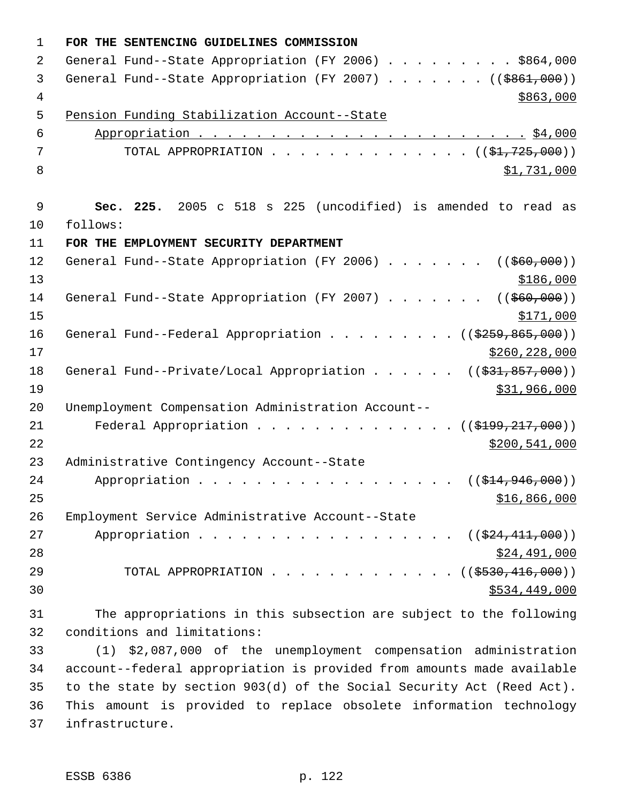| $\mathbf 1$    | FOR THE SENTENCING GUIDELINES COMMISSION                                           |
|----------------|------------------------------------------------------------------------------------|
| 2              | General Fund--State Appropriation (FY 2006) \$864,000                              |
| 3              | General Fund--State Appropriation (FY 2007) ( $(\frac{2861,000}{100})$             |
| $\overline{4}$ | \$863,000                                                                          |
| 5              | Pension Funding Stabilization Account--State                                       |
| 6              |                                                                                    |
| 7              | TOTAL APPROPRIATION $\ldots$ , ( $(\frac{1}{21}, 725, 000)$ )                      |
| 8              | \$1,731,000                                                                        |
|                |                                                                                    |
| $\mathsf 9$    | Sec. 225. 2005 c 518 s 225 (uncodified) is amended to read as                      |
| 10             | follows:                                                                           |
| 11             | FOR THE EMPLOYMENT SECURITY DEPARTMENT                                             |
| 12             | General Fund--State Appropriation (FY 2006) ( $(\frac{260}{100})$ )                |
| 13             | \$186,000                                                                          |
| 14             | General Fund--State Appropriation (FY 2007) ( $(\frac{260}{100})$ )                |
| 15             | \$171,000                                                                          |
| 16             | General Fund--Federal Appropriation ( $(\frac{2559}{600})$ )                       |
| 17             | \$260, 228, 000                                                                    |
| 18             | General Fund--Private/Local Appropriation ( $(\frac{231}{631}, \frac{857}{600})$ ) |
| 19             | \$31,966,000                                                                       |
| 20             | Unemployment Compensation Administration Account--                                 |
| 21             | Federal Appropriation<br>((\$199, 217, 000))                                       |
| 22             | \$200,541,000                                                                      |
| 23             | Administrative Contingency Account--State                                          |
| 24             | Appropriation ( $(\frac{214}{7946}, 000)$ )                                        |
| 25             | \$16,866,000                                                                       |
| 26             | Employment Service Administrative Account--State                                   |
| 27             | Appropriation ((\$24,411,000))                                                     |
| 28             | \$24,491,000                                                                       |
| 29             | TOTAL APPROPRIATION $\ldots$ , ( $(\frac{2530}{16}, \frac{416}{160})$ )            |
| 30             | \$534,449,000                                                                      |
| 31             | The appropriations in this subsection are subject to the following                 |
| 32             | conditions and limitations:                                                        |
| 33             | (1) \$2,087,000 of the unemployment compensation administration                    |
| 34             | account--federal appropriation is provided from amounts made available             |
| 35             | to the state by section 903(d) of the Social Security Act (Reed Act).              |
| 36             | This amount is provided to replace obsolete information technology                 |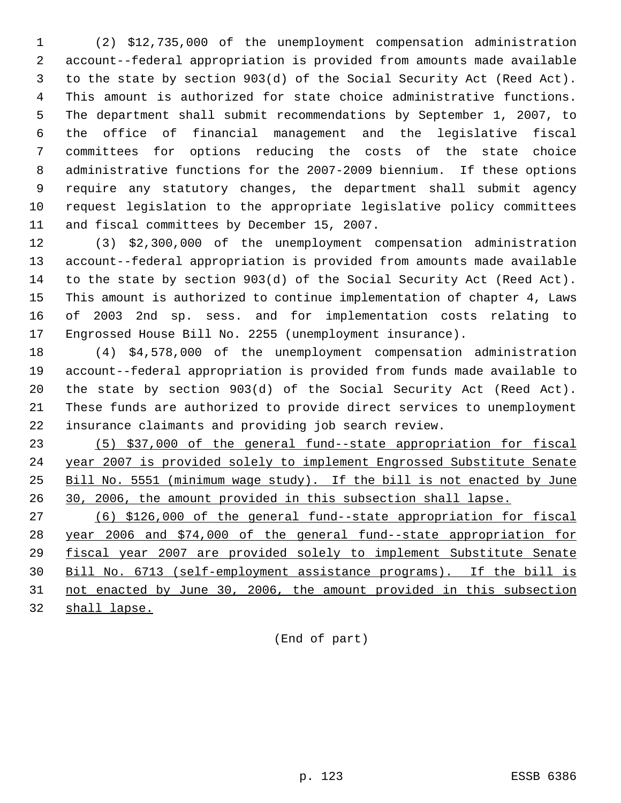(2) \$12,735,000 of the unemployment compensation administration account--federal appropriation is provided from amounts made available to the state by section 903(d) of the Social Security Act (Reed Act). This amount is authorized for state choice administrative functions. The department shall submit recommendations by September 1, 2007, to the office of financial management and the legislative fiscal committees for options reducing the costs of the state choice administrative functions for the 2007-2009 biennium. If these options require any statutory changes, the department shall submit agency request legislation to the appropriate legislative policy committees and fiscal committees by December 15, 2007.

 (3) \$2,300,000 of the unemployment compensation administration account--federal appropriation is provided from amounts made available to the state by section 903(d) of the Social Security Act (Reed Act). This amount is authorized to continue implementation of chapter 4, Laws of 2003 2nd sp. sess. and for implementation costs relating to Engrossed House Bill No. 2255 (unemployment insurance).

 (4) \$4,578,000 of the unemployment compensation administration account--federal appropriation is provided from funds made available to the state by section 903(d) of the Social Security Act (Reed Act). These funds are authorized to provide direct services to unemployment insurance claimants and providing job search review.

 (5) \$37,000 of the general fund--state appropriation for fiscal year 2007 is provided solely to implement Engrossed Substitute Senate Bill No. 5551 (minimum wage study). If the bill is not enacted by June 30, 2006, the amount provided in this subsection shall lapse.

 (6) \$126,000 of the general fund--state appropriation for fiscal year 2006 and \$74,000 of the general fund--state appropriation for fiscal year 2007 are provided solely to implement Substitute Senate Bill No. 6713 (self-employment assistance programs). If the bill is not enacted by June 30, 2006, the amount provided in this subsection

shall lapse.

(End of part)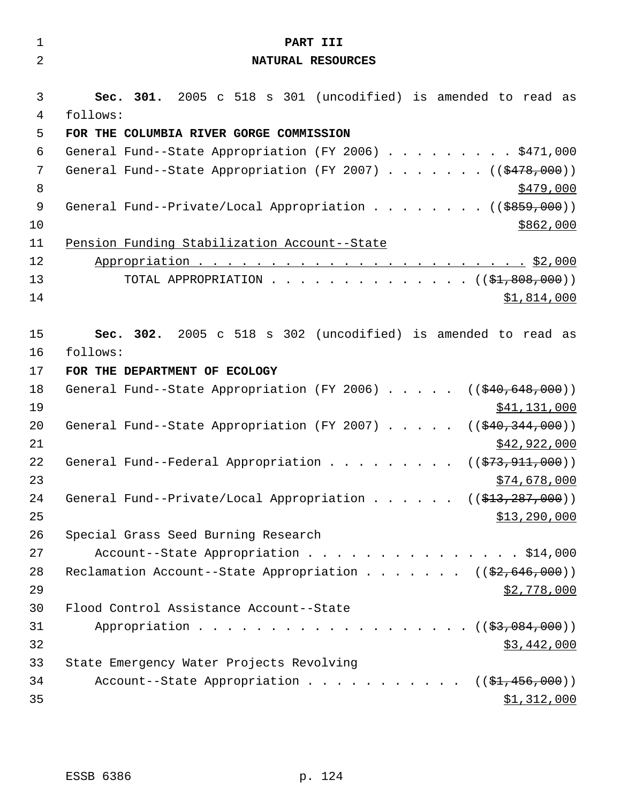| $\mathbf 1$    | PART III                                                                                |
|----------------|-----------------------------------------------------------------------------------------|
| $\overline{2}$ | NATURAL RESOURCES                                                                       |
|                |                                                                                         |
| 3              | Sec. 301. 2005 c 518 s 301 (uncodified) is amended to read as                           |
| 4<br>5         | follows:<br>FOR THE COLUMBIA RIVER GORGE COMMISSION                                     |
| 6              | General Fund--State Appropriation (FY 2006) \$471,000                                   |
| 7              | General Fund--State Appropriation (FY 2007) ( $(\frac{2478}{100})$ )                    |
| 8              | <u>\$479,000</u>                                                                        |
| 9              | General Fund--Private/Local Appropriation ( $(\frac{2859}{100})$ )                      |
| 10             | \$862,000                                                                               |
| 11             | Pension Funding Stabilization Account--State                                            |
| 12             |                                                                                         |
| 13             | TOTAL APPROPRIATION $($ $(*1,808,000))$                                                 |
| 14             | \$1,814,000                                                                             |
|                |                                                                                         |
| 15             | Sec. 302. 2005 c 518 s 302 (uncodified) is amended to read as                           |
| 16             | follows:                                                                                |
| 17             | FOR THE DEPARTMENT OF ECOLOGY                                                           |
| 18             | General Fund--State Appropriation (FY 2006) $($ $($ $\frac{40}{640}$ , $648$ , $000)$ ) |
| 19             | \$41,131,000                                                                            |
| 20<br>21       | General Fund--State Appropriation (FY 2007) $($ $($ $$40, 344, 000)$ )<br>\$42,922,000  |
| 22             | General Fund--Federal Appropriation<br>(( <del>\$73,911,000</del> ))                    |
| 23             | \$74,678,000                                                                            |
| 24             | General Fund--Private/Local Appropriation ( $(\frac{213}{7287}, 000)$ )                 |
| 25             | \$13,290,000                                                                            |
| 26             | Special Grass Seed Burning Research                                                     |
| 27             | Account--State Appropriation \$14,000                                                   |
| 28             | Reclamation Account--State Appropriation ((\$2,646,000))                                |
| 29             | \$2,778,000                                                                             |
| 30             | Flood Control Assistance Account--State                                                 |
| 31             | Appropriation $($ $($ $\frac{27}{9},084,000) )$                                         |
| 32             | \$3,442,000                                                                             |
| 33             | State Emergency Water Projects Revolving                                                |
| 34             | Account--State Appropriation $($ $($ \$1,456,000))                                      |
| 35             | \$1,312,000                                                                             |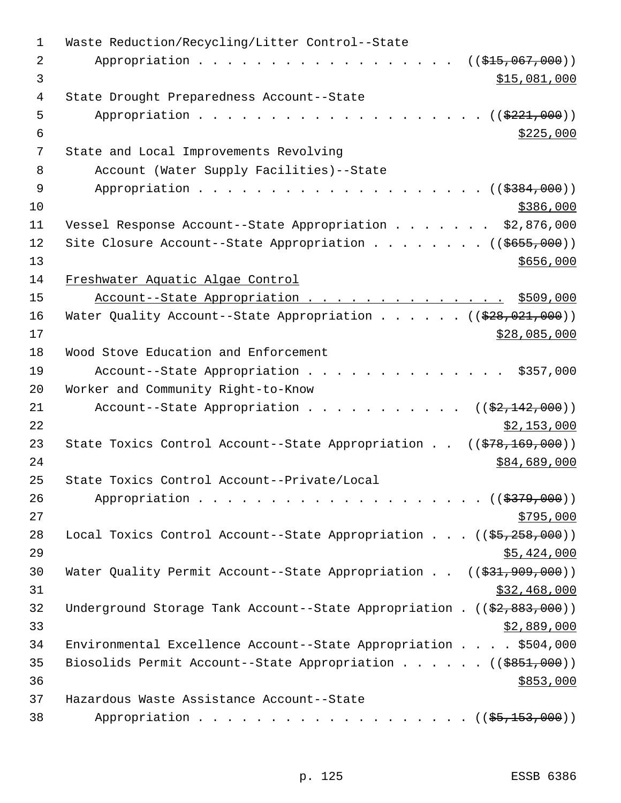| 1  | Waste Reduction/Recycling/Litter Control--State                                          |
|----|------------------------------------------------------------------------------------------|
| 2  | Appropriation<br>$((\frac{1515}{100}, 067, 000))$                                        |
| 3  | \$15,081,000                                                                             |
| 4  | State Drought Preparedness Account--State                                                |
| 5  | Appropriation $($ $)$ $)$                                                                |
| 6  | \$225,000                                                                                |
| 7  | State and Local Improvements Revolving                                                   |
| 8  | Account (Water Supply Facilities)--State                                                 |
| 9  |                                                                                          |
| 10 | \$386,000                                                                                |
| 11 | Vessel Response Account--State Appropriation \$2,876,000                                 |
| 12 | Site Closure Account--State Appropriation ( $(\frac{2655}{100})$ )                       |
| 13 | \$656,000                                                                                |
| 14 | Freshwater Aquatic Algae Control                                                         |
| 15 | Account--State Appropriation \$509,000                                                   |
| 16 | Water Quality Account--State Appropriation ( $(\frac{228}{928}, 021, 000)$ )             |
| 17 | \$28,085,000                                                                             |
| 18 | Wood Stove Education and Enforcement                                                     |
| 19 | Account--State Appropriation \$357,000                                                   |
| 20 | Worker and Community Right-to-Know                                                       |
| 21 | Account--State Appropriation $($ $($ \$2,142,000) $)$                                    |
| 22 | \$2,153,000                                                                              |
| 23 | State Toxics Control Account--State Appropriation $((\frac{278}{169}, \frac{169}{160}))$ |
| 24 | \$84,689,000                                                                             |
| 25 | State Toxics Control Account--Private/Local                                              |
| 26 |                                                                                          |
| 27 | \$795,000                                                                                |
| 28 | Local Toxics Control Account--State Appropriation $((\frac{25}{25}, \frac{258}{200}))$   |
| 29 | \$5,424,000                                                                              |
| 30 | Water Quality Permit Account--State Appropriation $((\$31,909,000))$                     |
| 31 | \$32,468,000                                                                             |
| 32 | Underground Storage Tank Account--State Appropriation . $((\frac{2}{7}, 883, 000))$      |
| 33 | \$2,889,000                                                                              |
| 34 | Environmental Excellence Account--State Appropriation \$504,000                          |
| 35 | Biosolids Permit Account--State Appropriation ( $(\frac{2851}{100})$ )                   |
| 36 | \$853,000                                                                                |
| 37 | Hazardous Waste Assistance Account--State                                                |
| 38 | Appropriation ( $(\frac{25}{153}, 000)$ )                                                |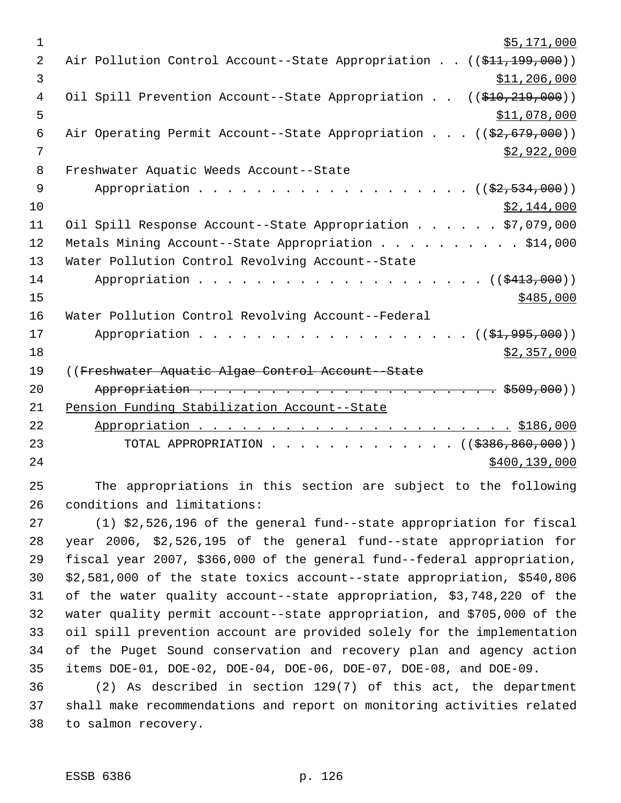| 1              | \$5,171,000                                                             |
|----------------|-------------------------------------------------------------------------|
| $\overline{2}$ | Air Pollution Control Account--State Appropriation ((\$11,199,000))     |
| 3              | \$11,206,000                                                            |
| $\overline{4}$ | Oil Spill Prevention Account--State Appropriation ((\$10,219,000))      |
| 5              | \$11,078,000                                                            |
| $\epsilon$     | Air Operating Permit Account--State Appropriation ((\$2,679,000))       |
| 7              | \$2,922,000                                                             |
| 8              | Freshwater Aquatic Weeds Account--State                                 |
| $\overline{9}$ | Appropriation $($ $($ $\frac{2}{7}$ , $ 534$ , $000$ ))                 |
| 10             | \$2,144,000                                                             |
| 11             | Oil Spill Response Account--State Appropriation \$7,079,000             |
| 12             | Metals Mining Account--State Appropriation \$14,000                     |
| 13             | Water Pollution Control Revolving Account--State                        |
| 14             |                                                                         |
| 15             | \$485,000                                                               |
| 16             | Water Pollution Control Revolving Account--Federal                      |
| 17             | Appropriation ( (\$1,995,000))                                          |
| 18             | \$2,357,000                                                             |
| 19             | ((Freshwater Aquatic Algae Control Account--State                       |
| 20             |                                                                         |
| 21             | Pension Funding Stabilization Account--State                            |
| 22             |                                                                         |
| 23             | TOTAL APPROPRIATION ( $(\frac{2386}{600}, 000)$ )                       |
| 24             | \$400, 139, 000                                                         |
| 25             | The appropriations in this section are subject to the following         |
| 26             | conditions and limitations:                                             |
| 27             | (1) \$2,526,196 of the general fund--state appropriation for fiscal     |
| 28             | year 2006, \$2,526,195 of the general fund--state appropriation for     |
| 29             | fiscal year 2007, \$366,000 of the general fund--federal appropriation, |

 fiscal year 2007, \$366,000 of the general fund--federal appropriation, \$2,581,000 of the state toxics account--state appropriation, \$540,806 of the water quality account--state appropriation, \$3,748,220 of the water quality permit account--state appropriation, and \$705,000 of the oil spill prevention account are provided solely for the implementation of the Puget Sound conservation and recovery plan and agency action items DOE-01, DOE-02, DOE-04, DOE-06, DOE-07, DOE-08, and DOE-09.

 (2) As described in section 129(7) of this act, the department shall make recommendations and report on monitoring activities related to salmon recovery.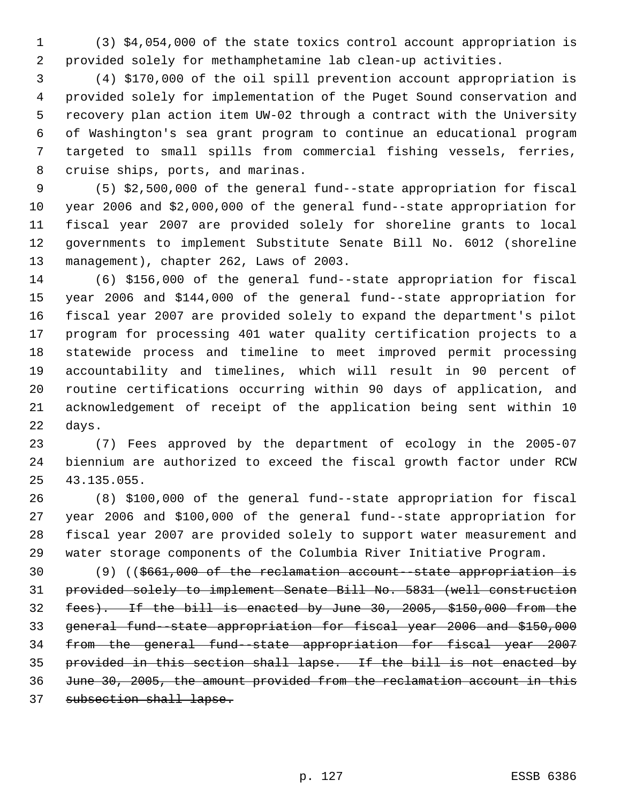(3) \$4,054,000 of the state toxics control account appropriation is provided solely for methamphetamine lab clean-up activities.

 (4) \$170,000 of the oil spill prevention account appropriation is provided solely for implementation of the Puget Sound conservation and recovery plan action item UW-02 through a contract with the University of Washington's sea grant program to continue an educational program targeted to small spills from commercial fishing vessels, ferries, cruise ships, ports, and marinas.

 (5) \$2,500,000 of the general fund--state appropriation for fiscal year 2006 and \$2,000,000 of the general fund--state appropriation for fiscal year 2007 are provided solely for shoreline grants to local governments to implement Substitute Senate Bill No. 6012 (shoreline management), chapter 262, Laws of 2003.

 (6) \$156,000 of the general fund--state appropriation for fiscal year 2006 and \$144,000 of the general fund--state appropriation for fiscal year 2007 are provided solely to expand the department's pilot program for processing 401 water quality certification projects to a statewide process and timeline to meet improved permit processing accountability and timelines, which will result in 90 percent of routine certifications occurring within 90 days of application, and acknowledgement of receipt of the application being sent within 10 days.

 (7) Fees approved by the department of ecology in the 2005-07 biennium are authorized to exceed the fiscal growth factor under RCW 43.135.055.

 (8) \$100,000 of the general fund--state appropriation for fiscal year 2006 and \$100,000 of the general fund--state appropriation for fiscal year 2007 are provided solely to support water measurement and water storage components of the Columbia River Initiative Program.

30 (9) ((\$661,000 of the reclamation account-state appropriation is provided solely to implement Senate Bill No. 5831 (well construction fees). If the bill is enacted by June 30, 2005, \$150,000 from the general fund--state appropriation for fiscal year 2006 and \$150,000 from the general fund--state appropriation for fiscal year 2007 provided in this section shall lapse. If the bill is not enacted by June 30, 2005, the amount provided from the reclamation account in this subsection shall lapse.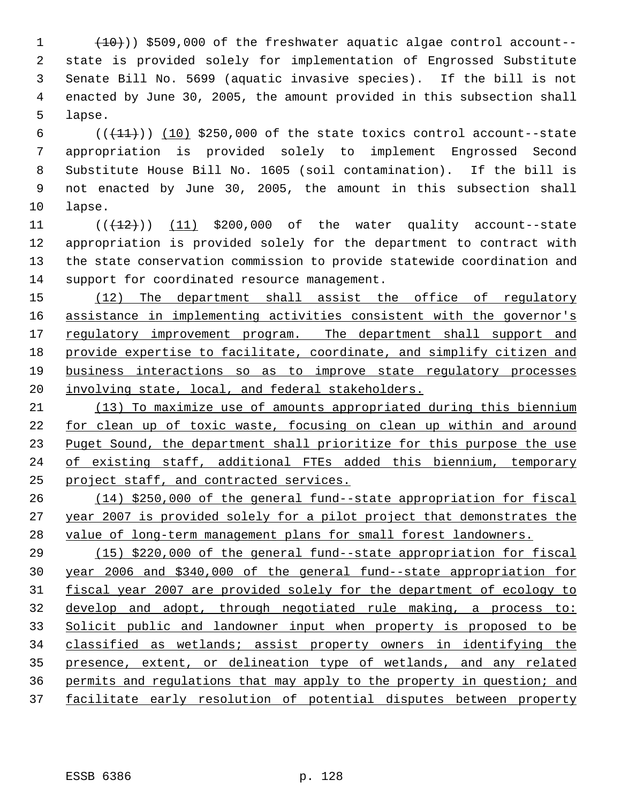$(10)$ ) \$509,000 of the freshwater aquatic algae control account-- state is provided solely for implementation of Engrossed Substitute Senate Bill No. 5699 (aquatic invasive species). If the bill is not enacted by June 30, 2005, the amount provided in this subsection shall lapse.

 $((+11))$   $(10)$  \$250,000 of the state toxics control account--state appropriation is provided solely to implement Engrossed Second Substitute House Bill No. 1605 (soil contamination). If the bill is not enacted by June 30, 2005, the amount in this subsection shall lapse.

 $((+12))$   $(11)$  \$200,000 of the water quality account--state appropriation is provided solely for the department to contract with the state conservation commission to provide statewide coordination and support for coordinated resource management.

15 (12) The department shall assist the office of regulatory 16 assistance in implementing activities consistent with the governor's 17 regulatory improvement program. The department shall support and provide expertise to facilitate, coordinate, and simplify citizen and business interactions so as to improve state regulatory processes 20 involving state, local, and federal stakeholders.

 (13) To maximize use of amounts appropriated during this biennium for clean up of toxic waste, focusing on clean up within and around 23 Puget Sound, the department shall prioritize for this purpose the use of existing staff, additional FTEs added this biennium, temporary project staff, and contracted services.

 (14) \$250,000 of the general fund--state appropriation for fiscal year 2007 is provided solely for a pilot project that demonstrates the value of long-term management plans for small forest landowners.

 (15) \$220,000 of the general fund--state appropriation for fiscal year 2006 and \$340,000 of the general fund--state appropriation for fiscal year 2007 are provided solely for the department of ecology to develop and adopt, through negotiated rule making, a process to: Solicit public and landowner input when property is proposed to be classified as wetlands; assist property owners in identifying the presence, extent, or delineation type of wetlands, and any related permits and regulations that may apply to the property in question; and facilitate early resolution of potential disputes between property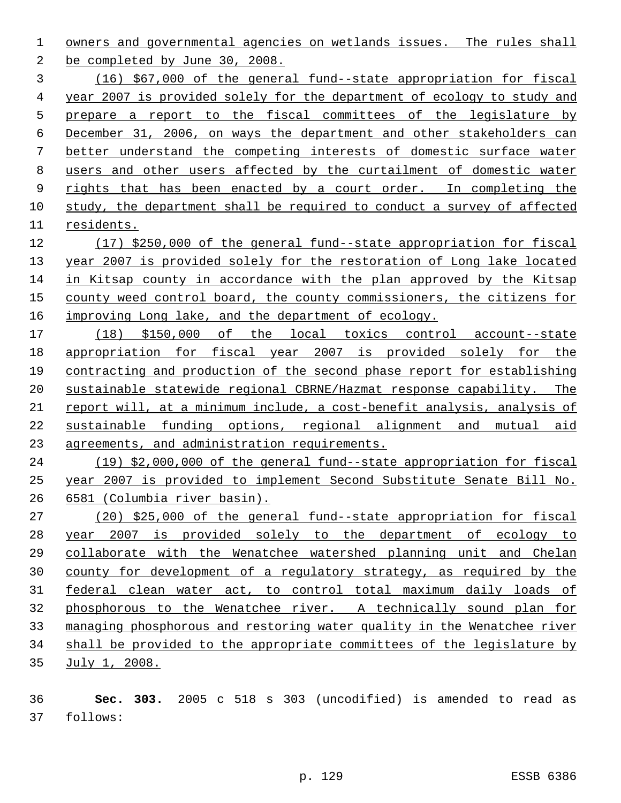owners and governmental agencies on wetlands issues. The rules shall be completed by June 30, 2008.

 (16) \$67,000 of the general fund--state appropriation for fiscal year 2007 is provided solely for the department of ecology to study and prepare a report to the fiscal committees of the legislature by December 31, 2006, on ways the department and other stakeholders can better understand the competing interests of domestic surface water users and other users affected by the curtailment of domestic water 9 rights that has been enacted by a court order. In completing the study, the department shall be required to conduct a survey of affected residents.

 (17) \$250,000 of the general fund--state appropriation for fiscal year 2007 is provided solely for the restoration of Long lake located in Kitsap county in accordance with the plan approved by the Kitsap county weed control board, the county commissioners, the citizens for 16 improving Long lake, and the department of ecology.

 (18) \$150,000 of the local toxics control account--state 18 appropriation for fiscal year 2007 is provided solely for the contracting and production of the second phase report for establishing sustainable statewide regional CBRNE/Hazmat response capability. The report will, at a minimum include, a cost-benefit analysis, analysis of sustainable funding options, regional alignment and mutual aid agreements, and administration requirements.

 (19) \$2,000,000 of the general fund--state appropriation for fiscal year 2007 is provided to implement Second Substitute Senate Bill No. 6581 (Columbia river basin).

 (20) \$25,000 of the general fund--state appropriation for fiscal year 2007 is provided solely to the department of ecology to collaborate with the Wenatchee watershed planning unit and Chelan county for development of a regulatory strategy, as required by the federal clean water act, to control total maximum daily loads of phosphorous to the Wenatchee river. A technically sound plan for managing phosphorous and restoring water quality in the Wenatchee river shall be provided to the appropriate committees of the legislature by July 1, 2008.

 **Sec. 303.** 2005 c 518 s 303 (uncodified) is amended to read as follows: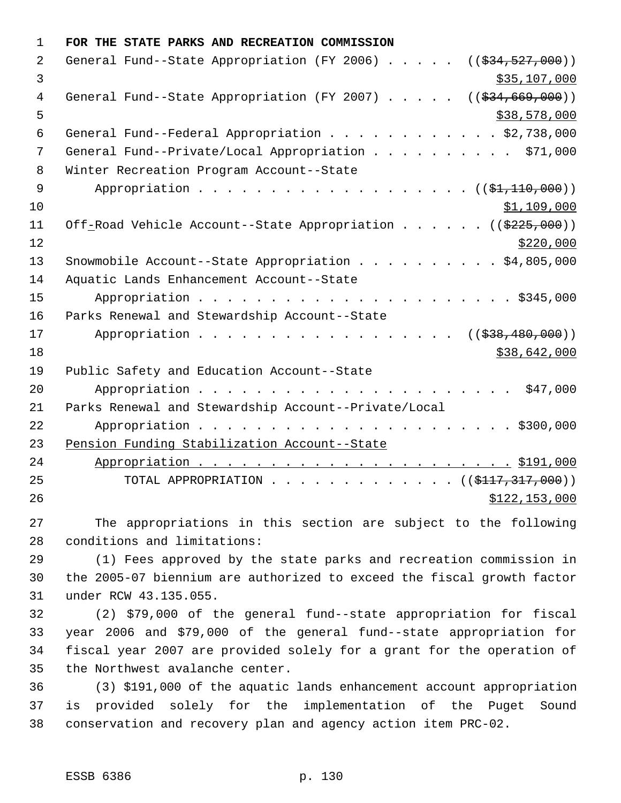| $\mathbf{1}$ | FOR THE STATE PARKS AND RECREATION COMMISSION                                     |
|--------------|-----------------------------------------------------------------------------------|
| 2            | General Fund--State Appropriation (FY 2006) $($ $($ $\frac{234}{527},000)$ )      |
| 3            | \$35,107,000                                                                      |
| 4            | General Fund--State Appropriation (FY 2007) $($ $($ $\frac{24}{694}, 669, 000)$ ) |
| 5            | \$38,578,000                                                                      |
| 6            | General Fund--Federal Appropriation \$2,738,000                                   |
| 7            | General Fund--Private/Local Appropriation \$71,000                                |
| 8            | Winter Recreation Program Account--State                                          |
| 9            | Appropriation $($ $(\frac{1}{21}, \frac{110}{100}, \frac{000}{10}))$              |
| 10           | \$1,109,000                                                                       |
| 11           | Off-Road Vehicle Account--State Appropriation ((\$225,000))                       |
| 12           | \$220,000                                                                         |
| 13           | Snowmobile Account--State Appropriation \$4,805,000                               |
| 14           | Aquatic Lands Enhancement Account--State                                          |
| 15           |                                                                                   |
| 16           | Parks Renewal and Stewardship Account--State                                      |
| 17           | Appropriation<br>((\$38,480,000))                                                 |
| 18           | \$38,642,000                                                                      |
| 19           | Public Safety and Education Account--State                                        |
| 20           |                                                                                   |
| 21           | Parks Renewal and Stewardship Account--Private/Local                              |
| 22           |                                                                                   |
| 23           | Pension Funding Stabilization Account--State                                      |
| 24           |                                                                                   |
| 25           | TOTAL APPROPRIATION ( $(\frac{117}{7317}, 317, 000)$ )                            |
| 26           | \$122,153,000                                                                     |
| つワ           | The appropriations in this section are subject to the following                   |

 The appropriations in this section are subject to the following conditions and limitations:

 (1) Fees approved by the state parks and recreation commission in the 2005-07 biennium are authorized to exceed the fiscal growth factor under RCW 43.135.055.

 (2) \$79,000 of the general fund--state appropriation for fiscal year 2006 and \$79,000 of the general fund--state appropriation for fiscal year 2007 are provided solely for a grant for the operation of the Northwest avalanche center.

 (3) \$191,000 of the aquatic lands enhancement account appropriation is provided solely for the implementation of the Puget Sound conservation and recovery plan and agency action item PRC-02.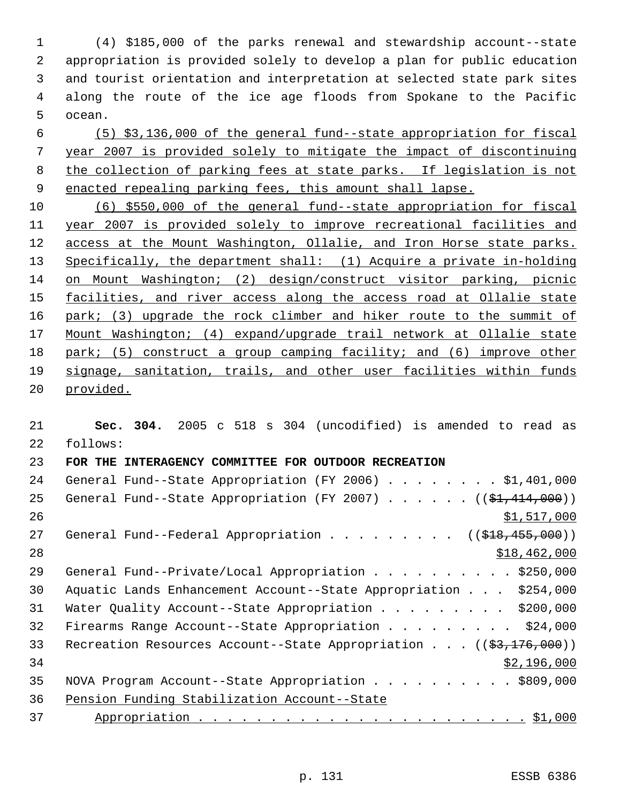(4) \$185,000 of the parks renewal and stewardship account--state appropriation is provided solely to develop a plan for public education and tourist orientation and interpretation at selected state park sites along the route of the ice age floods from Spokane to the Pacific ocean.

 (5) \$3,136,000 of the general fund--state appropriation for fiscal year 2007 is provided solely to mitigate the impact of discontinuing the collection of parking fees at state parks. If legislation is not enacted repealing parking fees, this amount shall lapse.

 (6) \$550,000 of the general fund--state appropriation for fiscal year 2007 is provided solely to improve recreational facilities and access at the Mount Washington, Ollalie, and Iron Horse state parks. Specifically, the department shall: (1) Acquire a private in-holding on Mount Washington; (2) design/construct visitor parking, picnic 15 facilities, and river access along the access road at Ollalie state 16 park; (3) upgrade the rock climber and hiker route to the summit of Mount Washington; (4) expand/upgrade trail network at Ollalie state park; (5) construct a group camping facility; and (6) improve other signage, sanitation, trails, and other user facilities within funds provided.

 **Sec. 304.** 2005 c 518 s 304 (uncodified) is amended to read as follows: **FOR THE INTERAGENCY COMMITTEE FOR OUTDOOR RECREATION**  24 General Fund--State Appropriation (FY 2006) . . . . . . . \$1,401,000 25 General Fund--State Appropriation (FY 2007) . . . . . . ((\$1,414,000))  $\frac{$1,517,000}{2}$ 27 General Fund--Federal Appropriation . . . . . . . . ((\$18,455,000)) \$18,462,000 29 General Fund--Private/Local Appropriation . . . . . . . . . \$250,000 Aquatic Lands Enhancement Account--State Appropriation . . . \$254,000 Water Quality Account--State Appropriation . . . . . . . . . \$200,000 Firearms Range Account--State Appropriation . . . . . . . . . \$24,000 33 Recreation Resources Account--State Appropriation . . . ((\$3,176,000)) \$2,196,000 35 NOVA Program Account--State Appropriation . . . . . . . . . . \$809,000 Pension Funding Stabilization Account--State Appropriation . . . . . . . . . . . . . . . . . . . . . . . \$1,000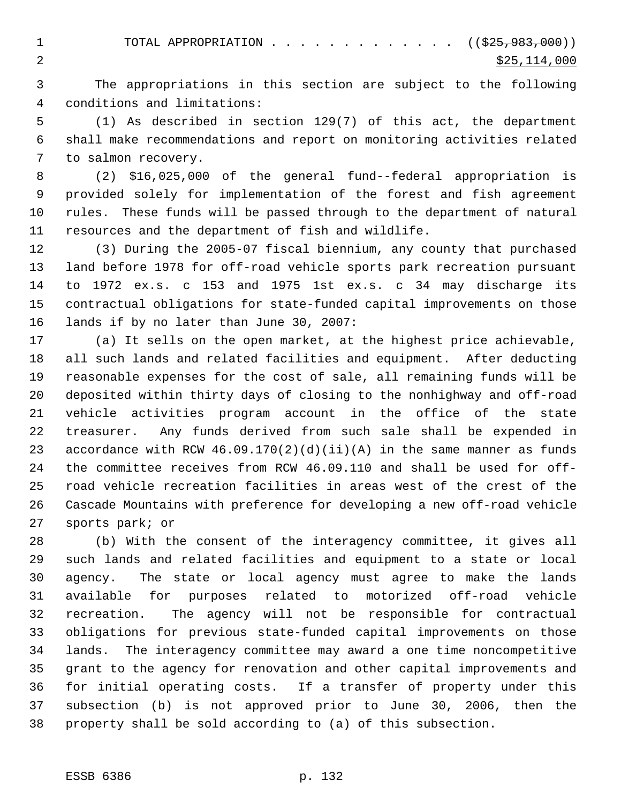1 TOTAL APPROPRIATION . . . . . . . . . . . . ((<del>\$25,983,000</del>)) 2  $\frac{$25,114,000}{2}$ 

 The appropriations in this section are subject to the following conditions and limitations:

 (1) As described in section 129(7) of this act, the department shall make recommendations and report on monitoring activities related to salmon recovery.

 (2) \$16,025,000 of the general fund--federal appropriation is provided solely for implementation of the forest and fish agreement rules. These funds will be passed through to the department of natural resources and the department of fish and wildlife.

 (3) During the 2005-07 fiscal biennium, any county that purchased land before 1978 for off-road vehicle sports park recreation pursuant to 1972 ex.s. c 153 and 1975 1st ex.s. c 34 may discharge its contractual obligations for state-funded capital improvements on those lands if by no later than June 30, 2007:

 (a) It sells on the open market, at the highest price achievable, all such lands and related facilities and equipment. After deducting reasonable expenses for the cost of sale, all remaining funds will be deposited within thirty days of closing to the nonhighway and off-road vehicle activities program account in the office of the state treasurer. Any funds derived from such sale shall be expended in 23 accordance with RCW  $46.09.170(2)(d)(ii)(A)$  in the same manner as funds the committee receives from RCW 46.09.110 and shall be used for off- road vehicle recreation facilities in areas west of the crest of the Cascade Mountains with preference for developing a new off-road vehicle sports park; or

 (b) With the consent of the interagency committee, it gives all such lands and related facilities and equipment to a state or local agency. The state or local agency must agree to make the lands available for purposes related to motorized off-road vehicle recreation. The agency will not be responsible for contractual obligations for previous state-funded capital improvements on those lands. The interagency committee may award a one time noncompetitive grant to the agency for renovation and other capital improvements and for initial operating costs. If a transfer of property under this subsection (b) is not approved prior to June 30, 2006, then the property shall be sold according to (a) of this subsection.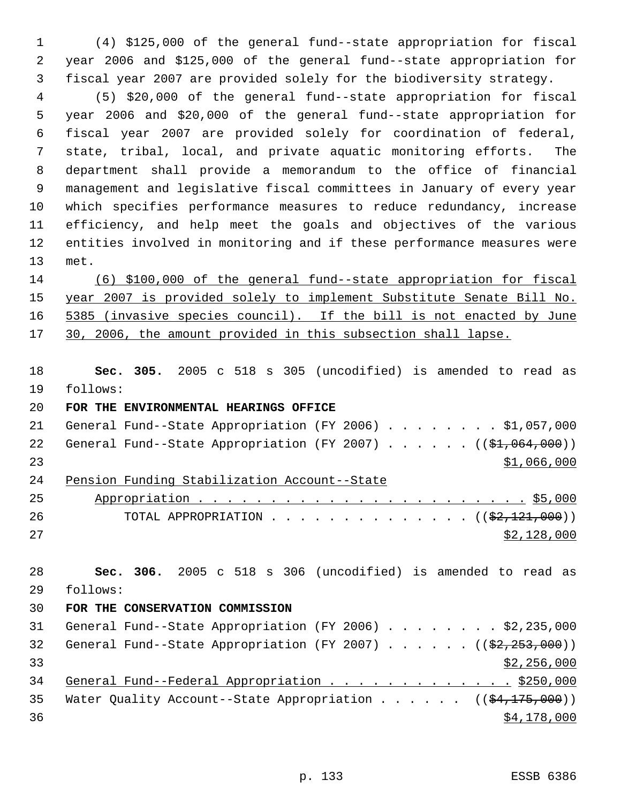(4) \$125,000 of the general fund--state appropriation for fiscal year 2006 and \$125,000 of the general fund--state appropriation for fiscal year 2007 are provided solely for the biodiversity strategy.

 (5) \$20,000 of the general fund--state appropriation for fiscal year 2006 and \$20,000 of the general fund--state appropriation for fiscal year 2007 are provided solely for coordination of federal, state, tribal, local, and private aquatic monitoring efforts. The department shall provide a memorandum to the office of financial management and legislative fiscal committees in January of every year which specifies performance measures to reduce redundancy, increase efficiency, and help meet the goals and objectives of the various entities involved in monitoring and if these performance measures were met.

 (6) \$100,000 of the general fund--state appropriation for fiscal year 2007 is provided solely to implement Substitute Senate Bill No. 5385 (invasive species council). If the bill is not enacted by June 17 30, 2006, the amount provided in this subsection shall lapse.

 **Sec. 305.** 2005 c 518 s 305 (uncodified) is amended to read as follows:

**FOR THE ENVIRONMENTAL HEARINGS OFFICE** 

| 24 |  | Pension Funding Stabilization Account--State                         |  |  |  |  |             |  |
|----|--|----------------------------------------------------------------------|--|--|--|--|-------------|--|
| 23 |  |                                                                      |  |  |  |  | \$1,066,000 |  |
|    |  | 22 General Fund--State Appropriation (FY 2007) $($ $($ \$1,064,000)) |  |  |  |  |             |  |
| 21 |  | General Fund--State Appropriation (FY 2006) \$1,057,000              |  |  |  |  |             |  |

| 25 |                                                          |
|----|----------------------------------------------------------|
| 26 | TOTAL APPROPRIATION ( $(\frac{2}{2}, \frac{121}{120})$ ) |
| 27 | \$2,128,000                                              |

 **Sec. 306.** 2005 c 518 s 306 (uncodified) is amended to read as follows: **FOR THE CONSERVATION COMMISSION**  General Fund--State Appropriation (FY 2006) . . . . . . . . \$2,235,000 32 General Fund--State Appropriation (FY 2007) . . . . . .  $($   $($ \$2,253,000))  $\frac{$2,256,000}{ }$ 34 General Fund--Federal Appropriation . . . . . . . . . . . . . \$250,000 35 Water Quality Account--State Appropriation . . . . .  $($   $($ \$4,175,000))  $\frac{$4,178,000}{9}$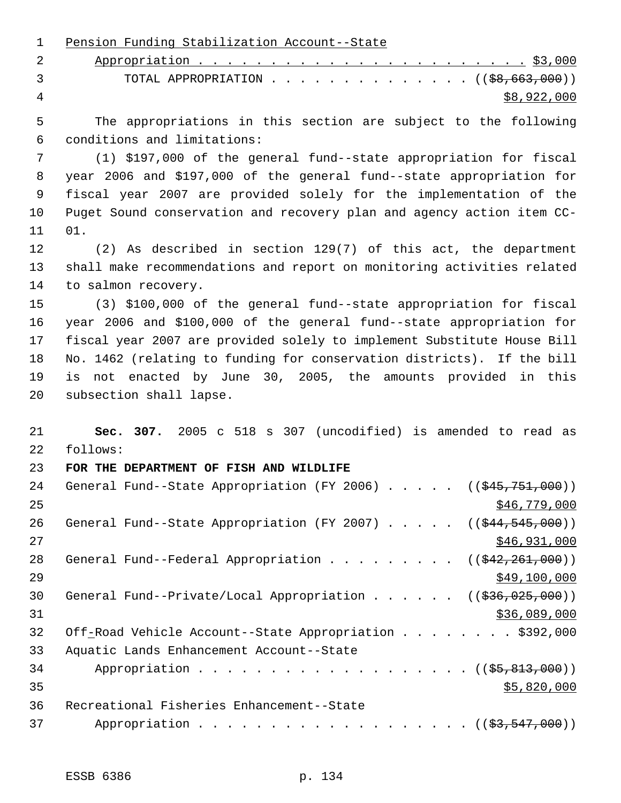Pension Funding Stabilization Account--State Appropriation . . . . . . . . . . . . . . . . . . . . . . . \$3,000 3 TOTAL APPROPRIATION . . . . . . . . . . . . . ((<del>\$8,663,000</del>))  $\frac{1}{28}$ ,922,000 The appropriations in this section are subject to the following conditions and limitations: (1) \$197,000 of the general fund--state appropriation for fiscal year 2006 and \$197,000 of the general fund--state appropriation for fiscal year 2007 are provided solely for the implementation of the Puget Sound conservation and recovery plan and agency action item CC- 01. (2) As described in section 129(7) of this act, the department shall make recommendations and report on monitoring activities related to salmon recovery. (3) \$100,000 of the general fund--state appropriation for fiscal year 2006 and \$100,000 of the general fund--state appropriation for fiscal year 2007 are provided solely to implement Substitute House Bill No. 1462 (relating to funding for conservation districts). If the bill is not enacted by June 30, 2005, the amounts provided in this subsection shall lapse. **Sec. 307.** 2005 c 518 s 307 (uncodified) is amended to read as follows: **FOR THE DEPARTMENT OF FISH AND WILDLIFE**  24 General Fund--State Appropriation (FY 2006) . . . . . ((\$45,751,000)) \$46,779,000 26 General Fund--State Appropriation (FY 2007) . . . . . ((\$44,545,000)) \$46,931,000 28 General Fund--Federal Appropriation . . . . . . . .  $($   $($   $\frac{242,261,000}{2})$  $\frac{$49,100,000}{2}$ 30 General Fund--Private/Local Appropriation . . . . . ((\$36,025,000)) \$36,089,000 32 Off-Road Vehicle Account--State Appropriation . . . . . . . \$392,000 Aquatic Lands Enhancement Account--State 34 Appropriation . . . . . . . . . . . . . . . . . ( (  $\frac{25,813,000}{1}$  )  $35 - 820,000$  Recreational Fisheries Enhancement--State 37 Appropriation . . . . . . . . . . . . . . . . . (  $(\frac{23,547,000}{2})$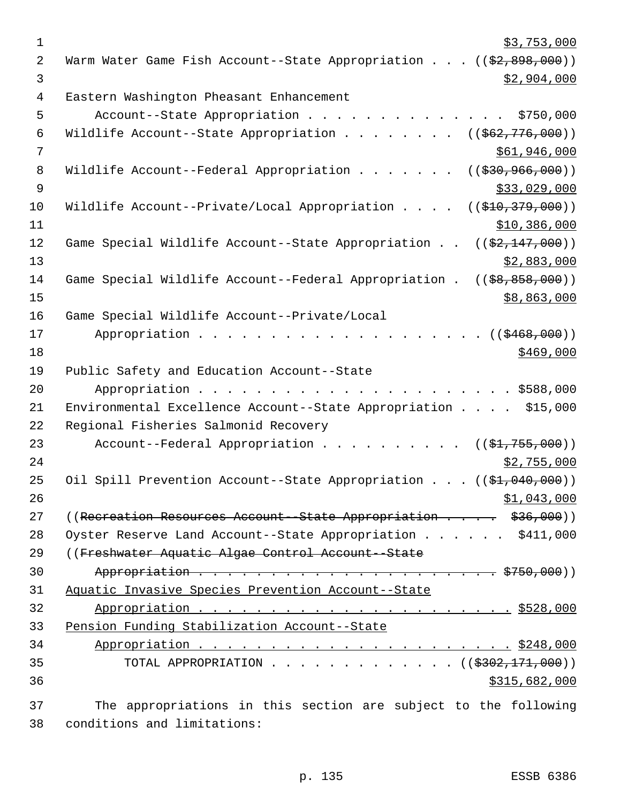| $\mathbf 1$ | \$3,753,000                                                                       |
|-------------|-----------------------------------------------------------------------------------|
| 2           | Warm Water Game Fish Account--State Appropriation ((\$2,898,000))                 |
| 3           | \$2,904,000                                                                       |
| 4           | Eastern Washington Pheasant Enhancement                                           |
| 5           | Account--State Appropriation<br>\$750,000                                         |
| 6           | Wildlife Account--State Appropriation<br>$((\frac{1662}{776},000))$               |
| 7           | \$61,946,000                                                                      |
| 8           | Wildlife Account--Federal Appropriation<br>$((\frac{230}{7}36, \frac{966}{900}))$ |
| 9           | \$33,029,000                                                                      |
| 10          | Wildlife Account--Private/Local Appropriation<br>((\$410,379,000))                |
| 11          | \$10,386,000                                                                      |
| 12          | Game Special Wildlife Account--State Appropriation<br>$((\$2,147,000))$           |
| 13          | \$2,883,000                                                                       |
| 14          | Game Special Wildlife Account--Federal Appropriation.<br>$(($ \$8,858,000))       |
| 15          | \$8,863,000                                                                       |
| 16          | Game Special Wildlife Account--Private/Local                                      |
| 17          | Appropriation<br>((\$468,000))                                                    |
| 18          | \$469,000                                                                         |
| 19          | Public Safety and Education Account--State                                        |
| 20          |                                                                                   |
| 21          | Environmental Excellence Account--State Appropriation \$15,000                    |
| 22          | Regional Fisheries Salmonid Recovery                                              |
| 23          | Account--Federal Appropriation $($ $($ \$1,755,000) $)$                           |
| 24          | \$2,755,000                                                                       |
| 25          | Oil Spill Prevention Account--State Appropriation ((\$1,040,000))                 |
| 26          | \$1,043,000                                                                       |
| 27          | ((Recreation Resources Account--State Appropriation \$36,000))                    |
| 28          | Oyster Reserve Land Account--State Appropriation \$411,000                        |
| 29          | ((Freshwater Aquatic Algae Control Account--State                                 |
| 30          |                                                                                   |
| 31          | Aquatic Invasive Species Prevention Account--State                                |
| 32          |                                                                                   |
| 33          | Pension Funding Stabilization Account--State                                      |
| 34          |                                                                                   |
| 35          | TOTAL APPROPRIATION ( $(\frac{2302}{171},000)$ )                                  |
| 36          | \$315,682,000                                                                     |
|             |                                                                                   |
| 37          | The appropriations in this section are subject to the following                   |

conditions and limitations: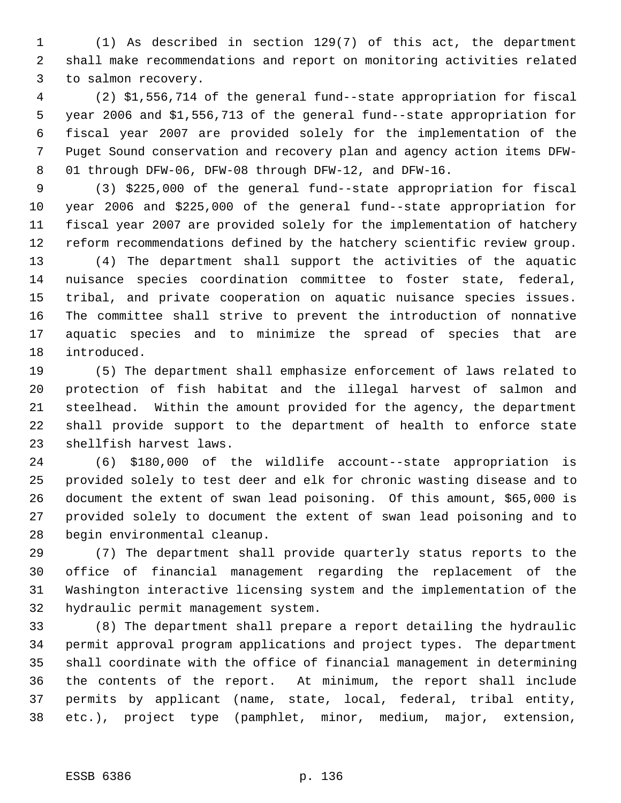(1) As described in section 129(7) of this act, the department shall make recommendations and report on monitoring activities related to salmon recovery.

 (2) \$1,556,714 of the general fund--state appropriation for fiscal year 2006 and \$1,556,713 of the general fund--state appropriation for fiscal year 2007 are provided solely for the implementation of the Puget Sound conservation and recovery plan and agency action items DFW- 01 through DFW-06, DFW-08 through DFW-12, and DFW-16.

 (3) \$225,000 of the general fund--state appropriation for fiscal year 2006 and \$225,000 of the general fund--state appropriation for fiscal year 2007 are provided solely for the implementation of hatchery reform recommendations defined by the hatchery scientific review group.

 (4) The department shall support the activities of the aquatic nuisance species coordination committee to foster state, federal, tribal, and private cooperation on aquatic nuisance species issues. The committee shall strive to prevent the introduction of nonnative aquatic species and to minimize the spread of species that are introduced.

 (5) The department shall emphasize enforcement of laws related to protection of fish habitat and the illegal harvest of salmon and steelhead. Within the amount provided for the agency, the department shall provide support to the department of health to enforce state shellfish harvest laws.

 (6) \$180,000 of the wildlife account--state appropriation is provided solely to test deer and elk for chronic wasting disease and to document the extent of swan lead poisoning. Of this amount, \$65,000 is provided solely to document the extent of swan lead poisoning and to begin environmental cleanup.

 (7) The department shall provide quarterly status reports to the office of financial management regarding the replacement of the Washington interactive licensing system and the implementation of the hydraulic permit management system.

 (8) The department shall prepare a report detailing the hydraulic permit approval program applications and project types. The department shall coordinate with the office of financial management in determining the contents of the report. At minimum, the report shall include permits by applicant (name, state, local, federal, tribal entity, etc.), project type (pamphlet, minor, medium, major, extension,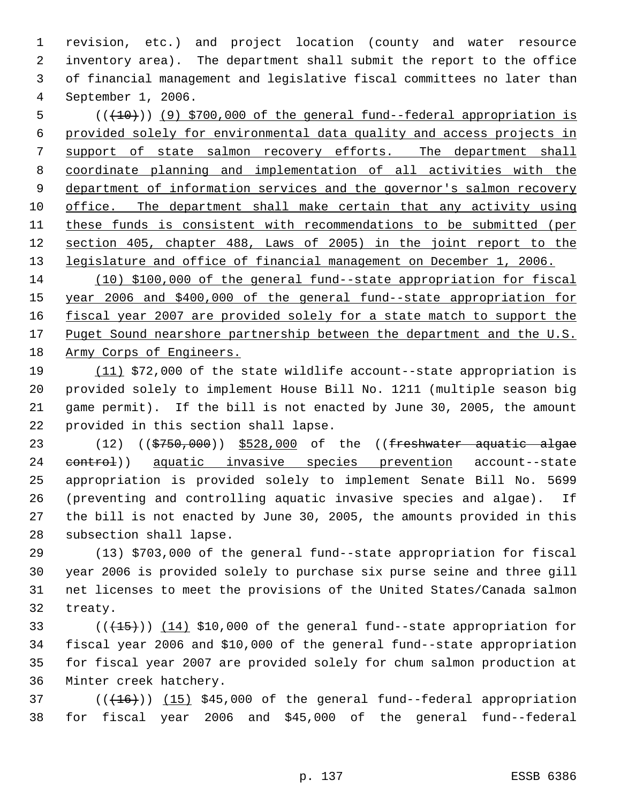revision, etc.) and project location (county and water resource inventory area). The department shall submit the report to the office of financial management and legislative fiscal committees no later than September 1, 2006.

5 (( $(10)$ ) (9) \$700,000 of the general fund--federal appropriation is provided solely for environmental data quality and access projects in 7 support of state salmon recovery efforts. The department shall coordinate planning and implementation of all activities with the 9 department of information services and the governor's salmon recovery office. The department shall make certain that any activity using these funds is consistent with recommendations to be submitted (per section 405, chapter 488, Laws of 2005) in the joint report to the legislature and office of financial management on December 1, 2006.

 (10) \$100,000 of the general fund--state appropriation for fiscal year 2006 and \$400,000 of the general fund--state appropriation for 16 fiscal year 2007 are provided solely for a state match to support the 17 Puget Sound nearshore partnership between the department and the U.S. Army Corps of Engineers.

 (11) \$72,000 of the state wildlife account--state appropriation is provided solely to implement House Bill No. 1211 (multiple season big game permit). If the bill is not enacted by June 30, 2005, the amount provided in this section shall lapse.

23 (12) ((\$750,000)) \$528,000 of the ((freshwater aquatic algae 24 control) aquatic invasive species prevention account--state appropriation is provided solely to implement Senate Bill No. 5699 (preventing and controlling aquatic invasive species and algae). If the bill is not enacted by June 30, 2005, the amounts provided in this subsection shall lapse.

 (13) \$703,000 of the general fund--state appropriation for fiscal year 2006 is provided solely to purchase six purse seine and three gill net licenses to meet the provisions of the United States/Canada salmon treaty.

 $((+15))$   $(14)$  \$10,000 of the general fund--state appropriation for fiscal year 2006 and \$10,000 of the general fund--state appropriation for fiscal year 2007 are provided solely for chum salmon production at Minter creek hatchery.

 ( $(\overline{+16})$ )  $(15)$  \$45,000 of the general fund--federal appropriation for fiscal year 2006 and \$45,000 of the general fund--federal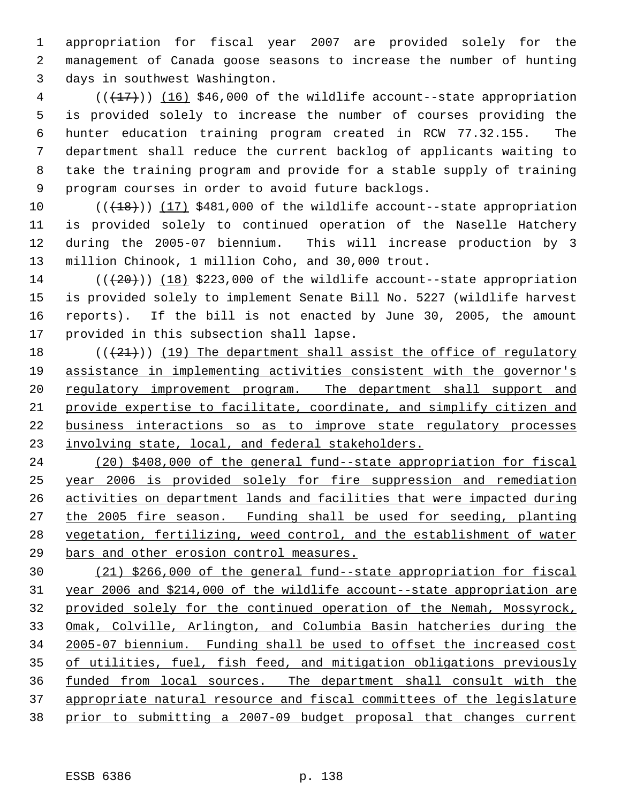appropriation for fiscal year 2007 are provided solely for the management of Canada goose seasons to increase the number of hunting days in southwest Washington.

4 (( $(17)$ )) (16) \$46,000 of the wildlife account--state appropriation is provided solely to increase the number of courses providing the hunter education training program created in RCW 77.32.155. The department shall reduce the current backlog of applicants waiting to take the training program and provide for a stable supply of training program courses in order to avoid future backlogs.

 $((+18))$  (17) \$481,000 of the wildlife account--state appropriation is provided solely to continued operation of the Naselle Hatchery during the 2005-07 biennium. This will increase production by 3 million Chinook, 1 million Coho, and 30,000 trout.

 $((+20))$  (18) \$223,000 of the wildlife account--state appropriation is provided solely to implement Senate Bill No. 5227 (wildlife harvest reports). If the bill is not enacted by June 30, 2005, the amount provided in this subsection shall lapse.

 $((+21))$  (19) The department shall assist the office of regulatory assistance in implementing activities consistent with the governor's 20 regulatory improvement program. The department shall support and provide expertise to facilitate, coordinate, and simplify citizen and business interactions so as to improve state regulatory processes 23 involving state, local, and federal stakeholders.

 (20) \$408,000 of the general fund--state appropriation for fiscal year 2006 is provided solely for fire suppression and remediation activities on department lands and facilities that were impacted during the 2005 fire season. Funding shall be used for seeding, planting vegetation, fertilizing, weed control, and the establishment of water bars and other erosion control measures.

 (21) \$266,000 of the general fund--state appropriation for fiscal year 2006 and \$214,000 of the wildlife account--state appropriation are provided solely for the continued operation of the Nemah, Mossyrock, Omak, Colville, Arlington, and Columbia Basin hatcheries during the 2005-07 biennium. Funding shall be used to offset the increased cost of utilities, fuel, fish feed, and mitigation obligations previously funded from local sources. The department shall consult with the appropriate natural resource and fiscal committees of the legislature prior to submitting a 2007-09 budget proposal that changes current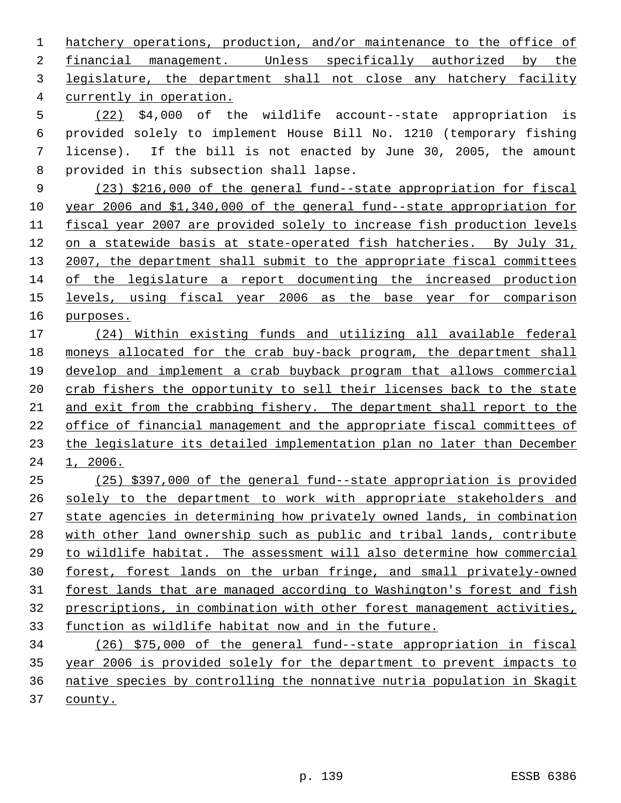hatchery operations, production, and/or maintenance to the office of financial management. Unless specifically authorized by the 3 legislature, the department shall not close any hatchery facility currently in operation.

 (22) \$4,000 of the wildlife account--state appropriation is provided solely to implement House Bill No. 1210 (temporary fishing license). If the bill is not enacted by June 30, 2005, the amount provided in this subsection shall lapse.

 (23) \$216,000 of the general fund--state appropriation for fiscal year 2006 and \$1,340,000 of the general fund--state appropriation for fiscal year 2007 are provided solely to increase fish production levels on a statewide basis at state-operated fish hatcheries. By July 31, 13 2007, the department shall submit to the appropriate fiscal committees of the legislature a report documenting the increased production 15 levels, using fiscal year 2006 as the base year for comparison purposes.

 (24) Within existing funds and utilizing all available federal moneys allocated for the crab buy-back program, the department shall develop and implement a crab buyback program that allows commercial 20 crab fishers the opportunity to sell their licenses back to the state and exit from the crabbing fishery. The department shall report to the office of financial management and the appropriate fiscal committees of the legislature its detailed implementation plan no later than December 1, 2006.

 (25) \$397,000 of the general fund--state appropriation is provided solely to the department to work with appropriate stakeholders and state agencies in determining how privately owned lands, in combination with other land ownership such as public and tribal lands, contribute to wildlife habitat. The assessment will also determine how commercial forest, forest lands on the urban fringe, and small privately-owned 31 forest lands that are managed according to Washington's forest and fish prescriptions, in combination with other forest management activities, function as wildlife habitat now and in the future.

 (26) \$75,000 of the general fund--state appropriation in fiscal year 2006 is provided solely for the department to prevent impacts to native species by controlling the nonnative nutria population in Skagit county.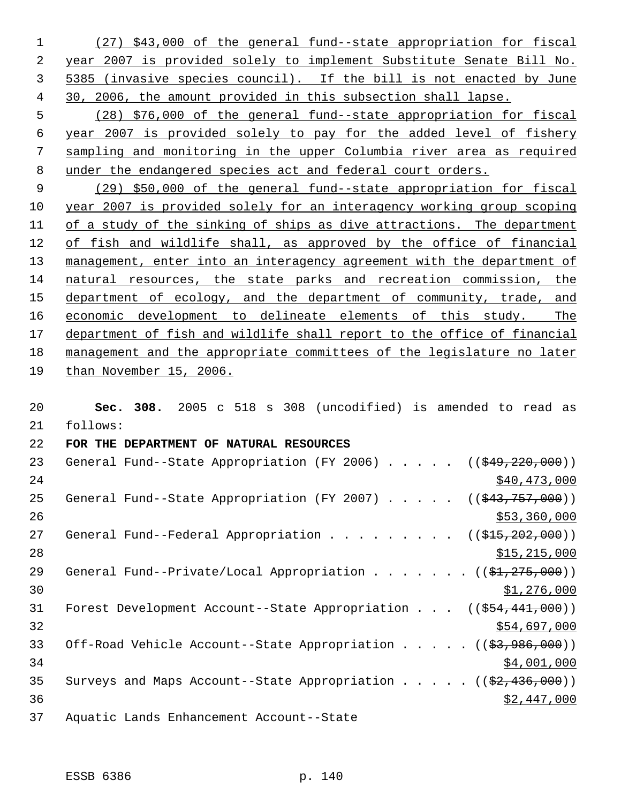(27) \$43,000 of the general fund--state appropriation for fiscal year 2007 is provided solely to implement Substitute Senate Bill No. 5385 (invasive species council). If the bill is not enacted by June 30, 2006, the amount provided in this subsection shall lapse.

 (28) \$76,000 of the general fund--state appropriation for fiscal year 2007 is provided solely to pay for the added level of fishery sampling and monitoring in the upper Columbia river area as required under the endangered species act and federal court orders.

 (29) \$50,000 of the general fund--state appropriation for fiscal year 2007 is provided solely for an interagency working group scoping of a study of the sinking of ships as dive attractions. The department of fish and wildlife shall, as approved by the office of financial 13 management, enter into an interagency agreement with the department of natural resources, the state parks and recreation commission, the 15 department of ecology, and the department of community, trade, and economic development to delineate elements of this study. The 17 department of fish and wildlife shall report to the office of financial management and the appropriate committees of the legislature no later than November 15, 2006.

 **Sec. 308.** 2005 c 518 s 308 (uncodified) is amended to read as follows: **FOR THE DEPARTMENT OF NATURAL RESOURCES**  23 General Fund--State Appropriation (FY 2006) . . . . . ((\$49,220,000)) 24 \$40,473,000 25 General Fund--State Appropriation (FY 2007) . . . . . ((\$43,757,000))  $\frac{$53,360,000}{9}$ 27 General Fund--Federal Appropriation . . . . . . . . ((\$15,202,000)) \$15,215,000 29 General Fund--Private/Local Appropriation . . . . . . ((\$1,275,000))  $\frac{$1,276,000}{ }$ 31 Forest Development Account--State Appropriation . . . ((\$54,441,000)) \$54,697,000 33 Off-Road Vehicle Account--State Appropriation . . . . ((\$3,986,000)) 34,001,000 35 Surveys and Maps Account--State Appropriation . . . .  $($   $($ \$2,436,000)) \$2,447,000 Aquatic Lands Enhancement Account--State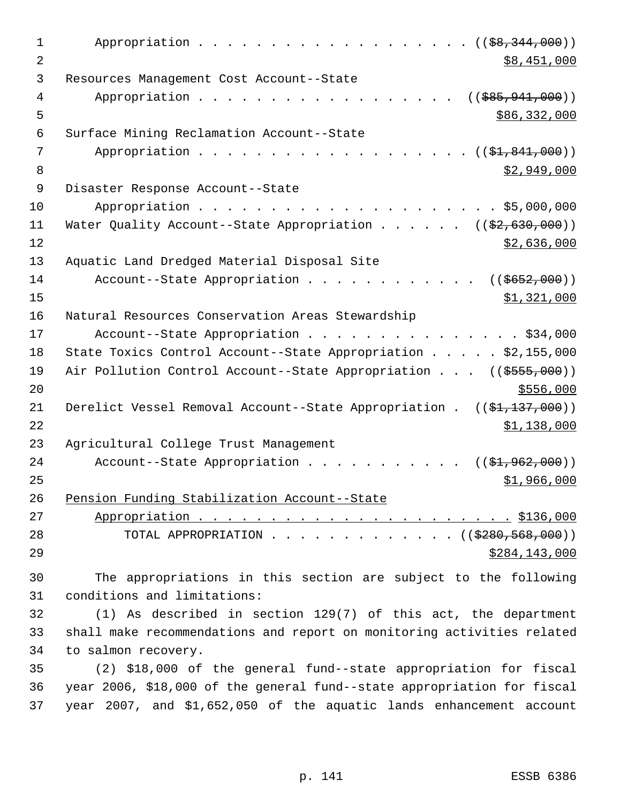| 1  | Appropriation $($ $(*8, 344, 000))$                                                          |
|----|----------------------------------------------------------------------------------------------|
| 2  | \$8,451,000                                                                                  |
| 3  | Resources Management Cost Account--State                                                     |
| 4  | Appropriation<br>$(($ \$85,941,000))                                                         |
| 5  | \$86,332,000                                                                                 |
| 6  | Surface Mining Reclamation Account--State                                                    |
| 7  | Appropriation<br>(( <del>\$1,841,000</del> ))                                                |
| 8  | \$2,949,000                                                                                  |
| 9  | Disaster Response Account--State                                                             |
| 10 |                                                                                              |
| 11 | Water Quality Account--State Appropriation $($ $($ \$2,630,000))                             |
| 12 | \$2,636,000                                                                                  |
| 13 | Aquatic Land Dredged Material Disposal Site                                                  |
| 14 | Account--State Appropriation<br>$((\frac{2652}{1000}))$                                      |
| 15 | \$1,321,000                                                                                  |
| 16 | Natural Resources Conservation Areas Stewardship                                             |
| 17 | Account--State Appropriation \$34,000                                                        |
| 18 | State Toxics Control Account--State Appropriation \$2,155,000                                |
| 19 | Air Pollution Control Account--State Appropriation ((\$555,000))                             |
| 20 | \$556,000                                                                                    |
| 21 | Derelict Vessel Removal Account--State Appropriation . $((\frac{21}{137}, \frac{137}{100}))$ |
| 22 | \$1,138,000                                                                                  |
| 23 | Agricultural College Trust Management                                                        |
| 24 | Account--State Appropriation<br>$((\$1,962,000))$                                            |
| 25 | <u>\$1,966,000</u>                                                                           |
| 26 | Pension Funding Stabilization Account--State                                                 |
| 27 |                                                                                              |
| 28 | TOTAL APPROPRIATION ( $(\frac{2280,568,000}{$ )                                              |
| 29 | \$284,143,000                                                                                |
| 30 | The appropriations in this section are subject to the following                              |
| 31 | conditions and limitations:                                                                  |
| 32 | $(1)$ As described in section 129(7) of this act, the department                             |
| 33 | shall make recommendations and report on monitoring activities related                       |
| 34 | to salmon recovery.                                                                          |
| 35 | (2) \$18,000 of the general fund--state appropriation for fiscal                             |
| 36 | year 2006, \$18,000 of the general fund--state appropriation for fiscal                      |
| 37 | year 2007, and \$1,652,050 of the aquatic lands enhancement account                          |
|    |                                                                                              |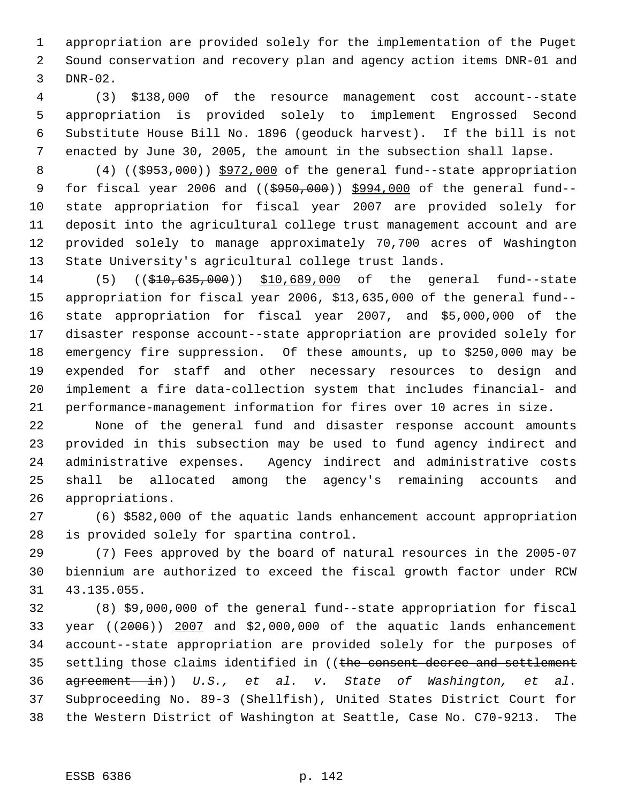appropriation are provided solely for the implementation of the Puget Sound conservation and recovery plan and agency action items DNR-01 and DNR-02.

 (3) \$138,000 of the resource management cost account--state appropriation is provided solely to implement Engrossed Second Substitute House Bill No. 1896 (geoduck harvest). If the bill is not enacted by June 30, 2005, the amount in the subsection shall lapse.

8 (4) ((\$953,000)) \$972,000 of the general fund--state appropriation 9 for fiscal year 2006 and ((\$950,000)) \$994,000 of the general fund-- state appropriation for fiscal year 2007 are provided solely for deposit into the agricultural college trust management account and are provided solely to manage approximately 70,700 acres of Washington State University's agricultural college trust lands.

14 (5) ((\$10,635,000)) \$10,689,000 of the general fund--state appropriation for fiscal year 2006, \$13,635,000 of the general fund-- state appropriation for fiscal year 2007, and \$5,000,000 of the disaster response account--state appropriation are provided solely for emergency fire suppression. Of these amounts, up to \$250,000 may be expended for staff and other necessary resources to design and implement a fire data-collection system that includes financial- and performance-management information for fires over 10 acres in size.

 None of the general fund and disaster response account amounts provided in this subsection may be used to fund agency indirect and administrative expenses. Agency indirect and administrative costs shall be allocated among the agency's remaining accounts and appropriations.

 (6) \$582,000 of the aquatic lands enhancement account appropriation is provided solely for spartina control.

 (7) Fees approved by the board of natural resources in the 2005-07 biennium are authorized to exceed the fiscal growth factor under RCW 43.135.055.

 (8) \$9,000,000 of the general fund--state appropriation for fiscal year ((2006)) 2007 and \$2,000,000 of the aquatic lands enhancement account--state appropriation are provided solely for the purposes of 35 settling those claims identified in ((the consent decree and settlement agreement in)) *U.S., et al. v. State of Washington, et al.* Subproceeding No. 89-3 (Shellfish), United States District Court for the Western District of Washington at Seattle, Case No. C70-9213. The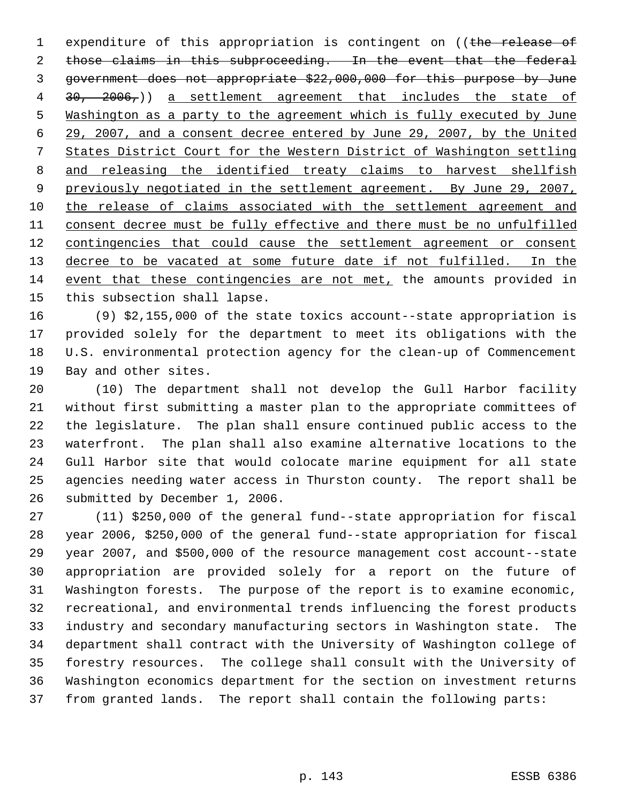1 expenditure of this appropriation is contingent on ((the release of 2 those claims in this subproceeding. In the event that the federal government does not appropriate \$22,000,000 for this purpose by June 4 30, 2006,)) a settlement agreement that includes the state of Washington as a party to the agreement which is fully executed by June 29, 2007, and a consent decree entered by June 29, 2007, by the United States District Court for the Western District of Washington settling and releasing the identified treaty claims to harvest shellfish 9 previously negotiated in the settlement agreement. By June 29, 2007, the release of claims associated with the settlement agreement and consent decree must be fully effective and there must be no unfulfilled 12 contingencies that could cause the settlement agreement or consent 13 decree to be vacated at some future date if not fulfilled. In the event that these contingencies are not met, the amounts provided in this subsection shall lapse.

 (9) \$2,155,000 of the state toxics account--state appropriation is provided solely for the department to meet its obligations with the U.S. environmental protection agency for the clean-up of Commencement Bay and other sites.

 (10) The department shall not develop the Gull Harbor facility without first submitting a master plan to the appropriate committees of the legislature. The plan shall ensure continued public access to the waterfront. The plan shall also examine alternative locations to the Gull Harbor site that would colocate marine equipment for all state agencies needing water access in Thurston county. The report shall be submitted by December 1, 2006.

 (11) \$250,000 of the general fund--state appropriation for fiscal year 2006, \$250,000 of the general fund--state appropriation for fiscal year 2007, and \$500,000 of the resource management cost account--state appropriation are provided solely for a report on the future of Washington forests. The purpose of the report is to examine economic, recreational, and environmental trends influencing the forest products industry and secondary manufacturing sectors in Washington state. The department shall contract with the University of Washington college of forestry resources. The college shall consult with the University of Washington economics department for the section on investment returns from granted lands. The report shall contain the following parts: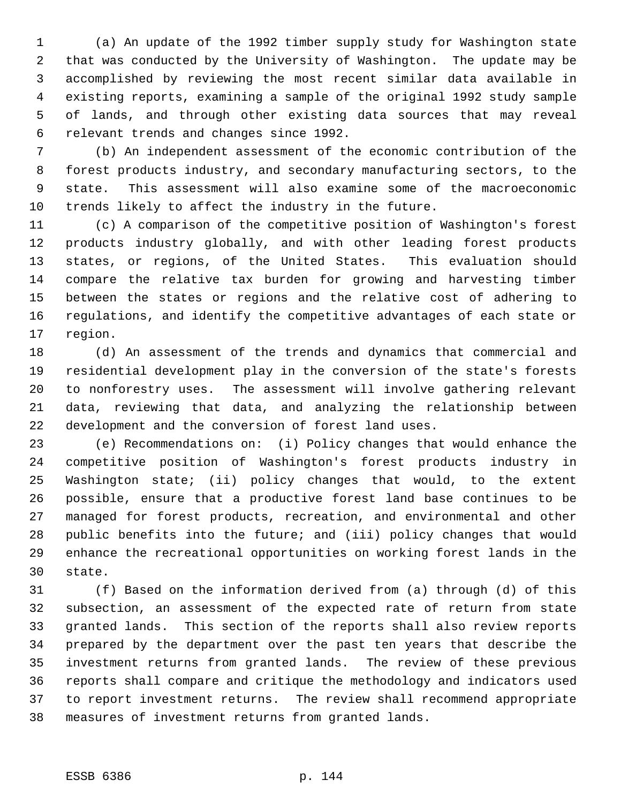(a) An update of the 1992 timber supply study for Washington state that was conducted by the University of Washington. The update may be accomplished by reviewing the most recent similar data available in existing reports, examining a sample of the original 1992 study sample of lands, and through other existing data sources that may reveal relevant trends and changes since 1992.

 (b) An independent assessment of the economic contribution of the forest products industry, and secondary manufacturing sectors, to the state. This assessment will also examine some of the macroeconomic trends likely to affect the industry in the future.

 (c) A comparison of the competitive position of Washington's forest products industry globally, and with other leading forest products states, or regions, of the United States. This evaluation should compare the relative tax burden for growing and harvesting timber between the states or regions and the relative cost of adhering to regulations, and identify the competitive advantages of each state or region.

 (d) An assessment of the trends and dynamics that commercial and residential development play in the conversion of the state's forests to nonforestry uses. The assessment will involve gathering relevant data, reviewing that data, and analyzing the relationship between development and the conversion of forest land uses.

 (e) Recommendations on: (i) Policy changes that would enhance the competitive position of Washington's forest products industry in Washington state; (ii) policy changes that would, to the extent possible, ensure that a productive forest land base continues to be managed for forest products, recreation, and environmental and other public benefits into the future; and (iii) policy changes that would enhance the recreational opportunities on working forest lands in the state.

 (f) Based on the information derived from (a) through (d) of this subsection, an assessment of the expected rate of return from state granted lands. This section of the reports shall also review reports prepared by the department over the past ten years that describe the investment returns from granted lands. The review of these previous reports shall compare and critique the methodology and indicators used to report investment returns. The review shall recommend appropriate measures of investment returns from granted lands.

## ESSB 6386 p. 144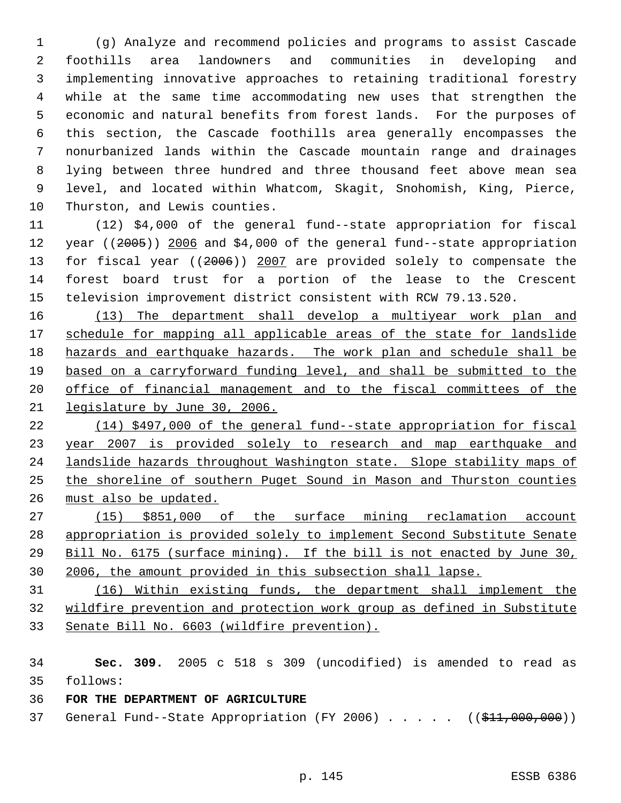(g) Analyze and recommend policies and programs to assist Cascade foothills area landowners and communities in developing and implementing innovative approaches to retaining traditional forestry while at the same time accommodating new uses that strengthen the economic and natural benefits from forest lands. For the purposes of this section, the Cascade foothills area generally encompasses the nonurbanized lands within the Cascade mountain range and drainages lying between three hundred and three thousand feet above mean sea level, and located within Whatcom, Skagit, Snohomish, King, Pierce, Thurston, and Lewis counties.

 (12) \$4,000 of the general fund--state appropriation for fiscal 12 year ((2005)) 2006 and \$4,000 of the general fund--state appropriation 13 for fiscal year ((2006)) 2007 are provided solely to compensate the forest board trust for a portion of the lease to the Crescent television improvement district consistent with RCW 79.13.520.

 (13) The department shall develop a multiyear work plan and 17 schedule for mapping all applicable areas of the state for landslide hazards and earthquake hazards. The work plan and schedule shall be based on a carryforward funding level, and shall be submitted to the office of financial management and to the fiscal committees of the legislature by June 30, 2006.

 (14) \$497,000 of the general fund--state appropriation for fiscal year 2007 is provided solely to research and map earthquake and landslide hazards throughout Washington state. Slope stability maps of the shoreline of southern Puget Sound in Mason and Thurston counties must also be updated.

 (15) \$851,000 of the surface mining reclamation account appropriation is provided solely to implement Second Substitute Senate Bill No. 6175 (surface mining). If the bill is not enacted by June 30, 2006, the amount provided in this subsection shall lapse.

 (16) Within existing funds, the department shall implement the wildfire prevention and protection work group as defined in Substitute Senate Bill No. 6603 (wildfire prevention).

 **Sec. 309.** 2005 c 518 s 309 (uncodified) is amended to read as follows:

## **FOR THE DEPARTMENT OF AGRICULTURE**

37 General Fund--State Appropriation (FY 2006) . . . . . ((\$11,000,000))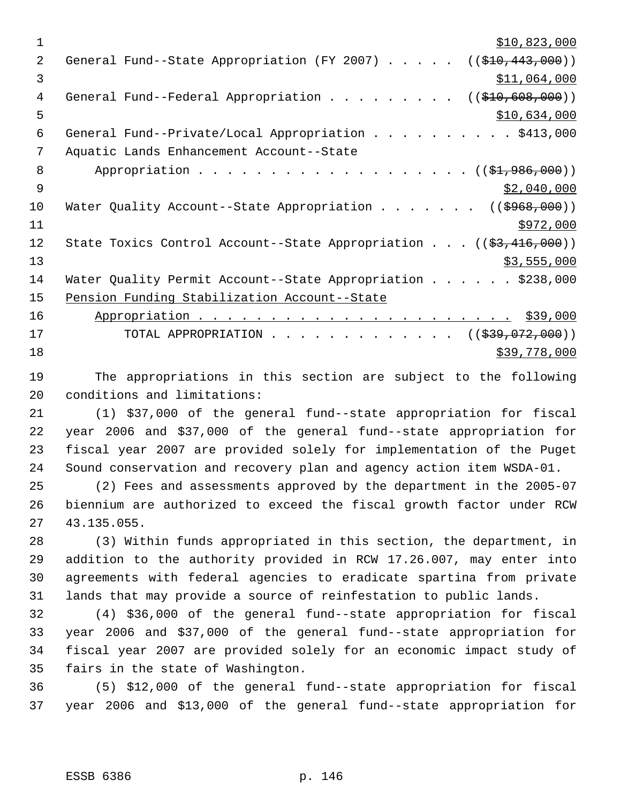$\frac{$10,823,000}{2}$ 2 General Fund--State Appropriation (FY 2007) . . . . . ((\$10,443,000)) \$11,064,000 4 General Fund--Federal Appropriation . . . . . . . . ((\$10,608,000))  $5 - 5$   $\frac{$10,634,000}{1}$  General Fund--Private/Local Appropriation . . . . . . . . . . \$413,000 Aquatic Lands Enhancement Account--State 8 Appropriation . . . . . . . . . . . . . . . . . (  $(\frac{1}{2}, 986, 000)$  )  $\frac{1}{2}$   $\frac{1}{2}$ ,040,000 10 Water Quality Account--State Appropriation . . . . . . ((\$968,000)) \$972,000 12 State Toxics Control Account--State Appropriation . . . ((\$3,416,000)) 13 \$3,555,000 14 Water Quality Permit Account--State Appropriation . . . . . \$238,000 Pension Funding Stabilization Account--State Appropriation . . . . . . . . . . . . . . . . . . . . . . \$39,000 17 TOTAL APPROPRIATION . . . . . . . . . . . . ((<del>\$39,072,000</del>)) \$39,778,000

 The appropriations in this section are subject to the following conditions and limitations:

 (1) \$37,000 of the general fund--state appropriation for fiscal year 2006 and \$37,000 of the general fund--state appropriation for fiscal year 2007 are provided solely for implementation of the Puget Sound conservation and recovery plan and agency action item WSDA-01.

 (2) Fees and assessments approved by the department in the 2005-07 biennium are authorized to exceed the fiscal growth factor under RCW 43.135.055.

 (3) Within funds appropriated in this section, the department, in addition to the authority provided in RCW 17.26.007, may enter into agreements with federal agencies to eradicate spartina from private lands that may provide a source of reinfestation to public lands.

 (4) \$36,000 of the general fund--state appropriation for fiscal year 2006 and \$37,000 of the general fund--state appropriation for fiscal year 2007 are provided solely for an economic impact study of fairs in the state of Washington.

 (5) \$12,000 of the general fund--state appropriation for fiscal year 2006 and \$13,000 of the general fund--state appropriation for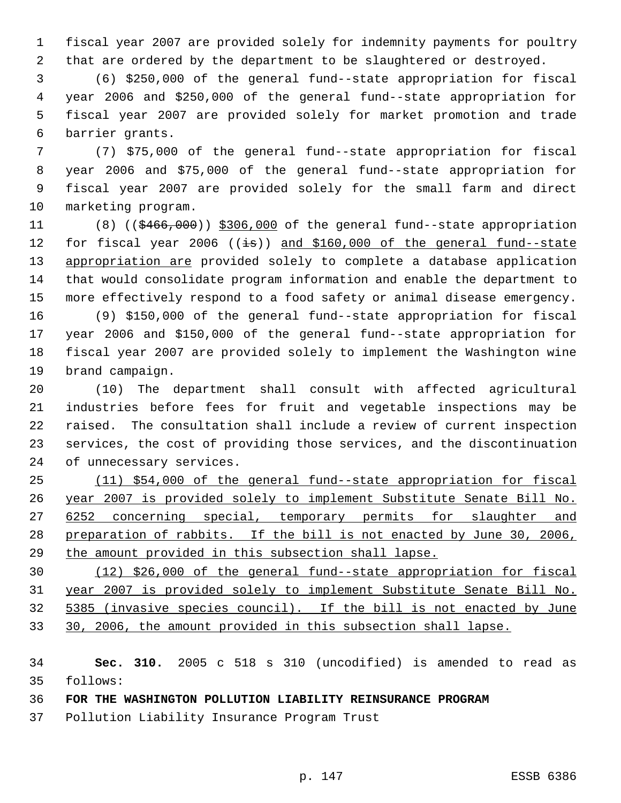fiscal year 2007 are provided solely for indemnity payments for poultry that are ordered by the department to be slaughtered or destroyed.

 (6) \$250,000 of the general fund--state appropriation for fiscal year 2006 and \$250,000 of the general fund--state appropriation for fiscal year 2007 are provided solely for market promotion and trade barrier grants.

 (7) \$75,000 of the general fund--state appropriation for fiscal year 2006 and \$75,000 of the general fund--state appropriation for fiscal year 2007 are provided solely for the small farm and direct marketing program.

11 (8) ((\$466,000)) \$306,000 of the general fund--state appropriation 12 for fiscal year 2006 ((is)) and \$160,000 of the general fund-state 13 appropriation are provided solely to complete a database application that would consolidate program information and enable the department to more effectively respond to a food safety or animal disease emergency.

 (9) \$150,000 of the general fund--state appropriation for fiscal year 2006 and \$150,000 of the general fund--state appropriation for fiscal year 2007 are provided solely to implement the Washington wine brand campaign.

 (10) The department shall consult with affected agricultural industries before fees for fruit and vegetable inspections may be raised. The consultation shall include a review of current inspection services, the cost of providing those services, and the discontinuation of unnecessary services.

 (11) \$54,000 of the general fund--state appropriation for fiscal year 2007 is provided solely to implement Substitute Senate Bill No. 27 6252 concerning special, temporary permits for slaughter and preparation of rabbits. If the bill is not enacted by June 30, 2006, the amount provided in this subsection shall lapse.

 (12) \$26,000 of the general fund--state appropriation for fiscal year 2007 is provided solely to implement Substitute Senate Bill No. 5385 (invasive species council). If the bill is not enacted by June 30, 2006, the amount provided in this subsection shall lapse.

 **Sec. 310.** 2005 c 518 s 310 (uncodified) is amended to read as follows:

**FOR THE WASHINGTON POLLUTION LIABILITY REINSURANCE PROGRAM**

Pollution Liability Insurance Program Trust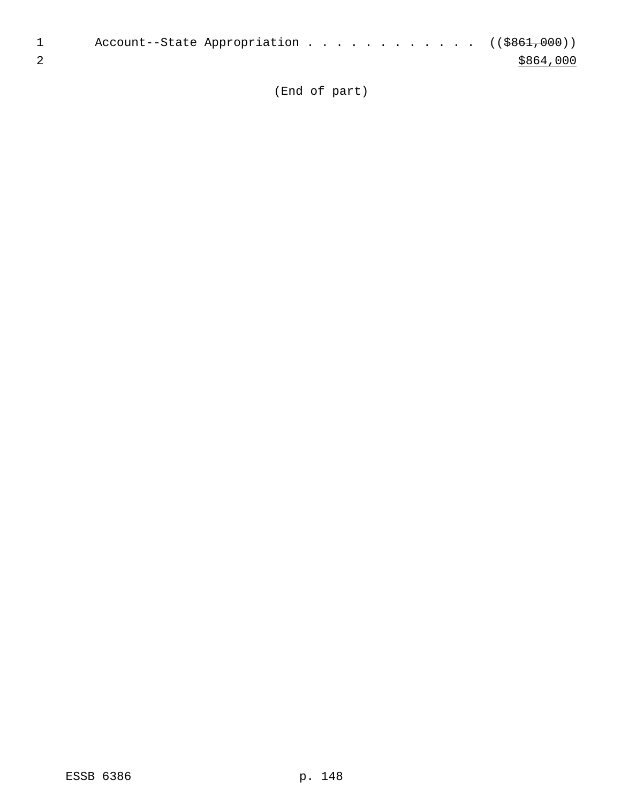| Account--State Appropriation ((\$861,000)) |  |  |  |  |           |
|--------------------------------------------|--|--|--|--|-----------|
|                                            |  |  |  |  | \$864,000 |

(End of part)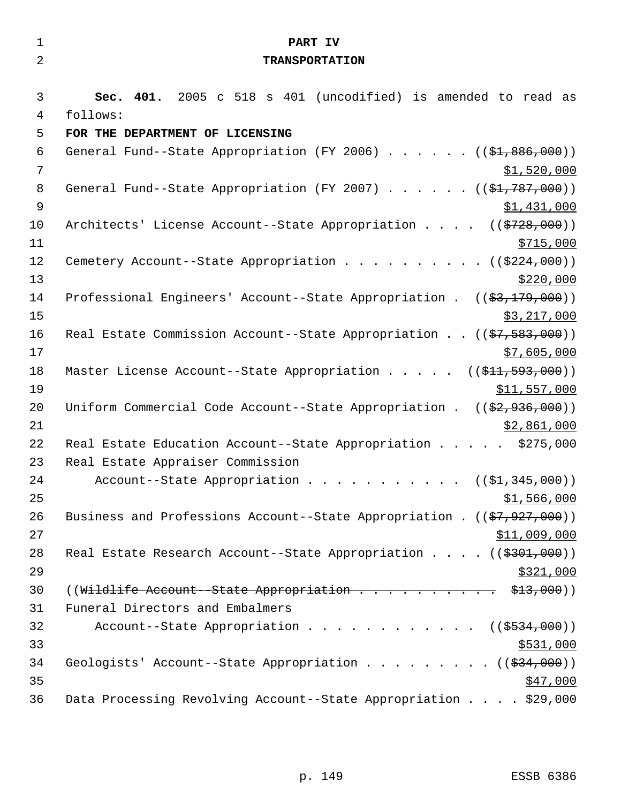| $\mathbf{1}$   | PART IV                                                                                   |
|----------------|-------------------------------------------------------------------------------------------|
| $\overline{2}$ | <b>TRANSPORTATION</b>                                                                     |
|                |                                                                                           |
| 3              | Sec. 401. 2005 c 518 s 401 (uncodified) is amended to read as                             |
| $\overline{4}$ | follows:                                                                                  |
| 5              | FOR THE DEPARTMENT OF LICENSING                                                           |
| 6              | General Fund--State Appropriation (FY 2006) $($ $($ \$1,886,000))                         |
| $\overline{7}$ | \$1,520,000                                                                               |
| 8              | General Fund--State Appropriation (FY 2007) $($ $($ \$1,787,000))                         |
| $\mathsf 9$    | \$1,431,000                                                                               |
| 10             | Architects' License Account--State Appropriation ((\$728,000))                            |
| 11             | \$715,000                                                                                 |
| 12             | Cemetery Account--State Appropriation ( $(\frac{2224}{000})$ )                            |
| 13             | \$220,000                                                                                 |
| 14             | Professional Engineers' Account--State Appropriation . $((\frac{2}{3}, \frac{179}{100}))$ |
| 15             | \$3,217,000                                                                               |
| 16             | Real Estate Commission Account--State Appropriation ((\$7,583,000))                       |
| 17             | \$7,605,000                                                                               |
| 18             | Master License Account--State Appropriation $($ $($ \$11, 593, 000) $)$                   |
| 19             | \$11,557,000                                                                              |
| 20             | Uniform Commercial Code Account--State Appropriation . $((\frac{2}{7}, 936, 000))$        |
| 21             | \$2,861,000                                                                               |
| 22             | Real Estate Education Account--State Appropriation \$275,000                              |
| 23             | Real Estate Appraiser Commission                                                          |
| 24             | Account--State Appropriation ( $(\frac{1}{2}, 345, 000)$ )                                |
| 25             | \$1,566,000                                                                               |
| 26             | Business and Professions Account--State Appropriation . $((\frac{27}{7}, 927, 000))$      |
| 27             | \$11,009,000                                                                              |
| 28             | Real Estate Research Account--State Appropriation $($ $($ $\frac{2301}{7000})$            |
| 29             | \$321,000                                                                                 |
| 30             | ((Wildlife Account--State Appropriation \$13,000))                                        |
| 31             | Funeral Directors and Embalmers                                                           |
| 32             | Account--State Appropriation ( $(\frac{2534,000}{s})$ )                                   |
| 33             | \$531,000                                                                                 |
| 34             | Geologists' Account--State Appropriation ( $(\frac{234}{100})$ )                          |
| 35             | \$47,000                                                                                  |
| 36             | Data Processing Revolving Account--State Appropriation \$29,000                           |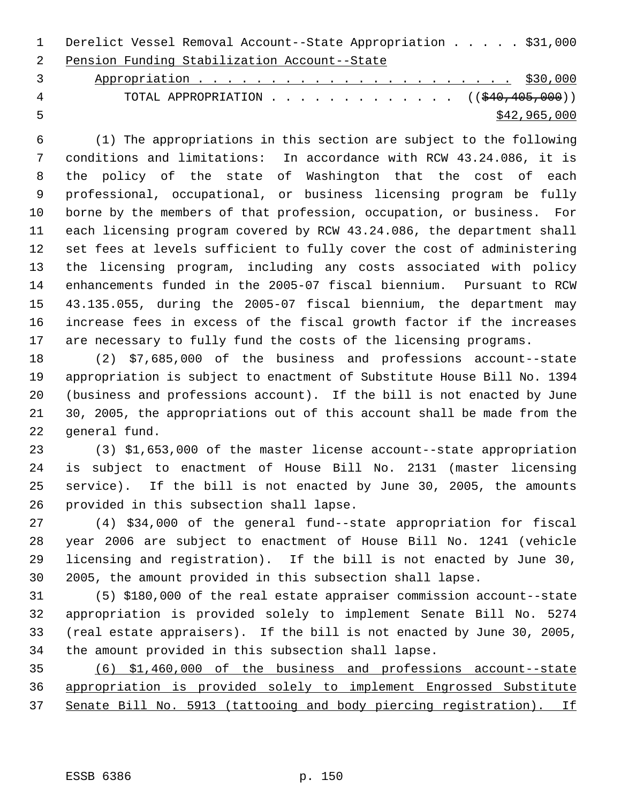Derelict Vessel Removal Account--State Appropriation . . . . . \$31,000 Pension Funding Stabilization Account--State

 Appropriation . . . . . . . . . . . . . . . . . . . . . . \$30,000 4 TOTAL APPROPRIATION . . . . . . . . . . . . ((\$40,405,000))  $\frac{$42,965,000}{2}$ 

 (1) The appropriations in this section are subject to the following conditions and limitations: In accordance with RCW 43.24.086, it is the policy of the state of Washington that the cost of each professional, occupational, or business licensing program be fully borne by the members of that profession, occupation, or business. For each licensing program covered by RCW 43.24.086, the department shall set fees at levels sufficient to fully cover the cost of administering the licensing program, including any costs associated with policy enhancements funded in the 2005-07 fiscal biennium. Pursuant to RCW 43.135.055, during the 2005-07 fiscal biennium, the department may increase fees in excess of the fiscal growth factor if the increases are necessary to fully fund the costs of the licensing programs.

 (2) \$7,685,000 of the business and professions account--state appropriation is subject to enactment of Substitute House Bill No. 1394 (business and professions account). If the bill is not enacted by June 30, 2005, the appropriations out of this account shall be made from the general fund.

 (3) \$1,653,000 of the master license account--state appropriation is subject to enactment of House Bill No. 2131 (master licensing service). If the bill is not enacted by June 30, 2005, the amounts provided in this subsection shall lapse.

 (4) \$34,000 of the general fund--state appropriation for fiscal year 2006 are subject to enactment of House Bill No. 1241 (vehicle licensing and registration). If the bill is not enacted by June 30, 2005, the amount provided in this subsection shall lapse.

 (5) \$180,000 of the real estate appraiser commission account--state appropriation is provided solely to implement Senate Bill No. 5274 (real estate appraisers). If the bill is not enacted by June 30, 2005, the amount provided in this subsection shall lapse.

 (6) \$1,460,000 of the business and professions account--state appropriation is provided solely to implement Engrossed Substitute Senate Bill No. 5913 (tattooing and body piercing registration). If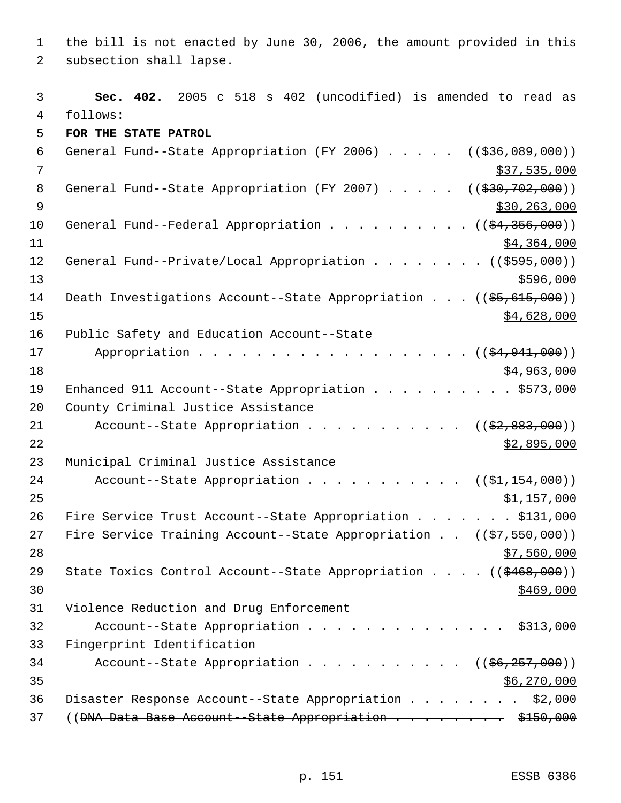1 the bill is not enacted by June 30, 2006, the amount provided in this 2 subsection shall lapse. 3 **Sec. 402.** 2005 c 518 s 402 (uncodified) is amended to read as 4 follows: 5 **FOR THE STATE PATROL**  6 General Fund--State Appropriation (FY 2006)  $\ldots$  . . . ((\$36,089,000))  $7$  \$37,535,000 8 General Fund--State Appropriation (FY 2007) . . . . . ((\$30,702,000))  $9$  \$30,263,000 10 General Fund--Federal Appropriation . . . . . . . . . ((\$4,356,000))  $11$   $\frac{$4,364,000}{ }$ 12 General Fund--Private/Local Appropriation . . . . . . . ((\$595,000))  $13$   $$596,000$ 14 Death Investigations Account--State Appropriation . . . ((\$5,615,000))  $\frac{15}{15}$   $\frac{15}{15}$   $\frac{15}{15}$   $\frac{15}{15}$   $\frac{15}{15}$   $\frac{15}{15}$   $\frac{15}{15}$   $\frac{15}{15}$   $\frac{15}{15}$   $\frac{15}{15}$   $\frac{15}{15}$   $\frac{15}{15}$   $\frac{15}{15}$   $\frac{15}{15}$   $\frac{15}{15}$   $\frac{15}{15}$   $\frac{15}{15}$   $\frac{15}{15}$   $\frac{1$ 16 Public Safety and Education Account--State 17 Appropriation . . . . . . . . . . . . . . . . . ((\$4,941,000))  $18$  \$4,963,000 19 Enhanced 911 Account--State Appropriation . . . . . . . . . \$573,000 20 County Criminal Justice Assistance 21 Account--State Appropriation . . . . . . . . . . ((\$2,883,000))  $22$   $\frac{$2,895,000}{2}$ 23 Municipal Criminal Justice Assistance 24 Account--State Appropriation . . . . . . . . . .  $($   $($ \$1,154,000))  $25$  \$1,157,000 26 Fire Service Trust Account--State Appropriation . . . . . . \$131,000 27 Fire Service Training Account--State Appropriation . . ((\$7,550,000))  $28$   $57,560,000$ 29 State Toxics Control Account--State Appropriation . . . . ((\$468,000))  $\frac{$469,000}{ }$ 31 Violence Reduction and Drug Enforcement 32 Account--State Appropriation . . . . . . . . . . . . . . \$313,000 33 Fingerprint Identification 34 Account--State Appropriation . . . . . . . . . . ((\$6,257,000))  $35$  \$6,270,000 36 Disaster Response Account--State Appropriation . . . . . . . . \$2,000 37 ((<del>DNA Data Base Account - State Appropriation . . . . . . . \$150,000</del>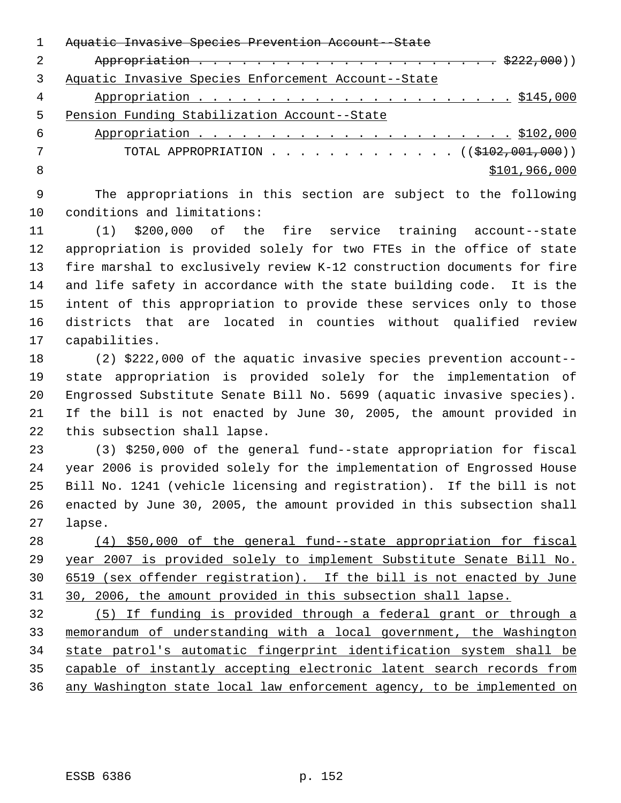|   | <del>Aquatic Invasive Species Prevention Account--State</del>    |
|---|------------------------------------------------------------------|
|   |                                                                  |
|   | Aquatic Invasive Species Enforcement Account--State              |
| 4 |                                                                  |
| 5 | Pension Funding Stabilization Account--State                     |
| 6 |                                                                  |
|   | TOTAL APPROPRIATION $\ldots$ , ( $(\frac{102}{102}, 001, 000)$ ) |
| 8 | \$101,966,000                                                    |
|   |                                                                  |

 The appropriations in this section are subject to the following conditions and limitations:

 (1) \$200,000 of the fire service training account--state appropriation is provided solely for two FTEs in the office of state fire marshal to exclusively review K-12 construction documents for fire and life safety in accordance with the state building code. It is the intent of this appropriation to provide these services only to those districts that are located in counties without qualified review capabilities.

 (2) \$222,000 of the aquatic invasive species prevention account-- state appropriation is provided solely for the implementation of Engrossed Substitute Senate Bill No. 5699 (aquatic invasive species). If the bill is not enacted by June 30, 2005, the amount provided in this subsection shall lapse.

 (3) \$250,000 of the general fund--state appropriation for fiscal year 2006 is provided solely for the implementation of Engrossed House Bill No. 1241 (vehicle licensing and registration). If the bill is not enacted by June 30, 2005, the amount provided in this subsection shall lapse.

 (4) \$50,000 of the general fund--state appropriation for fiscal year 2007 is provided solely to implement Substitute Senate Bill No. 6519 (sex offender registration). If the bill is not enacted by June 30, 2006, the amount provided in this subsection shall lapse.

 (5) If funding is provided through a federal grant or through a memorandum of understanding with a local government, the Washington state patrol's automatic fingerprint identification system shall be capable of instantly accepting electronic latent search records from any Washington state local law enforcement agency, to be implemented on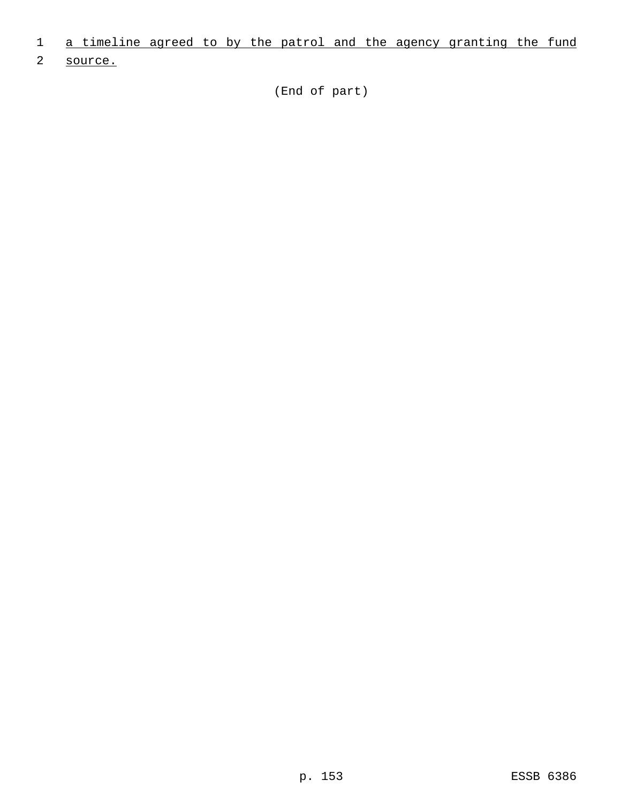- 1 a timeline agreed to by the patrol and the agency granting the fund
- 2 source.

(End of part)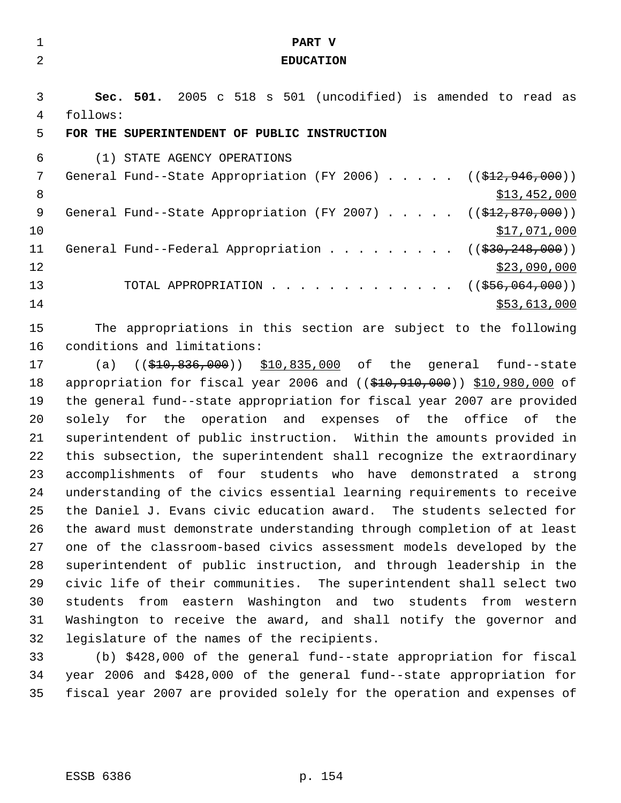| 1              | PART V                                                                        |
|----------------|-------------------------------------------------------------------------------|
| $\overline{2}$ | <b>EDUCATION</b>                                                              |
|                |                                                                               |
| 3              | Sec. 501. 2005 c 518 s 501 (uncodified) is amended to read as                 |
| 4              | follows:                                                                      |
| 5              | FOR THE SUPERINTENDENT OF PUBLIC INSTRUCTION                                  |
| 6              | (1) STATE AGENCY OPERATIONS                                                   |
| 7              | General Fund--State Appropriation (FY 2006) $($ $(\frac{212}{7946}, 000) )$   |
| 8              | \$13,452,000                                                                  |
| 9              | General Fund--State Appropriation (FY 2007)<br>$((\$12,870,000))$             |
| 10             | <u>\$17,071,000</u>                                                           |
| 11             | General Fund--Federal Appropriation<br>((\$30,248,000))                       |
| 12             | \$23,090,000                                                                  |
| 13             | TOTAL APPROPRIATION<br>$((\frac{2556}{1000}, \frac{064}{1000}))$              |
| 14             | \$53,613,000                                                                  |
| 15             | The appropriations in this section are subject to the following               |
| 16             | conditions and limitations:                                                   |
| 17             | $(($10, $10, $36, 000)$ $$10,835,000$ of the general fund--state<br>(a)       |
| 18             | appropriation for fiscal year 2006 and $($ $($ \$10,910,000)) \$10,980,000 of |
| 19             | the general fund--state appropriation for fiscal year 2007 are provided       |
| 20             | solely for the operation and expenses of the office of the                    |
| 21             | superintendent of public instruction. Within the amounts provided in          |
| 22             | this subsection, the superintendent shall recognize the extraordinary         |
| 23             | accomplishments of four students who have demonstrated a strong               |
| 24             | understanding of the civics essential learning requirements to receive        |
| 25             | the Daniel J. Evans civic education award. The students selected for          |
| 26             | the award must demonstrate understanding through completion of at least       |
| 27             | one of the classroom-based civics assessment models developed by the          |
| 28             | superintendent of public instruction, and through leadership in the           |
| 29             | civic life of their communities. The superintendent shall select two          |

 students from eastern Washington and two students from western Washington to receive the award, and shall notify the governor and legislature of the names of the recipients.

 (b) \$428,000 of the general fund--state appropriation for fiscal year 2006 and \$428,000 of the general fund--state appropriation for fiscal year 2007 are provided solely for the operation and expenses of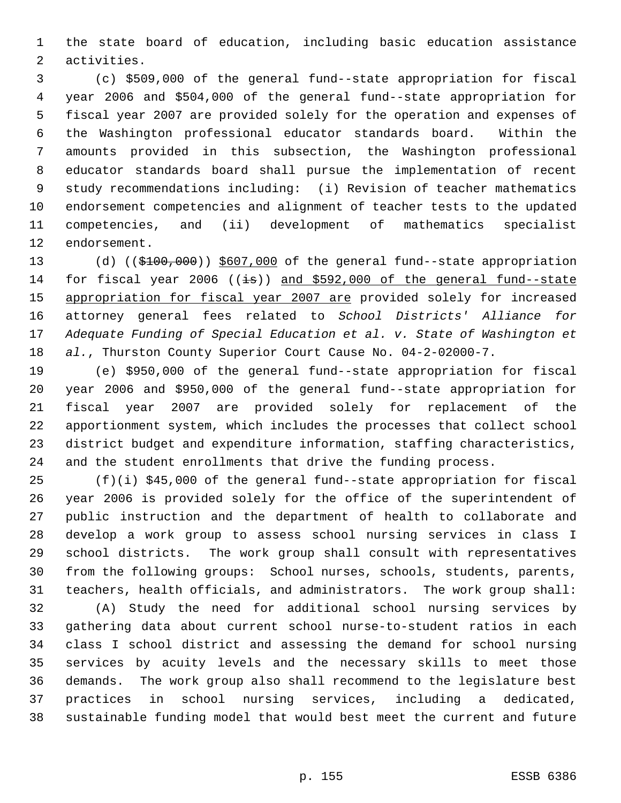the state board of education, including basic education assistance activities.

 (c) \$509,000 of the general fund--state appropriation for fiscal year 2006 and \$504,000 of the general fund--state appropriation for fiscal year 2007 are provided solely for the operation and expenses of the Washington professional educator standards board. Within the amounts provided in this subsection, the Washington professional educator standards board shall pursue the implementation of recent study recommendations including: (i) Revision of teacher mathematics endorsement competencies and alignment of teacher tests to the updated competencies, and (ii) development of mathematics specialist endorsement.

13 (d) ((\$100,000)) \$607,000 of the general fund--state appropriation 14 for fiscal year 2006 ( $(\pm s)$ ) and \$592,000 of the general fund--state 15 appropriation for fiscal year 2007 are provided solely for increased attorney general fees related to *School Districts' Alliance for Adequate Funding of Special Education et al. v. State of Washington et al.*, Thurston County Superior Court Cause No. 04-2-02000-7.

 (e) \$950,000 of the general fund--state appropriation for fiscal year 2006 and \$950,000 of the general fund--state appropriation for fiscal year 2007 are provided solely for replacement of the apportionment system, which includes the processes that collect school district budget and expenditure information, staffing characteristics, and the student enrollments that drive the funding process.

 (f)(i) \$45,000 of the general fund--state appropriation for fiscal year 2006 is provided solely for the office of the superintendent of public instruction and the department of health to collaborate and develop a work group to assess school nursing services in class I school districts. The work group shall consult with representatives from the following groups: School nurses, schools, students, parents, teachers, health officials, and administrators. The work group shall:

 (A) Study the need for additional school nursing services by gathering data about current school nurse-to-student ratios in each class I school district and assessing the demand for school nursing services by acuity levels and the necessary skills to meet those demands. The work group also shall recommend to the legislature best practices in school nursing services, including a dedicated, sustainable funding model that would best meet the current and future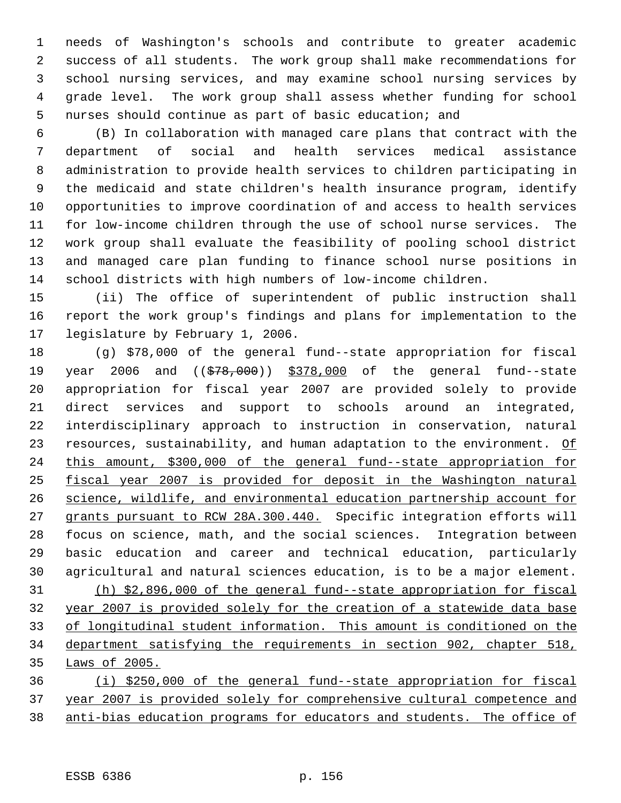needs of Washington's schools and contribute to greater academic success of all students. The work group shall make recommendations for school nursing services, and may examine school nursing services by grade level. The work group shall assess whether funding for school nurses should continue as part of basic education; and

 (B) In collaboration with managed care plans that contract with the department of social and health services medical assistance administration to provide health services to children participating in the medicaid and state children's health insurance program, identify opportunities to improve coordination of and access to health services for low-income children through the use of school nurse services. The work group shall evaluate the feasibility of pooling school district and managed care plan funding to finance school nurse positions in school districts with high numbers of low-income children.

 (ii) The office of superintendent of public instruction shall report the work group's findings and plans for implementation to the legislature by February 1, 2006.

 (g) \$78,000 of the general fund--state appropriation for fiscal 19 year 2006 and ((\$78,000)) \$378,000 of the general fund--state appropriation for fiscal year 2007 are provided solely to provide direct services and support to schools around an integrated, interdisciplinary approach to instruction in conservation, natural 23 resources, sustainability, and human adaptation to the environment. Of this amount, \$300,000 of the general fund--state appropriation for fiscal year 2007 is provided for deposit in the Washington natural science, wildlife, and environmental education partnership account for grants pursuant to RCW 28A.300.440. Specific integration efforts will focus on science, math, and the social sciences. Integration between basic education and career and technical education, particularly agricultural and natural sciences education, is to be a major element. (h) \$2,896,000 of the general fund--state appropriation for fiscal year 2007 is provided solely for the creation of a statewide data base of longitudinal student information. This amount is conditioned on the department satisfying the requirements in section 902, chapter 518, Laws of 2005. (i) \$250,000 of the general fund--state appropriation for fiscal

 year 2007 is provided solely for comprehensive cultural competence and anti-bias education programs for educators and students. The office of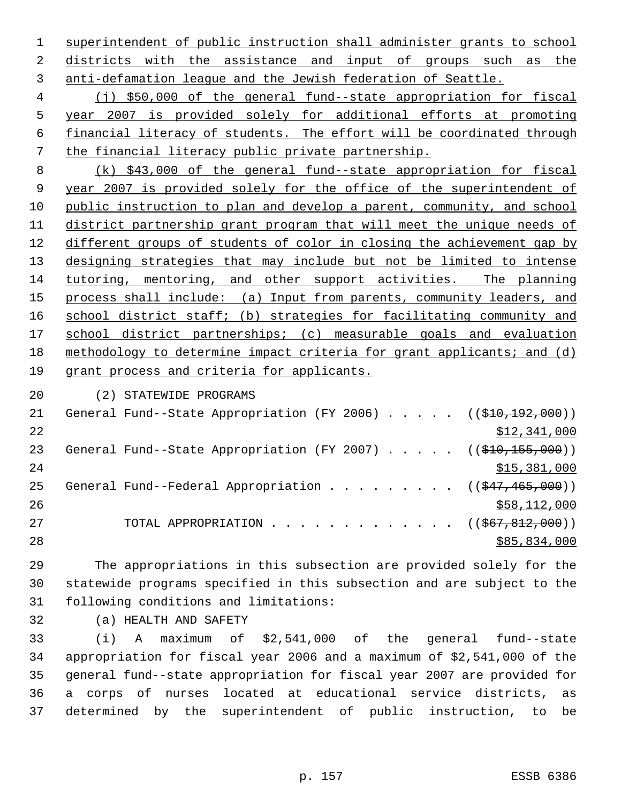superintendent of public instruction shall administer grants to school districts with the assistance and input of groups such as the anti-defamation league and the Jewish federation of Seattle.

 (j) \$50,000 of the general fund--state appropriation for fiscal year 2007 is provided solely for additional efforts at promoting financial literacy of students. The effort will be coordinated through the financial literacy public private partnership.

 (k) \$43,000 of the general fund--state appropriation for fiscal year 2007 is provided solely for the office of the superintendent of public instruction to plan and develop a parent, community, and school district partnership grant program that will meet the unique needs of different groups of students of color in closing the achievement gap by designing strategies that may include but not be limited to intense tutoring, mentoring, and other support activities. The planning 15 process shall include: (a) Input from parents, community leaders, and 16 school district staff; (b) strategies for facilitating community and 17 school district partnerships; (c) measurable goals and evaluation methodology to determine impact criteria for grant applicants; and (d) grant process and criteria for applicants.

(2) STATEWIDE PROGRAMS

| 21 | General Fund--State Appropriation (FY 2006) $($ $($ $\frac{10}{210}$ , $\frac{192}{192}$ , 000)) |              |
|----|--------------------------------------------------------------------------------------------------|--------------|
| 22 |                                                                                                  | \$12,341,000 |
| 23 | General Fund--State Appropriation (FY 2007) $($ $($ \$10,155,000))                               |              |
| 24 |                                                                                                  | \$15,381,000 |
| 25 | General Fund--Federal Appropriation ( $(\frac{247}{465}, \frac{465}{100})$ )                     |              |
| 26 |                                                                                                  | \$58,112,000 |
| 27 | TOTAL APPROPRIATION ( $(\frac{667}{67}, \frac{812}{600})$ )                                      |              |
| 28 |                                                                                                  | \$85,834,000 |
|    |                                                                                                  |              |

 The appropriations in this subsection are provided solely for the statewide programs specified in this subsection and are subject to the following conditions and limitations:

(a) HEALTH AND SAFETY

 (i) A maximum of \$2,541,000 of the general fund--state appropriation for fiscal year 2006 and a maximum of \$2,541,000 of the general fund--state appropriation for fiscal year 2007 are provided for a corps of nurses located at educational service districts, as determined by the superintendent of public instruction, to be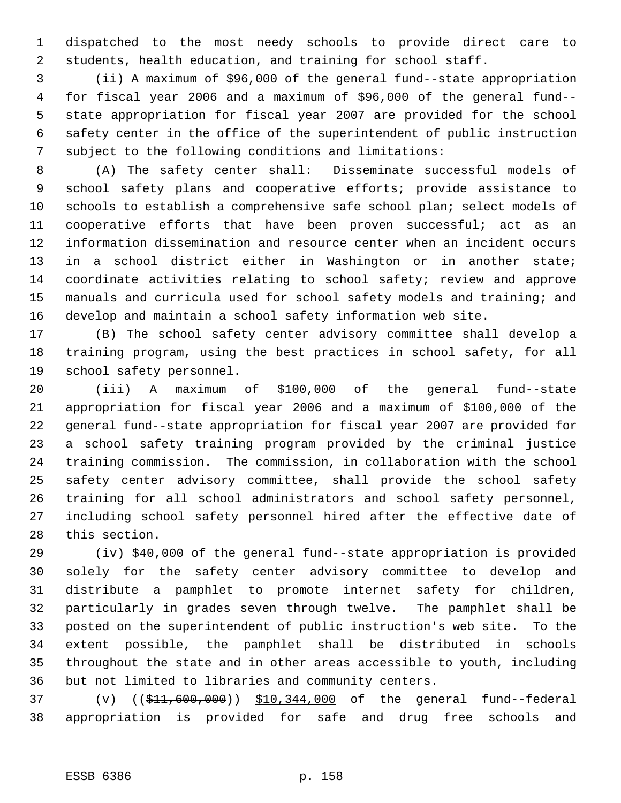dispatched to the most needy schools to provide direct care to students, health education, and training for school staff.

 (ii) A maximum of \$96,000 of the general fund--state appropriation for fiscal year 2006 and a maximum of \$96,000 of the general fund-- state appropriation for fiscal year 2007 are provided for the school safety center in the office of the superintendent of public instruction subject to the following conditions and limitations:

 (A) The safety center shall: Disseminate successful models of school safety plans and cooperative efforts; provide assistance to schools to establish a comprehensive safe school plan; select models of cooperative efforts that have been proven successful; act as an information dissemination and resource center when an incident occurs in a school district either in Washington or in another state; coordinate activities relating to school safety; review and approve manuals and curricula used for school safety models and training; and develop and maintain a school safety information web site.

 (B) The school safety center advisory committee shall develop a training program, using the best practices in school safety, for all school safety personnel.

 (iii) A maximum of \$100,000 of the general fund--state appropriation for fiscal year 2006 and a maximum of \$100,000 of the general fund--state appropriation for fiscal year 2007 are provided for a school safety training program provided by the criminal justice training commission. The commission, in collaboration with the school safety center advisory committee, shall provide the school safety training for all school administrators and school safety personnel, including school safety personnel hired after the effective date of this section.

 (iv) \$40,000 of the general fund--state appropriation is provided solely for the safety center advisory committee to develop and distribute a pamphlet to promote internet safety for children, particularly in grades seven through twelve. The pamphlet shall be posted on the superintendent of public instruction's web site. To the extent possible, the pamphlet shall be distributed in schools throughout the state and in other areas accessible to youth, including but not limited to libraries and community centers.

 (v) ((\$11,600,000)) \$10,344,000 of the general fund--federal appropriation is provided for safe and drug free schools and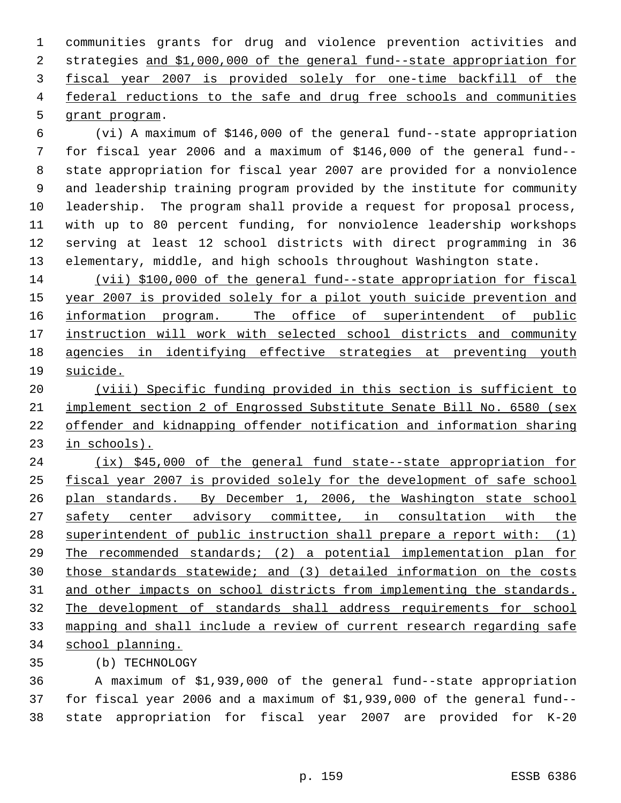communities grants for drug and violence prevention activities and strategies and \$1,000,000 of the general fund--state appropriation for fiscal year 2007 is provided solely for one-time backfill of the 4 federal reductions to the safe and drug free schools and communities grant program.

 (vi) A maximum of \$146,000 of the general fund--state appropriation for fiscal year 2006 and a maximum of \$146,000 of the general fund-- state appropriation for fiscal year 2007 are provided for a nonviolence and leadership training program provided by the institute for community leadership. The program shall provide a request for proposal process, with up to 80 percent funding, for nonviolence leadership workshops serving at least 12 school districts with direct programming in 36 elementary, middle, and high schools throughout Washington state.

 (vii) \$100,000 of the general fund--state appropriation for fiscal 15 year 2007 is provided solely for a pilot youth suicide prevention and 16 information program. The office of superintendent of public 17 instruction will work with selected school districts and community agencies in identifying effective strategies at preventing youth suicide.

 (viii) Specific funding provided in this section is sufficient to implement section 2 of Engrossed Substitute Senate Bill No. 6580 (sex offender and kidnapping offender notification and information sharing in schools).

24 (ix) \$45,000 of the general fund state--state appropriation for fiscal year 2007 is provided solely for the development of safe school plan standards. By December 1, 2006, the Washington state school 27 safety center advisory committee, in consultation with the 28 superintendent of public instruction shall prepare a report with: (1) The recommended standards; (2) a potential implementation plan for those standards statewide; and (3) detailed information on the costs 31 and other impacts on school districts from implementing the standards. The development of standards shall address requirements for school mapping and shall include a review of current research regarding safe school planning.

(b) TECHNOLOGY

 A maximum of \$1,939,000 of the general fund--state appropriation for fiscal year 2006 and a maximum of \$1,939,000 of the general fund-- state appropriation for fiscal year 2007 are provided for K-20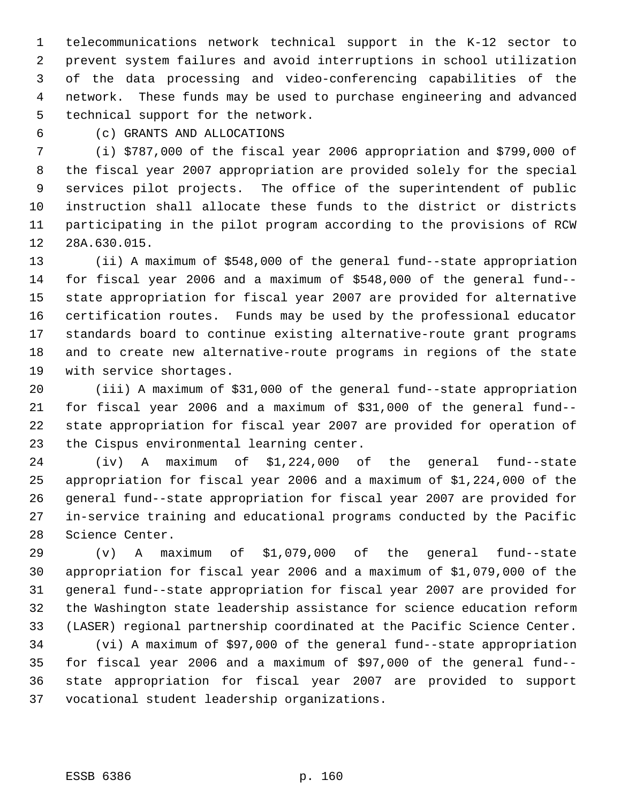telecommunications network technical support in the K-12 sector to prevent system failures and avoid interruptions in school utilization of the data processing and video-conferencing capabilities of the network. These funds may be used to purchase engineering and advanced technical support for the network.

(c) GRANTS AND ALLOCATIONS

 (i) \$787,000 of the fiscal year 2006 appropriation and \$799,000 of the fiscal year 2007 appropriation are provided solely for the special services pilot projects. The office of the superintendent of public instruction shall allocate these funds to the district or districts participating in the pilot program according to the provisions of RCW 28A.630.015.

 (ii) A maximum of \$548,000 of the general fund--state appropriation for fiscal year 2006 and a maximum of \$548,000 of the general fund-- state appropriation for fiscal year 2007 are provided for alternative certification routes. Funds may be used by the professional educator standards board to continue existing alternative-route grant programs and to create new alternative-route programs in regions of the state with service shortages.

 (iii) A maximum of \$31,000 of the general fund--state appropriation for fiscal year 2006 and a maximum of \$31,000 of the general fund-- state appropriation for fiscal year 2007 are provided for operation of the Cispus environmental learning center.

 (iv) A maximum of \$1,224,000 of the general fund--state appropriation for fiscal year 2006 and a maximum of \$1,224,000 of the general fund--state appropriation for fiscal year 2007 are provided for in-service training and educational programs conducted by the Pacific Science Center.

 (v) A maximum of \$1,079,000 of the general fund--state appropriation for fiscal year 2006 and a maximum of \$1,079,000 of the general fund--state appropriation for fiscal year 2007 are provided for the Washington state leadership assistance for science education reform (LASER) regional partnership coordinated at the Pacific Science Center.

 (vi) A maximum of \$97,000 of the general fund--state appropriation for fiscal year 2006 and a maximum of \$97,000 of the general fund-- state appropriation for fiscal year 2007 are provided to support vocational student leadership organizations.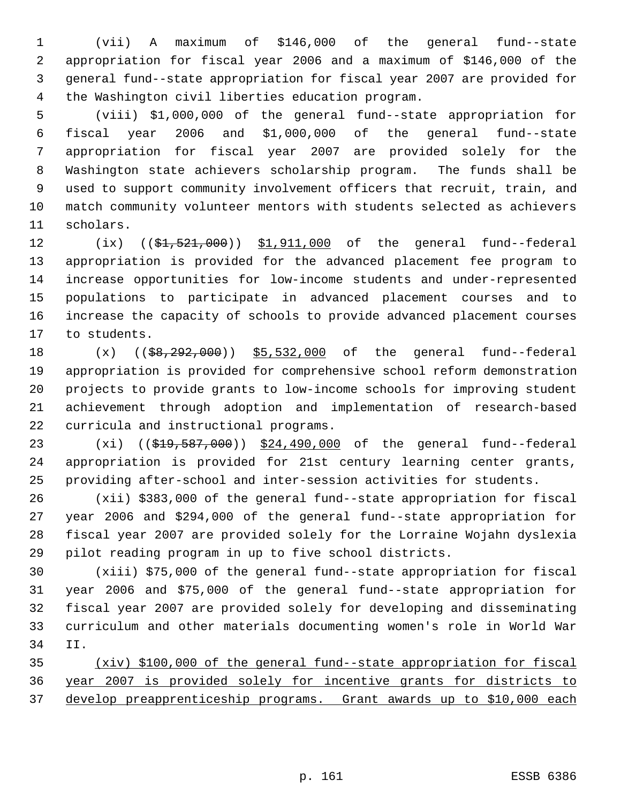(vii) A maximum of \$146,000 of the general fund--state appropriation for fiscal year 2006 and a maximum of \$146,000 of the general fund--state appropriation for fiscal year 2007 are provided for the Washington civil liberties education program.

 (viii) \$1,000,000 of the general fund--state appropriation for fiscal year 2006 and \$1,000,000 of the general fund--state appropriation for fiscal year 2007 are provided solely for the Washington state achievers scholarship program. The funds shall be used to support community involvement officers that recruit, train, and match community volunteer mentors with students selected as achievers scholars.

12 (ix) ((\$1,521,000)) \$1,911,000 of the general fund--federal appropriation is provided for the advanced placement fee program to increase opportunities for low-income students and under-represented populations to participate in advanced placement courses and to increase the capacity of schools to provide advanced placement courses to students.

18 (x) ((\$8,292,000)) \$5,532,000 of the general fund--federal appropriation is provided for comprehensive school reform demonstration projects to provide grants to low-income schools for improving student achievement through adoption and implementation of research-based curricula and instructional programs.

23 (xi) ((\$19,587,000)) \$24,490,000 of the general fund--federal appropriation is provided for 21st century learning center grants, providing after-school and inter-session activities for students.

 (xii) \$383,000 of the general fund--state appropriation for fiscal year 2006 and \$294,000 of the general fund--state appropriation for fiscal year 2007 are provided solely for the Lorraine Wojahn dyslexia pilot reading program in up to five school districts.

 (xiii) \$75,000 of the general fund--state appropriation for fiscal year 2006 and \$75,000 of the general fund--state appropriation for fiscal year 2007 are provided solely for developing and disseminating curriculum and other materials documenting women's role in World War II.

 (xiv) \$100,000 of the general fund--state appropriation for fiscal year 2007 is provided solely for incentive grants for districts to develop preapprenticeship programs. Grant awards up to \$10,000 each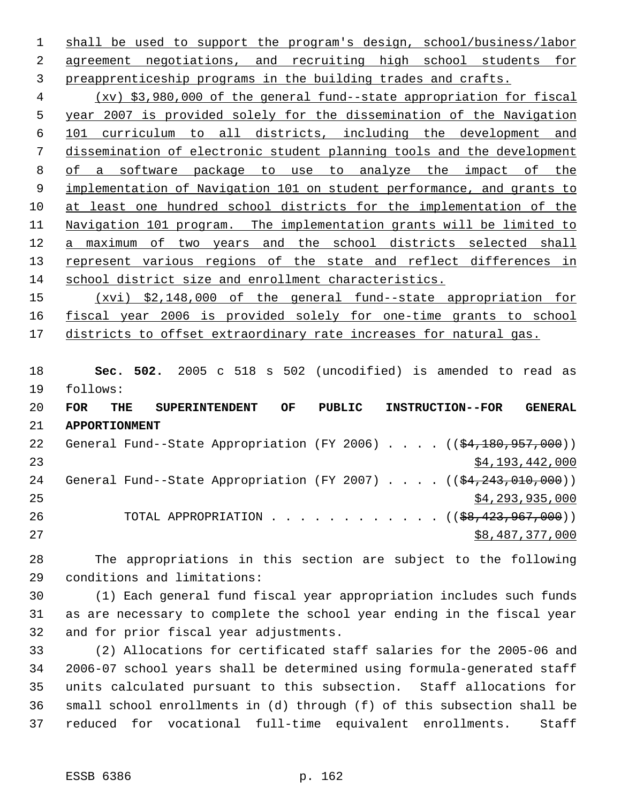shall be used to support the program's design, school/business/labor agreement negotiations, and recruiting high school students for preapprenticeship programs in the building trades and crafts.

 (xv) \$3,980,000 of the general fund--state appropriation for fiscal year 2007 is provided solely for the dissemination of the Navigation 101 curriculum to all districts, including the development and dissemination of electronic student planning tools and the development of a software package to use to analyze the impact of the implementation of Navigation 101 on student performance, and grants to at least one hundred school districts for the implementation of the Navigation 101 program. The implementation grants will be limited to a maximum of two years and the school districts selected shall 13 represent various regions of the state and reflect differences in school district size and enrollment characteristics.

 (xvi) \$2,148,000 of the general fund--state appropriation for fiscal year 2006 is provided solely for one-time grants to school 17 districts to offset extraordinary rate increases for natural gas.

 **Sec. 502.** 2005 c 518 s 502 (uncodified) is amended to read as follows:

| 20 | <b>FOR</b>           | THE | <b>SUPERINTENDENT</b> |                                                                                   | OF | PUBLIC |  |  | <b>INSTRUCTION--FOR</b> | <b>GENERAL</b>  |
|----|----------------------|-----|-----------------------|-----------------------------------------------------------------------------------|----|--------|--|--|-------------------------|-----------------|
| 21 | <b>APPORTIONMENT</b> |     |                       |                                                                                   |    |        |  |  |                         |                 |
| 22 |                      |     |                       | General Fund--State Appropriation (FY 2006) $($ $(\frac{24.180.957.000}{61.000})$ |    |        |  |  |                         |                 |
| 23 |                      |     |                       |                                                                                   |    |        |  |  |                         | \$4,193,442,000 |
| 24 |                      |     |                       | General Fund--State Appropriation (FY 2007) $($ $(\frac{24.243.010}{100})$        |    |        |  |  |                         |                 |
| 25 |                      |     |                       |                                                                                   |    |        |  |  |                         | \$4,293,935,000 |
| 26 |                      |     |                       | TOTAL APPROPRIATION ( $(\frac{68,423,967,000}{$ )                                 |    |        |  |  |                         |                 |
| 27 |                      |     |                       |                                                                                   |    |        |  |  |                         | \$8,487,377,000 |

 The appropriations in this section are subject to the following conditions and limitations:

 (1) Each general fund fiscal year appropriation includes such funds as are necessary to complete the school year ending in the fiscal year and for prior fiscal year adjustments.

 (2) Allocations for certificated staff salaries for the 2005-06 and 2006-07 school years shall be determined using formula-generated staff units calculated pursuant to this subsection. Staff allocations for small school enrollments in (d) through (f) of this subsection shall be reduced for vocational full-time equivalent enrollments. Staff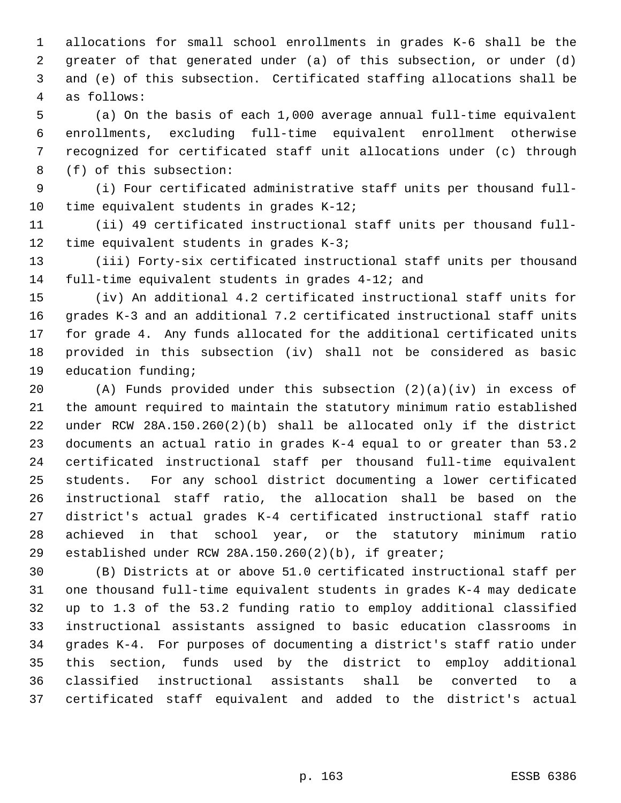allocations for small school enrollments in grades K-6 shall be the greater of that generated under (a) of this subsection, or under (d) and (e) of this subsection. Certificated staffing allocations shall be as follows:

 (a) On the basis of each 1,000 average annual full-time equivalent enrollments, excluding full-time equivalent enrollment otherwise recognized for certificated staff unit allocations under (c) through (f) of this subsection:

 (i) Four certificated administrative staff units per thousand full-10 time equivalent students in grades K-12;

 (ii) 49 certificated instructional staff units per thousand full-time equivalent students in grades K-3;

 (iii) Forty-six certificated instructional staff units per thousand full-time equivalent students in grades 4-12; and

 (iv) An additional 4.2 certificated instructional staff units for grades K-3 and an additional 7.2 certificated instructional staff units for grade 4. Any funds allocated for the additional certificated units provided in this subsection (iv) shall not be considered as basic education funding;

 (A) Funds provided under this subsection (2)(a)(iv) in excess of the amount required to maintain the statutory minimum ratio established under RCW 28A.150.260(2)(b) shall be allocated only if the district documents an actual ratio in grades K-4 equal to or greater than 53.2 certificated instructional staff per thousand full-time equivalent students. For any school district documenting a lower certificated instructional staff ratio, the allocation shall be based on the district's actual grades K-4 certificated instructional staff ratio achieved in that school year, or the statutory minimum ratio established under RCW 28A.150.260(2)(b), if greater;

 (B) Districts at or above 51.0 certificated instructional staff per one thousand full-time equivalent students in grades K-4 may dedicate up to 1.3 of the 53.2 funding ratio to employ additional classified instructional assistants assigned to basic education classrooms in grades K-4. For purposes of documenting a district's staff ratio under this section, funds used by the district to employ additional classified instructional assistants shall be converted to a certificated staff equivalent and added to the district's actual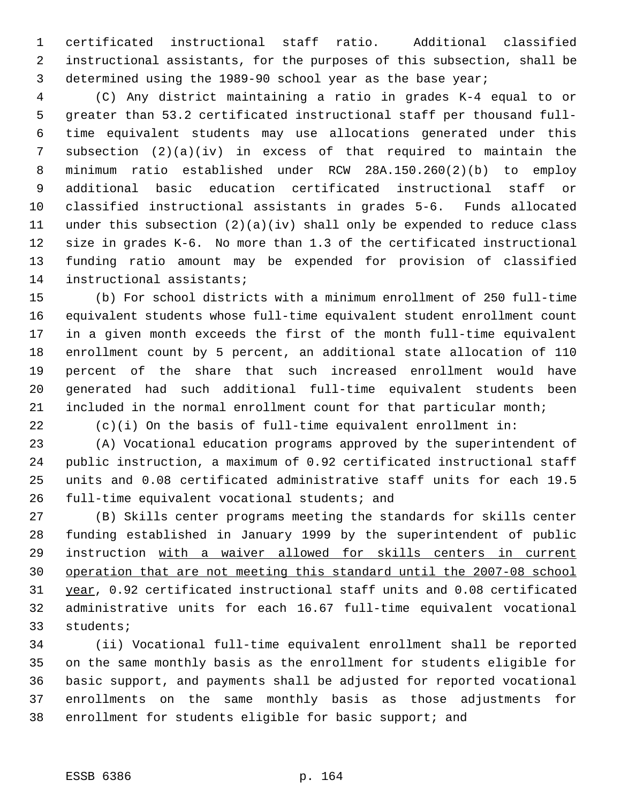certificated instructional staff ratio. Additional classified instructional assistants, for the purposes of this subsection, shall be determined using the 1989-90 school year as the base year;

 (C) Any district maintaining a ratio in grades K-4 equal to or greater than 53.2 certificated instructional staff per thousand full- time equivalent students may use allocations generated under this subsection (2)(a)(iv) in excess of that required to maintain the minimum ratio established under RCW 28A.150.260(2)(b) to employ additional basic education certificated instructional staff or classified instructional assistants in grades 5-6. Funds allocated under this subsection (2)(a)(iv) shall only be expended to reduce class size in grades K-6. No more than 1.3 of the certificated instructional funding ratio amount may be expended for provision of classified instructional assistants;

 (b) For school districts with a minimum enrollment of 250 full-time equivalent students whose full-time equivalent student enrollment count in a given month exceeds the first of the month full-time equivalent enrollment count by 5 percent, an additional state allocation of 110 percent of the share that such increased enrollment would have generated had such additional full-time equivalent students been included in the normal enrollment count for that particular month;

(c)(i) On the basis of full-time equivalent enrollment in:

 (A) Vocational education programs approved by the superintendent of public instruction, a maximum of 0.92 certificated instructional staff units and 0.08 certificated administrative staff units for each 19.5 full-time equivalent vocational students; and

 (B) Skills center programs meeting the standards for skills center funding established in January 1999 by the superintendent of public instruction with a waiver allowed for skills centers in current operation that are not meeting this standard until the 2007-08 school year, 0.92 certificated instructional staff units and 0.08 certificated administrative units for each 16.67 full-time equivalent vocational students;

 (ii) Vocational full-time equivalent enrollment shall be reported on the same monthly basis as the enrollment for students eligible for basic support, and payments shall be adjusted for reported vocational enrollments on the same monthly basis as those adjustments for enrollment for students eligible for basic support; and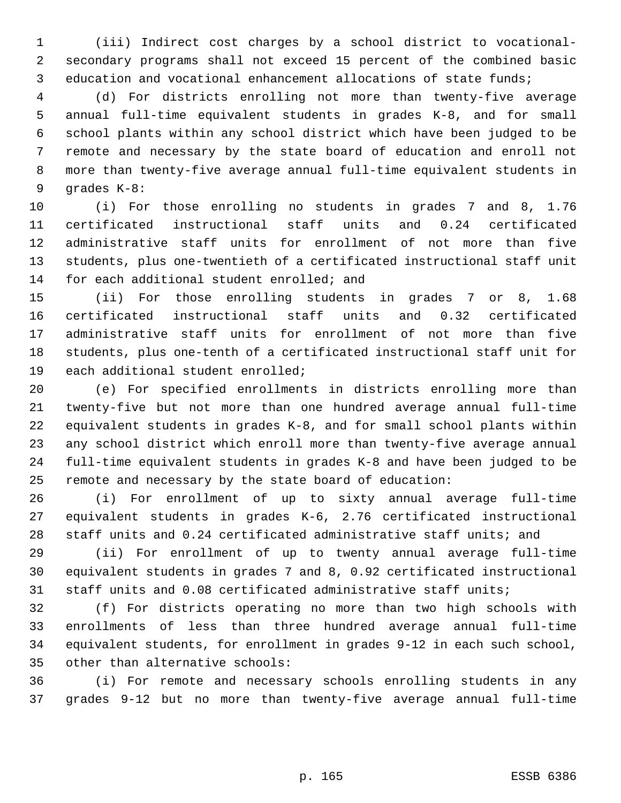(iii) Indirect cost charges by a school district to vocational- secondary programs shall not exceed 15 percent of the combined basic education and vocational enhancement allocations of state funds;

 (d) For districts enrolling not more than twenty-five average annual full-time equivalent students in grades K-8, and for small school plants within any school district which have been judged to be remote and necessary by the state board of education and enroll not more than twenty-five average annual full-time equivalent students in grades K-8:

 (i) For those enrolling no students in grades 7 and 8, 1.76 certificated instructional staff units and 0.24 certificated administrative staff units for enrollment of not more than five students, plus one-twentieth of a certificated instructional staff unit 14 for each additional student enrolled; and

 (ii) For those enrolling students in grades 7 or 8, 1.68 certificated instructional staff units and 0.32 certificated administrative staff units for enrollment of not more than five students, plus one-tenth of a certificated instructional staff unit for each additional student enrolled;

 (e) For specified enrollments in districts enrolling more than twenty-five but not more than one hundred average annual full-time equivalent students in grades K-8, and for small school plants within any school district which enroll more than twenty-five average annual full-time equivalent students in grades K-8 and have been judged to be remote and necessary by the state board of education:

 (i) For enrollment of up to sixty annual average full-time equivalent students in grades K-6, 2.76 certificated instructional staff units and 0.24 certificated administrative staff units; and

 (ii) For enrollment of up to twenty annual average full-time equivalent students in grades 7 and 8, 0.92 certificated instructional staff units and 0.08 certificated administrative staff units;

 (f) For districts operating no more than two high schools with enrollments of less than three hundred average annual full-time equivalent students, for enrollment in grades 9-12 in each such school, other than alternative schools:

 (i) For remote and necessary schools enrolling students in any grades 9-12 but no more than twenty-five average annual full-time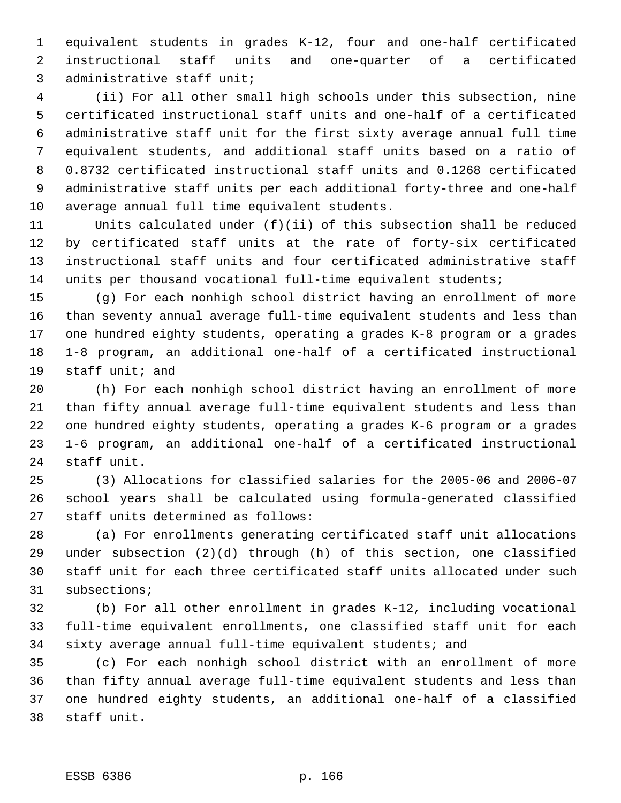equivalent students in grades K-12, four and one-half certificated instructional staff units and one-quarter of a certificated administrative staff unit;

 (ii) For all other small high schools under this subsection, nine certificated instructional staff units and one-half of a certificated administrative staff unit for the first sixty average annual full time equivalent students, and additional staff units based on a ratio of 0.8732 certificated instructional staff units and 0.1268 certificated administrative staff units per each additional forty-three and one-half average annual full time equivalent students.

 Units calculated under (f)(ii) of this subsection shall be reduced by certificated staff units at the rate of forty-six certificated instructional staff units and four certificated administrative staff units per thousand vocational full-time equivalent students;

 (g) For each nonhigh school district having an enrollment of more than seventy annual average full-time equivalent students and less than one hundred eighty students, operating a grades K-8 program or a grades 1-8 program, an additional one-half of a certificated instructional staff unit; and

 (h) For each nonhigh school district having an enrollment of more than fifty annual average full-time equivalent students and less than one hundred eighty students, operating a grades K-6 program or a grades 1-6 program, an additional one-half of a certificated instructional staff unit.

 (3) Allocations for classified salaries for the 2005-06 and 2006-07 school years shall be calculated using formula-generated classified staff units determined as follows:

 (a) For enrollments generating certificated staff unit allocations under subsection (2)(d) through (h) of this section, one classified staff unit for each three certificated staff units allocated under such subsections;

 (b) For all other enrollment in grades K-12, including vocational full-time equivalent enrollments, one classified staff unit for each sixty average annual full-time equivalent students; and

 (c) For each nonhigh school district with an enrollment of more than fifty annual average full-time equivalent students and less than one hundred eighty students, an additional one-half of a classified staff unit.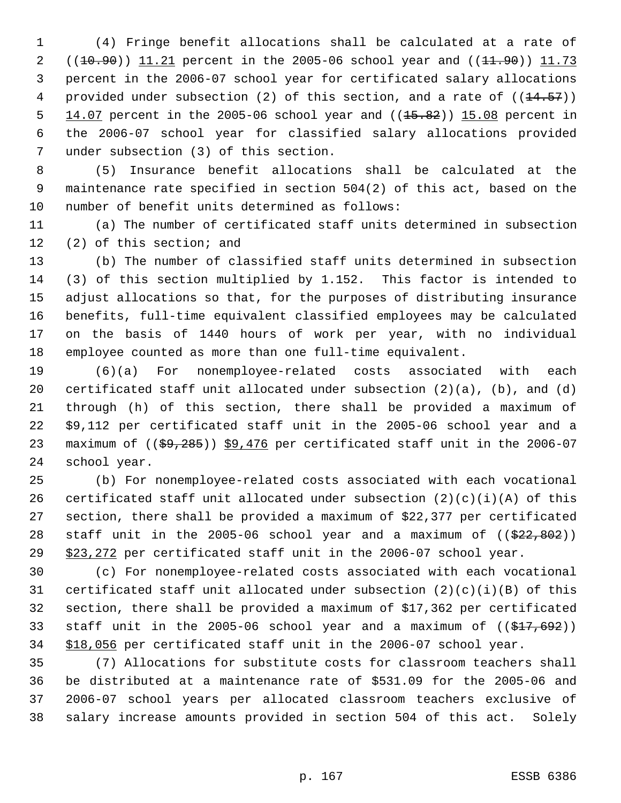(4) Fringe benefit allocations shall be calculated at a rate of 2 ((10.90)) 11.21 percent in the 2005-06 school year and ((11.90)) 11.73 percent in the 2006-07 school year for certificated salary allocations 4 provided under subsection (2) of this section, and a rate of  $((14.57))$  $14.07$  percent in the 2005-06 school year and  $((15.82))$  15.08 percent in the 2006-07 school year for classified salary allocations provided under subsection (3) of this section.

 (5) Insurance benefit allocations shall be calculated at the maintenance rate specified in section 504(2) of this act, based on the number of benefit units determined as follows:

 (a) The number of certificated staff units determined in subsection (2) of this section; and

 (b) The number of classified staff units determined in subsection (3) of this section multiplied by 1.152. This factor is intended to adjust allocations so that, for the purposes of distributing insurance benefits, full-time equivalent classified employees may be calculated on the basis of 1440 hours of work per year, with no individual employee counted as more than one full-time equivalent.

 (6)(a) For nonemployee-related costs associated with each certificated staff unit allocated under subsection (2)(a), (b), and (d) through (h) of this section, there shall be provided a maximum of \$9,112 per certificated staff unit in the 2005-06 school year and a 23 maximum of  $((\frac{69}{285}))$  \$9,476 per certificated staff unit in the 2006-07 school year.

 (b) For nonemployee-related costs associated with each vocational 26 certificated staff unit allocated under subsection  $(2)(c)(i)(A)$  of this section, there shall be provided a maximum of \$22,377 per certificated 28 staff unit in the 2005-06 school year and a maximum of  $($   $(*22, 802)$  ) 29 \$23,272 per certificated staff unit in the 2006-07 school year.

 (c) For nonemployee-related costs associated with each vocational 31 certificated staff unit allocated under subsection  $(2)(c)(i)(B)$  of this section, there shall be provided a maximum of \$17,362 per certificated 33 staff unit in the 2005-06 school year and a maximum of  $((\frac{217}{692}))$ \$18,056 per certificated staff unit in the 2006-07 school year.

 (7) Allocations for substitute costs for classroom teachers shall be distributed at a maintenance rate of \$531.09 for the 2005-06 and 2006-07 school years per allocated classroom teachers exclusive of salary increase amounts provided in section 504 of this act. Solely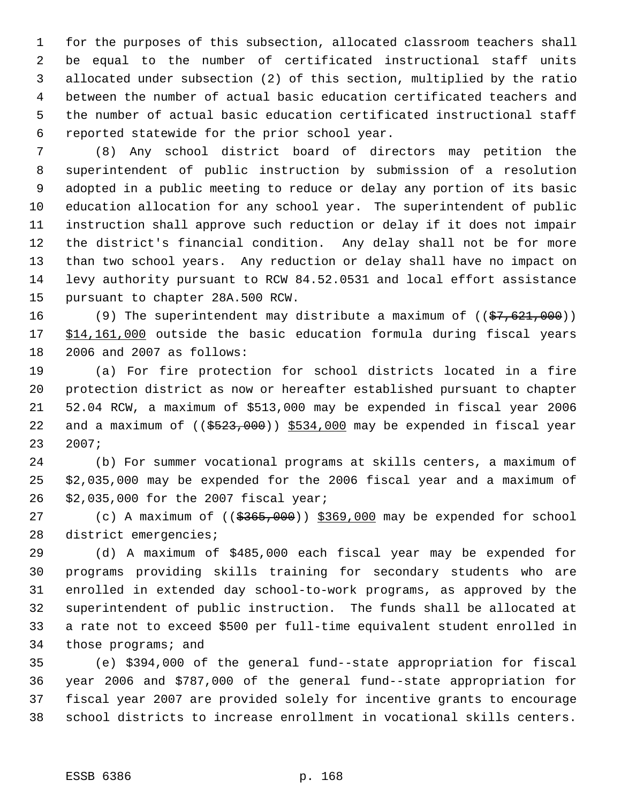for the purposes of this subsection, allocated classroom teachers shall be equal to the number of certificated instructional staff units allocated under subsection (2) of this section, multiplied by the ratio between the number of actual basic education certificated teachers and the number of actual basic education certificated instructional staff reported statewide for the prior school year.

 (8) Any school district board of directors may petition the superintendent of public instruction by submission of a resolution adopted in a public meeting to reduce or delay any portion of its basic education allocation for any school year. The superintendent of public instruction shall approve such reduction or delay if it does not impair the district's financial condition. Any delay shall not be for more than two school years. Any reduction or delay shall have no impact on levy authority pursuant to RCW 84.52.0531 and local effort assistance pursuant to chapter 28A.500 RCW.

16 (9) The superintendent may distribute a maximum of ((\$7,621,000)) 17 \$14,161,000 outside the basic education formula during fiscal years 2006 and 2007 as follows:

 (a) For fire protection for school districts located in a fire protection district as now or hereafter established pursuant to chapter 52.04 RCW, a maximum of \$513,000 may be expended in fiscal year 2006 22 and a maximum of  $((\frac{2523}{100}) \frac{5534}{100}$  may be expended in fiscal year 2007;

 (b) For summer vocational programs at skills centers, a maximum of \$2,035,000 may be expended for the 2006 fiscal year and a maximum of \$2,035,000 for the 2007 fiscal year;

27 (c) A maximum of  $((\frac{2565}{100}) \frac{1000}{100})$  may be expended for school district emergencies;

 (d) A maximum of \$485,000 each fiscal year may be expended for programs providing skills training for secondary students who are enrolled in extended day school-to-work programs, as approved by the superintendent of public instruction. The funds shall be allocated at a rate not to exceed \$500 per full-time equivalent student enrolled in those programs; and

 (e) \$394,000 of the general fund--state appropriation for fiscal year 2006 and \$787,000 of the general fund--state appropriation for fiscal year 2007 are provided solely for incentive grants to encourage school districts to increase enrollment in vocational skills centers.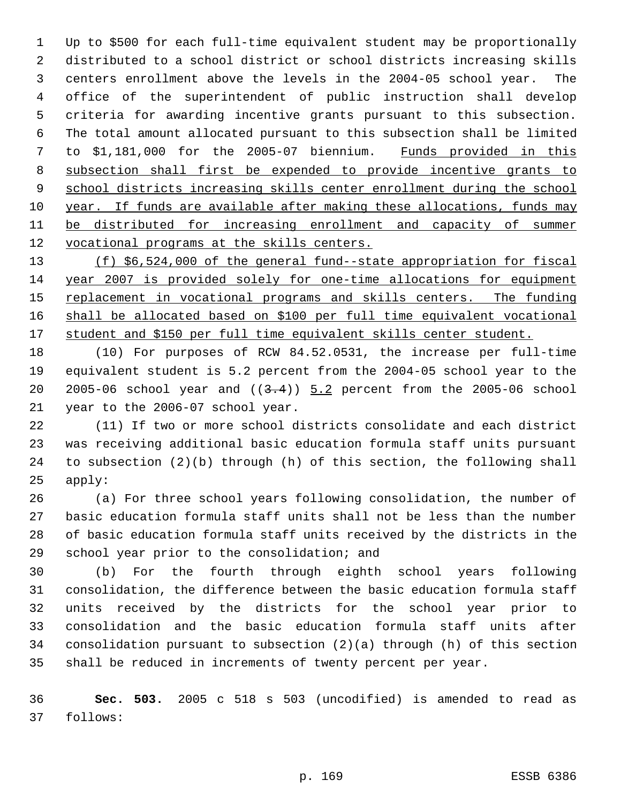Up to \$500 for each full-time equivalent student may be proportionally distributed to a school district or school districts increasing skills centers enrollment above the levels in the 2004-05 school year. The office of the superintendent of public instruction shall develop criteria for awarding incentive grants pursuant to this subsection. The total amount allocated pursuant to this subsection shall be limited to \$1,181,000 for the 2005-07 biennium. Funds provided in this subsection shall first be expended to provide incentive grants to 9 school districts increasing skills center enrollment during the school year. If funds are available after making these allocations, funds may 11 be distributed for increasing enrollment and capacity of summer 12 vocational programs at the skills centers.

 (f) \$6,524,000 of the general fund--state appropriation for fiscal year 2007 is provided solely for one-time allocations for equipment 15 replacement in vocational programs and skills centers. The funding shall be allocated based on \$100 per full time equivalent vocational student and \$150 per full time equivalent skills center student.

 (10) For purposes of RCW 84.52.0531, the increase per full-time equivalent student is 5.2 percent from the 2004-05 school year to the 20 2005-06 school year and  $((3.4))$   $5.2$  percent from the 2005-06 school year to the 2006-07 school year.

 (11) If two or more school districts consolidate and each district was receiving additional basic education formula staff units pursuant to subsection (2)(b) through (h) of this section, the following shall apply:

 (a) For three school years following consolidation, the number of basic education formula staff units shall not be less than the number of basic education formula staff units received by the districts in the school year prior to the consolidation; and

 (b) For the fourth through eighth school years following consolidation, the difference between the basic education formula staff units received by the districts for the school year prior to consolidation and the basic education formula staff units after consolidation pursuant to subsection (2)(a) through (h) of this section shall be reduced in increments of twenty percent per year.

 **Sec. 503.** 2005 c 518 s 503 (uncodified) is amended to read as follows: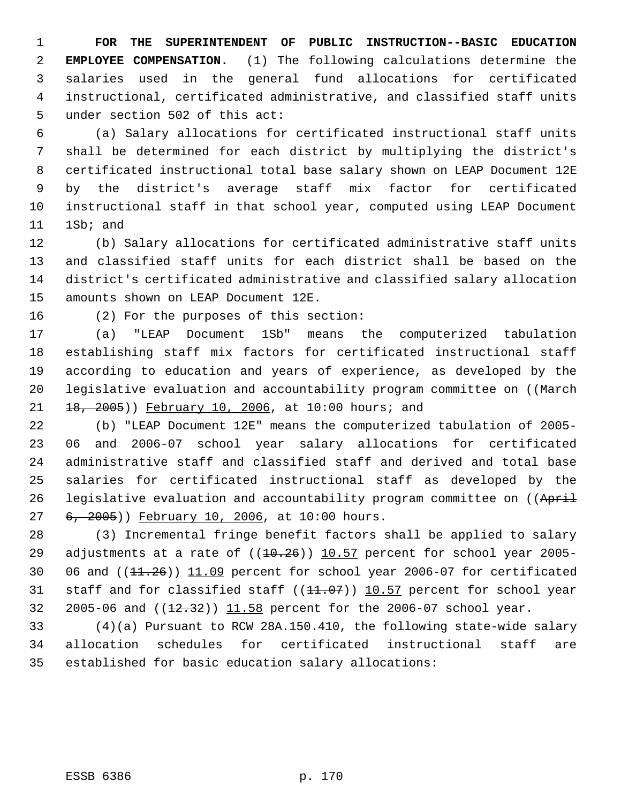**FOR THE SUPERINTENDENT OF PUBLIC INSTRUCTION--BASIC EDUCATION EMPLOYEE COMPENSATION.** (1) The following calculations determine the salaries used in the general fund allocations for certificated instructional, certificated administrative, and classified staff units under section 502 of this act:

 (a) Salary allocations for certificated instructional staff units shall be determined for each district by multiplying the district's certificated instructional total base salary shown on LEAP Document 12E by the district's average staff mix factor for certificated instructional staff in that school year, computed using LEAP Document 1Sb; and

 (b) Salary allocations for certificated administrative staff units and classified staff units for each district shall be based on the district's certificated administrative and classified salary allocation amounts shown on LEAP Document 12E.

(2) For the purposes of this section:

 (a) "LEAP Document 1Sb" means the computerized tabulation establishing staff mix factors for certificated instructional staff according to education and years of experience, as developed by the 20 legislative evaluation and accountability program committee on ((March 21 18, 2005)) February 10, 2006, at 10:00 hours; and

 (b) "LEAP Document 12E" means the computerized tabulation of 2005- 06 and 2006-07 school year salary allocations for certificated administrative staff and classified staff and derived and total base salaries for certificated instructional staff as developed by the 26 legislative evaluation and accountability program committee on ((April 27 6, 2005)) February 10, 2006, at 10:00 hours.

 (3) Incremental fringe benefit factors shall be applied to salary 29 adjustments at a rate of  $((10.26))$  10.57 percent for school year 2005-30 06 and  $(11.26)$   $11.09$  percent for school year 2006-07 for certificated 31 staff and for classified staff ((11.07)) 10.57 percent for school year 32 2005-06 and ((12.32)) 11.58 percent for the 2006-07 school year.

 (4)(a) Pursuant to RCW 28A.150.410, the following state-wide salary allocation schedules for certificated instructional staff are established for basic education salary allocations: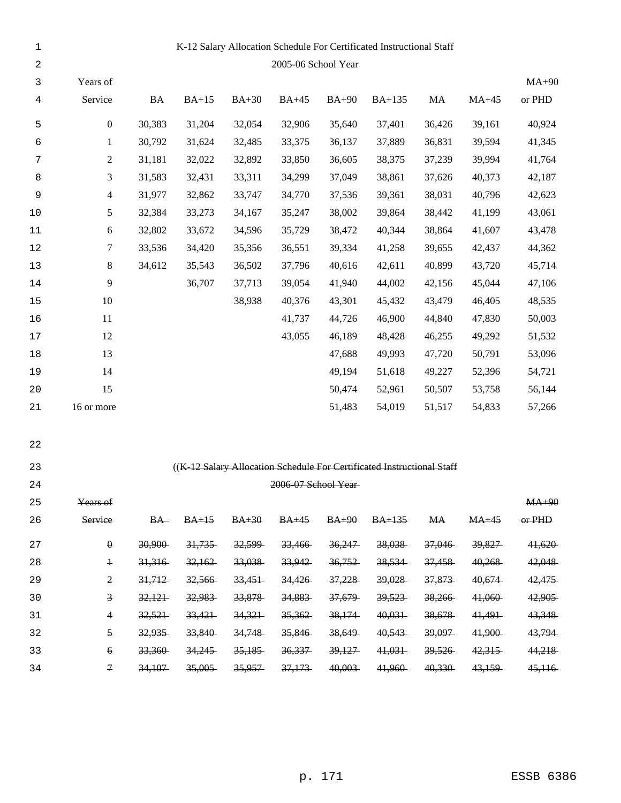| $1\,$      |                                        |           |         |         |                      |              | K-12 Salary Allocation Schedule For Certificated Instructional Staff   |           |         |          |
|------------|----------------------------------------|-----------|---------|---------|----------------------|--------------|------------------------------------------------------------------------|-----------|---------|----------|
| $\sqrt{2}$ |                                        |           |         |         | 2005-06 School Year  |              |                                                                        |           |         |          |
| 3          | Years of                               |           |         |         |                      |              |                                                                        |           |         | $MA+90$  |
| 4          | Service                                | <b>BA</b> | $BA+15$ | $BA+30$ | $BA+45$              | <b>BA+90</b> | <b>BA+135</b>                                                          | MA        | $MA+45$ | or PHD   |
| 5          | $\boldsymbol{0}$                       | 30,383    | 31,204  | 32,054  | 32,906               | 35,640       | 37,401                                                                 | 36,426    | 39,161  | 40,924   |
| 6          | $\mathbf{1}$                           | 30,792    | 31,624  | 32,485  | 33,375               | 36,137       | 37,889                                                                 | 36,831    | 39,594  | 41,345   |
| 7          | $\overline{c}$                         | 31,181    | 32,022  | 32,892  | 33,850               | 36,605       | 38,375                                                                 | 37,239    | 39,994  | 41,764   |
| 8          | 3                                      | 31,583    | 32,431  | 33,311  | 34,299               | 37,049       | 38,861                                                                 | 37,626    | 40,373  | 42,187   |
| 9          | $\overline{4}$                         | 31,977    | 32,862  | 33,747  | 34,770               | 37,536       | 39,361                                                                 | 38,031    | 40,796  | 42,623   |
| $10$       | 5                                      | 32,384    | 33,273  | 34,167  | 35,247               | 38,002       | 39,864                                                                 | 38,442    | 41,199  | 43,061   |
| $11\,$     | 6                                      | 32,802    | 33,672  | 34,596  | 35,729               | 38,472       | 40,344                                                                 | 38,864    | 41,607  | 43,478   |
| $12$       | 7                                      | 33,536    | 34,420  | 35,356  | 36,551               | 39,334       | 41,258                                                                 | 39,655    | 42,437  | 44,362   |
| 13         | $\,8\,$                                | 34,612    | 35,543  | 36,502  | 37,796               | 40,616       | 42,611                                                                 | 40,899    | 43,720  | 45,714   |
| 14         | 9                                      |           | 36,707  | 37,713  | 39,054               | 41,940       | 44,002                                                                 | 42,156    | 45,044  | 47,106   |
| 15         | 10                                     |           |         | 38,938  | 40,376               | 43,301       | 45,432                                                                 | 43,479    | 46,405  | 48,535   |
| 16         | 11                                     |           |         |         | 41,737               | 44,726       | 46,900                                                                 | 44,840    | 47,830  | 50,003   |
| $17$       | 12                                     |           |         |         | 43,055               | 46,189       | 48,428                                                                 | 46,255    | 49,292  | 51,532   |
| 18         | 13                                     |           |         |         |                      | 47,688       | 49,993                                                                 | 47,720    | 50,791  | 53,096   |
| 19         | 14                                     |           |         |         |                      | 49,194       | 51,618                                                                 | 49,227    | 52,396  | 54,721   |
| 20         | 15                                     |           |         |         |                      | 50,474       | 52,961                                                                 | 50,507    | 53,758  | 56,144   |
| 21         | 16 or more                             |           |         |         |                      | 51,483       | 54,019                                                                 | 51,517    | 54,833  | 57,266   |
| 22         |                                        |           |         |         |                      |              |                                                                        |           |         |          |
| 23         |                                        |           |         |         |                      |              | ((K-12 Salary Allocation Schedule For Certificated Instructional Staff |           |         |          |
| 24         |                                        |           |         |         | 2006-07 School Year- |              |                                                                        |           |         |          |
| 25         | Years of                               |           |         |         |                      |              |                                                                        |           |         | $MA+90$  |
| 26         | Service                                | $BA-$     | $BA+15$ | $BA+30$ | $BA+45$              | $BA+90$      | $BA+135$                                                               | <b>MA</b> | $MA+45$ | $or$ PHD |
| 27         | $\boldsymbol{\theta}$                  | 30,900    | 31,735  | 32,599  | 33,466               | 36,247       | 38,038                                                                 | 37,046    | 39,827  | 41,620   |
| 28         | $\ensuremath{\textnormal{\textbf{+}}}$ | 31,316    | 32,162  | 33,038  | 33,942               | 36,752       | 38,534                                                                 | 37,458    | 40,268  | 42,048   |
| 29         | $\mathfrak{2}$                         | 31,712    | 32,566  | 33,451  | 34,426               | 37,228       | 39,028                                                                 | 37,873    | 40,674  | 42,475   |
| 30         | $\overline{\mathbf{3}}$                | 32,121    | 32,983  | 33,878  | 34,883               | 37,679       | 39,523                                                                 | 38,266    | 41,060  | 42,905   |
| 31         | 4                                      | 32,521    | 33,421  | 34,321  | 35,362               | 38,174       | 40,031                                                                 | 38,678    | 41,491  | 43,348   |
| 32         | $\overline{5}$                         | 32,935    | 33,840  | 34,748  | 35,846               | 38,649       | 40,543                                                                 | 39,097    | 41,900  | 43,794   |
| 33         | $\Theta$                               | 33,360    | 34,245  | 35,185  | 36,337               | 39,127       | 41,031                                                                 | 39,526    | 42,315  | 44,218   |
| 34         | $\mathcal{F}$                          | 34,107    | 35,005  | 35,957  | 37,173               | 40,003       | 41,960                                                                 | 40,330    | 43,159  | 45,116   |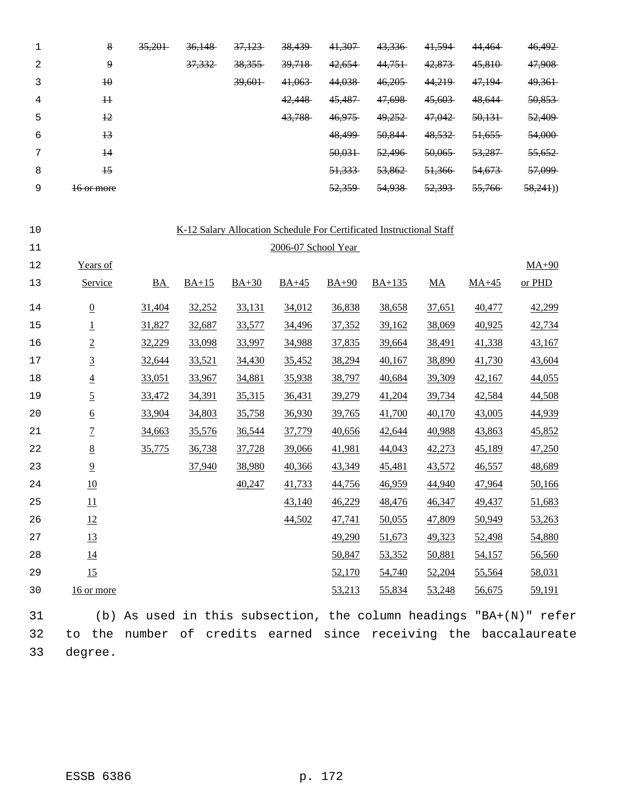|   | 8               | 35,201 | 36,148 | 37,123 | 38,439 | 41,307 | 43,336 | 41,594 | 44,464 | 46,492  |
|---|-----------------|--------|--------|--------|--------|--------|--------|--------|--------|---------|
| 2 | 9               |        | 37,332 | 38,355 | 39,718 | 42,654 | 44,751 | 42,873 | 45,810 | 47,908  |
|   | $\overline{40}$ |        |        | 39,601 | 41,063 | 44,038 | 46,205 | 44,219 | 47,194 | 49,361  |
| 4 | #               |        |        |        | 42,448 | 45,487 | 47,698 | 45,603 | 48,644 | 50,853  |
| 5 | $+2$            |        |        |        | 43,788 | 46,975 | 49,252 | 47,042 | 50,131 | 52,409  |
| 6 | $+3$            |        |        |        |        | 48,499 | 50,844 | 48,532 | 51,655 | 54,000  |
| ⇁ | $\overline{14}$ |        |        |        |        | 50,031 | 52,496 | 50,065 | 53,287 | 55,652  |
| 8 | $\overline{15}$ |        |        |        |        | 51,333 | 53,862 | 51,366 | 54,673 | 57,099  |
| 9 | 16 or more      |        |        |        |        | 52,359 | 54,938 | 52,393 | 55,766 | 58,241) |

| 10 |                 |           |         |         |                     |         | K-12 Salary Allocation Schedule For Certificated Instructional Staff |                  |         |         |
|----|-----------------|-----------|---------|---------|---------------------|---------|----------------------------------------------------------------------|------------------|---------|---------|
| 11 |                 |           |         |         | 2006-07 School Year |         |                                                                      |                  |         |         |
| 12 | Years of        |           |         |         |                     |         |                                                                      |                  |         | $MA+90$ |
| 13 | Service         | <b>BA</b> | $BA+15$ | $BA+30$ | $BA+45$             | $BA+90$ | $BA+135$                                                             | $\underline{MA}$ | $MA+45$ | or PHD  |
| 14 | $\underline{0}$ | 31,404    | 32,252  | 33,131  | 34,012              | 36,838  | 38,658                                                               | 37,651           | 40,477  | 42,299  |
| 15 | $\overline{1}$  | 31,827    | 32,687  | 33,577  | 34,496              | 37,352  | 39,162                                                               | 38,069           | 40,925  | 42,734  |
| 16 | $\overline{2}$  | 32,229    | 33,098  | 33,997  | 34,988              | 37,835  | 39,664                                                               | 38,491           | 41,338  | 43,167  |
| 17 | $\overline{3}$  | 32,644    | 33,521  | 34,430  | 35,452              | 38,294  | 40,167                                                               | 38,890           | 41,730  | 43,604  |
| 18 | $\underline{4}$ | 33,051    | 33,967  | 34,881  | 35,938              | 38,797  | 40,684                                                               | 39,309           | 42,167  | 44,055  |
| 19 | $\overline{5}$  | 33,472    | 34,391  | 35,315  | 36,431              | 39,279  | 41,204                                                               | 39,734           | 42,584  | 44,508  |
| 20 | $\underline{6}$ | 33,904    | 34,803  | 35,758  | 36,930              | 39,765  | 41,700                                                               | 40,170           | 43,005  | 44,939  |
| 21 | $\overline{1}$  | 34,663    | 35,576  | 36,544  | 37,779              | 40,656  | 42,644                                                               | 40,988           | 43,863  | 45,852  |
| 22 | $\underline{8}$ | 35,775    | 36,738  | 37,728  | 39,066              | 41,981  | 44,043                                                               | 42,273           | 45,189  | 47,250  |
| 23 | $\overline{9}$  |           | 37,940  | 38,980  | 40,366              | 43,349  | 45,481                                                               | 43,572           | 46,557  | 48,689  |
| 24 | 10              |           |         | 40,247  | 41,733              | 44,756  | 46,959                                                               | 44,940           | 47,964  | 50,166  |
| 25 | 11              |           |         |         | 43,140              | 46,229  | 48,476                                                               | 46,347           | 49,437  | 51,683  |
| 26 | 12              |           |         |         | 44,502              | 47,741  | 50,055                                                               | 47,809           | 50,949  | 53,263  |
| 27 | 13              |           |         |         |                     | 49,290  | 51,673                                                               | 49,323           | 52,498  | 54,880  |
| 28 | 14              |           |         |         |                     | 50,847  | 53,352                                                               | 50,881           | 54,157  | 56,560  |
| 29 | 15              |           |         |         |                     | 52,170  | 54,740                                                               | 52,204           | 55,564  | 58,031  |
| 30 | 16 or more      |           |         |         |                     | 53,213  | 55,834                                                               | 53,248           | 56,675  | 59,191  |

 (b) As used in this subsection, the column headings "BA+(N)" refer to the number of credits earned since receiving the baccalaureate degree.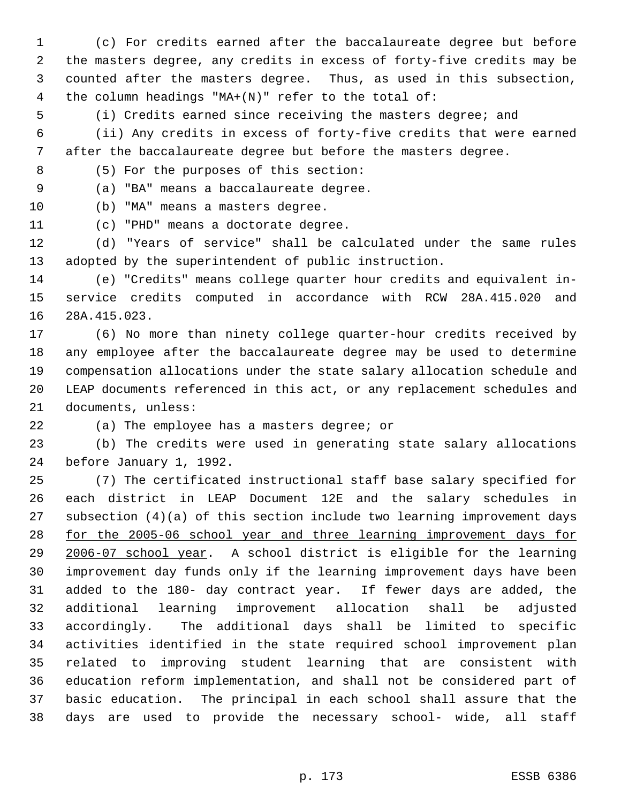(c) For credits earned after the baccalaureate degree but before the masters degree, any credits in excess of forty-five credits may be counted after the masters degree. Thus, as used in this subsection, the column headings "MA+(N)" refer to the total of:

(i) Credits earned since receiving the masters degree; and

 (ii) Any credits in excess of forty-five credits that were earned after the baccalaureate degree but before the masters degree.

(5) For the purposes of this section:

(a) "BA" means a baccalaureate degree.

(b) "MA" means a masters degree.

(c) "PHD" means a doctorate degree.

 (d) "Years of service" shall be calculated under the same rules adopted by the superintendent of public instruction.

 (e) "Credits" means college quarter hour credits and equivalent in- service credits computed in accordance with RCW 28A.415.020 and 28A.415.023.

 (6) No more than ninety college quarter-hour credits received by any employee after the baccalaureate degree may be used to determine compensation allocations under the state salary allocation schedule and LEAP documents referenced in this act, or any replacement schedules and documents, unless:

(a) The employee has a masters degree; or

 (b) The credits were used in generating state salary allocations before January 1, 1992.

 (7) The certificated instructional staff base salary specified for each district in LEAP Document 12E and the salary schedules in subsection (4)(a) of this section include two learning improvement days for the 2005-06 school year and three learning improvement days for 2006-07 school year. A school district is eligible for the learning improvement day funds only if the learning improvement days have been added to the 180- day contract year. If fewer days are added, the additional learning improvement allocation shall be adjusted accordingly. The additional days shall be limited to specific activities identified in the state required school improvement plan related to improving student learning that are consistent with education reform implementation, and shall not be considered part of basic education. The principal in each school shall assure that the days are used to provide the necessary school- wide, all staff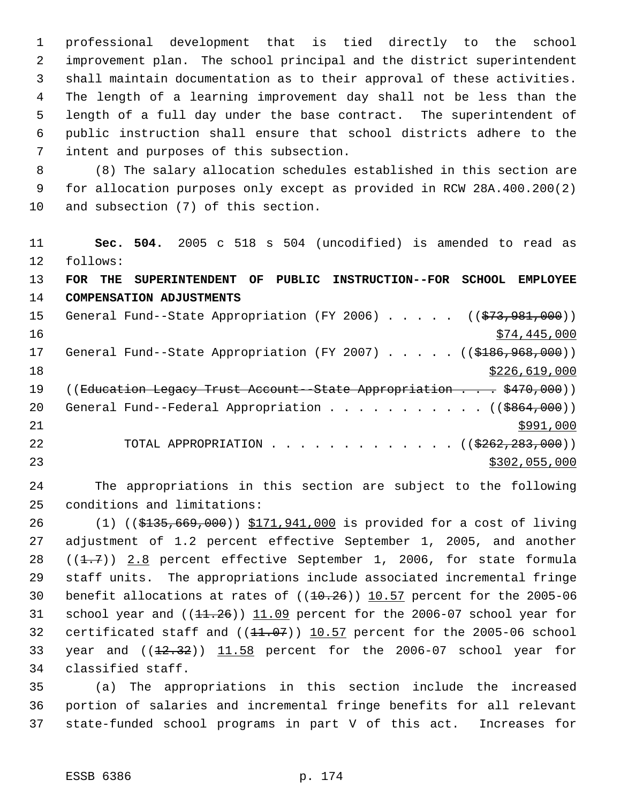professional development that is tied directly to the school improvement plan. The school principal and the district superintendent shall maintain documentation as to their approval of these activities. The length of a learning improvement day shall not be less than the length of a full day under the base contract. The superintendent of public instruction shall ensure that school districts adhere to the intent and purposes of this subsection.

 (8) The salary allocation schedules established in this section are for allocation purposes only except as provided in RCW 28A.400.200(2) and subsection (7) of this section.

 **Sec. 504.** 2005 c 518 s 504 (uncodified) is amended to read as follows: **FOR THE SUPERINTENDENT OF PUBLIC INSTRUCTION--FOR SCHOOL EMPLOYEE COMPENSATION ADJUSTMENTS** 15 General Fund--State Appropriation (FY 2006) . . . . . ((\$73,981,000))  $\frac{16}{16}$   $\frac{16}{16}$   $\frac{16}{16}$   $\frac{16}{16}$   $\frac{16}{16}$   $\frac{16}{16}$   $\frac{16}{16}$   $\frac{16}{16}$   $\frac{16}{16}$   $\frac{16}{16}$   $\frac{16}{16}$   $\frac{16}{16}$   $\frac{16}{16}$   $\frac{16}{16}$   $\frac{16}{16}$   $\frac{16}{16}$   $\frac{16}{16}$   $\frac{16}{16}$   $\frac{1$ 17 General Fund--State Appropriation (FY 2007) . . . . . ((\$186,968,000)) \$226,619,000 19 ((Education Legacy Trust Account - State Appropriation . . . \$470,000)) 20 General Fund--Federal Appropriation . . . . . . . . . . ((\$864,000))  $\frac{$991,000}{ }$ 22 TOTAL APPROPRIATION . . . . . . . . . . . . . ((\$262,283,000)) \$302,055,000

 The appropriations in this section are subject to the following conditions and limitations:

 (1) ((\$135,669,000)) \$171,941,000 is provided for a cost of living adjustment of 1.2 percent effective September 1, 2005, and another  $((1.7))$  2.8 percent effective September 1, 2006, for state formula staff units. The appropriations include associated incremental fringe 30 benefit allocations at rates of  $((10.26))$  10.57 percent for the 2005-06 31 school year and  $((11.26))$   $11.09$  percent for the 2006-07 school year for 32 certificated staff and  $((11.07))$   $10.57$  percent for the 2005-06 school 33 year and  $((12.32))$   $11.58$  percent for the 2006-07 school year for classified staff.

 (a) The appropriations in this section include the increased portion of salaries and incremental fringe benefits for all relevant state-funded school programs in part V of this act. Increases for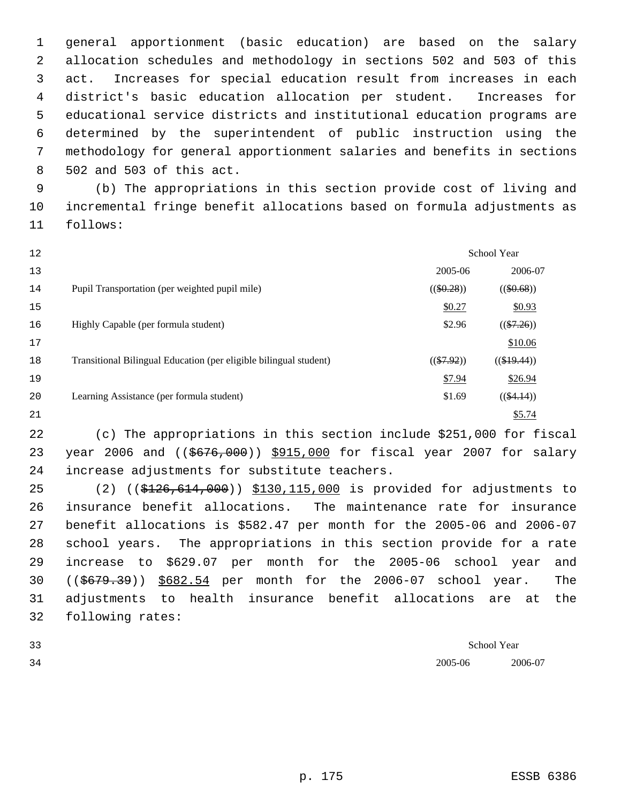general apportionment (basic education) are based on the salary allocation schedules and methodology in sections 502 and 503 of this act. Increases for special education result from increases in each district's basic education allocation per student. Increases for educational service districts and institutional education programs are determined by the superintendent of public instruction using the methodology for general apportionment salaries and benefits in sections 502 and 503 of this act.

 (b) The appropriations in this section provide cost of living and incremental fringe benefit allocations based on formula adjustments as follows:

| 12 |                                                                   |              | <b>School Year</b> |
|----|-------------------------------------------------------------------|--------------|--------------------|
| 13 |                                                                   | 2005-06      | 2006-07            |
| 14 | Pupil Transportation (per weighted pupil mile)                    | $((\$0.28))$ | $((\$0.68))$       |
| 15 |                                                                   | \$0.27       | \$0.93             |
| 16 | Highly Capable (per formula student)                              | \$2.96       | $((\$7.26))$       |
| 17 |                                                                   |              | \$10.06            |
| 18 | Transitional Bilingual Education (per eligible bilingual student) | $((\$7.92))$ | $((\$19.44))$      |
| 19 |                                                                   | \$7.94       | \$26.94            |
| 20 | Learning Assistance (per formula student)                         | \$1.69       | $((\$4.14))$       |
| 21 |                                                                   |              | \$5.74             |

 (c) The appropriations in this section include \$251,000 for fiscal 23 year 2006 and ((\$676,000)) \$915,000 for fiscal year 2007 for salary increase adjustments for substitute teachers.

 (2) ((\$126,614,000)) \$130,115,000 is provided for adjustments to insurance benefit allocations. The maintenance rate for insurance benefit allocations is \$582.47 per month for the 2005-06 and 2006-07 school years. The appropriations in this section provide for a rate increase to \$629.07 per month for the 2005-06 school year and ((\$679.39)) \$682.54 per month for the 2006-07 school year. The adjustments to health insurance benefit allocations are at the following rates:

| 33 |         | School Year<br>. |
|----|---------|------------------|
| 34 | 2005-06 | 2006-07          |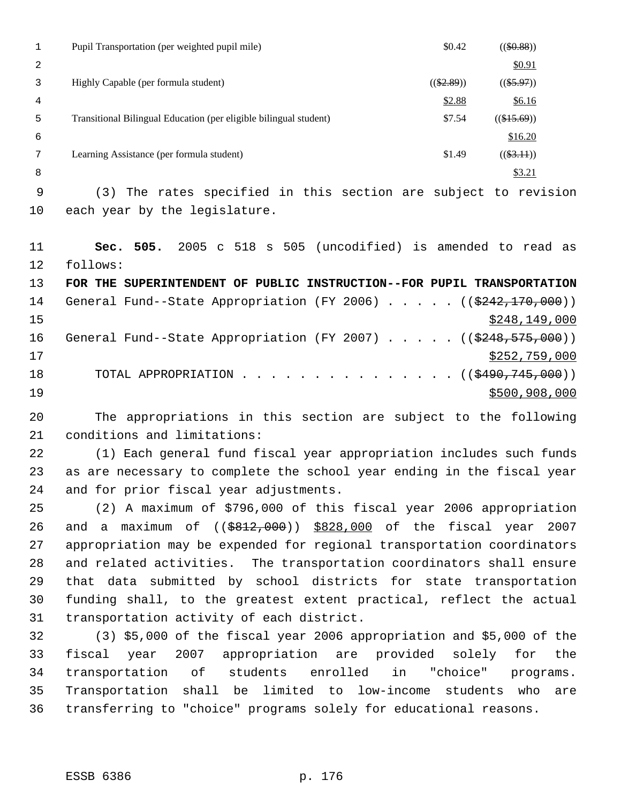|         | Pupil Transportation (per weighted pupil mile)                                                        | \$0.42       | $((\$0.88))$  |
|---------|-------------------------------------------------------------------------------------------------------|--------------|---------------|
| 2       |                                                                                                       |              | \$0.91        |
| 3       | Highly Capable (per formula student)                                                                  | $((\$2.89))$ | $((\$5.97))$  |
| 4       |                                                                                                       | \$2.88       | \$6.16        |
| 5       | Transitional Bilingual Education (per eligible bilingual student)                                     | \$7.54       | $((\$15.69))$ |
| 6       |                                                                                                       |              | \$16.20       |
| 7       | Learning Assistance (per formula student)                                                             | \$1.49       | $((\$3.11))$  |
| 8       |                                                                                                       |              | \$3.21        |
| 9       | The rates specified in this section are subject to revision<br>(3)                                    |              |               |
| $10 \,$ | each year by the legislature.                                                                         |              |               |
|         |                                                                                                       |              |               |
| 11      | (uncodified) is amended to read<br>2005<br>505<br>505.<br>518<br>Sec.<br>$\mathbf{s}$<br>$\mathbf{C}$ |              | as            |

 follows: **FOR THE SUPERINTENDENT OF PUBLIC INSTRUCTION--FOR PUPIL TRANSPORTATION** 14 General Fund--State Appropriation (FY 2006) . . . . . ((\$242,170,000)) \$248,149,000 16 General Fund--State Appropriation (FY 2007) . . . . . ((\$248,575,000))

 $\frac{17}{2}$   $\frac{17}{2}$   $\frac{17}{2}$   $\frac{17}{2}$   $\frac{17}{2}$   $\frac{17}{2}$   $\frac{17}{2}$   $\frac{17}{2}$   $\frac{17}{2}$   $\frac{17}{2}$   $\frac{17}{2}$   $\frac{17}{2}$   $\frac{17}{2}$   $\frac{17}{2}$   $\frac{17}{2}$   $\frac{17}{2}$   $\frac{17}{2}$   $\frac{17}{2}$   $\frac{17}{2}$   $\frac{17}{2}$  18 TOTAL APPROPRIATION . . . . . . . . . . . . . . . ((\$490,745,000)) \$500,908,000

 The appropriations in this section are subject to the following conditions and limitations:

 (1) Each general fund fiscal year appropriation includes such funds as are necessary to complete the school year ending in the fiscal year and for prior fiscal year adjustments.

 (2) A maximum of \$796,000 of this fiscal year 2006 appropriation and a maximum of ((\$812,000)) \$828,000 of the fiscal year 2007 appropriation may be expended for regional transportation coordinators and related activities. The transportation coordinators shall ensure that data submitted by school districts for state transportation funding shall, to the greatest extent practical, reflect the actual transportation activity of each district.

 (3) \$5,000 of the fiscal year 2006 appropriation and \$5,000 of the fiscal year 2007 appropriation are provided solely for the transportation of students enrolled in "choice" programs. Transportation shall be limited to low-income students who are transferring to "choice" programs solely for educational reasons.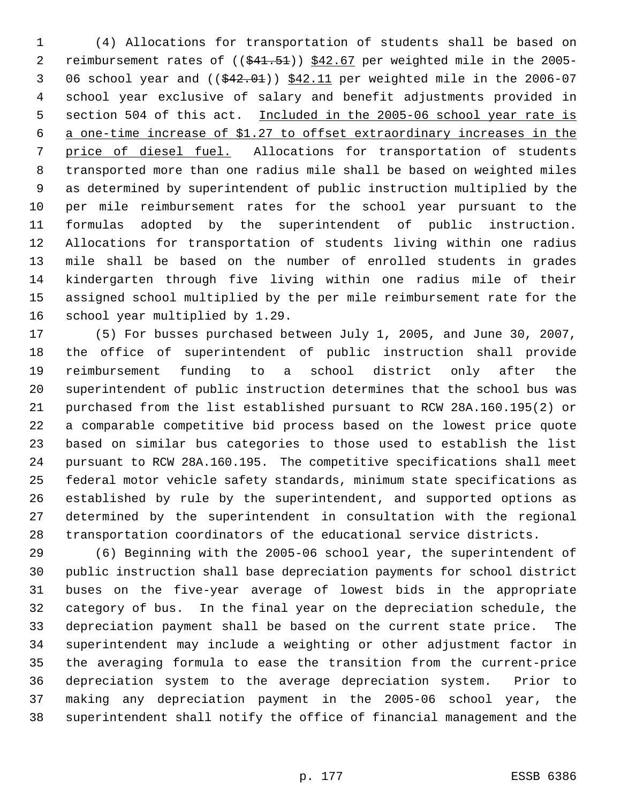(4) Allocations for transportation of students shall be based on 2 reimbursement rates of ((\$41.51)) \$42.67 per weighted mile in the 2005-3 06 school year and  $($   $(*42.01)$   $*42.11$  per weighted mile in the 2006-07 school year exclusive of salary and benefit adjustments provided in 5 section 504 of this act. Included in the 2005-06 school year rate is a one-time increase of \$1.27 to offset extraordinary increases in the price of diesel fuel. Allocations for transportation of students transported more than one radius mile shall be based on weighted miles as determined by superintendent of public instruction multiplied by the per mile reimbursement rates for the school year pursuant to the formulas adopted by the superintendent of public instruction. Allocations for transportation of students living within one radius mile shall be based on the number of enrolled students in grades kindergarten through five living within one radius mile of their assigned school multiplied by the per mile reimbursement rate for the school year multiplied by 1.29.

 (5) For busses purchased between July 1, 2005, and June 30, 2007, the office of superintendent of public instruction shall provide reimbursement funding to a school district only after the superintendent of public instruction determines that the school bus was purchased from the list established pursuant to RCW 28A.160.195(2) or a comparable competitive bid process based on the lowest price quote based on similar bus categories to those used to establish the list pursuant to RCW 28A.160.195. The competitive specifications shall meet federal motor vehicle safety standards, minimum state specifications as established by rule by the superintendent, and supported options as determined by the superintendent in consultation with the regional transportation coordinators of the educational service districts.

 (6) Beginning with the 2005-06 school year, the superintendent of public instruction shall base depreciation payments for school district buses on the five-year average of lowest bids in the appropriate category of bus. In the final year on the depreciation schedule, the depreciation payment shall be based on the current state price. The superintendent may include a weighting or other adjustment factor in the averaging formula to ease the transition from the current-price depreciation system to the average depreciation system. Prior to making any depreciation payment in the 2005-06 school year, the superintendent shall notify the office of financial management and the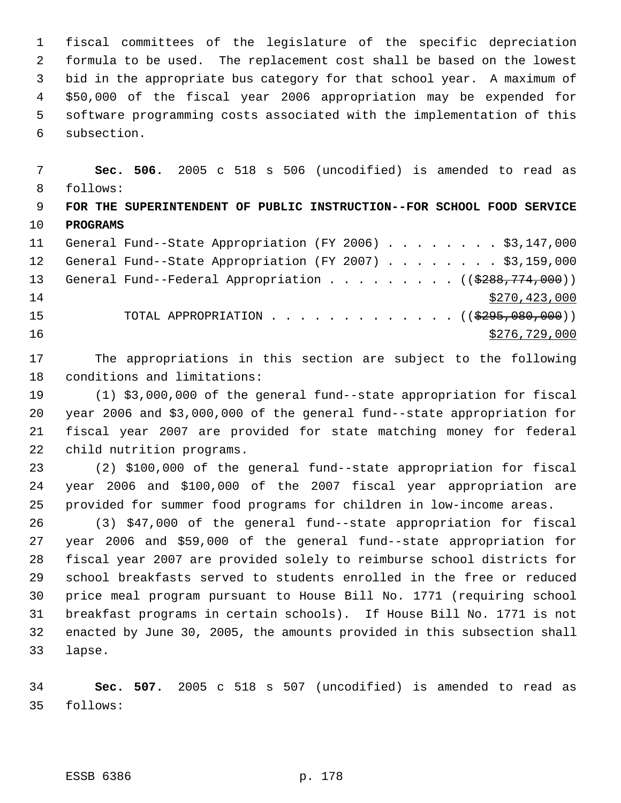fiscal committees of the legislature of the specific depreciation formula to be used. The replacement cost shall be based on the lowest bid in the appropriate bus category for that school year. A maximum of \$50,000 of the fiscal year 2006 appropriation may be expended for software programming costs associated with the implementation of this subsection.

 **Sec. 506.** 2005 c 518 s 506 (uncodified) is amended to read as follows: **FOR THE SUPERINTENDENT OF PUBLIC INSTRUCTION--FOR SCHOOL FOOD SERVICE PROGRAMS** General Fund--State Appropriation (FY 2006) . . . . . . . . \$3,147,000 General Fund--State Appropriation (FY 2007) . . . . . . . . \$3,159,000 13 General Fund--Federal Appropriation . . . . . . . . . ((\$288,774,000))  $$270,423,000$ 15 TOTAL APPROPRIATION . . . . . . . . . . . . . ((\$295,080,000))  $\frac{$276,729,000}{200}$ 

 The appropriations in this section are subject to the following conditions and limitations:

 (1) \$3,000,000 of the general fund--state appropriation for fiscal year 2006 and \$3,000,000 of the general fund--state appropriation for fiscal year 2007 are provided for state matching money for federal child nutrition programs.

 (2) \$100,000 of the general fund--state appropriation for fiscal year 2006 and \$100,000 of the 2007 fiscal year appropriation are provided for summer food programs for children in low-income areas.

 (3) \$47,000 of the general fund--state appropriation for fiscal year 2006 and \$59,000 of the general fund--state appropriation for fiscal year 2007 are provided solely to reimburse school districts for school breakfasts served to students enrolled in the free or reduced price meal program pursuant to House Bill No. 1771 (requiring school breakfast programs in certain schools). If House Bill No. 1771 is not enacted by June 30, 2005, the amounts provided in this subsection shall lapse.

 **Sec. 507.** 2005 c 518 s 507 (uncodified) is amended to read as follows: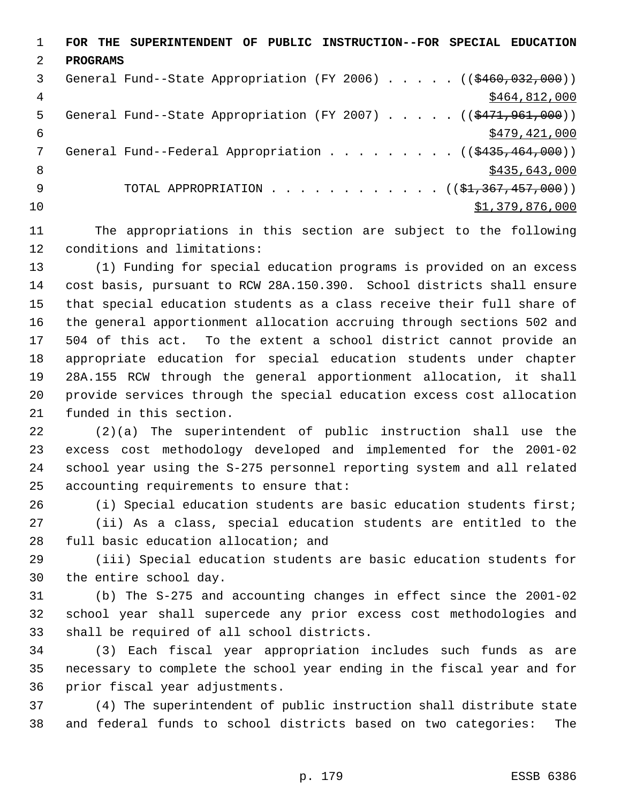**FOR THE SUPERINTENDENT OF PUBLIC INSTRUCTION--FOR SPECIAL EDUCATION PROGRAMS** 3 General Fund--State Appropriation (FY 2006) . . . . . ((\$460,032,000)) 4 \$464,812,000 5 General Fund--State Appropriation (FY 2007) . . . . . ((\$471,961,000))  $\frac{$479,421,000}{5}$ 7 General Fund--Federal Appropriation . . . . . . . . ((\$435,464,000)) 8 \$435,643,000 \$435,643,000 \$435,643,000 \$435,643,000 \$435,643,000 \$435,643,000 \$ 9 TOTAL APPROPRIATION . . . . . . . . . . . ((\$<del>1,367,457,000</del>))  $31,379,876,000$ 

 The appropriations in this section are subject to the following conditions and limitations:

 (1) Funding for special education programs is provided on an excess cost basis, pursuant to RCW 28A.150.390. School districts shall ensure that special education students as a class receive their full share of the general apportionment allocation accruing through sections 502 and 504 of this act. To the extent a school district cannot provide an appropriate education for special education students under chapter 28A.155 RCW through the general apportionment allocation, it shall provide services through the special education excess cost allocation funded in this section.

 (2)(a) The superintendent of public instruction shall use the excess cost methodology developed and implemented for the 2001-02 school year using the S-275 personnel reporting system and all related accounting requirements to ensure that:

 (i) Special education students are basic education students first; (ii) As a class, special education students are entitled to the full basic education allocation; and

 (iii) Special education students are basic education students for the entire school day.

 (b) The S-275 and accounting changes in effect since the 2001-02 school year shall supercede any prior excess cost methodologies and shall be required of all school districts.

 (3) Each fiscal year appropriation includes such funds as are necessary to complete the school year ending in the fiscal year and for prior fiscal year adjustments.

 (4) The superintendent of public instruction shall distribute state and federal funds to school districts based on two categories: The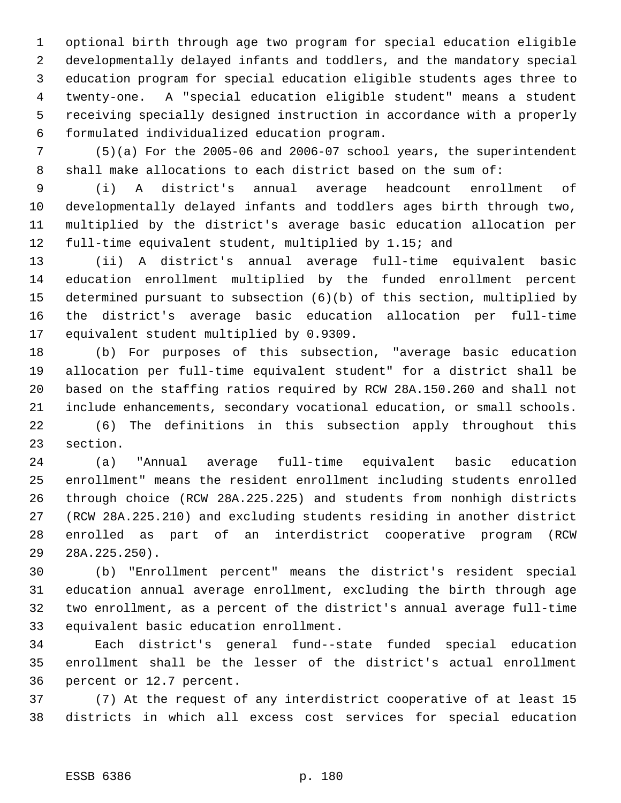optional birth through age two program for special education eligible developmentally delayed infants and toddlers, and the mandatory special education program for special education eligible students ages three to twenty-one. A "special education eligible student" means a student receiving specially designed instruction in accordance with a properly formulated individualized education program.

 (5)(a) For the 2005-06 and 2006-07 school years, the superintendent shall make allocations to each district based on the sum of:

 (i) A district's annual average headcount enrollment of developmentally delayed infants and toddlers ages birth through two, multiplied by the district's average basic education allocation per full-time equivalent student, multiplied by 1.15; and

 (ii) A district's annual average full-time equivalent basic education enrollment multiplied by the funded enrollment percent determined pursuant to subsection (6)(b) of this section, multiplied by the district's average basic education allocation per full-time equivalent student multiplied by 0.9309.

 (b) For purposes of this subsection, "average basic education allocation per full-time equivalent student" for a district shall be based on the staffing ratios required by RCW 28A.150.260 and shall not include enhancements, secondary vocational education, or small schools.

 (6) The definitions in this subsection apply throughout this section.

 (a) "Annual average full-time equivalent basic education enrollment" means the resident enrollment including students enrolled through choice (RCW 28A.225.225) and students from nonhigh districts (RCW 28A.225.210) and excluding students residing in another district enrolled as part of an interdistrict cooperative program (RCW 28A.225.250).

 (b) "Enrollment percent" means the district's resident special education annual average enrollment, excluding the birth through age two enrollment, as a percent of the district's annual average full-time equivalent basic education enrollment.

 Each district's general fund--state funded special education enrollment shall be the lesser of the district's actual enrollment percent or 12.7 percent.

 (7) At the request of any interdistrict cooperative of at least 15 districts in which all excess cost services for special education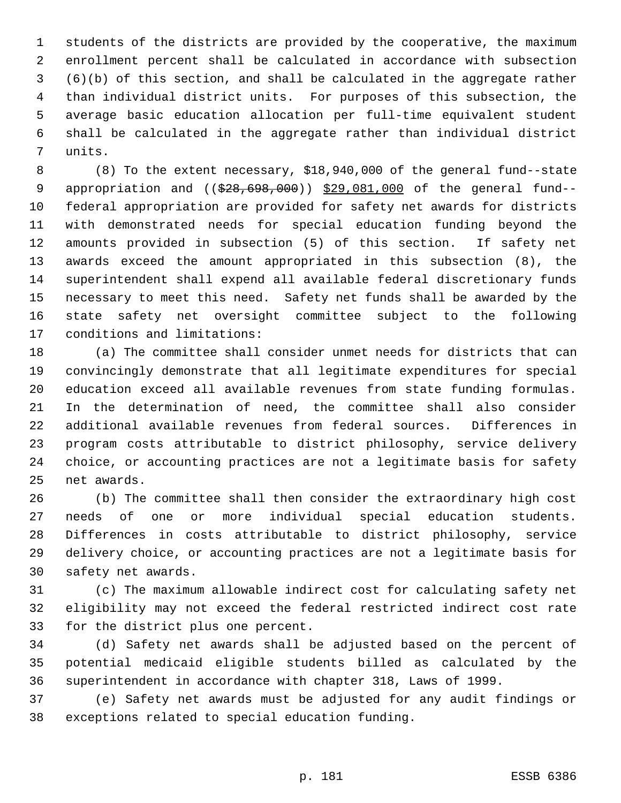students of the districts are provided by the cooperative, the maximum enrollment percent shall be calculated in accordance with subsection (6)(b) of this section, and shall be calculated in the aggregate rather than individual district units. For purposes of this subsection, the average basic education allocation per full-time equivalent student shall be calculated in the aggregate rather than individual district units.

 (8) To the extent necessary, \$18,940,000 of the general fund--state 9 appropriation and ((\$28,698,000)) \$29,081,000 of the general fund-- federal appropriation are provided for safety net awards for districts with demonstrated needs for special education funding beyond the amounts provided in subsection (5) of this section. If safety net awards exceed the amount appropriated in this subsection (8), the superintendent shall expend all available federal discretionary funds necessary to meet this need. Safety net funds shall be awarded by the state safety net oversight committee subject to the following conditions and limitations:

 (a) The committee shall consider unmet needs for districts that can convincingly demonstrate that all legitimate expenditures for special education exceed all available revenues from state funding formulas. In the determination of need, the committee shall also consider additional available revenues from federal sources. Differences in program costs attributable to district philosophy, service delivery choice, or accounting practices are not a legitimate basis for safety net awards.

 (b) The committee shall then consider the extraordinary high cost needs of one or more individual special education students. Differences in costs attributable to district philosophy, service delivery choice, or accounting practices are not a legitimate basis for safety net awards.

 (c) The maximum allowable indirect cost for calculating safety net eligibility may not exceed the federal restricted indirect cost rate for the district plus one percent.

 (d) Safety net awards shall be adjusted based on the percent of potential medicaid eligible students billed as calculated by the superintendent in accordance with chapter 318, Laws of 1999.

 (e) Safety net awards must be adjusted for any audit findings or exceptions related to special education funding.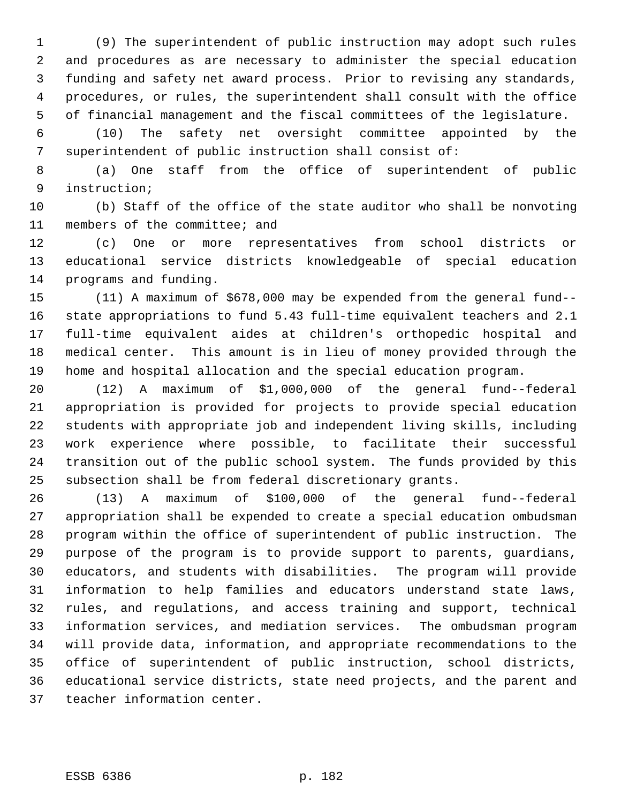(9) The superintendent of public instruction may adopt such rules and procedures as are necessary to administer the special education funding and safety net award process. Prior to revising any standards, procedures, or rules, the superintendent shall consult with the office of financial management and the fiscal committees of the legislature.

 (10) The safety net oversight committee appointed by the superintendent of public instruction shall consist of:

 (a) One staff from the office of superintendent of public instruction;

 (b) Staff of the office of the state auditor who shall be nonvoting members of the committee; and

 (c) One or more representatives from school districts or educational service districts knowledgeable of special education programs and funding.

 (11) A maximum of \$678,000 may be expended from the general fund-- state appropriations to fund 5.43 full-time equivalent teachers and 2.1 full-time equivalent aides at children's orthopedic hospital and medical center. This amount is in lieu of money provided through the home and hospital allocation and the special education program.

 (12) A maximum of \$1,000,000 of the general fund--federal appropriation is provided for projects to provide special education students with appropriate job and independent living skills, including work experience where possible, to facilitate their successful transition out of the public school system. The funds provided by this subsection shall be from federal discretionary grants.

 (13) A maximum of \$100,000 of the general fund--federal appropriation shall be expended to create a special education ombudsman program within the office of superintendent of public instruction. The purpose of the program is to provide support to parents, guardians, educators, and students with disabilities. The program will provide information to help families and educators understand state laws, rules, and regulations, and access training and support, technical information services, and mediation services. The ombudsman program will provide data, information, and appropriate recommendations to the office of superintendent of public instruction, school districts, educational service districts, state need projects, and the parent and teacher information center.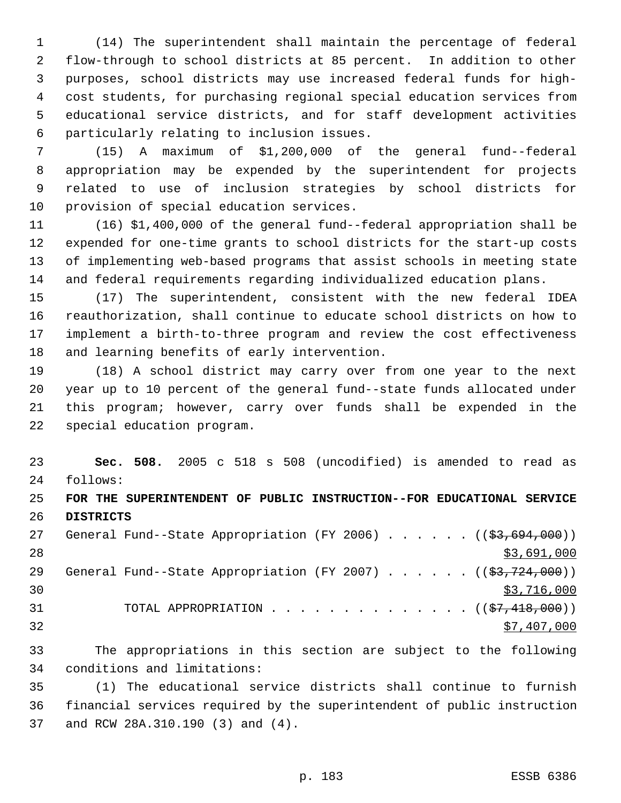(14) The superintendent shall maintain the percentage of federal flow-through to school districts at 85 percent. In addition to other purposes, school districts may use increased federal funds for high- cost students, for purchasing regional special education services from educational service districts, and for staff development activities particularly relating to inclusion issues.

 (15) A maximum of \$1,200,000 of the general fund--federal appropriation may be expended by the superintendent for projects related to use of inclusion strategies by school districts for provision of special education services.

 (16) \$1,400,000 of the general fund--federal appropriation shall be expended for one-time grants to school districts for the start-up costs of implementing web-based programs that assist schools in meeting state and federal requirements regarding individualized education plans.

 (17) The superintendent, consistent with the new federal IDEA reauthorization, shall continue to educate school districts on how to implement a birth-to-three program and review the cost effectiveness and learning benefits of early intervention.

 (18) A school district may carry over from one year to the next year up to 10 percent of the general fund--state funds allocated under this program; however, carry over funds shall be expended in the special education program.

 **Sec. 508.** 2005 c 518 s 508 (uncodified) is amended to read as follows:

# **FOR THE SUPERINTENDENT OF PUBLIC INSTRUCTION--FOR EDUCATIONAL SERVICE DISTRICTS**

27 General Fund--State Appropriation (FY 2006) . . . . . . ((\$3,694,000)) \$3,691,000 29 General Fund--State Appropriation (FY 2007) . . . . . . ((\$3,724,000))  $30 \times 3716,000$ 31 TOTAL APPROPRIATION . . . . . . . . . . . . . ((<del>\$7,418,000</del>)) \$7,407,000

 The appropriations in this section are subject to the following conditions and limitations:

 (1) The educational service districts shall continue to furnish financial services required by the superintendent of public instruction and RCW 28A.310.190 (3) and (4).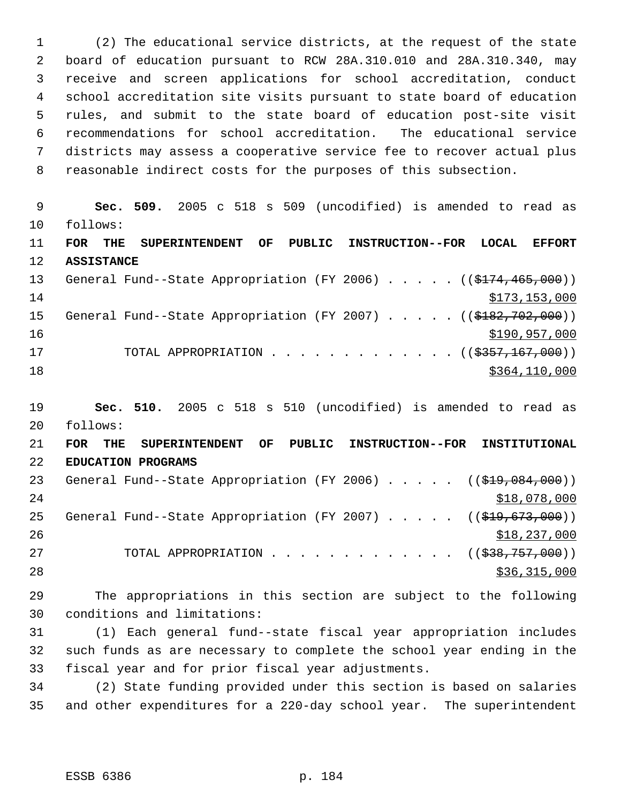(2) The educational service districts, at the request of the state board of education pursuant to RCW 28A.310.010 and 28A.310.340, may receive and screen applications for school accreditation, conduct school accreditation site visits pursuant to state board of education rules, and submit to the state board of education post-site visit recommendations for school accreditation. The educational service districts may assess a cooperative service fee to recover actual plus reasonable indirect costs for the purposes of this subsection.

 **Sec. 509.** 2005 c 518 s 509 (uncodified) is amended to read as follows: **FOR THE SUPERINTENDENT OF PUBLIC INSTRUCTION--FOR LOCAL EFFORT ASSISTANCE** 13 General Fund--State Appropriation (FY 2006) . . . . . ((\$174,465,000))  $$173,153,000$ 15 General Fund--State Appropriation (FY 2007) . . . . . ((\$182,702,000)) \$190,957,000 17 TOTAL APPROPRIATION . . . . . . . . . . . . ((\$<del>357,167,000</del>)) \$364,110,000

 **Sec. 510.** 2005 c 518 s 510 (uncodified) is amended to read as follows:

 **FOR THE SUPERINTENDENT OF PUBLIC INSTRUCTION--FOR INSTITUTIONAL EDUCATION PROGRAMS** 23 General Fund--State Appropriation (FY 2006) . . . . . ((\$19,084,000))  $518,078,000$ 25 General Fund--State Appropriation (FY 2007) . . . . . ((\$19,673,000))  $$18,237,000$ 27 TOTAL APPROPRIATION . . . . . . . . . . . . ((<del>\$38,757,000</del>)) 28 \$36,315,000

 The appropriations in this section are subject to the following conditions and limitations:

 (1) Each general fund--state fiscal year appropriation includes such funds as are necessary to complete the school year ending in the fiscal year and for prior fiscal year adjustments.

 (2) State funding provided under this section is based on salaries and other expenditures for a 220-day school year. The superintendent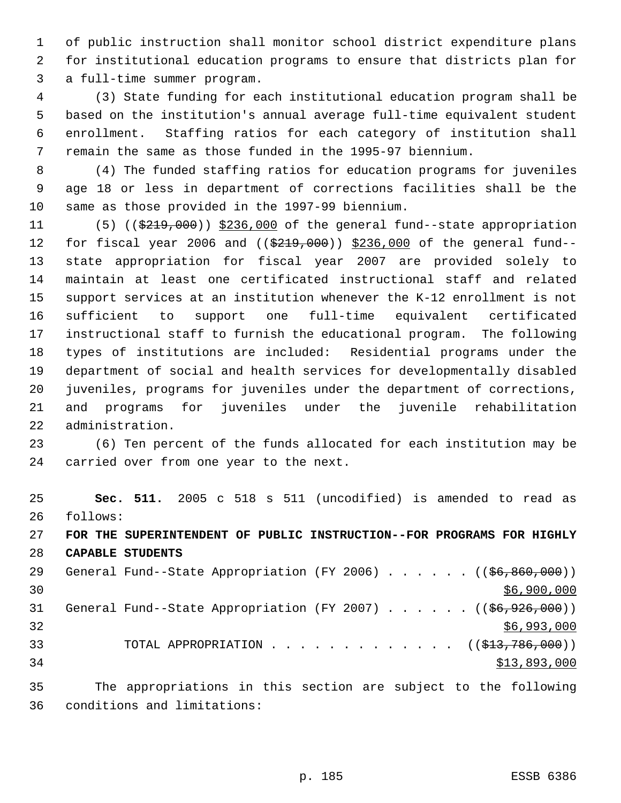of public instruction shall monitor school district expenditure plans for institutional education programs to ensure that districts plan for a full-time summer program.

 (3) State funding for each institutional education program shall be based on the institution's annual average full-time equivalent student enrollment. Staffing ratios for each category of institution shall remain the same as those funded in the 1995-97 biennium.

 (4) The funded staffing ratios for education programs for juveniles age 18 or less in department of corrections facilities shall be the same as those provided in the 1997-99 biennium.

11 (5) ((\$219,000)) \$236,000 of the general fund--state appropriation 12 for fiscal year 2006 and ((\$219,000)) \$236,000 of the general fund-- state appropriation for fiscal year 2007 are provided solely to maintain at least one certificated instructional staff and related support services at an institution whenever the K-12 enrollment is not sufficient to support one full-time equivalent certificated instructional staff to furnish the educational program. The following types of institutions are included: Residential programs under the department of social and health services for developmentally disabled juveniles, programs for juveniles under the department of corrections, and programs for juveniles under the juvenile rehabilitation administration.

 (6) Ten percent of the funds allocated for each institution may be carried over from one year to the next.

 **Sec. 511.** 2005 c 518 s 511 (uncodified) is amended to read as follows: **FOR THE SUPERINTENDENT OF PUBLIC INSTRUCTION--FOR PROGRAMS FOR HIGHLY CAPABLE STUDENTS** 29 General Fund--State Appropriation (FY 2006) . . . . . . ((\$6,860,000)) \$6,900,000 31 General Fund--State Appropriation (FY 2007) . . . . . . ((\$6,926,000))

 \$6,993,000 33 TOTAL APPROPRIATION . . . . . . . . . . . . ((<del>\$13,786,000</del>)) \$13,893,000

 The appropriations in this section are subject to the following conditions and limitations: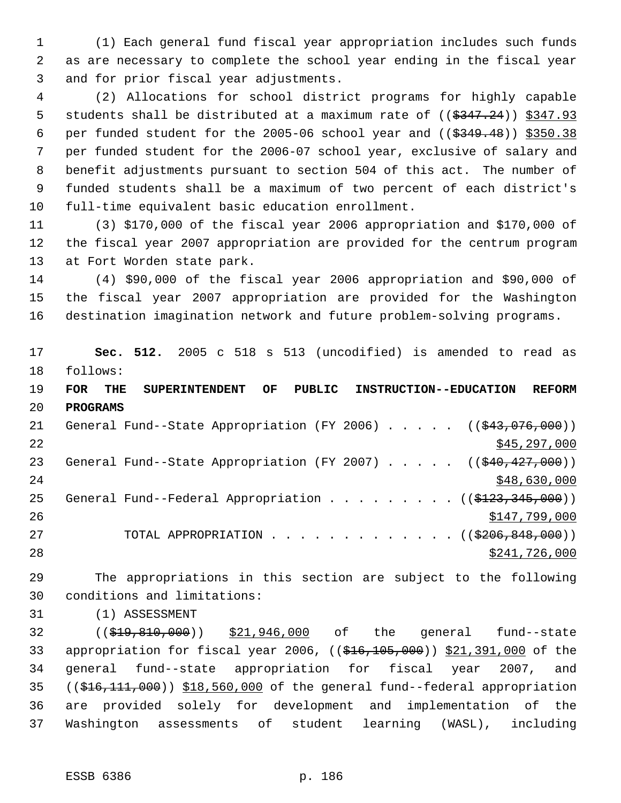(1) Each general fund fiscal year appropriation includes such funds as are necessary to complete the school year ending in the fiscal year and for prior fiscal year adjustments.

 (2) Allocations for school district programs for highly capable 5 students shall be distributed at a maximum rate of  $((\frac{2347.24}{})$   $\frac{2347.93}{})$ 6 per funded student for the 2005-06 school year and  $($   $(*349.48)$   $)*350.38$  per funded student for the 2006-07 school year, exclusive of salary and benefit adjustments pursuant to section 504 of this act. The number of funded students shall be a maximum of two percent of each district's full-time equivalent basic education enrollment.

 (3) \$170,000 of the fiscal year 2006 appropriation and \$170,000 of the fiscal year 2007 appropriation are provided for the centrum program at Fort Worden state park.

 (4) \$90,000 of the fiscal year 2006 appropriation and \$90,000 of the fiscal year 2007 appropriation are provided for the Washington destination imagination network and future problem-solving programs.

 **Sec. 512.** 2005 c 518 s 513 (uncodified) is amended to read as follows:

 **FOR THE SUPERINTENDENT OF PUBLIC INSTRUCTION--EDUCATION REFORM PROGRAMS**

21 General Fund--State Appropriation (FY 2006) . . . . . ((\$43,076,000))  $\frac{$45,297,000}{2}$ 23 General Fund--State Appropriation (FY 2007) . . . . . ((\$40,427,000)) 24 \$48,630,000 \$48,630,000 \$48,630,000 \$48,630,000 \$48,630,000 \$48,630,000 \$48,630,000 \$48,630,000 \$1 25 General Fund--Federal Appropriation . . . . . . . .  $($   $($ \$123,345,000))  $$147,799,000$ 27 TOTAL APPROPRIATION . . . . . . . . . . . . ((\$206,848,000)) \$241,726,000

 The appropriations in this section are subject to the following conditions and limitations:

(1) ASSESSMENT

32 ((\$19,810,000)) \$21,946,000 of the general fund--state 33 appropriation for fiscal year 2006, ((\$16,105,000)) \$21,391,000 of the general fund--state appropriation for fiscal year 2007, and ((\$16,111,000)) \$18,560,000 of the general fund--federal appropriation are provided solely for development and implementation of the Washington assessments of student learning (WASL), including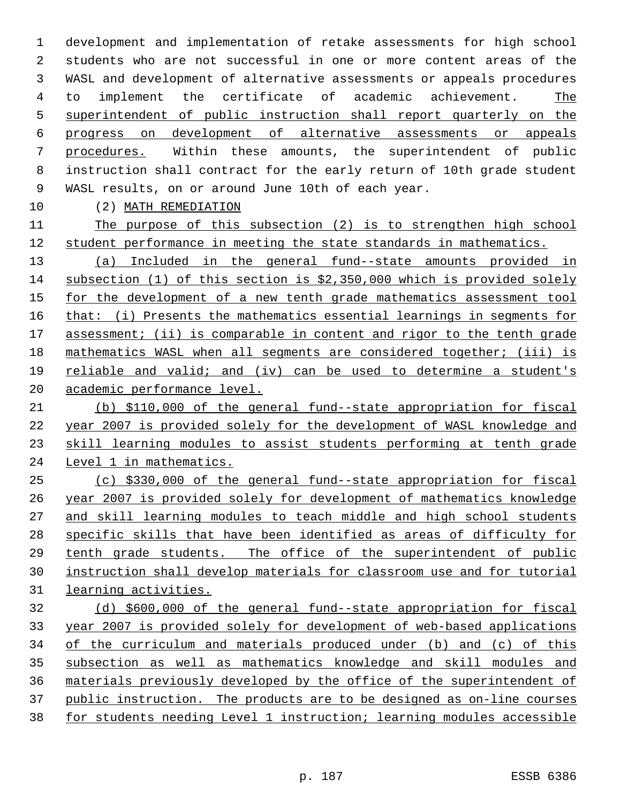development and implementation of retake assessments for high school students who are not successful in one or more content areas of the WASL and development of alternative assessments or appeals procedures to implement the certificate of academic achievement. The superintendent of public instruction shall report quarterly on the progress on development of alternative assessments or appeals procedures. Within these amounts, the superintendent of public instruction shall contract for the early return of 10th grade student WASL results, on or around June 10th of each year.

(2) MATH REMEDIATION

 The purpose of this subsection (2) is to strengthen high school student performance in meeting the state standards in mathematics.

 (a) Included in the general fund--state amounts provided in subsection (1) of this section is \$2,350,000 which is provided solely for the development of a new tenth grade mathematics assessment tool that: (i) Presents the mathematics essential learnings in segments for 17 assessment; (ii) is comparable in content and rigor to the tenth grade mathematics WASL when all segments are considered together; (iii) is reliable and valid; and (iv) can be used to determine a student's academic performance level.

 (b) \$110,000 of the general fund--state appropriation for fiscal year 2007 is provided solely for the development of WASL knowledge and skill learning modules to assist students performing at tenth grade 24 Level 1 in mathematics.

 (c) \$330,000 of the general fund--state appropriation for fiscal year 2007 is provided solely for development of mathematics knowledge and skill learning modules to teach middle and high school students specific skills that have been identified as areas of difficulty for tenth grade students. The office of the superintendent of public instruction shall develop materials for classroom use and for tutorial learning activities.

 (d) \$600,000 of the general fund--state appropriation for fiscal year 2007 is provided solely for development of web-based applications of the curriculum and materials produced under (b) and (c) of this subsection as well as mathematics knowledge and skill modules and materials previously developed by the office of the superintendent of public instruction. The products are to be designed as on-line courses for students needing Level 1 instruction; learning modules accessible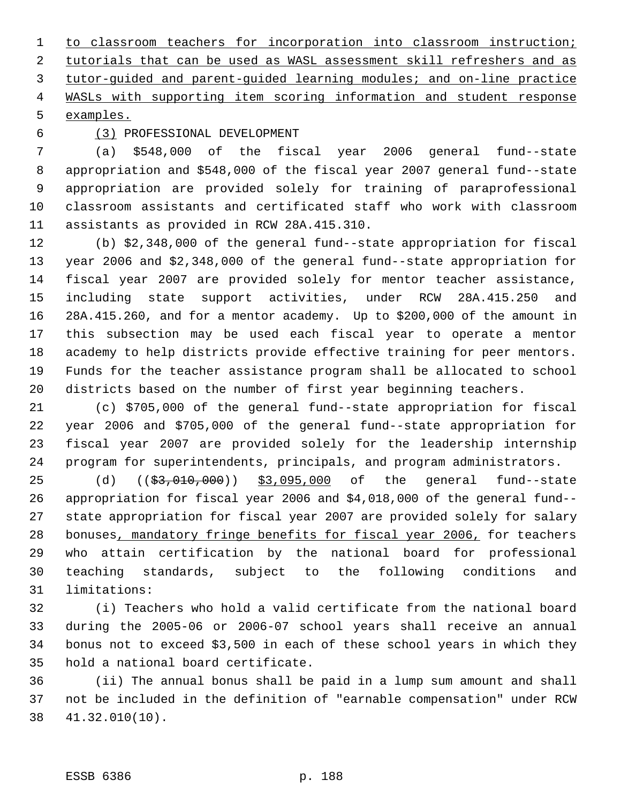to classroom teachers for incorporation into classroom instruction; 2 tutorials that can be used as WASL assessment skill refreshers and as tutor-guided and parent-guided learning modules; and on-line practice WASLs with supporting item scoring information and student response examples.

### (3) PROFESSIONAL DEVELOPMENT

 (a) \$548,000 of the fiscal year 2006 general fund--state appropriation and \$548,000 of the fiscal year 2007 general fund--state appropriation are provided solely for training of paraprofessional classroom assistants and certificated staff who work with classroom assistants as provided in RCW 28A.415.310.

 (b) \$2,348,000 of the general fund--state appropriation for fiscal year 2006 and \$2,348,000 of the general fund--state appropriation for fiscal year 2007 are provided solely for mentor teacher assistance, including state support activities, under RCW 28A.415.250 and 28A.415.260, and for a mentor academy. Up to \$200,000 of the amount in this subsection may be used each fiscal year to operate a mentor academy to help districts provide effective training for peer mentors. Funds for the teacher assistance program shall be allocated to school districts based on the number of first year beginning teachers.

 (c) \$705,000 of the general fund--state appropriation for fiscal year 2006 and \$705,000 of the general fund--state appropriation for fiscal year 2007 are provided solely for the leadership internship program for superintendents, principals, and program administrators.

25 (d) ((<del>\$3,010,000</del>)) \$3,095,000 of the general fund--state appropriation for fiscal year 2006 and \$4,018,000 of the general fund-- state appropriation for fiscal year 2007 are provided solely for salary bonuses, mandatory fringe benefits for fiscal year 2006, for teachers who attain certification by the national board for professional teaching standards, subject to the following conditions and limitations:

 (i) Teachers who hold a valid certificate from the national board during the 2005-06 or 2006-07 school years shall receive an annual bonus not to exceed \$3,500 in each of these school years in which they hold a national board certificate.

 (ii) The annual bonus shall be paid in a lump sum amount and shall not be included in the definition of "earnable compensation" under RCW 41.32.010(10).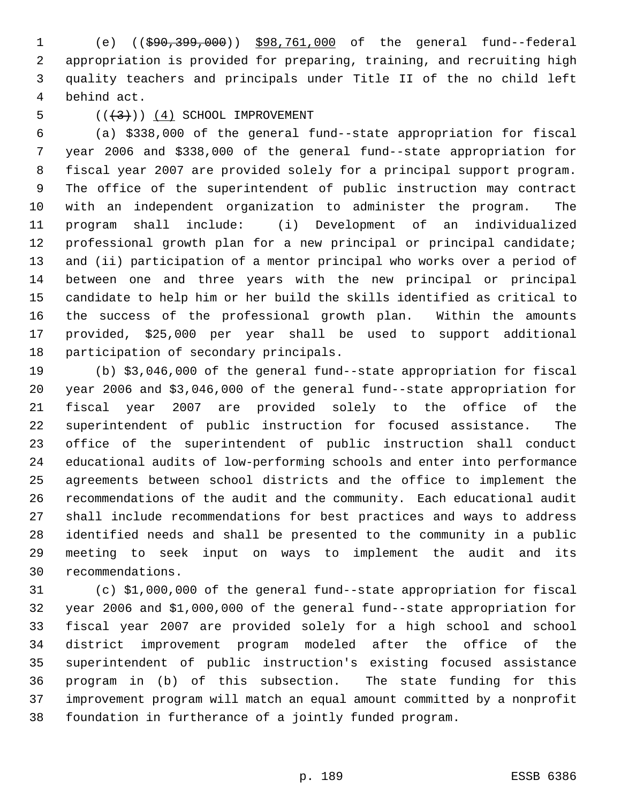(e) ((\$90,399,000)) \$98,761,000 of the general fund--federal appropriation is provided for preparing, training, and recruiting high quality teachers and principals under Title II of the no child left behind act.

#### 5  $((+3))$   $(4)$  SCHOOL IMPROVEMENT

 (a) \$338,000 of the general fund--state appropriation for fiscal year 2006 and \$338,000 of the general fund--state appropriation for fiscal year 2007 are provided solely for a principal support program. The office of the superintendent of public instruction may contract with an independent organization to administer the program. The program shall include: (i) Development of an individualized professional growth plan for a new principal or principal candidate; and (ii) participation of a mentor principal who works over a period of between one and three years with the new principal or principal candidate to help him or her build the skills identified as critical to the success of the professional growth plan. Within the amounts provided, \$25,000 per year shall be used to support additional participation of secondary principals.

 (b) \$3,046,000 of the general fund--state appropriation for fiscal year 2006 and \$3,046,000 of the general fund--state appropriation for fiscal year 2007 are provided solely to the office of the superintendent of public instruction for focused assistance. The office of the superintendent of public instruction shall conduct educational audits of low-performing schools and enter into performance agreements between school districts and the office to implement the recommendations of the audit and the community. Each educational audit shall include recommendations for best practices and ways to address identified needs and shall be presented to the community in a public meeting to seek input on ways to implement the audit and its recommendations.

 (c) \$1,000,000 of the general fund--state appropriation for fiscal year 2006 and \$1,000,000 of the general fund--state appropriation for fiscal year 2007 are provided solely for a high school and school district improvement program modeled after the office of the superintendent of public instruction's existing focused assistance program in (b) of this subsection. The state funding for this improvement program will match an equal amount committed by a nonprofit foundation in furtherance of a jointly funded program.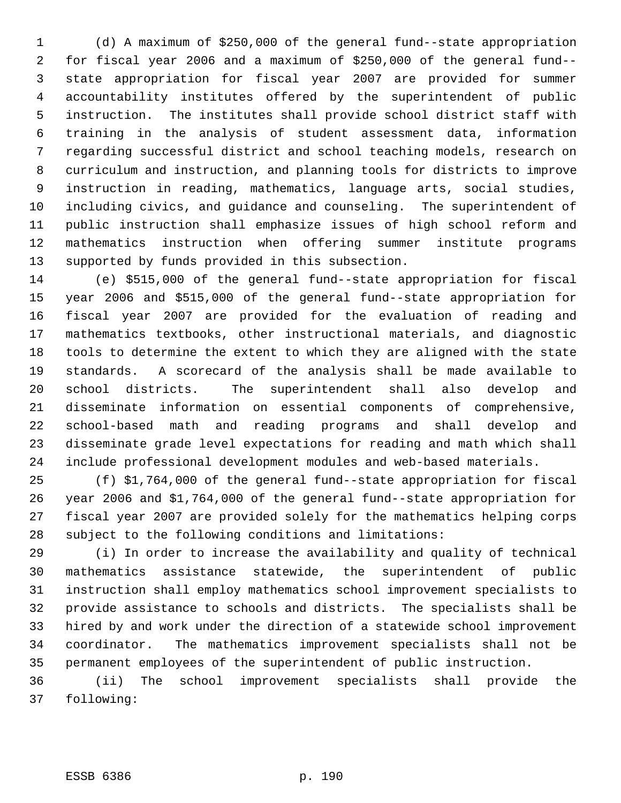(d) A maximum of \$250,000 of the general fund--state appropriation for fiscal year 2006 and a maximum of \$250,000 of the general fund-- state appropriation for fiscal year 2007 are provided for summer accountability institutes offered by the superintendent of public instruction. The institutes shall provide school district staff with training in the analysis of student assessment data, information regarding successful district and school teaching models, research on curriculum and instruction, and planning tools for districts to improve instruction in reading, mathematics, language arts, social studies, including civics, and guidance and counseling. The superintendent of public instruction shall emphasize issues of high school reform and mathematics instruction when offering summer institute programs supported by funds provided in this subsection.

 (e) \$515,000 of the general fund--state appropriation for fiscal year 2006 and \$515,000 of the general fund--state appropriation for fiscal year 2007 are provided for the evaluation of reading and mathematics textbooks, other instructional materials, and diagnostic tools to determine the extent to which they are aligned with the state standards. A scorecard of the analysis shall be made available to school districts. The superintendent shall also develop and disseminate information on essential components of comprehensive, school-based math and reading programs and shall develop and disseminate grade level expectations for reading and math which shall include professional development modules and web-based materials.

 (f) \$1,764,000 of the general fund--state appropriation for fiscal year 2006 and \$1,764,000 of the general fund--state appropriation for fiscal year 2007 are provided solely for the mathematics helping corps subject to the following conditions and limitations:

 (i) In order to increase the availability and quality of technical mathematics assistance statewide, the superintendent of public instruction shall employ mathematics school improvement specialists to provide assistance to schools and districts. The specialists shall be hired by and work under the direction of a statewide school improvement coordinator. The mathematics improvement specialists shall not be permanent employees of the superintendent of public instruction.

 (ii) The school improvement specialists shall provide the following: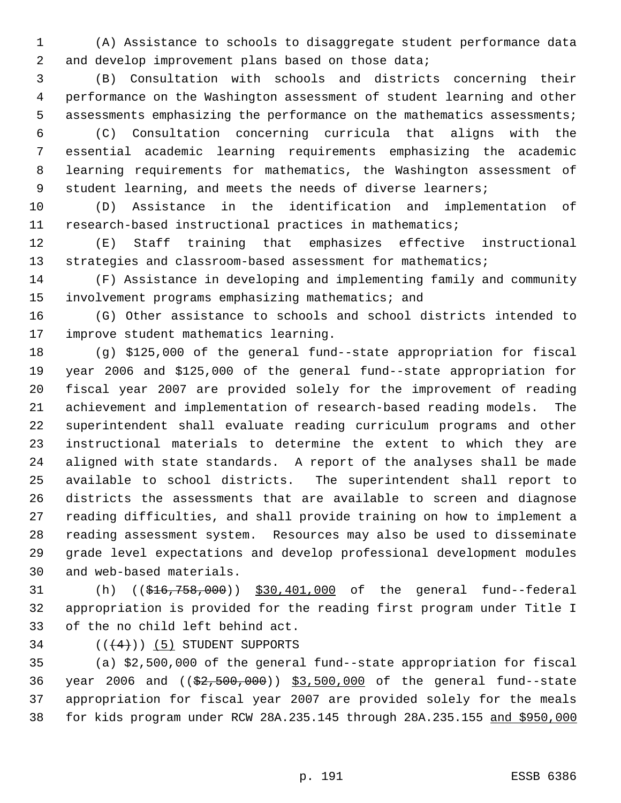(A) Assistance to schools to disaggregate student performance data 2 and develop improvement plans based on those data;

 (B) Consultation with schools and districts concerning their performance on the Washington assessment of student learning and other assessments emphasizing the performance on the mathematics assessments;

 (C) Consultation concerning curricula that aligns with the essential academic learning requirements emphasizing the academic learning requirements for mathematics, the Washington assessment of 9 student learning, and meets the needs of diverse learners;

 (D) Assistance in the identification and implementation of research-based instructional practices in mathematics;

 (E) Staff training that emphasizes effective instructional 13 strategies and classroom-based assessment for mathematics;

 (F) Assistance in developing and implementing family and community involvement programs emphasizing mathematics; and

 (G) Other assistance to schools and school districts intended to improve student mathematics learning.

 (g) \$125,000 of the general fund--state appropriation for fiscal year 2006 and \$125,000 of the general fund--state appropriation for fiscal year 2007 are provided solely for the improvement of reading achievement and implementation of research-based reading models. The superintendent shall evaluate reading curriculum programs and other instructional materials to determine the extent to which they are aligned with state standards. A report of the analyses shall be made available to school districts. The superintendent shall report to districts the assessments that are available to screen and diagnose reading difficulties, and shall provide training on how to implement a reading assessment system. Resources may also be used to disseminate grade level expectations and develop professional development modules and web-based materials.

 (h) ((\$16,758,000)) \$30,401,000 of the general fund--federal appropriation is provided for the reading first program under Title I of the no child left behind act.

34  $((+4))$  (5) STUDENT SUPPORTS

 (a) \$2,500,000 of the general fund--state appropriation for fiscal 36 year 2006 and ((\$2,500,000)) \$3,500,000 of the general fund--state appropriation for fiscal year 2007 are provided solely for the meals for kids program under RCW 28A.235.145 through 28A.235.155 and \$950,000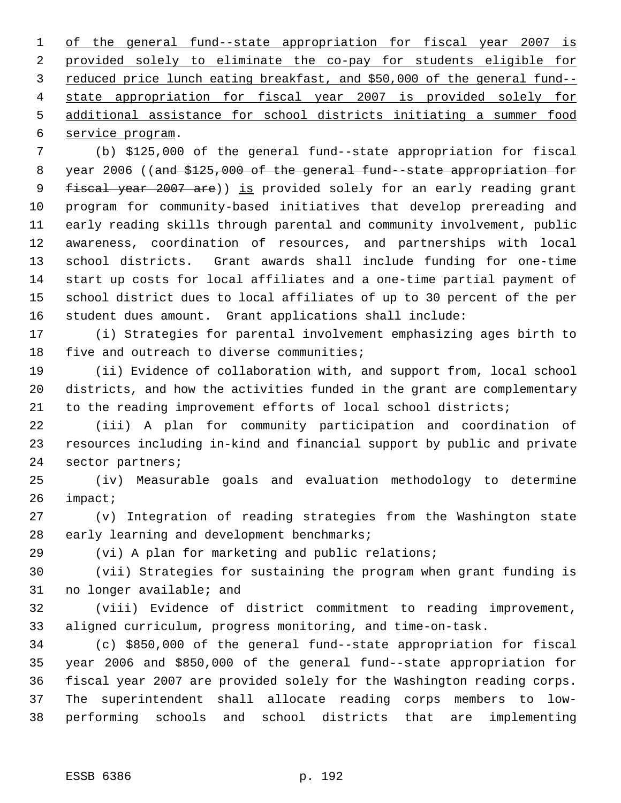of the general fund--state appropriation for fiscal year 2007 is provided solely to eliminate the co-pay for students eligible for reduced price lunch eating breakfast, and \$50,000 of the general fund-- state appropriation for fiscal year 2007 is provided solely for additional assistance for school districts initiating a summer food service program.

 (b) \$125,000 of the general fund--state appropriation for fiscal 8 year 2006 ((and \$125,000 of the general fund--state appropriation for 9 fiscal year 2007 are)) is provided solely for an early reading grant program for community-based initiatives that develop prereading and early reading skills through parental and community involvement, public awareness, coordination of resources, and partnerships with local school districts. Grant awards shall include funding for one-time start up costs for local affiliates and a one-time partial payment of school district dues to local affiliates of up to 30 percent of the per student dues amount. Grant applications shall include:

 (i) Strategies for parental involvement emphasizing ages birth to 18 five and outreach to diverse communities;

 (ii) Evidence of collaboration with, and support from, local school districts, and how the activities funded in the grant are complementary to the reading improvement efforts of local school districts;

 (iii) A plan for community participation and coordination of resources including in-kind and financial support by public and private sector partners;

 (iv) Measurable goals and evaluation methodology to determine impact;

 (v) Integration of reading strategies from the Washington state early learning and development benchmarks;

(vi) A plan for marketing and public relations;

 (vii) Strategies for sustaining the program when grant funding is no longer available; and

 (viii) Evidence of district commitment to reading improvement, aligned curriculum, progress monitoring, and time-on-task.

 (c) \$850,000 of the general fund--state appropriation for fiscal year 2006 and \$850,000 of the general fund--state appropriation for fiscal year 2007 are provided solely for the Washington reading corps. The superintendent shall allocate reading corps members to low-performing schools and school districts that are implementing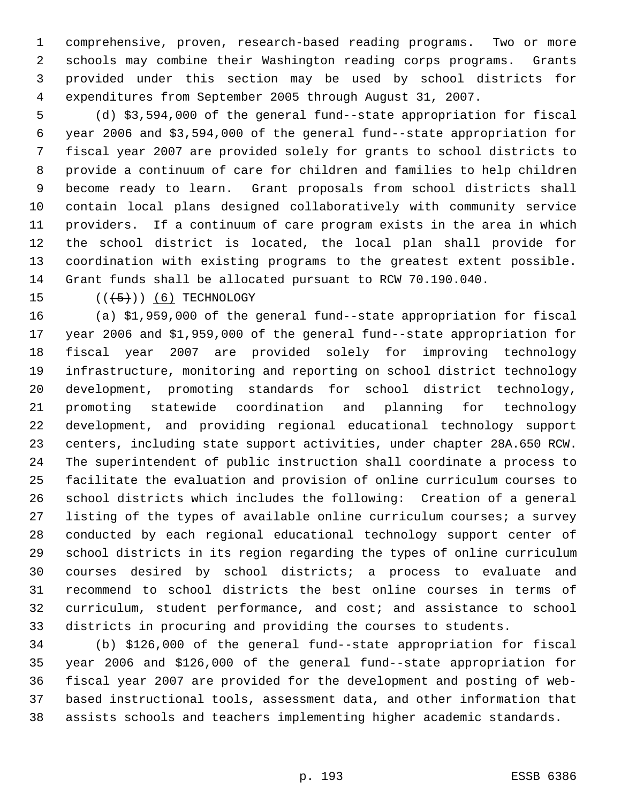comprehensive, proven, research-based reading programs. Two or more schools may combine their Washington reading corps programs. Grants provided under this section may be used by school districts for expenditures from September 2005 through August 31, 2007.

 (d) \$3,594,000 of the general fund--state appropriation for fiscal year 2006 and \$3,594,000 of the general fund--state appropriation for fiscal year 2007 are provided solely for grants to school districts to provide a continuum of care for children and families to help children become ready to learn. Grant proposals from school districts shall contain local plans designed collaboratively with community service providers. If a continuum of care program exists in the area in which the school district is located, the local plan shall provide for coordination with existing programs to the greatest extent possible. Grant funds shall be allocated pursuant to RCW 70.190.040.

15  $((+5+))$  (6) TECHNOLOGY

 (a) \$1,959,000 of the general fund--state appropriation for fiscal year 2006 and \$1,959,000 of the general fund--state appropriation for fiscal year 2007 are provided solely for improving technology infrastructure, monitoring and reporting on school district technology development, promoting standards for school district technology, promoting statewide coordination and planning for technology development, and providing regional educational technology support centers, including state support activities, under chapter 28A.650 RCW. The superintendent of public instruction shall coordinate a process to facilitate the evaluation and provision of online curriculum courses to school districts which includes the following: Creation of a general listing of the types of available online curriculum courses; a survey conducted by each regional educational technology support center of school districts in its region regarding the types of online curriculum courses desired by school districts; a process to evaluate and recommend to school districts the best online courses in terms of curriculum, student performance, and cost; and assistance to school districts in procuring and providing the courses to students.

 (b) \$126,000 of the general fund--state appropriation for fiscal year 2006 and \$126,000 of the general fund--state appropriation for fiscal year 2007 are provided for the development and posting of web- based instructional tools, assessment data, and other information that assists schools and teachers implementing higher academic standards.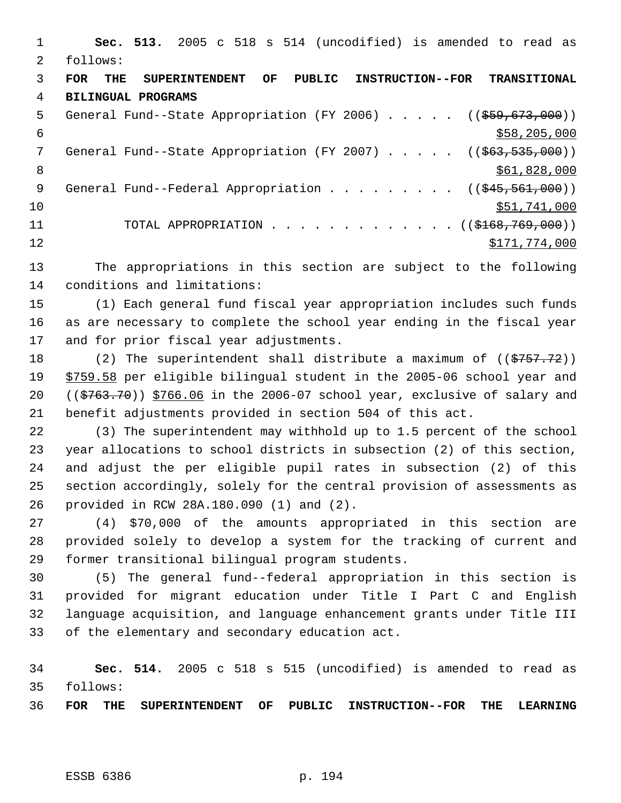**Sec. 513.** 2005 c 518 s 514 (uncodified) is amended to read as follows: **FOR THE SUPERINTENDENT OF PUBLIC INSTRUCTION--FOR TRANSITIONAL BILINGUAL PROGRAMS** 5 General Fund--State Appropriation (FY 2006) . . . . . ((\$59,673,000))  $\frac{$58,205,000}{558,205,000}$ 7 General Fund--State Appropriation (FY 2007) . . . . . ((\$63,535,000)) 8 \$61,828,000 \$61,828,000 \$61,828,000 \$61,828,000 \$61,828,000 \$61,828,000 \$61,828,000 \$ 9 General Fund--Federal Appropriation . . . . . . . . ((\$45,561,000)) 10 \$51,741,000 11 TOTAL APPROPRIATION . . . . . . . . . . . . . ((\$168,769,000)) 12 \$171,774,000 The appropriations in this section are subject to the following conditions and limitations: (1) Each general fund fiscal year appropriation includes such funds as are necessary to complete the school year ending in the fiscal year and for prior fiscal year adjustments. 18 (2) The superintendent shall distribute a maximum of ((\$757.72))

 \$759.58 per eligible bilingual student in the 2005-06 school year and  $((\frac{2763.70}{\frac{200}{\sqrt{10}}})$  \$766.06 in the 2006-07 school year, exclusive of salary and benefit adjustments provided in section 504 of this act.

 (3) The superintendent may withhold up to 1.5 percent of the school year allocations to school districts in subsection (2) of this section, and adjust the per eligible pupil rates in subsection (2) of this section accordingly, solely for the central provision of assessments as provided in RCW 28A.180.090 (1) and (2).

 (4) \$70,000 of the amounts appropriated in this section are provided solely to develop a system for the tracking of current and former transitional bilingual program students.

 (5) The general fund--federal appropriation in this section is provided for migrant education under Title I Part C and English language acquisition, and language enhancement grants under Title III of the elementary and secondary education act.

 **Sec. 514.** 2005 c 518 s 515 (uncodified) is amended to read as follows:

**FOR THE SUPERINTENDENT OF PUBLIC INSTRUCTION--FOR THE LEARNING**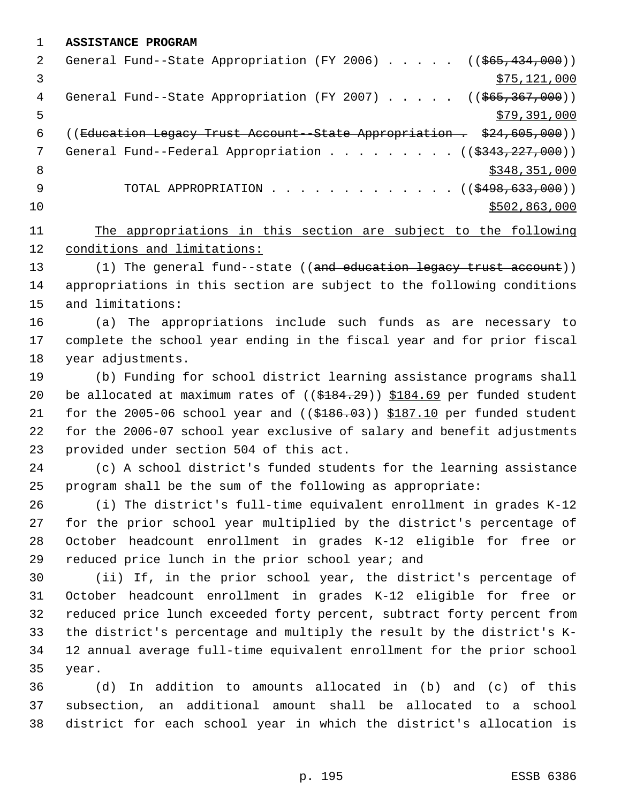**ASSISTANCE PROGRAM**

| 2   | General Fund--State Appropriation (FY 2006) $($ $($ \$65,434,000))            |
|-----|-------------------------------------------------------------------------------|
|     | \$75, 121, 000                                                                |
| 4   | General Fund--State Appropriation (FY 2007) $($ $($ $$65, 367, 000)$ )        |
| 5   | \$79,391,000                                                                  |
| 6   | ((Education Legacy Trust Account - State Appropriation . \$24,605,000))       |
| 7   | General Fund--Federal Appropriation ( $(\frac{2343}{227}, \frac{227}{000})$ ) |
| - 8 | \$348,351,000                                                                 |
| 9   | TOTAL APPROPRIATION $\ldots$ , ( $(\frac{2498}{633}, \frac{633}{600})$ )      |
| 10  | \$502,863,000                                                                 |
|     |                                                                               |

 The appropriations in this section are subject to the following conditions and limitations:

13 (1) The general fund--state ((and education legacy trust account)) appropriations in this section are subject to the following conditions and limitations:

 (a) The appropriations include such funds as are necessary to complete the school year ending in the fiscal year and for prior fiscal year adjustments.

 (b) Funding for school district learning assistance programs shall 20 be allocated at maximum rates of  $($   $(\frac{184.29}{})$   $\frac{184.69}{100}$  per funded student 21 for the 2005-06 school year and  $($   $($ \$186.03)) \$187.10 per funded student for the 2006-07 school year exclusive of salary and benefit adjustments provided under section 504 of this act.

 (c) A school district's funded students for the learning assistance program shall be the sum of the following as appropriate:

 (i) The district's full-time equivalent enrollment in grades K-12 for the prior school year multiplied by the district's percentage of October headcount enrollment in grades K-12 eligible for free or reduced price lunch in the prior school year; and

 (ii) If, in the prior school year, the district's percentage of October headcount enrollment in grades K-12 eligible for free or reduced price lunch exceeded forty percent, subtract forty percent from the district's percentage and multiply the result by the district's K- 12 annual average full-time equivalent enrollment for the prior school year.

 (d) In addition to amounts allocated in (b) and (c) of this subsection, an additional amount shall be allocated to a school district for each school year in which the district's allocation is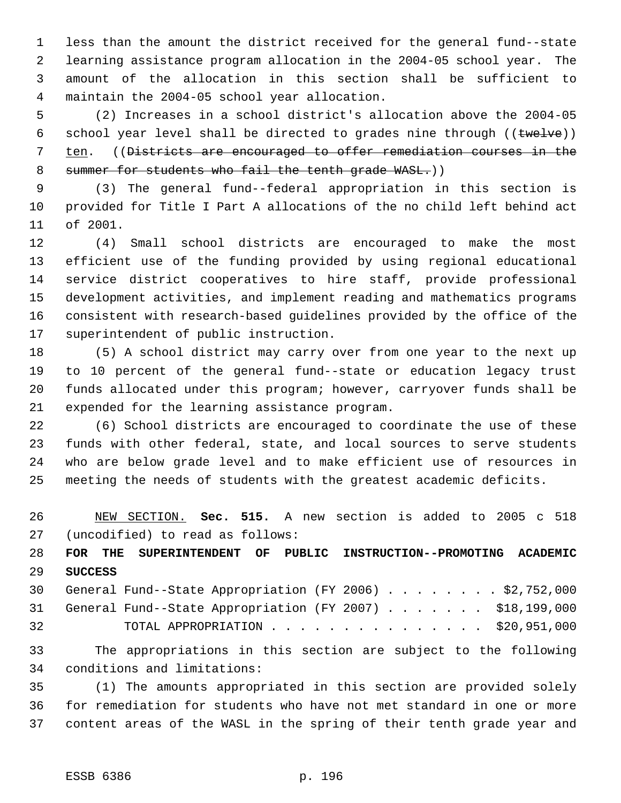less than the amount the district received for the general fund--state learning assistance program allocation in the 2004-05 school year. The amount of the allocation in this section shall be sufficient to maintain the 2004-05 school year allocation.

 (2) Increases in a school district's allocation above the 2004-05 6 school year level shall be directed to grades nine through  $((\text{true} \cup \text{true}))$  ten. ((Districts are encouraged to offer remediation courses in the 8 summer for students who fail the tenth grade WASL.))

 (3) The general fund--federal appropriation in this section is provided for Title I Part A allocations of the no child left behind act of 2001.

 (4) Small school districts are encouraged to make the most efficient use of the funding provided by using regional educational service district cooperatives to hire staff, provide professional development activities, and implement reading and mathematics programs consistent with research-based guidelines provided by the office of the superintendent of public instruction.

 (5) A school district may carry over from one year to the next up to 10 percent of the general fund--state or education legacy trust funds allocated under this program; however, carryover funds shall be expended for the learning assistance program.

 (6) School districts are encouraged to coordinate the use of these funds with other federal, state, and local sources to serve students who are below grade level and to make efficient use of resources in meeting the needs of students with the greatest academic deficits.

 NEW SECTION. **Sec. 515.** A new section is added to 2005 c 518 (uncodified) to read as follows:

 **FOR THE SUPERINTENDENT OF PUBLIC INSTRUCTION--PROMOTING ACADEMIC SUCCESS**

 General Fund--State Appropriation (FY 2006) . . . . . . . . \$2,752,000 General Fund--State Appropriation (FY 2007) . . . . . . . \$18,199,000 TOTAL APPROPRIATION . . . . . . . . . . . . . . . \$20,951,000

 The appropriations in this section are subject to the following conditions and limitations:

 (1) The amounts appropriated in this section are provided solely for remediation for students who have not met standard in one or more content areas of the WASL in the spring of their tenth grade year and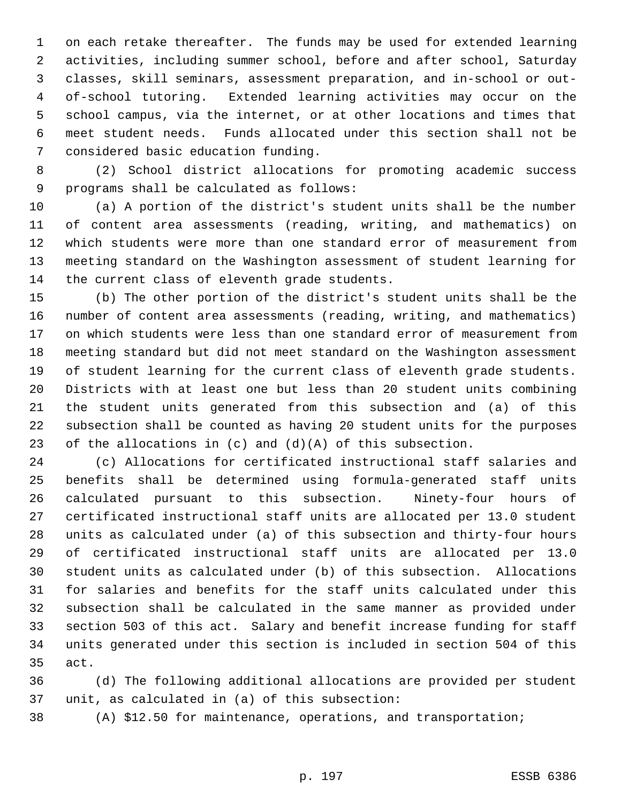on each retake thereafter. The funds may be used for extended learning activities, including summer school, before and after school, Saturday classes, skill seminars, assessment preparation, and in-school or out- of-school tutoring. Extended learning activities may occur on the school campus, via the internet, or at other locations and times that meet student needs. Funds allocated under this section shall not be considered basic education funding.

 (2) School district allocations for promoting academic success programs shall be calculated as follows:

 (a) A portion of the district's student units shall be the number of content area assessments (reading, writing, and mathematics) on which students were more than one standard error of measurement from meeting standard on the Washington assessment of student learning for the current class of eleventh grade students.

 (b) The other portion of the district's student units shall be the number of content area assessments (reading, writing, and mathematics) on which students were less than one standard error of measurement from meeting standard but did not meet standard on the Washington assessment of student learning for the current class of eleventh grade students. Districts with at least one but less than 20 student units combining the student units generated from this subsection and (a) of this subsection shall be counted as having 20 student units for the purposes 23 of the allocations in  $(c)$  and  $(d)(A)$  of this subsection.

 (c) Allocations for certificated instructional staff salaries and benefits shall be determined using formula-generated staff units calculated pursuant to this subsection. Ninety-four hours of certificated instructional staff units are allocated per 13.0 student units as calculated under (a) of this subsection and thirty-four hours of certificated instructional staff units are allocated per 13.0 student units as calculated under (b) of this subsection. Allocations for salaries and benefits for the staff units calculated under this subsection shall be calculated in the same manner as provided under section 503 of this act. Salary and benefit increase funding for staff units generated under this section is included in section 504 of this act.

 (d) The following additional allocations are provided per student unit, as calculated in (a) of this subsection:

(A) \$12.50 for maintenance, operations, and transportation;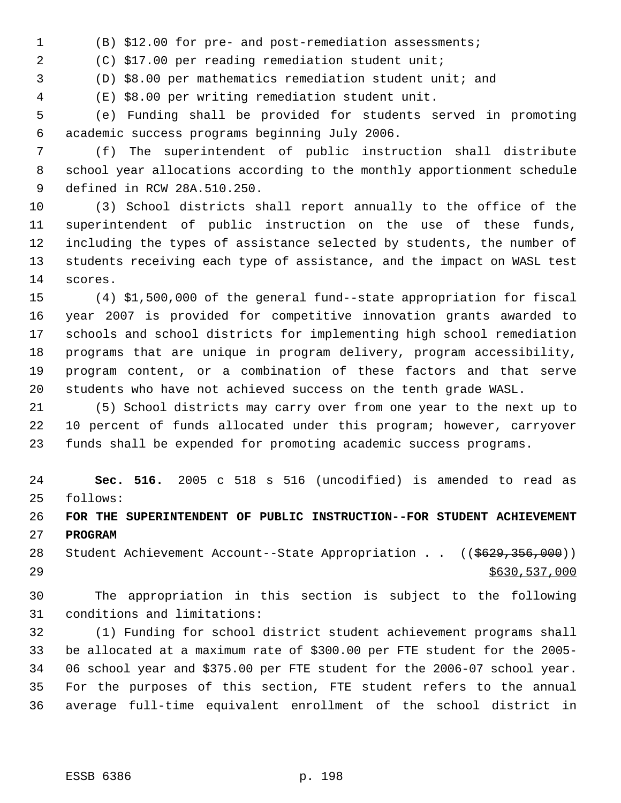(B) \$12.00 for pre- and post-remediation assessments;

(C) \$17.00 per reading remediation student unit;

(D) \$8.00 per mathematics remediation student unit; and

(E) \$8.00 per writing remediation student unit.

 (e) Funding shall be provided for students served in promoting academic success programs beginning July 2006.

 (f) The superintendent of public instruction shall distribute school year allocations according to the monthly apportionment schedule defined in RCW 28A.510.250.

 (3) School districts shall report annually to the office of the superintendent of public instruction on the use of these funds, including the types of assistance selected by students, the number of students receiving each type of assistance, and the impact on WASL test scores.

 (4) \$1,500,000 of the general fund--state appropriation for fiscal year 2007 is provided for competitive innovation grants awarded to schools and school districts for implementing high school remediation programs that are unique in program delivery, program accessibility, program content, or a combination of these factors and that serve students who have not achieved success on the tenth grade WASL.

 (5) School districts may carry over from one year to the next up to 10 percent of funds allocated under this program; however, carryover funds shall be expended for promoting academic success programs.

 **Sec. 516.** 2005 c 518 s 516 (uncodified) is amended to read as follows:

 **FOR THE SUPERINTENDENT OF PUBLIC INSTRUCTION--FOR STUDENT ACHIEVEMENT PROGRAM**

28 Student Achievement Account--State Appropriation . . ((\$629,356,000)) \$630,537,000

 The appropriation in this section is subject to the following conditions and limitations:

 (1) Funding for school district student achievement programs shall be allocated at a maximum rate of \$300.00 per FTE student for the 2005- 06 school year and \$375.00 per FTE student for the 2006-07 school year. For the purposes of this section, FTE student refers to the annual average full-time equivalent enrollment of the school district in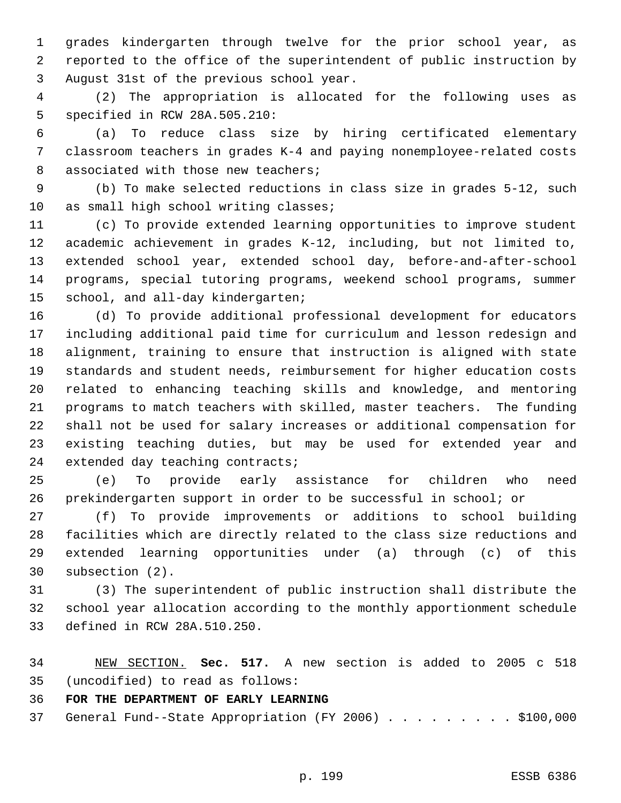grades kindergarten through twelve for the prior school year, as reported to the office of the superintendent of public instruction by August 31st of the previous school year.

 (2) The appropriation is allocated for the following uses as specified in RCW 28A.505.210:

 (a) To reduce class size by hiring certificated elementary classroom teachers in grades K-4 and paying nonemployee-related costs 8 associated with those new teachers;

 (b) To make selected reductions in class size in grades 5-12, such as small high school writing classes;

 (c) To provide extended learning opportunities to improve student academic achievement in grades K-12, including, but not limited to, extended school year, extended school day, before-and-after-school programs, special tutoring programs, weekend school programs, summer school, and all-day kindergarten;

 (d) To provide additional professional development for educators including additional paid time for curriculum and lesson redesign and alignment, training to ensure that instruction is aligned with state standards and student needs, reimbursement for higher education costs related to enhancing teaching skills and knowledge, and mentoring programs to match teachers with skilled, master teachers. The funding shall not be used for salary increases or additional compensation for existing teaching duties, but may be used for extended year and extended day teaching contracts;

 (e) To provide early assistance for children who need prekindergarten support in order to be successful in school; or

 (f) To provide improvements or additions to school building facilities which are directly related to the class size reductions and extended learning opportunities under (a) through (c) of this subsection (2).

 (3) The superintendent of public instruction shall distribute the school year allocation according to the monthly apportionment schedule defined in RCW 28A.510.250.

 NEW SECTION. **Sec. 517.** A new section is added to 2005 c 518 (uncodified) to read as follows:

**FOR THE DEPARTMENT OF EARLY LEARNING**

General Fund--State Appropriation (FY 2006) . . . . . . . . . \$100,000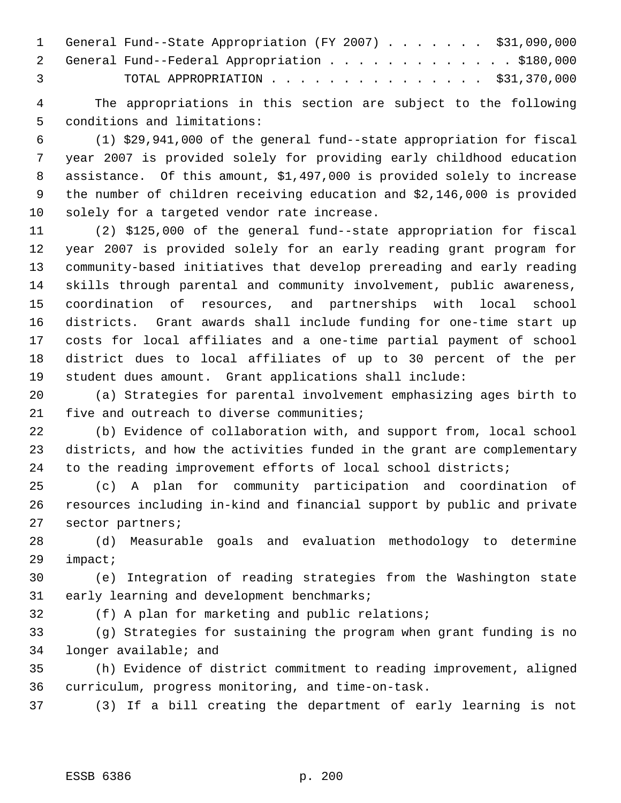|                | 1 General Fund--State Appropriation (FY 2007) \$31,090,000 |
|----------------|------------------------------------------------------------|
|                | 2 General Fund--Federal Appropriation \$180,000            |
| $\overline{3}$ | TOTAL APPROPRIATION $\cdots$ , \$31,370,000                |

 The appropriations in this section are subject to the following conditions and limitations:

 (1) \$29,941,000 of the general fund--state appropriation for fiscal year 2007 is provided solely for providing early childhood education assistance. Of this amount, \$1,497,000 is provided solely to increase the number of children receiving education and \$2,146,000 is provided solely for a targeted vendor rate increase.

 (2) \$125,000 of the general fund--state appropriation for fiscal year 2007 is provided solely for an early reading grant program for community-based initiatives that develop prereading and early reading skills through parental and community involvement, public awareness, coordination of resources, and partnerships with local school districts. Grant awards shall include funding for one-time start up costs for local affiliates and a one-time partial payment of school district dues to local affiliates of up to 30 percent of the per student dues amount. Grant applications shall include:

 (a) Strategies for parental involvement emphasizing ages birth to 21 five and outreach to diverse communities;

 (b) Evidence of collaboration with, and support from, local school districts, and how the activities funded in the grant are complementary to the reading improvement efforts of local school districts;

 (c) A plan for community participation and coordination of resources including in-kind and financial support by public and private sector partners;

 (d) Measurable goals and evaluation methodology to determine impact;

 (e) Integration of reading strategies from the Washington state early learning and development benchmarks;

(f) A plan for marketing and public relations;

 (g) Strategies for sustaining the program when grant funding is no longer available; and

 (h) Evidence of district commitment to reading improvement, aligned curriculum, progress monitoring, and time-on-task.

(3) If a bill creating the department of early learning is not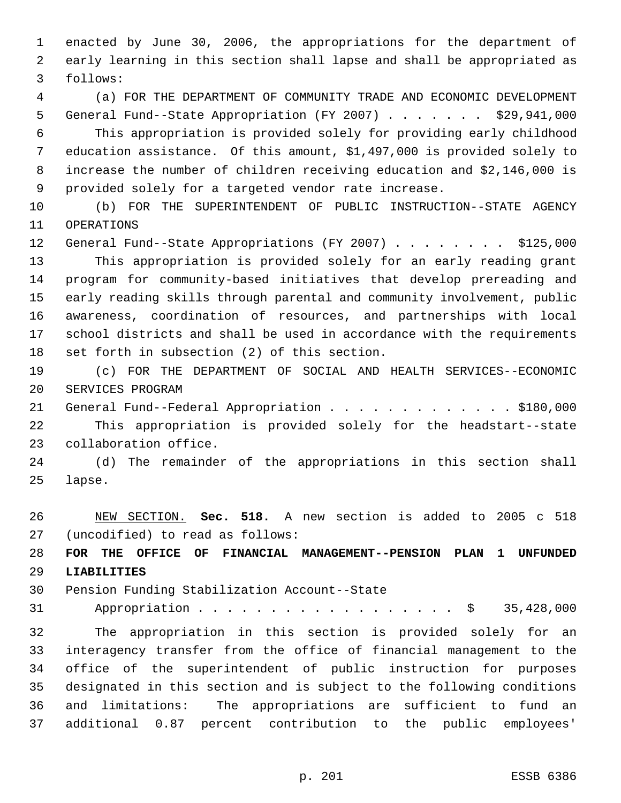enacted by June 30, 2006, the appropriations for the department of early learning in this section shall lapse and shall be appropriated as follows:

 (a) FOR THE DEPARTMENT OF COMMUNITY TRADE AND ECONOMIC DEVELOPMENT General Fund--State Appropriation (FY 2007) . . . . . . . \$29,941,000 This appropriation is provided solely for providing early childhood education assistance. Of this amount, \$1,497,000 is provided solely to increase the number of children receiving education and \$2,146,000 is provided solely for a targeted vendor rate increase.

 (b) FOR THE SUPERINTENDENT OF PUBLIC INSTRUCTION--STATE AGENCY OPERATIONS

12 General Fund--State Appropriations (FY 2007) . . . . . . . \$125,000 This appropriation is provided solely for an early reading grant program for community-based initiatives that develop prereading and early reading skills through parental and community involvement, public awareness, coordination of resources, and partnerships with local school districts and shall be used in accordance with the requirements set forth in subsection (2) of this section.

 (c) FOR THE DEPARTMENT OF SOCIAL AND HEALTH SERVICES--ECONOMIC SERVICES PROGRAM

21 General Fund--Federal Appropriation . . . . . . . . . . . . \$180,000 This appropriation is provided solely for the headstart--state collaboration office.

 (d) The remainder of the appropriations in this section shall lapse.

 NEW SECTION. **Sec. 518.** A new section is added to 2005 c 518 (uncodified) to read as follows:

 **FOR THE OFFICE OF FINANCIAL MANAGEMENT--PENSION PLAN 1 UNFUNDED LIABILITIES**

Pension Funding Stabilization Account--State

Appropriation . . . . . . . . . . . . . . . . . . \$ 35,428,000

 The appropriation in this section is provided solely for an interagency transfer from the office of financial management to the office of the superintendent of public instruction for purposes designated in this section and is subject to the following conditions and limitations: The appropriations are sufficient to fund an additional 0.87 percent contribution to the public employees'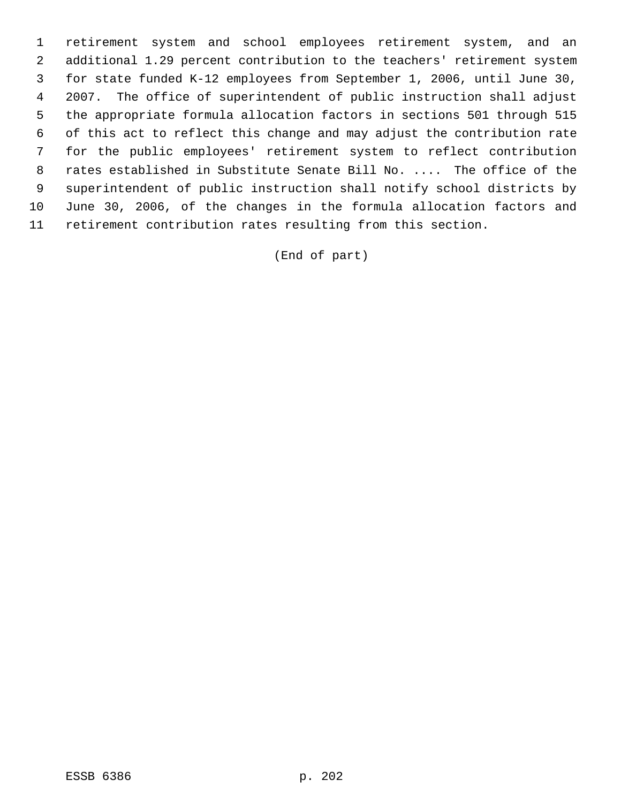retirement system and school employees retirement system, and an additional 1.29 percent contribution to the teachers' retirement system for state funded K-12 employees from September 1, 2006, until June 30, 2007. The office of superintendent of public instruction shall adjust the appropriate formula allocation factors in sections 501 through 515 of this act to reflect this change and may adjust the contribution rate for the public employees' retirement system to reflect contribution rates established in Substitute Senate Bill No. .... The office of the superintendent of public instruction shall notify school districts by June 30, 2006, of the changes in the formula allocation factors and retirement contribution rates resulting from this section.

(End of part)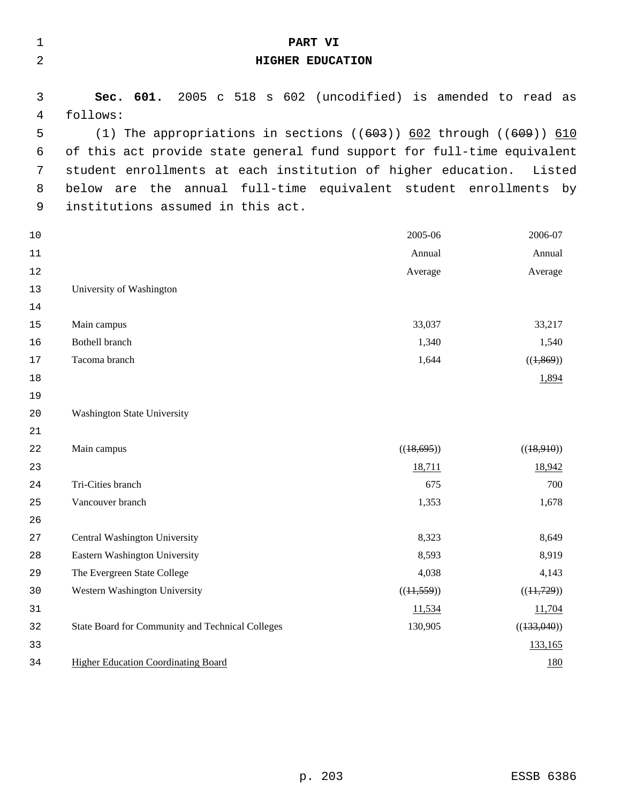| $\mathbf 1$ | PART VI                                                                 |            |             |  |
|-------------|-------------------------------------------------------------------------|------------|-------------|--|
| 2           | HIGHER EDUCATION                                                        |            |             |  |
| 3           | 2005 c 518 s 602 (uncodified) is amended to read as<br>Sec. 601.        |            |             |  |
| 4           | follows:                                                                |            |             |  |
| 5           | (1) The appropriations in sections $((603))$ 602 through $((609))$ 610  |            |             |  |
| 6           | of this act provide state general fund support for full-time equivalent |            |             |  |
| 7           | student enrollments at each institution of higher education. Listed     |            |             |  |
| 8           | below are the annual full-time equivalent student enrollments by        |            |             |  |
| 9           | institutions assumed in this act.                                       |            |             |  |
| 10          |                                                                         | 2005-06    | 2006-07     |  |
| 11          |                                                                         | Annual     | Annual      |  |
| 12          |                                                                         | Average    | Average     |  |
| 13          | University of Washington                                                |            |             |  |
| 14          |                                                                         |            |             |  |
| 15          | Main campus                                                             | 33,037     | 33,217      |  |
| 16          | <b>Bothell branch</b>                                                   | 1,340      | 1,540       |  |
| 17          | Tacoma branch                                                           | 1,644      | ((1,869))   |  |
| 18          |                                                                         |            | 1,894       |  |
| 19          |                                                                         |            |             |  |
| 20          | <b>Washington State University</b>                                      |            |             |  |
| 21          |                                                                         |            |             |  |
| 22          | Main campus                                                             | ((18,695)) | ((18,910))  |  |
| 23          |                                                                         | 18,711     | 18,942      |  |
| 24          | Tri-Cities branch                                                       | 675        | 700         |  |
| 25          | Vancouver branch                                                        | 1,353      | 1,678       |  |
| 26          |                                                                         |            |             |  |
| 27          | Central Washington University                                           | 8,323      | 8,649       |  |
| 28          | Eastern Washington University                                           | 8,593      | 8,919       |  |
| 29          | The Evergreen State College                                             | 4,038      | 4,143       |  |
| 30          | Western Washington University                                           | ((11,559)) | ((11,729))  |  |
| 31          |                                                                         | 11,534     | 11,704      |  |
| 32          | State Board for Community and Technical Colleges                        | 130,905    | ((133,040)) |  |
| 33          |                                                                         |            | 133,165     |  |
| 34          | <b>Higher Education Coordinating Board</b>                              |            | <u>180</u>  |  |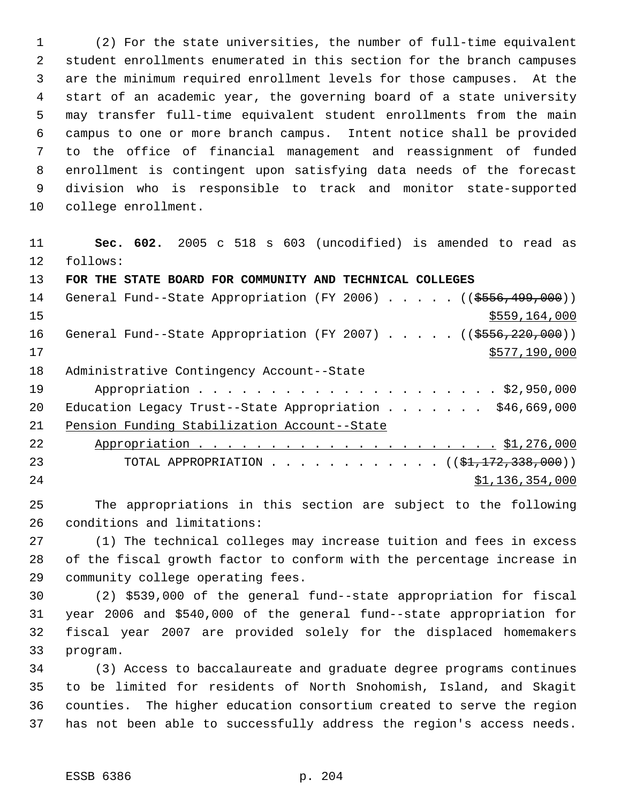(2) For the state universities, the number of full-time equivalent student enrollments enumerated in this section for the branch campuses are the minimum required enrollment levels for those campuses. At the start of an academic year, the governing board of a state university may transfer full-time equivalent student enrollments from the main campus to one or more branch campus. Intent notice shall be provided to the office of financial management and reassignment of funded enrollment is contingent upon satisfying data needs of the forecast division who is responsible to track and monitor state-supported college enrollment.

 **Sec. 602.** 2005 c 518 s 603 (uncodified) is amended to read as follows: **FOR THE STATE BOARD FOR COMMUNITY AND TECHNICAL COLLEGES**  14 General Fund--State Appropriation (FY 2006) . . . . . ((\$556,499,000))

 \$559,164,000 16 General Fund--State Appropriation (FY 2007) . . . . . ((\$556,220,000)) \$577,190,000 Administrative Contingency Account--State Appropriation . . . . . . . . . . . . . . . . . . . . . \$2,950,000 20 Education Legacy Trust--State Appropriation . . . . . . \$46,669,000 Pension Funding Stabilization Account--State Appropriation . . . . . . . . . . . . . . . . . . . . . \$1,276,000 23 TOTAL APPROPRIATION . . . . . . . . . . . ((<del>\$1,172,338,000</del>)) \$1,136,354,000

 The appropriations in this section are subject to the following conditions and limitations:

 (1) The technical colleges may increase tuition and fees in excess of the fiscal growth factor to conform with the percentage increase in community college operating fees.

 (2) \$539,000 of the general fund--state appropriation for fiscal year 2006 and \$540,000 of the general fund--state appropriation for fiscal year 2007 are provided solely for the displaced homemakers program.

 (3) Access to baccalaureate and graduate degree programs continues to be limited for residents of North Snohomish, Island, and Skagit counties. The higher education consortium created to serve the region has not been able to successfully address the region's access needs.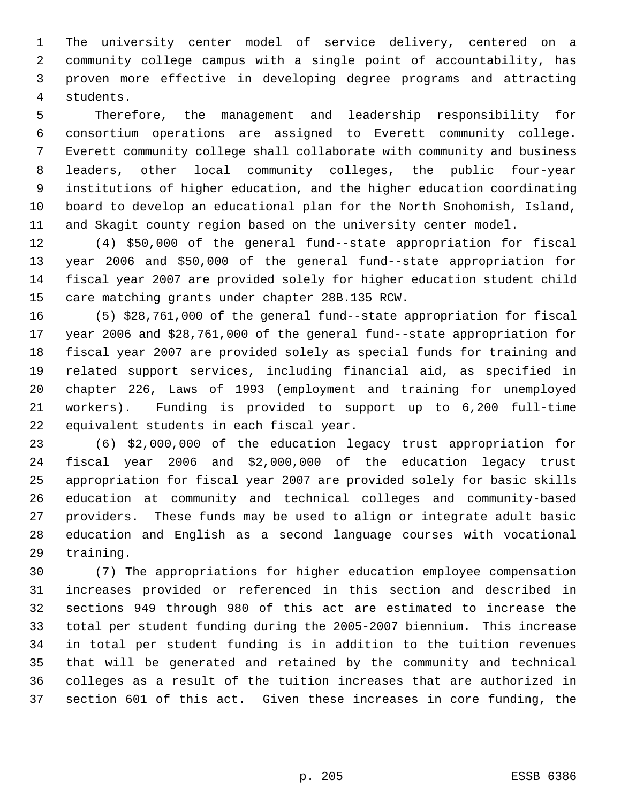The university center model of service delivery, centered on a community college campus with a single point of accountability, has proven more effective in developing degree programs and attracting students.

 Therefore, the management and leadership responsibility for consortium operations are assigned to Everett community college. Everett community college shall collaborate with community and business leaders, other local community colleges, the public four-year institutions of higher education, and the higher education coordinating board to develop an educational plan for the North Snohomish, Island, and Skagit county region based on the university center model.

 (4) \$50,000 of the general fund--state appropriation for fiscal year 2006 and \$50,000 of the general fund--state appropriation for fiscal year 2007 are provided solely for higher education student child care matching grants under chapter 28B.135 RCW.

 (5) \$28,761,000 of the general fund--state appropriation for fiscal year 2006 and \$28,761,000 of the general fund--state appropriation for fiscal year 2007 are provided solely as special funds for training and related support services, including financial aid, as specified in chapter 226, Laws of 1993 (employment and training for unemployed workers). Funding is provided to support up to 6,200 full-time equivalent students in each fiscal year.

 (6) \$2,000,000 of the education legacy trust appropriation for fiscal year 2006 and \$2,000,000 of the education legacy trust appropriation for fiscal year 2007 are provided solely for basic skills education at community and technical colleges and community-based providers. These funds may be used to align or integrate adult basic education and English as a second language courses with vocational training.

 (7) The appropriations for higher education employee compensation increases provided or referenced in this section and described in sections 949 through 980 of this act are estimated to increase the total per student funding during the 2005-2007 biennium. This increase in total per student funding is in addition to the tuition revenues that will be generated and retained by the community and technical colleges as a result of the tuition increases that are authorized in section 601 of this act. Given these increases in core funding, the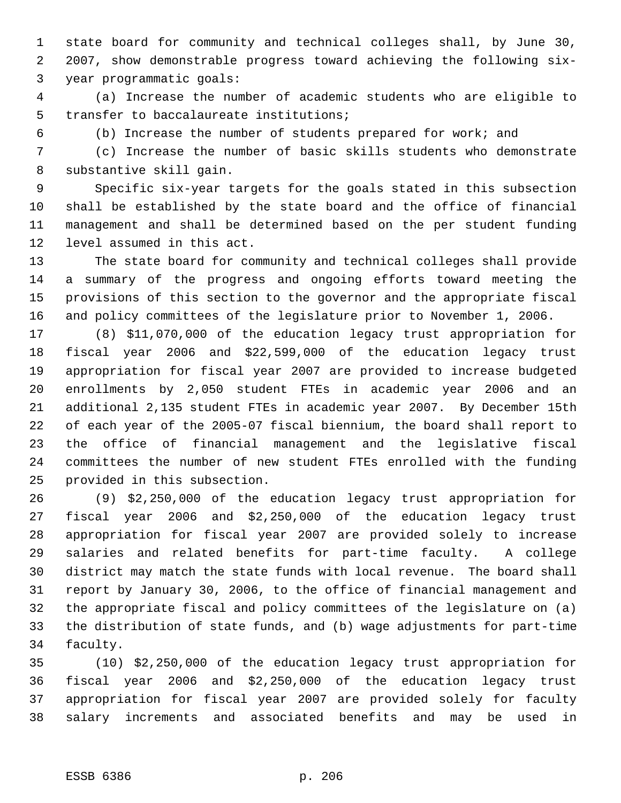state board for community and technical colleges shall, by June 30, 2007, show demonstrable progress toward achieving the following six- year programmatic goals:

 (a) Increase the number of academic students who are eligible to transfer to baccalaureate institutions;

(b) Increase the number of students prepared for work; and

 (c) Increase the number of basic skills students who demonstrate substantive skill gain.

 Specific six-year targets for the goals stated in this subsection shall be established by the state board and the office of financial management and shall be determined based on the per student funding level assumed in this act.

 The state board for community and technical colleges shall provide a summary of the progress and ongoing efforts toward meeting the provisions of this section to the governor and the appropriate fiscal and policy committees of the legislature prior to November 1, 2006.

 (8) \$11,070,000 of the education legacy trust appropriation for fiscal year 2006 and \$22,599,000 of the education legacy trust appropriation for fiscal year 2007 are provided to increase budgeted enrollments by 2,050 student FTEs in academic year 2006 and an additional 2,135 student FTEs in academic year 2007. By December 15th of each year of the 2005-07 fiscal biennium, the board shall report to the office of financial management and the legislative fiscal committees the number of new student FTEs enrolled with the funding provided in this subsection.

 (9) \$2,250,000 of the education legacy trust appropriation for fiscal year 2006 and \$2,250,000 of the education legacy trust appropriation for fiscal year 2007 are provided solely to increase salaries and related benefits for part-time faculty. A college district may match the state funds with local revenue. The board shall report by January 30, 2006, to the office of financial management and the appropriate fiscal and policy committees of the legislature on (a) the distribution of state funds, and (b) wage adjustments for part-time faculty.

 (10) \$2,250,000 of the education legacy trust appropriation for fiscal year 2006 and \$2,250,000 of the education legacy trust appropriation for fiscal year 2007 are provided solely for faculty salary increments and associated benefits and may be used in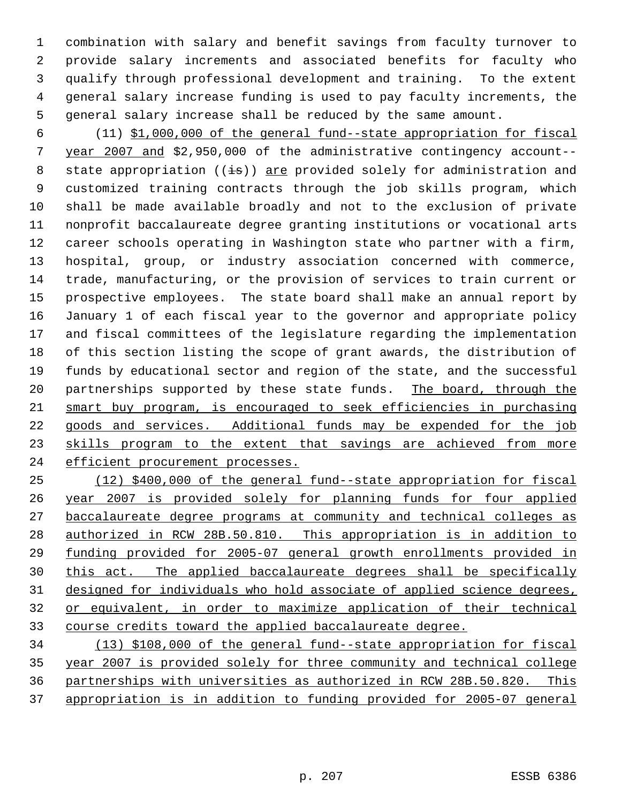combination with salary and benefit savings from faculty turnover to provide salary increments and associated benefits for faculty who qualify through professional development and training. To the extent general salary increase funding is used to pay faculty increments, the general salary increase shall be reduced by the same amount.

 (11) \$1,000,000 of the general fund--state appropriation for fiscal year 2007 and \$2,950,000 of the administrative contingency account-- 8 state appropriation  $((\frac{1}{18}))$  are provided solely for administration and customized training contracts through the job skills program, which shall be made available broadly and not to the exclusion of private nonprofit baccalaureate degree granting institutions or vocational arts career schools operating in Washington state who partner with a firm, hospital, group, or industry association concerned with commerce, trade, manufacturing, or the provision of services to train current or prospective employees. The state board shall make an annual report by January 1 of each fiscal year to the governor and appropriate policy and fiscal committees of the legislature regarding the implementation of this section listing the scope of grant awards, the distribution of funds by educational sector and region of the state, and the successful 20 partnerships supported by these state funds. The board, through the smart buy program, is encouraged to seek efficiencies in purchasing goods and services. Additional funds may be expended for the job 23 skills program to the extent that savings are achieved from more 24 efficient procurement processes.

 (12) \$400,000 of the general fund--state appropriation for fiscal year 2007 is provided solely for planning funds for four applied baccalaureate degree programs at community and technical colleges as authorized in RCW 28B.50.810. This appropriation is in addition to funding provided for 2005-07 general growth enrollments provided in this act. The applied baccalaureate degrees shall be specifically designed for individuals who hold associate of applied science degrees, or equivalent, in order to maximize application of their technical course credits toward the applied baccalaureate degree.

 (13) \$108,000 of the general fund--state appropriation for fiscal year 2007 is provided solely for three community and technical college partnerships with universities as authorized in RCW 28B.50.820. This appropriation is in addition to funding provided for 2005-07 general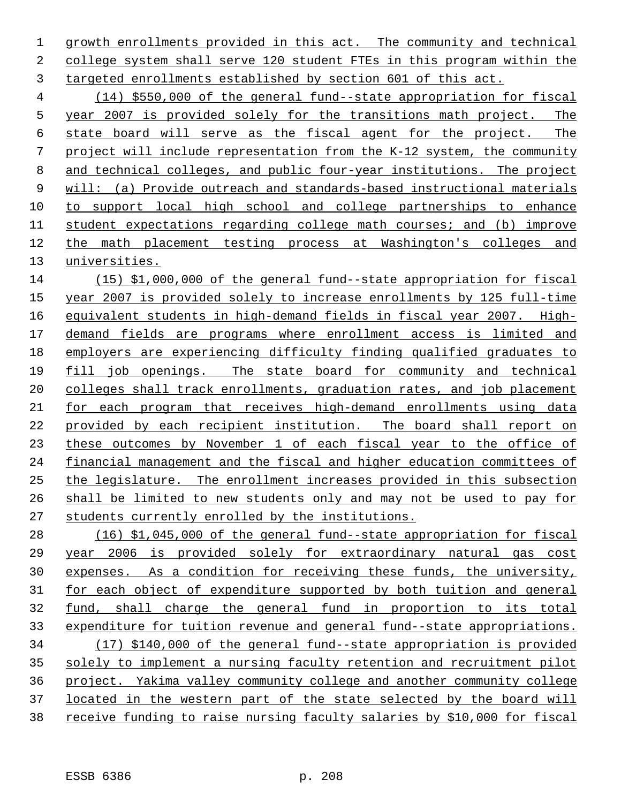1 growth enrollments provided in this act. The community and technical college system shall serve 120 student FTEs in this program within the targeted enrollments established by section 601 of this act.

 (14) \$550,000 of the general fund--state appropriation for fiscal year 2007 is provided solely for the transitions math project. The state board will serve as the fiscal agent for the project. The project will include representation from the K-12 system, the community and technical colleges, and public four-year institutions. The project will: (a) Provide outreach and standards-based instructional materials to support local high school and college partnerships to enhance student expectations regarding college math courses; and (b) improve the math placement testing process at Washington's colleges and universities.

 (15) \$1,000,000 of the general fund--state appropriation for fiscal year 2007 is provided solely to increase enrollments by 125 full-time equivalent students in high-demand fields in fiscal year 2007. High- demand fields are programs where enrollment access is limited and employers are experiencing difficulty finding qualified graduates to fill job openings. The state board for community and technical 20 colleges shall track enrollments, graduation rates, and job placement for each program that receives high-demand enrollments using data provided by each recipient institution. The board shall report on these outcomes by November 1 of each fiscal year to the office of financial management and the fiscal and higher education committees of the legislature. The enrollment increases provided in this subsection shall be limited to new students only and may not be used to pay for students currently enrolled by the institutions.

 (16) \$1,045,000 of the general fund--state appropriation for fiscal year 2006 is provided solely for extraordinary natural gas cost expenses. As a condition for receiving these funds, the university, for each object of expenditure supported by both tuition and general fund, shall charge the general fund in proportion to its total expenditure for tuition revenue and general fund--state appropriations. (17) \$140,000 of the general fund--state appropriation is provided solely to implement a nursing faculty retention and recruitment pilot project. Yakima valley community college and another community college located in the western part of the state selected by the board will receive funding to raise nursing faculty salaries by \$10,000 for fiscal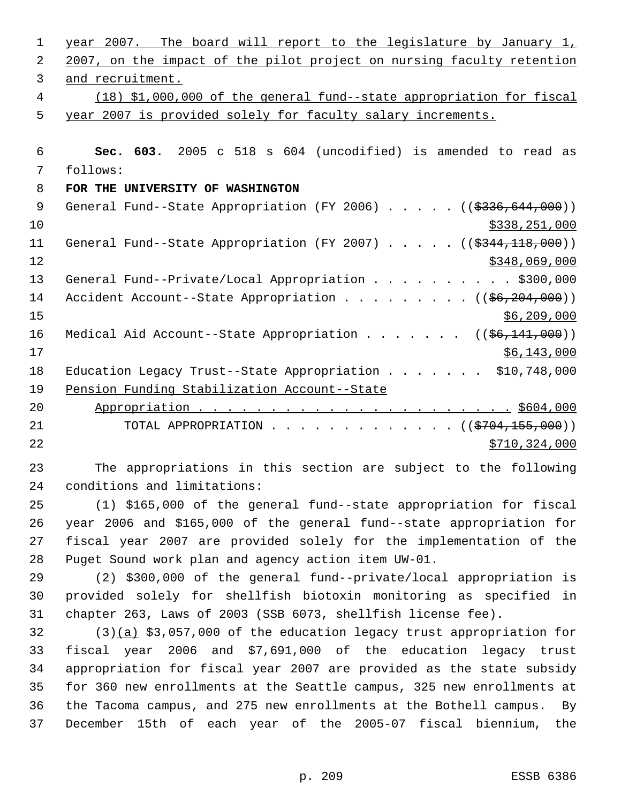| 1           | year 2007. The board will report to the legislature by January 1,              |
|-------------|--------------------------------------------------------------------------------|
| 2           | 2007, on the impact of the pilot project on nursing faculty retention          |
| 3           | and recruitment.                                                               |
| 4           | (18) \$1,000,000 of the general fund--state appropriation for fiscal           |
| 5           | year 2007 is provided solely for faculty salary increments.                    |
|             |                                                                                |
| 6           | Sec. 603. 2005 c 518 s 604 (uncodified) is amended to read as                  |
| 7           | follows:                                                                       |
| 8           | FOR THE UNIVERSITY OF WASHINGTON                                               |
| $\mathsf 9$ | General Fund--State Appropriation (FY 2006) ((\$336,644,000))                  |
| 10          | \$338,251,000                                                                  |
| 11          | General Fund--State Appropriation (FY 2007) $($ $($ \$344,118,000))            |
| 12          | \$348,069,000                                                                  |
| 13          | General Fund--Private/Local Appropriation \$300,000                            |
| 14          | Accident Account--State Appropriation $($ $($ $\frac{6}{6}$ , $204$ , $000)$ ) |
| 15          | \$6,209,000                                                                    |
| 16          | Medical Aid Account--State Appropriation ( $(\frac{26}{141}, 000)$ )           |
| 17          | \$6,143,000                                                                    |
| 18          | Education Legacy Trust--State Appropriation \$10,748,000                       |
| 19          | Pension Funding Stabilization Account--State                                   |
| 20          |                                                                                |
| 21          | TOTAL APPROPRIATION ( $(\frac{2704}{155},000)$ )                               |
| 22          | \$710, 324, 000                                                                |
| 23          | The appropriations in this section are subject to the following                |
| 24          | conditions and limitations:                                                    |
| 25          | (1) \$165,000 of the general fund--state appropriation for fiscal              |
| 26          | year 2006 and \$165,000 of the general fund--state appropriation for           |
| 27          | fiscal year 2007 are provided solely for the implementation of the             |
| 28          | Puget Sound work plan and agency action item UW-01.                            |
| 29          | (2) \$300,000 of the general fund--private/local appropriation is              |
| 30          | provided solely for shellfish biotoxin monitoring as specified in              |
| 31          | chapter 263, Laws of 2003 (SSB 6073, shellfish license fee).                   |
| 32          | $(3)(a)$ \$3,057,000 of the education legacy trust appropriation for           |
| 33          | fiscal year 2006 and \$7,691,000 of the education legacy trust                 |
| 34          | appropriation for fiscal year 2007 are provided as the state subsidy           |
| 35          | for 360 new enrollments at the Seattle campus, 325 new enrollments at          |
| 36          | the Tacoma campus, and 275 new enrollments at the Bothell campus. By           |
| 37          | December 15th of each year of the 2005-07 fiscal biennium, the                 |
|             |                                                                                |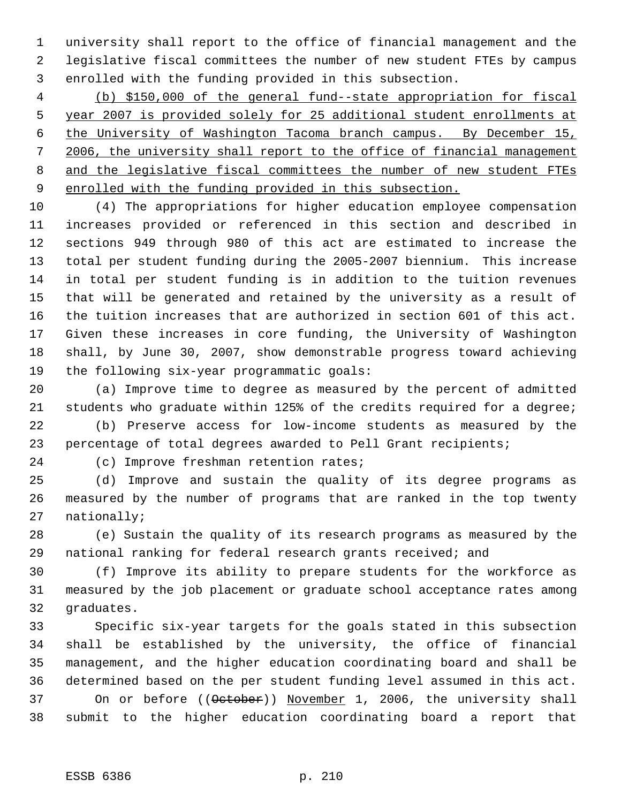university shall report to the office of financial management and the legislative fiscal committees the number of new student FTEs by campus enrolled with the funding provided in this subsection.

 (b) \$150,000 of the general fund--state appropriation for fiscal year 2007 is provided solely for 25 additional student enrollments at the University of Washington Tacoma branch campus. By December 15, 2006, the university shall report to the office of financial management 8 and the legislative fiscal committees the number of new student FTEs enrolled with the funding provided in this subsection.

 (4) The appropriations for higher education employee compensation increases provided or referenced in this section and described in sections 949 through 980 of this act are estimated to increase the total per student funding during the 2005-2007 biennium. This increase in total per student funding is in addition to the tuition revenues that will be generated and retained by the university as a result of the tuition increases that are authorized in section 601 of this act. Given these increases in core funding, the University of Washington shall, by June 30, 2007, show demonstrable progress toward achieving the following six-year programmatic goals:

 (a) Improve time to degree as measured by the percent of admitted students who graduate within 125% of the credits required for a degree;

 (b) Preserve access for low-income students as measured by the percentage of total degrees awarded to Pell Grant recipients;

(c) Improve freshman retention rates;

 (d) Improve and sustain the quality of its degree programs as measured by the number of programs that are ranked in the top twenty nationally;

 (e) Sustain the quality of its research programs as measured by the national ranking for federal research grants received; and

 (f) Improve its ability to prepare students for the workforce as measured by the job placement or graduate school acceptance rates among graduates.

 Specific six-year targets for the goals stated in this subsection shall be established by the university, the office of financial management, and the higher education coordinating board and shall be determined based on the per student funding level assumed in this act. 37 On or before ((October)) November 1, 2006, the university shall submit to the higher education coordinating board a report that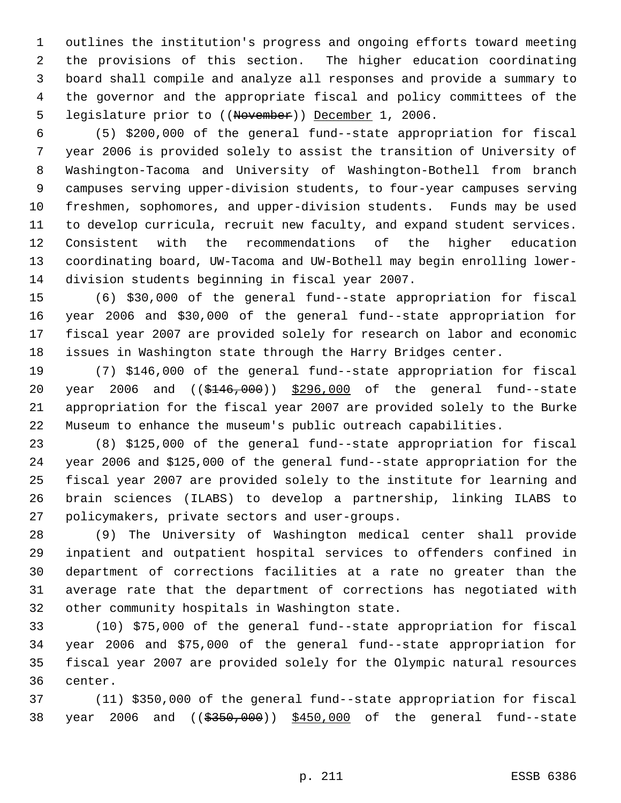outlines the institution's progress and ongoing efforts toward meeting the provisions of this section. The higher education coordinating board shall compile and analyze all responses and provide a summary to the governor and the appropriate fiscal and policy committees of the 5 legislature prior to ((November)) December 1, 2006.

 (5) \$200,000 of the general fund--state appropriation for fiscal year 2006 is provided solely to assist the transition of University of Washington-Tacoma and University of Washington-Bothell from branch campuses serving upper-division students, to four-year campuses serving freshmen, sophomores, and upper-division students. Funds may be used to develop curricula, recruit new faculty, and expand student services. Consistent with the recommendations of the higher education coordinating board, UW-Tacoma and UW-Bothell may begin enrolling lower-division students beginning in fiscal year 2007.

 (6) \$30,000 of the general fund--state appropriation for fiscal year 2006 and \$30,000 of the general fund--state appropriation for fiscal year 2007 are provided solely for research on labor and economic issues in Washington state through the Harry Bridges center.

 (7) \$146,000 of the general fund--state appropriation for fiscal 20 year 2006 and ((\$146,000)) \$296,000 of the general fund--state appropriation for the fiscal year 2007 are provided solely to the Burke Museum to enhance the museum's public outreach capabilities.

 (8) \$125,000 of the general fund--state appropriation for fiscal year 2006 and \$125,000 of the general fund--state appropriation for the fiscal year 2007 are provided solely to the institute for learning and brain sciences (ILABS) to develop a partnership, linking ILABS to policymakers, private sectors and user-groups.

 (9) The University of Washington medical center shall provide inpatient and outpatient hospital services to offenders confined in department of corrections facilities at a rate no greater than the average rate that the department of corrections has negotiated with other community hospitals in Washington state.

 (10) \$75,000 of the general fund--state appropriation for fiscal year 2006 and \$75,000 of the general fund--state appropriation for fiscal year 2007 are provided solely for the Olympic natural resources center.

 (11) \$350,000 of the general fund--state appropriation for fiscal 38 year 2006 and ((\$350,000)) \$450,000 of the general fund--state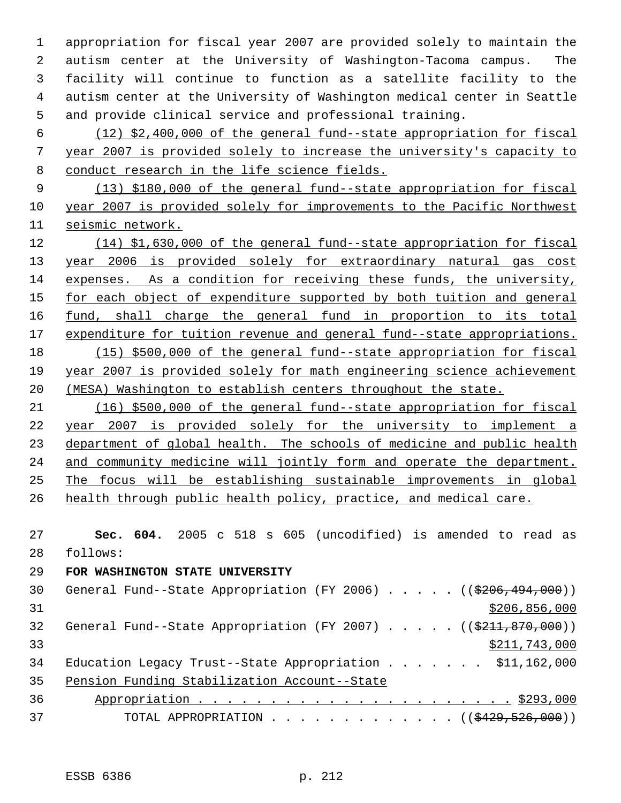appropriation for fiscal year 2007 are provided solely to maintain the autism center at the University of Washington-Tacoma campus. The facility will continue to function as a satellite facility to the autism center at the University of Washington medical center in Seattle and provide clinical service and professional training.

 (12) \$2,400,000 of the general fund--state appropriation for fiscal year 2007 is provided solely to increase the university's capacity to conduct research in the life science fields.

 (13) \$180,000 of the general fund--state appropriation for fiscal year 2007 is provided solely for improvements to the Pacific Northwest seismic network.

 (14) \$1,630,000 of the general fund--state appropriation for fiscal year 2006 is provided solely for extraordinary natural gas cost expenses. As a condition for receiving these funds, the university, 15 for each object of expenditure supported by both tuition and general 16 fund, shall charge the general fund in proportion to its total 17 expenditure for tuition revenue and general fund--state appropriations. (15) \$500,000 of the general fund--state appropriation for fiscal year 2007 is provided solely for math engineering science achievement (MESA) Washington to establish centers throughout the state.

 (16) \$500,000 of the general fund--state appropriation for fiscal year 2007 is provided solely for the university to implement a 23 department of global health. The schools of medicine and public health 24 and community medicine will jointly form and operate the department. The focus will be establishing sustainable improvements in global 26 health through public health policy, practice, and medical care.

 **Sec. 604.** 2005 c 518 s 605 (uncodified) is amended to read as follows:

# **FOR WASHINGTON STATE UNIVERSITY**

| General Fund--State Appropriation (FY 2006) $($ (\$206,494,000))         |
|--------------------------------------------------------------------------|
| \$206,856,000                                                            |
| General Fund--State Appropriation (FY 2007) $($ $($ \$211,870,000))      |
| \$211,743,000                                                            |
| Education Legacy Trust--State Appropriation \$11,162,000                 |
| Pension Funding Stabilization Account--State                             |
|                                                                          |
| TOTAL APPROPRIATION $\ldots$ , ( $(\frac{2429}{520}, \frac{526}{500})$ ) |
|                                                                          |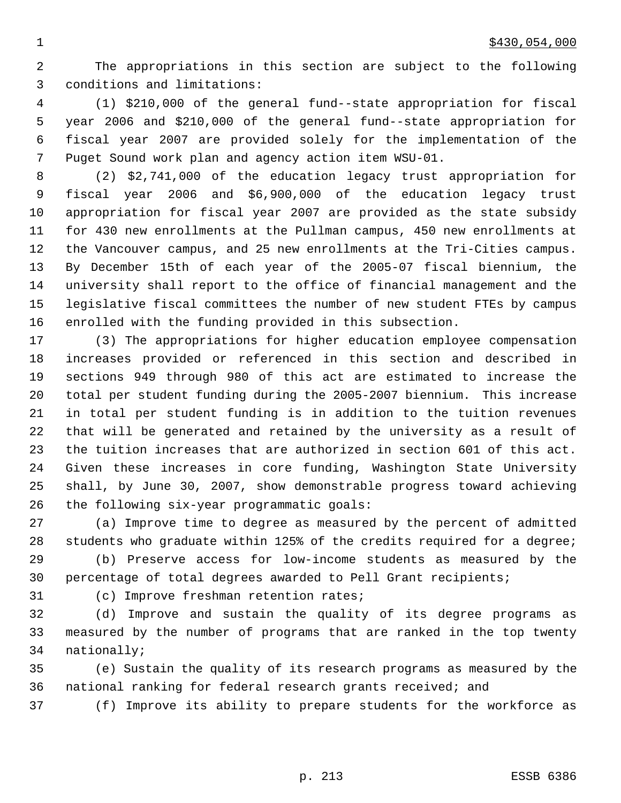The appropriations in this section are subject to the following conditions and limitations:

 (1) \$210,000 of the general fund--state appropriation for fiscal year 2006 and \$210,000 of the general fund--state appropriation for fiscal year 2007 are provided solely for the implementation of the Puget Sound work plan and agency action item WSU-01.

 (2) \$2,741,000 of the education legacy trust appropriation for fiscal year 2006 and \$6,900,000 of the education legacy trust appropriation for fiscal year 2007 are provided as the state subsidy for 430 new enrollments at the Pullman campus, 450 new enrollments at the Vancouver campus, and 25 new enrollments at the Tri-Cities campus. By December 15th of each year of the 2005-07 fiscal biennium, the university shall report to the office of financial management and the legislative fiscal committees the number of new student FTEs by campus enrolled with the funding provided in this subsection.

 (3) The appropriations for higher education employee compensation increases provided or referenced in this section and described in sections 949 through 980 of this act are estimated to increase the total per student funding during the 2005-2007 biennium. This increase in total per student funding is in addition to the tuition revenues that will be generated and retained by the university as a result of the tuition increases that are authorized in section 601 of this act. Given these increases in core funding, Washington State University shall, by June 30, 2007, show demonstrable progress toward achieving the following six-year programmatic goals:

 (a) Improve time to degree as measured by the percent of admitted students who graduate within 125% of the credits required for a degree;

 (b) Preserve access for low-income students as measured by the percentage of total degrees awarded to Pell Grant recipients;

(c) Improve freshman retention rates;

 (d) Improve and sustain the quality of its degree programs as measured by the number of programs that are ranked in the top twenty nationally;

 (e) Sustain the quality of its research programs as measured by the national ranking for federal research grants received; and

(f) Improve its ability to prepare students for the workforce as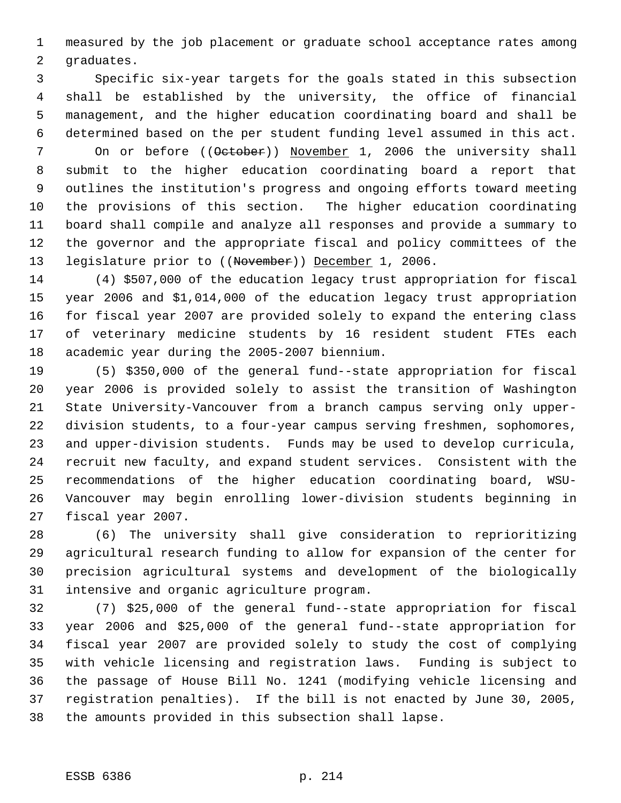measured by the job placement or graduate school acceptance rates among graduates.

 Specific six-year targets for the goals stated in this subsection shall be established by the university, the office of financial management, and the higher education coordinating board and shall be determined based on the per student funding level assumed in this act. 7 On or before ((October)) November 1, 2006 the university shall submit to the higher education coordinating board a report that outlines the institution's progress and ongoing efforts toward meeting the provisions of this section. The higher education coordinating board shall compile and analyze all responses and provide a summary to the governor and the appropriate fiscal and policy committees of the 13 legislature prior to ((November)) December 1, 2006.

 (4) \$507,000 of the education legacy trust appropriation for fiscal year 2006 and \$1,014,000 of the education legacy trust appropriation for fiscal year 2007 are provided solely to expand the entering class of veterinary medicine students by 16 resident student FTEs each academic year during the 2005-2007 biennium.

 (5) \$350,000 of the general fund--state appropriation for fiscal year 2006 is provided solely to assist the transition of Washington State University-Vancouver from a branch campus serving only upper- division students, to a four-year campus serving freshmen, sophomores, and upper-division students. Funds may be used to develop curricula, recruit new faculty, and expand student services. Consistent with the recommendations of the higher education coordinating board, WSU- Vancouver may begin enrolling lower-division students beginning in fiscal year 2007.

 (6) The university shall give consideration to reprioritizing agricultural research funding to allow for expansion of the center for precision agricultural systems and development of the biologically intensive and organic agriculture program.

 (7) \$25,000 of the general fund--state appropriation for fiscal year 2006 and \$25,000 of the general fund--state appropriation for fiscal year 2007 are provided solely to study the cost of complying with vehicle licensing and registration laws. Funding is subject to the passage of House Bill No. 1241 (modifying vehicle licensing and registration penalties). If the bill is not enacted by June 30, 2005, the amounts provided in this subsection shall lapse.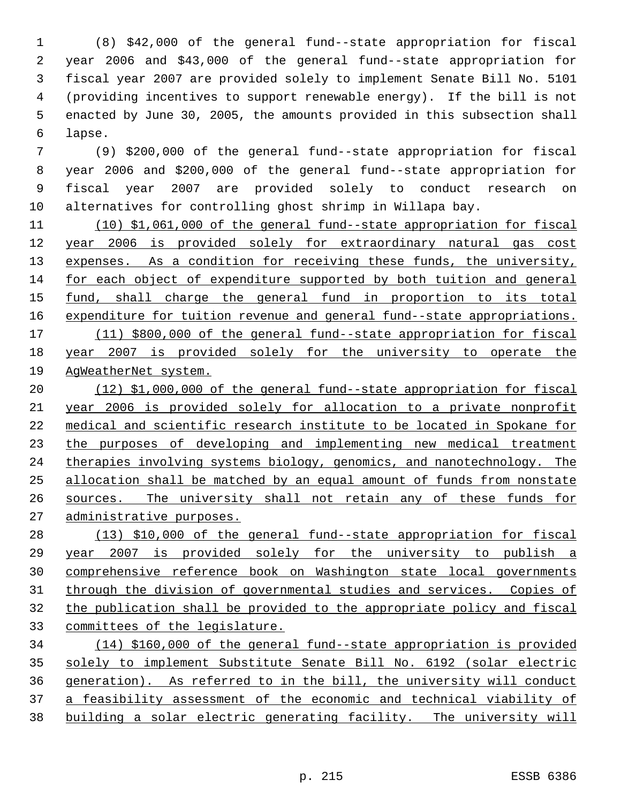(8) \$42,000 of the general fund--state appropriation for fiscal year 2006 and \$43,000 of the general fund--state appropriation for fiscal year 2007 are provided solely to implement Senate Bill No. 5101 (providing incentives to support renewable energy). If the bill is not enacted by June 30, 2005, the amounts provided in this subsection shall lapse.

 (9) \$200,000 of the general fund--state appropriation for fiscal year 2006 and \$200,000 of the general fund--state appropriation for fiscal year 2007 are provided solely to conduct research on alternatives for controlling ghost shrimp in Willapa bay.

 (10) \$1,061,000 of the general fund--state appropriation for fiscal year 2006 is provided solely for extraordinary natural gas cost 13 expenses. As a condition for receiving these funds, the university, for each object of expenditure supported by both tuition and general 15 fund, shall charge the general fund in proportion to its total 16 expenditure for tuition revenue and general fund--state appropriations. (11) \$800,000 of the general fund--state appropriation for fiscal year 2007 is provided solely for the university to operate the AgWeatherNet system.

 (12) \$1,000,000 of the general fund--state appropriation for fiscal year 2006 is provided solely for allocation to a private nonprofit medical and scientific research institute to be located in Spokane for 23 the purposes of developing and implementing new medical treatment therapies involving systems biology, genomics, and nanotechnology. The allocation shall be matched by an equal amount of funds from nonstate sources. The university shall not retain any of these funds for administrative purposes.

 (13) \$10,000 of the general fund--state appropriation for fiscal year 2007 is provided solely for the university to publish a comprehensive reference book on Washington state local governments through the division of governmental studies and services. Copies of the publication shall be provided to the appropriate policy and fiscal committees of the legislature.

 (14) \$160,000 of the general fund--state appropriation is provided solely to implement Substitute Senate Bill No. 6192 (solar electric generation). As referred to in the bill, the university will conduct a feasibility assessment of the economic and technical viability of building a solar electric generating facility. The university will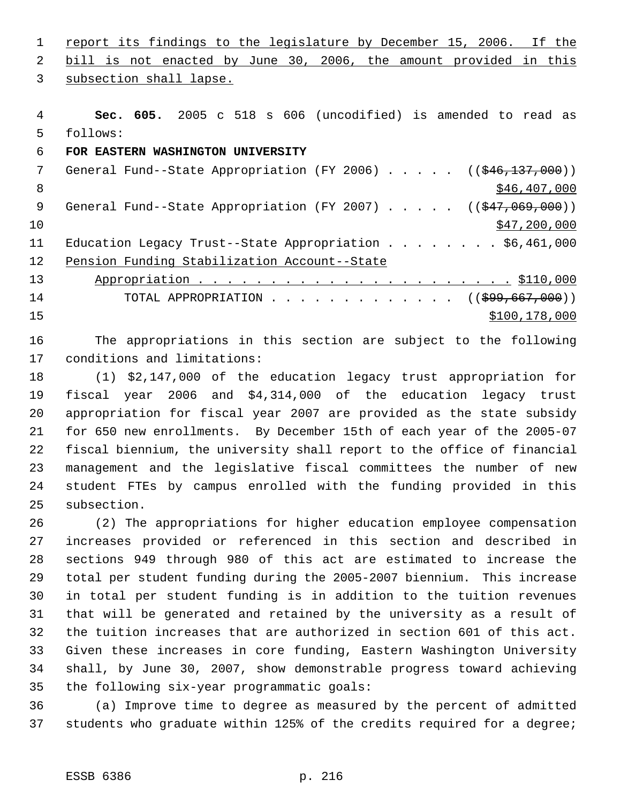1 report its findings to the legislature by December 15, 2006. If the bill is not enacted by June 30, 2006, the amount provided in this

subsection shall lapse.

 **Sec. 605.** 2005 c 518 s 606 (uncodified) is amended to read as follows:

## **FOR EASTERN WASHINGTON UNIVERSITY**

7 General Fund--State Appropriation (FY 2006) . . . . . ((\$46,137,000))  $8 \div 846,407,000$ 9 General Fund--State Appropriation (FY 2007) . . . . . ((\$47,069,000))  $\frac{10}{347}$ , 200,000 Education Legacy Trust--State Appropriation . . . . . . . . \$6,461,000 Pension Funding Stabilization Account--State Appropriation . . . . . . . . . . . . . . . . . . . . . . \$110,000 14 TOTAL APPROPRIATION . . . . . . . . . . . . ((<del>\$99,667,000</del>)) \$100,178,000

 The appropriations in this section are subject to the following conditions and limitations:

 (1) \$2,147,000 of the education legacy trust appropriation for fiscal year 2006 and \$4,314,000 of the education legacy trust appropriation for fiscal year 2007 are provided as the state subsidy for 650 new enrollments. By December 15th of each year of the 2005-07 fiscal biennium, the university shall report to the office of financial management and the legislative fiscal committees the number of new student FTEs by campus enrolled with the funding provided in this subsection.

 (2) The appropriations for higher education employee compensation increases provided or referenced in this section and described in sections 949 through 980 of this act are estimated to increase the total per student funding during the 2005-2007 biennium. This increase in total per student funding is in addition to the tuition revenues that will be generated and retained by the university as a result of the tuition increases that are authorized in section 601 of this act. Given these increases in core funding, Eastern Washington University shall, by June 30, 2007, show demonstrable progress toward achieving the following six-year programmatic goals:

 (a) Improve time to degree as measured by the percent of admitted students who graduate within 125% of the credits required for a degree;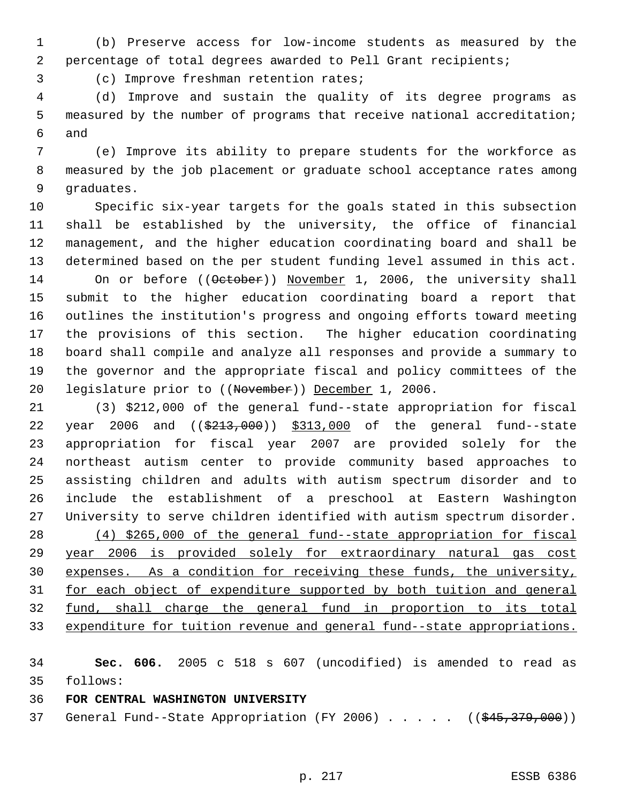(b) Preserve access for low-income students as measured by the percentage of total degrees awarded to Pell Grant recipients;

(c) Improve freshman retention rates;

 (d) Improve and sustain the quality of its degree programs as measured by the number of programs that receive national accreditation; and

 (e) Improve its ability to prepare students for the workforce as measured by the job placement or graduate school acceptance rates among graduates.

 Specific six-year targets for the goals stated in this subsection shall be established by the university, the office of financial management, and the higher education coordinating board and shall be determined based on the per student funding level assumed in this act. 14 On or before ((October)) November 1, 2006, the university shall submit to the higher education coordinating board a report that outlines the institution's progress and ongoing efforts toward meeting the provisions of this section. The higher education coordinating board shall compile and analyze all responses and provide a summary to the governor and the appropriate fiscal and policy committees of the legislature prior to ((November)) December 1, 2006.

 (3) \$212,000 of the general fund--state appropriation for fiscal 22 year 2006 and ((\$213,000)) \$313,000 of the general fund--state appropriation for fiscal year 2007 are provided solely for the northeast autism center to provide community based approaches to assisting children and adults with autism spectrum disorder and to include the establishment of a preschool at Eastern Washington University to serve children identified with autism spectrum disorder. (4) \$265,000 of the general fund--state appropriation for fiscal year 2006 is provided solely for extraordinary natural gas cost expenses. As a condition for receiving these funds, the university, for each object of expenditure supported by both tuition and general fund, shall charge the general fund in proportion to its total expenditure for tuition revenue and general fund--state appropriations.

 **Sec. 606.** 2005 c 518 s 607 (uncodified) is amended to read as follows:

**FOR CENTRAL WASHINGTON UNIVERSITY** 

37 General Fund--State Appropriation (FY 2006) . . . . . ((\$45,379,000))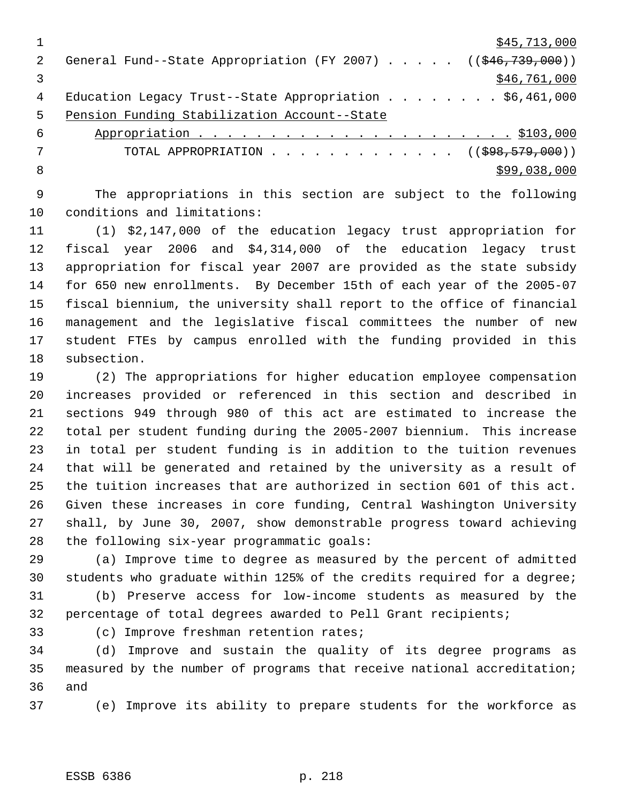|    | \$45,713,000                                                           |
|----|------------------------------------------------------------------------|
|    | General Fund--State Appropriation (FY 2007) $($ $($ $$46, 739, 000)$ ) |
|    | \$46,761,000                                                           |
| 4  | Education Legacy Trust--State Appropriation \$6,461,000                |
| .5 | Pension Funding Stabilization Account--State                           |
| 6  |                                                                        |
|    | TOTAL APPROPRIATION ( $(\$98, 579, 000)$ )                             |

 $8 \times 99,038,000$ 

 The appropriations in this section are subject to the following conditions and limitations:

 (1) \$2,147,000 of the education legacy trust appropriation for fiscal year 2006 and \$4,314,000 of the education legacy trust appropriation for fiscal year 2007 are provided as the state subsidy for 650 new enrollments. By December 15th of each year of the 2005-07 fiscal biennium, the university shall report to the office of financial management and the legislative fiscal committees the number of new student FTEs by campus enrolled with the funding provided in this subsection.

 (2) The appropriations for higher education employee compensation increases provided or referenced in this section and described in sections 949 through 980 of this act are estimated to increase the total per student funding during the 2005-2007 biennium. This increase in total per student funding is in addition to the tuition revenues that will be generated and retained by the university as a result of the tuition increases that are authorized in section 601 of this act. Given these increases in core funding, Central Washington University shall, by June 30, 2007, show demonstrable progress toward achieving the following six-year programmatic goals:

 (a) Improve time to degree as measured by the percent of admitted students who graduate within 125% of the credits required for a degree;

 (b) Preserve access for low-income students as measured by the percentage of total degrees awarded to Pell Grant recipients;

(c) Improve freshman retention rates;

 (d) Improve and sustain the quality of its degree programs as measured by the number of programs that receive national accreditation; and

(e) Improve its ability to prepare students for the workforce as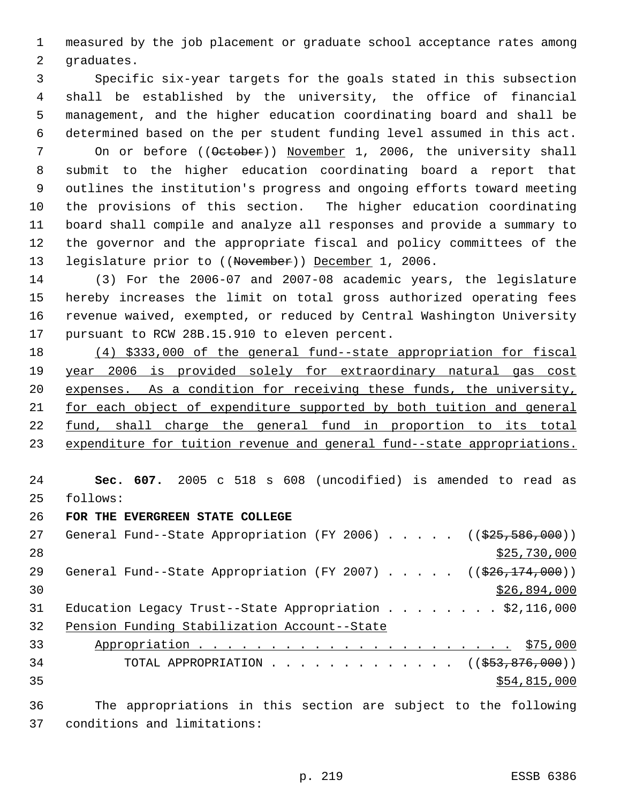measured by the job placement or graduate school acceptance rates among graduates.

 Specific six-year targets for the goals stated in this subsection shall be established by the university, the office of financial management, and the higher education coordinating board and shall be determined based on the per student funding level assumed in this act. 7 On or before ((October)) November 1, 2006, the university shall submit to the higher education coordinating board a report that outlines the institution's progress and ongoing efforts toward meeting the provisions of this section. The higher education coordinating board shall compile and analyze all responses and provide a summary to the governor and the appropriate fiscal and policy committees of the 13 legislature prior to ((November)) December 1, 2006.

 (3) For the 2006-07 and 2007-08 academic years, the legislature hereby increases the limit on total gross authorized operating fees revenue waived, exempted, or reduced by Central Washington University pursuant to RCW 28B.15.910 to eleven percent.

 (4) \$333,000 of the general fund--state appropriation for fiscal year 2006 is provided solely for extraordinary natural gas cost expenses. As a condition for receiving these funds, the university, for each object of expenditure supported by both tuition and general fund, shall charge the general fund in proportion to its total 23 expenditure for tuition revenue and general fund--state appropriations.

 **Sec. 607.** 2005 c 518 s 608 (uncodified) is amended to read as follows:

**FOR THE EVERGREEN STATE COLLEGE** 

| 27 | General Fund--State Appropriation (FY 2006) $($ $($ $\frac{255}{500})$                                          |
|----|-----------------------------------------------------------------------------------------------------------------|
| 28 | \$25,730,000                                                                                                    |
| 29 | General Fund--State Appropriation (FY 2007) $($ $($ $\frac{26}{7174}$ , 000))                                   |
| 30 | \$26,894,000                                                                                                    |
| 31 | Education Legacy Trust--State Appropriation \$2,116,000                                                         |
| 32 | Pension Funding Stabilization Account--State                                                                    |
| 33 |                                                                                                                 |
| 34 | TOTAL APPROPRIATION $\ldots$ , ( $(\frac{253}{53}, \frac{876}{600})$ )                                          |
| 35 | \$54,815,000                                                                                                    |
|    | the contract of the contract of the contract of the contract of the contract of the contract of the contract of |

 The appropriations in this section are subject to the following conditions and limitations: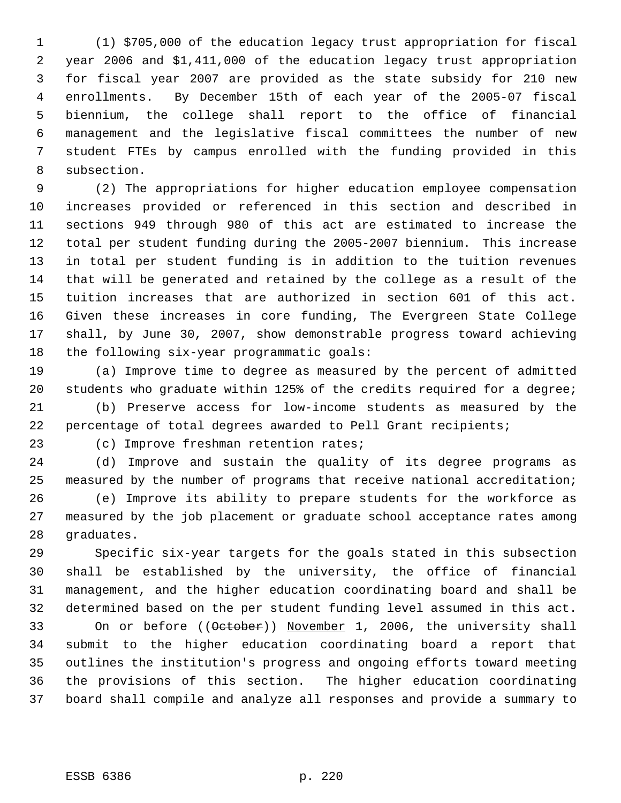(1) \$705,000 of the education legacy trust appropriation for fiscal year 2006 and \$1,411,000 of the education legacy trust appropriation for fiscal year 2007 are provided as the state subsidy for 210 new enrollments. By December 15th of each year of the 2005-07 fiscal biennium, the college shall report to the office of financial management and the legislative fiscal committees the number of new student FTEs by campus enrolled with the funding provided in this subsection.

 (2) The appropriations for higher education employee compensation increases provided or referenced in this section and described in sections 949 through 980 of this act are estimated to increase the total per student funding during the 2005-2007 biennium. This increase in total per student funding is in addition to the tuition revenues that will be generated and retained by the college as a result of the tuition increases that are authorized in section 601 of this act. Given these increases in core funding, The Evergreen State College shall, by June 30, 2007, show demonstrable progress toward achieving the following six-year programmatic goals:

 (a) Improve time to degree as measured by the percent of admitted students who graduate within 125% of the credits required for a degree;

 (b) Preserve access for low-income students as measured by the percentage of total degrees awarded to Pell Grant recipients;

(c) Improve freshman retention rates;

 (d) Improve and sustain the quality of its degree programs as measured by the number of programs that receive national accreditation; (e) Improve its ability to prepare students for the workforce as measured by the job placement or graduate school acceptance rates among graduates.

 Specific six-year targets for the goals stated in this subsection shall be established by the university, the office of financial management, and the higher education coordinating board and shall be determined based on the per student funding level assumed in this act.

33 On or before ((October)) November 1, 2006, the university shall submit to the higher education coordinating board a report that outlines the institution's progress and ongoing efforts toward meeting the provisions of this section. The higher education coordinating board shall compile and analyze all responses and provide a summary to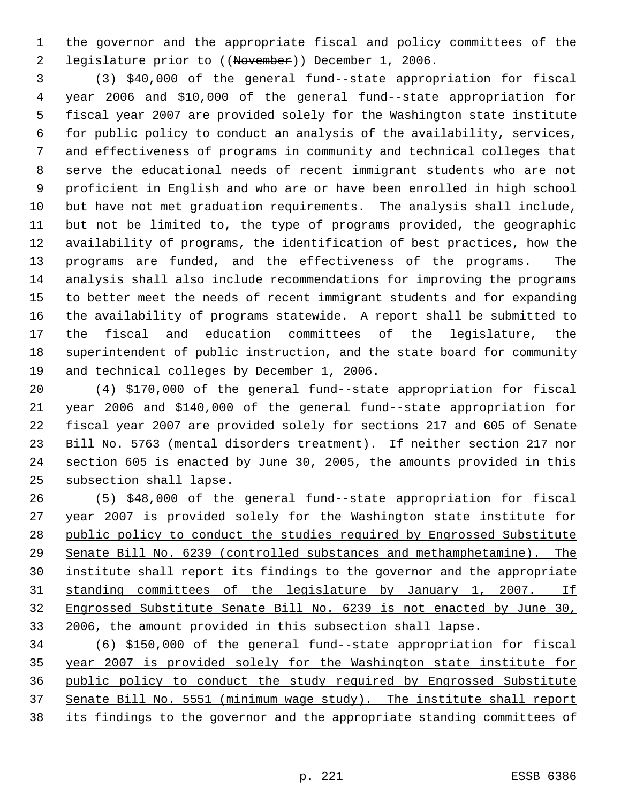the governor and the appropriate fiscal and policy committees of the legislature prior to ((November)) December 1, 2006.

 (3) \$40,000 of the general fund--state appropriation for fiscal year 2006 and \$10,000 of the general fund--state appropriation for fiscal year 2007 are provided solely for the Washington state institute for public policy to conduct an analysis of the availability, services, and effectiveness of programs in community and technical colleges that serve the educational needs of recent immigrant students who are not proficient in English and who are or have been enrolled in high school but have not met graduation requirements. The analysis shall include, but not be limited to, the type of programs provided, the geographic availability of programs, the identification of best practices, how the programs are funded, and the effectiveness of the programs. The analysis shall also include recommendations for improving the programs to better meet the needs of recent immigrant students and for expanding the availability of programs statewide. A report shall be submitted to the fiscal and education committees of the legislature, the superintendent of public instruction, and the state board for community and technical colleges by December 1, 2006.

 (4) \$170,000 of the general fund--state appropriation for fiscal year 2006 and \$140,000 of the general fund--state appropriation for fiscal year 2007 are provided solely for sections 217 and 605 of Senate Bill No. 5763 (mental disorders treatment). If neither section 217 nor section 605 is enacted by June 30, 2005, the amounts provided in this subsection shall lapse.

 (5) \$48,000 of the general fund--state appropriation for fiscal year 2007 is provided solely for the Washington state institute for public policy to conduct the studies required by Engrossed Substitute Senate Bill No. 6239 (controlled substances and methamphetamine). The institute shall report its findings to the governor and the appropriate standing committees of the legislature by January 1, 2007. If Engrossed Substitute Senate Bill No. 6239 is not enacted by June 30, 2006, the amount provided in this subsection shall lapse.

 (6) \$150,000 of the general fund--state appropriation for fiscal year 2007 is provided solely for the Washington state institute for public policy to conduct the study required by Engrossed Substitute Senate Bill No. 5551 (minimum wage study). The institute shall report its findings to the governor and the appropriate standing committees of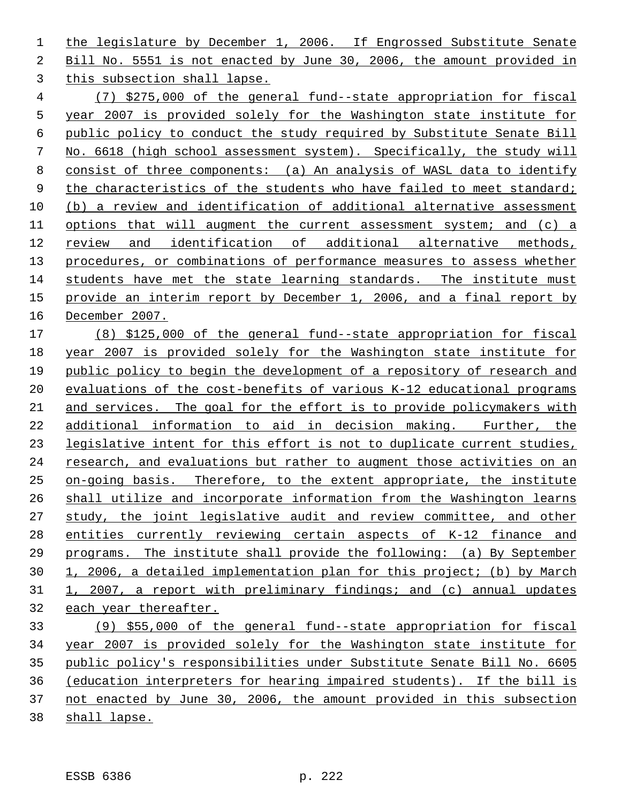1 the legislature by December 1, 2006. If Engrossed Substitute Senate Bill No. 5551 is not enacted by June 30, 2006, the amount provided in this subsection shall lapse.

 (7) \$275,000 of the general fund--state appropriation for fiscal year 2007 is provided solely for the Washington state institute for public policy to conduct the study required by Substitute Senate Bill No. 6618 (high school assessment system). Specifically, the study will consist of three components: (a) An analysis of WASL data to identify 9 the characteristics of the students who have failed to meet standard; (b) a review and identification of additional alternative assessment 11 options that will augment the current assessment system; and (c) a review and identification of additional alternative methods, procedures, or combinations of performance measures to assess whether students have met the state learning standards. The institute must provide an interim report by December 1, 2006, and a final report by December 2007.

 (8) \$125,000 of the general fund--state appropriation for fiscal year 2007 is provided solely for the Washington state institute for public policy to begin the development of a repository of research and evaluations of the cost-benefits of various K-12 educational programs and services. The goal for the effort is to provide policymakers with additional information to aid in decision making. Further, the legislative intent for this effort is not to duplicate current studies, research, and evaluations but rather to augment those activities on an on-going basis. Therefore, to the extent appropriate, the institute shall utilize and incorporate information from the Washington learns study, the joint legislative audit and review committee, and other entities currently reviewing certain aspects of K-12 finance and programs. The institute shall provide the following: (a) By September 1, 2006, a detailed implementation plan for this project; (b) by March 1, 2007, a report with preliminary findings; and (c) annual updates each year thereafter.

 (9) \$55,000 of the general fund--state appropriation for fiscal year 2007 is provided solely for the Washington state institute for public policy's responsibilities under Substitute Senate Bill No. 6605 (education interpreters for hearing impaired students). If the bill is not enacted by June 30, 2006, the amount provided in this subsection shall lapse.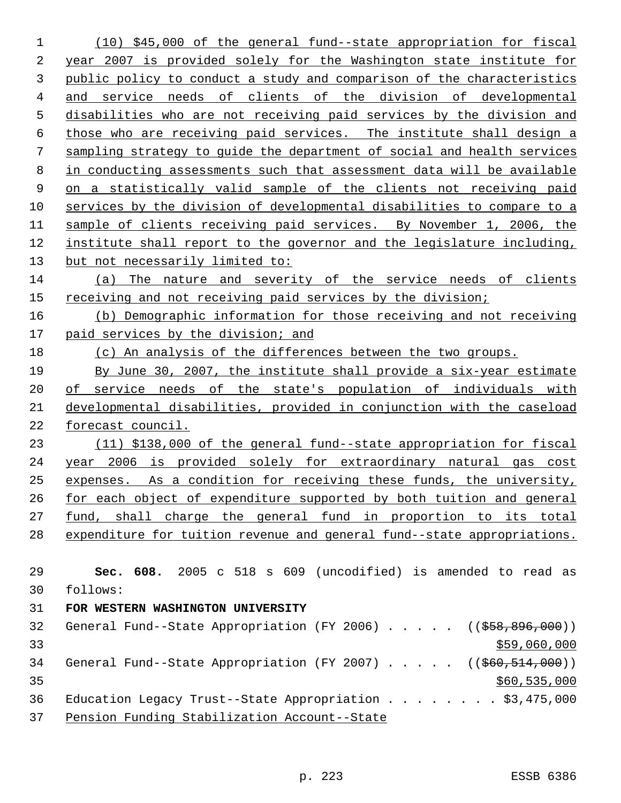(10) \$45,000 of the general fund--state appropriation for fiscal year 2007 is provided solely for the Washington state institute for public policy to conduct a study and comparison of the characteristics and service needs of clients of the division of developmental disabilities who are not receiving paid services by the division and those who are receiving paid services. The institute shall design a sampling strategy to guide the department of social and health services in conducting assessments such that assessment data will be available on a statistically valid sample of the clients not receiving paid services by the division of developmental disabilities to compare to a sample of clients receiving paid services. By November 1, 2006, the institute shall report to the governor and the legislature including, 13 but not necessarily limited to: (a) The nature and severity of the service needs of clients receiving and not receiving paid services by the division; (b) Demographic information for those receiving and not receiving 17 paid services by the division; and 18 (c) An analysis of the differences between the two groups. By June 30, 2007, the institute shall provide a six-year estimate of service needs of the state's population of individuals with developmental disabilities, provided in conjunction with the caseload forecast council. (11) \$138,000 of the general fund--state appropriation for fiscal year 2006 is provided solely for extraordinary natural gas cost expenses. As a condition for receiving these funds, the university, for each object of expenditure supported by both tuition and general fund, shall charge the general fund in proportion to its total expenditure for tuition revenue and general fund--state appropriations. **Sec. 608.** 2005 c 518 s 609 (uncodified) is amended to read as follows: **FOR WESTERN WASHINGTON UNIVERSITY**  32 General Fund--State Appropriation (FY 2006) . . . . . ((\$58,896,000)) \$59,060,000 \$59,060,000 \$59,060,000 \$59,060,000 \$59,060,000 \$59,060,000 \$59,060,000 \$59,060,000 \$59,000 \$1,000 \$1,000 \$1,000 \$1,000 \$1,000 \$1,000 \$1,000 \$1,000 \$1,000 \$1,000 \$1,000 \$1,000 \$1,000 \$1,000 \$1,000 \$1,000 34 General Fund--State Appropriation (FY 2007) . . . . . ((\$60,514,000)) \$60,535,000 36 Education Legacy Trust--State Appropriation . . . . . . . \$3,475,000 Pension Funding Stabilization Account--State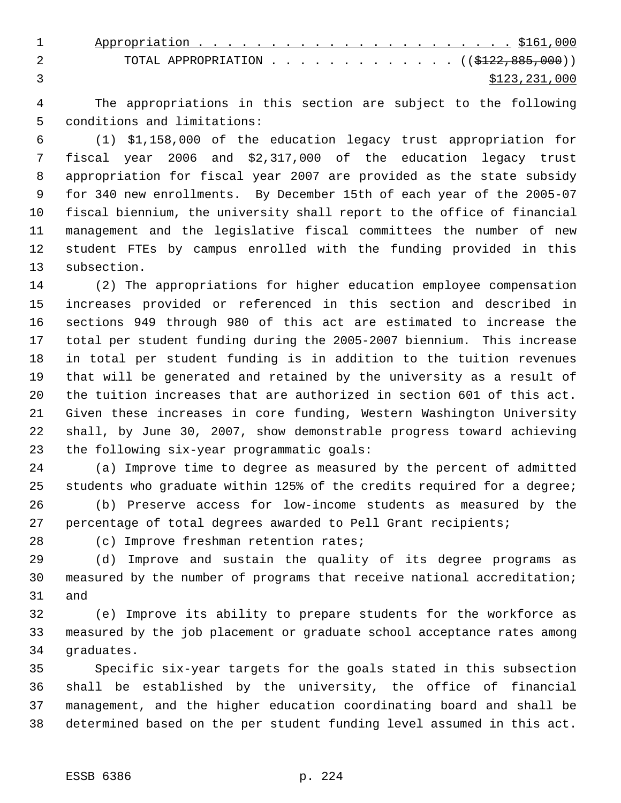| TOTAL APPROPRIATION ( $(\frac{122}{122}, \frac{885}{100})$ ) |
|--------------------------------------------------------------|
| \$123,231,000                                                |

 The appropriations in this section are subject to the following conditions and limitations:

 (1) \$1,158,000 of the education legacy trust appropriation for fiscal year 2006 and \$2,317,000 of the education legacy trust appropriation for fiscal year 2007 are provided as the state subsidy for 340 new enrollments. By December 15th of each year of the 2005-07 fiscal biennium, the university shall report to the office of financial management and the legislative fiscal committees the number of new student FTEs by campus enrolled with the funding provided in this subsection.

 (2) The appropriations for higher education employee compensation increases provided or referenced in this section and described in sections 949 through 980 of this act are estimated to increase the total per student funding during the 2005-2007 biennium. This increase in total per student funding is in addition to the tuition revenues that will be generated and retained by the university as a result of the tuition increases that are authorized in section 601 of this act. Given these increases in core funding, Western Washington University shall, by June 30, 2007, show demonstrable progress toward achieving the following six-year programmatic goals:

 (a) Improve time to degree as measured by the percent of admitted students who graduate within 125% of the credits required for a degree;

 (b) Preserve access for low-income students as measured by the percentage of total degrees awarded to Pell Grant recipients;

(c) Improve freshman retention rates;

 (d) Improve and sustain the quality of its degree programs as measured by the number of programs that receive national accreditation; and

 (e) Improve its ability to prepare students for the workforce as measured by the job placement or graduate school acceptance rates among graduates.

 Specific six-year targets for the goals stated in this subsection shall be established by the university, the office of financial management, and the higher education coordinating board and shall be determined based on the per student funding level assumed in this act.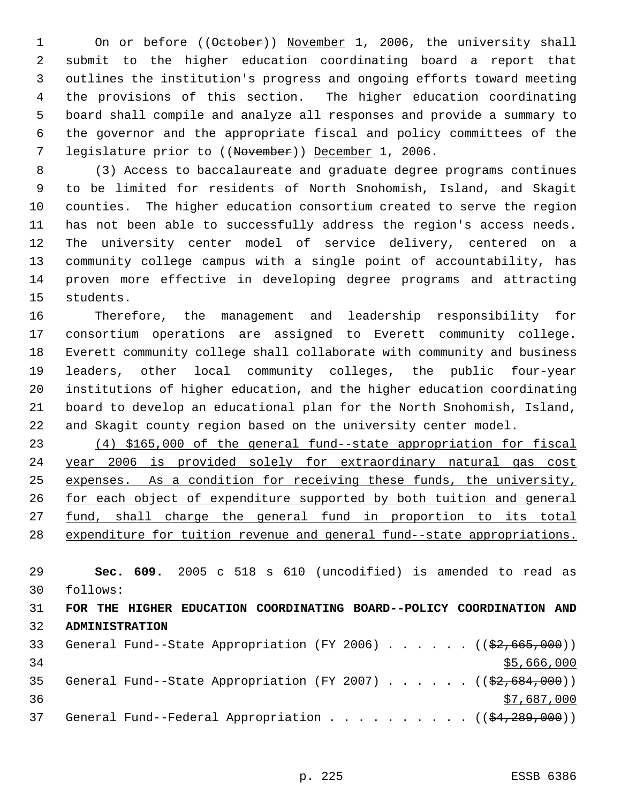1 On or before ((October)) November 1, 2006, the university shall submit to the higher education coordinating board a report that outlines the institution's progress and ongoing efforts toward meeting the provisions of this section. The higher education coordinating board shall compile and analyze all responses and provide a summary to the governor and the appropriate fiscal and policy committees of the 7 legislature prior to ((November)) December 1, 2006.

 (3) Access to baccalaureate and graduate degree programs continues to be limited for residents of North Snohomish, Island, and Skagit counties. The higher education consortium created to serve the region has not been able to successfully address the region's access needs. The university center model of service delivery, centered on a community college campus with a single point of accountability, has proven more effective in developing degree programs and attracting students.

 Therefore, the management and leadership responsibility for consortium operations are assigned to Everett community college. Everett community college shall collaborate with community and business leaders, other local community colleges, the public four-year institutions of higher education, and the higher education coordinating board to develop an educational plan for the North Snohomish, Island, and Skagit county region based on the university center model.

 (4) \$165,000 of the general fund--state appropriation for fiscal year 2006 is provided solely for extraordinary natural gas cost expenses. As a condition for receiving these funds, the university, 26 for each object of expenditure supported by both tuition and general 27 <u>fund, shall charge the general fund in proportion to its total</u> expenditure for tuition revenue and general fund--state appropriations.

 **Sec. 609.** 2005 c 518 s 610 (uncodified) is amended to read as follows: **FOR THE HIGHER EDUCATION COORDINATING BOARD--POLICY COORDINATION AND ADMINISTRATION**  33 General Fund--State Appropriation (FY 2006) . . . . . . ((\$2,665,000)) 34 \$5,666,000 35 General Fund--State Appropriation (FY 2007)  $\ldots$  . . . . ((\$2,684,000))

  $\frac{$7,687,000}{2}$ 37 General Fund--Federal Appropriation . . . . . . . . . ( $(\frac{24}{289},000)$ )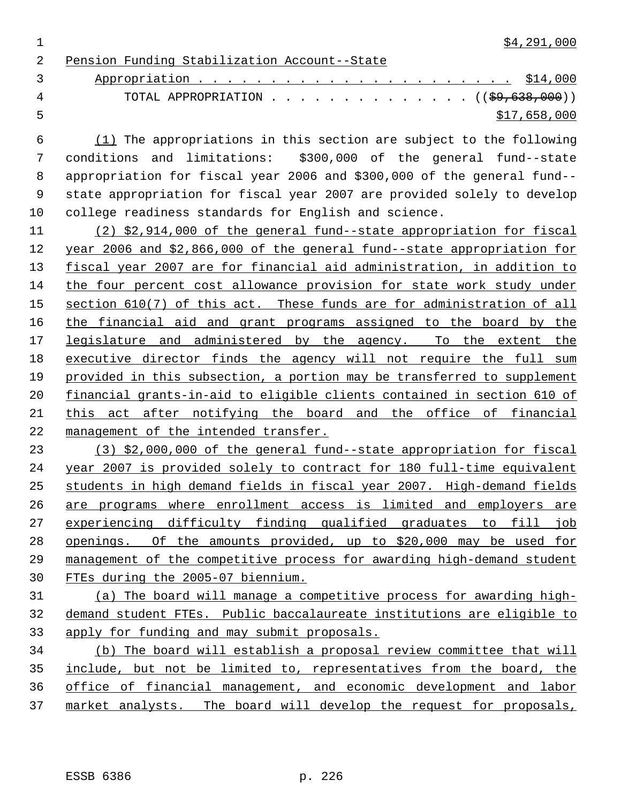$\frac{1}{2}$  \$4,291,000

Pension Funding Stabilization Account--State

 Appropriation . . . . . . . . . . . . . . . . . . . . . . \$14,000 4 TOTAL APPROPRIATION . . . . . . . . . . . . . ((<del>\$9,638,000</del>))  $5 - 5$  \$17,658,000

 (1) The appropriations in this section are subject to the following conditions and limitations: \$300,000 of the general fund--state appropriation for fiscal year 2006 and \$300,000 of the general fund-- state appropriation for fiscal year 2007 are provided solely to develop college readiness standards for English and science.

 (2) \$2,914,000 of the general fund--state appropriation for fiscal year 2006 and \$2,866,000 of the general fund--state appropriation for fiscal year 2007 are for financial aid administration, in addition to the four percent cost allowance provision for state work study under 15 section 610(7) of this act. These funds are for administration of all the financial aid and grant programs assigned to the board by the 17 legislature and administered by the agency. To the extent the executive director finds the agency will not require the full sum provided in this subsection, a portion may be transferred to supplement financial grants-in-aid to eligible clients contained in section 610 of 21 this act after notifying the board and the office of financial management of the intended transfer.

 (3) \$2,000,000 of the general fund--state appropriation for fiscal year 2007 is provided solely to contract for 180 full-time equivalent students in high demand fields in fiscal year 2007. High-demand fields are programs where enrollment access is limited and employers are experiencing difficulty finding qualified graduates to fill job openings. Of the amounts provided, up to \$20,000 may be used for management of the competitive process for awarding high-demand student FTEs during the 2005-07 biennium.

 (a) The board will manage a competitive process for awarding high- demand student FTEs. Public baccalaureate institutions are eligible to apply for funding and may submit proposals.

 (b) The board will establish a proposal review committee that will include, but not be limited to, representatives from the board, the office of financial management, and economic development and labor market analysts. The board will develop the request for proposals,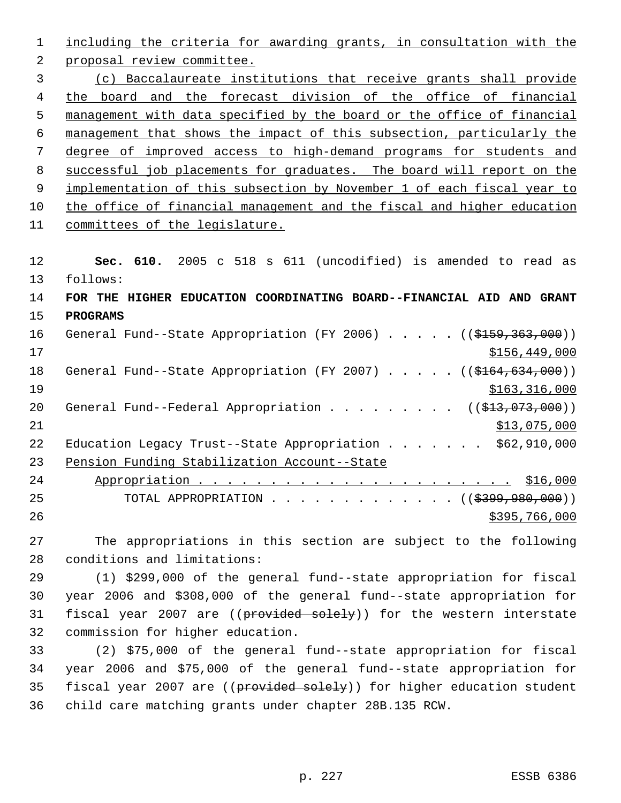including the criteria for awarding grants, in consultation with the proposal review committee. (c) Baccalaureate institutions that receive grants shall provide the board and the forecast division of the office of financial management with data specified by the board or the office of financial management that shows the impact of this subsection, particularly the degree of improved access to high-demand programs for students and successful job placements for graduates. The board will report on the 9 implementation of this subsection by November 1 of each fiscal year to the office of financial management and the fiscal and higher education committees of the legislature. **Sec. 610.** 2005 c 518 s 611 (uncodified) is amended to read as follows: **FOR THE HIGHER EDUCATION COORDINATING BOARD--FINANCIAL AID AND GRANT PROGRAMS**  16 General Fund--State Appropriation (FY 2006) . . . . . ((\$159,363,000)) \$156,449,000 18 General Fund--State Appropriation (FY 2007) . . . . . ((\$164,634,000)) 19 \$163,316,000 20 General Fund--Federal Appropriation . . . . . . . . ((\$13,073,000)) \$13,075,000 22 Education Legacy Trust--State Appropriation . . . . . . \$62,910,000 Pension Funding Stabilization Account--State Appropriation . . . . . . . . . . . . . . . . . . . . . . \$16,000 25 TOTAL APPROPRIATION . . . . . . . . . . . . ((\$399,980,000))  $\frac{$395,766,000}{200}$ 

 The appropriations in this section are subject to the following conditions and limitations:

 (1) \$299,000 of the general fund--state appropriation for fiscal year 2006 and \$308,000 of the general fund--state appropriation for 31 fiscal year 2007 are ((provided solely)) for the western interstate commission for higher education.

 (2) \$75,000 of the general fund--state appropriation for fiscal year 2006 and \$75,000 of the general fund--state appropriation for 35 fiscal year 2007 are ((provided solely)) for higher education student child care matching grants under chapter 28B.135 RCW.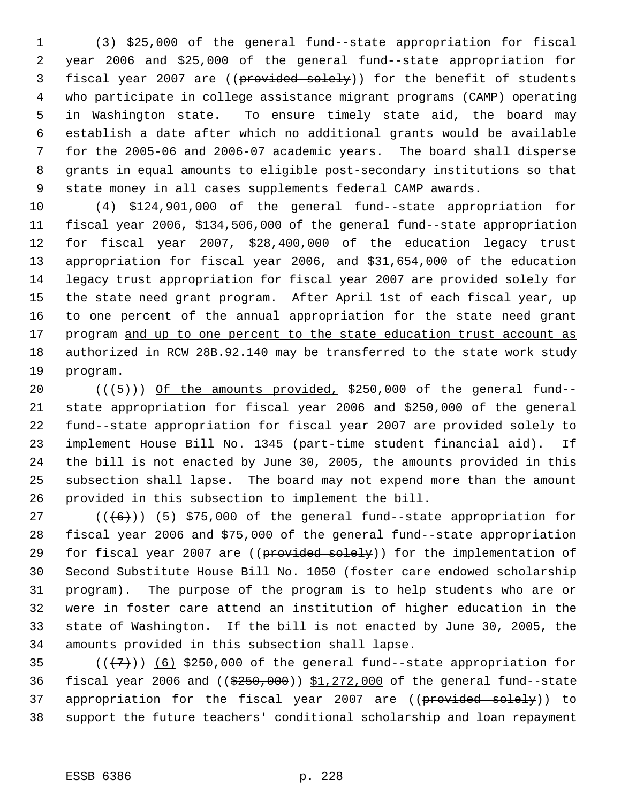(3) \$25,000 of the general fund--state appropriation for fiscal year 2006 and \$25,000 of the general fund--state appropriation for 3 fiscal year 2007 are ((provided solely)) for the benefit of students who participate in college assistance migrant programs (CAMP) operating in Washington state. To ensure timely state aid, the board may establish a date after which no additional grants would be available for the 2005-06 and 2006-07 academic years. The board shall disperse grants in equal amounts to eligible post-secondary institutions so that state money in all cases supplements federal CAMP awards.

 (4) \$124,901,000 of the general fund--state appropriation for fiscal year 2006, \$134,506,000 of the general fund--state appropriation for fiscal year 2007, \$28,400,000 of the education legacy trust appropriation for fiscal year 2006, and \$31,654,000 of the education legacy trust appropriation for fiscal year 2007 are provided solely for the state need grant program. After April 1st of each fiscal year, up to one percent of the annual appropriation for the state need grant 17 program and up to one percent to the state education trust account as 18 authorized in RCW 28B.92.140 may be transferred to the state work study program.

 $((+5))$  Of the amounts provided, \$250,000 of the general fund-- state appropriation for fiscal year 2006 and \$250,000 of the general fund--state appropriation for fiscal year 2007 are provided solely to implement House Bill No. 1345 (part-time student financial aid). If the bill is not enacted by June 30, 2005, the amounts provided in this subsection shall lapse. The board may not expend more than the amount provided in this subsection to implement the bill.

 $((\langle 6 \rangle) )$  (5) \$75,000 of the general fund--state appropriation for fiscal year 2006 and \$75,000 of the general fund--state appropriation 29 for fiscal year 2007 are ((provided solely)) for the implementation of Second Substitute House Bill No. 1050 (foster care endowed scholarship program). The purpose of the program is to help students who are or were in foster care attend an institution of higher education in the state of Washington. If the bill is not enacted by June 30, 2005, the amounts provided in this subsection shall lapse.

35  $((+7))$  (6) \$250,000 of the general fund--state appropriation for 36 fiscal year 2006 and  $((\frac{2550}{100})$  \$1,272,000 of the general fund--state 37 appropriation for the fiscal year 2007 are ((provided solely)) to support the future teachers' conditional scholarship and loan repayment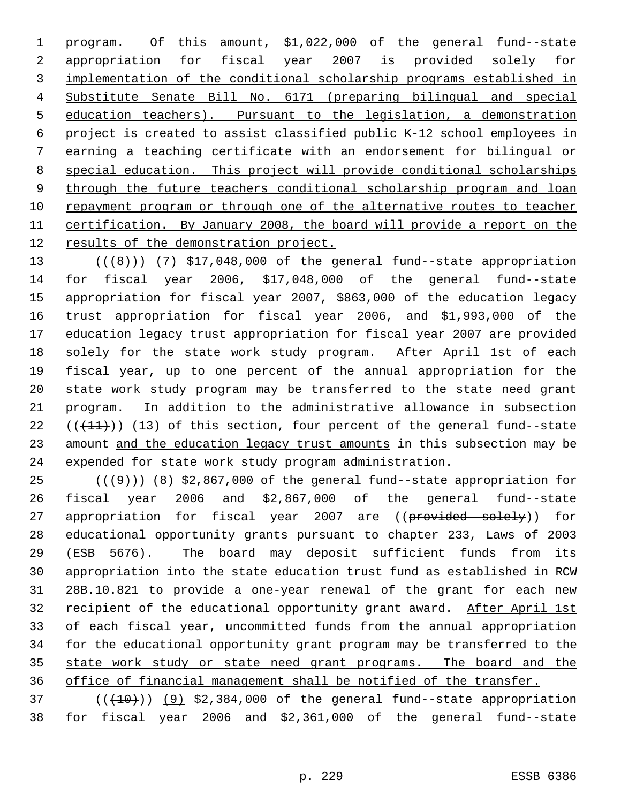1 program. Of this amount, \$1,022,000 of the general fund--state appropriation for fiscal year 2007 is provided solely for implementation of the conditional scholarship programs established in Substitute Senate Bill No. 6171 (preparing bilingual and special education teachers). Pursuant to the legislation, a demonstration project is created to assist classified public K-12 school employees in earning a teaching certificate with an endorsement for bilingual or special education. This project will provide conditional scholarships 9 through the future teachers conditional scholarship program and loan repayment program or through one of the alternative routes to teacher certification. By January 2008, the board will provide a report on the 12 results of the demonstration project.

 $((+8))$   $(7)$  \$17,048,000 of the general fund--state appropriation for fiscal year 2006, \$17,048,000 of the general fund--state appropriation for fiscal year 2007, \$863,000 of the education legacy trust appropriation for fiscal year 2006, and \$1,993,000 of the education legacy trust appropriation for fiscal year 2007 are provided solely for the state work study program. After April 1st of each fiscal year, up to one percent of the annual appropriation for the state work study program may be transferred to the state need grant program. In addition to the administrative allowance in subsection  $((+11))$  (13) of this section, four percent of the general fund--state 23 amount and the education legacy trust amounts in this subsection may be expended for state work study program administration.

 $((+9))$  (8) \$2,867,000 of the general fund--state appropriation for fiscal year 2006 and \$2,867,000 of the general fund--state 27 appropriation for fiscal year 2007 are ((provided solely)) for educational opportunity grants pursuant to chapter 233, Laws of 2003 (ESB 5676). The board may deposit sufficient funds from its appropriation into the state education trust fund as established in RCW 28B.10.821 to provide a one-year renewal of the grant for each new 32 recipient of the educational opportunity grant award. After April 1st of each fiscal year, uncommitted funds from the annual appropriation 34 for the educational opportunity grant program may be transferred to the 35 state work study or state need grant programs. The board and the office of financial management shall be notified of the transfer.

 ( $(\overline{+10})$ )  $(9)$  \$2,384,000 of the general fund--state appropriation for fiscal year 2006 and \$2,361,000 of the general fund--state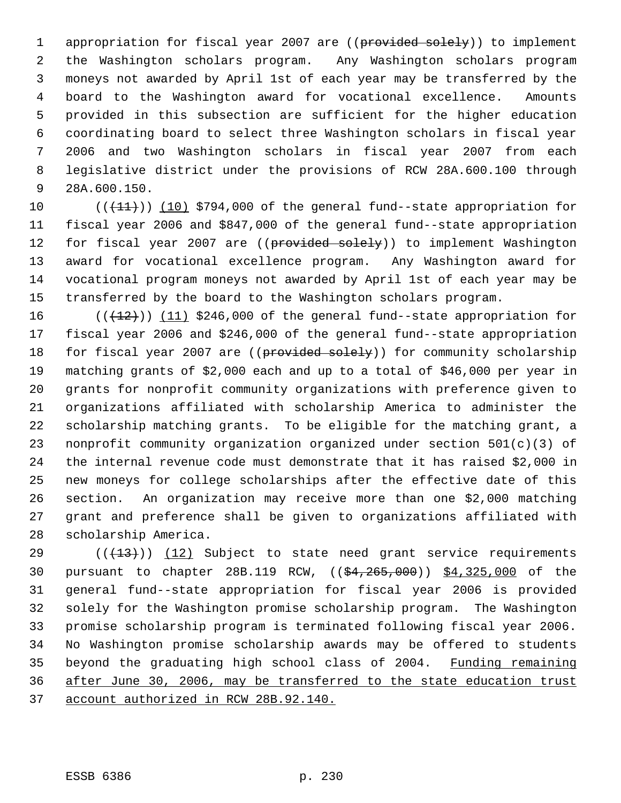1 appropriation for fiscal year 2007 are ((provided solely)) to implement the Washington scholars program. Any Washington scholars program moneys not awarded by April 1st of each year may be transferred by the board to the Washington award for vocational excellence. Amounts provided in this subsection are sufficient for the higher education coordinating board to select three Washington scholars in fiscal year 2006 and two Washington scholars in fiscal year 2007 from each legislative district under the provisions of RCW 28A.600.100 through 28A.600.150.

 $((+11))$  (10) \$794,000 of the general fund--state appropriation for fiscal year 2006 and \$847,000 of the general fund--state appropriation 12 for fiscal year 2007 are ((provided solely)) to implement Washington award for vocational excellence program. Any Washington award for vocational program moneys not awarded by April 1st of each year may be transferred by the board to the Washington scholars program.

 $((+12))$   $(11)$  \$246,000 of the general fund--state appropriation for fiscal year 2006 and \$246,000 of the general fund--state appropriation 18 for fiscal year 2007 are ((provided solely)) for community scholarship matching grants of \$2,000 each and up to a total of \$46,000 per year in grants for nonprofit community organizations with preference given to organizations affiliated with scholarship America to administer the scholarship matching grants. To be eligible for the matching grant, a nonprofit community organization organized under section 501(c)(3) of the internal revenue code must demonstrate that it has raised \$2,000 in new moneys for college scholarships after the effective date of this section. An organization may receive more than one \$2,000 matching grant and preference shall be given to organizations affiliated with scholarship America.

 $((+13))$   $(12)$  Subject to state need grant service requirements pursuant to chapter 28B.119 RCW, ((\$4,265,000)) \$4,325,000 of the general fund--state appropriation for fiscal year 2006 is provided solely for the Washington promise scholarship program. The Washington promise scholarship program is terminated following fiscal year 2006. No Washington promise scholarship awards may be offered to students 35 beyond the graduating high school class of 2004. Funding remaining after June 30, 2006, may be transferred to the state education trust account authorized in RCW 28B.92.140.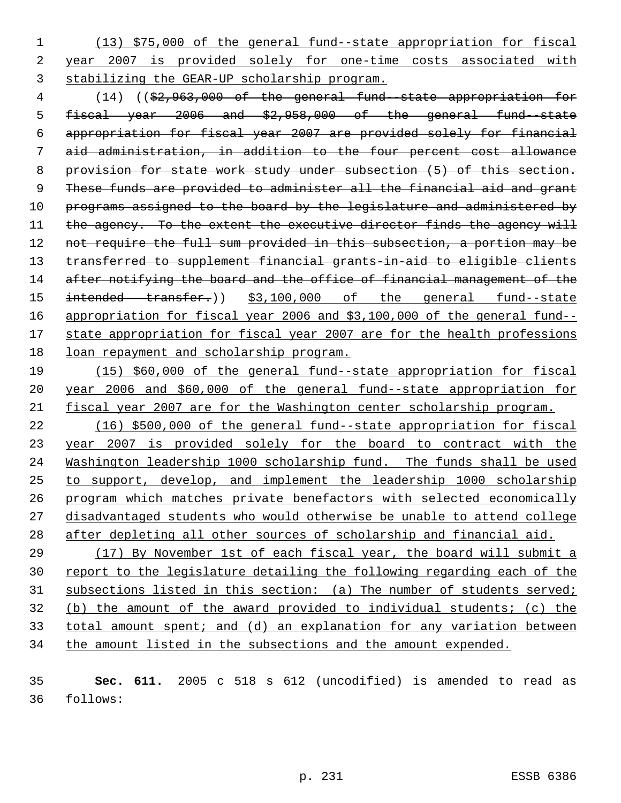(13) \$75,000 of the general fund--state appropriation for fiscal year 2007 is provided solely for one-time costs associated with stabilizing the GEAR-UP scholarship program.

 (14) ((\$2,963,000 of the general fund--state appropriation for fiscal year 2006 and \$2,958,000 of the general fund--state appropriation for fiscal year 2007 are provided solely for financial aid administration, in addition to the four percent cost allowance provision for state work study under subsection (5) of this section. 9 These funds are provided to administer all the financial aid and grant 10 programs assigned to the board by the legislature and administered by 11 the agency. To the extent the executive director finds the agency will 12 not require the full sum provided in this subsection, a portion may be transferred to supplement financial grants-in-aid to eligible clients 14 after notifying the board and the office of financial management of the 15 intended transfer.)) \$3,100,000 of the general fund--state appropriation for fiscal year 2006 and \$3,100,000 of the general fund-- 17 state appropriation for fiscal year 2007 are for the health professions loan repayment and scholarship program.

 (15) \$60,000 of the general fund--state appropriation for fiscal year 2006 and \$60,000 of the general fund--state appropriation for fiscal year 2007 are for the Washington center scholarship program.

 (16) \$500,000 of the general fund--state appropriation for fiscal year 2007 is provided solely for the board to contract with the Washington leadership 1000 scholarship fund. The funds shall be used to support, develop, and implement the leadership 1000 scholarship program which matches private benefactors with selected economically disadvantaged students who would otherwise be unable to attend college after depleting all other sources of scholarship and financial aid.

 (17) By November 1st of each fiscal year, the board will submit a 30 report to the legislature detailing the following regarding each of the 31 subsections listed in this section: (a) The number of students served; (b) the amount of the award provided to individual students; (c) the total amount spent; and (d) an explanation for any variation between the amount listed in the subsections and the amount expended.

 **Sec. 611.** 2005 c 518 s 612 (uncodified) is amended to read as follows: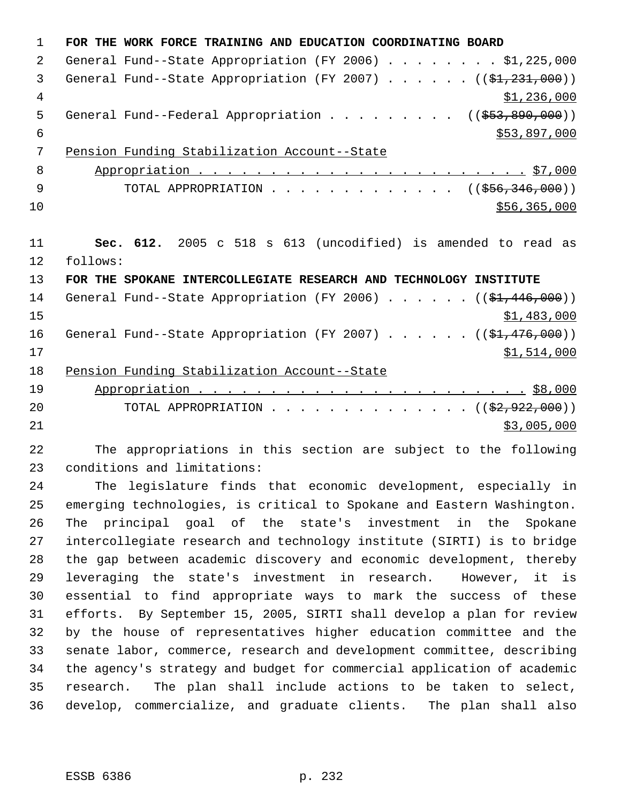**FOR THE WORK FORCE TRAINING AND EDUCATION COORDINATING BOARD** General Fund--State Appropriation (FY 2006) . . . . . . . . \$1,225,000 3 General Fund--State Appropriation (FY 2007)  $\ldots$  . . . . ( $(\frac{1}{21}, \frac{231}{200})$ )  $\frac{1}{2}$ , 236,000 5 General Fund--Federal Appropriation . . . . . . . . ((\$53,890,000))  $$53,897,000$  Pension Funding Stabilization Account--State Appropriation . . . . . . . . . . . . . . . . . . . . . . . \$7,000 9 TOTAL APPROPRIATION . . . . . . . . . . . . . ((\$56,346,000)) \$56,365,000 **Sec. 612.** 2005 c 518 s 613 (uncodified) is amended to read as follows: **FOR THE SPOKANE INTERCOLLEGIATE RESEARCH AND TECHNOLOGY INSTITUTE** 14 General Fund--State Appropriation (FY 2006) . . . . . . ((\$1,446,000)) \$1,483,000 16 General Fund--State Appropriation (FY 2007) . . . . . . ((\$1,476,000)) \$1,514,000 Pension Funding Stabilization Account--State Appropriation . . . . . . . . . . . . . . . . . . . . . . . \$8,000 20 TOTAL APPROPRIATION . . . . . . . . . . . . . . ((\$2,922,000)) \$3,005,000 The appropriations in this section are subject to the following

conditions and limitations:

 The legislature finds that economic development, especially in emerging technologies, is critical to Spokane and Eastern Washington. The principal goal of the state's investment in the Spokane intercollegiate research and technology institute (SIRTI) is to bridge the gap between academic discovery and economic development, thereby leveraging the state's investment in research. However, it is essential to find appropriate ways to mark the success of these efforts. By September 15, 2005, SIRTI shall develop a plan for review by the house of representatives higher education committee and the senate labor, commerce, research and development committee, describing the agency's strategy and budget for commercial application of academic research. The plan shall include actions to be taken to select, develop, commercialize, and graduate clients. The plan shall also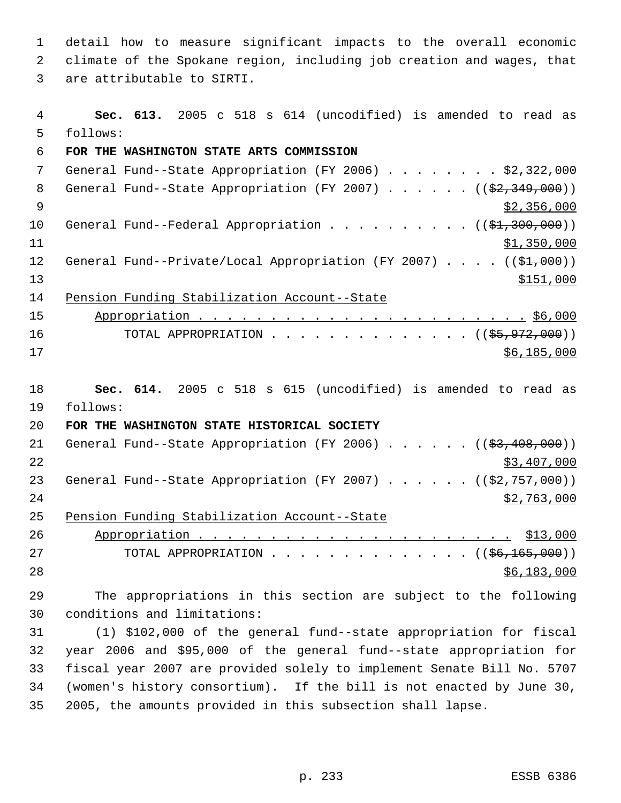detail how to measure significant impacts to the overall economic climate of the Spokane region, including job creation and wages, that are attributable to SIRTI.

 **Sec. 613.** 2005 c 518 s 614 (uncodified) is amended to read as follows: **FOR THE WASHINGTON STATE ARTS COMMISSION** General Fund--State Appropriation (FY 2006) . . . . . . . . \$2,322,000 8 General Fund--State Appropriation (FY 2007) . . . . . . ((\$2,349,000))  $\frac{1}{2}$  356,000 10 General Fund--Federal Appropriation . . . . . . . . . ((\$1,300,000)) \$1,350,000 12 General Fund--Private/Local Appropriation (FY 2007) . . . . ((\$1,000))  $\frac{$151,000}{ }$  Pension Funding Stabilization Account--State Appropriation . . . . . . . . . . . . . . . . . . . . . . . \$6,000 16 TOTAL APPROPRIATION . . . . . . . . . . . . . ((\$5,972,000)) \$6,185,000 **Sec. 614.** 2005 c 518 s 615 (uncodified) is amended to read as follows: **FOR THE WASHINGTON STATE HISTORICAL SOCIETY** 21 General Fund--State Appropriation (FY 2006) . . . . . . ((\$3,408,000)) \$3,407,000 23 General Fund--State Appropriation (FY 2007)  $\ldots$  . . . . ( $(\frac{22,757,000}{2})$  \$2,763,000 Pension Funding Stabilization Account--State Appropriation . . . . . . . . . . . . . . . . . . . . . . \$13,000 27 TOTAL APPROPRIATION . . . . . . . . . . . . . ((<del>\$6,165,000</del>)) \$6,183,000 The appropriations in this section are subject to the following conditions and limitations: (1) \$102,000 of the general fund--state appropriation for fiscal year 2006 and \$95,000 of the general fund--state appropriation for fiscal year 2007 are provided solely to implement Senate Bill No. 5707

 (women's history consortium). If the bill is not enacted by June 30, 2005, the amounts provided in this subsection shall lapse.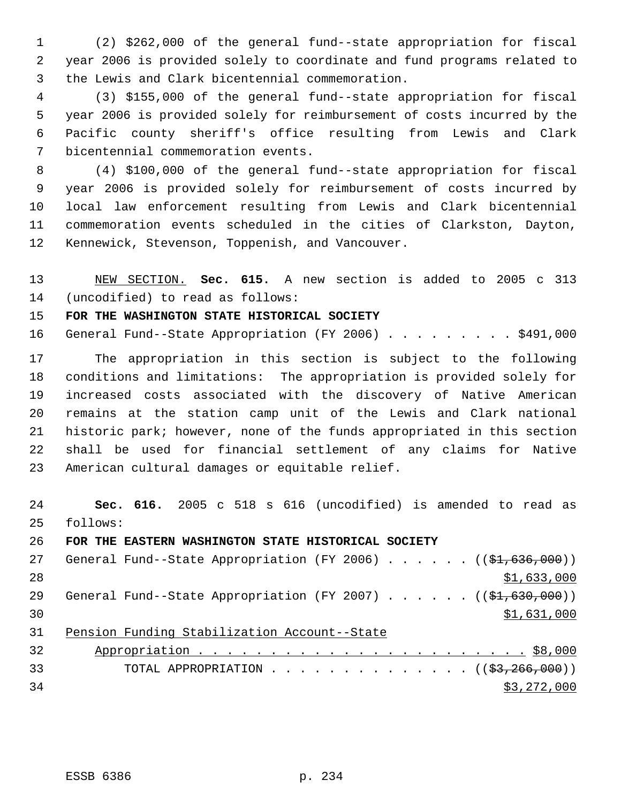(2) \$262,000 of the general fund--state appropriation for fiscal year 2006 is provided solely to coordinate and fund programs related to the Lewis and Clark bicentennial commemoration.

 (3) \$155,000 of the general fund--state appropriation for fiscal year 2006 is provided solely for reimbursement of costs incurred by the Pacific county sheriff's office resulting from Lewis and Clark bicentennial commemoration events.

 (4) \$100,000 of the general fund--state appropriation for fiscal year 2006 is provided solely for reimbursement of costs incurred by local law enforcement resulting from Lewis and Clark bicentennial commemoration events scheduled in the cities of Clarkston, Dayton, Kennewick, Stevenson, Toppenish, and Vancouver.

 NEW SECTION. **Sec. 615.** A new section is added to 2005 c 313 (uncodified) to read as follows:

**FOR THE WASHINGTON STATE HISTORICAL SOCIETY**

16 General Fund--State Appropriation (FY 2006) . . . . . . . . \$491,000

 The appropriation in this section is subject to the following conditions and limitations: The appropriation is provided solely for increased costs associated with the discovery of Native American remains at the station camp unit of the Lewis and Clark national historic park; however, none of the funds appropriated in this section shall be used for financial settlement of any claims for Native American cultural damages or equitable relief.

 **Sec. 616.** 2005 c 518 s 616 (uncodified) is amended to read as follows:

**FOR THE EASTERN WASHINGTON STATE HISTORICAL SOCIETY**

27 General Fund--State Appropriation (FY 2006)  $\ldots$  . . . . ( $(\frac{21}{61}, 636, 000)$ ) 28  $\frac{$1,633,000}{ }$ 29 General Fund--State Appropriation (FY 2007) . . . . . . ((\$1,630,000)) \$1,631,000 Pension Funding Stabilization Account--State

| 32 |                                                       |
|----|-------------------------------------------------------|
| 33 | TOTAL APPROPRIATION $($ $($ $\frac{23}{7266}$ , 000)) |
| 34 | \$3,272,000                                           |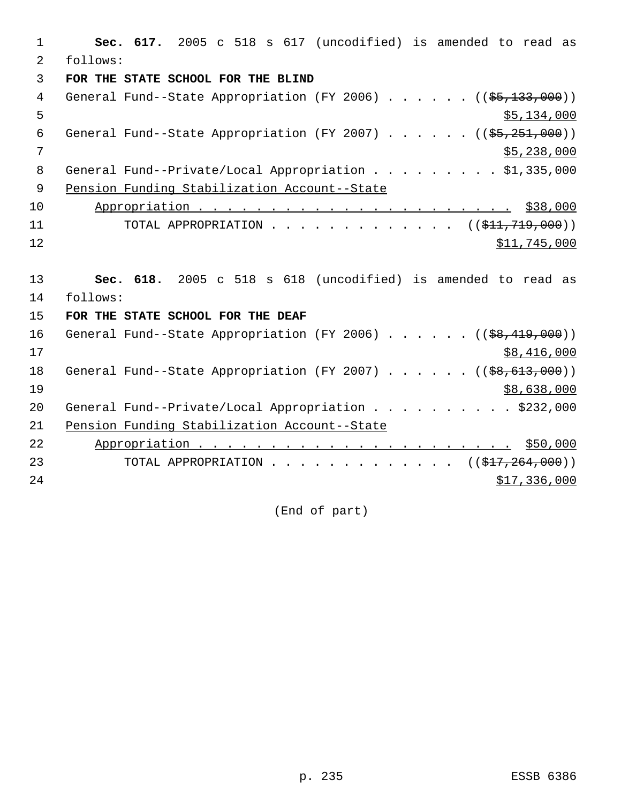1 **Sec. 617.** 2005 c 518 s 617 (uncodified) is amended to read as 2 follows: 3 **FOR THE STATE SCHOOL FOR THE BLIND** 4 General Fund--State Appropriation (FY 2006) . . . . . . ((\$5,133,000))  $5,134,000$ 6 General Fund--State Appropriation (FY 2007) . . . . .  $($   $($ \$5,251,000))  $7$  \$5,238,000 8 General Fund--Private/Local Appropriation . . . . . . . . \$1,335,000 9 Pension Funding Stabilization Account--State 10 Appropriation . . . . . . . . . . . . . . . . . . . . . . \$38,000 11 TOTAL APPROPRIATION . . . . . . . . . . . . ((<del>\$11,719,000</del>))  $12$  \$11,745,000 13 **Sec. 618.** 2005 c 518 s 618 (uncodified) is amended to read as 14 follows: 15 **FOR THE STATE SCHOOL FOR THE DEAF** 16 General Fund--State Appropriation (FY 2006) . . . . . . ((\$8,419,000))  $17$  \$8,416,000 18 General Fund--State Appropriation (FY 2007) . . . . . ((\$8,613,000))  $19$  \$8,638,000 20 General Fund--Private/Local Appropriation . . . . . . . . . \$232,000 21 Pension Funding Stabilization Account--State 22 Appropriation . . . . . . . . . . . . . . . . . . . . . . \$50,000 23 TOTAL APPROPRIATION . . . . . . . . . . . . . ((\$17,264,000))  $24$  \$17,336,000

(End of part)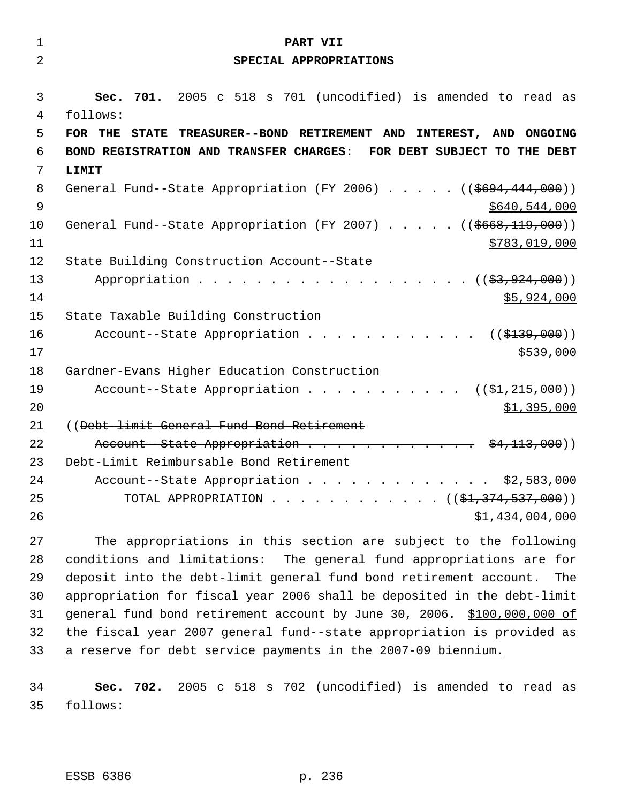| $\mathbf 1$ |                                                                           |
|-------------|---------------------------------------------------------------------------|
|             | PART VII                                                                  |
| 2           | SPECIAL APPROPRIATIONS                                                    |
| 3           | 701. 2005 c 518 s 701 (uncodified) is amended to read as<br>Sec.          |
| 4           | follows:                                                                  |
| 5           | STATE TREASURER--BOND RETIREMENT AND INTEREST, AND ONGOING<br>FOR THE     |
| 6           | BOND REGISTRATION AND TRANSFER CHARGES: FOR DEBT SUBJECT TO THE DEBT      |
| 7           | LIMIT                                                                     |
| 8           | General Fund--State Appropriation (FY 2006) $($ $($ $$694, 444, 000)$ )   |
| 9           | \$640,544,000                                                             |
| 10          | General Fund--State Appropriation (FY 2007) ( $(\frac{2668}{119},000)$ )  |
| 11          | \$783,019,000                                                             |
| 12          | State Building Construction Account--State                                |
| 13          | Appropriation $($ $(\frac{27}{27}, 924, 000) )$                           |
| 14          | \$5,924,000                                                               |
| 15          | State Taxable Building Construction                                       |
| 16          | Account--State Appropriation $($ $($ \$139,000) $)$                       |
| 17          | \$539,000                                                                 |
| 18          | Gardner-Evans Higher Education Construction                               |
| 19          | Account--State Appropriation $($ \$1,215,000))                            |
| 20          | \$1,395,000                                                               |
| 21          | ((Debt-limit General Fund Bond Retirement                                 |
| 22          | Account - State Appropriation $\frac{1}{2}$ \$4,113,000)                  |
| 23          | Debt-Limit Reimbursable Bond Retirement                                   |
| 24          | Account--State Appropriation \$2,583,000                                  |
| 25          | TOTAL APPROPRIATION ( $(\frac{1}{2}, \frac{374}{537}, \frac{537}{900})$ ) |
| 26          | \$1,434,004,000                                                           |
|             |                                                                           |

 The appropriations in this section are subject to the following conditions and limitations: The general fund appropriations are for deposit into the debt-limit general fund bond retirement account. The appropriation for fiscal year 2006 shall be deposited in the debt-limit general fund bond retirement account by June 30, 2006. \$100,000,000 of the fiscal year 2007 general fund--state appropriation is provided as a reserve for debt service payments in the 2007-09 biennium.

 **Sec. 702.** 2005 c 518 s 702 (uncodified) is amended to read as follows: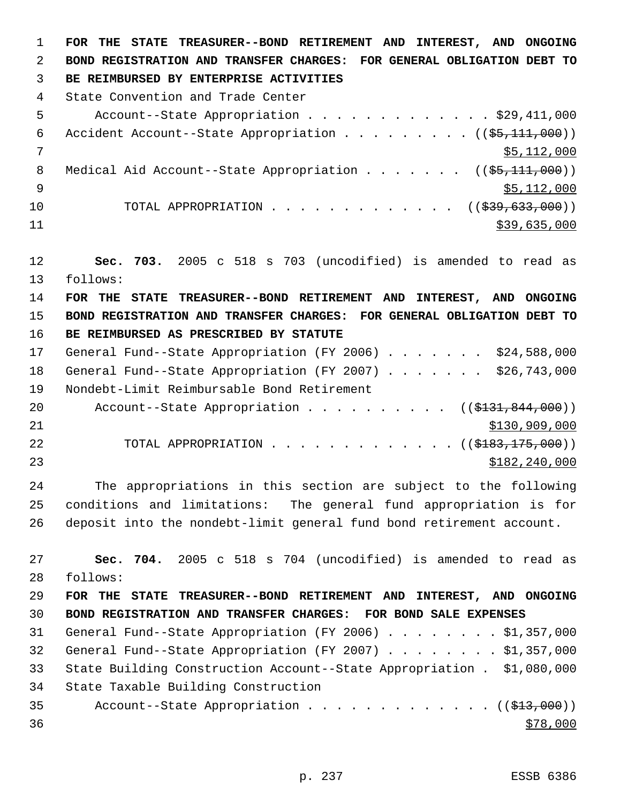**FOR THE STATE TREASURER--BOND RETIREMENT AND INTEREST, AND ONGOING BOND REGISTRATION AND TRANSFER CHARGES: FOR GENERAL OBLIGATION DEBT TO BE REIMBURSED BY ENTERPRISE ACTIVITIES**  State Convention and Trade Center Account--State Appropriation . . . . . . . . . . . . . \$29,411,000 6 Accident Account--State Appropriation  $\ldots$  . . . . . . ( $(\frac{25}{111}, 000)$ ) \$5,112,000 8 Medical Aid Account--State Appropriation . . . . . . ((\$5,111,000))  $\frac{1}{9}$   $\frac{1}{2}$ ,000 10 TOTAL APPROPRIATION . . . . . . . . . . . . . ((\$39,633,000)) \$39,635,000 **Sec. 703.** 2005 c 518 s 703 (uncodified) is amended to read as follows: **FOR THE STATE TREASURER--BOND RETIREMENT AND INTEREST, AND ONGOING BOND REGISTRATION AND TRANSFER CHARGES: FOR GENERAL OBLIGATION DEBT TO BE REIMBURSED AS PRESCRIBED BY STATUTE**  17 General Fund--State Appropriation (FY 2006) . . . . . . \$24,588,000 18 General Fund--State Appropriation (FY 2007) . . . . . . \$26,743,000 Nondebt-Limit Reimbursable Bond Retirement 20 Account--State Appropriation . . . . . . . . . ((\$131,844,000))  $$130,909,000$ 22 TOTAL APPROPRIATION . . . . . . . . . . . . ((\$<del>183,175,000</del>)) \$182,240,000 The appropriations in this section are subject to the following conditions and limitations: The general fund appropriation is for deposit into the nondebt-limit general fund bond retirement account. **Sec. 704.** 2005 c 518 s 704 (uncodified) is amended to read as follows: **FOR THE STATE TREASURER--BOND RETIREMENT AND INTEREST, AND ONGOING BOND REGISTRATION AND TRANSFER CHARGES: FOR BOND SALE EXPENSES**  General Fund--State Appropriation (FY 2006) . . . . . . . . \$1,357,000 General Fund--State Appropriation (FY 2007) . . . . . . . . \$1,357,000 State Building Construction Account--State Appropriation . \$1,080,000 State Taxable Building Construction 35 Account--State Appropriation . . . . . . . . . . . . ((\$13,000))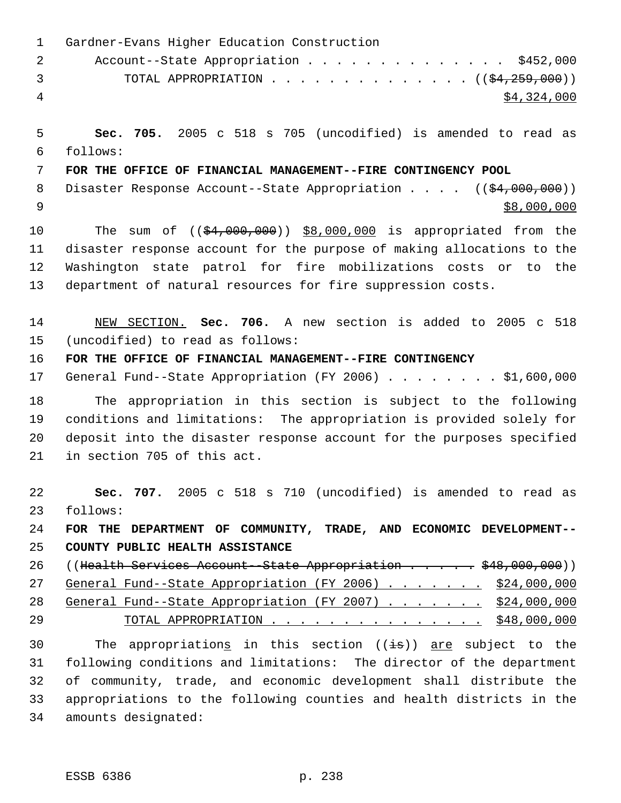| $\mathbf 1$    | Gardner-Evans Higher Education Construction                             |
|----------------|-------------------------------------------------------------------------|
| $\overline{2}$ | Account--State Appropriation \$452,000                                  |
| 3              | TOTAL APPROPRIATION ( $(\frac{24}{259}, 000)$ )                         |
| $\overline{4}$ | \$4,324,000                                                             |
| 5              | Sec. 705. 2005 c 518 s 705 (uncodified) is amended to read as           |
| 6              | follows:                                                                |
| 7              | FOR THE OFFICE OF FINANCIAL MANAGEMENT--FIRE CONTINGENCY POOL           |
| 8              | Disaster Response Account--State Appropriation $($ $($ \$4,000,000))    |
| 9              | \$8,000,000                                                             |
| 10             | The sum of $((\frac{24,000,000)}{98,000,000})$ is appropriated from the |
| 11             | disaster response account for the purpose of making allocations to the  |
| 12             | Washington state patrol for fire mobilizations costs or to the          |
| 13             | department of natural resources for fire suppression costs.             |
| 14             | NEW SECTION. Sec. 706. A new section is added to 2005 c 518             |
| 15             | (uncodified) to read as follows:                                        |
| 16             | FOR THE OFFICE OF FINANCIAL MANAGEMENT--FIRE CONTINGENCY                |
| 17             | General Fund--State Appropriation (FY 2006) \$1,600,000                 |
| 18             | The appropriation in this section is subject to the following           |
| 19             | conditions and limitations: The appropriation is provided solely for    |
| 20             | deposit into the disaster response account for the purposes specified   |
| 21             | in section 705 of this act.                                             |
| 22             | Sec. 707. 2005 c 518 s 710 (uncodified) is amended to read as           |
| 23             | follows:                                                                |
| 24             | FOR THE DEPARTMENT OF COMMUNITY, TRADE, AND ECONOMIC DEVELOPMENT--      |
| 25             | COUNTY PUBLIC HEALTH ASSISTANCE                                         |
| 26             | ((Health Services Account--State Appropriation \$48,000,000))           |
| 27             | General Fund--State Appropriation (FY 2006) \$24,000,000                |
| 28             | General Fund--State Appropriation (FY 2007) \$24,000,000                |
| 29             | TOTAL APPROPRIATION \$48,000,000                                        |
| 30             | The appropriations in this section ((is)) are subject to the            |
| 31             | following conditions and limitations: The director of the department    |
| 32             | of community, trade, and economic development shall distribute the      |
| 33             | appropriations to the following counties and health districts in the    |
| 34             | amounts designated:                                                     |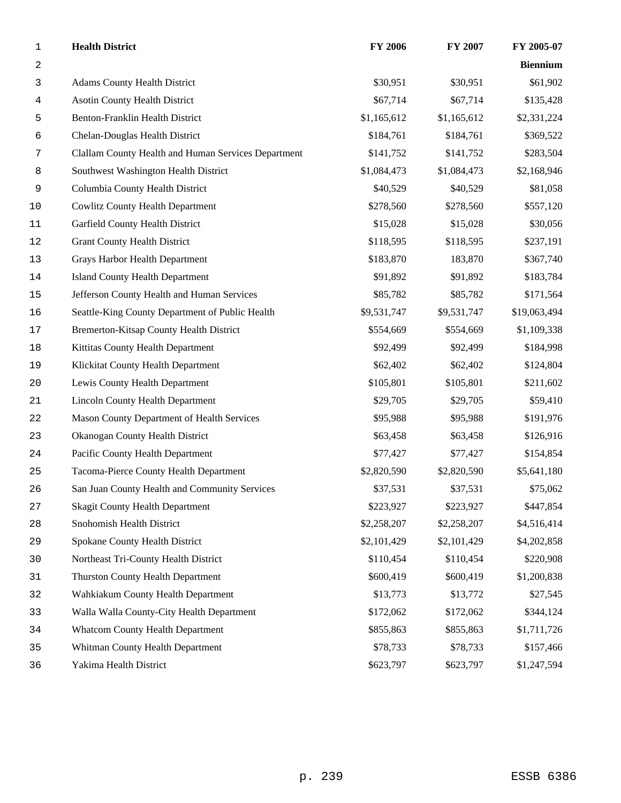| $\mathbf{1}$     | <b>Health District</b>                              | <b>FY 2006</b> | FY 2007     | FY 2005-07      |
|------------------|-----------------------------------------------------|----------------|-------------|-----------------|
| $\boldsymbol{2}$ |                                                     |                |             | <b>Biennium</b> |
| 3                | <b>Adams County Health District</b>                 | \$30,951       | \$30,951    | \$61,902        |
| 4                | <b>Asotin County Health District</b>                | \$67,714       | \$67,714    | \$135,428       |
| 5                | Benton-Franklin Health District                     | \$1,165,612    | \$1,165,612 | \$2,331,224     |
| 6                | Chelan-Douglas Health District                      | \$184,761      | \$184,761   | \$369,522       |
| 7                | Clallam County Health and Human Services Department | \$141,752      | \$141,752   | \$283,504       |
| 8                | Southwest Washington Health District                | \$1,084,473    | \$1,084,473 | \$2,168,946     |
| 9                | Columbia County Health District                     | \$40,529       | \$40,529    | \$81,058        |
| 10               | <b>Cowlitz County Health Department</b>             | \$278,560      | \$278,560   | \$557,120       |
| 11               | Garfield County Health District                     | \$15,028       | \$15,028    | \$30,056        |
| 12               | <b>Grant County Health District</b>                 | \$118,595      | \$118,595   | \$237,191       |
| 13               | Grays Harbor Health Department                      | \$183,870      | 183,870     | \$367,740       |
| 14               | <b>Island County Health Department</b>              | \$91,892       | \$91,892    | \$183,784       |
| $15$             | Jefferson County Health and Human Services          | \$85,782       | \$85,782    | \$171,564       |
| 16               | Seattle-King County Department of Public Health     | \$9,531,747    | \$9,531,747 | \$19,063,494    |
| $17$             | Bremerton-Kitsap County Health District             | \$554,669      | \$554,669   | \$1,109,338     |
| 18               | Kittitas County Health Department                   | \$92,499       | \$92,499    | \$184,998       |
| 19               | Klickitat County Health Department                  | \$62,402       | \$62,402    | \$124,804       |
| 20               | Lewis County Health Department                      | \$105,801      | \$105,801   | \$211,602       |
| 21               | <b>Lincoln County Health Department</b>             | \$29,705       | \$29,705    | \$59,410        |
| 22               | Mason County Department of Health Services          | \$95,988       | \$95,988    | \$191,976       |
| 23               | Okanogan County Health District                     | \$63,458       | \$63,458    | \$126,916       |
| 24               | Pacific County Health Department                    | \$77,427       | \$77,427    | \$154,854       |
| 25               | Tacoma-Pierce County Health Department              | \$2,820,590    | \$2,820,590 | \$5,641,180     |
| 26               | San Juan County Health and Community Services       | \$37,531       | \$37,531    | \$75,062        |
| 27               | <b>Skagit County Health Department</b>              | \$223,927      | \$223,927   | \$447,854       |
| 28               | Snohomish Health District                           | \$2,258,207    | \$2,258,207 | \$4,516,414     |
| 29               | Spokane County Health District                      | \$2,101,429    | \$2,101,429 | \$4,202,858     |
| 30               | Northeast Tri-County Health District                | \$110,454      | \$110,454   | \$220,908       |
| 31               | Thurston County Health Department                   | \$600,419      | \$600,419   | \$1,200,838     |
| 32               | Wahkiakum County Health Department                  | \$13,773       | \$13,772    | \$27,545        |
| 33               | Walla Walla County-City Health Department           | \$172,062      | \$172,062   | \$344,124       |
| 34               | <b>Whatcom County Health Department</b>             | \$855,863      | \$855,863   | \$1,711,726     |
| 35               | Whitman County Health Department                    | \$78,733       | \$78,733    | \$157,466       |
| 36               | Yakima Health District                              | \$623,797      | \$623,797   | \$1,247,594     |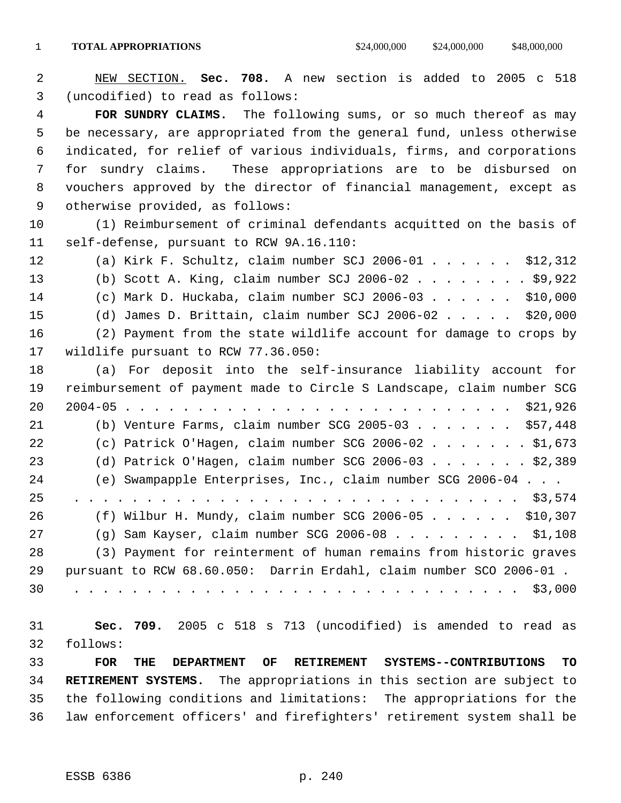NEW SECTION. **Sec. 708.** A new section is added to 2005 c 518 (uncodified) to read as follows:

 **FOR SUNDRY CLAIMS.** The following sums, or so much thereof as may be necessary, are appropriated from the general fund, unless otherwise indicated, for relief of various individuals, firms, and corporations for sundry claims. These appropriations are to be disbursed on vouchers approved by the director of financial management, except as otherwise provided, as follows:

 (1) Reimbursement of criminal defendants acquitted on the basis of self-defense, pursuant to RCW 9A.16.110:

 (a) Kirk F. Schultz, claim number SCJ 2006-01 . . . . . . \$12,312 (b) Scott A. King, claim number SCJ 2006-02 . . . . . . . . \$9,922 (c) Mark D. Huckaba, claim number SCJ 2006-03 . . . . . . \$10,000 (d) James D. Brittain, claim number SCJ 2006-02 . . . . . \$20,000 (2) Payment from the state wildlife account for damage to crops by wildlife pursuant to RCW 77.36.050: (a) For deposit into the self-insurance liability account for

 reimbursement of payment made to Circle S Landscape, claim number SCG 2004-05 . . . . . . . . . . . . . . . . . . . . . . . . . . . \$21,926 (b) Venture Farms, claim number SCG 2005-03 . . . . . . . \$57,448 (c) Patrick O'Hagen, claim number SCG 2006-02 . . . . . . . \$1,673 (d) Patrick O'Hagen, claim number SCG 2006-03 . . . . . . . \$2,389 (e) Swampapple Enterprises, Inc., claim number SCG 2006-04 . . . 25 . . . . . . . . . . . . . . . . . . . . . . . . . . . . . . . \$3,574 (f) Wilbur H. Mundy, claim number SCG 2006-05 . . . . . . \$10,307 (g) Sam Kayser, claim number SCG 2006-08 . . . . . . . . . \$1,108 (3) Payment for reinterment of human remains from historic graves pursuant to RCW 68.60.050: Darrin Erdahl, claim number SCO 2006-01 . 30 . . . . . . . . . . . . . . . . . . . . . . . . . . . . . . . \$3,000

 **Sec. 709.** 2005 c 518 s 713 (uncodified) is amended to read as follows: **FOR THE DEPARTMENT OF RETIREMENT SYSTEMS--CONTRIBUTIONS TO RETIREMENT SYSTEMS.** The appropriations in this section are subject to

 the following conditions and limitations: The appropriations for the law enforcement officers' and firefighters' retirement system shall be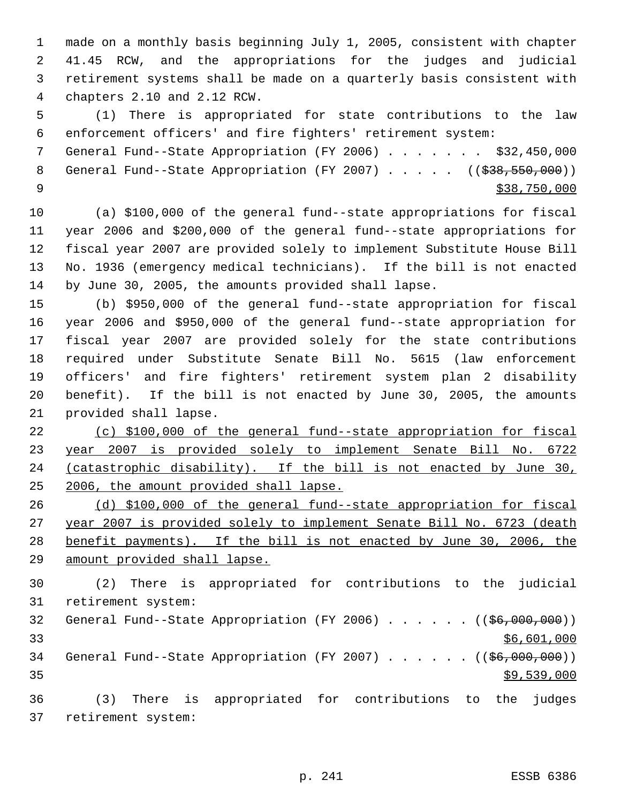made on a monthly basis beginning July 1, 2005, consistent with chapter 41.45 RCW, and the appropriations for the judges and judicial retirement systems shall be made on a quarterly basis consistent with chapters 2.10 and 2.12 RCW.

 (1) There is appropriated for state contributions to the law enforcement officers' and fire fighters' retirement system:

 General Fund--State Appropriation (FY 2006) . . . . . . . \$32,450,000 8 General Fund--State Appropriation (FY 2007) . . . . . ((\$38,550,000))  $\frac{$38,750,000}{538,750,000}$ 

 (a) \$100,000 of the general fund--state appropriations for fiscal year 2006 and \$200,000 of the general fund--state appropriations for fiscal year 2007 are provided solely to implement Substitute House Bill No. 1936 (emergency medical technicians). If the bill is not enacted by June 30, 2005, the amounts provided shall lapse.

 (b) \$950,000 of the general fund--state appropriation for fiscal year 2006 and \$950,000 of the general fund--state appropriation for fiscal year 2007 are provided solely for the state contributions required under Substitute Senate Bill No. 5615 (law enforcement officers' and fire fighters' retirement system plan 2 disability benefit). If the bill is not enacted by June 30, 2005, the amounts provided shall lapse.

 (c) \$100,000 of the general fund--state appropriation for fiscal year 2007 is provided solely to implement Senate Bill No. 6722 24 (catastrophic disability). If the bill is not enacted by June 30, 2006, the amount provided shall lapse.

 (d) \$100,000 of the general fund--state appropriation for fiscal year 2007 is provided solely to implement Senate Bill No. 6723 (death benefit payments). If the bill is not enacted by June 30, 2006, the amount provided shall lapse.

 (2) There is appropriated for contributions to the judicial retirement system: 32 General Fund--State Appropriation (FY 2006) . . . . . . ((\$6,000,000)) \$6,601,000 34 General Fund--State Appropriation (FY 2007) . . . . . ((\$6,000,000))  $\frac{1}{39}$ , 539, 000 (3) There is appropriated for contributions to the judges retirement system:

p. 241 ESSB 6386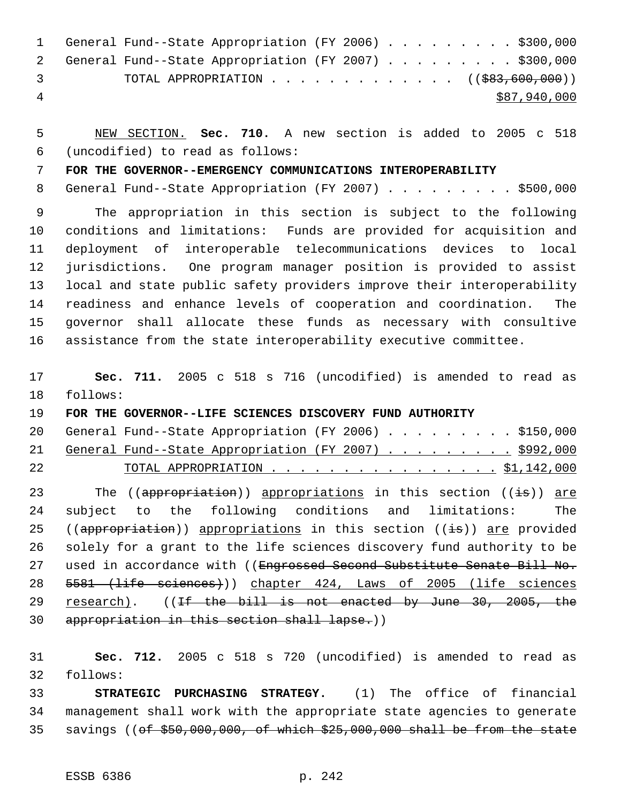|     | 1 General Fund--State Appropriation (FY 2006) \$300,000           |  |  |  |  |  |              |  |
|-----|-------------------------------------------------------------------|--|--|--|--|--|--------------|--|
|     | 2 General Fund--State Appropriation (FY 2007) \$300,000           |  |  |  |  |  |              |  |
| - 3 | TOTAL APPROPRIATION $\ldots$ , ( $(\frac{1000,0000}{1000,00000})$ |  |  |  |  |  |              |  |
| -4  |                                                                   |  |  |  |  |  | \$87,940,000 |  |

 NEW SECTION. **Sec. 710.** A new section is added to 2005 c 518 (uncodified) to read as follows:

**FOR THE GOVERNOR--EMERGENCY COMMUNICATIONS INTEROPERABILITY**

8 General Fund--State Appropriation (FY 2007) . . . . . . . . \$500,000

 The appropriation in this section is subject to the following conditions and limitations: Funds are provided for acquisition and deployment of interoperable telecommunications devices to local jurisdictions. One program manager position is provided to assist local and state public safety providers improve their interoperability readiness and enhance levels of cooperation and coordination. The governor shall allocate these funds as necessary with consultive assistance from the state interoperability executive committee.

 **Sec. 711.** 2005 c 518 s 716 (uncodified) is amended to read as follows:

**FOR THE GOVERNOR--LIFE SCIENCES DISCOVERY FUND AUTHORITY** 

| 22 |  | <u> TOTAL APPROPRIATION 51,142,000</u>                   |  |  |  |  |  |  |
|----|--|----------------------------------------------------------|--|--|--|--|--|--|
|    |  | 21 General Fund--State Appropriation (FY 2007) \$992,000 |  |  |  |  |  |  |
|    |  | 20 General Fund--State Appropriation (FY 2006) \$150,000 |  |  |  |  |  |  |

23 The ((appropriation)) appropriations in this section ((is)) are subject to the following conditions and limitations: The 25 ((appropriation)) appropriations in this section ((is)) are provided solely for a grant to the life sciences discovery fund authority to be 27 used in accordance with ((Engrossed Second Substitute Senate Bill No. 5581 (life sciences))) chapter 424, Laws of 2005 (life sciences 29 research). ((If the bill is not enacted by June 30, 2005, the appropriation in this section shall lapse.))

 **Sec. 712.** 2005 c 518 s 720 (uncodified) is amended to read as follows:

 **STRATEGIC PURCHASING STRATEGY.** (1) The office of financial management shall work with the appropriate state agencies to generate savings ((of \$50,000,000, of which \$25,000,000 shall be from the state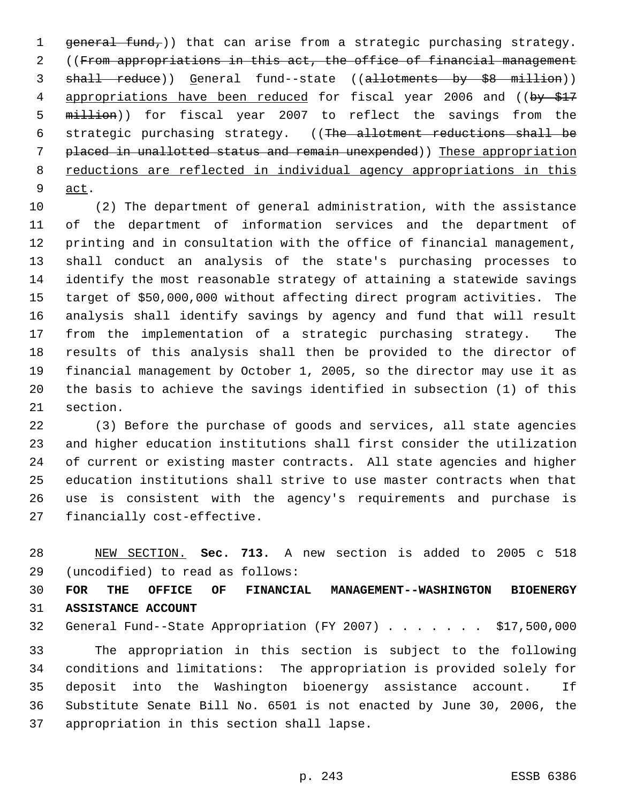1 general fund,)) that can arise from a strategic purchasing strategy. ((From appropriations in this act, the office of financial management 3 shall reduce)) General fund--state ((allotments by \$8 million)) 4 appropriations have been reduced for fiscal year 2006 and ((by \$17 million)) for fiscal year 2007 to reflect the savings from the strategic purchasing strategy. ((The allotment reductions shall be placed in unallotted status and remain unexpended)) These appropriation 8 reductions are reflected in individual agency appropriations in this act.

 (2) The department of general administration, with the assistance of the department of information services and the department of printing and in consultation with the office of financial management, shall conduct an analysis of the state's purchasing processes to identify the most reasonable strategy of attaining a statewide savings target of \$50,000,000 without affecting direct program activities. The analysis shall identify savings by agency and fund that will result from the implementation of a strategic purchasing strategy. The results of this analysis shall then be provided to the director of financial management by October 1, 2005, so the director may use it as the basis to achieve the savings identified in subsection (1) of this section.

 (3) Before the purchase of goods and services, all state agencies and higher education institutions shall first consider the utilization of current or existing master contracts. All state agencies and higher education institutions shall strive to use master contracts when that use is consistent with the agency's requirements and purchase is financially cost-effective.

 NEW SECTION. **Sec. 713.** A new section is added to 2005 c 518 (uncodified) to read as follows:

 **FOR THE OFFICE OF FINANCIAL MANAGEMENT--WASHINGTON BIOENERGY ASSISTANCE ACCOUNT**

General Fund--State Appropriation (FY 2007) . . . . . . . \$17,500,000

 The appropriation in this section is subject to the following conditions and limitations: The appropriation is provided solely for deposit into the Washington bioenergy assistance account. If Substitute Senate Bill No. 6501 is not enacted by June 30, 2006, the appropriation in this section shall lapse.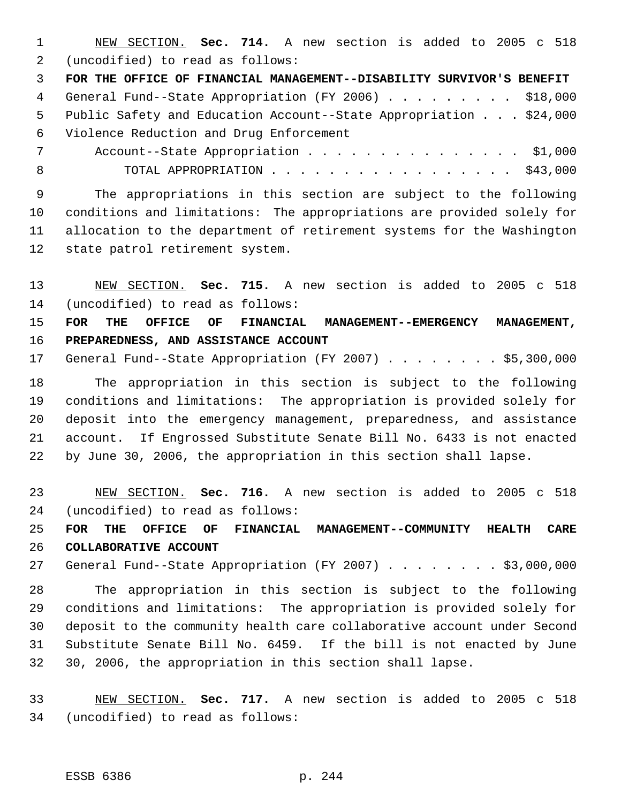NEW SECTION. **Sec. 714.** A new section is added to 2005 c 518 (uncodified) to read as follows:

 **FOR THE OFFICE OF FINANCIAL MANAGEMENT--DISABILITY SURVIVOR'S BENEFIT** General Fund--State Appropriation (FY 2006) . . . . . . . . . \$18,000 Public Safety and Education Account--State Appropriation . . . \$24,000 Violence Reduction and Drug Enforcement

7 Account--State Appropriation . . . . . . . . . . . . . . \$1,000 8 TOTAL APPROPRIATION . . . . . . . . . . . . . . . . \$43,000

 The appropriations in this section are subject to the following conditions and limitations: The appropriations are provided solely for allocation to the department of retirement systems for the Washington state patrol retirement system.

 NEW SECTION. **Sec. 715.** A new section is added to 2005 c 518 (uncodified) to read as follows:

 **FOR THE OFFICE OF FINANCIAL MANAGEMENT--EMERGENCY MANAGEMENT, PREPAREDNESS, AND ASSISTANCE ACCOUNT**

17 General Fund--State Appropriation (FY 2007) . . . . . . . \$5,300,000

 The appropriation in this section is subject to the following conditions and limitations: The appropriation is provided solely for deposit into the emergency management, preparedness, and assistance account. If Engrossed Substitute Senate Bill No. 6433 is not enacted by June 30, 2006, the appropriation in this section shall lapse.

 NEW SECTION. **Sec. 716.** A new section is added to 2005 c 518 (uncodified) to read as follows:

 **FOR THE OFFICE OF FINANCIAL MANAGEMENT--COMMUNITY HEALTH CARE COLLABORATIVE ACCOUNT**

27 General Fund--State Appropriation (FY 2007) . . . . . . . . \$3,000,000

 The appropriation in this section is subject to the following conditions and limitations: The appropriation is provided solely for deposit to the community health care collaborative account under Second Substitute Senate Bill No. 6459. If the bill is not enacted by June 30, 2006, the appropriation in this section shall lapse.

 NEW SECTION. **Sec. 717.** A new section is added to 2005 c 518 (uncodified) to read as follows: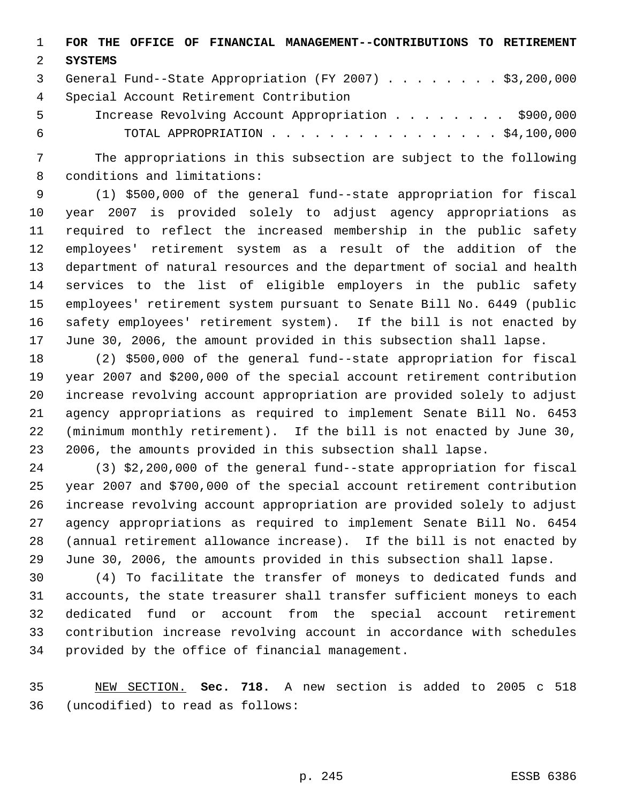**FOR THE OFFICE OF FINANCIAL MANAGEMENT--CONTRIBUTIONS TO RETIREMENT**

## **SYSTEMS**

 General Fund--State Appropriation (FY 2007) . . . . . . . . \$3,200,000 Special Account Retirement Contribution

 Increase Revolving Account Appropriation . . . . . . . . \$900,000 TOTAL APPROPRIATION . . . . . . . . . . . . . . . . \$4,100,000

 The appropriations in this subsection are subject to the following conditions and limitations:

 (1) \$500,000 of the general fund--state appropriation for fiscal year 2007 is provided solely to adjust agency appropriations as required to reflect the increased membership in the public safety employees' retirement system as a result of the addition of the department of natural resources and the department of social and health services to the list of eligible employers in the public safety employees' retirement system pursuant to Senate Bill No. 6449 (public safety employees' retirement system). If the bill is not enacted by June 30, 2006, the amount provided in this subsection shall lapse.

 (2) \$500,000 of the general fund--state appropriation for fiscal year 2007 and \$200,000 of the special account retirement contribution increase revolving account appropriation are provided solely to adjust agency appropriations as required to implement Senate Bill No. 6453 (minimum monthly retirement). If the bill is not enacted by June 30, 2006, the amounts provided in this subsection shall lapse.

 (3) \$2,200,000 of the general fund--state appropriation for fiscal year 2007 and \$700,000 of the special account retirement contribution increase revolving account appropriation are provided solely to adjust agency appropriations as required to implement Senate Bill No. 6454 (annual retirement allowance increase). If the bill is not enacted by June 30, 2006, the amounts provided in this subsection shall lapse.

 (4) To facilitate the transfer of moneys to dedicated funds and accounts, the state treasurer shall transfer sufficient moneys to each dedicated fund or account from the special account retirement contribution increase revolving account in accordance with schedules provided by the office of financial management.

 NEW SECTION. **Sec. 718.** A new section is added to 2005 c 518 (uncodified) to read as follows: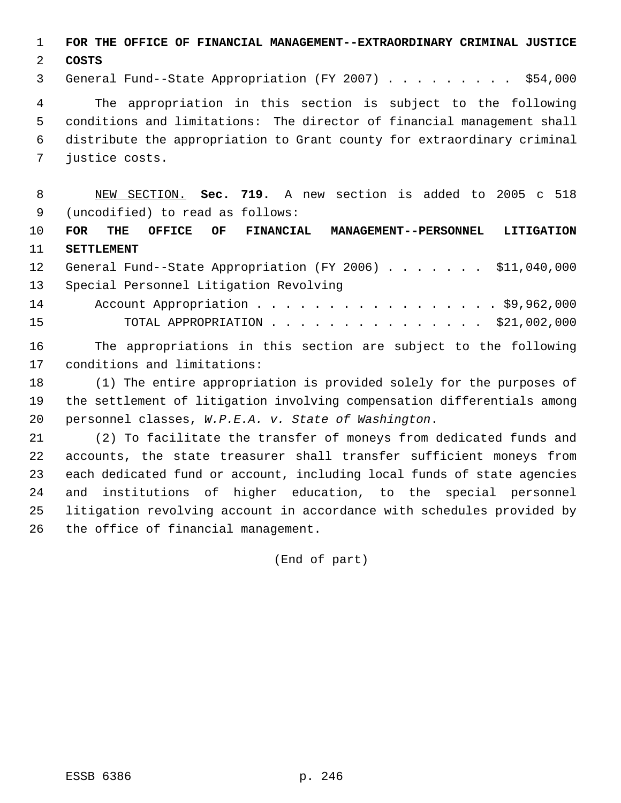**FOR THE OFFICE OF FINANCIAL MANAGEMENT--EXTRAORDINARY CRIMINAL JUSTICE**

**COSTS**

General Fund--State Appropriation (FY 2007) . . . . . . . . . \$54,000

 The appropriation in this section is subject to the following conditions and limitations: The director of financial management shall distribute the appropriation to Grant county for extraordinary criminal justice costs.

 NEW SECTION. **Sec. 719.** A new section is added to 2005 c 518 (uncodified) to read as follows:

 **FOR THE OFFICE OF FINANCIAL MANAGEMENT--PERSONNEL LITIGATION SETTLEMENT**

 General Fund--State Appropriation (FY 2006) . . . . . . . \$11,040,000 Special Personnel Litigation Revolving 14 Account Appropriation . . . . . . . . . . . . . . . . \$9,962,000 TOTAL APPROPRIATION . . . . . . . . . . . . . . . \$21,002,000

 The appropriations in this section are subject to the following conditions and limitations:

 (1) The entire appropriation is provided solely for the purposes of the settlement of litigation involving compensation differentials among personnel classes, *W.P.E.A. v. State of Washington*.

 (2) To facilitate the transfer of moneys from dedicated funds and accounts, the state treasurer shall transfer sufficient moneys from each dedicated fund or account, including local funds of state agencies and institutions of higher education, to the special personnel litigation revolving account in accordance with schedules provided by the office of financial management.

(End of part)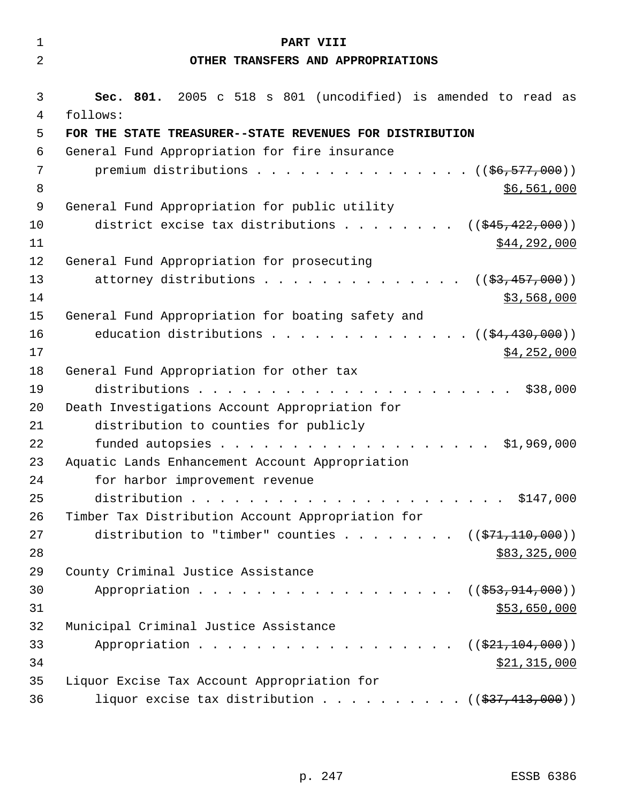| $\mathbf{1}$ | PART VIII                                                                 |
|--------------|---------------------------------------------------------------------------|
| 2            | OTHER TRANSFERS AND APPROPRIATIONS                                        |
|              |                                                                           |
| 3<br>4       | Sec. 801. 2005 c 518 s 801 (uncodified) is amended to read as<br>follows: |
| 5            | FOR THE STATE TREASURER--STATE REVENUES FOR DISTRIBUTION                  |
| 6            | General Fund Appropriation for fire insurance                             |
| 7            | premium distributions $($ $($ $\frac{6}{6}$ , $\frac{577}{600})$          |
| 8            | \$6,561,000                                                               |
| 9            | General Fund Appropriation for public utility                             |
| 10           | district excise tax distributions<br>$((\frac{1545}{122},000))$           |
| 11           | \$44,292,000                                                              |
| 12           | General Fund Appropriation for prosecuting                                |
| 13           | attorney distributions<br>(( <del>\$3,457,000</del> ))                    |
| 14           | \$3,568,000                                                               |
| 15           | General Fund Appropriation for boating safety and                         |
| 16           | education distributions $($ $($ $\frac{24}{1}$ , 430, 000) $)$            |
| 17           | \$4,252,000                                                               |
| 18           | General Fund Appropriation for other tax                                  |
| 19           | \$38,000                                                                  |
| 20           | Death Investigations Account Appropriation for                            |
| 21           | distribution to counties for publicly                                     |
| 22           | \$1,969,000                                                               |
| 23           | Aquatic Lands Enhancement Account Appropriation                           |
| 24           | for harbor improvement revenue                                            |
| 25           |                                                                           |
| 26           | Timber Tax Distribution Account Appropriation for                         |
| 27           | distribution to "timber" counties ( $(\frac{271}{10000})$ )               |
| 28           | \$83,325,000                                                              |
| 29<br>30     | County Criminal Justice Assistance                                        |
| 31           | Appropriation<br>$((\frac{253}{7}, 914, 000))$<br>\$53,650,000            |
| 32           | Municipal Criminal Justice Assistance                                     |
| 33           | Appropriation<br>((\$21,104,000))                                         |
| 34           | \$21,315,000                                                              |
| 35           | Liquor Excise Tax Account Appropriation for                               |
| 36           | liquor excise tax distribution $($ $($ $\frac{27}{13},000)$ $)$           |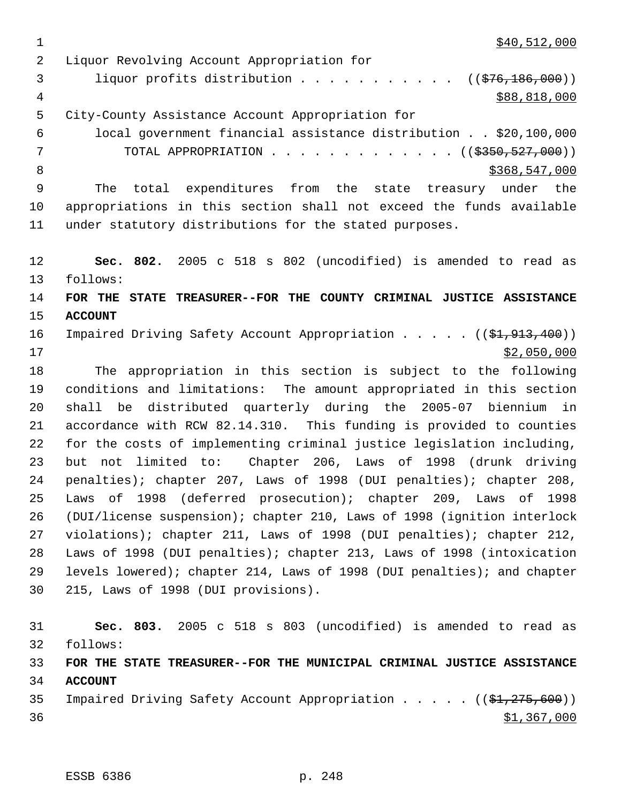$\frac{1}{340}$ , 512, 000

 Liquor Revolving Account Appropriation for 3 liquor profits distribution . . . . . . . . . . ((\$76,186,000))  $\frac{4}{388,818,000}$  City-County Assistance Account Appropriation for local government financial assistance distribution . . \$20,100,000 7 TOTAL APPROPRIATION . . . . . . . . . . . . ((\$350,527,000)) 8 \$368,547,000 \$368,547,000 The total expenditures from the state treasury under the appropriations in this section shall not exceed the funds available under statutory distributions for the stated purposes. **Sec. 802.** 2005 c 518 s 802 (uncodified) is amended to read as follows: **FOR THE STATE TREASURER--FOR THE COUNTY CRIMINAL JUSTICE ASSISTANCE ACCOUNT**  16 Impaired Driving Safety Account Appropriation . . . . ((\$1,913,400)) \$2,050,000 The appropriation in this section is subject to the following conditions and limitations: The amount appropriated in this section shall be distributed quarterly during the 2005-07 biennium in accordance with RCW 82.14.310. This funding is provided to counties for the costs of implementing criminal justice legislation including, but not limited to: Chapter 206, Laws of 1998 (drunk driving penalties); chapter 207, Laws of 1998 (DUI penalties); chapter 208, Laws of 1998 (deferred prosecution); chapter 209, Laws of 1998 (DUI/license suspension); chapter 210, Laws of 1998 (ignition interlock violations); chapter 211, Laws of 1998 (DUI penalties); chapter 212, Laws of 1998 (DUI penalties); chapter 213, Laws of 1998 (intoxication levels lowered); chapter 214, Laws of 1998 (DUI penalties); and chapter 215, Laws of 1998 (DUI provisions). **Sec. 803.** 2005 c 518 s 803 (uncodified) is amended to read as follows: **FOR THE STATE TREASURER--FOR THE MUNICIPAL CRIMINAL JUSTICE ASSISTANCE ACCOUNT** 

35 Impaired Driving Safety Account Appropriation . . . . ((\$1,275,600))  $\frac{$1,367,000}{9}$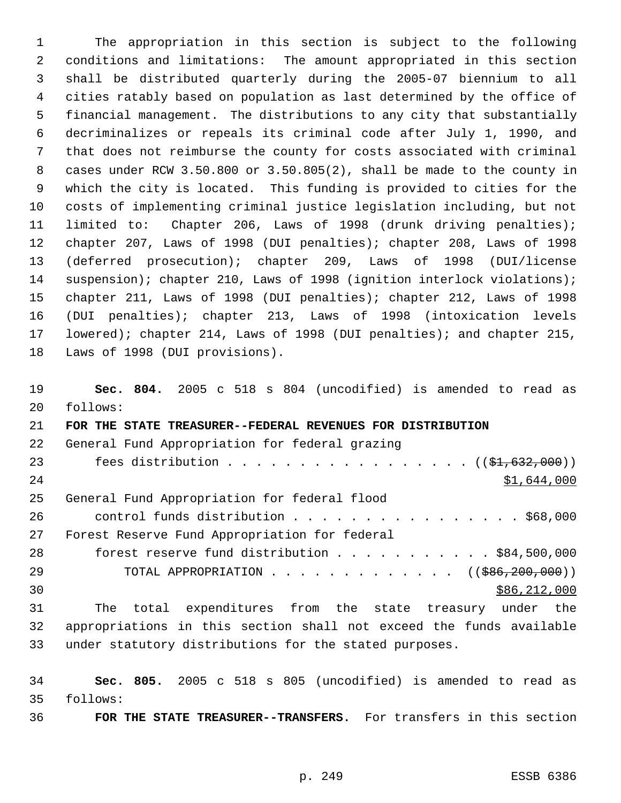The appropriation in this section is subject to the following conditions and limitations: The amount appropriated in this section shall be distributed quarterly during the 2005-07 biennium to all cities ratably based on population as last determined by the office of financial management. The distributions to any city that substantially decriminalizes or repeals its criminal code after July 1, 1990, and that does not reimburse the county for costs associated with criminal cases under RCW 3.50.800 or 3.50.805(2), shall be made to the county in which the city is located. This funding is provided to cities for the costs of implementing criminal justice legislation including, but not limited to: Chapter 206, Laws of 1998 (drunk driving penalties); chapter 207, Laws of 1998 (DUI penalties); chapter 208, Laws of 1998 (deferred prosecution); chapter 209, Laws of 1998 (DUI/license 14 suspension); chapter 210, Laws of 1998 (ignition interlock violations); chapter 211, Laws of 1998 (DUI penalties); chapter 212, Laws of 1998 (DUI penalties); chapter 213, Laws of 1998 (intoxication levels lowered); chapter 214, Laws of 1998 (DUI penalties); and chapter 215, Laws of 1998 (DUI provisions).

 **Sec. 804.** 2005 c 518 s 804 (uncodified) is amended to read as follows: **FOR THE STATE TREASURER--FEDERAL REVENUES FOR DISTRIBUTION** General Fund Appropriation for federal grazing 23 fees distribution . . . . . . . . . . . . . . . . ((\$1,632,000)) 24 \$1,644,000 General Fund Appropriation for federal flood 26 control funds distribution . . . . . . . . . . . . . . . \$68,000 Forest Reserve Fund Appropriation for federal forest reserve fund distribution . . . . . . . . . . . \$84,500,000 29 TOTAL APPROPRIATION . . . . . . . . . . . . . ((\$86,200,000))  $30 \,$  \$86,212,000 The total expenditures from the state treasury under the appropriations in this section shall not exceed the funds available under statutory distributions for the stated purposes.

 **Sec. 805.** 2005 c 518 s 805 (uncodified) is amended to read as follows:

**FOR THE STATE TREASURER--TRANSFERS.** For transfers in this section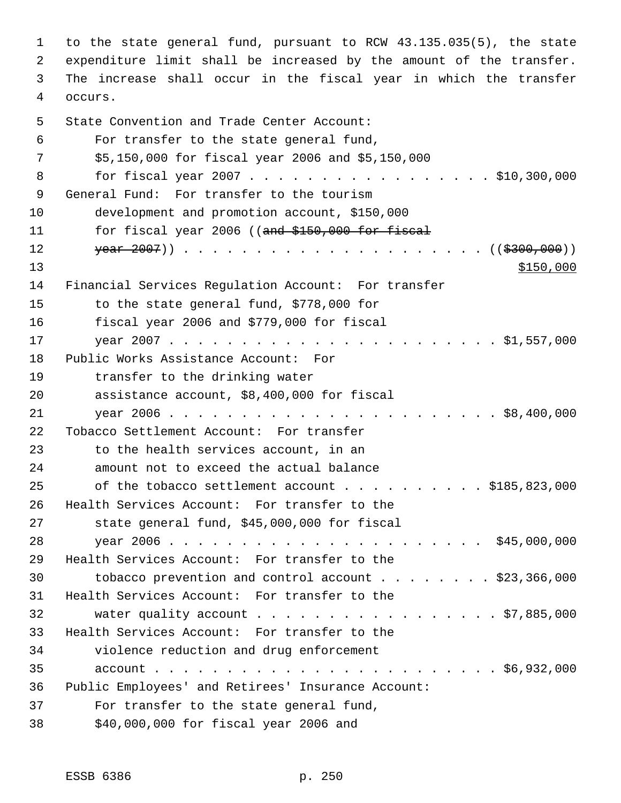to the state general fund, pursuant to RCW 43.135.035(5), the state expenditure limit shall be increased by the amount of the transfer. The increase shall occur in the fiscal year in which the transfer occurs. State Convention and Trade Center Account: For transfer to the state general fund, \$5,150,000 for fiscal year 2006 and \$5,150,000 8 for fiscal year 2007 . . . . . . . . . . . . . . . . \$10,300,000 General Fund: For transfer to the tourism development and promotion account, \$150,000 11 for fiscal year 2006 ((and \$150,000 for fiscal year 2007)) . . . . . . . . . . . . . . . . . . . . . ((\$300,000))  $\frac{$150,000}{ }$  Financial Services Regulation Account: For transfer to the state general fund, \$778,000 for fiscal year 2006 and \$779,000 for fiscal year 2007 . . . . . . . . . . . . . . . . . . . . . . . \$1,557,000 Public Works Assistance Account: For transfer to the drinking water assistance account, \$8,400,000 for fiscal year 2006 . . . . . . . . . . . . . . . . . . . . . . . \$8,400,000 Tobacco Settlement Account: For transfer to the health services account, in an amount not to exceed the actual balance 25 of the tobacco settlement account . . . . . . . . . \$185,823,000 Health Services Account: For transfer to the state general fund, \$45,000,000 for fiscal year 2006 . . . . . . . . . . . . . . . . . . . . . . \$45,000,000 Health Services Account: For transfer to the tobacco prevention and control account . . . . . . . . \$23,366,000 Health Services Account: For transfer to the 32 water quality account . . . . . . . . . . . . . . . . \$7,885,000 Health Services Account: For transfer to the violence reduction and drug enforcement account . . . . . . . . . . . . . . . . . . . . . . . . \$6,932,000 Public Employees' and Retirees' Insurance Account: For transfer to the state general fund, \$40,000,000 for fiscal year 2006 and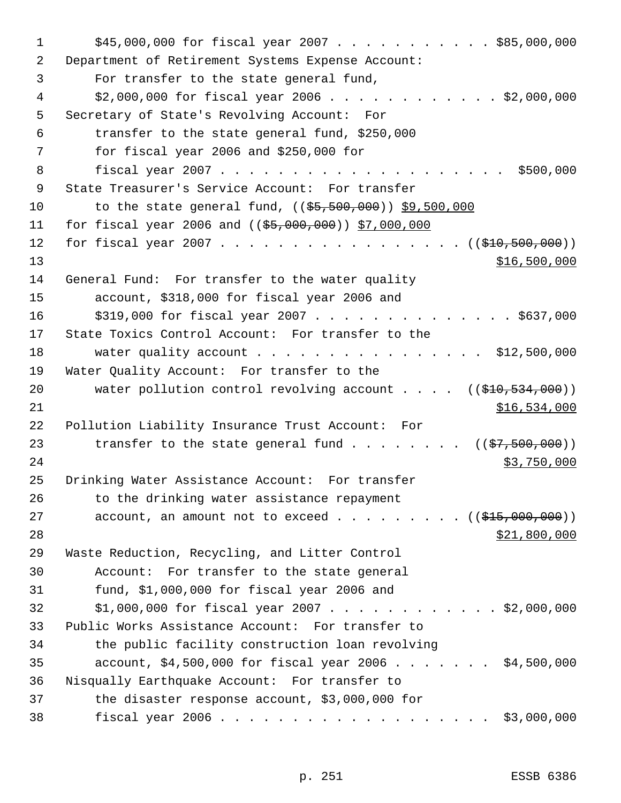| 1  | $$45,000,000$ for fiscal year 2007 \$85,000,000                                                                |
|----|----------------------------------------------------------------------------------------------------------------|
| 2  | Department of Retirement Systems Expense Account:                                                              |
| 3  | For transfer to the state general fund,                                                                        |
| 4  | $$2,000,000$ for fiscal year 2006 \$2,000,000                                                                  |
| 5  | Secretary of State's Revolving Account: For                                                                    |
| 6  | transfer to the state general fund, \$250,000                                                                  |
| 7  | for fiscal year 2006 and $$250,000$ for                                                                        |
| 8  |                                                                                                                |
| 9  | State Treasurer's Service Account: For transfer                                                                |
| 10 | to the state general fund, $((\frac{55}{5}, \frac{500}{000}, \frac{000}{00}, \frac{59}{500}, \frac{500}{000})$ |
| 11 | for fiscal year 2006 and $((\$5,000,000) )$ \$7,000,000                                                        |
| 12 | for fiscal year 2007 ( $(\frac{210}{500}, \frac{500}{100})$ )                                                  |
| 13 | \$16,500,000                                                                                                   |
| 14 | General Fund: For transfer to the water quality                                                                |
| 15 | account, \$318,000 for fiscal year 2006 and                                                                    |
| 16 | \$319,000 for fiscal year 2007 \$637,000                                                                       |
| 17 | State Toxics Control Account: For transfer to the                                                              |
| 18 | water quality account \$12,500,000                                                                             |
| 19 | Water Quality Account: For transfer to the                                                                     |
| 20 | water pollution control revolving account $($ $($ \$10,534,000))                                               |
| 21 | \$16,534,000                                                                                                   |
| 22 | Pollution Liability Insurance Trust Account: For                                                               |
| 23 | transfer to the state general fund $($ $($ \$7,500,000) $)$                                                    |
| 24 | \$3,750,000                                                                                                    |
| 25 | Drinking Water Assistance Account: For transfer                                                                |
| 26 | to the drinking water assistance repayment                                                                     |
| 27 | account, an amount not to exceed $($ $)$ $)$                                                                   |
| 28 | \$21,800,000                                                                                                   |
| 29 | Waste Reduction, Recycling, and Litter Control                                                                 |
| 30 | Account: For transfer to the state general                                                                     |
| 31 | fund, $$1,000,000$ for fiscal year 2006 and                                                                    |
| 32 | $$1,000,000$ for fiscal year 2007 \$2,000,000                                                                  |
| 33 | Public Works Assistance Account: For transfer to                                                               |
| 34 | the public facility construction loan revolving                                                                |
| 35 | account, \$4,500,000 for fiscal year 2006 \$4,500,000                                                          |
| 36 | Nisqually Earthquake Account: For transfer to                                                                  |
| 37 | the disaster response account, \$3,000,000 for                                                                 |
| 38 | \$3,000,000                                                                                                    |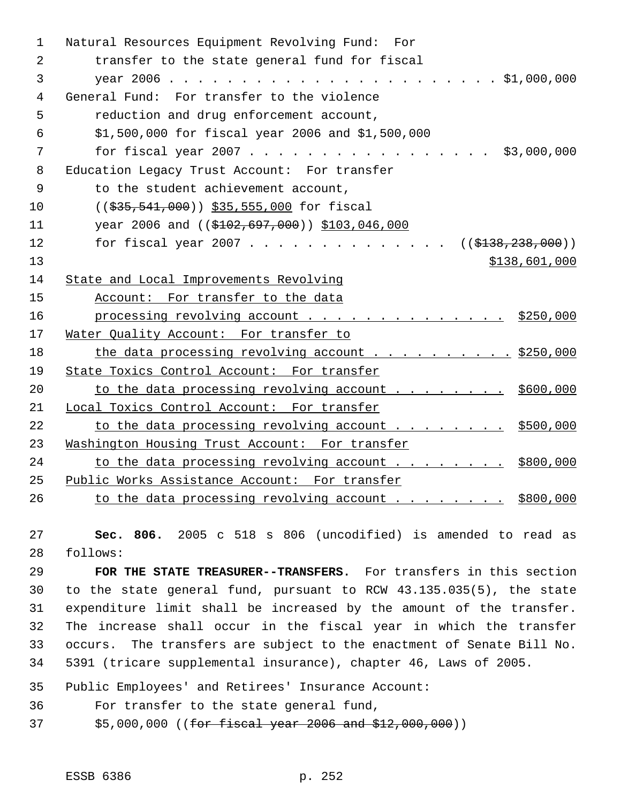| 1              | Natural Resources Equipment Revolving Fund: For                                          |
|----------------|------------------------------------------------------------------------------------------|
| $\overline{2}$ | transfer to the state general fund for fiscal                                            |
| 3              |                                                                                          |
| 4              | General Fund: For transfer to the violence                                               |
| 5              | reduction and drug enforcement account,                                                  |
| 6              | \$1,500,000 for fiscal year 2006 and \$1,500,000                                         |
| 7              | for fiscal year 2007<br>\$3,000,000                                                      |
| 8              | Education Legacy Trust Account: For transfer                                             |
| $\overline{9}$ | to the student achievement account,                                                      |
| 10             | $((\frac{2535}{1000}, \frac{541}{1000})$ $\frac{235}{1000}, \frac{555}{1000}$ for fiscal |
| 11             | year 2006 and $((\$102,697,000))$ \$103,046,000                                          |
| 12             | for fiscal year 2007 ( $(\frac{138}{238}, \frac{238}{200})$ )                            |
| 13             | \$138,601,000                                                                            |
| 14             | State and Local Improvements Revolving                                                   |
| 15             | Account: For transfer to the data                                                        |
| 16             | processing revolving account \$250,000                                                   |
| 17             | Water Quality Account: For transfer to                                                   |
| 18             | the data processing revolving account \$250,000                                          |
| 19             | State Toxics Control Account: For transfer                                               |
| 20             | to the data processing revolving account \$600,000                                       |
| 21             | Local Toxics Control Account: For transfer                                               |
| 22             | to the data processing revolving account \$500,000                                       |
| 23             | Washington Housing Trust Account: For transfer                                           |
| 24             | to the data processing revolving account \$800,000                                       |
| 25             | Public Works Assistance Account: For transfer                                            |
| 26             | to the data processing revolving account \$800,000                                       |

 **Sec. 806.** 2005 c 518 s 806 (uncodified) is amended to read as follows:

 **FOR THE STATE TREASURER--TRANSFERS.** For transfers in this section to the state general fund, pursuant to RCW 43.135.035(5), the state expenditure limit shall be increased by the amount of the transfer. The increase shall occur in the fiscal year in which the transfer occurs. The transfers are subject to the enactment of Senate Bill No. 5391 (tricare supplemental insurance), chapter 46, Laws of 2005.

Public Employees' and Retirees' Insurance Account:

For transfer to the state general fund,

37 \$5,000,000 ((for fiscal year 2006 and \$12,000,000))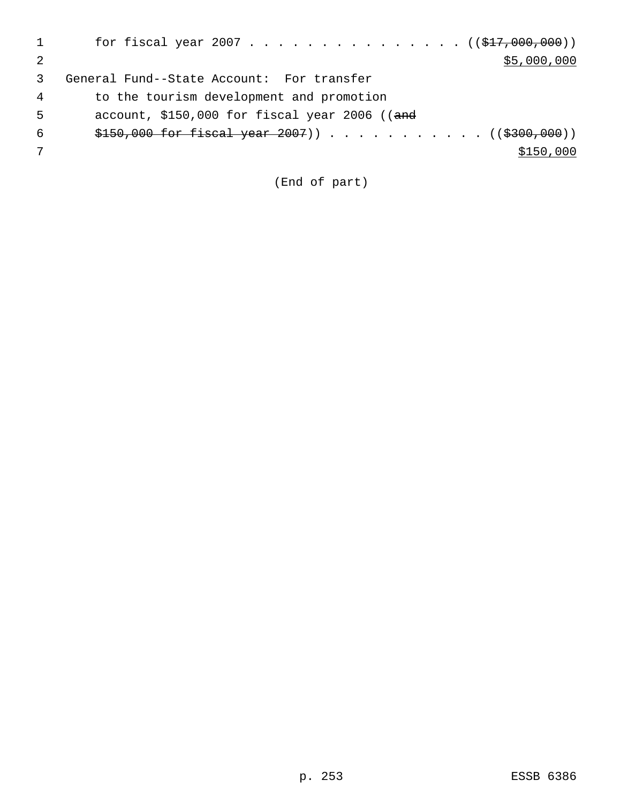|   | for fiscal year 2007 ( $(\frac{277}{600}, 000)$ ) |
|---|---------------------------------------------------|
|   | \$5,000,000                                       |
|   | General Fund--State Account: For transfer         |
| 4 | to the tourism development and promotion          |
| 5 | account, $$150,000$ for fiscal year 2006 ((and    |
| 6 |                                                   |
|   | \$150,000                                         |
|   |                                                   |

(End of part)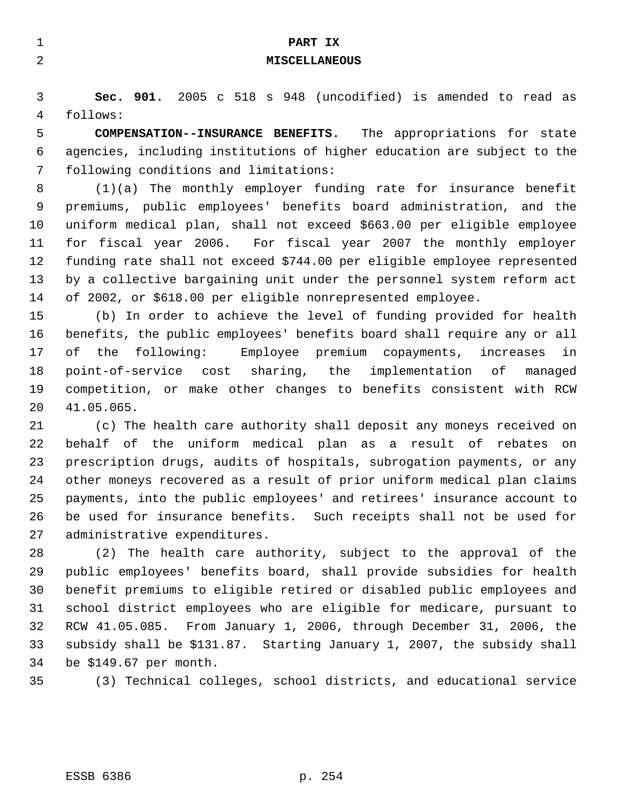| $\mathbf 1$ | PART IX                                                                  |
|-------------|--------------------------------------------------------------------------|
| 2           | <b>MISCELLANEOUS</b>                                                     |
|             |                                                                          |
| 3           | Sec. 901. 2005 c 518 s 948 (uncodified) is amended to read as            |
| 4           | follows:                                                                 |
| 5           | <b>COMPENSATION--INSURANCE BENEFITS.</b> The appropriations for state    |
| 6           | agencies, including institutions of higher education are subject to the  |
| 7           | following conditions and limitations:                                    |
| 8           | $(1)(a)$ The monthly employer funding rate for insurance benefit         |
| 9           | premiums, public employees' benefits board administration, and the       |
| 10          | uniform medical plan, shall not exceed \$663.00 per eligible employee    |
| 11          | for fiscal year 2006. For fiscal year 2007 the monthly employer          |
| 12          | funding rate shall not exceed \$744.00 per eligible employee represented |
| 13          | by a collective bargaining unit under the personnel system reform act    |
| 14          | of 2002, or \$618.00 per eligible nonrepresented employee.               |
| 15          | (b) In order to achieve the level of funding provided for health         |
| 16          | benefits, the public employees' benefits board shall require any or all  |
| 17          | the following:<br>Employee premium copayments, increases<br>оf<br>in.    |
| 18          | point-of-service cost sharing, the implementation of<br>managed          |
| 19          | competition, or make other changes to benefits consistent with RCW       |
| 20          | 41.05.065.                                                               |
| 21          | (c) The health care authority shall deposit any moneys received on       |
| 22          | behalf of the uniform medical plan as a result of rebates on             |
| 23          | prescription drugs, audits of hospitals, subrogation payments, or any    |
| 24          | other moneys recovered as a result of prior uniform medical plan claims  |
| 25          | payments, into the public employees' and retirees' insurance account to  |
| 26          | be used for insurance benefits.<br>Such receipts shall not be used for   |

administrative expenditures.

 (2) The health care authority, subject to the approval of the public employees' benefits board, shall provide subsidies for health benefit premiums to eligible retired or disabled public employees and school district employees who are eligible for medicare, pursuant to RCW 41.05.085. From January 1, 2006, through December 31, 2006, the subsidy shall be \$131.87. Starting January 1, 2007, the subsidy shall be \$149.67 per month.

(3) Technical colleges, school districts, and educational service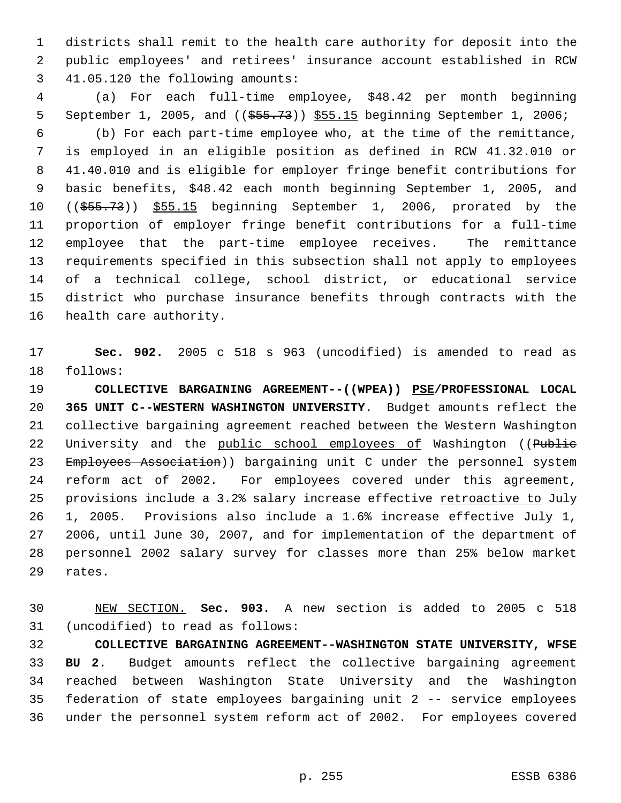districts shall remit to the health care authority for deposit into the public employees' and retirees' insurance account established in RCW 41.05.120 the following amounts:

 (a) For each full-time employee, \$48.42 per month beginning 5 September 1, 2005, and (( $\frac{2005}{1000}$ ,  $\frac{555.15}{1000}$  beginning September 1, 2006; (b) For each part-time employee who, at the time of the remittance, is employed in an eligible position as defined in RCW 41.32.010 or 41.40.010 and is eligible for employer fringe benefit contributions for basic benefits, \$48.42 each month beginning September 1, 2005, and ((\$55.73)) \$55.15 beginning September 1, 2006, prorated by the proportion of employer fringe benefit contributions for a full-time employee that the part-time employee receives. The remittance requirements specified in this subsection shall not apply to employees of a technical college, school district, or educational service district who purchase insurance benefits through contracts with the health care authority.

 **Sec. 902.** 2005 c 518 s 963 (uncodified) is amended to read as follows:

 **COLLECTIVE BARGAINING AGREEMENT--((WPEA)) PSE/PROFESSIONAL LOCAL 365 UNIT C--WESTERN WASHINGTON UNIVERSITY.** Budget amounts reflect the collective bargaining agreement reached between the Western Washington 22 University and the public school employees of Washington ((Public 23 Employees Association)) bargaining unit C under the personnel system reform act of 2002. For employees covered under this agreement, 25 provisions include a 3.2% salary increase effective retroactive to July 1, 2005. Provisions also include a 1.6% increase effective July 1, 2006, until June 30, 2007, and for implementation of the department of personnel 2002 salary survey for classes more than 25% below market rates.

 NEW SECTION. **Sec. 903.** A new section is added to 2005 c 518 (uncodified) to read as follows:

 **COLLECTIVE BARGAINING AGREEMENT--WASHINGTON STATE UNIVERSITY, WFSE BU 2.** Budget amounts reflect the collective bargaining agreement reached between Washington State University and the Washington federation of state employees bargaining unit 2 -- service employees under the personnel system reform act of 2002. For employees covered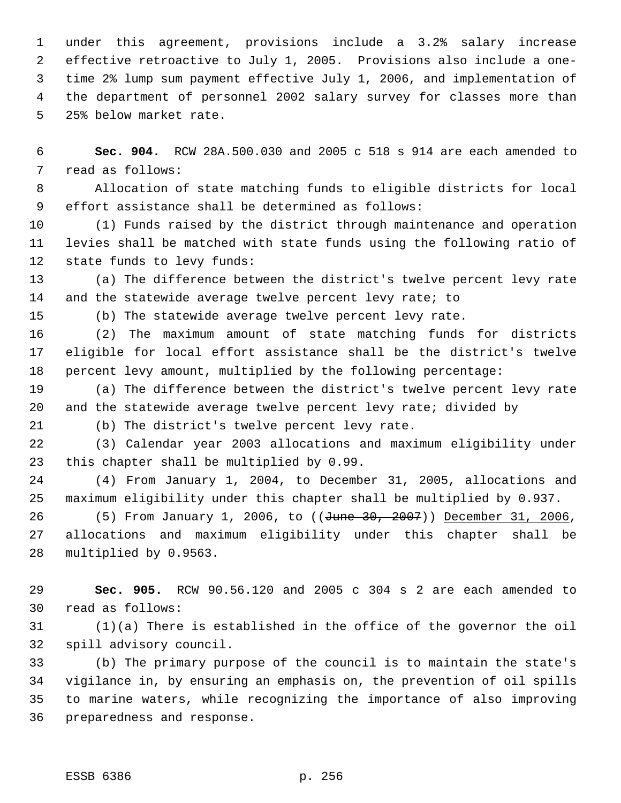under this agreement, provisions include a 3.2% salary increase effective retroactive to July 1, 2005. Provisions also include a one- time 2% lump sum payment effective July 1, 2006, and implementation of the department of personnel 2002 salary survey for classes more than 25% below market rate.

 **Sec. 904.** RCW 28A.500.030 and 2005 c 518 s 914 are each amended to read as follows:

 Allocation of state matching funds to eligible districts for local effort assistance shall be determined as follows:

 (1) Funds raised by the district through maintenance and operation levies shall be matched with state funds using the following ratio of state funds to levy funds:

 (a) The difference between the district's twelve percent levy rate 14 and the statewide average twelve percent levy rate; to

(b) The statewide average twelve percent levy rate.

 (2) The maximum amount of state matching funds for districts eligible for local effort assistance shall be the district's twelve percent levy amount, multiplied by the following percentage:

 (a) The difference between the district's twelve percent levy rate and the statewide average twelve percent levy rate; divided by

(b) The district's twelve percent levy rate.

 (3) Calendar year 2003 allocations and maximum eligibility under this chapter shall be multiplied by 0.99.

 (4) From January 1, 2004, to December 31, 2005, allocations and maximum eligibility under this chapter shall be multiplied by 0.937.

26 (5) From January 1, 2006, to ((June 30, 2007)) December 31, 2006, allocations and maximum eligibility under this chapter shall be multiplied by 0.9563.

 **Sec. 905.** RCW 90.56.120 and 2005 c 304 s 2 are each amended to read as follows:

 (1)(a) There is established in the office of the governor the oil spill advisory council.

 (b) The primary purpose of the council is to maintain the state's vigilance in, by ensuring an emphasis on, the prevention of oil spills to marine waters, while recognizing the importance of also improving preparedness and response.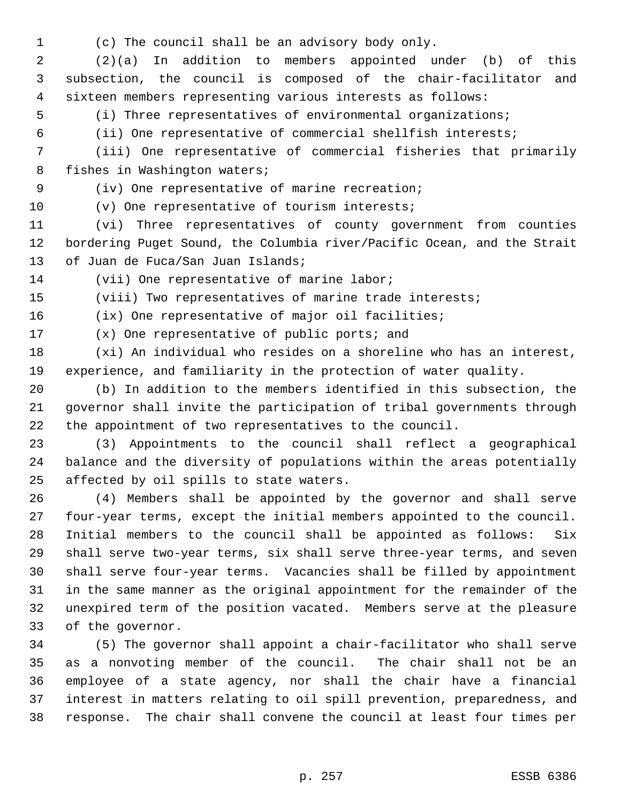(c) The council shall be an advisory body only.

 (2)(a) In addition to members appointed under (b) of this subsection, the council is composed of the chair-facilitator and sixteen members representing various interests as follows:

(i) Three representatives of environmental organizations;

(ii) One representative of commercial shellfish interests;

 (iii) One representative of commercial fisheries that primarily fishes in Washington waters;

(iv) One representative of marine recreation;

(v) One representative of tourism interests;

 (vi) Three representatives of county government from counties bordering Puget Sound, the Columbia river/Pacific Ocean, and the Strait of Juan de Fuca/San Juan Islands;

(vii) One representative of marine labor;

(viii) Two representatives of marine trade interests;

(ix) One representative of major oil facilities;

(x) One representative of public ports; and

 (xi) An individual who resides on a shoreline who has an interest, experience, and familiarity in the protection of water quality.

 (b) In addition to the members identified in this subsection, the governor shall invite the participation of tribal governments through the appointment of two representatives to the council.

 (3) Appointments to the council shall reflect a geographical balance and the diversity of populations within the areas potentially affected by oil spills to state waters.

 (4) Members shall be appointed by the governor and shall serve four-year terms, except the initial members appointed to the council. Initial members to the council shall be appointed as follows: Six shall serve two-year terms, six shall serve three-year terms, and seven shall serve four-year terms. Vacancies shall be filled by appointment in the same manner as the original appointment for the remainder of the unexpired term of the position vacated. Members serve at the pleasure of the governor.

 (5) The governor shall appoint a chair-facilitator who shall serve as a nonvoting member of the council. The chair shall not be an employee of a state agency, nor shall the chair have a financial interest in matters relating to oil spill prevention, preparedness, and response. The chair shall convene the council at least four times per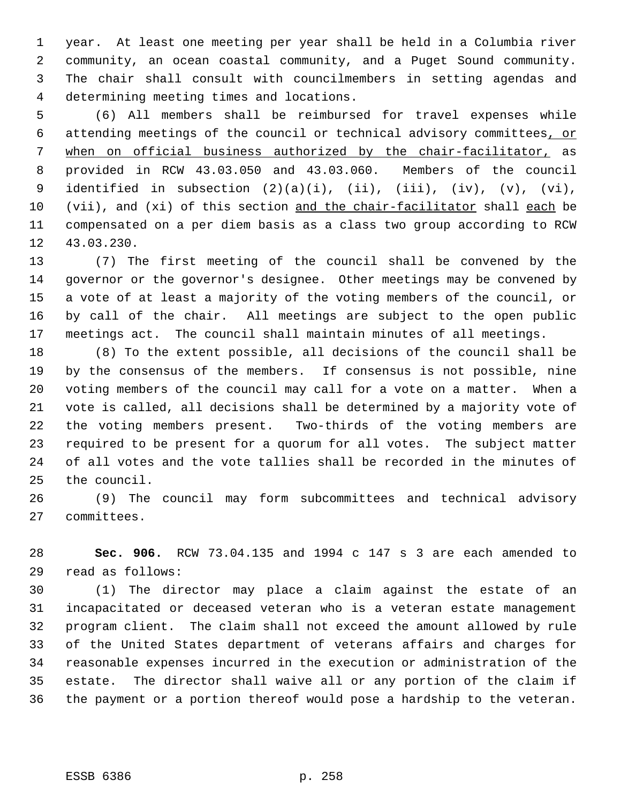year. At least one meeting per year shall be held in a Columbia river community, an ocean coastal community, and a Puget Sound community. The chair shall consult with councilmembers in setting agendas and determining meeting times and locations.

 (6) All members shall be reimbursed for travel expenses while attending meetings of the council or technical advisory committees, or when on official business authorized by the chair-facilitator, as provided in RCW 43.03.050 and 43.03.060. Members of the council 9 identified in subsection  $(2)(a)(i)$ ,  $(ii)$ ,  $(iii)$ ,  $(iv)$ ,  $(v)$ ,  $(vi)$ , (vii), and (xi) of this section and the chair-facilitator shall each be compensated on a per diem basis as a class two group according to RCW 43.03.230.

 (7) The first meeting of the council shall be convened by the governor or the governor's designee. Other meetings may be convened by a vote of at least a majority of the voting members of the council, or by call of the chair. All meetings are subject to the open public meetings act. The council shall maintain minutes of all meetings.

 (8) To the extent possible, all decisions of the council shall be by the consensus of the members. If consensus is not possible, nine voting members of the council may call for a vote on a matter. When a vote is called, all decisions shall be determined by a majority vote of the voting members present. Two-thirds of the voting members are required to be present for a quorum for all votes. The subject matter of all votes and the vote tallies shall be recorded in the minutes of the council.

 (9) The council may form subcommittees and technical advisory committees.

 **Sec. 906.** RCW 73.04.135 and 1994 c 147 s 3 are each amended to read as follows:

 (1) The director may place a claim against the estate of an incapacitated or deceased veteran who is a veteran estate management program client. The claim shall not exceed the amount allowed by rule of the United States department of veterans affairs and charges for reasonable expenses incurred in the execution or administration of the estate. The director shall waive all or any portion of the claim if the payment or a portion thereof would pose a hardship to the veteran.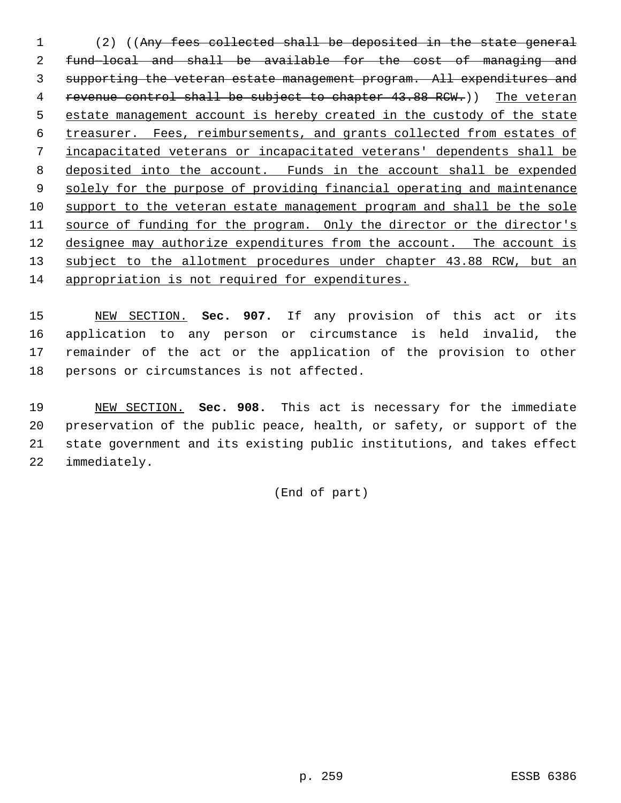(2) ((Any fees collected shall be deposited in the state general fund—local and shall be available for the cost of managing and supporting the veteran estate management program. All expenditures and 4 revenue control shall be subject to chapter 43.88 RCW.)) The veteran estate management account is hereby created in the custody of the state treasurer. Fees, reimbursements, and grants collected from estates of incapacitated veterans or incapacitated veterans' dependents shall be deposited into the account. Funds in the account shall be expended 9 solely for the purpose of providing financial operating and maintenance support to the veteran estate management program and shall be the sole 11 source of funding for the program. Only the director or the director's 12 designee may authorize expenditures from the account. The account is 13 subject to the allotment procedures under chapter 43.88 RCW, but an appropriation is not required for expenditures.

 NEW SECTION. **Sec. 907.** If any provision of this act or its application to any person or circumstance is held invalid, the remainder of the act or the application of the provision to other persons or circumstances is not affected.

 NEW SECTION. **Sec. 908.** This act is necessary for the immediate preservation of the public peace, health, or safety, or support of the state government and its existing public institutions, and takes effect immediately.

(End of part)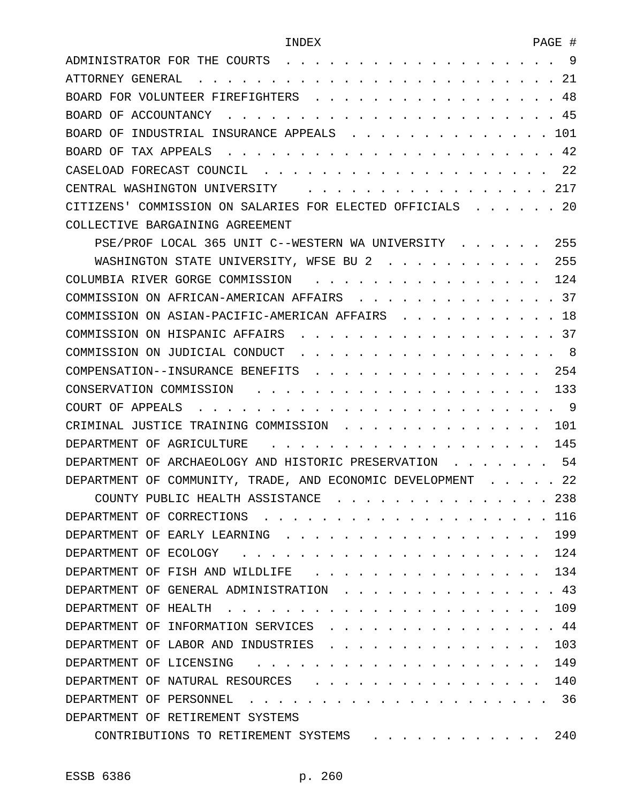| ADMINISTRATOR FOR THE COURTS<br>9                                                                                      |
|------------------------------------------------------------------------------------------------------------------------|
| 21<br>ATTORNEY GENERAL                                                                                                 |
| 48<br>BOARD FOR VOLUNTEER FIREFIGHTERS                                                                                 |
| 45<br>BOARD OF<br>ACCOUNTANCY                                                                                          |
| 101<br>BOARD OF<br>INDUSTRIAL INSURANCE APPEALS                                                                        |
| 42<br>BOARD OF<br>TAX APPEALS                                                                                          |
| 22<br>CASELOAD FORECAST COUNCIL                                                                                        |
| 217<br>CENTRAL WASHINGTON UNIVERSITY                                                                                   |
| 20<br>CITIZENS' COMMISSION ON SALARIES FOR ELECTED OFFICIALS                                                           |
| COLLECTIVE BARGAINING AGREEMENT                                                                                        |
| 255<br>PSE/PROF LOCAL 365 UNIT C--WESTERN WA UNIVERSITY                                                                |
| 255<br>WASHINGTON STATE UNIVERSITY, WFSE BU 2                                                                          |
| 124<br>COLUMBIA RIVER GORGE COMMISSION                                                                                 |
| 37<br>COMMISSION ON AFRICAN-AMERICAN AFFAIRS                                                                           |
| 18<br>COMMISSION ON ASIAN-PACIFIC-AMERICAN AFFAIRS                                                                     |
| 37<br>COMMISSION ON HISPANIC AFFAIRS                                                                                   |
| 8<br>COMMISSION ON JUDICIAL CONDUCT                                                                                    |
| 254<br>COMPENSATION--INSURANCE BENEFITS                                                                                |
| 133<br>CONSERVATION COMMISSION                                                                                         |
| 9<br>COURT OF APPEALS                                                                                                  |
| 101<br>CRIMINAL JUSTICE TRAINING COMMISSION                                                                            |
| 145<br>DEPARTMENT OF AGRICULTURE                                                                                       |
| 54<br>DEPARTMENT OF ARCHAEOLOGY AND HISTORIC PRESERVATION                                                              |
| 22<br>COMMUNITY, TRADE, AND ECONOMIC DEVELOPMENT<br>DEPARTMENT<br>OF                                                   |
| 238<br>COUNTY PUBLIC HEALTH ASSISTANCE                                                                                 |
| 116<br>DEPARTMENT OF CORRECTIONS                                                                                       |
| 199<br>DEPARTMENT OF EARLY LEARNING                                                                                    |
| 124<br>DEPARTMENT<br>ECOLOGY<br>OF                                                                                     |
| 134<br>DEPARTMENT OF<br>FISH AND WILDLIFE                                                                              |
| 43<br>DEPARTMENT<br>OF GENERAL ADMINISTRATION                                                                          |
| 109<br>DEPARTMENT<br>OF<br>HEALTH                                                                                      |
| 44<br>DEPARTMENT<br>INFORMATION SERVICES<br>OF                                                                         |
| 103<br>DEPARTMENT OF<br>LABOR AND INDUSTRIES                                                                           |
| 149<br>DEPARTMENT<br>OF LICENSING                                                                                      |
| 140<br>DEPARTMENT OF<br>NATURAL RESOURCES                                                                              |
| 36<br>DEPARTMENT<br>OF.<br>PERSONNEL                                                                                   |
| DEPARTMENT OF RETIREMENT SYSTEMS                                                                                       |
| 240<br>CONTRIBUTIONS TO RETIREMENT SYSTEMS<br>$\mathbf{r}$ , $\mathbf{r}$ , $\mathbf{r}$ , $\mathbf{r}$ , $\mathbf{r}$ |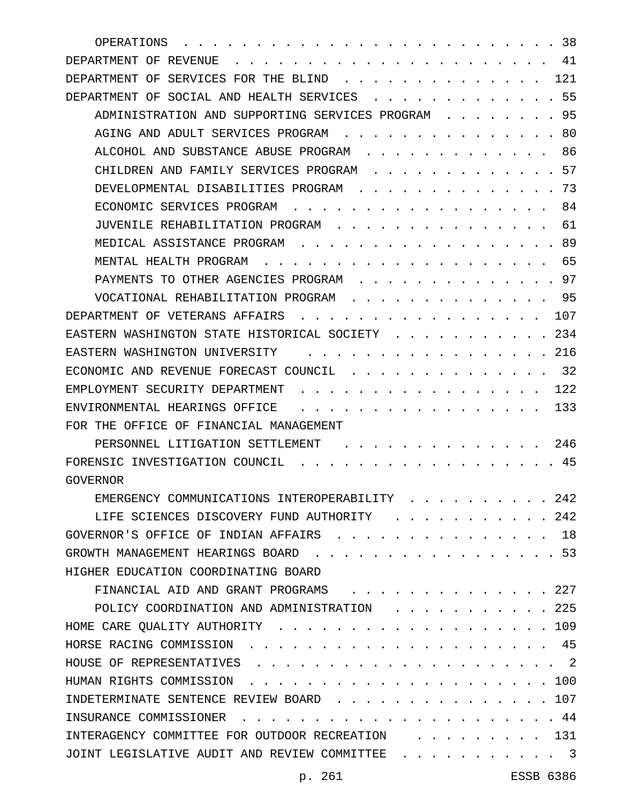| 38<br>OPERATIONS                                                             |
|------------------------------------------------------------------------------|
| 41<br>DEPARTMENT OF<br>REVENUE                                               |
| 121<br>OF<br>SERVICES<br>DEPARTMENT<br>FOR THE<br>BLIND                      |
| 55<br>SOCIAL AND HEALTH SERVICES<br>DEPARTMENT<br>OF                         |
| 95<br>ADMINISTRATION AND SUPPORTING SERVICES PROGRAM                         |
| 80<br>AGING AND ADULT SERVICES PROGRAM                                       |
| 86<br>ALCOHOL AND SUBSTANCE ABUSE PROGRAM                                    |
| 57<br>CHILDREN AND FAMILY SERVICES PROGRAM                                   |
| 73<br>DEVELOPMENTAL DISABILITIES PROGRAM                                     |
| 84<br>ECONOMIC SERVICES PROGRAM                                              |
| 61<br>JUVENILE REHABILITATION PROGRAM                                        |
| 89<br>MEDICAL ASSISTANCE PROGRAM                                             |
| 65<br>MENTAL HEALTH PROGRAM                                                  |
| 97<br>PAYMENTS TO OTHER AGENCIES PROGRAM                                     |
| 95<br>VOCATIONAL REHABILITATION PROGRAM                                      |
| 107<br>DEPARTMENT OF VETERANS AFFAIRS                                        |
| 234<br>EASTERN WASHINGTON STATE HISTORICAL SOCIETY                           |
| 216<br>EASTERN WASHINGTON UNIVERSITY                                         |
| 32<br>ECONOMIC AND REVENUE FORECAST COUNCIL                                  |
| 122<br>EMPLOYMENT SECURITY DEPARTMENT                                        |
| 133<br>ENVIRONMENTAL HEARINGS OFFICE                                         |
| FOR THE OFFICE OF FINANCIAL MANAGEMENT                                       |
| 246<br>PERSONNEL LITIGATION SETTLEMENT                                       |
| 45<br>FORENSIC INVESTIGATION COUNCIL                                         |
| <b>GOVERNOR</b>                                                              |
| EMERGENCY COMMUNICATIONS INTEROPERABILITY<br>242                             |
| 242<br>LIFE SCIENCES DISCOVERY FUND AUTHORITY                                |
| GOVERNOR'S OFFICE OF INDIAN AFFAIRS<br>18                                    |
| $\cdot \cdot \cdot \cdot \cdot \cdot 53$<br>GROWTH MANAGEMENT HEARINGS BOARD |
| HIGHER EDUCATION COORDINATING BOARD                                          |
| . 227<br>FINANCIAL AID AND GRANT PROGRAMS                                    |
| 225<br>POLICY COORDINATION AND ADMINISTRATION                                |
| 109<br>HOME CARE QUALITY AUTHORITY                                           |
| 45<br>HORSE RACING COMMISSION.                                               |
| $\cdot$ 2<br>HOUSE OF REPRESENTATIVES                                        |
| . 100<br>HUMAN RIGHTS COMMISSION                                             |
| 107<br>INDETERMINATE SENTENCE REVIEW BOARD.                                  |
| INSURANCE COMMISSIONER<br>44                                                 |
| 131<br>INTERAGENCY COMMITTEE FOR OUTDOOR RECREATION                          |
| JOINT LEGISLATIVE AUDIT AND REVIEW COMMITTEE<br>-3                           |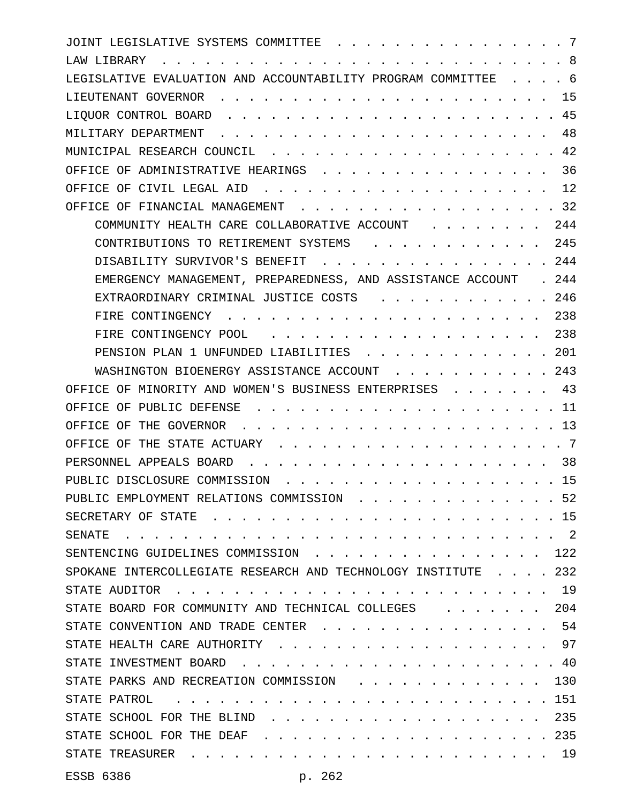| JOINT LEGISLATIVE SYSTEMS COMMITTEE<br>-7                                                                                                                                                                                                                    |
|--------------------------------------------------------------------------------------------------------------------------------------------------------------------------------------------------------------------------------------------------------------|
| -8<br>LAW LIBRARY                                                                                                                                                                                                                                            |
| LEGISLATIVE EVALUATION AND ACCOUNTABILITY PROGRAM COMMITTEE<br>. 6                                                                                                                                                                                           |
| 15<br>LIEUTENANT GOVERNOR                                                                                                                                                                                                                                    |
| 45<br>LIOUOR CONTROL BOARD                                                                                                                                                                                                                                   |
| 48<br>MILITARY DEPARTMENT                                                                                                                                                                                                                                    |
| .42<br>MUNICIPAL RESEARCH COUNCIL                                                                                                                                                                                                                            |
| 36<br>OFFICE OF ADMINISTRATIVE HEARINGS                                                                                                                                                                                                                      |
| 12<br>OFFICE OF CIVIL LEGAL AID                                                                                                                                                                                                                              |
| 32<br>OFFICE OF FINANCIAL MANAGEMENT<br>$\sim$ $\sim$ $\sim$ $\sim$ $\sim$                                                                                                                                                                                   |
| 244<br>COMMUNITY HEALTH CARE COLLABORATIVE ACCOUNT                                                                                                                                                                                                           |
| 245<br>CONTRIBUTIONS TO RETIREMENT SYSTEMS                                                                                                                                                                                                                   |
| 244<br>DISABILITY SURVIVOR'S BENEFIT                                                                                                                                                                                                                         |
| . 244<br>EMERGENCY MANAGEMENT, PREPAREDNESS, AND ASSISTANCE ACCOUNT                                                                                                                                                                                          |
| 246<br>EXTRAORDINARY CRIMINAL JUSTICE COSTS                                                                                                                                                                                                                  |
| 238<br>FIRE CONTINGENCY                                                                                                                                                                                                                                      |
| 238<br>FIRE CONTINGENCY POOL                                                                                                                                                                                                                                 |
| . 201<br>PENSION PLAN 1 UNFUNDED LIABILITIES                                                                                                                                                                                                                 |
| 243<br>WASHINGTON BIOENERGY ASSISTANCE ACCOUNT                                                                                                                                                                                                               |
| 43<br>OFFICE OF MINORITY AND WOMEN'S BUSINESS ENTERPRISES                                                                                                                                                                                                    |
| 11<br>OFFICE OF PUBLIC DEFENSE                                                                                                                                                                                                                               |
| 13<br>OFFICE OF THE GOVERNOR                                                                                                                                                                                                                                 |
| OFFICE OF THE STATE ACTUARY<br>- 7                                                                                                                                                                                                                           |
| 38<br>PERSONNEL APPEALS BOARD                                                                                                                                                                                                                                |
| 15<br>PUBLIC DISCLOSURE COMMISSION                                                                                                                                                                                                                           |
| PUBLIC EMPLOYMENT RELATIONS COMMISSION 52                                                                                                                                                                                                                    |
| $\,.\,.\,15$<br>SECRETARY OF STATE<br>$\sim$ $\sim$ $\sim$ $\sim$ $\sim$ $\sim$                                                                                                                                                                              |
| $\cdot$ 2<br>SENATE                                                                                                                                                                                                                                          |
| SENTENCING GUIDELINES COMMISSION<br>122<br><b><i>Contract Contract Contract</i></b>                                                                                                                                                                          |
| SPOKANE INTERCOLLEGIATE RESEARCH AND TECHNOLOGY INSTITUTE 232                                                                                                                                                                                                |
| . . 19<br>STATE AUDITOR<br>$\mathbf{r}$ , and the state of the state of the state of the state of the state of the state of the state of the state of the state of the state of the state of the state of the state of the state of the state of the state o |
| STATE BOARD FOR COMMUNITY AND TECHNICAL COLLEGES<br>204<br>$\sim$ $\sim$ $\sim$                                                                                                                                                                              |
| . . 54<br>STATE CONVENTION AND TRADE CENTER                                                                                                                                                                                                                  |
| . 97<br>STATE HEALTH CARE AUTHORITY<br>$\mathbf{r}$ , $\mathbf{r}$ , $\mathbf{r}$ , $\mathbf{r}$                                                                                                                                                             |
| STATE INVESTMENT BOARD<br>. . 40                                                                                                                                                                                                                             |
| STATE PARKS AND RECREATION COMMISSION<br>130                                                                                                                                                                                                                 |
| . 151<br>STATE PATROL<br>$\mathbf{r}$ , $\mathbf{r}$ , $\mathbf{r}$ , $\mathbf{r}$ , $\mathbf{r}$ , $\mathbf{r}$ , $\mathbf{r}$                                                                                                                              |
| STATE SCHOOL FOR THE BLIND.<br>235                                                                                                                                                                                                                           |
| . 235<br>STATE SCHOOL FOR THE DEAF<br>$\sim$                                                                                                                                                                                                                 |
| STATE TREASURER                                                                                                                                                                                                                                              |
|                                                                                                                                                                                                                                                              |